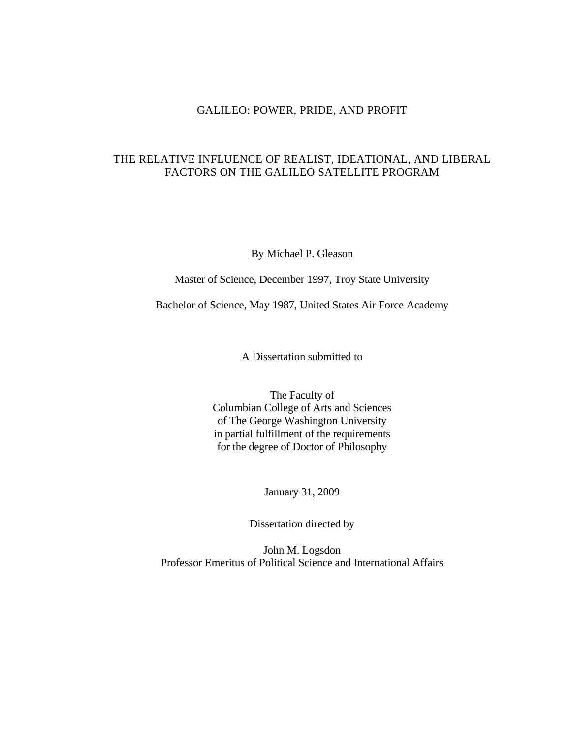## GALILEO: POWER, PRIDE, AND PROFIT

## THE RELATIVE INFLUENCE OF REALIST, IDEATIONAL, AND LIBERAL FACTORS ON THE GALILEO SATELLITE PROGRAM

By Michael P. Gleason

Master of Science, December 1997, Troy State University

Bachelor of Science, May 1987, United States Air Force Academy

A Dissertation submitted to

The Faculty of Columbian College of Arts and Sciences of The George Washington University in partial fulfillment of the requirements for the degree of Doctor of Philosophy

January 31, 2009

Dissertation directed by

John M. Logsdon Professor Emeritus of Political Science and International Affairs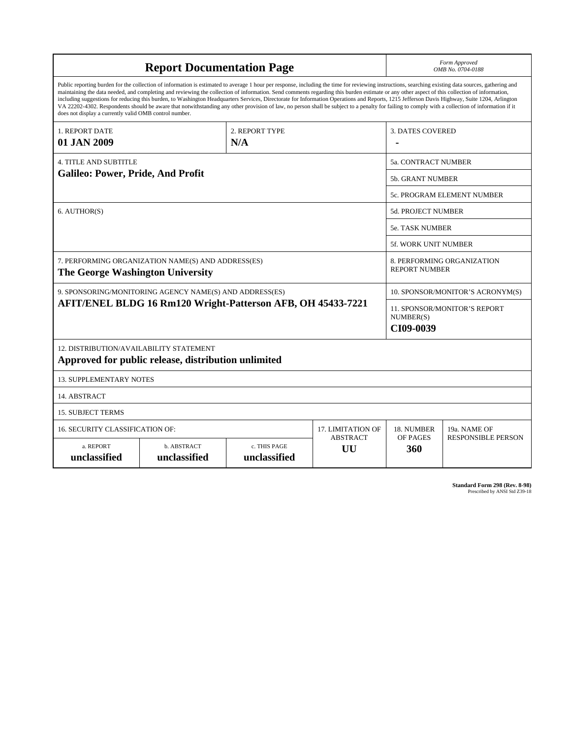| <b>Report Documentation Page</b>                                                                                                                                                                                                                                                                                                                                                                                                                                                                                                                                                                                                                                                                                                                                                                                                                                   |                             |                              |                                                    | Form Approved<br>OMB No. 0704-0188                            |                           |
|--------------------------------------------------------------------------------------------------------------------------------------------------------------------------------------------------------------------------------------------------------------------------------------------------------------------------------------------------------------------------------------------------------------------------------------------------------------------------------------------------------------------------------------------------------------------------------------------------------------------------------------------------------------------------------------------------------------------------------------------------------------------------------------------------------------------------------------------------------------------|-----------------------------|------------------------------|----------------------------------------------------|---------------------------------------------------------------|---------------------------|
| Public reporting burden for the collection of information is estimated to average 1 hour per response, including the time for reviewing instructions, searching existing data sources, gathering and<br>maintaining the data needed, and completing and reviewing the collection of information. Send comments regarding this burden estimate or any other aspect of this collection of information,<br>including suggestions for reducing this burden, to Washington Headquarters Services, Directorate for Information Operations and Reports, 1215 Jefferson Davis Highway, Suite 1204, Arlington<br>VA 22202-4302. Respondents should be aware that notwithstanding any other provision of law, no person shall be subject to a penalty for failing to comply with a collection of information if it<br>does not display a currently valid OMB control number. |                             |                              |                                                    |                                                               |                           |
| 1. REPORT DATE                                                                                                                                                                                                                                                                                                                                                                                                                                                                                                                                                                                                                                                                                                                                                                                                                                                     | 2. REPORT TYPE              |                              |                                                    | <b>3. DATES COVERED</b>                                       |                           |
| 01 JAN 2009                                                                                                                                                                                                                                                                                                                                                                                                                                                                                                                                                                                                                                                                                                                                                                                                                                                        |                             | N/A                          |                                                    |                                                               |                           |
| <b>4. TITLE AND SUBTITLE</b>                                                                                                                                                                                                                                                                                                                                                                                                                                                                                                                                                                                                                                                                                                                                                                                                                                       |                             |                              | <b>5a. CONTRACT NUMBER</b>                         |                                                               |                           |
| <b>Galileo: Power, Pride, And Profit</b>                                                                                                                                                                                                                                                                                                                                                                                                                                                                                                                                                                                                                                                                                                                                                                                                                           |                             |                              | <b>5b. GRANT NUMBER</b>                            |                                                               |                           |
|                                                                                                                                                                                                                                                                                                                                                                                                                                                                                                                                                                                                                                                                                                                                                                                                                                                                    |                             |                              | 5c. PROGRAM ELEMENT NUMBER                         |                                                               |                           |
| 6. AUTHOR(S)                                                                                                                                                                                                                                                                                                                                                                                                                                                                                                                                                                                                                                                                                                                                                                                                                                                       |                             |                              | <b>5d. PROJECT NUMBER</b>                          |                                                               |                           |
|                                                                                                                                                                                                                                                                                                                                                                                                                                                                                                                                                                                                                                                                                                                                                                                                                                                                    |                             |                              |                                                    | <b>5e. TASK NUMBER</b>                                        |                           |
|                                                                                                                                                                                                                                                                                                                                                                                                                                                                                                                                                                                                                                                                                                                                                                                                                                                                    |                             |                              |                                                    | 5f. WORK UNIT NUMBER                                          |                           |
| 7. PERFORMING ORGANIZATION NAME(S) AND ADDRESS(ES)<br>The George Washington University                                                                                                                                                                                                                                                                                                                                                                                                                                                                                                                                                                                                                                                                                                                                                                             |                             |                              | 8. PERFORMING ORGANIZATION<br><b>REPORT NUMBER</b> |                                                               |                           |
| 9. SPONSORING/MONITORING AGENCY NAME(S) AND ADDRESS(ES)                                                                                                                                                                                                                                                                                                                                                                                                                                                                                                                                                                                                                                                                                                                                                                                                            |                             |                              |                                                    | 10. SPONSOR/MONITOR'S ACRONYM(S)                              |                           |
| AFIT/ENEL BLDG 16 Rm120 Wright-Patterson AFB, OH 45433-7221                                                                                                                                                                                                                                                                                                                                                                                                                                                                                                                                                                                                                                                                                                                                                                                                        |                             |                              |                                                    | <b>11. SPONSOR/MONITOR'S REPORT</b><br>NUMBER(S)<br>CI09-0039 |                           |
| 12. DISTRIBUTION/AVAILABILITY STATEMENT<br>Approved for public release, distribution unlimited                                                                                                                                                                                                                                                                                                                                                                                                                                                                                                                                                                                                                                                                                                                                                                     |                             |                              |                                                    |                                                               |                           |
| <b>13. SUPPLEMENTARY NOTES</b>                                                                                                                                                                                                                                                                                                                                                                                                                                                                                                                                                                                                                                                                                                                                                                                                                                     |                             |                              |                                                    |                                                               |                           |
| 14. ABSTRACT                                                                                                                                                                                                                                                                                                                                                                                                                                                                                                                                                                                                                                                                                                                                                                                                                                                       |                             |                              |                                                    |                                                               |                           |
| <b>15. SUBJECT TERMS</b>                                                                                                                                                                                                                                                                                                                                                                                                                                                                                                                                                                                                                                                                                                                                                                                                                                           |                             |                              |                                                    |                                                               |                           |
| 16. SECURITY CLASSIFICATION OF:                                                                                                                                                                                                                                                                                                                                                                                                                                                                                                                                                                                                                                                                                                                                                                                                                                    |                             |                              | 17. LIMITATION OF                                  | 18. NUMBER                                                    | 19a. NAME OF              |
| a. REPORT<br>unclassified                                                                                                                                                                                                                                                                                                                                                                                                                                                                                                                                                                                                                                                                                                                                                                                                                                          | b. ABSTRACT<br>unclassified | c. THIS PAGE<br>unclassified | <b>ABSTRACT</b><br>UU                              | <b>OF PAGES</b><br>360                                        | <b>RESPONSIBLE PERSON</b> |

**Standard Form 298 (Rev. 8-98)**<br>Prescribed by ANSI Std Z39-18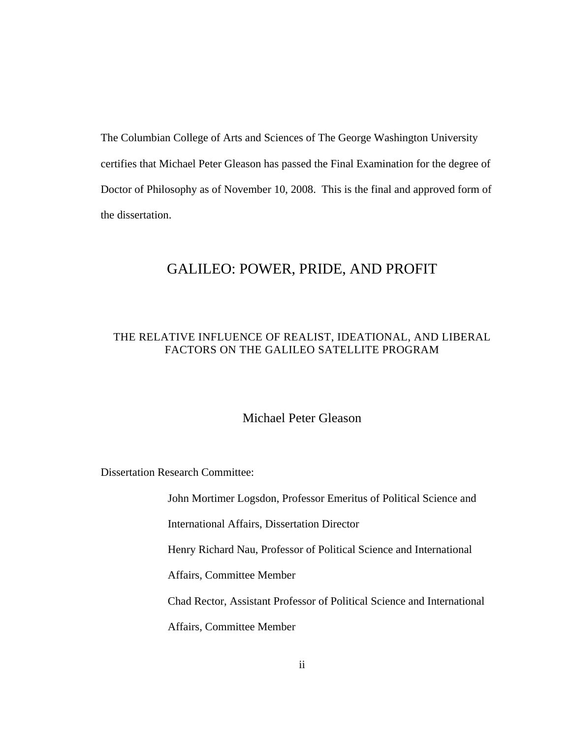The Columbian College of Arts and Sciences of The George Washington University certifies that Michael Peter Gleason has passed the Final Examination for the degree of Doctor of Philosophy as of November 10, 2008. This is the final and approved form of the dissertation.

## GALILEO: POWER, PRIDE, AND PROFIT

## THE RELATIVE INFLUENCE OF REALIST, IDEATIONAL, AND LIBERAL FACTORS ON THE GALILEO SATELLITE PROGRAM

## Michael Peter Gleason

Dissertation Research Committee:

John Mortimer Logsdon, Professor Emeritus of Political Science and

International Affairs, Dissertation Director

Henry Richard Nau, Professor of Political Science and International

Affairs, Committee Member

Chad Rector, Assistant Professor of Political Science and International

Affairs, Committee Member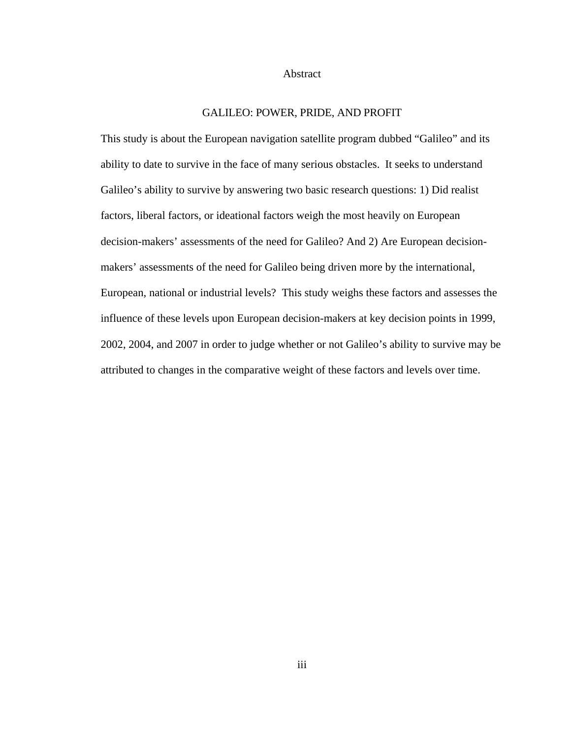#### Abstract

## GALILEO: POWER, PRIDE, AND PROFIT

This study is about the European navigation satellite program dubbed "Galileo" and its ability to date to survive in the face of many serious obstacles. It seeks to understand Galileo's ability to survive by answering two basic research questions: 1) Did realist factors, liberal factors, or ideational factors weigh the most heavily on European decision-makers' assessments of the need for Galileo? And 2) Are European decisionmakers' assessments of the need for Galileo being driven more by the international, European, national or industrial levels? This study weighs these factors and assesses the influence of these levels upon European decision-makers at key decision points in 1999, 2002, 2004, and 2007 in order to judge whether or not Galileo's ability to survive may be attributed to changes in the comparative weight of these factors and levels over time.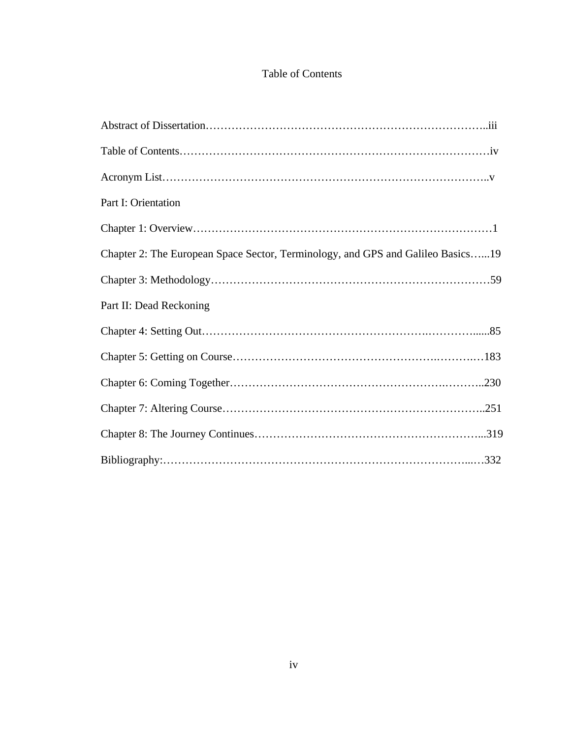## Table of Contents

| Part I: Orientation                                                             |
|---------------------------------------------------------------------------------|
|                                                                                 |
| Chapter 2: The European Space Sector, Terminology, and GPS and Galileo Basics19 |
|                                                                                 |
| Part II: Dead Reckoning                                                         |
|                                                                                 |
|                                                                                 |
|                                                                                 |
|                                                                                 |
|                                                                                 |
|                                                                                 |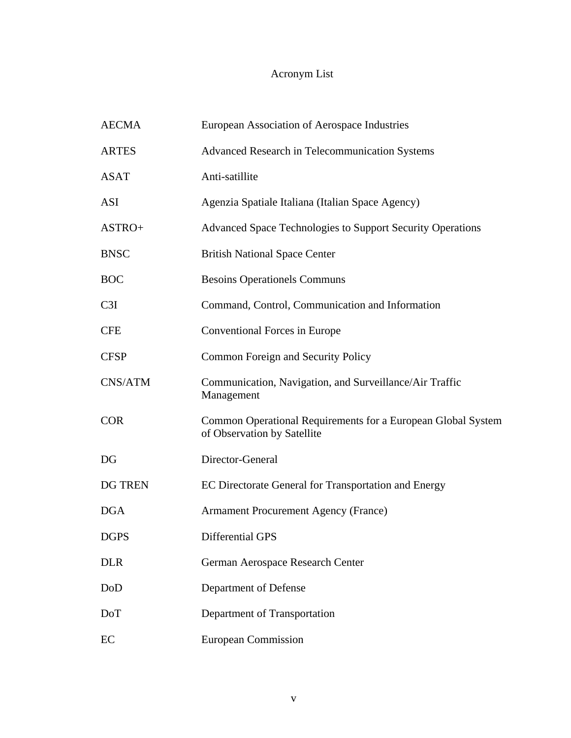# Acronym List

| <b>AECMA</b>   | European Association of Aerospace Industries                                                |
|----------------|---------------------------------------------------------------------------------------------|
| <b>ARTES</b>   | <b>Advanced Research in Telecommunication Systems</b>                                       |
| <b>ASAT</b>    | Anti-satillite                                                                              |
| <b>ASI</b>     | Agenzia Spatiale Italiana (Italian Space Agency)                                            |
| ASTRO+         | Advanced Space Technologies to Support Security Operations                                  |
| <b>BNSC</b>    | <b>British National Space Center</b>                                                        |
| <b>BOC</b>     | <b>Besoins Operationels Communs</b>                                                         |
| C3I            | Command, Control, Communication and Information                                             |
| <b>CFE</b>     | Conventional Forces in Europe                                                               |
| <b>CFSP</b>    | <b>Common Foreign and Security Policy</b>                                                   |
| CNS/ATM        | Communication, Navigation, and Surveillance/Air Traffic<br>Management                       |
| <b>COR</b>     | Common Operational Requirements for a European Global System<br>of Observation by Satellite |
| DG             | Director-General                                                                            |
| <b>DG TREN</b> | EC Directorate General for Transportation and Energy                                        |
| <b>DGA</b>     | <b>Armament Procurement Agency (France)</b>                                                 |
| <b>DGPS</b>    | Differential GPS                                                                            |
| <b>DLR</b>     | German Aerospace Research Center                                                            |
| DoD            | Department of Defense                                                                       |
| DoT            | Department of Transportation                                                                |
| EC             | <b>European Commission</b>                                                                  |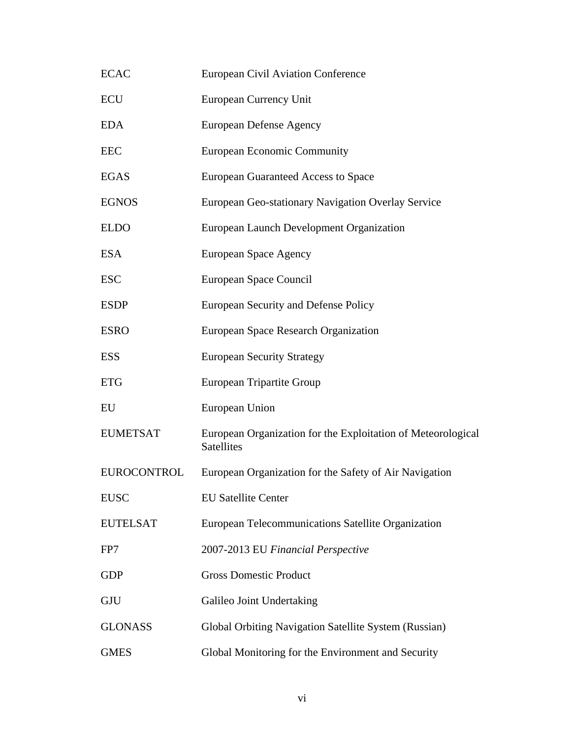| <b>ECAC</b>        | <b>European Civil Aviation Conference</b>                                         |
|--------------------|-----------------------------------------------------------------------------------|
| <b>ECU</b>         | European Currency Unit                                                            |
| <b>EDA</b>         | <b>European Defense Agency</b>                                                    |
| <b>EEC</b>         | <b>European Economic Community</b>                                                |
| <b>EGAS</b>        | <b>European Guaranteed Access to Space</b>                                        |
| <b>EGNOS</b>       | European Geo-stationary Navigation Overlay Service                                |
| <b>ELDO</b>        | European Launch Development Organization                                          |
| <b>ESA</b>         | <b>European Space Agency</b>                                                      |
| <b>ESC</b>         | European Space Council                                                            |
| <b>ESDP</b>        | European Security and Defense Policy                                              |
| <b>ESRO</b>        | European Space Research Organization                                              |
| <b>ESS</b>         | <b>European Security Strategy</b>                                                 |
| <b>ETG</b>         | European Tripartite Group                                                         |
| EU                 | European Union                                                                    |
| <b>EUMETSAT</b>    | European Organization for the Exploitation of Meteorological<br><b>Satellites</b> |
| <b>EUROCONTROL</b> | European Organization for the Safety of Air Navigation                            |
| <b>EUSC</b>        | <b>EU Satellite Center</b>                                                        |
| <b>EUTELSAT</b>    | European Telecommunications Satellite Organization                                |
| FP7                | 2007-2013 EU Financial Perspective                                                |
| <b>GDP</b>         | <b>Gross Domestic Product</b>                                                     |
| <b>GJU</b>         | Galileo Joint Undertaking                                                         |
| <b>GLONASS</b>     | Global Orbiting Navigation Satellite System (Russian)                             |
| <b>GMES</b>        | Global Monitoring for the Environment and Security                                |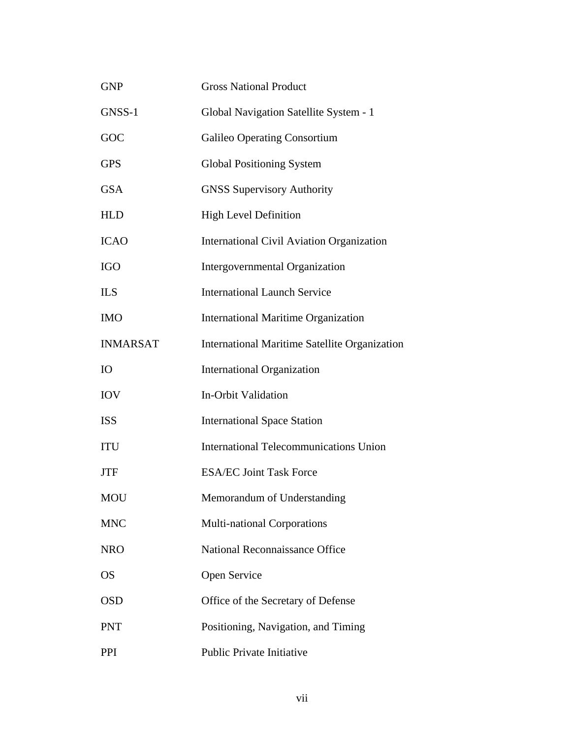| <b>GNP</b>      | <b>Gross National Product</b>                    |
|-----------------|--------------------------------------------------|
| GNSS-1          | Global Navigation Satellite System - 1           |
| GOC             | Galileo Operating Consortium                     |
| <b>GPS</b>      | <b>Global Positioning System</b>                 |
| <b>GSA</b>      | <b>GNSS Supervisory Authority</b>                |
| <b>HLD</b>      | <b>High Level Definition</b>                     |
| <b>ICAO</b>     | <b>International Civil Aviation Organization</b> |
| <b>IGO</b>      | Intergovernmental Organization                   |
| <b>ILS</b>      | <b>International Launch Service</b>              |
| <b>IMO</b>      | <b>International Maritime Organization</b>       |
| <b>INMARSAT</b> | International Maritime Satellite Organization    |
| IO              | <b>International Organization</b>                |
| <b>IOV</b>      | In-Orbit Validation                              |
| <b>ISS</b>      | <b>International Space Station</b>               |
| <b>ITU</b>      | <b>International Telecommunications Union</b>    |
| JTF             | <b>ESA/EC Joint Task Force</b>                   |
| MOU             | Memorandum of Understanding                      |
| <b>MNC</b>      | Multi-national Corporations                      |
| <b>NRO</b>      | <b>National Reconnaissance Office</b>            |
| <b>OS</b>       | Open Service                                     |
| <b>OSD</b>      | Office of the Secretary of Defense               |
| <b>PNT</b>      | Positioning, Navigation, and Timing              |
| <b>PPI</b>      | Public Private Initiative                        |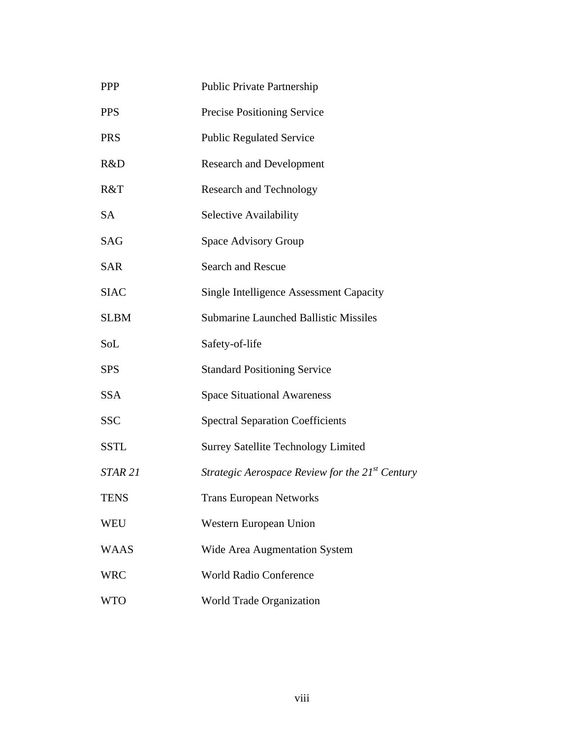| <b>PPP</b>  | <b>Public Private Partnership</b>                    |
|-------------|------------------------------------------------------|
| <b>PPS</b>  | Precise Positioning Service                          |
| <b>PRS</b>  | <b>Public Regulated Service</b>                      |
| R&D         | <b>Research and Development</b>                      |
| R&T         | <b>Research and Technology</b>                       |
| <b>SA</b>   | Selective Availability                               |
| <b>SAG</b>  | Space Advisory Group                                 |
| <b>SAR</b>  | <b>Search and Rescue</b>                             |
| <b>SIAC</b> | <b>Single Intelligence Assessment Capacity</b>       |
| <b>SLBM</b> | <b>Submarine Launched Ballistic Missiles</b>         |
| SoL         | Safety-of-life                                       |
| <b>SPS</b>  | <b>Standard Positioning Service</b>                  |
| <b>SSA</b>  | <b>Space Situational Awareness</b>                   |
| <b>SSC</b>  | <b>Spectral Separation Coefficients</b>              |
| <b>SSTL</b> | <b>Surrey Satellite Technology Limited</b>           |
| STAR 21     | Strategic Aerospace Review for the $21^{st}$ Century |
| <b>TENS</b> | <b>Trans European Networks</b>                       |
| <b>WEU</b>  | Western European Union                               |
| <b>WAAS</b> | Wide Area Augmentation System                        |
| <b>WRC</b>  | <b>World Radio Conference</b>                        |
| <b>WTO</b>  | World Trade Organization                             |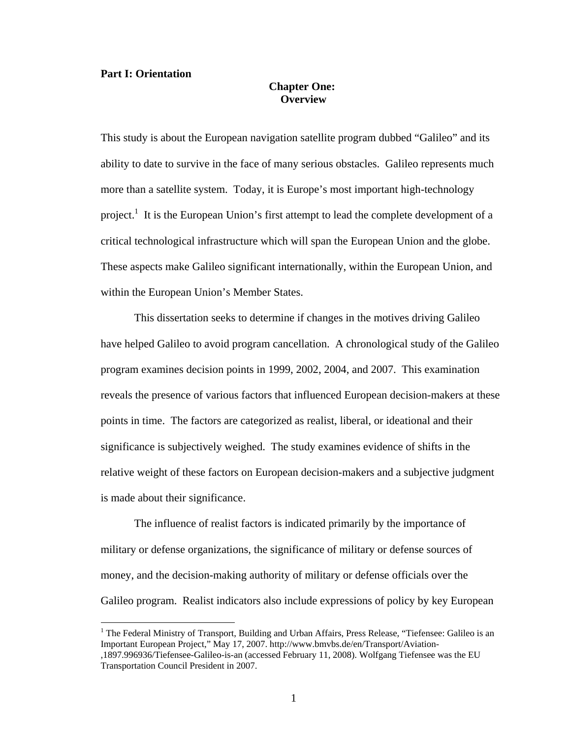#### **Part I: Orientation**

<u>.</u>

## **Chapter One: Overview**

This study is about the European navigation satellite program dubbed "Galileo" and its ability to date to survive in the face of many serious obstacles. Galileo represents much more than a satellite system. Today, it is Europe's most important high-technology project.<sup>1</sup> It is the European Union's first attempt to lead the complete development of a critical technological infrastructure which will span the European Union and the globe. These aspects make Galileo significant internationally, within the European Union, and within the European Union's Member States.

 This dissertation seeks to determine if changes in the motives driving Galileo have helped Galileo to avoid program cancellation. A chronological study of the Galileo program examines decision points in 1999, 2002, 2004, and 2007. This examination reveals the presence of various factors that influenced European decision-makers at these points in time. The factors are categorized as realist, liberal, or ideational and their significance is subjectively weighed. The study examines evidence of shifts in the relative weight of these factors on European decision-makers and a subjective judgment is made about their significance.

The influence of realist factors is indicated primarily by the importance of military or defense organizations, the significance of military or defense sources of money, and the decision-making authority of military or defense officials over the Galileo program. Realist indicators also include expressions of policy by key European

<sup>&</sup>lt;sup>1</sup> The Federal Ministry of Transport, Building and Urban Affairs, Press Release, "Tiefensee: Galileo is an Important European Project," May 17, 2007. http://www.bmvbs.de/en/Transport/Aviation- ,1897.996936/Tiefensee-Galileo-is-an (accessed February 11, 2008). Wolfgang Tiefensee was the EU Transportation Council President in 2007.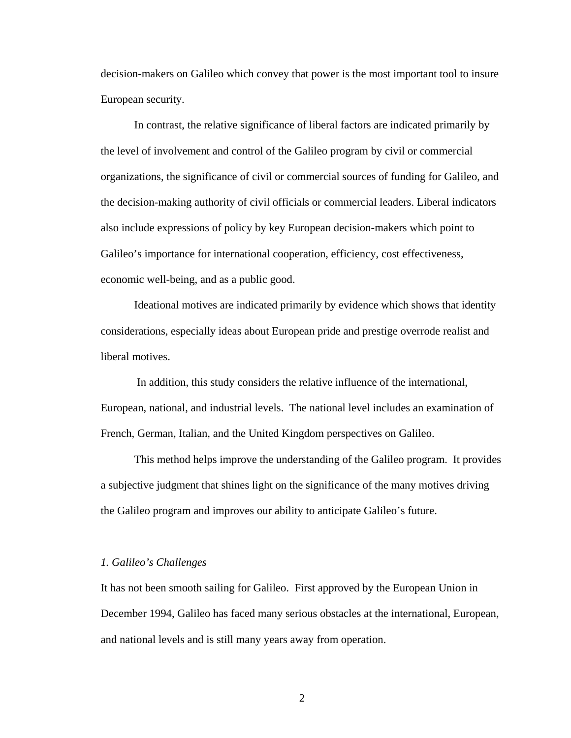decision-makers on Galileo which convey that power is the most important tool to insure European security.

In contrast, the relative significance of liberal factors are indicated primarily by the level of involvement and control of the Galileo program by civil or commercial organizations, the significance of civil or commercial sources of funding for Galileo, and the decision-making authority of civil officials or commercial leaders. Liberal indicators also include expressions of policy by key European decision-makers which point to Galileo's importance for international cooperation, efficiency, cost effectiveness, economic well-being, and as a public good.

 Ideational motives are indicated primarily by evidence which shows that identity considerations, especially ideas about European pride and prestige overrode realist and liberal motives.

 In addition, this study considers the relative influence of the international, European, national, and industrial levels. The national level includes an examination of French, German, Italian, and the United Kingdom perspectives on Galileo.

This method helps improve the understanding of the Galileo program. It provides a subjective judgment that shines light on the significance of the many motives driving the Galileo program and improves our ability to anticipate Galileo's future.

#### *1. Galileo's Challenges*

It has not been smooth sailing for Galileo. First approved by the European Union in December 1994, Galileo has faced many serious obstacles at the international, European, and national levels and is still many years away from operation.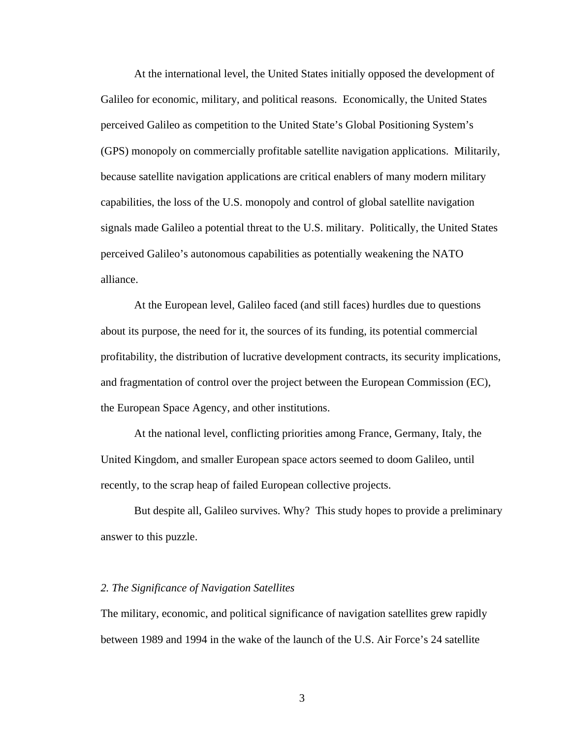At the international level, the United States initially opposed the development of Galileo for economic, military, and political reasons. Economically, the United States perceived Galileo as competition to the United State's Global Positioning System's (GPS) monopoly on commercially profitable satellite navigation applications. Militarily, because satellite navigation applications are critical enablers of many modern military capabilities, the loss of the U.S. monopoly and control of global satellite navigation signals made Galileo a potential threat to the U.S. military. Politically, the United States perceived Galileo's autonomous capabilities as potentially weakening the NATO alliance.

At the European level, Galileo faced (and still faces) hurdles due to questions about its purpose, the need for it, the sources of its funding, its potential commercial profitability, the distribution of lucrative development contracts, its security implications, and fragmentation of control over the project between the European Commission (EC), the European Space Agency, and other institutions.

At the national level, conflicting priorities among France, Germany, Italy, the United Kingdom, and smaller European space actors seemed to doom Galileo, until recently, to the scrap heap of failed European collective projects.

But despite all, Galileo survives. Why? This study hopes to provide a preliminary answer to this puzzle.

#### *2. The Significance of Navigation Satellites*

The military, economic, and political significance of navigation satellites grew rapidly between 1989 and 1994 in the wake of the launch of the U.S. Air Force's 24 satellite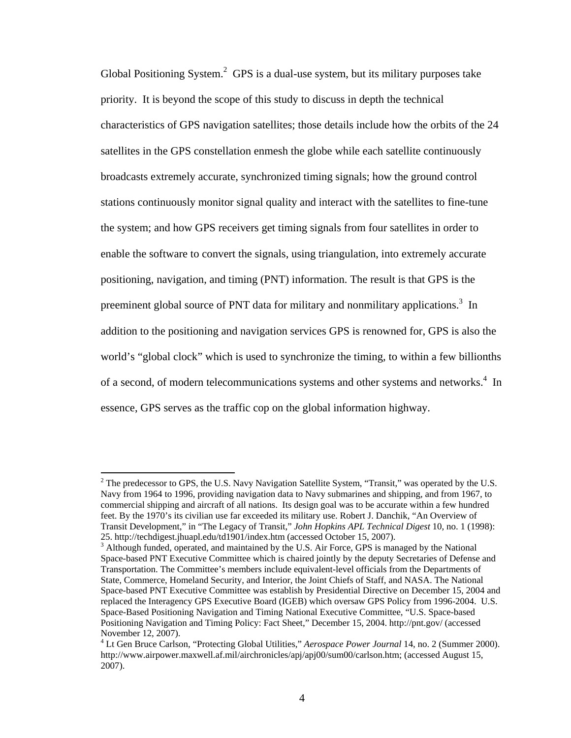Global Positioning System. $2$  GPS is a dual-use system, but its military purposes take priority. It is beyond the scope of this study to discuss in depth the technical characteristics of GPS navigation satellites; those details include how the orbits of the 24 satellites in the GPS constellation enmesh the globe while each satellite continuously broadcasts extremely accurate, synchronized timing signals; how the ground control stations continuously monitor signal quality and interact with the satellites to fine-tune the system; and how GPS receivers get timing signals from four satellites in order to enable the software to convert the signals, using triangulation, into extremely accurate positioning, navigation, and timing (PNT) information. The result is that GPS is the preeminent global source of PNT data for military and nonmilitary applications.<sup>3</sup> In addition to the positioning and navigation services GPS is renowned for, GPS is also the world's "global clock" which is used to synchronize the timing, to within a few billionths of a second, of modern telecommunications systems and other systems and networks.<sup>4</sup> In essence, GPS serves as the traffic cop on the global information highway.

<sup>&</sup>lt;sup>2</sup> The predecessor to GPS, the U.S. Navy Navigation Satellite System, "Transit," was operated by the U.S. Navy from 1964 to 1996, providing navigation data to Navy submarines and shipping, and from 1967, to commercial shipping and aircraft of all nations. Its design goal was to be accurate within a few hundred feet. By the 1970's its civilian use far exceeded its military use. Robert J. Danchik, "An Overview of Transit Development," in "The Legacy of Transit," *John Hopkins APL Technical Digest* 10, no. 1 (1998): 25. http://techdigest.jhuapl.edu/td1901/index.htm (accessed October 15, 2007).<br><sup>3</sup> Although funded, operated, and maintained by the U.S. Air Force, GPS is managed by the National

Space-based PNT Executive Committee which is chaired jointly by the deputy Secretaries of Defense and Transportation. The Committee's members include equivalent-level officials from the Departments of State, Commerce, Homeland Security, and Interior, the Joint Chiefs of Staff, and NASA. The National Space-based PNT Executive Committee was establish by Presidential Directive on December 15, 2004 and replaced the Interagency GPS Executive Board (IGEB) which oversaw GPS Policy from 1996-2004. U.S. Space-Based Positioning Navigation and Timing National Executive Committee, "U.S. Space-based Positioning Navigation and Timing Policy: Fact Sheet," December 15, 2004. http://pnt.gov/ (accessed November 12, 2007).

<sup>4</sup> Lt Gen Bruce Carlson, "Protecting Global Utilities," *Aerospace Power Journal* 14, no. 2 (Summer 2000). http://www.airpower.maxwell.af.mil/airchronicles/apj/apj00/sum00/carlson.htm; (accessed August 15, 2007).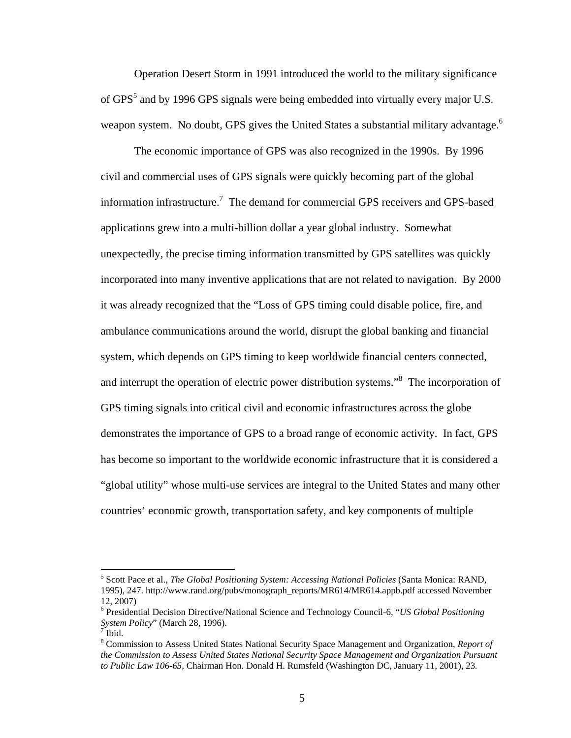Operation Desert Storm in 1991 introduced the world to the military significance of GPS<sup>5</sup> and by 1996 GPS signals were being embedded into virtually every major U.S. weapon system. No doubt, GPS gives the United States a substantial military advantage.<sup>6</sup>

The economic importance of GPS was also recognized in the 1990s. By 1996 civil and commercial uses of GPS signals were quickly becoming part of the global information infrastructure.<sup>7</sup> The demand for commercial GPS receivers and GPS-based applications grew into a multi-billion dollar a year global industry. Somewhat unexpectedly, the precise timing information transmitted by GPS satellites was quickly incorporated into many inventive applications that are not related to navigation. By 2000 it was already recognized that the "Loss of GPS timing could disable police, fire, and ambulance communications around the world, disrupt the global banking and financial system, which depends on GPS timing to keep worldwide financial centers connected, and interrupt the operation of electric power distribution systems."<sup>8</sup> The incorporation of GPS timing signals into critical civil and economic infrastructures across the globe demonstrates the importance of GPS to a broad range of economic activity. In fact, GPS has become so important to the worldwide economic infrastructure that it is considered a "global utility" whose multi-use services are integral to the United States and many other countries' economic growth, transportation safety, and key components of multiple

<sup>&</sup>lt;sup>5</sup> Scott Pace et al., *The Global Positioning System: Accessing National Policies* (Santa Monica: RAND, 1995), 247. http://www.rand.org/pubs/monograph\_reports/MR614/MR614.appb.pdf accessed November 12, 2007)

<sup>6</sup> Presidential Decision Directive/National Science and Technology Council-6, "*US Global Positioning System Policy*" (March 28, 1996). 7

 $^7$  Ibid.

<sup>8</sup> Commission to Assess United States National Security Space Management and Organization, *Report of the Commission to Assess United States National Security Space Management and Organization Pursuant to Public Law 106-65,* Chairman Hon. Donald H. Rumsfeld (Washington DC, January 11, 2001), 23*.*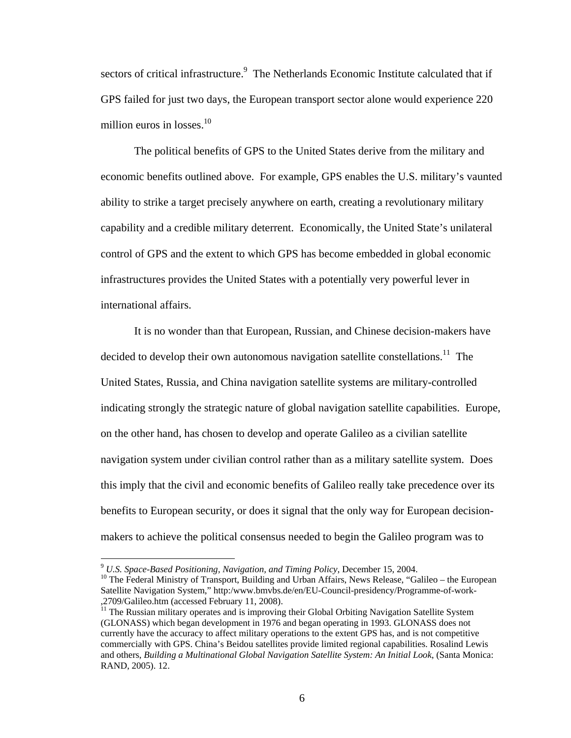sectors of critical infrastructure.<sup>9</sup> The Netherlands Economic Institute calculated that if GPS failed for just two days, the European transport sector alone would experience 220 million euros in losses. $10<sup>10</sup>$ 

The political benefits of GPS to the United States derive from the military and economic benefits outlined above. For example, GPS enables the U.S. military's vaunted ability to strike a target precisely anywhere on earth, creating a revolutionary military capability and a credible military deterrent. Economically, the United State's unilateral control of GPS and the extent to which GPS has become embedded in global economic infrastructures provides the United States with a potentially very powerful lever in international affairs.

It is no wonder than that European, Russian, and Chinese decision-makers have decided to develop their own autonomous navigation satellite constellations.<sup>11</sup> The United States, Russia, and China navigation satellite systems are military-controlled indicating strongly the strategic nature of global navigation satellite capabilities. Europe, on the other hand, has chosen to develop and operate Galileo as a civilian satellite navigation system under civilian control rather than as a military satellite system. Does this imply that the civil and economic benefits of Galileo really take precedence over its benefits to European security, or does it signal that the only way for European decisionmakers to achieve the political consensus needed to begin the Galileo program was to

<sup>&</sup>lt;sup>9</sup> *U.S. Space-Based Positioning, Navigation, and Timing Policy*, December 15, 2004.<br><sup>10</sup> The Federal Ministry of Transport, Building and Urban Affairs, News Release, "Galileo – the European Satellite Navigation System," http:/www.bmvbs.de/en/EU-Council-presidency/Programme-of-work- ,2709/Galileo.htm (accessed February 11, 2008).

<sup>&</sup>lt;sup>11</sup> The Russian military operates and is improving their Global Orbiting Navigation Satellite System (GLONASS) which began development in 1976 and began operating in 1993. GLONASS does not currently have the accuracy to affect military operations to the extent GPS has, and is not competitive commercially with GPS. China's Beidou satellites provide limited regional capabilities. Rosalind Lewis and others, *Building a Multinational Global Navigation Satellite System: An Initial Look*, (Santa Monica: RAND, 2005). 12.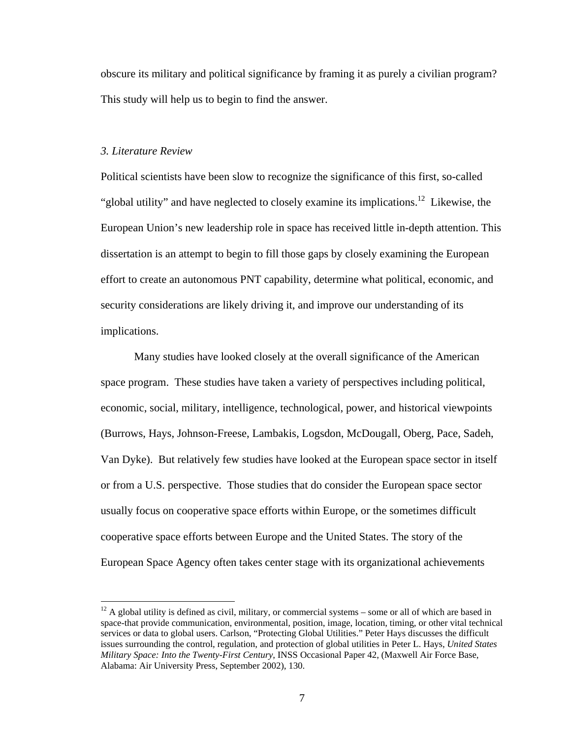obscure its military and political significance by framing it as purely a civilian program? This study will help us to begin to find the answer.

#### *3. Literature Review*

 $\overline{a}$ 

Political scientists have been slow to recognize the significance of this first, so-called "global utility" and have neglected to closely examine its implications.<sup>12</sup> Likewise, the European Union's new leadership role in space has received little in-depth attention. This dissertation is an attempt to begin to fill those gaps by closely examining the European effort to create an autonomous PNT capability, determine what political, economic, and security considerations are likely driving it, and improve our understanding of its implications.

Many studies have looked closely at the overall significance of the American space program. These studies have taken a variety of perspectives including political, economic, social, military, intelligence, technological, power, and historical viewpoints (Burrows, Hays, Johnson-Freese, Lambakis, Logsdon, McDougall, Oberg, Pace, Sadeh, Van Dyke). But relatively few studies have looked at the European space sector in itself or from a U.S. perspective. Those studies that do consider the European space sector usually focus on cooperative space efforts within Europe, or the sometimes difficult cooperative space efforts between Europe and the United States. The story of the European Space Agency often takes center stage with its organizational achievements

 $12$  A global utility is defined as civil, military, or commercial systems – some or all of which are based in space-that provide communication, environmental, position, image, location, timing, or other vital technical services or data to global users. Carlson, "Protecting Global Utilities." Peter Hays discusses the difficult issues surrounding the control, regulation, and protection of global utilities in Peter L. Hays, *United States Military Space: Into the Twenty-First Century*, INSS Occasional Paper 42, (Maxwell Air Force Base, Alabama: Air University Press, September 2002), 130.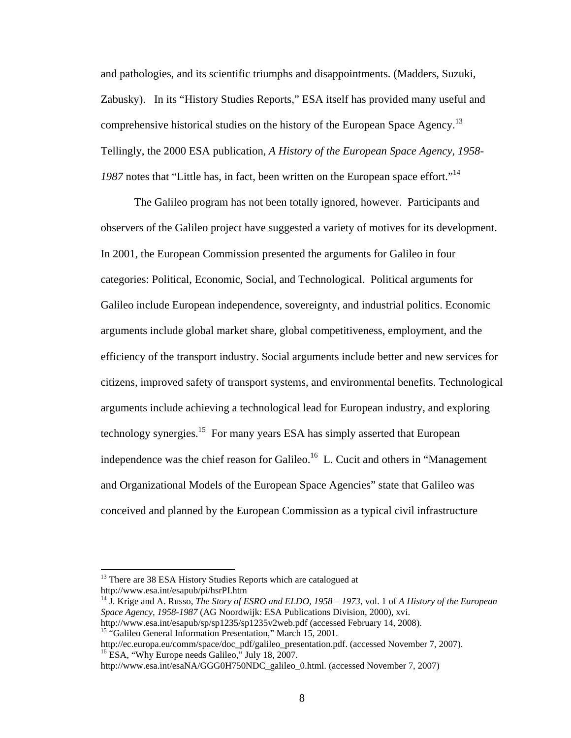and pathologies, and its scientific triumphs and disappointments. (Madders, Suzuki, Zabusky). In its "History Studies Reports," ESA itself has provided many useful and comprehensive historical studies on the history of the European Space Agency.<sup>13</sup> Tellingly, the 2000 ESA publication, *A History of the European Space Agency, 1958-* 1987 notes that "Little has, in fact, been written on the European space effort."<sup>14</sup>

The Galileo program has not been totally ignored, however. Participants and observers of the Galileo project have suggested a variety of motives for its development. In 2001, the European Commission presented the arguments for Galileo in four categories: Political, Economic, Social, and Technological. Political arguments for Galileo include European independence, sovereignty, and industrial politics. Economic arguments include global market share, global competitiveness, employment, and the efficiency of the transport industry. Social arguments include better and new services for citizens, improved safety of transport systems, and environmental benefits. Technological arguments include achieving a technological lead for European industry, and exploring technology synergies.<sup>15</sup> For many years ESA has simply asserted that European independence was the chief reason for Galileo.<sup>16</sup> L. Cucit and others in "Management" and Organizational Models of the European Space Agencies" state that Galileo was conceived and planned by the European Commission as a typical civil infrastructure

<sup>&</sup>lt;sup>13</sup> There are 38 ESA History Studies Reports which are catalogued at http://www.esa.int/esapub/pi/hsrPI.htm

<sup>14</sup> J. Krige and A. Russo, *The Story of ESRO and ELDO, 1958 – 1973*, vol. 1 of *A History of the European Space Agency, 1958-1987* (AG Noordwijk: ESA Publications Division, 2000), xvi. http://www.esa.int/esapub/sp/sp1235/sp1235v2web.pdf (accessed February 14, 2008).

<sup>&</sup>lt;sup>15</sup> "Galileo General Information Presentation," March 15, 2001.

http://ec.europa.eu/comm/space/doc\_pdf/galileo\_presentation.pdf. (accessed November 7, 2007).<br><sup>16</sup> ESA, "Why Europe needs Galileo," July 18, 2007.

http://www.esa.int/esaNA/GGG0H750NDC\_galileo\_0.html. (accessed November 7, 2007)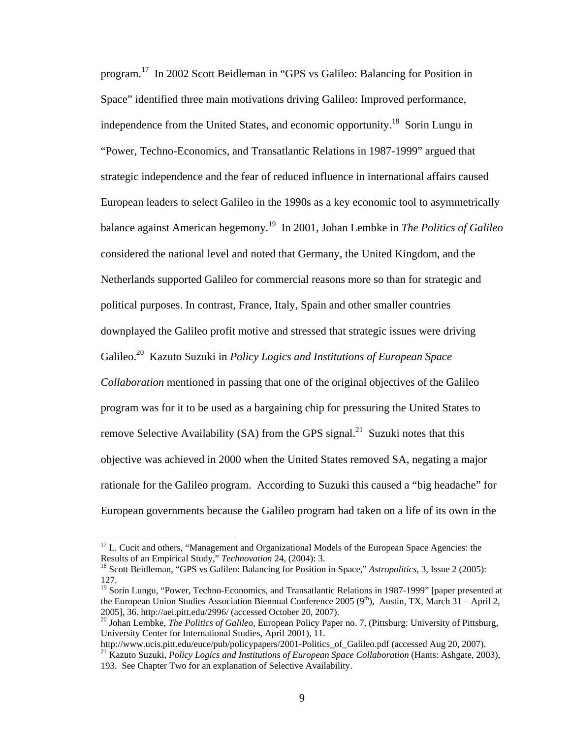program.17 In 2002 Scott Beidleman in "GPS vs Galileo: Balancing for Position in Space" identified three main motivations driving Galileo: Improved performance, independence from the United States, and economic opportunity.18 Sorin Lungu in "Power, Techno-Economics, and Transatlantic Relations in 1987-1999" argued that strategic independence and the fear of reduced influence in international affairs caused European leaders to select Galileo in the 1990s as a key economic tool to asymmetrically balance against American hegemony.19 In 2001, Johan Lembke in *The Politics of Galileo* considered the national level and noted that Germany, the United Kingdom, and the Netherlands supported Galileo for commercial reasons more so than for strategic and political purposes. In contrast, France, Italy, Spain and other smaller countries downplayed the Galileo profit motive and stressed that strategic issues were driving Galileo.20 Kazuto Suzuki in *Policy Logics and Institutions of European Space Collaboration* mentioned in passing that one of the original objectives of the Galileo program was for it to be used as a bargaining chip for pressuring the United States to remove Selective Availability (SA) from the GPS signal.<sup>21</sup> Suzuki notes that this objective was achieved in 2000 when the United States removed SA, negating a major rationale for the Galileo program. According to Suzuki this caused a "big headache" for

European governments because the Galileo program had taken on a life of its own in the

<sup>&</sup>lt;sup>17</sup> L. Cucit and others, "Management and Organizational Models of the European Space Agencies: the Results of an Empirical Study," *Technovation* 24, (2004): 3.<br><sup>18</sup> Scott Beidleman, "GPS vs Galileo: Balancing for Position in Space," *Astropolitics*, 3, Issue 2 (2005):

<sup>127.</sup> 

<sup>&</sup>lt;sup>19</sup> Sorin Lungu, "Power, Techno-Economics, and Transatlantic Relations in 1987-1999" [paper presented at the European Union Studies Association Biennual Conference 2005 ( $9<sup>th</sup>$ ), Austin, TX, March 31 – April 2, 2005], 36. http://aei.pitt.edu/2996/ (accessed October 20, 2007). 20 Johan Lembke, *The Politics of Galileo,* European Policy Paper no. 7, (Pittsburg: University of Pittsburg,

University Center for International Studies, April 2001), 11.<br>http://www.ucis.pitt.edu/euce/pub/policypapers/2001-Politics of Galileo.pdf (accessed Aug 20, 2007).

<sup>&</sup>lt;sup>21</sup> Kazuto Suzuki, *Policy Logics and Institutions of European Space Collaboration* (Hants: Ashgate, 2003),

<sup>193.</sup> See Chapter Two for an explanation of Selective Availability.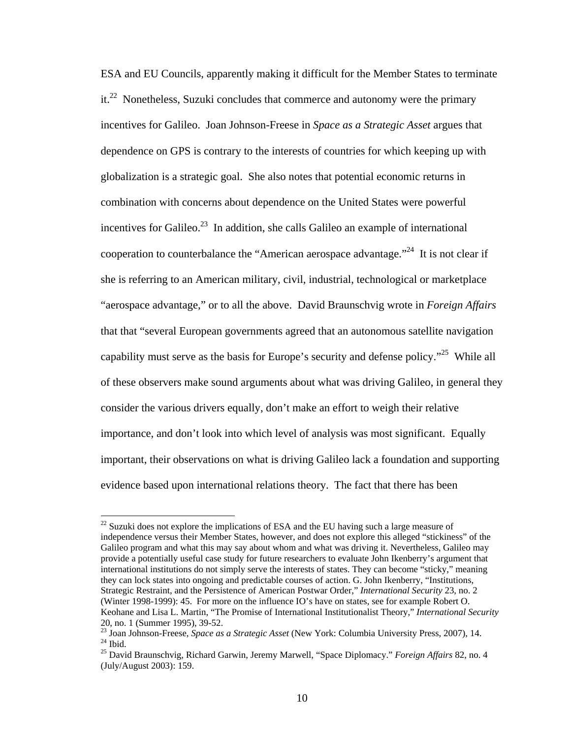ESA and EU Councils, apparently making it difficult for the Member States to terminate it.<sup>22</sup> Nonetheless, Suzuki concludes that commerce and autonomy were the primary incentives for Galileo. Joan Johnson-Freese in *Space as a Strategic Asset* argues that dependence on GPS is contrary to the interests of countries for which keeping up with globalization is a strategic goal. She also notes that potential economic returns in combination with concerns about dependence on the United States were powerful incentives for Galileo.<sup>23</sup> In addition, she calls Galileo an example of international cooperation to counterbalance the "American aerospace advantage."<sup>24</sup> It is not clear if she is referring to an American military, civil, industrial, technological or marketplace "aerospace advantage," or to all the above. David Braunschvig wrote in *Foreign Affairs* that that "several European governments agreed that an autonomous satellite navigation capability must serve as the basis for Europe's security and defense policy."<sup>25</sup> While all of these observers make sound arguments about what was driving Galileo, in general they consider the various drivers equally, don't make an effort to weigh their relative importance, and don't look into which level of analysis was most significant. Equally important, their observations on what is driving Galileo lack a foundation and supporting evidence based upon international relations theory. The fact that there has been

 $22$  Suzuki does not explore the implications of ESA and the EU having such a large measure of independence versus their Member States, however, and does not explore this alleged "stickiness" of the Galileo program and what this may say about whom and what was driving it. Nevertheless, Galileo may provide a potentially useful case study for future researchers to evaluate John Ikenberry's argument that international institutions do not simply serve the interests of states. They can become "sticky," meaning they can lock states into ongoing and predictable courses of action. G. John Ikenberry, "Institutions, Strategic Restraint, and the Persistence of American Postwar Order," *International Security* 23, no. 2 (Winter 1998-1999): 45. For more on the influence IO's have on states, see for example Robert O. Keohane and Lisa L. Martin, "The Promise of International Institutionalist Theory," *International Security* 20, no. 1 (Summer 1995), 39-52.

<sup>23</sup> Joan Johnson-Freese, *Space as a Strategic Asset* (New York: Columbia University Press, 2007), 14.<br><sup>24</sup> Ibid.

<sup>25</sup> David Braunschvig, Richard Garwin, Jeremy Marwell, "Space Diplomacy." *Foreign Affairs* 82, no. 4 (July/August 2003): 159.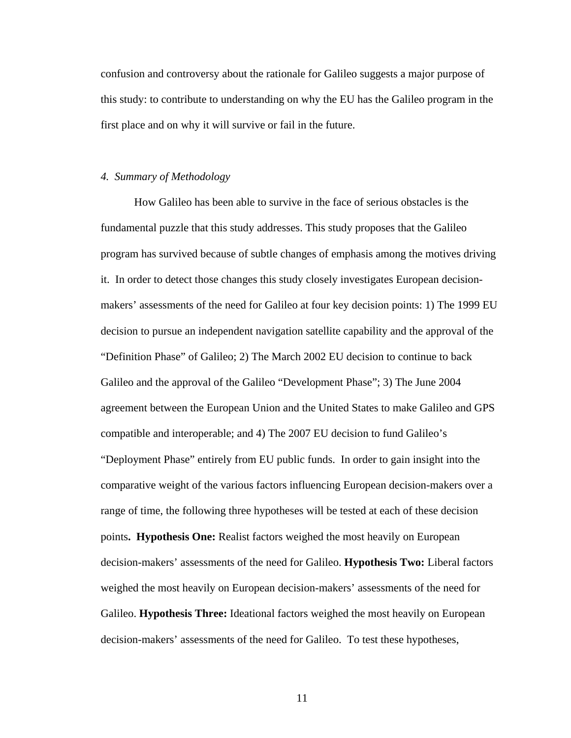confusion and controversy about the rationale for Galileo suggests a major purpose of this study: to contribute to understanding on why the EU has the Galileo program in the first place and on why it will survive or fail in the future.

#### *4. Summary of Methodology*

How Galileo has been able to survive in the face of serious obstacles is the fundamental puzzle that this study addresses. This study proposes that the Galileo program has survived because of subtle changes of emphasis among the motives driving it. In order to detect those changes this study closely investigates European decisionmakers' assessments of the need for Galileo at four key decision points: 1) The 1999 EU decision to pursue an independent navigation satellite capability and the approval of the "Definition Phase" of Galileo; 2) The March 2002 EU decision to continue to back Galileo and the approval of the Galileo "Development Phase"; 3) The June 2004 agreement between the European Union and the United States to make Galileo and GPS compatible and interoperable; and 4) The 2007 EU decision to fund Galileo's "Deployment Phase" entirely from EU public funds. In order to gain insight into the comparative weight of the various factors influencing European decision-makers over a range of time, the following three hypotheses will be tested at each of these decision points**. Hypothesis One:** Realist factors weighed the most heavily on European decision-makers' assessments of the need for Galileo. **Hypothesis Two:** Liberal factors weighed the most heavily on European decision-makers' assessments of the need for Galileo. **Hypothesis Three:** Ideational factors weighed the most heavily on European decision-makers' assessments of the need for Galileo. To test these hypotheses,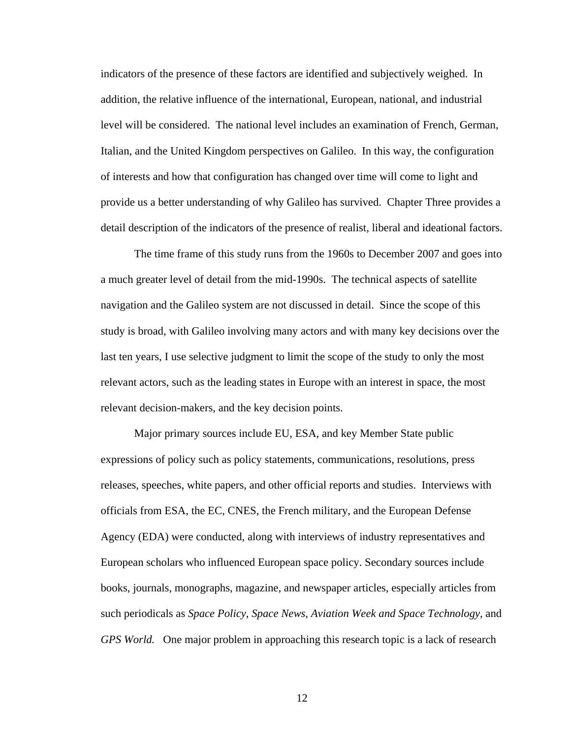indicators of the presence of these factors are identified and subjectively weighed. In addition, the relative influence of the international, European, national, and industrial level will be considered. The national level includes an examination of French, German, Italian, and the United Kingdom perspectives on Galileo. In this way, the configuration of interests and how that configuration has changed over time will come to light and provide us a better understanding of why Galileo has survived. Chapter Three provides a detail description of the indicators of the presence of realist, liberal and ideational factors.

The time frame of this study runs from the 1960s to December 2007 and goes into a much greater level of detail from the mid-1990s. The technical aspects of satellite navigation and the Galileo system are not discussed in detail. Since the scope of this study is broad, with Galileo involving many actors and with many key decisions over the last ten years, I use selective judgment to limit the scope of the study to only the most relevant actors, such as the leading states in Europe with an interest in space, the most relevant decision-makers, and the key decision points.

Major primary sources include EU, ESA, and key Member State public expressions of policy such as policy statements, communications, resolutions, press releases, speeches, white papers, and other official reports and studies. Interviews with officials from ESA, the EC, CNES, the French military, and the European Defense Agency (EDA) were conducted, along with interviews of industry representatives and European scholars who influenced European space policy. Secondary sources include books, journals, monographs, magazine, and newspaper articles, especially articles from such periodicals as *Space Policy*, *Space News, Aviation Week and Space Technology*, and *GPS World.* One major problem in approaching this research topic is a lack of research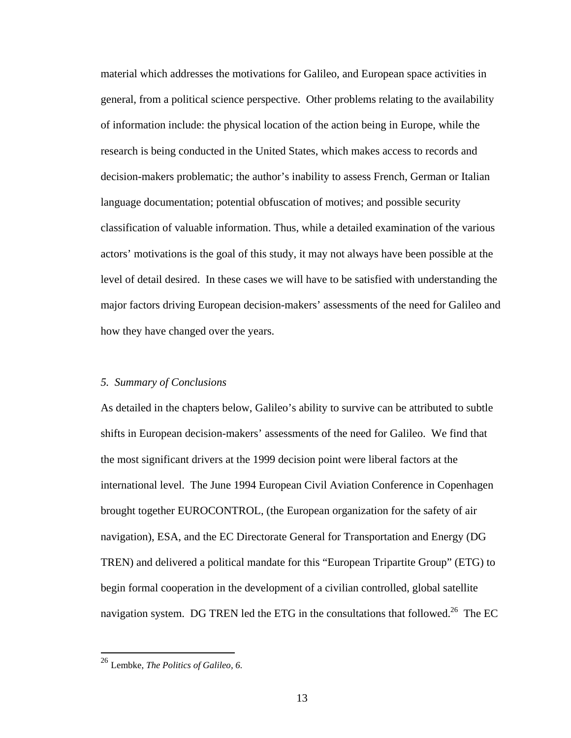material which addresses the motivations for Galileo, and European space activities in general, from a political science perspective. Other problems relating to the availability of information include: the physical location of the action being in Europe, while the research is being conducted in the United States, which makes access to records and decision-makers problematic; the author's inability to assess French, German or Italian language documentation; potential obfuscation of motives; and possible security classification of valuable information. Thus, while a detailed examination of the various actors' motivations is the goal of this study, it may not always have been possible at the level of detail desired. In these cases we will have to be satisfied with understanding the major factors driving European decision-makers' assessments of the need for Galileo and how they have changed over the years.

#### *5. Summary of Conclusions*

As detailed in the chapters below, Galileo's ability to survive can be attributed to subtle shifts in European decision-makers' assessments of the need for Galileo. We find that the most significant drivers at the 1999 decision point were liberal factors at the international level. The June 1994 European Civil Aviation Conference in Copenhagen brought together EUROCONTROL, (the European organization for the safety of air navigation), ESA, and the EC Directorate General for Transportation and Energy (DG TREN) and delivered a political mandate for this "European Tripartite Group" (ETG) to begin formal cooperation in the development of a civilian controlled, global satellite navigation system. DG TREN led the ETG in the consultations that followed.<sup>26</sup> The EC

<sup>26</sup> Lembke, *The Politics of Galileo, 6.*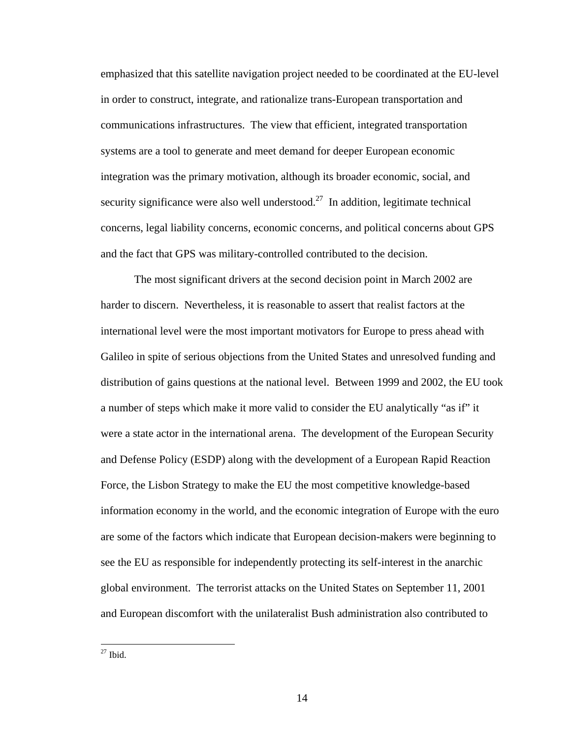emphasized that this satellite navigation project needed to be coordinated at the EU-level in order to construct, integrate, and rationalize trans-European transportation and communications infrastructures. The view that efficient, integrated transportation systems are a tool to generate and meet demand for deeper European economic integration was the primary motivation, although its broader economic, social, and security significance were also well understood.<sup>27</sup> In addition, legitimate technical concerns, legal liability concerns, economic concerns, and political concerns about GPS and the fact that GPS was military-controlled contributed to the decision.

 The most significant drivers at the second decision point in March 2002 are harder to discern. Nevertheless, it is reasonable to assert that realist factors at the international level were the most important motivators for Europe to press ahead with Galileo in spite of serious objections from the United States and unresolved funding and distribution of gains questions at the national level. Between 1999 and 2002, the EU took a number of steps which make it more valid to consider the EU analytically "as if" it were a state actor in the international arena. The development of the European Security and Defense Policy (ESDP) along with the development of a European Rapid Reaction Force, the Lisbon Strategy to make the EU the most competitive knowledge-based information economy in the world, and the economic integration of Europe with the euro are some of the factors which indicate that European decision-makers were beginning to see the EU as responsible for independently protecting its self-interest in the anarchic global environment. The terrorist attacks on the United States on September 11, 2001 and European discomfort with the unilateralist Bush administration also contributed to

 $27$  Ibid.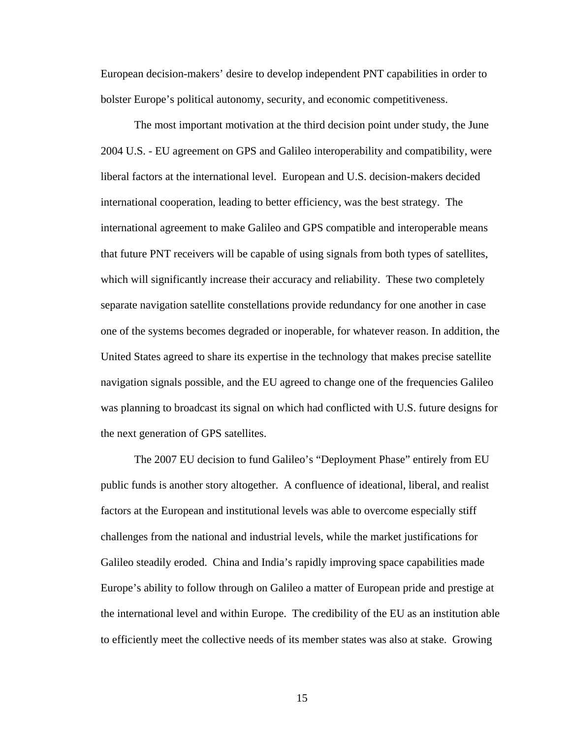European decision-makers' desire to develop independent PNT capabilities in order to bolster Europe's political autonomy, security, and economic competitiveness.

The most important motivation at the third decision point under study, the June 2004 U.S. - EU agreement on GPS and Galileo interoperability and compatibility, were liberal factors at the international level. European and U.S. decision-makers decided international cooperation, leading to better efficiency, was the best strategy. The international agreement to make Galileo and GPS compatible and interoperable means that future PNT receivers will be capable of using signals from both types of satellites, which will significantly increase their accuracy and reliability. These two completely separate navigation satellite constellations provide redundancy for one another in case one of the systems becomes degraded or inoperable, for whatever reason. In addition, the United States agreed to share its expertise in the technology that makes precise satellite navigation signals possible, and the EU agreed to change one of the frequencies Galileo was planning to broadcast its signal on which had conflicted with U.S. future designs for the next generation of GPS satellites.

The 2007 EU decision to fund Galileo's "Deployment Phase" entirely from EU public funds is another story altogether. A confluence of ideational, liberal, and realist factors at the European and institutional levels was able to overcome especially stiff challenges from the national and industrial levels, while the market justifications for Galileo steadily eroded. China and India's rapidly improving space capabilities made Europe's ability to follow through on Galileo a matter of European pride and prestige at the international level and within Europe. The credibility of the EU as an institution able to efficiently meet the collective needs of its member states was also at stake. Growing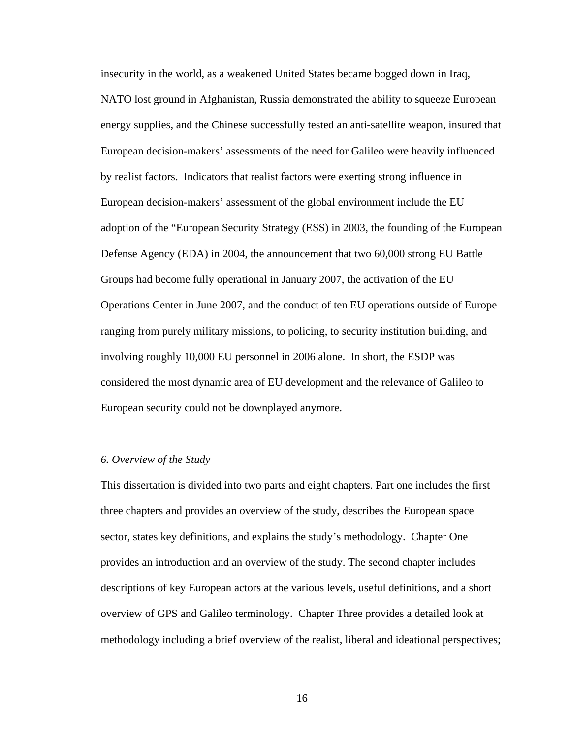insecurity in the world, as a weakened United States became bogged down in Iraq, NATO lost ground in Afghanistan, Russia demonstrated the ability to squeeze European energy supplies, and the Chinese successfully tested an anti-satellite weapon, insured that European decision-makers' assessments of the need for Galileo were heavily influenced by realist factors. Indicators that realist factors were exerting strong influence in European decision-makers' assessment of the global environment include the EU adoption of the "European Security Strategy (ESS) in 2003, the founding of the European Defense Agency (EDA) in 2004, the announcement that two 60,000 strong EU Battle Groups had become fully operational in January 2007, the activation of the EU Operations Center in June 2007, and the conduct of ten EU operations outside of Europe ranging from purely military missions, to policing, to security institution building, and involving roughly 10,000 EU personnel in 2006 alone. In short, the ESDP was considered the most dynamic area of EU development and the relevance of Galileo to European security could not be downplayed anymore.

#### *6. Overview of the Study*

This dissertation is divided into two parts and eight chapters. Part one includes the first three chapters and provides an overview of the study, describes the European space sector, states key definitions, and explains the study's methodology. Chapter One provides an introduction and an overview of the study. The second chapter includes descriptions of key European actors at the various levels, useful definitions, and a short overview of GPS and Galileo terminology. Chapter Three provides a detailed look at methodology including a brief overview of the realist, liberal and ideational perspectives;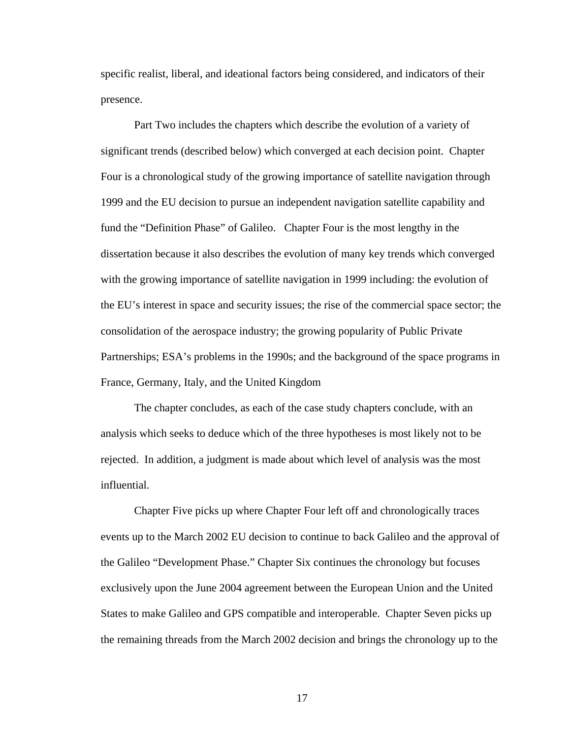specific realist, liberal, and ideational factors being considered, and indicators of their presence.

Part Two includes the chapters which describe the evolution of a variety of significant trends (described below) which converged at each decision point. Chapter Four is a chronological study of the growing importance of satellite navigation through 1999 and the EU decision to pursue an independent navigation satellite capability and fund the "Definition Phase" of Galileo. Chapter Four is the most lengthy in the dissertation because it also describes the evolution of many key trends which converged with the growing importance of satellite navigation in 1999 including: the evolution of the EU's interest in space and security issues; the rise of the commercial space sector; the consolidation of the aerospace industry; the growing popularity of Public Private Partnerships; ESA's problems in the 1990s; and the background of the space programs in France, Germany, Italy, and the United Kingdom

The chapter concludes, as each of the case study chapters conclude, with an analysis which seeks to deduce which of the three hypotheses is most likely not to be rejected. In addition, a judgment is made about which level of analysis was the most influential.

Chapter Five picks up where Chapter Four left off and chronologically traces events up to the March 2002 EU decision to continue to back Galileo and the approval of the Galileo "Development Phase." Chapter Six continues the chronology but focuses exclusively upon the June 2004 agreement between the European Union and the United States to make Galileo and GPS compatible and interoperable. Chapter Seven picks up the remaining threads from the March 2002 decision and brings the chronology up to the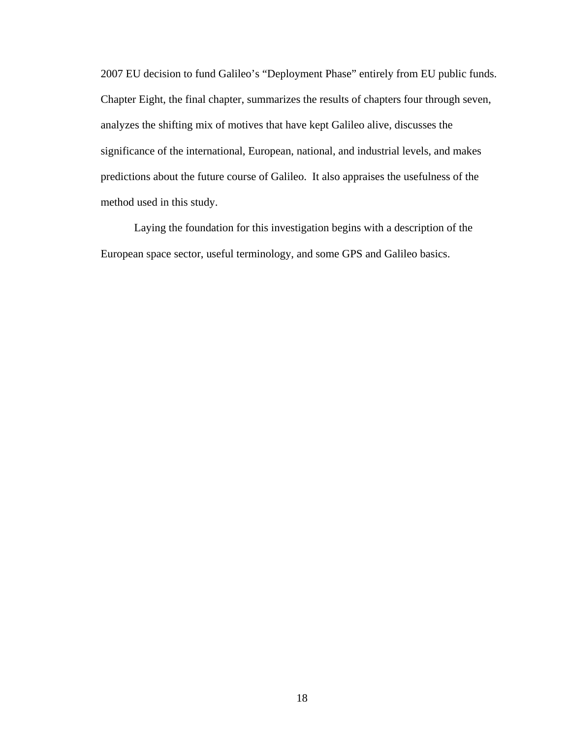2007 EU decision to fund Galileo's "Deployment Phase" entirely from EU public funds. Chapter Eight, the final chapter, summarizes the results of chapters four through seven, analyzes the shifting mix of motives that have kept Galileo alive, discusses the significance of the international, European, national, and industrial levels, and makes predictions about the future course of Galileo. It also appraises the usefulness of the method used in this study.

Laying the foundation for this investigation begins with a description of the European space sector, useful terminology, and some GPS and Galileo basics.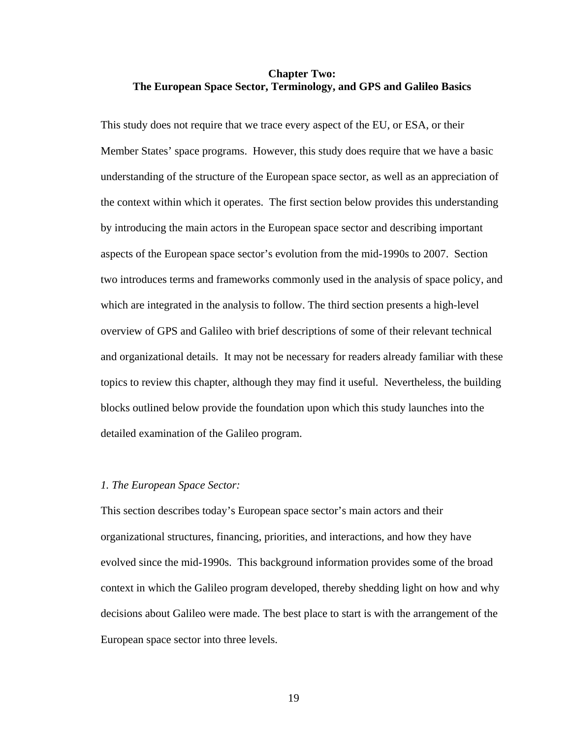## **Chapter Two: The European Space Sector, Terminology, and GPS and Galileo Basics**

This study does not require that we trace every aspect of the EU, or ESA, or their Member States' space programs. However, this study does require that we have a basic understanding of the structure of the European space sector, as well as an appreciation of the context within which it operates. The first section below provides this understanding by introducing the main actors in the European space sector and describing important aspects of the European space sector's evolution from the mid-1990s to 2007. Section two introduces terms and frameworks commonly used in the analysis of space policy, and which are integrated in the analysis to follow. The third section presents a high-level overview of GPS and Galileo with brief descriptions of some of their relevant technical and organizational details. It may not be necessary for readers already familiar with these topics to review this chapter, although they may find it useful. Nevertheless, the building blocks outlined below provide the foundation upon which this study launches into the detailed examination of the Galileo program.

#### *1. The European Space Sector:*

This section describes today's European space sector's main actors and their organizational structures, financing, priorities, and interactions, and how they have evolved since the mid-1990s. This background information provides some of the broad context in which the Galileo program developed, thereby shedding light on how and why decisions about Galileo were made. The best place to start is with the arrangement of the European space sector into three levels.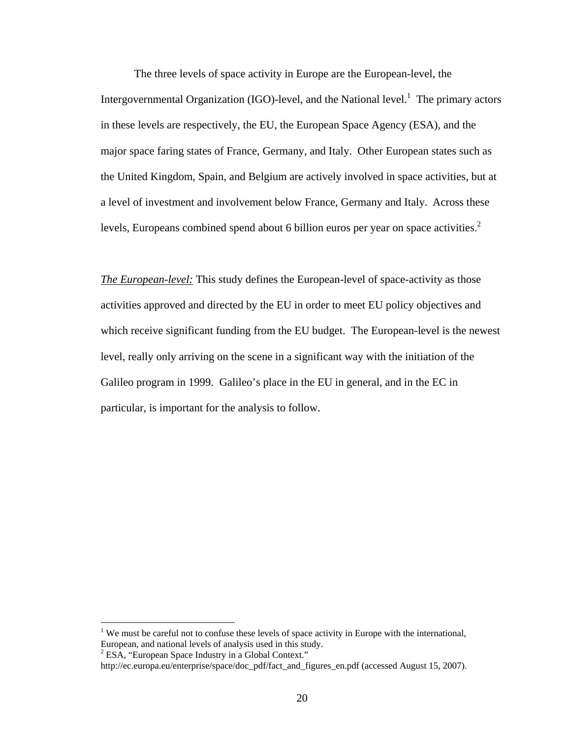The three levels of space activity in Europe are the European-level, the Intergovernmental Organization (IGO)-level, and the National level.<sup>1</sup> The primary actors in these levels are respectively, the EU, the European Space Agency (ESA), and the major space faring states of France, Germany, and Italy. Other European states such as the United Kingdom, Spain, and Belgium are actively involved in space activities, but at a level of investment and involvement below France, Germany and Italy. Across these levels, Europeans combined spend about 6 billion euros per year on space activities. $<sup>2</sup>$ </sup>

*The European-level:* This study defines the European-level of space-activity as those activities approved and directed by the EU in order to meet EU policy objectives and which receive significant funding from the EU budget. The European-level is the newest level, really only arriving on the scene in a significant way with the initiation of the Galileo program in 1999. Galileo's place in the EU in general, and in the EC in particular, is important for the analysis to follow.

<sup>&</sup>lt;sup>1</sup> We must be careful not to confuse these levels of space activity in Europe with the international, European, and national levels of analysis used in this study.

<sup>&</sup>lt;sup>2</sup> ESA, "European Space Industry in a Global Context."

http://ec.europa.eu/enterprise/space/doc\_pdf/fact\_and\_figures\_en.pdf (accessed August 15, 2007).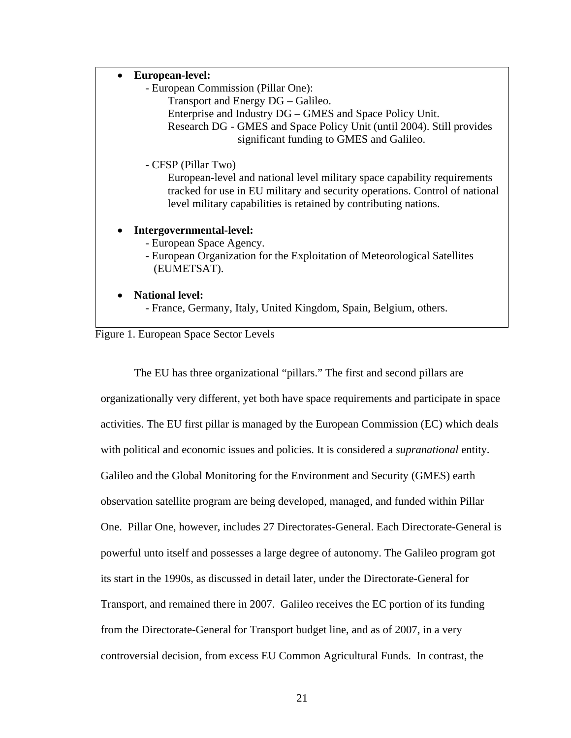#### • **European-level:**

- European Commission (Pillar One):

Transport and Energy DG – Galileo.

Enterprise and Industry DG – GMES and Space Policy Unit.

Research DG - GMES and Space Policy Unit (until 2004). Still provides significant funding to GMES and Galileo.

- CFSP (Pillar Two)

European-level and national level military space capability requirements tracked for use in EU military and security operations. Control of national level military capabilities is retained by contributing nations.

## • **Intergovernmental-level:**

- European Space Agency.

 - European Organization for the Exploitation of Meteorological Satellites (EUMETSAT).

#### • **National level:**

- France, Germany, Italy, United Kingdom, Spain, Belgium, others.

## Figure 1. European Space Sector Levels

The EU has three organizational "pillars." The first and second pillars are organizationally very different, yet both have space requirements and participate in space activities. The EU first pillar is managed by the European Commission (EC) which deals with political and economic issues and policies. It is considered a *supranational* entity. Galileo and the Global Monitoring for the Environment and Security (GMES) earth observation satellite program are being developed, managed, and funded within Pillar One. Pillar One, however, includes 27 Directorates-General. Each Directorate-General is powerful unto itself and possesses a large degree of autonomy. The Galileo program got its start in the 1990s, as discussed in detail later, under the Directorate-General for Transport, and remained there in 2007. Galileo receives the EC portion of its funding from the Directorate-General for Transport budget line, and as of 2007, in a very controversial decision, from excess EU Common Agricultural Funds. In contrast, the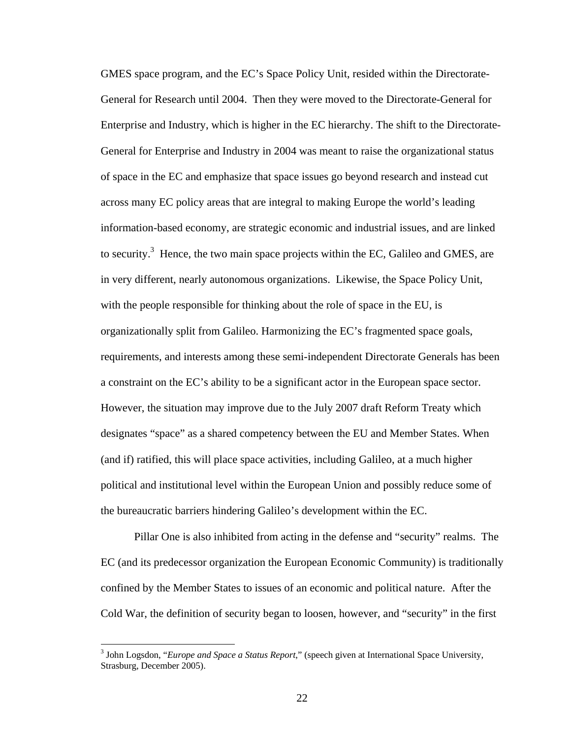GMES space program, and the EC's Space Policy Unit, resided within the Directorate-General for Research until 2004. Then they were moved to the Directorate-General for Enterprise and Industry, which is higher in the EC hierarchy. The shift to the Directorate-General for Enterprise and Industry in 2004 was meant to raise the organizational status of space in the EC and emphasize that space issues go beyond research and instead cut across many EC policy areas that are integral to making Europe the world's leading information-based economy, are strategic economic and industrial issues, and are linked to security.<sup>3</sup> Hence, the two main space projects within the EC, Galileo and GMES, are in very different, nearly autonomous organizations. Likewise, the Space Policy Unit, with the people responsible for thinking about the role of space in the EU, is organizationally split from Galileo. Harmonizing the EC's fragmented space goals, requirements, and interests among these semi-independent Directorate Generals has been a constraint on the EC's ability to be a significant actor in the European space sector. However, the situation may improve due to the July 2007 draft Reform Treaty which designates "space" as a shared competency between the EU and Member States. When (and if) ratified, this will place space activities, including Galileo, at a much higher political and institutional level within the European Union and possibly reduce some of the bureaucratic barriers hindering Galileo's development within the EC.

Pillar One is also inhibited from acting in the defense and "security" realms. The EC (and its predecessor organization the European Economic Community) is traditionally confined by the Member States to issues of an economic and political nature. After the Cold War, the definition of security began to loosen, however, and "security" in the first

<sup>3</sup> John Logsdon, "*Europe and Space a Status Report*," (speech given at International Space University, Strasburg, December 2005).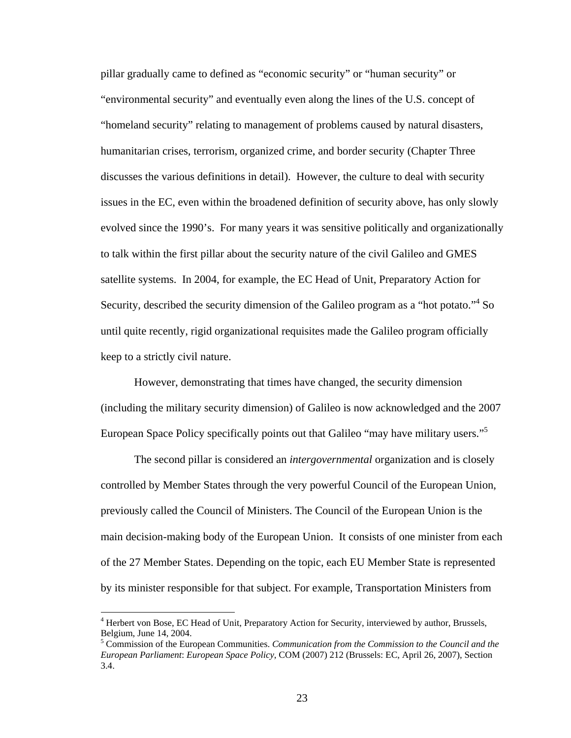pillar gradually came to defined as "economic security" or "human security" or "environmental security" and eventually even along the lines of the U.S. concept of "homeland security" relating to management of problems caused by natural disasters, humanitarian crises, terrorism, organized crime, and border security (Chapter Three discusses the various definitions in detail). However, the culture to deal with security issues in the EC, even within the broadened definition of security above, has only slowly evolved since the 1990's. For many years it was sensitive politically and organizationally to talk within the first pillar about the security nature of the civil Galileo and GMES satellite systems. In 2004, for example, the EC Head of Unit, Preparatory Action for Security, described the security dimension of the Galileo program as a "hot potato."<sup>4</sup> So until quite recently, rigid organizational requisites made the Galileo program officially keep to a strictly civil nature.

However, demonstrating that times have changed, the security dimension (including the military security dimension) of Galileo is now acknowledged and the 2007 European Space Policy specifically points out that Galileo "may have military users."<sup>5</sup>

The second pillar is considered an *intergovernmental* organization and is closely controlled by Member States through the very powerful Council of the European Union, previously called the Council of Ministers. The Council of the European Union is the main decision-making body of the European Union. It consists of one minister from each of the 27 Member States. Depending on the topic, each EU Member State is represented by its minister responsible for that subject. For example, Transportation Ministers from

<sup>&</sup>lt;sup>4</sup> Herbert von Bose, EC Head of Unit, Preparatory Action for Security, interviewed by author, Brussels, Belgium, June 14, 2004.

<sup>5</sup> Commission of the European Communities. *Communication from the Commission to the Council and the European Parliament*: *European Space Policy*, COM (2007) 212 (Brussels: EC, April 26, 2007), Section 3.4.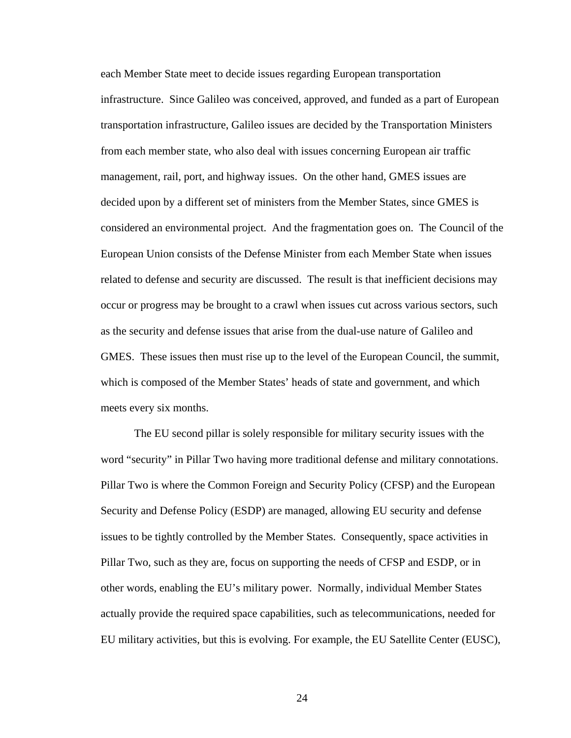each Member State meet to decide issues regarding European transportation infrastructure. Since Galileo was conceived, approved, and funded as a part of European transportation infrastructure, Galileo issues are decided by the Transportation Ministers from each member state, who also deal with issues concerning European air traffic management, rail, port, and highway issues. On the other hand, GMES issues are decided upon by a different set of ministers from the Member States, since GMES is considered an environmental project. And the fragmentation goes on. The Council of the European Union consists of the Defense Minister from each Member State when issues related to defense and security are discussed. The result is that inefficient decisions may occur or progress may be brought to a crawl when issues cut across various sectors, such as the security and defense issues that arise from the dual-use nature of Galileo and GMES. These issues then must rise up to the level of the European Council, the summit, which is composed of the Member States' heads of state and government, and which meets every six months.

The EU second pillar is solely responsible for military security issues with the word "security" in Pillar Two having more traditional defense and military connotations. Pillar Two is where the Common Foreign and Security Policy (CFSP) and the European Security and Defense Policy (ESDP) are managed, allowing EU security and defense issues to be tightly controlled by the Member States. Consequently, space activities in Pillar Two, such as they are, focus on supporting the needs of CFSP and ESDP, or in other words, enabling the EU's military power. Normally, individual Member States actually provide the required space capabilities, such as telecommunications, needed for EU military activities, but this is evolving. For example, the EU Satellite Center (EUSC),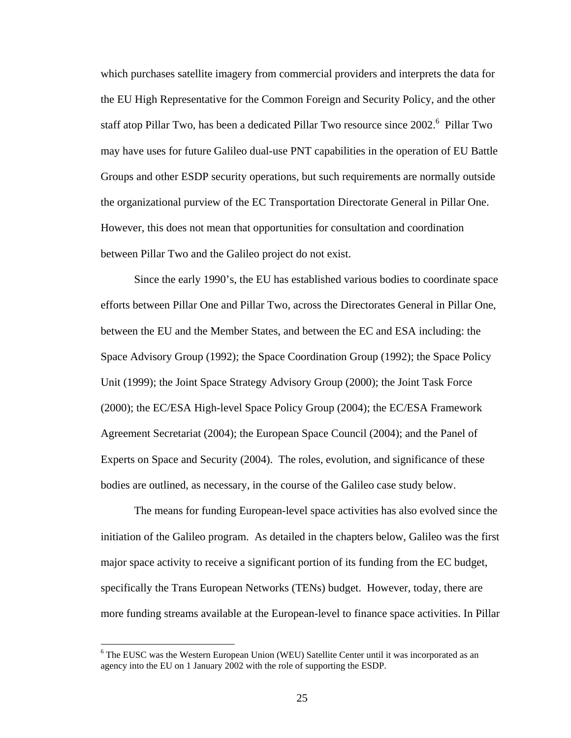which purchases satellite imagery from commercial providers and interprets the data for the EU High Representative for the Common Foreign and Security Policy, and the other staff atop Pillar Two, has been a dedicated Pillar Two resource since 2002.<sup>6</sup> Pillar Two may have uses for future Galileo dual-use PNT capabilities in the operation of EU Battle Groups and other ESDP security operations, but such requirements are normally outside the organizational purview of the EC Transportation Directorate General in Pillar One. However, this does not mean that opportunities for consultation and coordination between Pillar Two and the Galileo project do not exist.

Since the early 1990's, the EU has established various bodies to coordinate space efforts between Pillar One and Pillar Two, across the Directorates General in Pillar One, between the EU and the Member States, and between the EC and ESA including: the Space Advisory Group (1992); the Space Coordination Group (1992); the Space Policy Unit (1999); the Joint Space Strategy Advisory Group (2000); the Joint Task Force (2000); the EC/ESA High-level Space Policy Group (2004); the EC/ESA Framework Agreement Secretariat (2004); the European Space Council (2004); and the Panel of Experts on Space and Security (2004). The roles, evolution, and significance of these bodies are outlined, as necessary, in the course of the Galileo case study below.

The means for funding European-level space activities has also evolved since the initiation of the Galileo program. As detailed in the chapters below, Galileo was the first major space activity to receive a significant portion of its funding from the EC budget, specifically the Trans European Networks (TENs) budget. However, today, there are more funding streams available at the European-level to finance space activities. In Pillar

<sup>&</sup>lt;sup>6</sup> The EUSC was the Western European Union (WEU) Satellite Center until it was incorporated as an agency into the EU on 1 January 2002 with the role of supporting the ESDP.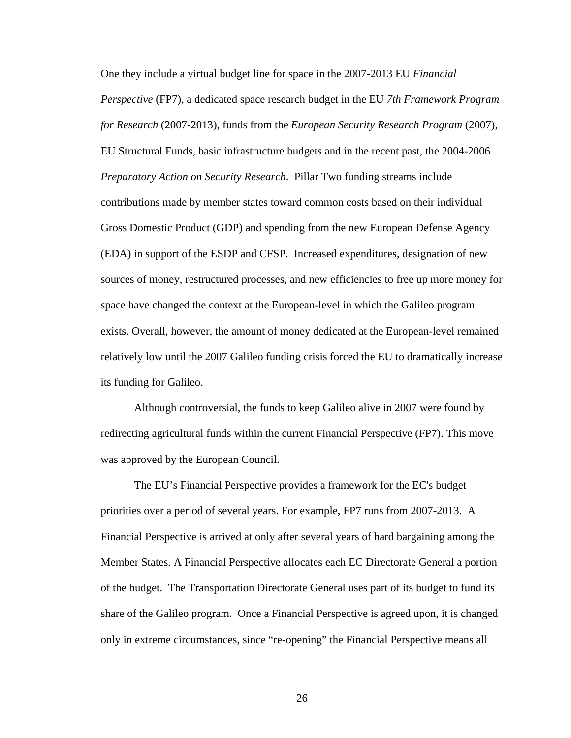One they include a virtual budget line for space in the 2007-2013 EU *Financial Perspective* (FP7), a dedicated space research budget in the EU *7th Framework Program for Research* (2007-2013), funds from the *European Security Research Program* (2007), EU Structural Funds, basic infrastructure budgets and in the recent past, the 2004-2006 *Preparatory Action on Security Research*. Pillar Two funding streams include contributions made by member states toward common costs based on their individual Gross Domestic Product (GDP) and spending from the new European Defense Agency (EDA) in support of the ESDP and CFSP. Increased expenditures, designation of new sources of money, restructured processes, and new efficiencies to free up more money for space have changed the context at the European-level in which the Galileo program exists. Overall, however, the amount of money dedicated at the European-level remained relatively low until the 2007 Galileo funding crisis forced the EU to dramatically increase its funding for Galileo.

Although controversial, the funds to keep Galileo alive in 2007 were found by redirecting agricultural funds within the current Financial Perspective (FP7). This move was approved by the European Council.

The EU's Financial Perspective provides a framework for the EC's budget priorities over a period of several years. For example, FP7 runs from 2007-2013. A Financial Perspective is arrived at only after several years of hard bargaining among the Member States. A Financial Perspective allocates each EC Directorate General a portion of the budget. The Transportation Directorate General uses part of its budget to fund its share of the Galileo program. Once a Financial Perspective is agreed upon, it is changed only in extreme circumstances, since "re-opening" the Financial Perspective means all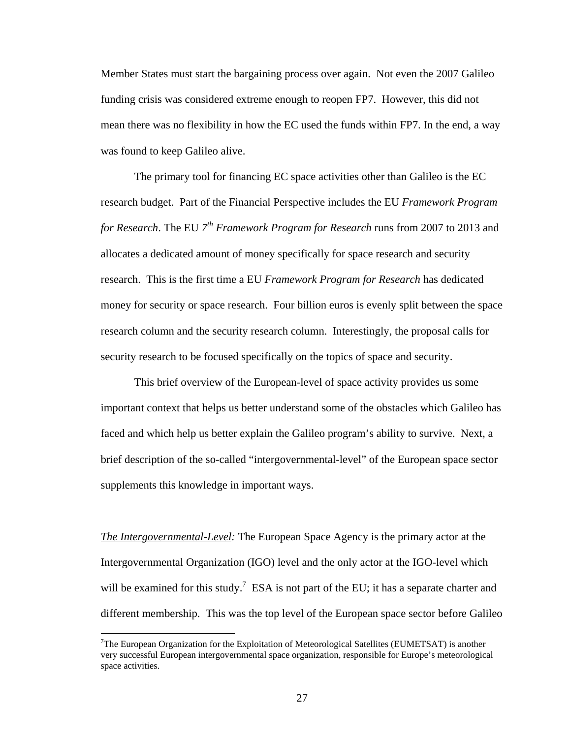Member States must start the bargaining process over again. Not even the 2007 Galileo funding crisis was considered extreme enough to reopen FP7. However, this did not mean there was no flexibility in how the EC used the funds within FP7. In the end, a way was found to keep Galileo alive.

The primary tool for financing EC space activities other than Galileo is the EC research budget. Part of the Financial Perspective includes the EU *Framework Program for Research*. The EU *7th Framework Program for Research* runs from 2007 to 2013 and allocates a dedicated amount of money specifically for space research and security research. This is the first time a EU *Framework Program for Research* has dedicated money for security or space research. Four billion euros is evenly split between the space research column and the security research column. Interestingly, the proposal calls for security research to be focused specifically on the topics of space and security.

This brief overview of the European-level of space activity provides us some important context that helps us better understand some of the obstacles which Galileo has faced and which help us better explain the Galileo program's ability to survive. Next, a brief description of the so-called "intergovernmental-level" of the European space sector supplements this knowledge in important ways.

*The Intergovernmental-Level:* The European Space Agency is the primary actor at the Intergovernmental Organization (IGO) level and the only actor at the IGO-level which will be examined for this study.<sup>7</sup> ESA is not part of the EU; it has a separate charter and different membership. This was the top level of the European space sector before Galileo

<sup>&</sup>lt;sup>7</sup>The European Organization for the Exploitation of Meteorological Satellites (EUMETSAT) is another very successful European intergovernmental space organization, responsible for Europe's meteorological space activities.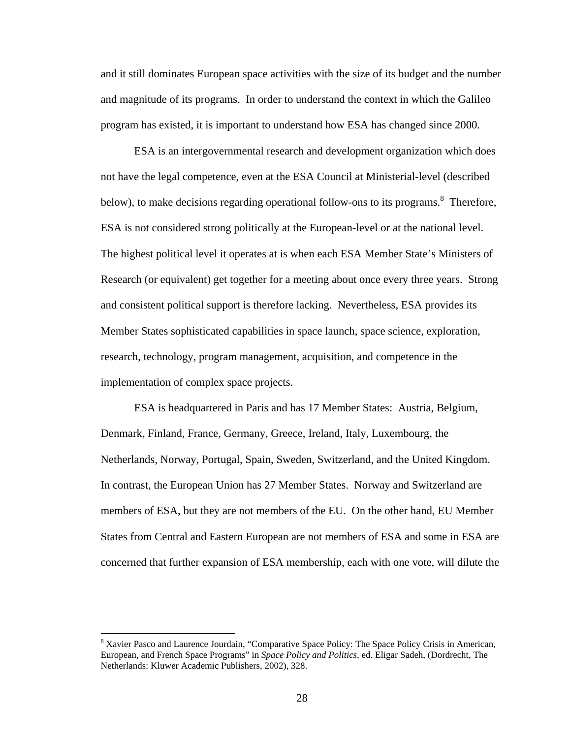and it still dominates European space activities with the size of its budget and the number and magnitude of its programs. In order to understand the context in which the Galileo program has existed, it is important to understand how ESA has changed since 2000.

ESA is an intergovernmental research and development organization which does not have the legal competence, even at the ESA Council at Ministerial-level (described below), to make decisions regarding operational follow-ons to its programs.<sup>8</sup> Therefore, ESA is not considered strong politically at the European-level or at the national level. The highest political level it operates at is when each ESA Member State's Ministers of Research (or equivalent) get together for a meeting about once every three years. Strong and consistent political support is therefore lacking. Nevertheless, ESA provides its Member States sophisticated capabilities in space launch, space science, exploration, research, technology, program management, acquisition, and competence in the implementation of complex space projects.

ESA is headquartered in Paris and has 17 Member States: Austria, Belgium, Denmark, Finland, France, Germany, Greece, Ireland, Italy, Luxembourg, the Netherlands, Norway, Portugal, Spain, Sweden, Switzerland, and the United Kingdom. In contrast, the European Union has 27 Member States. Norway and Switzerland are members of ESA, but they are not members of the EU. On the other hand, EU Member States from Central and Eastern European are not members of ESA and some in ESA are concerned that further expansion of ESA membership, each with one vote, will dilute the

<sup>&</sup>lt;sup>8</sup> Xavier Pasco and Laurence Jourdain, "Comparative Space Policy: The Space Policy Crisis in American, European, and French Space Programs" in *Space Policy and Politics*, ed. Eligar Sadeh, (Dordrecht, The Netherlands: Kluwer Academic Publishers, 2002), 328.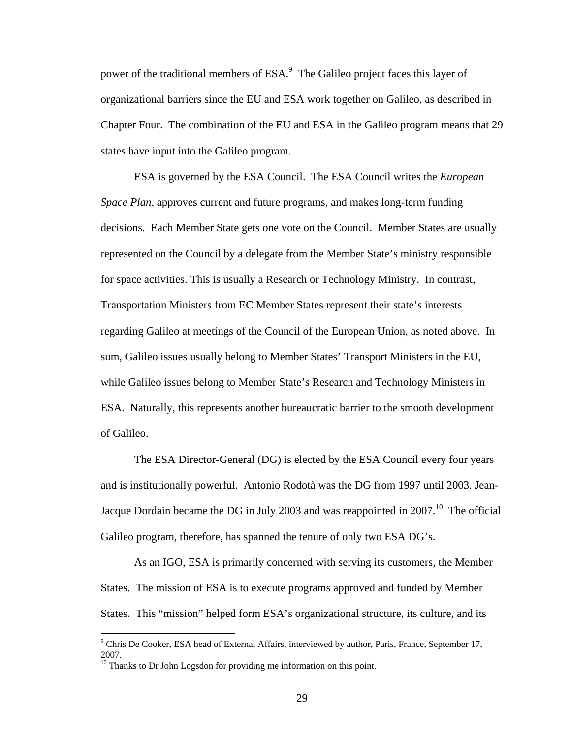power of the traditional members of ESA.<sup>9</sup> The Galileo project faces this layer of organizational barriers since the EU and ESA work together on Galileo, as described in Chapter Four. The combination of the EU and ESA in the Galileo program means that 29 states have input into the Galileo program.

ESA is governed by the ESA Council. The ESA Council writes the *European Space Plan,* approves current and future programs, and makes long-term funding decisions. Each Member State gets one vote on the Council. Member States are usually represented on the Council by a delegate from the Member State's ministry responsible for space activities. This is usually a Research or Technology Ministry. In contrast, Transportation Ministers from EC Member States represent their state's interests regarding Galileo at meetings of the Council of the European Union, as noted above. In sum, Galileo issues usually belong to Member States' Transport Ministers in the EU, while Galileo issues belong to Member State's Research and Technology Ministers in ESA. Naturally, this represents another bureaucratic barrier to the smooth development of Galileo.

The ESA Director-General (DG) is elected by the ESA Council every four years and is institutionally powerful. Antonio Rodotà was the DG from 1997 until 2003. Jean-Jacque Dordain became the DG in July 2003 and was reappointed in  $2007$ .<sup>10</sup> The official Galileo program, therefore, has spanned the tenure of only two ESA DG's.

As an IGO, ESA is primarily concerned with serving its customers, the Member States. The mission of ESA is to execute programs approved and funded by Member States. This "mission" helped form ESA's organizational structure, its culture, and its

<sup>&</sup>lt;sup>9</sup> Chris De Cooker, ESA head of External Affairs, interviewed by author, Paris, France, September 17, 2007.

<sup>&</sup>lt;sup>10</sup> Thanks to Dr John Logsdon for providing me information on this point.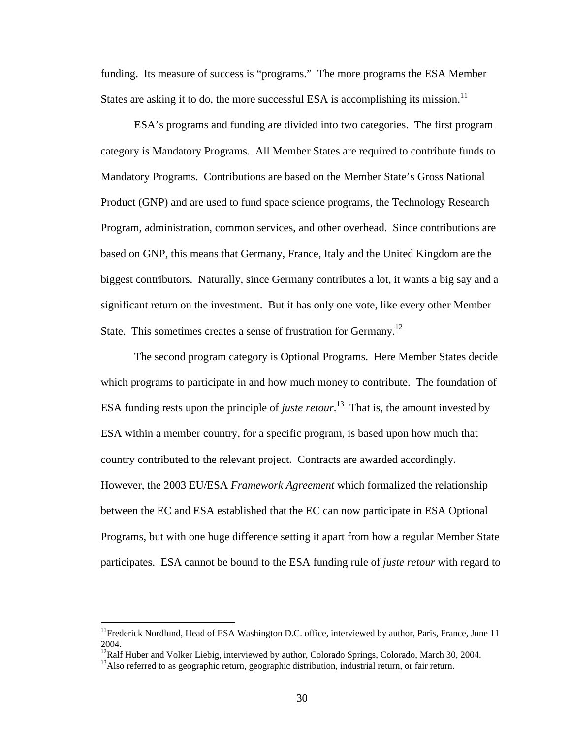funding. Its measure of success is "programs." The more programs the ESA Member States are asking it to do, the more successful ESA is accomplishing its mission.<sup>11</sup>

ESA's programs and funding are divided into two categories. The first program category is Mandatory Programs. All Member States are required to contribute funds to Mandatory Programs. Contributions are based on the Member State's Gross National Product (GNP) and are used to fund space science programs, the Technology Research Program, administration, common services, and other overhead. Since contributions are based on GNP, this means that Germany, France, Italy and the United Kingdom are the biggest contributors. Naturally, since Germany contributes a lot, it wants a big say and a significant return on the investment. But it has only one vote, like every other Member State. This sometimes creates a sense of frustration for Germany.<sup>12</sup>

The second program category is Optional Programs. Here Member States decide which programs to participate in and how much money to contribute. The foundation of ESA funding rests upon the principle of *juste retour*. 13 That is, the amount invested by ESA within a member country, for a specific program, is based upon how much that country contributed to the relevant project. Contracts are awarded accordingly. However, the 2003 EU/ESA *Framework Agreement* which formalized the relationship between the EC and ESA established that the EC can now participate in ESA Optional Programs, but with one huge difference setting it apart from how a regular Member State participates. ESA cannot be bound to the ESA funding rule of *juste retour* with regard to

 $<sup>11</sup>$ Frederick Nordlund, Head of ESA Washington D.C. office, interviewed by author, Paris, France, June 11</sup> 2004.

<sup>&</sup>lt;sup>12</sup>Ralf Huber and Volker Liebig, interviewed by author, Colorado Springs, Colorado, March 30, 2004.

 $13A$ lso referred to as geographic return, geographic distribution, industrial return, or fair return.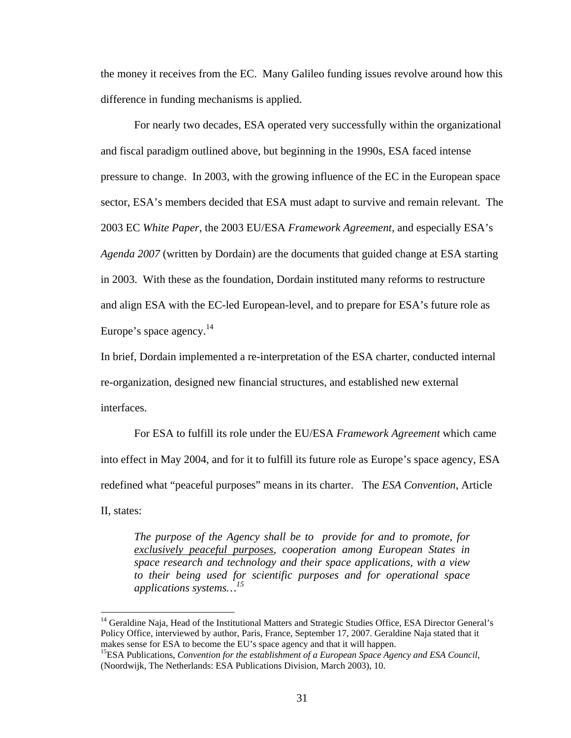the money it receives from the EC. Many Galileo funding issues revolve around how this difference in funding mechanisms is applied.

For nearly two decades, ESA operated very successfully within the organizational and fiscal paradigm outlined above, but beginning in the 1990s, ESA faced intense pressure to change. In 2003, with the growing influence of the EC in the European space sector, ESA's members decided that ESA must adapt to survive and remain relevant. The 2003 EC *White Paper*, the 2003 EU/ESA *Framework Agreement*, and especially ESA's *Agenda 2007* (written by Dordain) are the documents that guided change at ESA starting in 2003. With these as the foundation, Dordain instituted many reforms to restructure and align ESA with the EC-led European-level, and to prepare for ESA's future role as Europe's space agency. $14$ 

In brief, Dordain implemented a re-interpretation of the ESA charter, conducted internal re-organization, designed new financial structures, and established new external interfaces.

For ESA to fulfill its role under the EU/ESA *Framework Agreement* which came into effect in May 2004, and for it to fulfill its future role as Europe's space agency, ESA redefined what "peaceful purposes" means in its charter. The *ESA Convention*, Article II, states:

*The purpose of the Agency shall be to provide for and to promote, for exclusively peaceful purposes, cooperation among European States in space research and technology and their space applications, with a view to their being used for scientific purposes and for operational space applications systems…15* 

<sup>&</sup>lt;sup>14</sup> Geraldine Naja, Head of the Institutional Matters and Strategic Studies Office, ESA Director General's Policy Office, interviewed by author, Paris, France, September 17, 2007. Geraldine Naja stated that it makes sense for ESA to become the EU's space agency and that it will happen.<br><sup>15</sup>ESA Publications, *Convention for the establishment of a European Space Agency and ESA Council*,

<sup>(</sup>Noordwijk, The Netherlands: ESA Publications Division, March 2003), 10.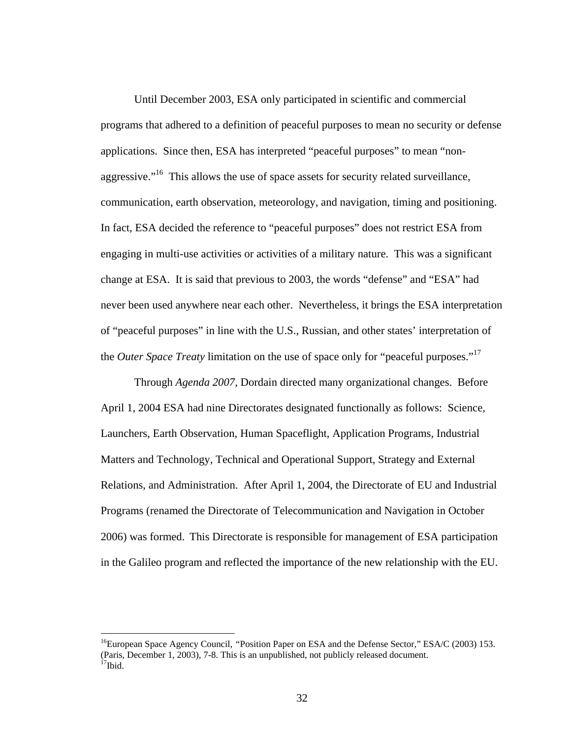Until December 2003, ESA only participated in scientific and commercial programs that adhered to a definition of peaceful purposes to mean no security or defense applications. Since then, ESA has interpreted "peaceful purposes" to mean "nonaggressive. $16$  This allows the use of space assets for security related surveillance, communication, earth observation, meteorology, and navigation, timing and positioning. In fact, ESA decided the reference to "peaceful purposes" does not restrict ESA from engaging in multi-use activities or activities of a military nature. This was a significant change at ESA. It is said that previous to 2003, the words "defense" and "ESA" had never been used anywhere near each other. Nevertheless, it brings the ESA interpretation of "peaceful purposes" in line with the U.S., Russian, and other states' interpretation of the *Outer Space Treaty* limitation on the use of space only for "peaceful purposes."17

Through *Agenda 2007*, Dordain directed many organizational changes. Before April 1, 2004 ESA had nine Directorates designated functionally as follows: Science, Launchers, Earth Observation, Human Spaceflight, Application Programs, Industrial Matters and Technology, Technical and Operational Support, Strategy and External Relations, and Administration. After April 1, 2004, the Directorate of EU and Industrial Programs (renamed the Directorate of Telecommunication and Navigation in October 2006) was formed. This Directorate is responsible for management of ESA participation in the Galileo program and reflected the importance of the new relationship with the EU.

<sup>16</sup>European Space Agency Council*, "*Position Paper on ESA and the Defense Sector*,*" ESA/C (2003) 153. (Paris, December 1, 2003), 7-8. This is an unpublished, not publicly released document.<br><sup>17</sup>Ibid.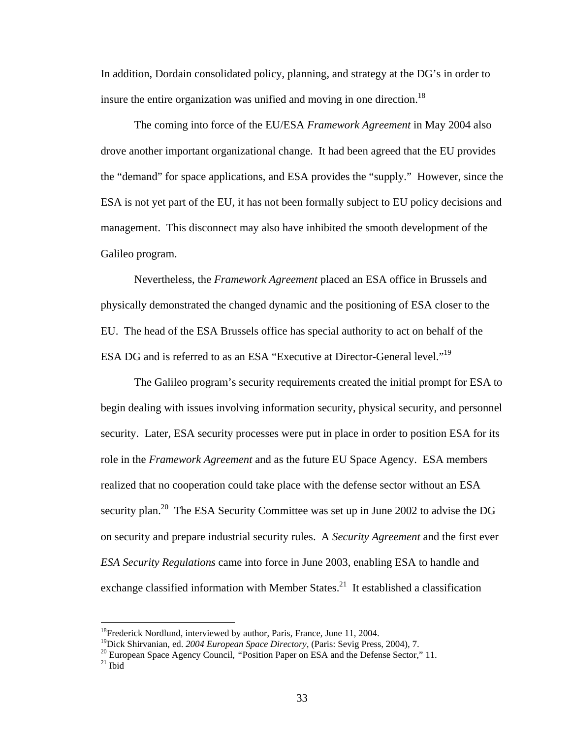In addition, Dordain consolidated policy, planning, and strategy at the DG's in order to insure the entire organization was unified and moving in one direction.<sup>18</sup>

The coming into force of the EU/ESA *Framework Agreement* in May 2004 also drove another important organizational change. It had been agreed that the EU provides the "demand" for space applications, and ESA provides the "supply." However, since the ESA is not yet part of the EU, it has not been formally subject to EU policy decisions and management. This disconnect may also have inhibited the smooth development of the Galileo program.

Nevertheless, the *Framework Agreement* placed an ESA office in Brussels and physically demonstrated the changed dynamic and the positioning of ESA closer to the EU. The head of the ESA Brussels office has special authority to act on behalf of the ESA DG and is referred to as an ESA "Executive at Director-General level."<sup>19</sup>

The Galileo program's security requirements created the initial prompt for ESA to begin dealing with issues involving information security, physical security, and personnel security. Later, ESA security processes were put in place in order to position ESA for its role in the *Framework Agreement* and as the future EU Space Agency. ESA members realized that no cooperation could take place with the defense sector without an ESA security plan.<sup>20</sup> The ESA Security Committee was set up in June 2002 to advise the DG on security and prepare industrial security rules. A *Security Agreement* and the first ever *ESA Security Regulations* came into force in June 2003, enabling ESA to handle and exchange classified information with Member States.<sup>21</sup> It established a classification

<sup>&</sup>lt;sup>18</sup>Frederick Nordlund, interviewed by author, Paris, France, June 11, 2004.<br><sup>19</sup>Dick Shirvanian, ed. *2004 European Space Directory*, (Paris: Sevig Press, 2004), 7.

<sup>&</sup>lt;sup>20</sup> European Space Agency Council, "Position Paper on ESA and the Defense Sector," 11. <sup>21</sup> Ibid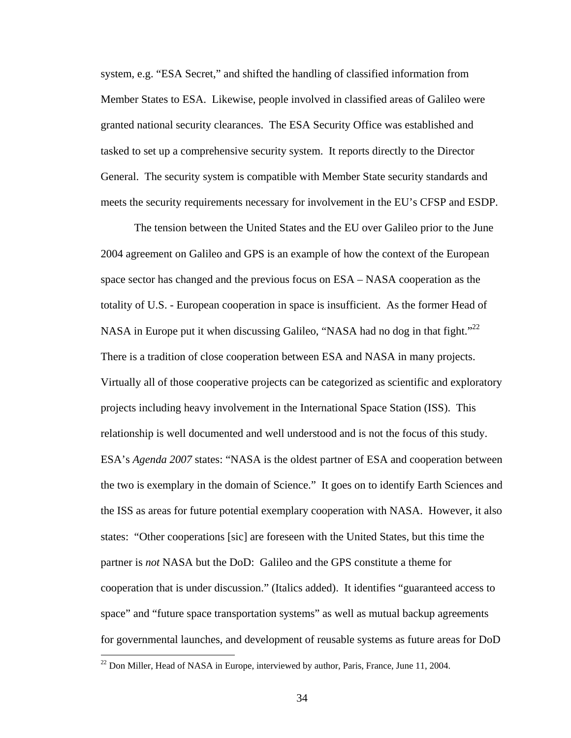system, e.g. "ESA Secret," and shifted the handling of classified information from Member States to ESA. Likewise, people involved in classified areas of Galileo were granted national security clearances. The ESA Security Office was established and tasked to set up a comprehensive security system. It reports directly to the Director General. The security system is compatible with Member State security standards and meets the security requirements necessary for involvement in the EU's CFSP and ESDP.

The tension between the United States and the EU over Galileo prior to the June 2004 agreement on Galileo and GPS is an example of how the context of the European space sector has changed and the previous focus on ESA – NASA cooperation as the totality of U.S. - European cooperation in space is insufficient. As the former Head of NASA in Europe put it when discussing Galileo, "NASA had no dog in that fight."<sup>22</sup> There is a tradition of close cooperation between ESA and NASA in many projects. Virtually all of those cooperative projects can be categorized as scientific and exploratory projects including heavy involvement in the International Space Station (ISS). This relationship is well documented and well understood and is not the focus of this study. ESA's *Agenda 2007* states: "NASA is the oldest partner of ESA and cooperation between the two is exemplary in the domain of Science." It goes on to identify Earth Sciences and the ISS as areas for future potential exemplary cooperation with NASA. However, it also states: "Other cooperations [sic] are foreseen with the United States, but this time the partner is *not* NASA but the DoD: Galileo and the GPS constitute a theme for cooperation that is under discussion." (Italics added). It identifies "guaranteed access to space" and "future space transportation systems" as well as mutual backup agreements for governmental launches, and development of reusable systems as future areas for DoD

<u>.</u>

 $^{22}$  Don Miller, Head of NASA in Europe, interviewed by author, Paris, France, June 11, 2004.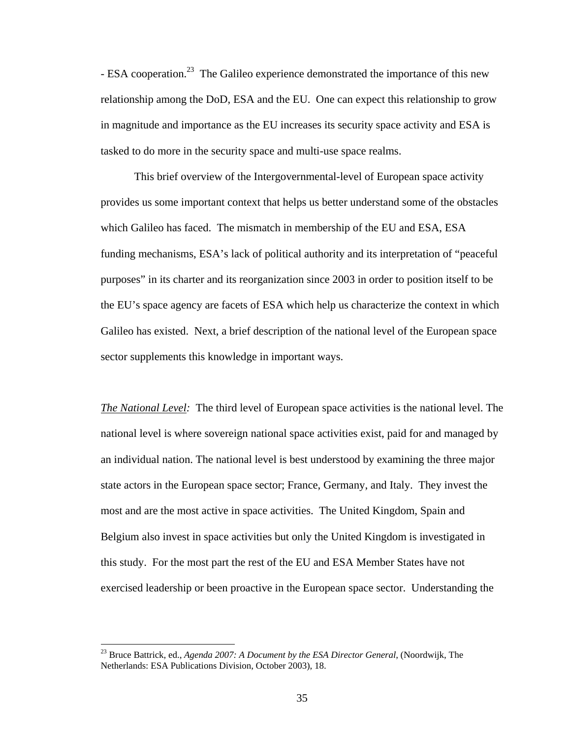- ESA cooperation.<sup>23</sup> The Galileo experience demonstrated the importance of this new relationship among the DoD, ESA and the EU. One can expect this relationship to grow in magnitude and importance as the EU increases its security space activity and ESA is tasked to do more in the security space and multi-use space realms.

 This brief overview of the Intergovernmental-level of European space activity provides us some important context that helps us better understand some of the obstacles which Galileo has faced. The mismatch in membership of the EU and ESA, ESA funding mechanisms, ESA's lack of political authority and its interpretation of "peaceful purposes" in its charter and its reorganization since 2003 in order to position itself to be the EU's space agency are facets of ESA which help us characterize the context in which Galileo has existed. Next, a brief description of the national level of the European space sector supplements this knowledge in important ways.

*The National Level:* The third level of European space activities is the national level. The national level is where sovereign national space activities exist, paid for and managed by an individual nation. The national level is best understood by examining the three major state actors in the European space sector; France, Germany, and Italy. They invest the most and are the most active in space activities. The United Kingdom, Spain and Belgium also invest in space activities but only the United Kingdom is investigated in this study. For the most part the rest of the EU and ESA Member States have not exercised leadership or been proactive in the European space sector. Understanding the

<sup>23</sup> Bruce Battrick, ed., *Agenda 2007: A Document by the ESA Director General*, (Noordwijk, The Netherlands: ESA Publications Division, October 2003), 18.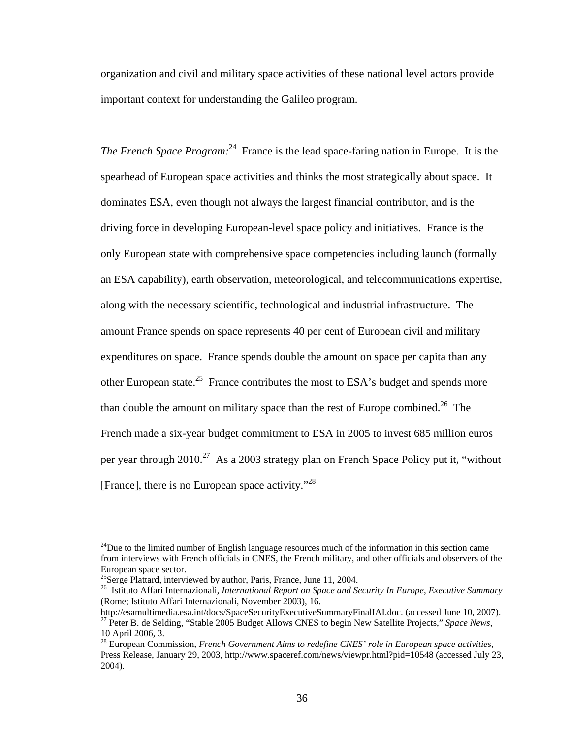organization and civil and military space activities of these national level actors provide important context for understanding the Galileo program.

*The French Space Program*:<sup>24</sup> France is the lead space-faring nation in Europe. It is the spearhead of European space activities and thinks the most strategically about space. It dominates ESA, even though not always the largest financial contributor, and is the driving force in developing European-level space policy and initiatives. France is the only European state with comprehensive space competencies including launch (formally an ESA capability), earth observation, meteorological, and telecommunications expertise, along with the necessary scientific, technological and industrial infrastructure. The amount France spends on space represents 40 per cent of European civil and military expenditures on space. France spends double the amount on space per capita than any other European state.<sup>25</sup> France contributes the most to ESA's budget and spends more than double the amount on military space than the rest of Europe combined.<sup>26</sup> The French made a six-year budget commitment to ESA in 2005 to invest 685 million euros per year through  $2010^{27}$  As a 2003 strategy plan on French Space Policy put it, "without [France], there is no European space activity. $128$ 

 $24$ Due to the limited number of English language resources much of the information in this section came from interviews with French officials in CNES, the French military, and other officials and observers of the European space sector.

<sup>&</sup>lt;sup>25</sup>Serge Plattard, interviewed by author, Paris, France, June 11, 2004.

<sup>26</sup>Istituto Affari Internazionali, *International Report on Space and Security In Europe*, *Executive Summary* (Rome; Istituto Affari Internazionali, November 2003), 16.<br>http://esamultimedia.esa.int/docs/SpaceSecurityExecutiveSummaryFinalIAI.doc. (accessed June 10, 2007).

<sup>&</sup>lt;sup>27</sup> Peter B. de Selding, "Stable 2005 Budget Allows CNES to begin New Satellite Projects," Space News, 10 April 2006, 3.

<sup>28</sup> European Commission, *French Government Aims to redefine CNES' role in European space activities*, Press Release, January 29, 2003, http://www.spaceref.com/news/viewpr.html?pid=10548 (accessed July 23, 2004).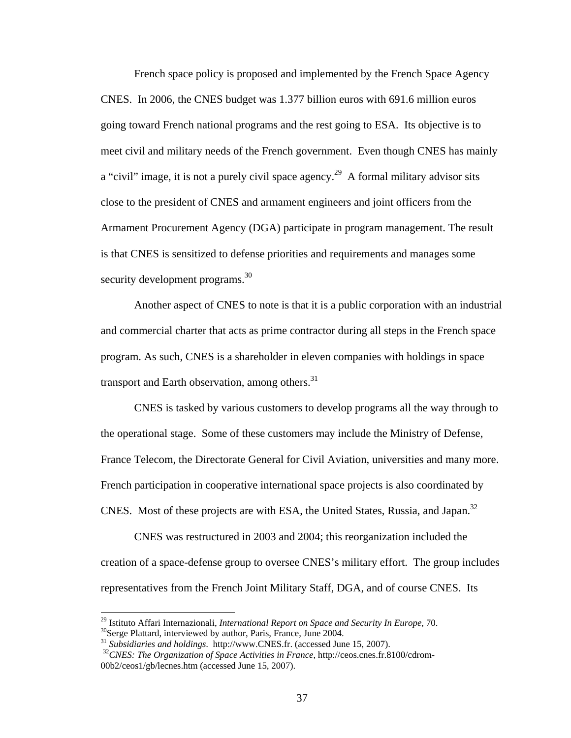French space policy is proposed and implemented by the French Space Agency CNES. In 2006, the CNES budget was 1.377 billion euros with 691.6 million euros going toward French national programs and the rest going to ESA. Its objective is to meet civil and military needs of the French government. Even though CNES has mainly a "civil" image, it is not a purely civil space agency.<sup>29</sup> A formal military advisor sits close to the president of CNES and armament engineers and joint officers from the Armament Procurement Agency (DGA) participate in program management. The result is that CNES is sensitized to defense priorities and requirements and manages some security development programs.<sup>30</sup>

Another aspect of CNES to note is that it is a public corporation with an industrial and commercial charter that acts as prime contractor during all steps in the French space program. As such, CNES is a shareholder in eleven companies with holdings in space transport and Earth observation, among others.<sup>31</sup>

CNES is tasked by various customers to develop programs all the way through to the operational stage. Some of these customers may include the Ministry of Defense, France Telecom, the Directorate General for Civil Aviation, universities and many more. French participation in cooperative international space projects is also coordinated by CNES. Most of these projects are with ESA, the United States, Russia, and Japan.<sup>32</sup>

CNES was restructured in 2003 and 2004; this reorganization included the creation of a space-defense group to oversee CNES's military effort. The group includes representatives from the French Joint Military Staff, DGA, and of course CNES. Its

<sup>&</sup>lt;sup>29</sup> Istituto Affari Internazionali, *International Report on Space and Security In Europe*, 70.<br><sup>30</sup>Serge Plattard, interviewed by author, Paris, France, June 2004.

<sup>&</sup>lt;sup>31</sup> Subsidiaries and holdings. http://www.CNES.fr. (accessed June 15, 2007).<br><sup>32</sup>*CNES: The Organization of Space Activities in France*, http://ceos.cnes.fr.8100/cdrom-00b2/ceos1/gb/lecnes.htm (accessed June 15, 2007).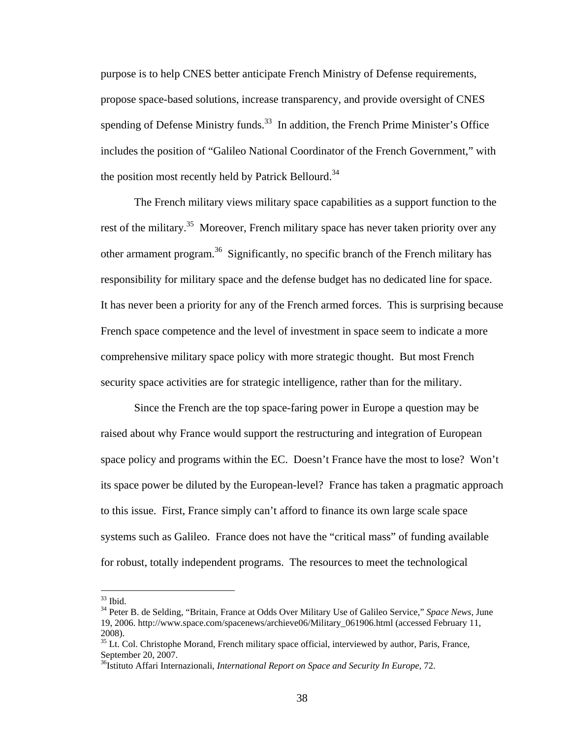purpose is to help CNES better anticipate French Ministry of Defense requirements, propose space-based solutions, increase transparency, and provide oversight of CNES spending of Defense Ministry funds.<sup>33</sup> In addition, the French Prime Minister's Office includes the position of "Galileo National Coordinator of the French Government," with the position most recently held by Patrick Bellourd.<sup>34</sup>

The French military views military space capabilities as a support function to the rest of the military.<sup>35</sup> Moreover, French military space has never taken priority over any other armament program.<sup>36</sup> Significantly, no specific branch of the French military has responsibility for military space and the defense budget has no dedicated line for space. It has never been a priority for any of the French armed forces. This is surprising because French space competence and the level of investment in space seem to indicate a more comprehensive military space policy with more strategic thought. But most French security space activities are for strategic intelligence, rather than for the military.

 Since the French are the top space-faring power in Europe a question may be raised about why France would support the restructuring and integration of European space policy and programs within the EC. Doesn't France have the most to lose? Won't its space power be diluted by the European-level? France has taken a pragmatic approach to this issue. First, France simply can't afford to finance its own large scale space systems such as Galileo. France does not have the "critical mass" of funding available for robust, totally independent programs. The resources to meet the technological

 $33$  Ibid.

<sup>34</sup> Peter B. de Selding, "Britain, France at Odds Over Military Use of Galileo Service," *Space News*, June 19, 2006. http://www.space.com/spacenews/archieve06/Military\_061906.html (accessed February 11, 2008).

 $35$  Lt. Col. Christophe Morand, French military space official, interviewed by author, Paris, France, September 20, 2007.

<sup>&</sup>lt;sup>36</sup>Istituto Affari Internazionali, *International Report on Space and Security In Europe*, 72.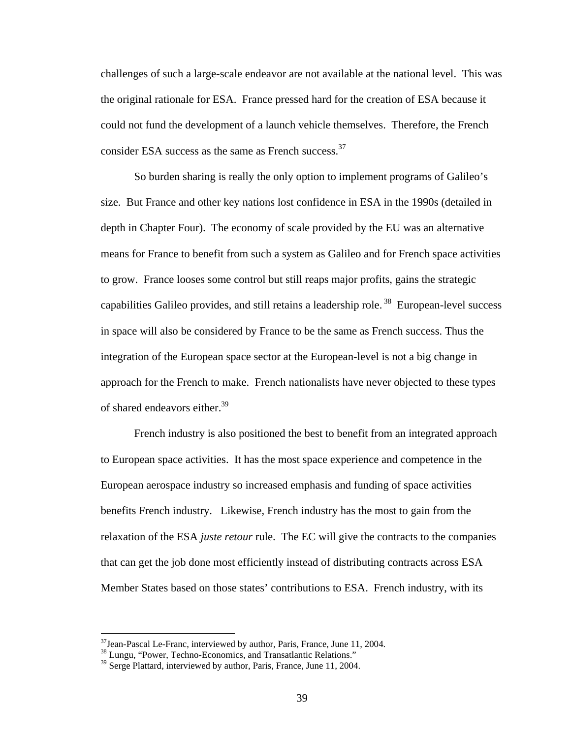challenges of such a large-scale endeavor are not available at the national level. This was the original rationale for ESA. France pressed hard for the creation of ESA because it could not fund the development of a launch vehicle themselves. Therefore, the French consider ESA success as the same as French success.<sup>37</sup>

So burden sharing is really the only option to implement programs of Galileo's size. But France and other key nations lost confidence in ESA in the 1990s (detailed in depth in Chapter Four). The economy of scale provided by the EU was an alternative means for France to benefit from such a system as Galileo and for French space activities to grow. France looses some control but still reaps major profits, gains the strategic capabilities Galileo provides, and still retains a leadership role.<sup>38</sup> European-level success in space will also be considered by France to be the same as French success. Thus the integration of the European space sector at the European-level is not a big change in approach for the French to make. French nationalists have never objected to these types of shared endeavors either.<sup>39</sup>

French industry is also positioned the best to benefit from an integrated approach to European space activities. It has the most space experience and competence in the European aerospace industry so increased emphasis and funding of space activities benefits French industry. Likewise, French industry has the most to gain from the relaxation of the ESA *juste retour* rule. The EC will give the contracts to the companies that can get the job done most efficiently instead of distributing contracts across ESA Member States based on those states' contributions to ESA. French industry, with its

 $37$ Jean-Pascal Le-Franc, interviewed by author, Paris, France, June 11, 2004.

<sup>&</sup>lt;sup>38</sup> Lungu, "Power, Techno-Economics, and Transatlantic Relations."

<sup>&</sup>lt;sup>39</sup> Serge Plattard, interviewed by author, Paris, France, June 11, 2004.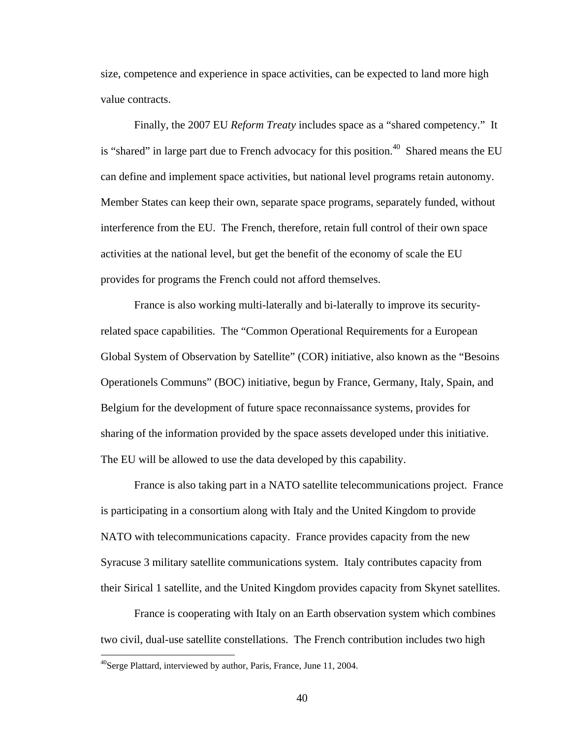size, competence and experience in space activities, can be expected to land more high value contracts.

 Finally, the 2007 EU *Reform Treaty* includes space as a "shared competency." It is "shared" in large part due to French advocacy for this position.<sup>40</sup> Shared means the EU can define and implement space activities, but national level programs retain autonomy. Member States can keep their own, separate space programs, separately funded, without interference from the EU. The French, therefore, retain full control of their own space activities at the national level, but get the benefit of the economy of scale the EU provides for programs the French could not afford themselves.

 France is also working multi-laterally and bi-laterally to improve its securityrelated space capabilities. The "Common Operational Requirements for a European Global System of Observation by Satellite" (COR) initiative, also known as the "Besoins Operationels Communs" (BOC) initiative, begun by France, Germany, Italy, Spain, and Belgium for the development of future space reconnaissance systems, provides for sharing of the information provided by the space assets developed under this initiative. The EU will be allowed to use the data developed by this capability.

 France is also taking part in a NATO satellite telecommunications project. France is participating in a consortium along with Italy and the United Kingdom to provide NATO with telecommunications capacity. France provides capacity from the new Syracuse 3 military satellite communications system. Italy contributes capacity from their Sirical 1 satellite, and the United Kingdom provides capacity from Skynet satellites.

 France is cooperating with Italy on an Earth observation system which combines two civil, dual-use satellite constellations. The French contribution includes two high

 $^{40}$ Serge Plattard, interviewed by author, Paris, France, June 11, 2004.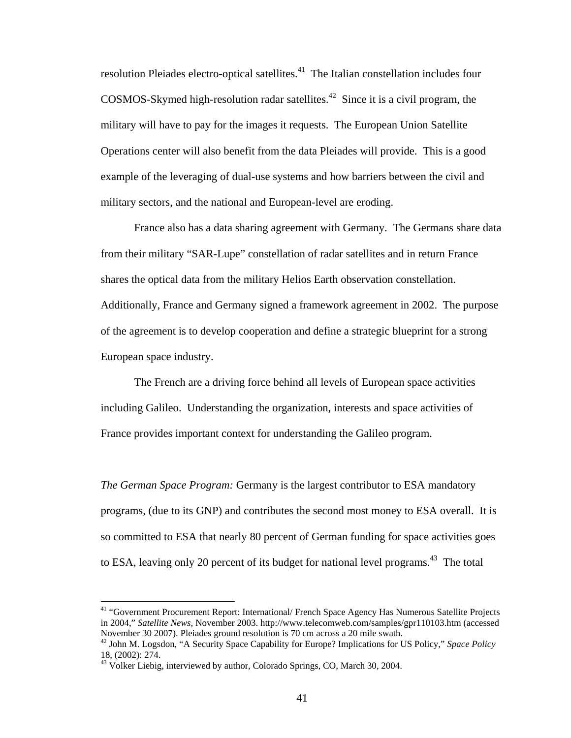resolution Pleiades electro-optical satellites.<sup>41</sup> The Italian constellation includes four COSMOS-Skymed high-resolution radar satellites.<sup>42</sup> Since it is a civil program, the military will have to pay for the images it requests. The European Union Satellite Operations center will also benefit from the data Pleiades will provide. This is a good example of the leveraging of dual-use systems and how barriers between the civil and military sectors, and the national and European-level are eroding.

France also has a data sharing agreement with Germany. The Germans share data from their military "SAR-Lupe" constellation of radar satellites and in return France shares the optical data from the military Helios Earth observation constellation. Additionally, France and Germany signed a framework agreement in 2002. The purpose of the agreement is to develop cooperation and define a strategic blueprint for a strong European space industry.

 The French are a driving force behind all levels of European space activities including Galileo. Understanding the organization, interests and space activities of France provides important context for understanding the Galileo program.

*The German Space Program:* Germany is the largest contributor to ESA mandatory programs, (due to its GNP) and contributes the second most money to ESA overall. It is so committed to ESA that nearly 80 percent of German funding for space activities goes to ESA, leaving only 20 percent of its budget for national level programs.<sup>43</sup> The total

<sup>41 &</sup>quot;Government Procurement Report: International/ French Space Agency Has Numerous Satellite Projects in 2004," *Satellite News*, November 2003. http://www.telecomweb.com/samples/gpr110103.htm (accessed

<sup>&</sup>lt;sup>42</sup> John M. Logsdon, "A Security Space Capability for Europe? Implications for US Policy," Space Policy 18, (2002): 274.

<sup>&</sup>lt;sup>43</sup> Volker Liebig, interviewed by author, Colorado Springs, CO, March 30, 2004.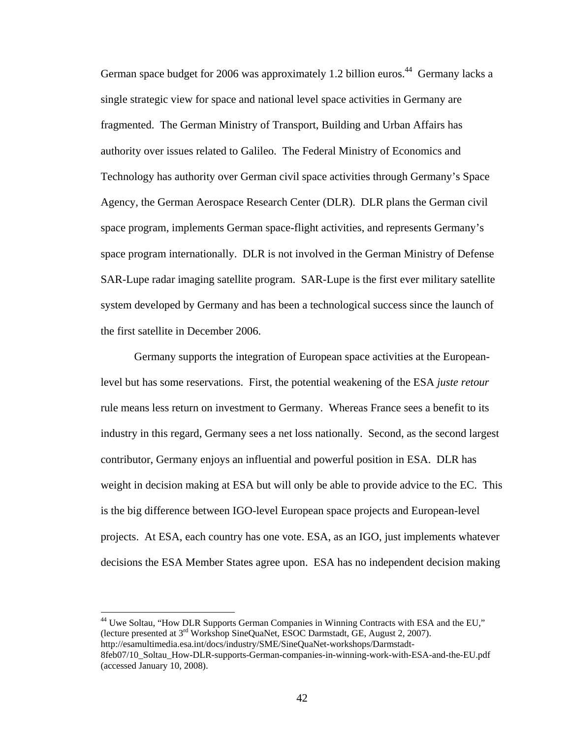German space budget for 2006 was approximately 1.2 billion euros.<sup>44</sup> Germany lacks a single strategic view for space and national level space activities in Germany are fragmented. The German Ministry of Transport, Building and Urban Affairs has authority over issues related to Galileo. The Federal Ministry of Economics and Technology has authority over German civil space activities through Germany's Space Agency, the German Aerospace Research Center (DLR). DLR plans the German civil space program, implements German space-flight activities, and represents Germany's space program internationally. DLR is not involved in the German Ministry of Defense SAR-Lupe radar imaging satellite program. SAR-Lupe is the first ever military satellite system developed by Germany and has been a technological success since the launch of the first satellite in December 2006.

 Germany supports the integration of European space activities at the Europeanlevel but has some reservations. First, the potential weakening of the ESA *juste retour* rule means less return on investment to Germany. Whereas France sees a benefit to its industry in this regard, Germany sees a net loss nationally. Second, as the second largest contributor, Germany enjoys an influential and powerful position in ESA. DLR has weight in decision making at ESA but will only be able to provide advice to the EC. This is the big difference between IGO-level European space projects and European-level projects. At ESA, each country has one vote. ESA, as an IGO, just implements whatever decisions the ESA Member States agree upon. ESA has no independent decision making

<sup>44</sup> Uwe Soltau, "How DLR Supports German Companies in Winning Contracts with ESA and the EU," (lecture presented at 3rd Workshop SineQuaNet, ESOC Darmstadt, GE, August 2, 2007). http://esamultimedia.esa.int/docs/industry/SME/SineQuaNet-workshops/Darmstadt-8feb07/10\_Soltau\_How-DLR-supports-German-companies-in-winning-work-with-ESA-and-the-EU.pdf (accessed January 10, 2008).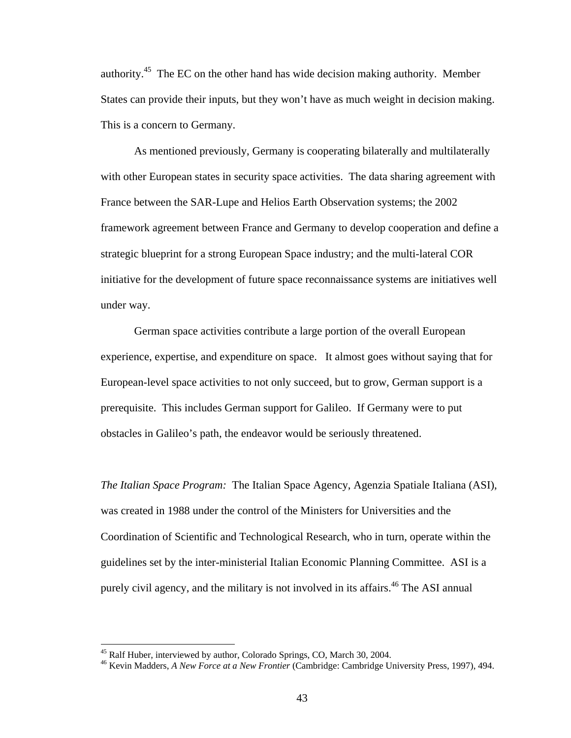authority.45 The EC on the other hand has wide decision making authority. Member States can provide their inputs, but they won't have as much weight in decision making. This is a concern to Germany.

 As mentioned previously, Germany is cooperating bilaterally and multilaterally with other European states in security space activities. The data sharing agreement with France between the SAR-Lupe and Helios Earth Observation systems; the 2002 framework agreement between France and Germany to develop cooperation and define a strategic blueprint for a strong European Space industry; and the multi-lateral COR initiative for the development of future space reconnaissance systems are initiatives well under way.

 German space activities contribute a large portion of the overall European experience, expertise, and expenditure on space. It almost goes without saying that for European-level space activities to not only succeed, but to grow, German support is a prerequisite. This includes German support for Galileo. If Germany were to put obstacles in Galileo's path, the endeavor would be seriously threatened.

*The Italian Space Program:* The Italian Space Agency, Agenzia Spatiale Italiana (ASI), was created in 1988 under the control of the Ministers for Universities and the Coordination of Scientific and Technological Research, who in turn, operate within the guidelines set by the inter-ministerial Italian Economic Planning Committee. ASI is a purely civil agency, and the military is not involved in its affairs.<sup>46</sup> The ASI annual

<sup>&</sup>lt;sup>45</sup> Ralf Huber, interviewed by author, Colorado Springs, CO, March 30, 2004.

<sup>46</sup> Kevin Madders, *A New Force at a New Frontier* (Cambridge: Cambridge University Press, 1997), 494.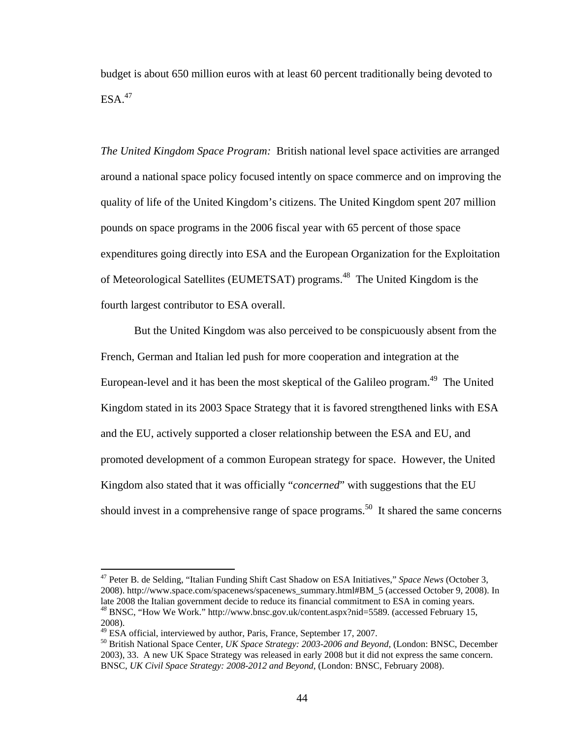budget is about 650 million euros with at least 60 percent traditionally being devoted to  $ESA.<sup>47</sup>$ 

*The United Kingdom Space Program:* British national level space activities are arranged around a national space policy focused intently on space commerce and on improving the quality of life of the United Kingdom's citizens. The United Kingdom spent 207 million pounds on space programs in the 2006 fiscal year with 65 percent of those space expenditures going directly into ESA and the European Organization for the Exploitation of Meteorological Satellites (EUMETSAT) programs.<sup>48</sup> The United Kingdom is the fourth largest contributor to ESA overall.

But the United Kingdom was also perceived to be conspicuously absent from the French, German and Italian led push for more cooperation and integration at the European-level and it has been the most skeptical of the Galileo program.<sup>49</sup> The United Kingdom stated in its 2003 Space Strategy that it is favored strengthened links with ESA and the EU, actively supported a closer relationship between the ESA and EU, and promoted development of a common European strategy for space. However, the United Kingdom also stated that it was officially "*concerned*" with suggestions that the EU should invest in a comprehensive range of space programs.<sup>50</sup> It shared the same concerns

<sup>47</sup> Peter B. de Selding, "Italian Funding Shift Cast Shadow on ESA Initiatives," *Space News* (October 3, 2008). http://www.space.com/spacenews/spacenews\_summary.html#BM\_5 (accessed October 9, 2008). In late 2008 the Italian government decide to reduce its financial commitment to ESA in coming years. *<sup>48</sup>* BNSC, "How We Work." http://www.bnsc.gov.uk/content.aspx?nid=5589. (accessed February 15, 2008).<br><sup>49</sup> ESA official, interviewed by author, Paris, France, September 17, 2007.

<sup>&</sup>lt;sup>50</sup> British National Space Center, UK Space Strategy: 2003-2006 and Beyond, (London: BNSC, December 2003), 33. A new UK Space Strategy was released in early 2008 but it did not express the same concern. BNSC, *UK Civil Space Strategy: 2008-2012 and Beyond*, (London: BNSC, February 2008).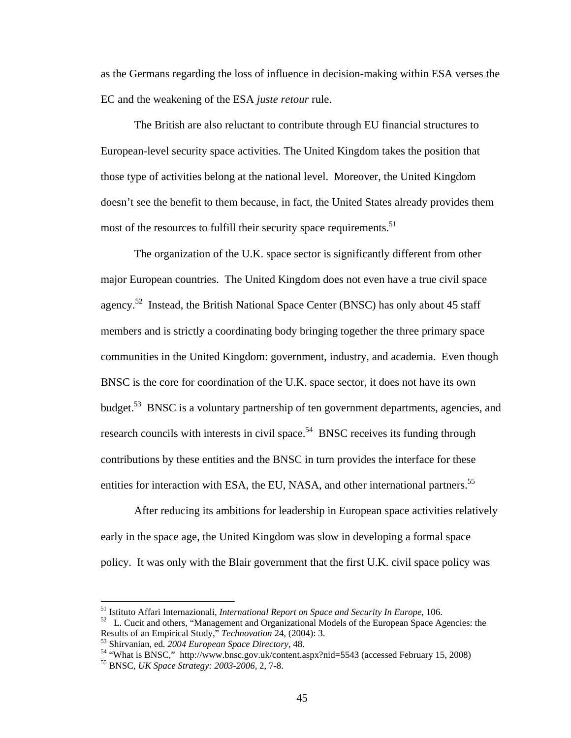as the Germans regarding the loss of influence in decision-making within ESA verses the EC and the weakening of the ESA *juste retour* rule.

The British are also reluctant to contribute through EU financial structures to European-level security space activities. The United Kingdom takes the position that those type of activities belong at the national level. Moreover, the United Kingdom doesn't see the benefit to them because, in fact, the United States already provides them most of the resources to fulfill their security space requirements.<sup>51</sup>

The organization of the U.K. space sector is significantly different from other major European countries. The United Kingdom does not even have a true civil space agency.<sup>52</sup> Instead, the British National Space Center (BNSC) has only about 45 staff members and is strictly a coordinating body bringing together the three primary space communities in the United Kingdom: government, industry, and academia. Even though BNSC is the core for coordination of the U.K. space sector, it does not have its own budget.<sup>53</sup> BNSC is a voluntary partnership of ten government departments, agencies, and research councils with interests in civil space.<sup>54</sup> BNSC receives its funding through contributions by these entities and the BNSC in turn provides the interface for these entities for interaction with ESA, the EU, NASA, and other international partners.<sup>55</sup>

After reducing its ambitions for leadership in European space activities relatively early in the space age, the United Kingdom was slow in developing a formal space policy. It was only with the Blair government that the first U.K. civil space policy was

 $51$  Istituto Affari Internazionali, International Report on Space and Security In Europe, 106.

<sup>&</sup>lt;sup>52</sup> L. Cucit and others, "Management and Organizational Models of the European Space Agencies: the Results of an Empirical Study," *Technovation* 24, (2004): 3.

<sup>&</sup>lt;sup>53</sup> Shirvanian, ed. 2004 European Space Directory, 48.<br><sup>54</sup> "What is BNSC," http://www.bnsc.gov.uk/content.aspx?nid=5543 (accessed February 15, 2008)<br><sup>55</sup> BNSC, *UK Space Strategy: 2003-2006*, 2, 7-8.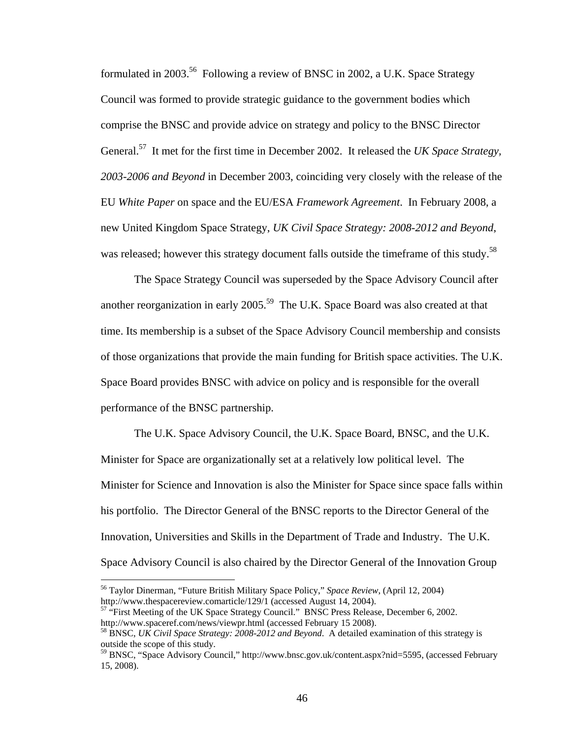formulated in 2003.56 Following a review of BNSC in 2002, a U.K. Space Strategy Council was formed to provide strategic guidance to the government bodies which comprise the BNSC and provide advice on strategy and policy to the BNSC Director General.57 It met for the first time in December 2002. It released the *UK Space Strategy, 2003-2006 and Beyond* in December 2003, coinciding very closely with the release of the EU *White Paper* on space and the EU/ESA *Framework Agreement*. In February 2008, a new United Kingdom Space Strategy, *UK Civil Space Strategy: 2008-2012 and Beyond*, was released; however this strategy document falls outside the timeframe of this study.<sup>58</sup>

The Space Strategy Council was superseded by the Space Advisory Council after another reorganization in early 2005.<sup>59</sup> The U.K. Space Board was also created at that time. Its membership is a subset of the Space Advisory Council membership and consists of those organizations that provide the main funding for British space activities. The U.K. Space Board provides BNSC with advice on policy and is responsible for the overall performance of the BNSC partnership.

The U.K. Space Advisory Council, the U.K. Space Board, BNSC, and the U.K. Minister for Space are organizationally set at a relatively low political level. The Minister for Science and Innovation is also the Minister for Space since space falls within his portfolio. The Director General of the BNSC reports to the Director General of the Innovation, Universities and Skills in the Department of Trade and Industry. The U.K. Space Advisory Council is also chaired by the Director General of the Innovation Group

<sup>&</sup>lt;sup>56</sup> Taylor Dinerman, "Future British Military Space Policy," Space Review, (April 12, 2004)<br>http://www.thespacereview.comarticle/129/1 (accessed August 14, 2004).

 $57$  "First Meeting of the UK Space Strategy Council." BNSC Press Release, December 6, 2002. http://www.spaceref.com/news/viewpr.html (accessed February 15 2008). 58 BNSC, *UK Civil Space Strategy: 2008-2012 and Beyond*. A detailed examination of this strategy is

outside the scope of this study.

<sup>&</sup>lt;sup>59</sup> BNSC, "Space Advisory Council," http://www.bnsc.gov.uk/content.aspx?nid=5595, (accessed February 15, 2008).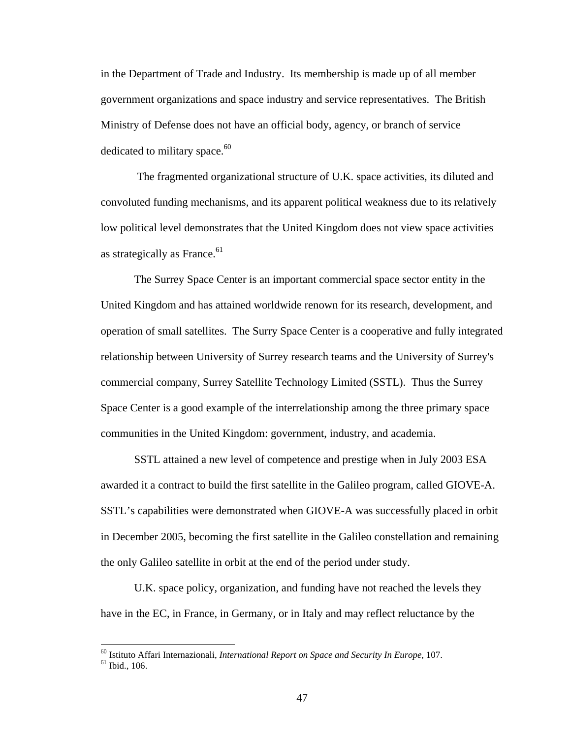in the Department of Trade and Industry. Its membership is made up of all member government organizations and space industry and service representatives. The British Ministry of Defense does not have an official body, agency, or branch of service dedicated to military space.<sup>60</sup>

 The fragmented organizational structure of U.K. space activities, its diluted and convoluted funding mechanisms, and its apparent political weakness due to its relatively low political level demonstrates that the United Kingdom does not view space activities as strategically as France. $61$ 

 The Surrey Space Center is an important commercial space sector entity in the United Kingdom and has attained worldwide renown for its research, development, and operation of small satellites. The Surry Space Center is a cooperative and fully integrated relationship between University of Surrey research teams and the University of Surrey's commercial company, Surrey Satellite Technology Limited (SSTL). Thus the Surrey Space Center is a good example of the interrelationship among the three primary space communities in the United Kingdom: government, industry, and academia.

SSTL attained a new level of competence and prestige when in July 2003 ESA awarded it a contract to build the first satellite in the Galileo program, called GIOVE-A. SSTL's capabilities were demonstrated when GIOVE-A was successfully placed in orbit in December 2005, becoming the first satellite in the Galileo constellation and remaining the only Galileo satellite in orbit at the end of the period under study.

 U.K. space policy, organization, and funding have not reached the levels they have in the EC, in France, in Germany, or in Italy and may reflect reluctance by the

<sup>&</sup>lt;sup>60</sup> Istituto Affari Internazionali, *International Report on Space and Security In Europe*, 107.<br><sup>61</sup> Ibid., 106.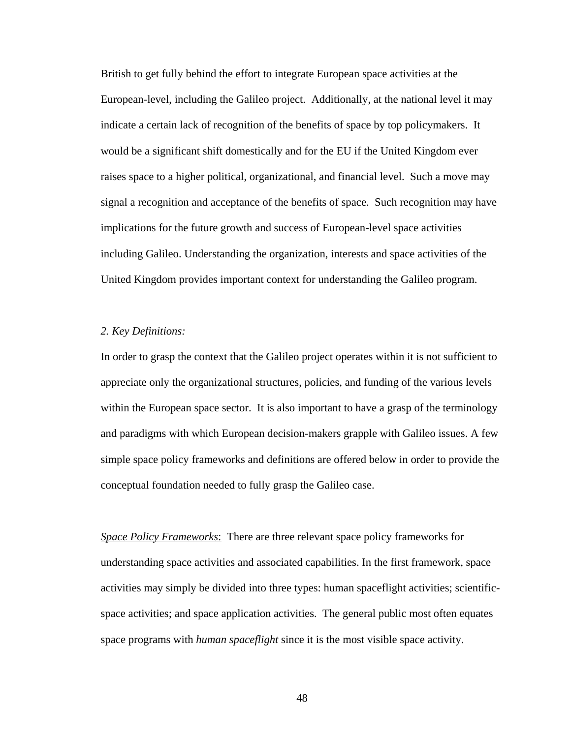British to get fully behind the effort to integrate European space activities at the European-level, including the Galileo project. Additionally, at the national level it may indicate a certain lack of recognition of the benefits of space by top policymakers. It would be a significant shift domestically and for the EU if the United Kingdom ever raises space to a higher political, organizational, and financial level. Such a move may signal a recognition and acceptance of the benefits of space. Such recognition may have implications for the future growth and success of European-level space activities including Galileo. Understanding the organization, interests and space activities of the United Kingdom provides important context for understanding the Galileo program.

## *2. Key Definitions:*

In order to grasp the context that the Galileo project operates within it is not sufficient to appreciate only the organizational structures, policies, and funding of the various levels within the European space sector. It is also important to have a grasp of the terminology and paradigms with which European decision-makers grapple with Galileo issues. A few simple space policy frameworks and definitions are offered below in order to provide the conceptual foundation needed to fully grasp the Galileo case.

*Space Policy Frameworks*: There are three relevant space policy frameworks for understanding space activities and associated capabilities. In the first framework, space activities may simply be divided into three types: human spaceflight activities; scientificspace activities; and space application activities. The general public most often equates space programs with *human spaceflight* since it is the most visible space activity.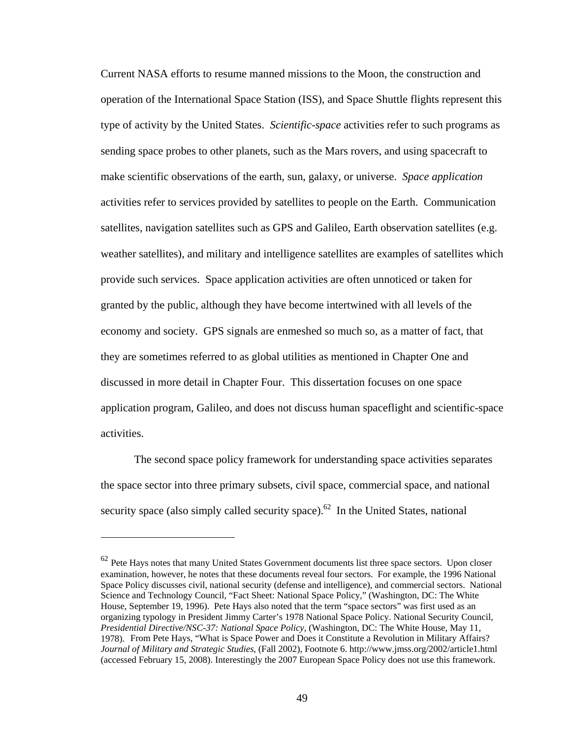Current NASA efforts to resume manned missions to the Moon, the construction and operation of the International Space Station (ISS), and Space Shuttle flights represent this type of activity by the United States. *Scientific-space* activities refer to such programs as sending space probes to other planets, such as the Mars rovers, and using spacecraft to make scientific observations of the earth, sun, galaxy, or universe. *Space application*  activities refer to services provided by satellites to people on the Earth. Communication satellites, navigation satellites such as GPS and Galileo, Earth observation satellites (e.g. weather satellites), and military and intelligence satellites are examples of satellites which provide such services. Space application activities are often unnoticed or taken for granted by the public, although they have become intertwined with all levels of the economy and society. GPS signals are enmeshed so much so, as a matter of fact, that they are sometimes referred to as global utilities as mentioned in Chapter One and discussed in more detail in Chapter Four. This dissertation focuses on one space application program, Galileo, and does not discuss human spaceflight and scientific-space activities.

The second space policy framework for understanding space activities separates the space sector into three primary subsets, civil space, commercial space, and national security space (also simply called security space).<sup>62</sup> In the United States, national

 $62$  Pete Hays notes that many United States Government documents list three space sectors. Upon closer examination, however, he notes that these documents reveal four sectors. For example, the 1996 National Space Policy discusses civil, national security (defense and intelligence), and commercial sectors. National Science and Technology Council, "Fact Sheet: National Space Policy*,*" (Washington, DC: The White House, September 19, 1996). Pete Hays also noted that the term "space sectors" was first used as an organizing typology in President Jimmy Carter's 1978 National Space Policy. National Security Council, *Presidential Directive/NSC-37: National Space Policy,* (Washington, DC: The White House, May 11, 1978). From Pete Hays, "What is Space Power and Does it Constitute a Revolution in Military Affairs? *Journal of Military and Strategic Studies*, (Fall 2002), Footnote 6. http://www.jmss.org/2002/article1.html (accessed February 15, 2008). Interestingly the 2007 European Space Policy does not use this framework.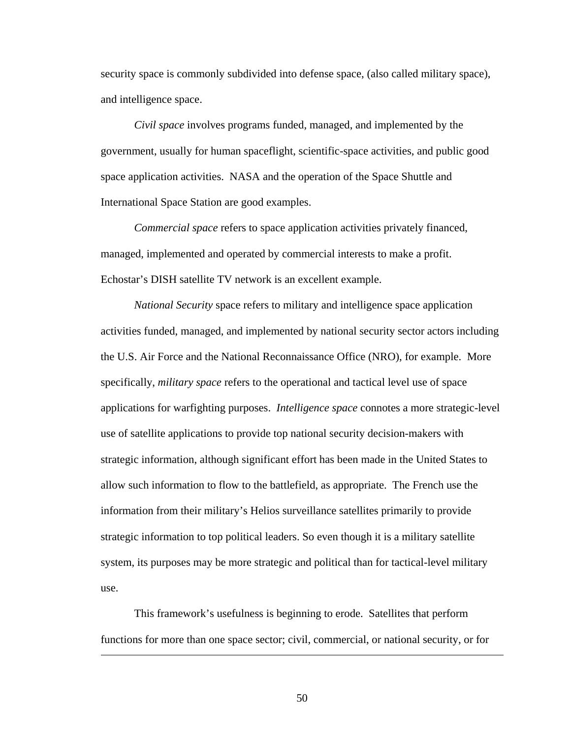security space is commonly subdivided into defense space, (also called military space), and intelligence space.

*Civil space* involves programs funded, managed, and implemented by the government, usually for human spaceflight, scientific-space activities, and public good space application activities. NASA and the operation of the Space Shuttle and International Space Station are good examples.

*Commercial space* refers to space application activities privately financed, managed, implemented and operated by commercial interests to make a profit. Echostar's DISH satellite TV network is an excellent example.

*National Security* space refers to military and intelligence space application activities funded, managed, and implemented by national security sector actors including the U.S. Air Force and the National Reconnaissance Office (NRO), for example. More specifically, *military space* refers to the operational and tactical level use of space applications for warfighting purposes. *Intelligence space* connotes a more strategic-level use of satellite applications to provide top national security decision-makers with strategic information, although significant effort has been made in the United States to allow such information to flow to the battlefield, as appropriate. The French use the information from their military's Helios surveillance satellites primarily to provide strategic information to top political leaders. So even though it is a military satellite system, its purposes may be more strategic and political than for tactical-level military use.

This framework's usefulness is beginning to erode. Satellites that perform functions for more than one space sector; civil, commercial, or national security, or for

 $\overline{a}$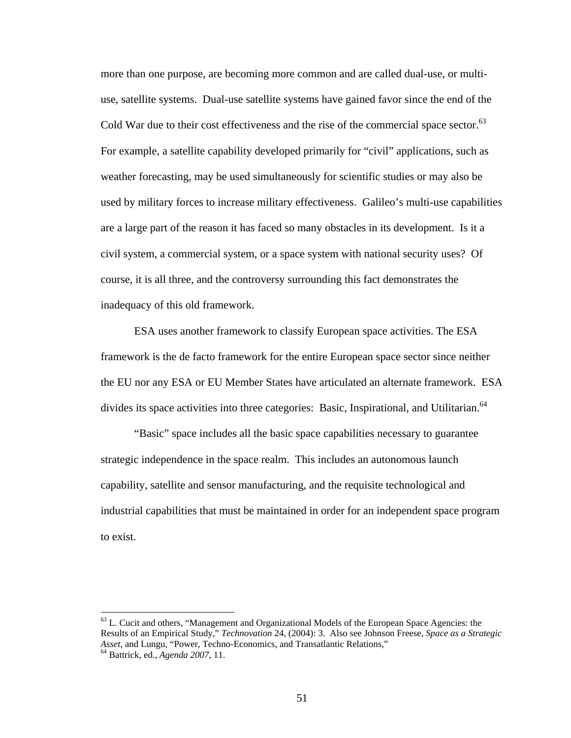more than one purpose, are becoming more common and are called dual-use, or multiuse, satellite systems. Dual-use satellite systems have gained favor since the end of the Cold War due to their cost effectiveness and the rise of the commercial space sector. $^{63}$ For example, a satellite capability developed primarily for "civil" applications, such as weather forecasting, may be used simultaneously for scientific studies or may also be used by military forces to increase military effectiveness. Galileo's multi-use capabilities are a large part of the reason it has faced so many obstacles in its development. Is it a civil system, a commercial system, or a space system with national security uses? Of course, it is all three, and the controversy surrounding this fact demonstrates the inadequacy of this old framework.

ESA uses another framework to classify European space activities. The ESA framework is the de facto framework for the entire European space sector since neither the EU nor any ESA or EU Member States have articulated an alternate framework. ESA divides its space activities into three categories: Basic, Inspirational, and Utilitarian.<sup>64</sup>

"Basic" space includes all the basic space capabilities necessary to guarantee strategic independence in the space realm. This includes an autonomous launch capability, satellite and sensor manufacturing, and the requisite technological and industrial capabilities that must be maintained in order for an independent space program to exist.

 $<sup>63</sup>$  L. Cucit and others, "Management and Organizational Models of the European Space Agencies: the</sup> Results of an Empirical Study," *Technovation* 24, (2004): 3. Also see Johnson Freese, *Space as a Strategic Asset*, and Lungu, "Power, Techno-Economics, and Transatlantic Relations," <sup>64</sup> Battrick, ed., *Agenda 2007*, 11.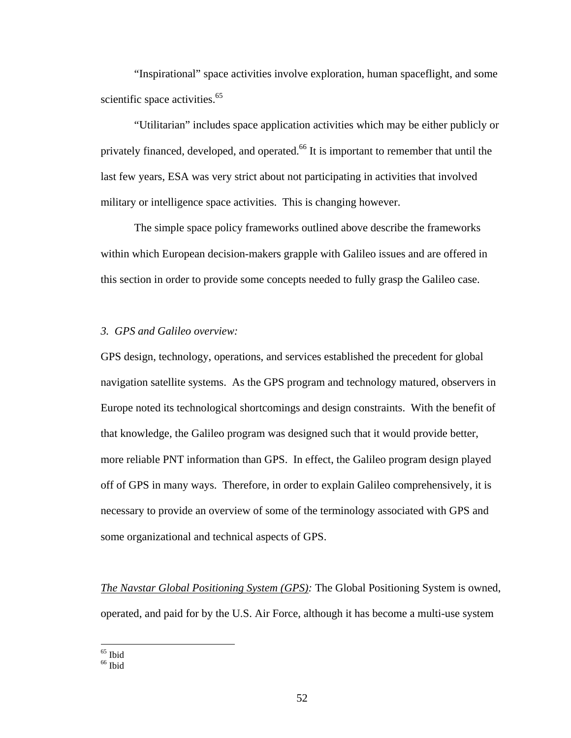"Inspirational" space activities involve exploration, human spaceflight, and some scientific space activities.<sup>65</sup>

"Utilitarian" includes space application activities which may be either publicly or privately financed, developed, and operated.<sup>66</sup> It is important to remember that until the last few years, ESA was very strict about not participating in activities that involved military or intelligence space activities. This is changing however.

The simple space policy frameworks outlined above describe the frameworks within which European decision-makers grapple with Galileo issues and are offered in this section in order to provide some concepts needed to fully grasp the Galileo case.

## *3. GPS and Galileo overview:*

GPS design, technology, operations, and services established the precedent for global navigation satellite systems. As the GPS program and technology matured, observers in Europe noted its technological shortcomings and design constraints. With the benefit of that knowledge, the Galileo program was designed such that it would provide better, more reliable PNT information than GPS. In effect, the Galileo program design played off of GPS in many ways. Therefore, in order to explain Galileo comprehensively, it is necessary to provide an overview of some of the terminology associated with GPS and some organizational and technical aspects of GPS.

*The Navstar Global Positioning System (GPS):* The Global Positioning System is owned, operated, and paid for by the U.S. Air Force, although it has become a multi-use system

<sup>65</sup> Ibid

<sup>&</sup>lt;sup>66</sup> Ibid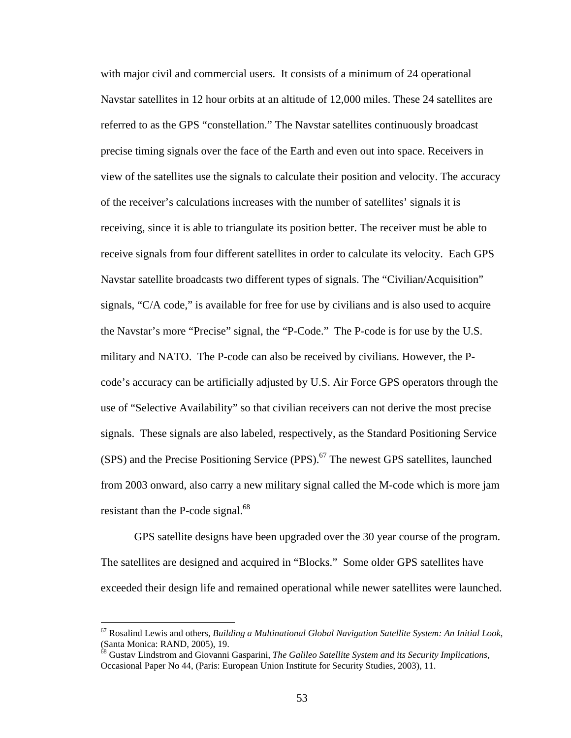with major civil and commercial users. It consists of a minimum of 24 operational Navstar satellites in 12 hour orbits at an altitude of 12,000 miles. These 24 satellites are referred to as the GPS "constellation." The Navstar satellites continuously broadcast precise timing signals over the face of the Earth and even out into space. Receivers in view of the satellites use the signals to calculate their position and velocity. The accuracy of the receiver's calculations increases with the number of satellites' signals it is receiving, since it is able to triangulate its position better. The receiver must be able to receive signals from four different satellites in order to calculate its velocity. Each GPS Navstar satellite broadcasts two different types of signals. The "Civilian/Acquisition" signals, "C/A code," is available for free for use by civilians and is also used to acquire the Navstar's more "Precise" signal, the "P-Code." The P-code is for use by the U.S. military and NATO. The P-code can also be received by civilians. However, the Pcode's accuracy can be artificially adjusted by U.S. Air Force GPS operators through the use of "Selective Availability" so that civilian receivers can not derive the most precise signals. These signals are also labeled, respectively, as the Standard Positioning Service (SPS) and the Precise Positioning Service (PPS).<sup>67</sup> The newest GPS satellites, launched from 2003 onward, also carry a new military signal called the M-code which is more jam resistant than the P-code signal. $^{68}$ 

GPS satellite designs have been upgraded over the 30 year course of the program. The satellites are designed and acquired in "Blocks." Some older GPS satellites have exceeded their design life and remained operational while newer satellites were launched.

<u>.</u>

<sup>67</sup> Rosalind Lewis and others, *Building a Multinational Global Navigation Satellite System: An Initial Look*, (Santa Monica: RAND, 2005), 19.

<sup>68</sup> Gustav Lindstrom and Giovanni Gasparini, *The Galileo Satellite System and its Security Implications*, Occasional Paper No 44, (Paris: European Union Institute for Security Studies, 2003), 11.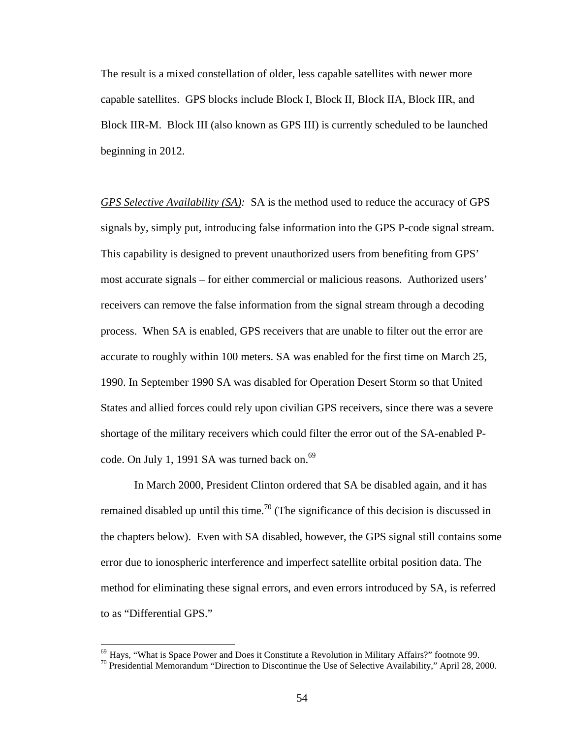The result is a mixed constellation of older, less capable satellites with newer more capable satellites. GPS blocks include Block I, Block II, Block IIA, Block IIR, and Block IIR-M. Block III (also known as GPS III) is currently scheduled to be launched beginning in 2012.

*GPS Selective Availability (SA):* SA is the method used to reduce the accuracy of GPS signals by, simply put, introducing false information into the GPS P-code signal stream. This capability is designed to prevent unauthorized users from benefiting from GPS' most accurate signals – for either commercial or malicious reasons. Authorized users' receivers can remove the false information from the signal stream through a decoding process. When SA is enabled, GPS receivers that are unable to filter out the error are accurate to roughly within 100 meters. SA was enabled for the first time on March 25, 1990. In September 1990 SA was disabled for Operation Desert Storm so that United States and allied forces could rely upon civilian GPS receivers, since there was a severe shortage of the military receivers which could filter the error out of the SA-enabled Pcode. On July 1, 1991 SA was turned back on.<sup>69</sup>

 In March 2000, President Clinton ordered that SA be disabled again, and it has remained disabled up until this time.<sup>70</sup> (The significance of this decision is discussed in the chapters below). Even with SA disabled, however, the GPS signal still contains some error due to ionospheric interference and imperfect satellite orbital position data. The method for eliminating these signal errors, and even errors introduced by SA, is referred to as "Differential GPS."

<sup>&</sup>lt;sup>69</sup> Hays, "What is Space Power and Does it Constitute a Revolution in Military Affairs?" footnote 99.<br><sup>70</sup> Presidential Memorandum "Direction to Discontinue the Use of Selective Availability," April 28, 2000.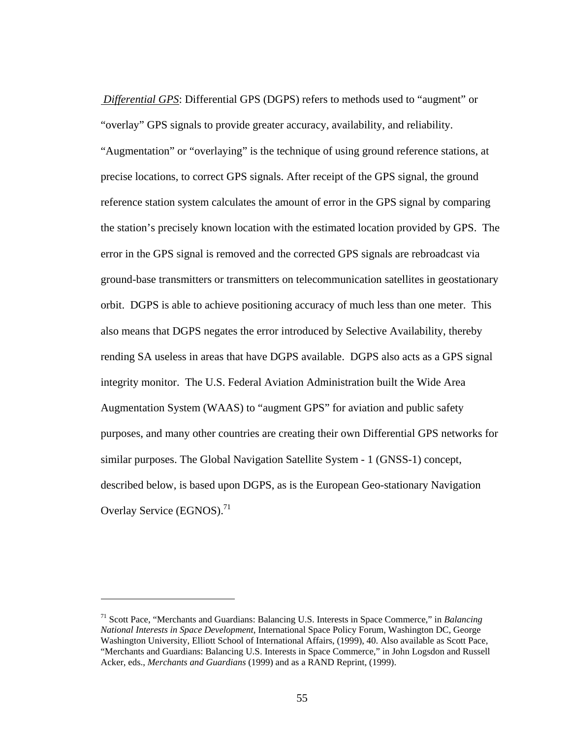*Differential GPS*: Differential GPS (DGPS) refers to methods used to "augment" or "overlay" GPS signals to provide greater accuracy, availability, and reliability. "Augmentation" or "overlaying" is the technique of using ground reference stations, at precise locations, to correct GPS signals. After receipt of the GPS signal, the ground reference station system calculates the amount of error in the GPS signal by comparing the station's precisely known location with the estimated location provided by GPS. The error in the GPS signal is removed and the corrected GPS signals are rebroadcast via ground-base transmitters or transmitters on telecommunication satellites in geostationary orbit. DGPS is able to achieve positioning accuracy of much less than one meter. This also means that DGPS negates the error introduced by Selective Availability, thereby rending SA useless in areas that have DGPS available. DGPS also acts as a GPS signal integrity monitor. The U.S. Federal Aviation Administration built the Wide Area Augmentation System (WAAS) to "augment GPS" for aviation and public safety purposes, and many other countries are creating their own Differential GPS networks for similar purposes. The Global Navigation Satellite System - 1 (GNSS-1) concept, described below, is based upon DGPS, as is the European Geo-stationary Navigation Overlay Service (EGNOS).<sup>71</sup>

<sup>71</sup> Scott Pace, "Merchants and Guardians: Balancing U.S. Interests in Space Commerce," in *Balancing National Interests in Space Development*, International Space Policy Forum, Washington DC, George Washington University, Elliott School of International Affairs, (1999), 40. Also available as Scott Pace, "Merchants and Guardians: Balancing U.S. Interests in Space Commerce," in John Logsdon and Russell Acker, eds., *Merchants and Guardians* (1999) and as a RAND Reprint, (1999).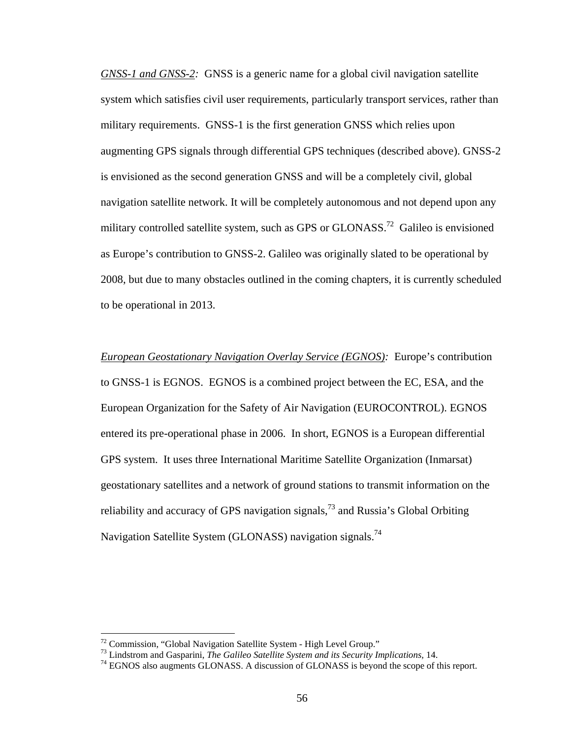*GNSS-1 and GNSS-2:* GNSS is a generic name for a global civil navigation satellite system which satisfies civil user requirements, particularly transport services, rather than military requirements. GNSS-1 is the first generation GNSS which relies upon augmenting GPS signals through differential GPS techniques (described above). GNSS-2 is envisioned as the second generation GNSS and will be a completely civil, global navigation satellite network. It will be completely autonomous and not depend upon any military controlled satellite system, such as GPS or GLONASS.<sup>72</sup> Galileo is envisioned as Europe's contribution to GNSS-2. Galileo was originally slated to be operational by 2008, but due to many obstacles outlined in the coming chapters, it is currently scheduled to be operational in 2013.

*European Geostationary Navigation Overlay Service (EGNOS):* Europe's contribution to GNSS-1 is EGNOS. EGNOS is a combined project between the EC, ESA, and the European Organization for the Safety of Air Navigation (EUROCONTROL). EGNOS entered its pre-operational phase in 2006. In short, EGNOS is a European differential GPS system. It uses three International Maritime Satellite Organization (Inmarsat) geostationary satellites and a network of ground stations to transmit information on the reliability and accuracy of GPS navigation signals,  $^{73}$  and Russia's Global Orbiting Navigation Satellite System (GLONASS) navigation signals.<sup>74</sup>

<sup>&</sup>lt;sup>72</sup> Commission, "Global Navigation Satellite System - High Level Group."<br><sup>73</sup> Lindstrom and Gasparini, *The Galileo Satellite System and its Security Implications*, 14.

<sup>&</sup>lt;sup>74</sup> EGNOS also augments GLONASS. A discussion of GLONASS is beyond the scope of this report.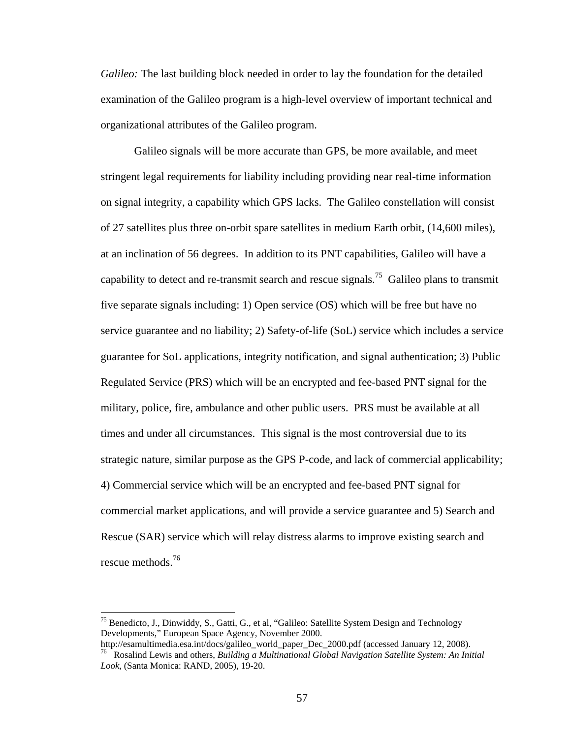*Galileo:* The last building block needed in order to lay the foundation for the detailed examination of the Galileo program is a high-level overview of important technical and organizational attributes of the Galileo program.

Galileo signals will be more accurate than GPS, be more available, and meet stringent legal requirements for liability including providing near real-time information on signal integrity, a capability which GPS lacks. The Galileo constellation will consist of 27 satellites plus three on-orbit spare satellites in medium Earth orbit, (14,600 miles), at an inclination of 56 degrees. In addition to its PNT capabilities, Galileo will have a capability to detect and re-transmit search and rescue signals.<sup>75</sup> Galileo plans to transmit five separate signals including: 1) Open service (OS) which will be free but have no service guarantee and no liability; 2) Safety-of-life (SoL) service which includes a service guarantee for SoL applications, integrity notification, and signal authentication; 3) Public Regulated Service (PRS) which will be an encrypted and fee-based PNT signal for the military, police, fire, ambulance and other public users. PRS must be available at all times and under all circumstances. This signal is the most controversial due to its strategic nature, similar purpose as the GPS P-code, and lack of commercial applicability; 4) Commercial service which will be an encrypted and fee-based PNT signal for commercial market applications, and will provide a service guarantee and 5) Search and Rescue (SAR) service which will relay distress alarms to improve existing search and rescue methods.76

<sup>&</sup>lt;sup>75</sup> Benedicto, J., Dinwiddy, S., Gatti, G., et al, "Galileo: Satellite System Design and Technology Developments," European Space Agency, November 2000.<br>http://esamultimedia.esa.int/docs/galileo world paper Dec 2000.pdf (accessed January 12, 2008).

<sup>&</sup>lt;sup>76</sup> Rosalind Lewis and others, *Building a Multinational Global Navigation Satellite System: An Initial Look*, (Santa Monica: RAND, 2005), 19-20.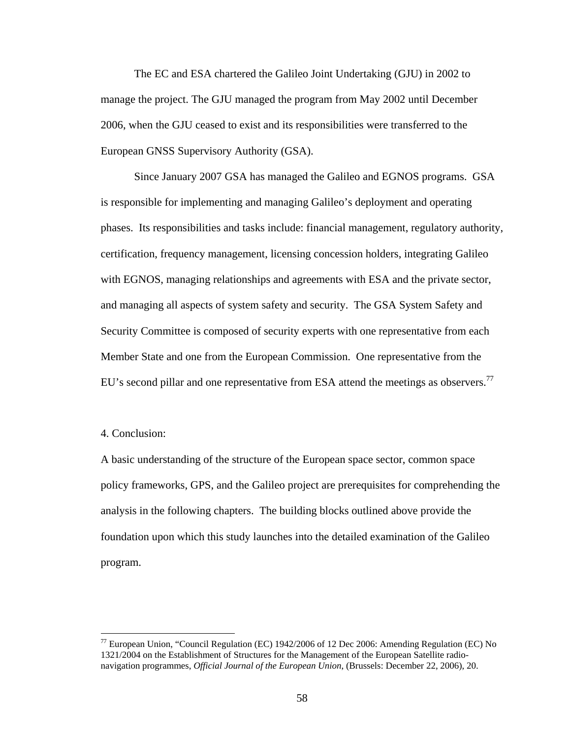The EC and ESA chartered the Galileo Joint Undertaking (GJU) in 2002 to manage the project. The GJU managed the program from May 2002 until December 2006, when the GJU ceased to exist and its responsibilities were transferred to the European GNSS Supervisory Authority (GSA).

Since January 2007 GSA has managed the Galileo and EGNOS programs. GSA is responsible for implementing and managing Galileo's deployment and operating phases. Its responsibilities and tasks include: financial management, regulatory authority, certification, frequency management, licensing concession holders, integrating Galileo with EGNOS, managing relationships and agreements with ESA and the private sector, and managing all aspects of system safety and security. The GSA System Safety and Security Committee is composed of security experts with one representative from each Member State and one from the European Commission. One representative from the EU's second pillar and one representative from ESA attend the meetings as observers.<sup>77</sup>

## 4. Conclusion:

1

A basic understanding of the structure of the European space sector, common space policy frameworks, GPS, and the Galileo project are prerequisites for comprehending the analysis in the following chapters. The building blocks outlined above provide the foundation upon which this study launches into the detailed examination of the Galileo program.

 $^{77}$  European Union, "Council Regulation (EC) 1942/2006 of 12 Dec 2006: Amending Regulation (EC) No 1321/2004 on the Establishment of Structures for the Management of the European Satellite radionavigation programmes, *Official Journal of the European Union*, (Brussels: December 22, 2006), 20.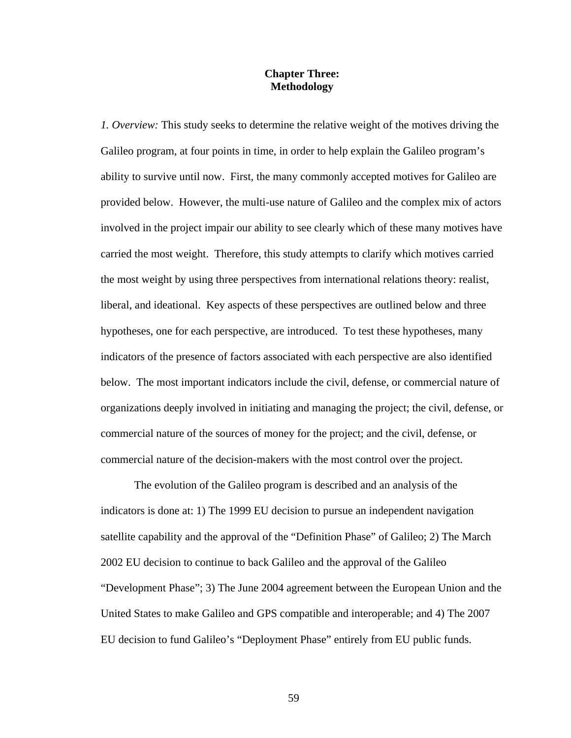## **Chapter Three: Methodology**

*1. Overview:* This study seeks to determine the relative weight of the motives driving the Galileo program, at four points in time, in order to help explain the Galileo program's ability to survive until now. First, the many commonly accepted motives for Galileo are provided below. However, the multi-use nature of Galileo and the complex mix of actors involved in the project impair our ability to see clearly which of these many motives have carried the most weight. Therefore, this study attempts to clarify which motives carried the most weight by using three perspectives from international relations theory: realist, liberal, and ideational. Key aspects of these perspectives are outlined below and three hypotheses, one for each perspective, are introduced. To test these hypotheses, many indicators of the presence of factors associated with each perspective are also identified below. The most important indicators include the civil, defense, or commercial nature of organizations deeply involved in initiating and managing the project; the civil, defense, or commercial nature of the sources of money for the project; and the civil, defense, or commercial nature of the decision-makers with the most control over the project.

The evolution of the Galileo program is described and an analysis of the indicators is done at: 1) The 1999 EU decision to pursue an independent navigation satellite capability and the approval of the "Definition Phase" of Galileo; 2) The March 2002 EU decision to continue to back Galileo and the approval of the Galileo "Development Phase"; 3) The June 2004 agreement between the European Union and the United States to make Galileo and GPS compatible and interoperable; and 4) The 2007 EU decision to fund Galileo's "Deployment Phase" entirely from EU public funds.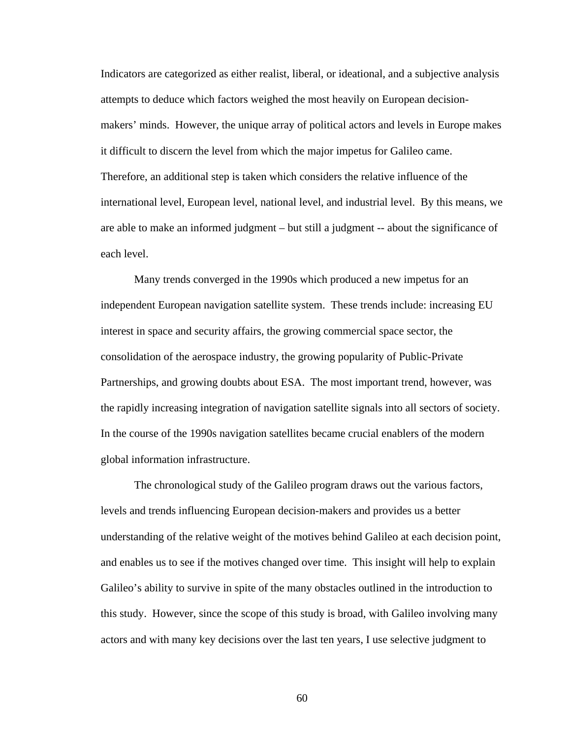Indicators are categorized as either realist, liberal, or ideational, and a subjective analysis attempts to deduce which factors weighed the most heavily on European decisionmakers' minds. However, the unique array of political actors and levels in Europe makes it difficult to discern the level from which the major impetus for Galileo came. Therefore, an additional step is taken which considers the relative influence of the international level, European level, national level, and industrial level. By this means, we are able to make an informed judgment – but still a judgment -- about the significance of each level.

Many trends converged in the 1990s which produced a new impetus for an independent European navigation satellite system. These trends include: increasing EU interest in space and security affairs, the growing commercial space sector, the consolidation of the aerospace industry, the growing popularity of Public-Private Partnerships, and growing doubts about ESA. The most important trend, however, was the rapidly increasing integration of navigation satellite signals into all sectors of society. In the course of the 1990s navigation satellites became crucial enablers of the modern global information infrastructure.

The chronological study of the Galileo program draws out the various factors, levels and trends influencing European decision-makers and provides us a better understanding of the relative weight of the motives behind Galileo at each decision point, and enables us to see if the motives changed over time. This insight will help to explain Galileo's ability to survive in spite of the many obstacles outlined in the introduction to this study. However, since the scope of this study is broad, with Galileo involving many actors and with many key decisions over the last ten years, I use selective judgment to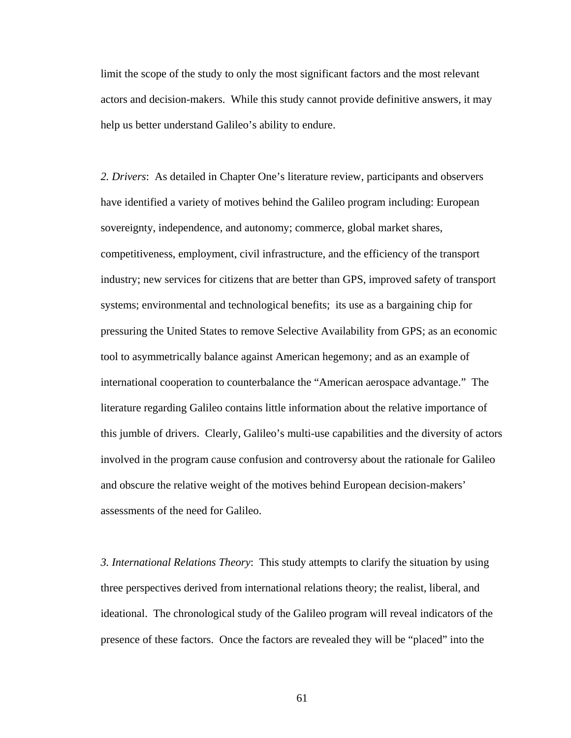limit the scope of the study to only the most significant factors and the most relevant actors and decision-makers. While this study cannot provide definitive answers, it may help us better understand Galileo's ability to endure.

*2. Drivers*: As detailed in Chapter One's literature review, participants and observers have identified a variety of motives behind the Galileo program including: European sovereignty, independence, and autonomy; commerce, global market shares, competitiveness, employment, civil infrastructure, and the efficiency of the transport industry; new services for citizens that are better than GPS, improved safety of transport systems; environmental and technological benefits; its use as a bargaining chip for pressuring the United States to remove Selective Availability from GPS; as an economic tool to asymmetrically balance against American hegemony; and as an example of international cooperation to counterbalance the "American aerospace advantage." The literature regarding Galileo contains little information about the relative importance of this jumble of drivers. Clearly, Galileo's multi-use capabilities and the diversity of actors involved in the program cause confusion and controversy about the rationale for Galileo and obscure the relative weight of the motives behind European decision-makers' assessments of the need for Galileo.

*3. International Relations Theory*: This study attempts to clarify the situation by using three perspectives derived from international relations theory; the realist, liberal, and ideational. The chronological study of the Galileo program will reveal indicators of the presence of these factors. Once the factors are revealed they will be "placed" into the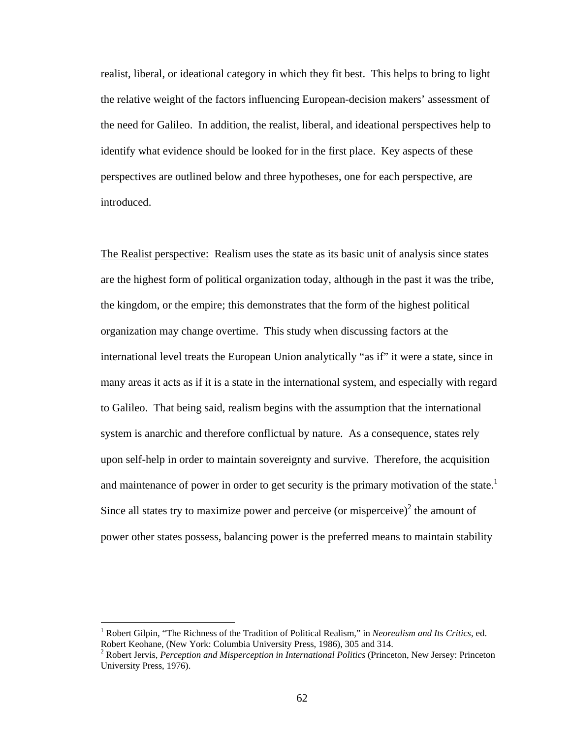realist, liberal, or ideational category in which they fit best. This helps to bring to light the relative weight of the factors influencing European-decision makers' assessment of the need for Galileo. In addition, the realist, liberal, and ideational perspectives help to identify what evidence should be looked for in the first place. Key aspects of these perspectives are outlined below and three hypotheses, one for each perspective, are introduced.

The Realist perspective: Realism uses the state as its basic unit of analysis since states are the highest form of political organization today, although in the past it was the tribe, the kingdom, or the empire; this demonstrates that the form of the highest political organization may change overtime. This study when discussing factors at the international level treats the European Union analytically "as if" it were a state, since in many areas it acts as if it is a state in the international system, and especially with regard to Galileo. That being said, realism begins with the assumption that the international system is anarchic and therefore conflictual by nature. As a consequence, states rely upon self-help in order to maintain sovereignty and survive. Therefore, the acquisition and maintenance of power in order to get security is the primary motivation of the state.<sup>1</sup> Since all states try to maximize power and perceive (or misperceive) $\epsilon$  the amount of power other states possess, balancing power is the preferred means to maintain stability

<sup>&</sup>lt;sup>1</sup> Robert Gilpin, "The Richness of the Tradition of Political Realism," in *Neorealism and Its Critics*, ed. Robert Keohane, (New York: Columbia University Press, 1986), 305 and 314.

<sup>2</sup> Robert Jervis, *Perception and Misperception in International Politics* (Princeton, New Jersey: Princeton University Press, 1976).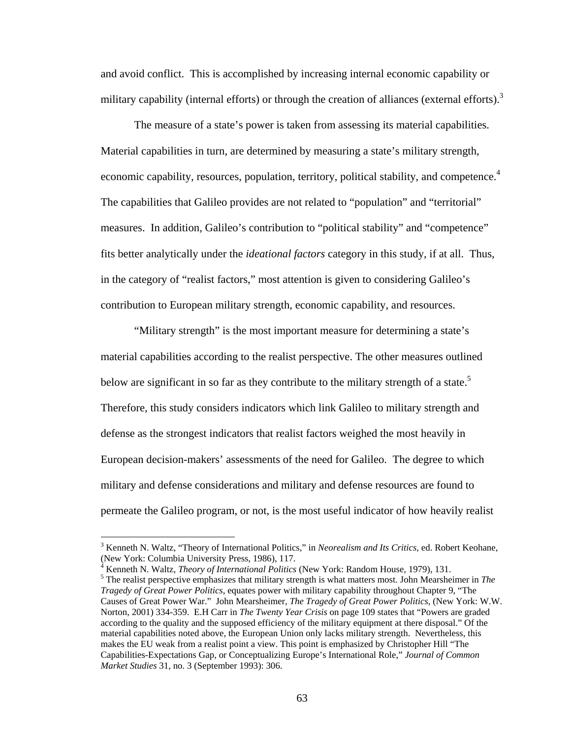and avoid conflict. This is accomplished by increasing internal economic capability or military capability (internal efforts) or through the creation of alliances (external efforts).<sup>3</sup>

 The measure of a state's power is taken from assessing its material capabilities. Material capabilities in turn, are determined by measuring a state's military strength, economic capability, resources, population, territory, political stability, and competence.<sup>4</sup> The capabilities that Galileo provides are not related to "population" and "territorial" measures. In addition, Galileo's contribution to "political stability" and "competence" fits better analytically under the *ideational factors* category in this study, if at all. Thus, in the category of "realist factors," most attention is given to considering Galileo's contribution to European military strength, economic capability, and resources.

"Military strength" is the most important measure for determining a state's material capabilities according to the realist perspective. The other measures outlined below are significant in so far as they contribute to the military strength of a state.<sup>5</sup> Therefore, this study considers indicators which link Galileo to military strength and defense as the strongest indicators that realist factors weighed the most heavily in European decision-makers' assessments of the need for Galileo. The degree to which military and defense considerations and military and defense resources are found to permeate the Galileo program, or not, is the most useful indicator of how heavily realist

<sup>3</sup> Kenneth N. Waltz, "Theory of International Politics," in *Neorealism and Its Critics*, ed. Robert Keohane, (New York: Columbia University Press, 1986), 117. 4

Kenneth N. Waltz, *Theory of International Politics* (New York: Random House, 1979), 131.

The realist perspective emphasizes that military strength is what matters most. John Mearsheimer in *The Tragedy of Great Power Politics*, equates power with military capability throughout Chapter 9, "The Causes of Great Power War." John Mearsheimer, *The Tragedy of Great Power Politics,* (New York: W.W. Norton, 2001) 334-359. E.H Carr in *The Twenty Year Crisis* on page 109 states that "Powers are graded according to the quality and the supposed efficiency of the military equipment at there disposal." Of the material capabilities noted above, the European Union only lacks military strength. Nevertheless, this makes the EU weak from a realist point a view. This point is emphasized by Christopher Hill "The Capabilities-Expectations Gap, or Conceptualizing Europe's International Role," *Journal of Common Market Studies* 31, no. 3 (September 1993): 306.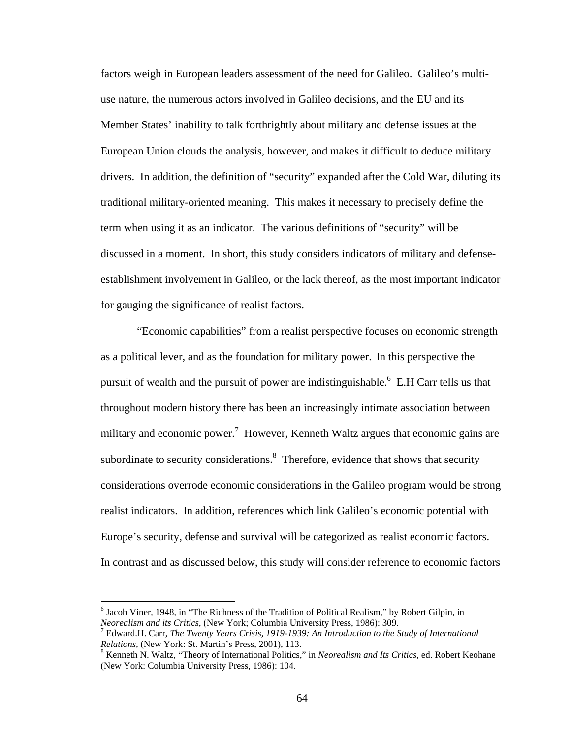factors weigh in European leaders assessment of the need for Galileo. Galileo's multiuse nature, the numerous actors involved in Galileo decisions, and the EU and its Member States' inability to talk forthrightly about military and defense issues at the European Union clouds the analysis, however, and makes it difficult to deduce military drivers. In addition, the definition of "security" expanded after the Cold War, diluting its traditional military-oriented meaning. This makes it necessary to precisely define the term when using it as an indicator. The various definitions of "security" will be discussed in a moment. In short, this study considers indicators of military and defenseestablishment involvement in Galileo, or the lack thereof, as the most important indicator for gauging the significance of realist factors.

 "Economic capabilities" from a realist perspective focuses on economic strength as a political lever, and as the foundation for military power. In this perspective the pursuit of wealth and the pursuit of power are indistinguishable.<sup>6</sup> E.H Carr tells us that throughout modern history there has been an increasingly intimate association between military and economic power.<sup>7</sup> However, Kenneth Waltz argues that economic gains are subordinate to security considerations. $8$  Therefore, evidence that shows that security considerations overrode economic considerations in the Galileo program would be strong realist indicators. In addition, references which link Galileo's economic potential with Europe's security, defense and survival will be categorized as realist economic factors. In contrast and as discussed below, this study will consider reference to economic factors

<sup>&</sup>lt;sup>6</sup> Jacob Viner, 1948, in "The Richness of the Tradition of Political Realism," by Robert Gilpin, in *Neorealism and its Critics*, (New York; Columbia University Press, 1986): 309.

Edward.H. Carr, *The Twenty Years Crisis, 1919-1939: An Introduction to the Study of International Relations,* (New York: St. Martin's Press, 2001), 113.

<sup>&</sup>lt;sup>8</sup> Kenneth N. Waltz, "Theory of International Politics," in *Neorealism and Its Critics*, ed. Robert Keohane (New York: Columbia University Press, 1986): 104.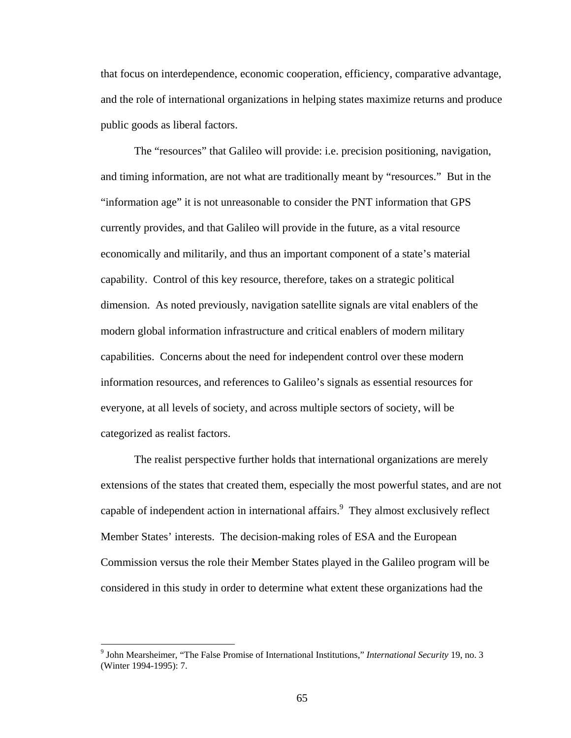that focus on interdependence, economic cooperation, efficiency, comparative advantage, and the role of international organizations in helping states maximize returns and produce public goods as liberal factors.

The "resources" that Galileo will provide: i.e. precision positioning, navigation, and timing information, are not what are traditionally meant by "resources." But in the "information age" it is not unreasonable to consider the PNT information that GPS currently provides, and that Galileo will provide in the future, as a vital resource economically and militarily, and thus an important component of a state's material capability. Control of this key resource, therefore, takes on a strategic political dimension. As noted previously, navigation satellite signals are vital enablers of the modern global information infrastructure and critical enablers of modern military capabilities. Concerns about the need for independent control over these modern information resources, and references to Galileo's signals as essential resources for everyone, at all levels of society, and across multiple sectors of society, will be categorized as realist factors.

The realist perspective further holds that international organizations are merely extensions of the states that created them, especially the most powerful states, and are not capable of independent action in international affairs. $9$  They almost exclusively reflect Member States' interests. The decision-making roles of ESA and the European Commission versus the role their Member States played in the Galileo program will be considered in this study in order to determine what extent these organizations had the

<sup>9</sup> John Mearsheimer, "The False Promise of International Institutions," *International Security* 19, no. 3 (Winter 1994-1995): 7.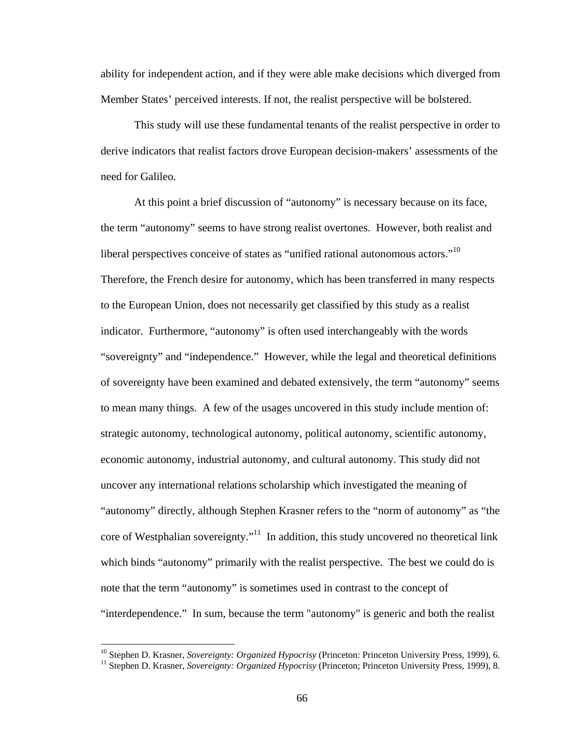ability for independent action, and if they were able make decisions which diverged from Member States' perceived interests. If not, the realist perspective will be bolstered.

This study will use these fundamental tenants of the realist perspective in order to derive indicators that realist factors drove European decision-makers' assessments of the need for Galileo.

At this point a brief discussion of "autonomy" is necessary because on its face, the term "autonomy" seems to have strong realist overtones. However, both realist and liberal perspectives conceive of states as "unified rational autonomous actors."<sup>10</sup> Therefore, the French desire for autonomy, which has been transferred in many respects to the European Union, does not necessarily get classified by this study as a realist indicator. Furthermore, "autonomy" is often used interchangeably with the words "sovereignty" and "independence." However, while the legal and theoretical definitions of sovereignty have been examined and debated extensively, the term "autonomy" seems to mean many things. A few of the usages uncovered in this study include mention of: strategic autonomy, technological autonomy, political autonomy, scientific autonomy, economic autonomy, industrial autonomy, and cultural autonomy. This study did not uncover any international relations scholarship which investigated the meaning of "autonomy" directly, although Stephen Krasner refers to the "norm of autonomy" as "the core of Westphalian sovereignty."<sup>11</sup> In addition, this study uncovered no theoretical link which binds "autonomy" primarily with the realist perspective. The best we could do is note that the term "autonomy" is sometimes used in contrast to the concept of "interdependence." In sum, because the term "autonomy" is generic and both the realist

<sup>&</sup>lt;sup>10</sup> Stephen D. Krasner, *Sovereignty: Organized Hypocrisy* (Princeton: Princeton University Press, 1999), 6.<br><sup>11</sup> Stephen D. Krasner, *Sovereignty: Organized Hypocrisy* (Princeton; Princeton University Press, 1999), 8.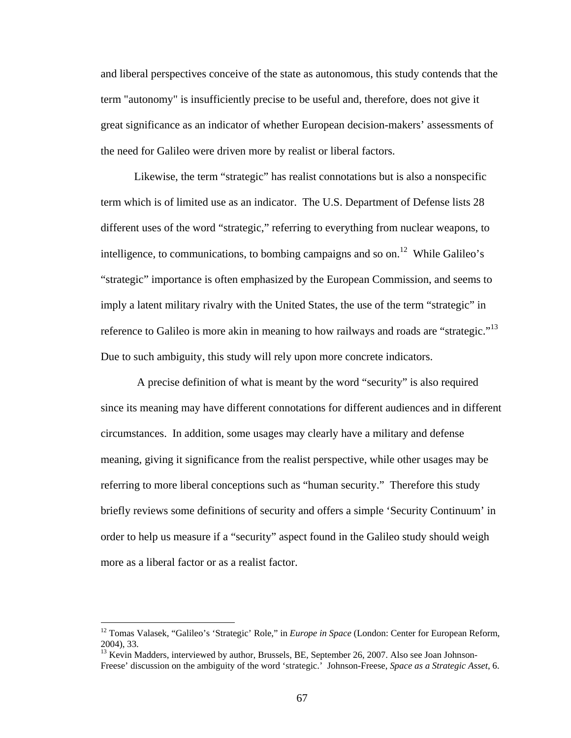and liberal perspectives conceive of the state as autonomous, this study contends that the term "autonomy" is insufficiently precise to be useful and, therefore, does not give it great significance as an indicator of whether European decision-makers' assessments of the need for Galileo were driven more by realist or liberal factors.

Likewise, the term "strategic" has realist connotations but is also a nonspecific term which is of limited use as an indicator. The U.S. Department of Defense lists 28 different uses of the word "strategic," referring to everything from nuclear weapons, to intelligence, to communications, to bombing campaigns and so on.<sup>12</sup> While Galileo's "strategic" importance is often emphasized by the European Commission, and seems to imply a latent military rivalry with the United States, the use of the term "strategic" in reference to Galileo is more akin in meaning to how railways and roads are "strategic."<sup>13</sup> Due to such ambiguity, this study will rely upon more concrete indicators.

 A precise definition of what is meant by the word "security" is also required since its meaning may have different connotations for different audiences and in different circumstances. In addition, some usages may clearly have a military and defense meaning, giving it significance from the realist perspective, while other usages may be referring to more liberal conceptions such as "human security." Therefore this study briefly reviews some definitions of security and offers a simple 'Security Continuum' in order to help us measure if a "security" aspect found in the Galileo study should weigh more as a liberal factor or as a realist factor.

<u>.</u>

<sup>&</sup>lt;sup>12</sup> Tomas Valasek, "Galileo's 'Strategic' Role," in *Europe in Space* (London: Center for European Reform, 2004), 33.

<sup>&</sup>lt;sup>13</sup> Kevin Madders, interviewed by author, Brussels, BE, September 26, 2007. Also see Joan Johnson-Freese' discussion on the ambiguity of the word 'strategic.' Johnson-Freese, *Space as a Strategic Asset*, 6.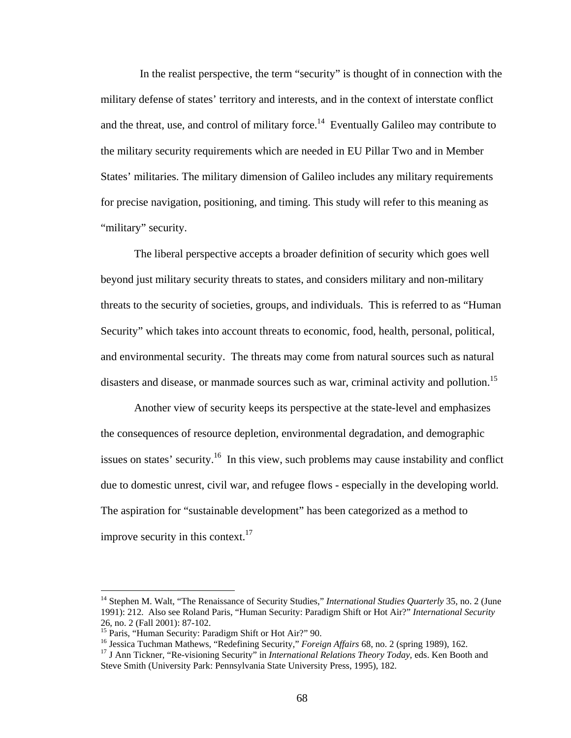In the realist perspective, the term "security" is thought of in connection with the military defense of states' territory and interests, and in the context of interstate conflict and the threat, use, and control of military force.<sup>14</sup> Eventually Galileo may contribute to the military security requirements which are needed in EU Pillar Two and in Member States' militaries. The military dimension of Galileo includes any military requirements for precise navigation, positioning, and timing. This study will refer to this meaning as "military" security.

The liberal perspective accepts a broader definition of security which goes well beyond just military security threats to states, and considers military and non-military threats to the security of societies, groups, and individuals. This is referred to as "Human Security" which takes into account threats to economic, food, health, personal, political, and environmental security. The threats may come from natural sources such as natural disasters and disease, or manmade sources such as war, criminal activity and pollution.<sup>15</sup>

Another view of security keeps its perspective at the state-level and emphasizes the consequences of resource depletion, environmental degradation, and demographic issues on states' security.16 In this view, such problems may cause instability and conflict due to domestic unrest, civil war, and refugee flows - especially in the developing world. The aspiration for "sustainable development" has been categorized as a method to improve security in this context. $17$ 

<u>.</u>

<sup>&</sup>lt;sup>14</sup> Stephen M. Walt, "The Renaissance of Security Studies," *International Studies Quarterly* 35, no. 2 (June 1991): 212. Also see Roland Paris, "Human Security: Paradigm Shift or Hot Air?" *International Security* 26, no. 2 (Fall 2001): 87-102.

<sup>15</sup> Paris, "Human Security: Paradigm Shift or Hot Air?" 90.<br><sup>15</sup> Paris, "Human Security: Paradigm Shift or Hot Air?" 90.<br><sup>16</sup> Jessica Tuchman Mathews, "Redefining Security," *Foreign Affairs* 68, no. 2 (spring 1989), 162.

<sup>&</sup>lt;sup>17</sup> J Ann Tickner, "Re-visioning Security" in *International Relations Theory Today*, eds. Ken Booth and Steve Smith (University Park: Pennsylvania State University Press, 1995), 182.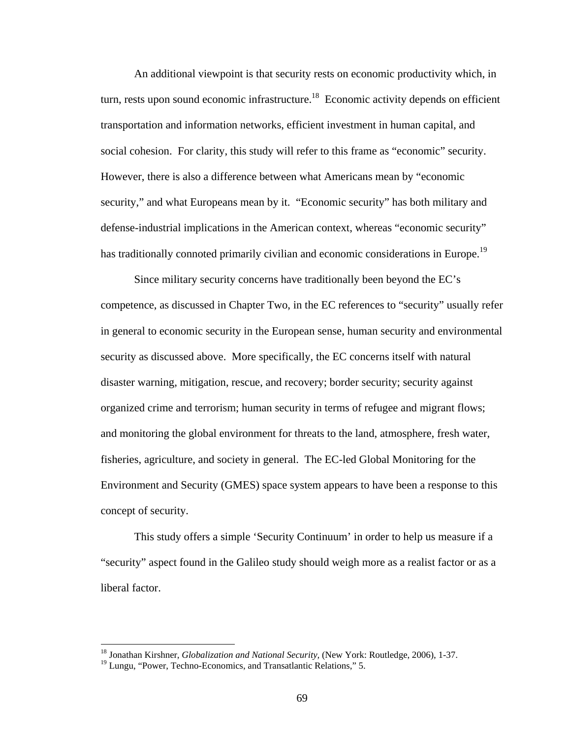An additional viewpoint is that security rests on economic productivity which, in turn, rests upon sound economic infrastructure.<sup>18</sup> Economic activity depends on efficient transportation and information networks, efficient investment in human capital, and social cohesion. For clarity, this study will refer to this frame as "economic" security. However, there is also a difference between what Americans mean by "economic security," and what Europeans mean by it. "Economic security" has both military and defense-industrial implications in the American context, whereas "economic security" has traditionally connoted primarily civilian and economic considerations in Europe.<sup>19</sup>

Since military security concerns have traditionally been beyond the EC's competence, as discussed in Chapter Two, in the EC references to "security" usually refer in general to economic security in the European sense, human security and environmental security as discussed above. More specifically, the EC concerns itself with natural disaster warning, mitigation, rescue, and recovery; border security; security against organized crime and terrorism; human security in terms of refugee and migrant flows; and monitoring the global environment for threats to the land, atmosphere, fresh water, fisheries, agriculture, and society in general. The EC-led Global Monitoring for the Environment and Security (GMES) space system appears to have been a response to this concept of security.

 This study offers a simple 'Security Continuum' in order to help us measure if a "security" aspect found in the Galileo study should weigh more as a realist factor or as a liberal factor.

<sup>18</sup> Jonathan Kirshner, *Globalization and National Security,* (New York: Routledge, 2006), 1-37.

<sup>&</sup>lt;sup>19</sup> Lungu, "Power, Techno-Economics, and Transatlantic Relations," 5.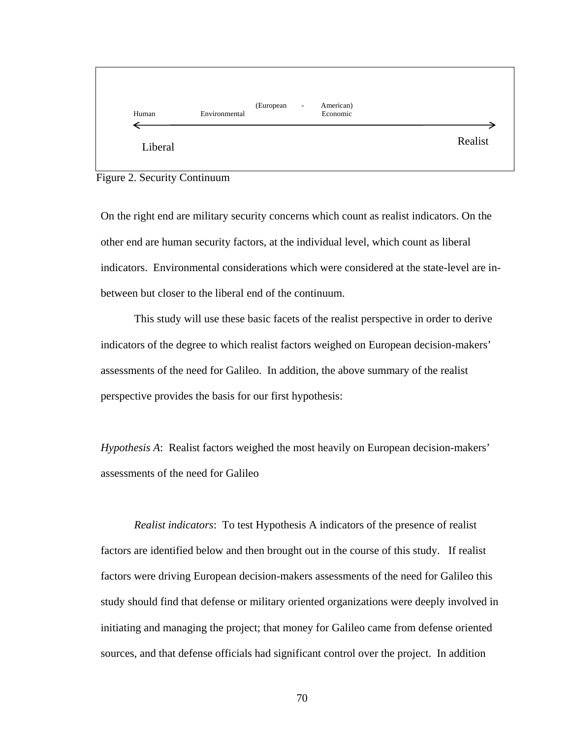

Figure 2. Security Continuum

On the right end are military security concerns which count as realist indicators. On the other end are human security factors, at the individual level, which count as liberal indicators. Environmental considerations which were considered at the state-level are inbetween but closer to the liberal end of the continuum.

 This study will use these basic facets of the realist perspective in order to derive indicators of the degree to which realist factors weighed on European decision-makers' assessments of the need for Galileo. In addition, the above summary of the realist perspective provides the basis for our first hypothesis:

*Hypothesis A*: Realist factors weighed the most heavily on European decision-makers' assessments of the need for Galileo

*Realist indicators*: To test Hypothesis A indicators of the presence of realist factors are identified below and then brought out in the course of this study. If realist factors were driving European decision-makers assessments of the need for Galileo this study should find that defense or military oriented organizations were deeply involved in initiating and managing the project; that money for Galileo came from defense oriented sources, and that defense officials had significant control over the project. In addition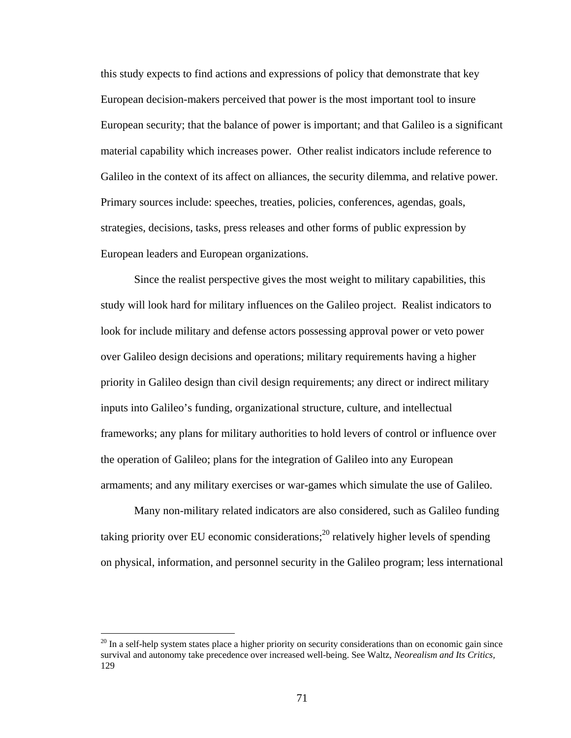this study expects to find actions and expressions of policy that demonstrate that key European decision-makers perceived that power is the most important tool to insure European security; that the balance of power is important; and that Galileo is a significant material capability which increases power. Other realist indicators include reference to Galileo in the context of its affect on alliances, the security dilemma, and relative power. Primary sources include: speeches, treaties, policies, conferences, agendas, goals, strategies, decisions, tasks, press releases and other forms of public expression by European leaders and European organizations.

Since the realist perspective gives the most weight to military capabilities, this study will look hard for military influences on the Galileo project. Realist indicators to look for include military and defense actors possessing approval power or veto power over Galileo design decisions and operations; military requirements having a higher priority in Galileo design than civil design requirements; any direct or indirect military inputs into Galileo's funding, organizational structure, culture, and intellectual frameworks; any plans for military authorities to hold levers of control or influence over the operation of Galileo; plans for the integration of Galileo into any European armaments; and any military exercises or war-games which simulate the use of Galileo.

Many non-military related indicators are also considered, such as Galileo funding taking priority over EU economic considerations; $^{20}$  relatively higher levels of spending on physical, information, and personnel security in the Galileo program; less international

 $^{20}$  In a self-help system states place a higher priority on security considerations than on economic gain since survival and autonomy take precedence over increased well-being. See Waltz, *Neorealism and Its Critics,* 129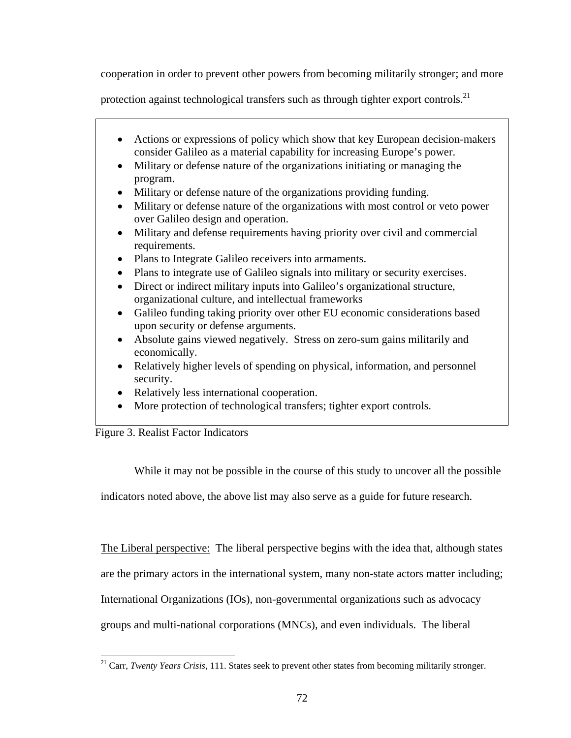cooperation in order to prevent other powers from becoming militarily stronger; and more

protection against technological transfers such as through tighter export controls.<sup>21</sup>

- Actions or expressions of policy which show that key European decision-makers consider Galileo as a material capability for increasing Europe's power.
- Military or defense nature of the organizations initiating or managing the program.
- Military or defense nature of the organizations providing funding.
- Military or defense nature of the organizations with most control or veto power over Galileo design and operation.
- Military and defense requirements having priority over civil and commercial requirements.
- Plans to Integrate Galileo receivers into armaments.
- Plans to integrate use of Galileo signals into military or security exercises.
- Direct or indirect military inputs into Galileo's organizational structure, organizational culture, and intellectual frameworks
- Galileo funding taking priority over other EU economic considerations based upon security or defense arguments.
- Absolute gains viewed negatively. Stress on zero-sum gains militarily and economically.
- Relatively higher levels of spending on physical, information, and personnel security.
- Relatively less international cooperation.
- More protection of technological transfers; tighter export controls.



While it may not be possible in the course of this study to uncover all the possible

indicators noted above, the above list may also serve as a guide for future research.

The Liberal perspective: The liberal perspective begins with the idea that, although states are the primary actors in the international system, many non-state actors matter including; International Organizations (IOs), non-governmental organizations such as advocacy groups and multi-national corporations (MNCs), and even individuals. The liberal

 $\overline{a}$ 21 Carr, *Twenty Years Crisis*, 111. States seek to prevent other states from becoming militarily stronger.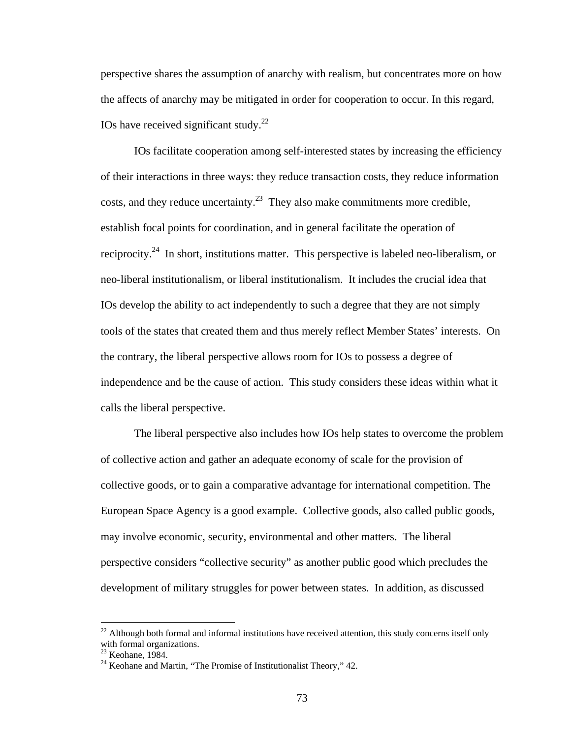perspective shares the assumption of anarchy with realism, but concentrates more on how the affects of anarchy may be mitigated in order for cooperation to occur. In this regard, IOs have received significant study. $^{22}$ 

IOs facilitate cooperation among self-interested states by increasing the efficiency of their interactions in three ways: they reduce transaction costs, they reduce information costs, and they reduce uncertainty.<sup>23</sup> They also make commitments more credible, establish focal points for coordination, and in general facilitate the operation of reciprocity.<sup>24</sup> In short, institutions matter. This perspective is labeled neo-liberalism, or neo-liberal institutionalism, or liberal institutionalism. It includes the crucial idea that IOs develop the ability to act independently to such a degree that they are not simply tools of the states that created them and thus merely reflect Member States' interests. On the contrary, the liberal perspective allows room for IOs to possess a degree of independence and be the cause of action. This study considers these ideas within what it calls the liberal perspective.

The liberal perspective also includes how IOs help states to overcome the problem of collective action and gather an adequate economy of scale for the provision of collective goods, or to gain a comparative advantage for international competition. The European Space Agency is a good example. Collective goods, also called public goods, may involve economic, security, environmental and other matters. The liberal perspective considers "collective security" as another public good which precludes the development of military struggles for power between states. In addition, as discussed

 $^{22}$  Although both formal and informal institutions have received attention, this study concerns itself only with formal organizations.

<sup>23</sup> Keohane, 1984.

 $24$  Keohane and Martin, "The Promise of Institutionalist Theory," 42.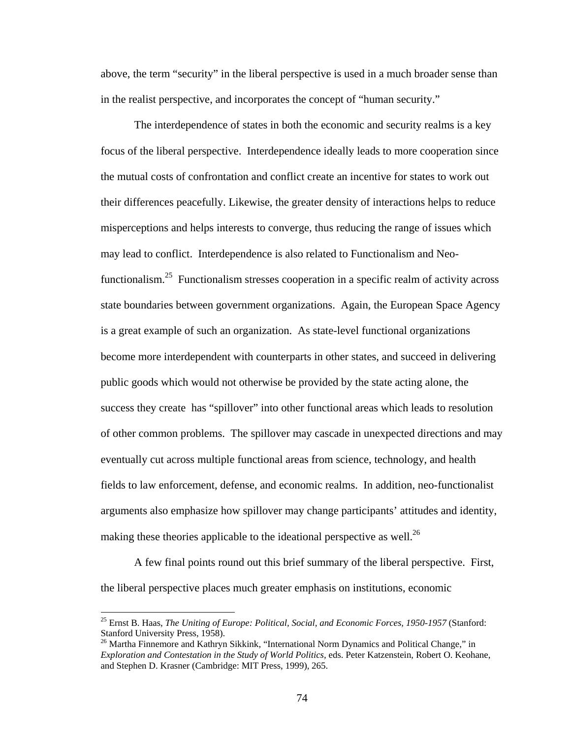above, the term "security" in the liberal perspective is used in a much broader sense than in the realist perspective, and incorporates the concept of "human security."

The interdependence of states in both the economic and security realms is a key focus of the liberal perspective. Interdependence ideally leads to more cooperation since the mutual costs of confrontation and conflict create an incentive for states to work out their differences peacefully. Likewise, the greater density of interactions helps to reduce misperceptions and helps interests to converge, thus reducing the range of issues which may lead to conflict. Interdependence is also related to Functionalism and Neofunctionalism.<sup>25</sup> Functionalism stresses cooperation in a specific realm of activity across state boundaries between government organizations. Again, the European Space Agency is a great example of such an organization. As state-level functional organizations become more interdependent with counterparts in other states, and succeed in delivering public goods which would not otherwise be provided by the state acting alone, the success they create has "spillover" into other functional areas which leads to resolution of other common problems. The spillover may cascade in unexpected directions and may eventually cut across multiple functional areas from science, technology, and health fields to law enforcement, defense, and economic realms. In addition, neo-functionalist arguments also emphasize how spillover may change participants' attitudes and identity, making these theories applicable to the ideational perspective as well.<sup>26</sup>

A few final points round out this brief summary of the liberal perspective. First, the liberal perspective places much greater emphasis on institutions, economic

<sup>25</sup> Ernst B. Haas, *The Uniting of Europe: Political, Social, and Economic Forces, 1950-1957* (Stanford: Stanford University Press, 1958).

<sup>&</sup>lt;sup>26</sup> Martha Finnemore and Kathryn Sikkink, "International Norm Dynamics and Political Change," in *Exploration and Contestation in the Study of World Politics,* eds. Peter Katzenstein, Robert O. Keohane, and Stephen D. Krasner (Cambridge: MIT Press, 1999), 265.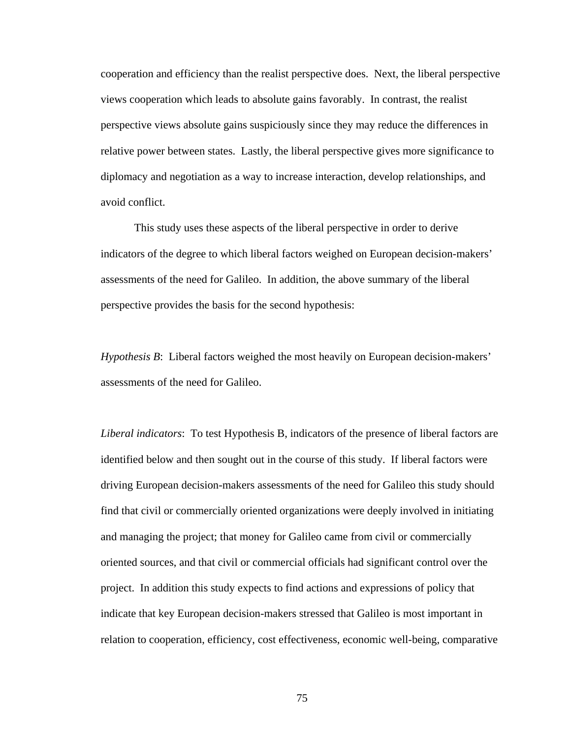cooperation and efficiency than the realist perspective does. Next, the liberal perspective views cooperation which leads to absolute gains favorably. In contrast, the realist perspective views absolute gains suspiciously since they may reduce the differences in relative power between states. Lastly, the liberal perspective gives more significance to diplomacy and negotiation as a way to increase interaction, develop relationships, and avoid conflict.

 This study uses these aspects of the liberal perspective in order to derive indicators of the degree to which liberal factors weighed on European decision-makers' assessments of the need for Galileo. In addition, the above summary of the liberal perspective provides the basis for the second hypothesis:

*Hypothesis B*: Liberal factors weighed the most heavily on European decision-makers' assessments of the need for Galileo.

*Liberal indicators*: To test Hypothesis B, indicators of the presence of liberal factors are identified below and then sought out in the course of this study. If liberal factors were driving European decision-makers assessments of the need for Galileo this study should find that civil or commercially oriented organizations were deeply involved in initiating and managing the project; that money for Galileo came from civil or commercially oriented sources, and that civil or commercial officials had significant control over the project. In addition this study expects to find actions and expressions of policy that indicate that key European decision-makers stressed that Galileo is most important in relation to cooperation, efficiency, cost effectiveness, economic well-being, comparative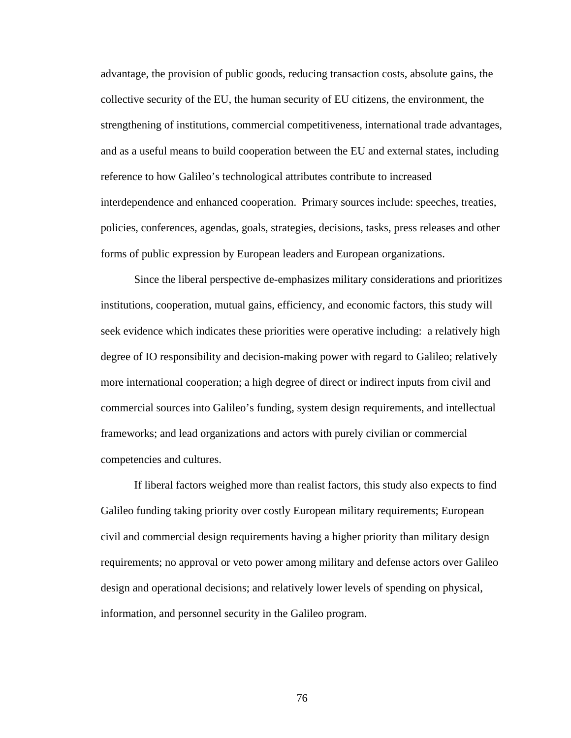advantage, the provision of public goods, reducing transaction costs, absolute gains, the collective security of the EU, the human security of EU citizens, the environment, the strengthening of institutions, commercial competitiveness, international trade advantages, and as a useful means to build cooperation between the EU and external states, including reference to how Galileo's technological attributes contribute to increased interdependence and enhanced cooperation. Primary sources include: speeches, treaties, policies, conferences, agendas, goals, strategies, decisions, tasks, press releases and other forms of public expression by European leaders and European organizations.

Since the liberal perspective de-emphasizes military considerations and prioritizes institutions, cooperation, mutual gains, efficiency, and economic factors, this study will seek evidence which indicates these priorities were operative including: a relatively high degree of IO responsibility and decision-making power with regard to Galileo; relatively more international cooperation; a high degree of direct or indirect inputs from civil and commercial sources into Galileo's funding, system design requirements, and intellectual frameworks; and lead organizations and actors with purely civilian or commercial competencies and cultures.

If liberal factors weighed more than realist factors, this study also expects to find Galileo funding taking priority over costly European military requirements; European civil and commercial design requirements having a higher priority than military design requirements; no approval or veto power among military and defense actors over Galileo design and operational decisions; and relatively lower levels of spending on physical, information, and personnel security in the Galileo program.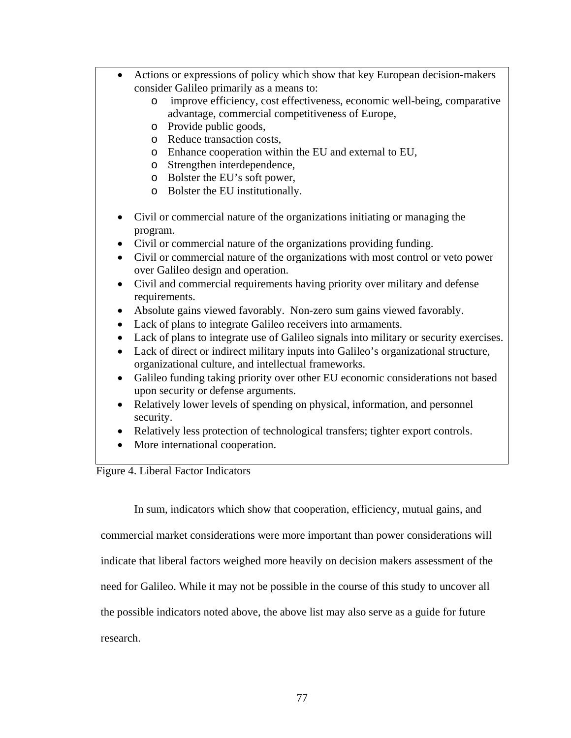• Actions or expressions of policy which show that key European decision-makers consider Galileo primarily as a means to: o improve efficiency, cost effectiveness, economic well-being, comparative advantage, commercial competitiveness of Europe, o Provide public goods, o Reduce transaction costs, o Enhance cooperation within the EU and external to EU, o Strengthen interdependence, o Bolster the EU's soft power, o Bolster the EU institutionally. • Civil or commercial nature of the organizations initiating or managing the program. • Civil or commercial nature of the organizations providing funding. • Civil or commercial nature of the organizations with most control or veto power over Galileo design and operation. • Civil and commercial requirements having priority over military and defense requirements. • Absolute gains viewed favorably. Non-zero sum gains viewed favorably. • Lack of plans to integrate Galileo receivers into armaments. • Lack of plans to integrate use of Galileo signals into military or security exercises. • Lack of direct or indirect military inputs into Galileo's organizational structure, organizational culture, and intellectual frameworks. • Galileo funding taking priority over other EU economic considerations not based upon security or defense arguments. • Relatively lower levels of spending on physical, information, and personnel security. • Relatively less protection of technological transfers; tighter export controls. • More international cooperation. Figure 4. Liberal Factor Indicators

In sum, indicators which show that cooperation, efficiency, mutual gains, and

commercial market considerations were more important than power considerations will indicate that liberal factors weighed more heavily on decision makers assessment of the need for Galileo. While it may not be possible in the course of this study to uncover all the possible indicators noted above, the above list may also serve as a guide for future research.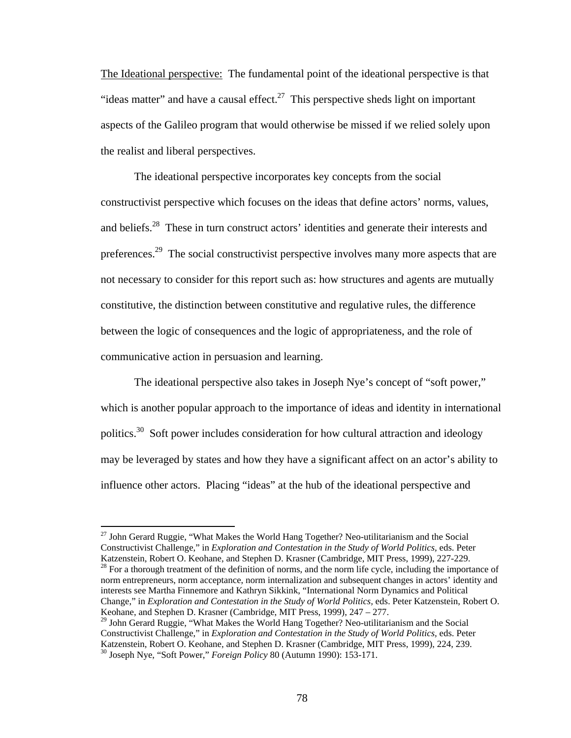The Ideational perspective: The fundamental point of the ideational perspective is that "ideas matter" and have a causal effect.<sup>27</sup> This perspective sheds light on important aspects of the Galileo program that would otherwise be missed if we relied solely upon the realist and liberal perspectives.

The ideational perspective incorporates key concepts from the social constructivist perspective which focuses on the ideas that define actors' norms, values, and beliefs.28 These in turn construct actors' identities and generate their interests and preferences.<sup>29</sup> The social constructivist perspective involves many more aspects that are not necessary to consider for this report such as: how structures and agents are mutually constitutive, the distinction between constitutive and regulative rules, the difference between the logic of consequences and the logic of appropriateness, and the role of communicative action in persuasion and learning.

The ideational perspective also takes in Joseph Nye's concept of "soft power," which is another popular approach to the importance of ideas and identity in international politics.<sup>30</sup> Soft power includes consideration for how cultural attraction and ideology may be leveraged by states and how they have a significant affect on an actor's ability to influence other actors. Placing "ideas" at the hub of the ideational perspective and

 $\overline{a}$ 

 $^{28}$  For a thorough treatment of the definition of norms, and the norm life cycle, including the importance of norm entrepreneurs, norm acceptance, norm internalization and subsequent changes in actors' identity and interests see Martha Finnemore and Kathryn Sikkink, "International Norm Dynamics and Political Change," in *Exploration and Contestation in the Study of World Politics,* eds. Peter Katzenstein, Robert O. Keohane, and Stephen D. Krasner (Cambridge, MIT Press, 1999), 247 – 277.

 $27$  John Gerard Ruggie, "What Makes the World Hang Together? Neo-utilitarianism and the Social Constructivist Challenge," in *Exploration and Contestation in the Study of World Politics,* eds. Peter Katzenstein, Robert O. Keohane, and Stephen D. Krasner (Cambridge, MIT Press, 1999), 227-229.

<sup>&</sup>lt;sup>29</sup> John Gerard Ruggie, "What Makes the World Hang Together? Neo-utilitarianism and the Social Constructivist Challenge," in *Exploration and Contestation in the Study of World Politics,* eds. Peter Katzenstein, Robert O. Keohane, and Stephen D. Krasner (Cambridge, MIT Press, 1999), 224, 239. 30 Joseph Nye, "Soft Power," *Foreign Policy* 80 (Autumn 1990): 153-171.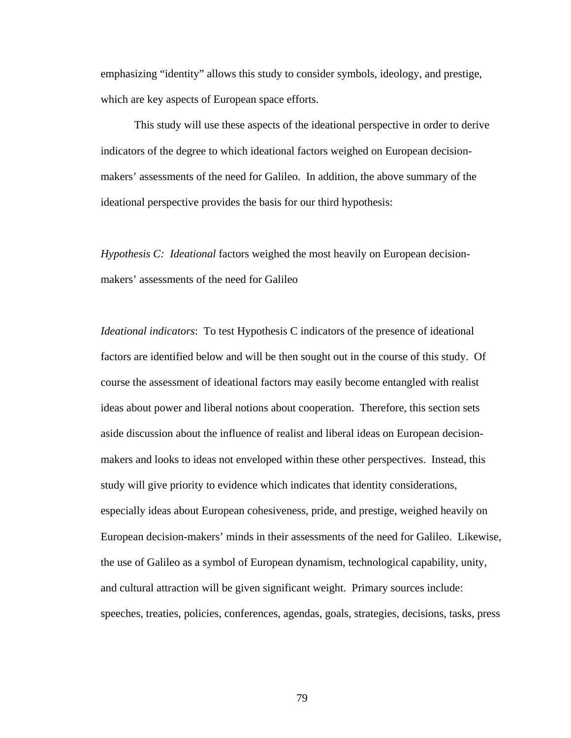emphasizing "identity" allows this study to consider symbols, ideology, and prestige, which are key aspects of European space efforts.

This study will use these aspects of the ideational perspective in order to derive indicators of the degree to which ideational factors weighed on European decisionmakers' assessments of the need for Galileo. In addition, the above summary of the ideational perspective provides the basis for our third hypothesis:

*Hypothesis C: Ideational* factors weighed the most heavily on European decisionmakers' assessments of the need for Galileo

*Ideational indicators*: To test Hypothesis C indicators of the presence of ideational factors are identified below and will be then sought out in the course of this study. Of course the assessment of ideational factors may easily become entangled with realist ideas about power and liberal notions about cooperation. Therefore, this section sets aside discussion about the influence of realist and liberal ideas on European decisionmakers and looks to ideas not enveloped within these other perspectives. Instead, this study will give priority to evidence which indicates that identity considerations, especially ideas about European cohesiveness, pride, and prestige, weighed heavily on European decision-makers' minds in their assessments of the need for Galileo. Likewise, the use of Galileo as a symbol of European dynamism, technological capability, unity, and cultural attraction will be given significant weight. Primary sources include: speeches, treaties, policies, conferences, agendas, goals, strategies, decisions, tasks, press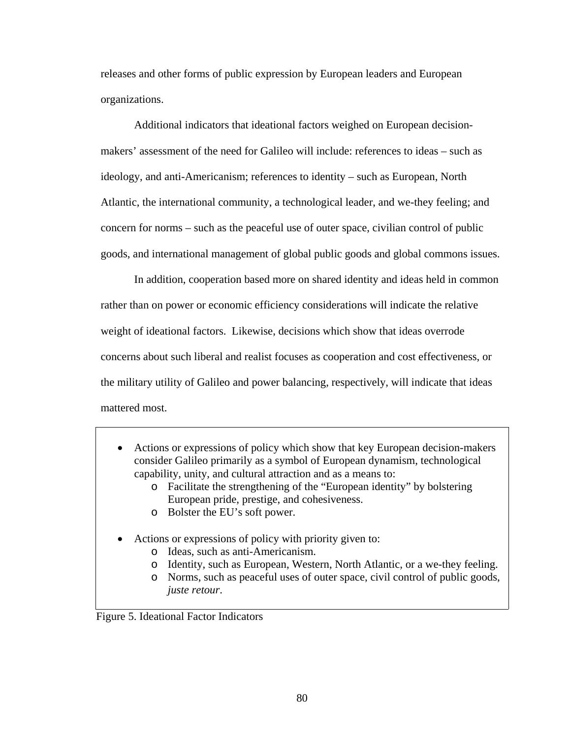releases and other forms of public expression by European leaders and European organizations.

Additional indicators that ideational factors weighed on European decisionmakers' assessment of the need for Galileo will include: references to ideas – such as ideology, and anti-Americanism; references to identity – such as European, North Atlantic, the international community, a technological leader, and we-they feeling; and concern for norms – such as the peaceful use of outer space, civilian control of public goods, and international management of global public goods and global commons issues.

In addition, cooperation based more on shared identity and ideas held in common rather than on power or economic efficiency considerations will indicate the relative weight of ideational factors. Likewise, decisions which show that ideas overrode concerns about such liberal and realist focuses as cooperation and cost effectiveness, or the military utility of Galileo and power balancing, respectively, will indicate that ideas mattered most.

- Actions or expressions of policy which show that key European decision-makers consider Galileo primarily as a symbol of European dynamism, technological capability, unity, and cultural attraction and as a means to:
	- o Facilitate the strengthening of the "European identity" by bolstering European pride, prestige, and cohesiveness.
	- o Bolster the EU's soft power.
- Actions or expressions of policy with priority given to:
	- o Ideas, such as anti-Americanism.
	- o Identity, such as European, Western, North Atlantic, or a we-they feeling.
	- o Norms, such as peaceful uses of outer space, civil control of public goods, *juste retour*.

Figure 5. Ideational Factor Indicators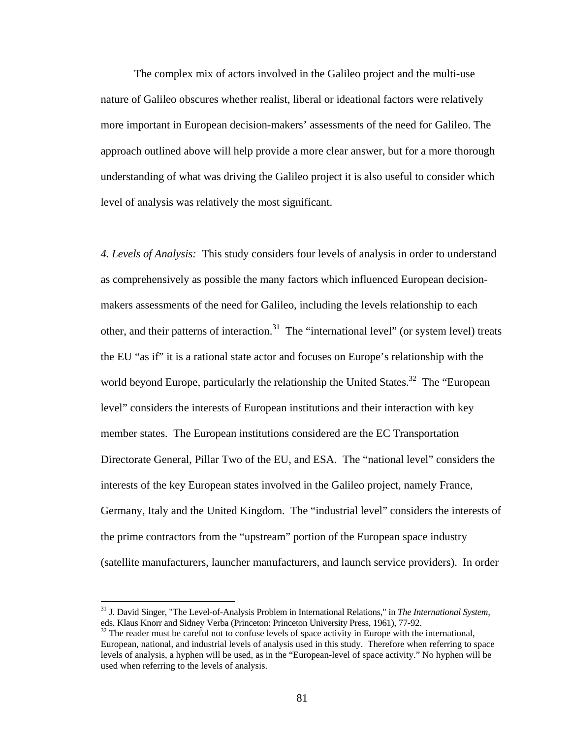The complex mix of actors involved in the Galileo project and the multi-use nature of Galileo obscures whether realist, liberal or ideational factors were relatively more important in European decision-makers' assessments of the need for Galileo. The approach outlined above will help provide a more clear answer, but for a more thorough understanding of what was driving the Galileo project it is also useful to consider which level of analysis was relatively the most significant.

*4. Levels of Analysis:* This study considers four levels of analysis in order to understand as comprehensively as possible the many factors which influenced European decisionmakers assessments of the need for Galileo, including the levels relationship to each other, and their patterns of interaction.<sup>31</sup> The "international level" (or system level) treats the EU "as if" it is a rational state actor and focuses on Europe's relationship with the world beyond Europe, particularly the relationship the United States.<sup>32</sup> The "European" level" considers the interests of European institutions and their interaction with key member states. The European institutions considered are the EC Transportation Directorate General, Pillar Two of the EU, and ESA. The "national level" considers the interests of the key European states involved in the Galileo project, namely France, Germany, Italy and the United Kingdom. The "industrial level" considers the interests of the prime contractors from the "upstream" portion of the European space industry (satellite manufacturers, launcher manufacturers, and launch service providers). In order

<sup>31</sup> J. David Singer, "The Level-of-Analysis Problem in International Relations," in *The International System,*  eds. Klaus Knorr and Sidney Verba (Princeton: Princeton University Press, 1961), 77-92.

 $32$  The reader must be careful not to confuse levels of space activity in Europe with the international, European, national, and industrial levels of analysis used in this study. Therefore when referring to space levels of analysis, a hyphen will be used, as in the "European-level of space activity." No hyphen will be used when referring to the levels of analysis.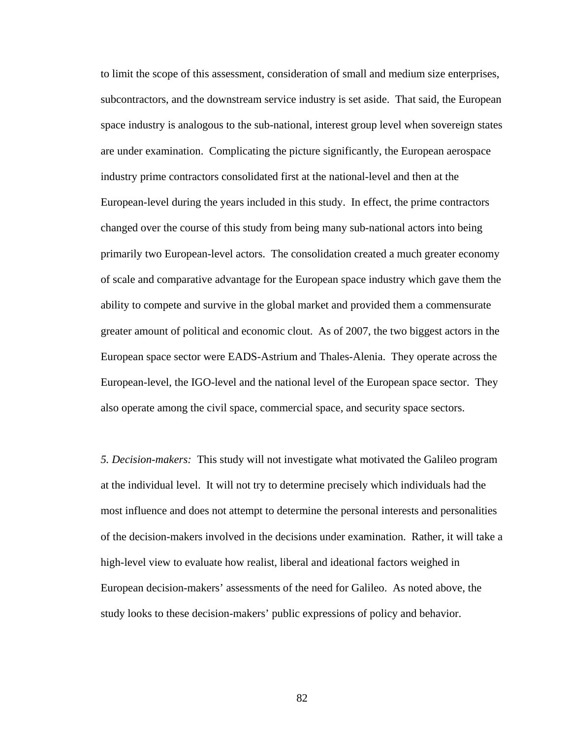to limit the scope of this assessment, consideration of small and medium size enterprises, subcontractors, and the downstream service industry is set aside. That said, the European space industry is analogous to the sub-national, interest group level when sovereign states are under examination. Complicating the picture significantly, the European aerospace industry prime contractors consolidated first at the national-level and then at the European-level during the years included in this study. In effect, the prime contractors changed over the course of this study from being many sub-national actors into being primarily two European-level actors. The consolidation created a much greater economy of scale and comparative advantage for the European space industry which gave them the ability to compete and survive in the global market and provided them a commensurate greater amount of political and economic clout. As of 2007, the two biggest actors in the European space sector were EADS-Astrium and Thales-Alenia. They operate across the European-level, the IGO-level and the national level of the European space sector. They also operate among the civil space, commercial space, and security space sectors.

*5. Decision-makers:* This study will not investigate what motivated the Galileo program at the individual level. It will not try to determine precisely which individuals had the most influence and does not attempt to determine the personal interests and personalities of the decision-makers involved in the decisions under examination. Rather, it will take a high-level view to evaluate how realist, liberal and ideational factors weighed in European decision-makers' assessments of the need for Galileo. As noted above, the study looks to these decision-makers' public expressions of policy and behavior.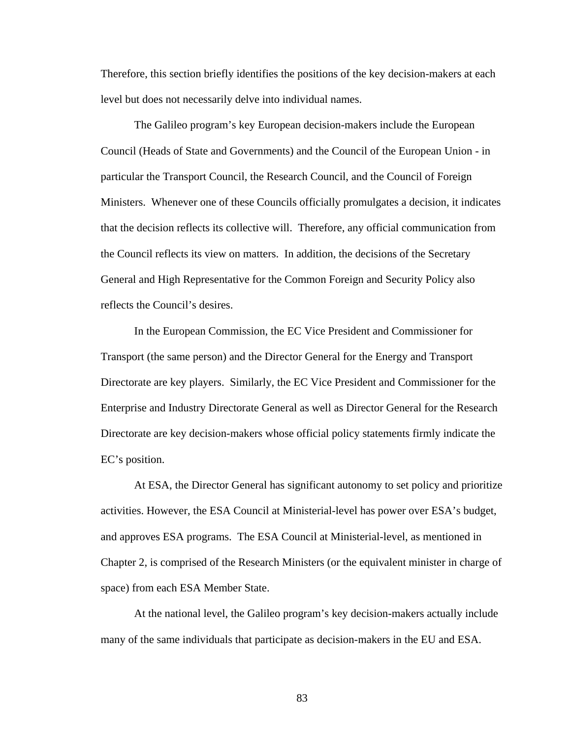Therefore, this section briefly identifies the positions of the key decision-makers at each level but does not necessarily delve into individual names.

The Galileo program's key European decision-makers include the European Council (Heads of State and Governments) and the Council of the European Union - in particular the Transport Council, the Research Council, and the Council of Foreign Ministers. Whenever one of these Councils officially promulgates a decision, it indicates that the decision reflects its collective will. Therefore, any official communication from the Council reflects its view on matters. In addition, the decisions of the Secretary General and High Representative for the Common Foreign and Security Policy also reflects the Council's desires.

In the European Commission, the EC Vice President and Commissioner for Transport (the same person) and the Director General for the Energy and Transport Directorate are key players. Similarly, the EC Vice President and Commissioner for the Enterprise and Industry Directorate General as well as Director General for the Research Directorate are key decision-makers whose official policy statements firmly indicate the EC's position.

 At ESA, the Director General has significant autonomy to set policy and prioritize activities. However, the ESA Council at Ministerial-level has power over ESA's budget, and approves ESA programs. The ESA Council at Ministerial-level, as mentioned in Chapter 2, is comprised of the Research Ministers (or the equivalent minister in charge of space) from each ESA Member State.

 At the national level, the Galileo program's key decision-makers actually include many of the same individuals that participate as decision-makers in the EU and ESA.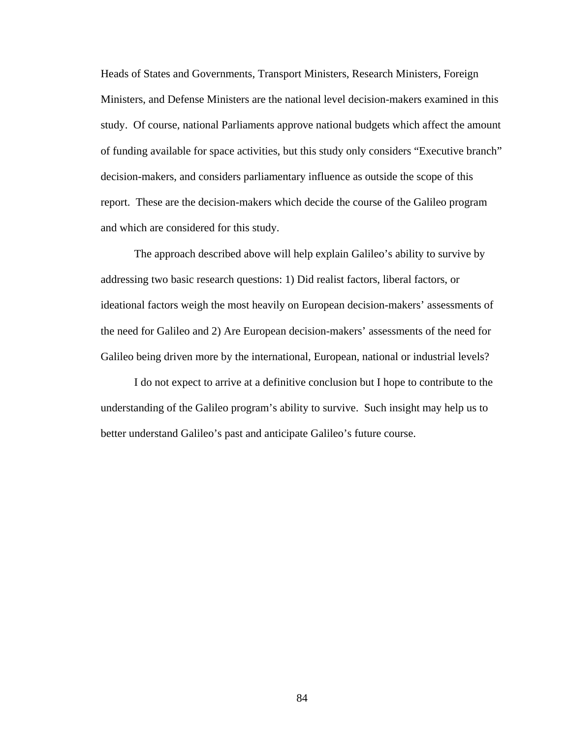Heads of States and Governments, Transport Ministers, Research Ministers, Foreign Ministers, and Defense Ministers are the national level decision-makers examined in this study. Of course, national Parliaments approve national budgets which affect the amount of funding available for space activities, but this study only considers "Executive branch" decision-makers, and considers parliamentary influence as outside the scope of this report. These are the decision-makers which decide the course of the Galileo program and which are considered for this study.

The approach described above will help explain Galileo's ability to survive by addressing two basic research questions: 1) Did realist factors, liberal factors, or ideational factors weigh the most heavily on European decision-makers' assessments of the need for Galileo and 2) Are European decision-makers' assessments of the need for Galileo being driven more by the international, European, national or industrial levels?

I do not expect to arrive at a definitive conclusion but I hope to contribute to the understanding of the Galileo program's ability to survive. Such insight may help us to better understand Galileo's past and anticipate Galileo's future course.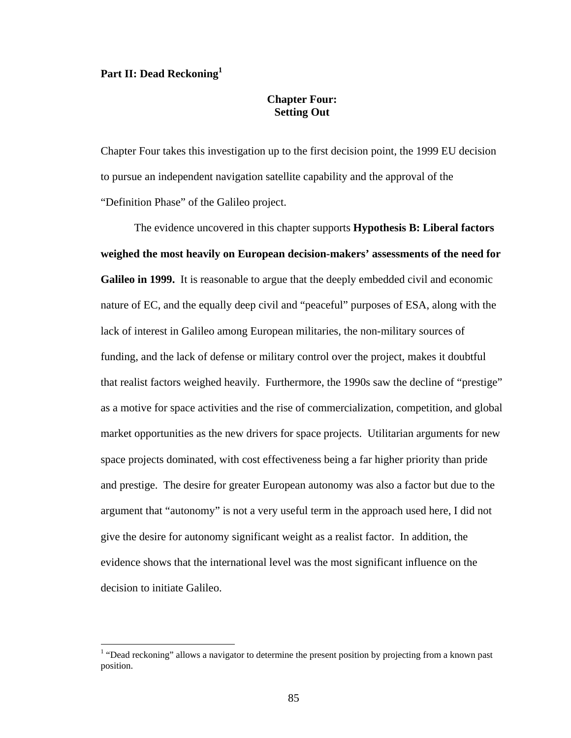## Part II: Dead Reckoning<sup>1</sup>

 $\overline{a}$ 

## **Chapter Four: Setting Out**

Chapter Four takes this investigation up to the first decision point, the 1999 EU decision to pursue an independent navigation satellite capability and the approval of the "Definition Phase" of the Galileo project.

The evidence uncovered in this chapter supports **Hypothesis B: Liberal factors weighed the most heavily on European decision-makers' assessments of the need for Galileo in 1999.** It is reasonable to argue that the deeply embedded civil and economic nature of EC, and the equally deep civil and "peaceful" purposes of ESA, along with the lack of interest in Galileo among European militaries, the non-military sources of funding, and the lack of defense or military control over the project, makes it doubtful that realist factors weighed heavily. Furthermore, the 1990s saw the decline of "prestige" as a motive for space activities and the rise of commercialization, competition, and global market opportunities as the new drivers for space projects. Utilitarian arguments for new space projects dominated, with cost effectiveness being a far higher priority than pride and prestige. The desire for greater European autonomy was also a factor but due to the argument that "autonomy" is not a very useful term in the approach used here, I did not give the desire for autonomy significant weight as a realist factor. In addition, the evidence shows that the international level was the most significant influence on the decision to initiate Galileo.

<sup>&</sup>lt;sup>1</sup> "Dead reckoning" allows a navigator to determine the present position by projecting from a known past position.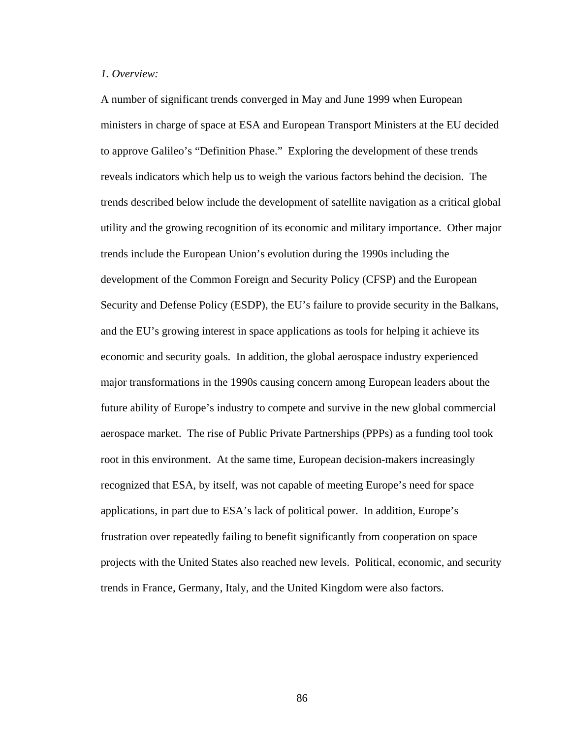## *1. Overview:*

A number of significant trends converged in May and June 1999 when European ministers in charge of space at ESA and European Transport Ministers at the EU decided to approve Galileo's "Definition Phase." Exploring the development of these trends reveals indicators which help us to weigh the various factors behind the decision. The trends described below include the development of satellite navigation as a critical global utility and the growing recognition of its economic and military importance. Other major trends include the European Union's evolution during the 1990s including the development of the Common Foreign and Security Policy (CFSP) and the European Security and Defense Policy (ESDP), the EU's failure to provide security in the Balkans, and the EU's growing interest in space applications as tools for helping it achieve its economic and security goals. In addition, the global aerospace industry experienced major transformations in the 1990s causing concern among European leaders about the future ability of Europe's industry to compete and survive in the new global commercial aerospace market. The rise of Public Private Partnerships (PPPs) as a funding tool took root in this environment. At the same time, European decision-makers increasingly recognized that ESA, by itself, was not capable of meeting Europe's need for space applications, in part due to ESA's lack of political power. In addition, Europe's frustration over repeatedly failing to benefit significantly from cooperation on space projects with the United States also reached new levels. Political, economic, and security trends in France, Germany, Italy, and the United Kingdom were also factors.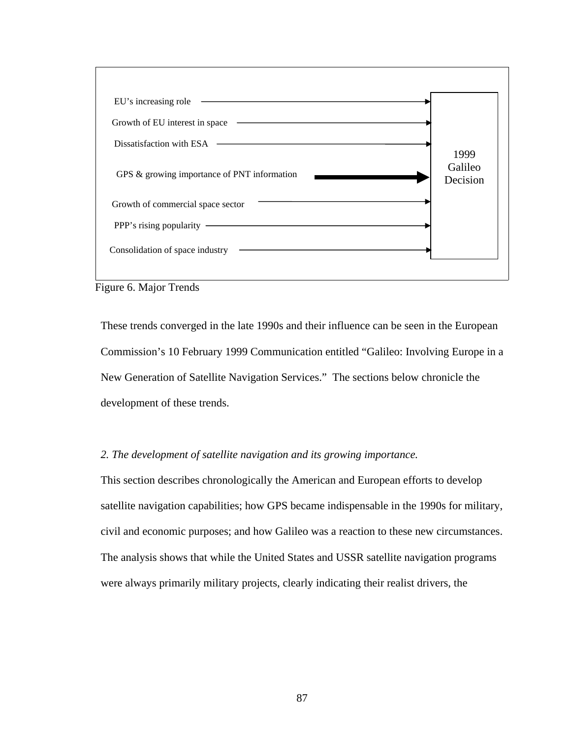

Figure 6. Major Trends

These trends converged in the late 1990s and their influence can be seen in the European Commission's 10 February 1999 Communication entitled "Galileo: Involving Europe in a New Generation of Satellite Navigation Services." The sections below chronicle the development of these trends.

## *2. The development of satellite navigation and its growing importance.*

This section describes chronologically the American and European efforts to develop satellite navigation capabilities; how GPS became indispensable in the 1990s for military, civil and economic purposes; and how Galileo was a reaction to these new circumstances. The analysis shows that while the United States and USSR satellite navigation programs were always primarily military projects, clearly indicating their realist drivers, the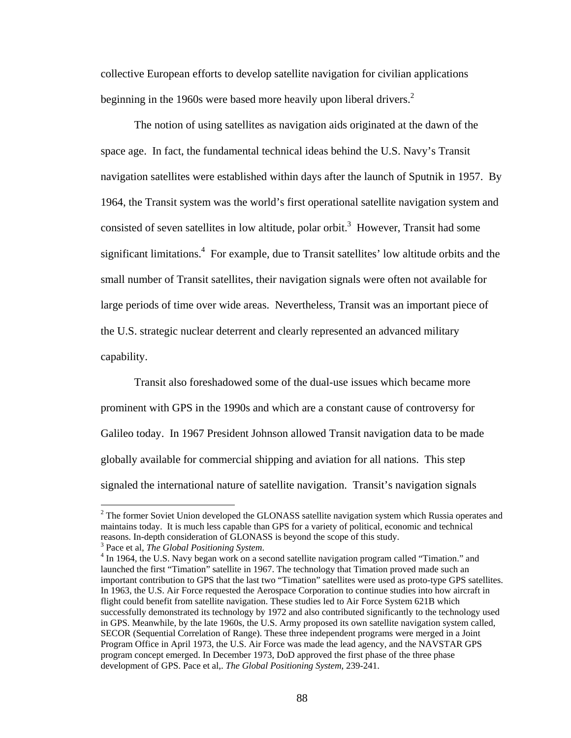collective European efforts to develop satellite navigation for civilian applications beginning in the 1960s were based more heavily upon liberal drivers.<sup>2</sup>

The notion of using satellites as navigation aids originated at the dawn of the space age. In fact, the fundamental technical ideas behind the U.S. Navy's Transit navigation satellites were established within days after the launch of Sputnik in 1957. By 1964, the Transit system was the world's first operational satellite navigation system and consisted of seven satellites in low altitude, polar orbit.<sup>3</sup> However, Transit had some significant limitations.<sup>4</sup> For example, due to Transit satellites' low altitude orbits and the small number of Transit satellites, their navigation signals were often not available for large periods of time over wide areas. Nevertheless, Transit was an important piece of the U.S. strategic nuclear deterrent and clearly represented an advanced military capability.

Transit also foreshadowed some of the dual-use issues which became more prominent with GPS in the 1990s and which are a constant cause of controversy for Galileo today. In 1967 President Johnson allowed Transit navigation data to be made globally available for commercial shipping and aviation for all nations. This step signaled the international nature of satellite navigation. Transit's navigation signals

 $2^2$  The former Soviet Union developed the GLONASS satellite navigation system which Russia operates and maintains today. It is much less capable than GPS for a variety of political, economic and technical reasons. In-depth consideration of GLONASS is beyond the scope of this study. 3

Pace et al, *The Global Positioning System*. 4

<sup>&</sup>lt;sup>4</sup> In 1964, the U.S. Navy began work on a second satellite navigation program called "Timation." and launched the first "Timation" satellite in 1967. The technology that Timation proved made such an important contribution to GPS that the last two "Timation" satellites were used as proto-type GPS satellites. In 1963, the U.S. Air Force requested the Aerospace Corporation to continue studies into how aircraft in flight could benefit from satellite navigation. These studies led to Air Force System 621B which successfully demonstrated its technology by 1972 and also contributed significantly to the technology used in GPS. Meanwhile, by the late 1960s, the U.S. Army proposed its own satellite navigation system called, SECOR (Sequential Correlation of Range). These three independent programs were merged in a Joint Program Office in April 1973, the U.S. Air Force was made the lead agency, and the NAVSTAR GPS program concept emerged. In December 1973, DoD approved the first phase of the three phase development of GPS. Pace et al,. *The Global Positioning System*, 239-241.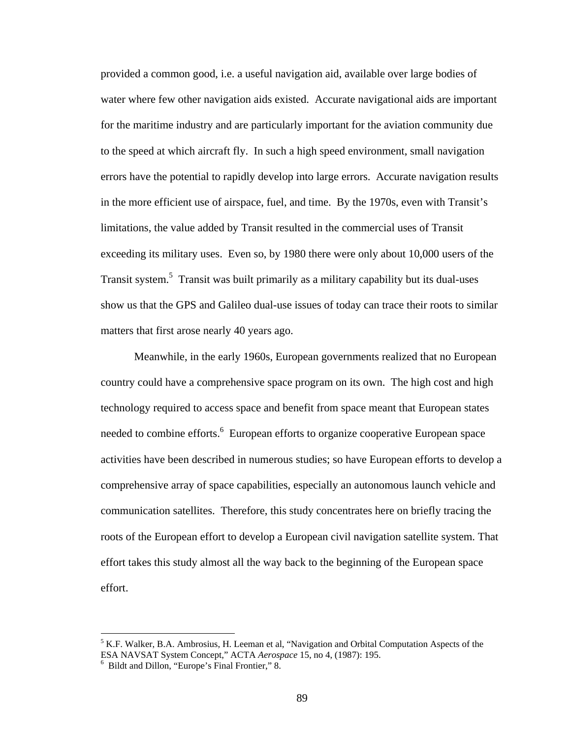provided a common good, i.e. a useful navigation aid, available over large bodies of water where few other navigation aids existed. Accurate navigational aids are important for the maritime industry and are particularly important for the aviation community due to the speed at which aircraft fly. In such a high speed environment, small navigation errors have the potential to rapidly develop into large errors. Accurate navigation results in the more efficient use of airspace, fuel, and time. By the 1970s, even with Transit's limitations, the value added by Transit resulted in the commercial uses of Transit exceeding its military uses. Even so, by 1980 there were only about 10,000 users of the Transit system.<sup>5</sup> Transit was built primarily as a military capability but its dual-uses show us that the GPS and Galileo dual-use issues of today can trace their roots to similar matters that first arose nearly 40 years ago.

Meanwhile, in the early 1960s, European governments realized that no European country could have a comprehensive space program on its own. The high cost and high technology required to access space and benefit from space meant that European states needed to combine efforts.<sup>6</sup> European efforts to organize cooperative European space activities have been described in numerous studies; so have European efforts to develop a comprehensive array of space capabilities, especially an autonomous launch vehicle and communication satellites. Therefore, this study concentrates here on briefly tracing the roots of the European effort to develop a European civil navigation satellite system. That effort takes this study almost all the way back to the beginning of the European space effort.

 $<sup>5</sup>$  K.F. Walker, B.A. Ambrosius, H. Leeman et al, "Navigation and Orbital Computation Aspects of the</sup> ESA NAVSAT System Concept," ACTA *Aerospace* 15, no 4, (1987): 195.

<sup>&</sup>lt;sup>6</sup> Bildt and Dillon, "Europe's Final Frontier," 8.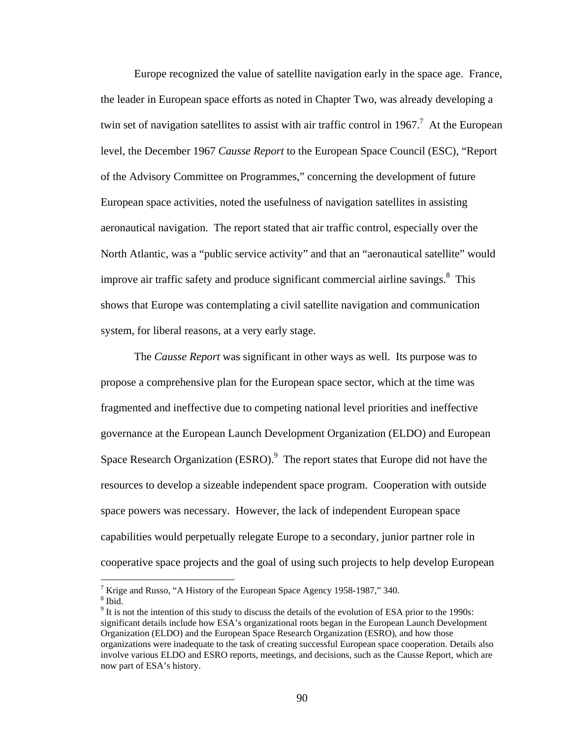Europe recognized the value of satellite navigation early in the space age. France, the leader in European space efforts as noted in Chapter Two, was already developing a twin set of navigation satellites to assist with air traffic control in 1967.<sup>7</sup> At the European level, the December 1967 *Causse Report* to the European Space Council (ESC), "Report of the Advisory Committee on Programmes," concerning the development of future European space activities, noted the usefulness of navigation satellites in assisting aeronautical navigation. The report stated that air traffic control, especially over the North Atlantic, was a "public service activity" and that an "aeronautical satellite" would improve air traffic safety and produce significant commercial airline savings. $8$  This shows that Europe was contemplating a civil satellite navigation and communication system, for liberal reasons, at a very early stage.

The *Causse Report* was significant in other ways as well. Its purpose was to propose a comprehensive plan for the European space sector, which at the time was fragmented and ineffective due to competing national level priorities and ineffective governance at the European Launch Development Organization (ELDO) and European Space Research Organization  $(ESRO)$ . The report states that Europe did not have the resources to develop a sizeable independent space program. Cooperation with outside space powers was necessary. However, the lack of independent European space capabilities would perpetually relegate Europe to a secondary, junior partner role in cooperative space projects and the goal of using such projects to help develop European

<sup>&</sup>lt;sup>7</sup> Krige and Russo, "A History of the European Space Agency 1958-1987," 340.  $8 \text{ H}$  $8$  Ibid.

 $9<sup>9</sup>$  It is not the intention of this study to discuss the details of the evolution of ESA prior to the 1990s: significant details include how ESA's organizational roots began in the European Launch Development Organization (ELDO) and the European Space Research Organization (ESRO), and how those organizations were inadequate to the task of creating successful European space cooperation. Details also involve various ELDO and ESRO reports, meetings, and decisions, such as the Causse Report, which are now part of ESA's history.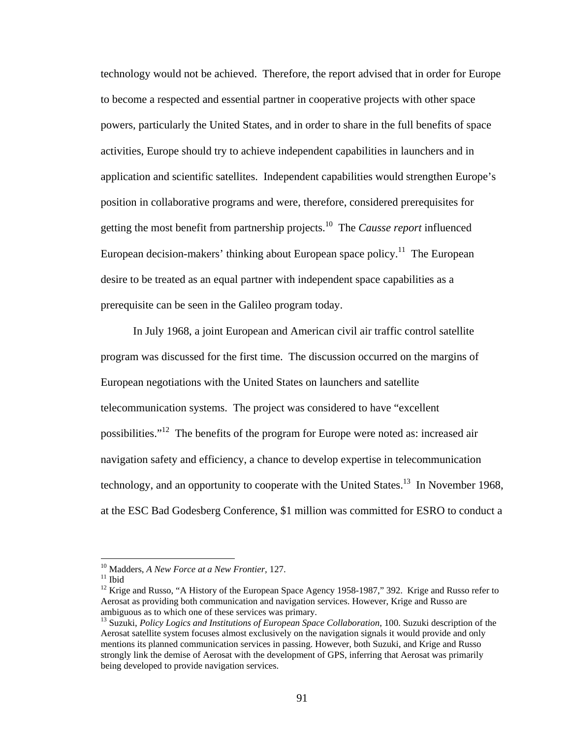technology would not be achieved. Therefore, the report advised that in order for Europe to become a respected and essential partner in cooperative projects with other space powers, particularly the United States, and in order to share in the full benefits of space activities, Europe should try to achieve independent capabilities in launchers and in application and scientific satellites. Independent capabilities would strengthen Europe's position in collaborative programs and were, therefore, considered prerequisites for getting the most benefit from partnership projects.10 The *Causse report* influenced European decision-makers' thinking about European space policy.<sup>11</sup> The European desire to be treated as an equal partner with independent space capabilities as a prerequisite can be seen in the Galileo program today.

In July 1968, a joint European and American civil air traffic control satellite program was discussed for the first time. The discussion occurred on the margins of European negotiations with the United States on launchers and satellite telecommunication systems. The project was considered to have "excellent possibilities."<sup>12</sup> The benefits of the program for Europe were noted as: increased air navigation safety and efficiency, a chance to develop expertise in telecommunication technology, and an opportunity to cooperate with the United States.<sup>13</sup> In November 1968, at the ESC Bad Godesberg Conference, \$1 million was committed for ESRO to conduct a

<sup>&</sup>lt;sup>10</sup> Madders, *A New Force at a New Frontier*, 127.<br><sup>11</sup> Ibid

<sup>&</sup>lt;sup>12</sup> Krige and Russo, "A History of the European Space Agency 1958-1987," 392. Krige and Russo refer to Aerosat as providing both communication and navigation services. However, Krige and Russo are ambiguous as to which one of these services was primary.

<sup>&</sup>lt;sup>13</sup> Suzuki, *Policy Logics and Institutions of European Space Collaboration*, 100. Suzuki description of the Aerosat satellite system focuses almost exclusively on the navigation signals it would provide and only mentions its planned communication services in passing. However, both Suzuki, and Krige and Russo strongly link the demise of Aerosat with the development of GPS, inferring that Aerosat was primarily being developed to provide navigation services.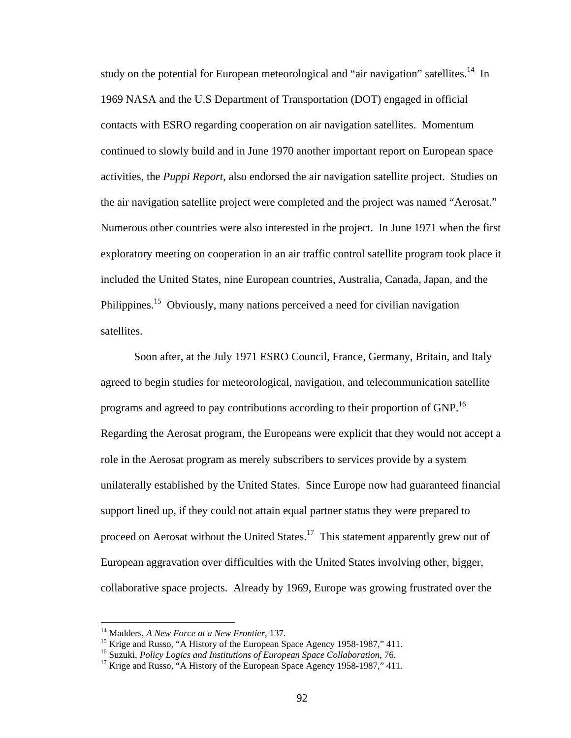study on the potential for European meteorological and "air navigation" satellites.<sup>14</sup> In 1969 NASA and the U.S Department of Transportation (DOT) engaged in official contacts with ESRO regarding cooperation on air navigation satellites. Momentum continued to slowly build and in June 1970 another important report on European space activities, the *Puppi Report*, also endorsed the air navigation satellite project. Studies on the air navigation satellite project were completed and the project was named "Aerosat." Numerous other countries were also interested in the project. In June 1971 when the first exploratory meeting on cooperation in an air traffic control satellite program took place it included the United States, nine European countries, Australia, Canada, Japan, and the Philippines.<sup>15</sup> Obviously, many nations perceived a need for civilian navigation satellites.

Soon after, at the July 1971 ESRO Council, France, Germany, Britain, and Italy agreed to begin studies for meteorological, navigation, and telecommunication satellite programs and agreed to pay contributions according to their proportion of GNP.<sup>16</sup> Regarding the Aerosat program, the Europeans were explicit that they would not accept a role in the Aerosat program as merely subscribers to services provide by a system unilaterally established by the United States. Since Europe now had guaranteed financial support lined up, if they could not attain equal partner status they were prepared to proceed on Aerosat without the United States.<sup>17</sup> This statement apparently grew out of European aggravation over difficulties with the United States involving other, bigger, collaborative space projects. Already by 1969, Europe was growing frustrated over the

<sup>&</sup>lt;sup>14</sup> Madders, *A New Force at a New Frontier*, 137.<br><sup>15</sup> Krige and Russo, "A History of the European Space Agency 1958-1987," 411.<br><sup>16</sup> Suzuki, *Policy Logics and Institutions of European Space Collaboration*, 76.<br><sup>17</sup> Kr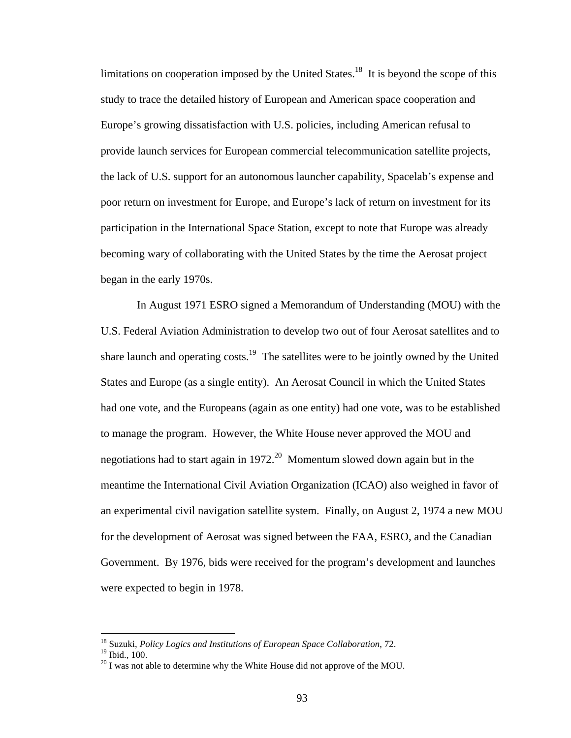limitations on cooperation imposed by the United States.<sup>18</sup> It is beyond the scope of this study to trace the detailed history of European and American space cooperation and Europe's growing dissatisfaction with U.S. policies, including American refusal to provide launch services for European commercial telecommunication satellite projects, the lack of U.S. support for an autonomous launcher capability, Spacelab's expense and poor return on investment for Europe, and Europe's lack of return on investment for its participation in the International Space Station, except to note that Europe was already becoming wary of collaborating with the United States by the time the Aerosat project began in the early 1970s.

 In August 1971 ESRO signed a Memorandum of Understanding (MOU) with the U.S. Federal Aviation Administration to develop two out of four Aerosat satellites and to share launch and operating  $costs<sup>19</sup>$ . The satellites were to be jointly owned by the United States and Europe (as a single entity). An Aerosat Council in which the United States had one vote, and the Europeans (again as one entity) had one vote, was to be established to manage the program. However, the White House never approved the MOU and negotiations had to start again in  $1972<sup>20</sup>$  Momentum slowed down again but in the meantime the International Civil Aviation Organization (ICAO) also weighed in favor of an experimental civil navigation satellite system. Finally, on August 2, 1974 a new MOU for the development of Aerosat was signed between the FAA, ESRO, and the Canadian Government. By 1976, bids were received for the program's development and launches were expected to begin in 1978.

<sup>18</sup> Suzuki, *Policy Logics and Institutions of European Space Collaboration*, 72.

<sup>19</sup> Ibid., 100.

 $^{20}$  I was not able to determine why the White House did not approve of the MOU.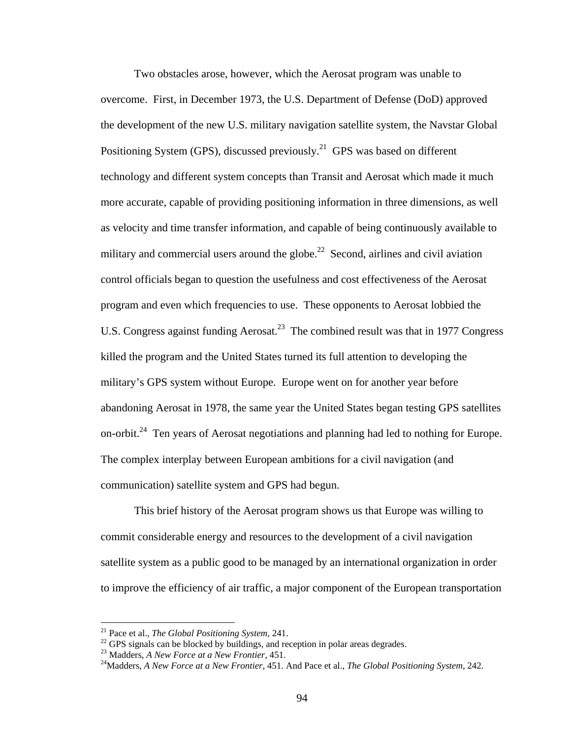Two obstacles arose, however, which the Aerosat program was unable to overcome. First, in December 1973, the U.S. Department of Defense (DoD) approved the development of the new U.S. military navigation satellite system, the Navstar Global Positioning System (GPS), discussed previously.<sup>21</sup> GPS was based on different technology and different system concepts than Transit and Aerosat which made it much more accurate, capable of providing positioning information in three dimensions, as well as velocity and time transfer information, and capable of being continuously available to military and commercial users around the globe.<sup>22</sup> Second, airlines and civil aviation control officials began to question the usefulness and cost effectiveness of the Aerosat program and even which frequencies to use. These opponents to Aerosat lobbied the U.S. Congress against funding Aerosat.<sup>23</sup> The combined result was that in 1977 Congress killed the program and the United States turned its full attention to developing the military's GPS system without Europe. Europe went on for another year before abandoning Aerosat in 1978, the same year the United States began testing GPS satellites on-orbit.<sup>24</sup> Ten years of Aerosat negotiations and planning had led to nothing for Europe. The complex interplay between European ambitions for a civil navigation (and communication) satellite system and GPS had begun.

This brief history of the Aerosat program shows us that Europe was willing to commit considerable energy and resources to the development of a civil navigation satellite system as a public good to be managed by an international organization in order to improve the efficiency of air traffic, a major component of the European transportation

<sup>&</sup>lt;sup>21</sup> Pace et al., *The Global Positioning System*, 241.<br><sup>22</sup> GPS signals can be blocked by buildings, and reception in polar areas degrades.

<sup>&</sup>lt;sup>23</sup> Madders, *A New Force at a New Frontier*, 451.<br><sup>24</sup>Madders, *A New Force at a New Frontier*, 451. And Pace et al., *The Global Positioning System*, 242.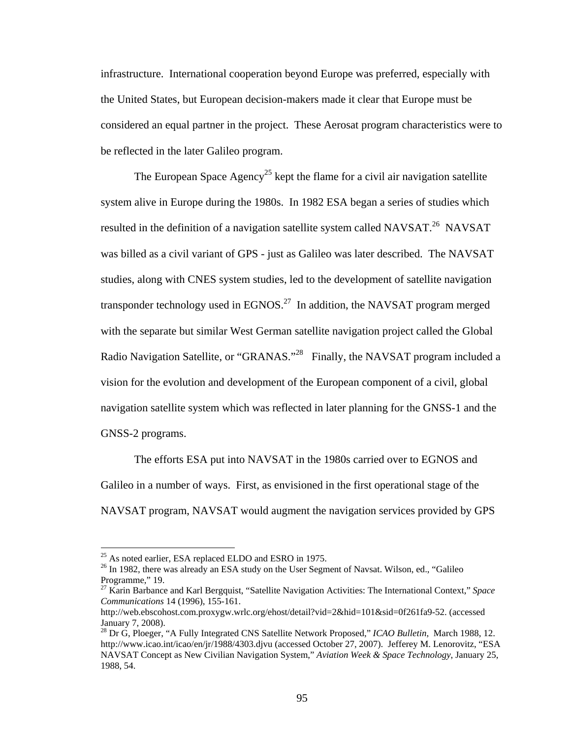infrastructure. International cooperation beyond Europe was preferred, especially with the United States, but European decision-makers made it clear that Europe must be considered an equal partner in the project. These Aerosat program characteristics were to be reflected in the later Galileo program.

The European Space Agency<sup>25</sup> kept the flame for a civil air navigation satellite system alive in Europe during the 1980s. In 1982 ESA began a series of studies which resulted in the definition of a navigation satellite system called NAVSAT.<sup>26</sup> NAVSAT was billed as a civil variant of GPS - just as Galileo was later described. The NAVSAT studies, along with CNES system studies, led to the development of satellite navigation transponder technology used in EGNOS.<sup>27</sup> In addition, the NAVSAT program merged with the separate but similar West German satellite navigation project called the Global Radio Navigation Satellite, or "GRANAS."<sup>28</sup> Finally, the NAVSAT program included a vision for the evolution and development of the European component of a civil, global navigation satellite system which was reflected in later planning for the GNSS-1 and the GNSS-2 programs.

The efforts ESA put into NAVSAT in the 1980s carried over to EGNOS and Galileo in a number of ways. First, as envisioned in the first operational stage of the NAVSAT program, NAVSAT would augment the navigation services provided by GPS

<sup>&</sup>lt;sup>25</sup> As noted earlier, ESA replaced ELDO and ESRO in 1975.

<sup>&</sup>lt;sup>26</sup> In 1982, there was already an ESA study on the User Segment of Navsat. Wilson, ed., "Galileo Programme," 19.

<sup>27</sup> Karin Barbance and Karl Bergquist, "Satellite Navigation Activities: The International Context," *Space Communications* 14 (1996), 155-161.

http://web.ebscohost.com.proxygw.wrlc.org/ehost/detail?vid=2&hid=101&sid=0f261fa9-52. (accessed January 7, 2008).

<sup>28</sup> Dr G, Ploeger, "A Fully Integrated CNS Satellite Network Proposed," *ICAO Bulletin*, March 1988, 12. http://www.icao.int/icao/en/jr/1988/4303.djvu (accessed October 27, 2007). Jefferey M. Lenorovitz, "ESA NAVSAT Concept as New Civilian Navigation System," *Aviation Week & Space Technology*, January 25, 1988, 54.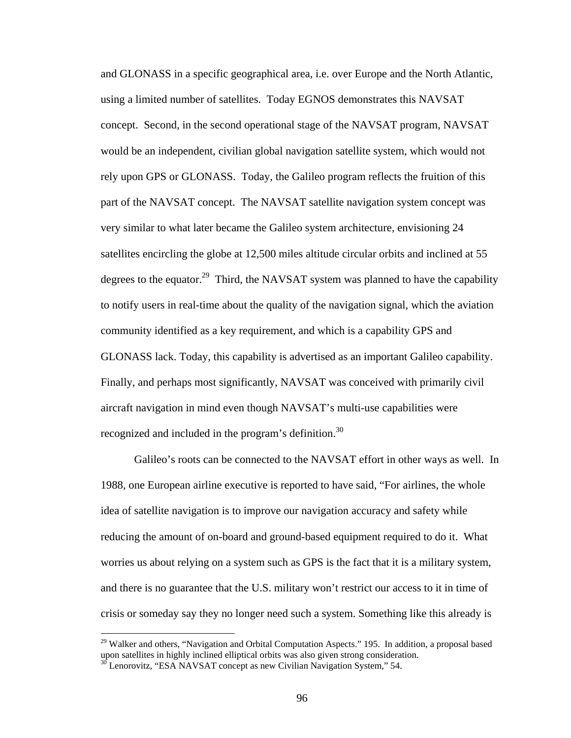and GLONASS in a specific geographical area, i.e. over Europe and the North Atlantic, using a limited number of satellites. Today EGNOS demonstrates this NAVSAT concept. Second, in the second operational stage of the NAVSAT program, NAVSAT would be an independent, civilian global navigation satellite system, which would not rely upon GPS or GLONASS. Today, the Galileo program reflects the fruition of this part of the NAVSAT concept. The NAVSAT satellite navigation system concept was very similar to what later became the Galileo system architecture, envisioning 24 satellites encircling the globe at 12,500 miles altitude circular orbits and inclined at 55 degrees to the equator.<sup>29</sup> Third, the NAVSAT system was planned to have the capability to notify users in real-time about the quality of the navigation signal, which the aviation community identified as a key requirement, and which is a capability GPS and GLONASS lack. Today, this capability is advertised as an important Galileo capability. Finally, and perhaps most significantly, NAVSAT was conceived with primarily civil aircraft navigation in mind even though NAVSAT's multi-use capabilities were recognized and included in the program's definition.<sup>30</sup>

Galileo's roots can be connected to the NAVSAT effort in other ways as well. In 1988, one European airline executive is reported to have said, "For airlines, the whole idea of satellite navigation is to improve our navigation accuracy and safety while reducing the amount of on-board and ground-based equipment required to do it. What worries us about relying on a system such as GPS is the fact that it is a military system, and there is no guarantee that the U.S. military won't restrict our access to it in time of crisis or someday say they no longer need such a system. Something like this already is

<sup>&</sup>lt;sup>29</sup> Walker and others, "Navigation and Orbital Computation Aspects." 195. In addition, a proposal based upon satellites in highly inclined elliptical orbits was also given strong consideration.

 $30$  Lenorovitz, "ESA NAVSAT concept as new Civilian Navigation System," 54.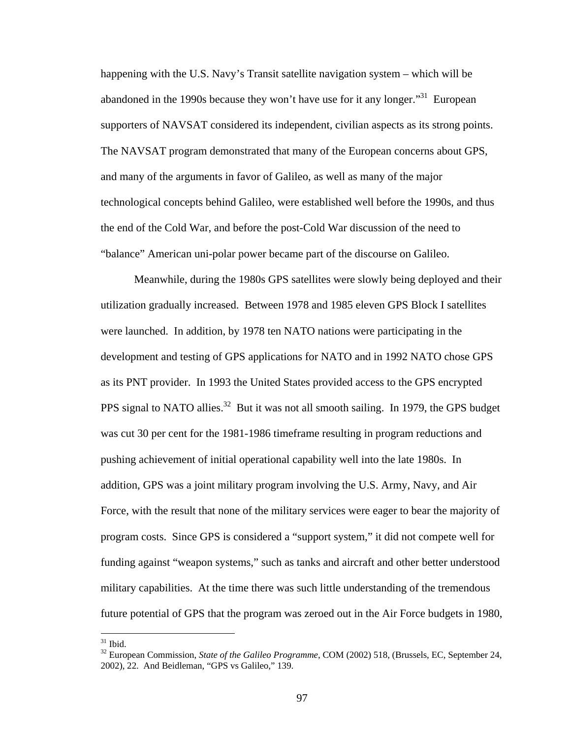happening with the U.S. Navy's Transit satellite navigation system – which will be abandoned in the 1990s because they won't have use for it any longer.<sup>31</sup> European supporters of NAVSAT considered its independent, civilian aspects as its strong points. The NAVSAT program demonstrated that many of the European concerns about GPS, and many of the arguments in favor of Galileo, as well as many of the major technological concepts behind Galileo, were established well before the 1990s, and thus the end of the Cold War, and before the post-Cold War discussion of the need to "balance" American uni-polar power became part of the discourse on Galileo.

 Meanwhile, during the 1980s GPS satellites were slowly being deployed and their utilization gradually increased. Between 1978 and 1985 eleven GPS Block I satellites were launched. In addition, by 1978 ten NATO nations were participating in the development and testing of GPS applications for NATO and in 1992 NATO chose GPS as its PNT provider. In 1993 the United States provided access to the GPS encrypted PPS signal to NATO allies.<sup>32</sup> But it was not all smooth sailing. In 1979, the GPS budget was cut 30 per cent for the 1981-1986 timeframe resulting in program reductions and pushing achievement of initial operational capability well into the late 1980s. In addition, GPS was a joint military program involving the U.S. Army, Navy, and Air Force, with the result that none of the military services were eager to bear the majority of program costs. Since GPS is considered a "support system," it did not compete well for funding against "weapon systems," such as tanks and aircraft and other better understood military capabilities. At the time there was such little understanding of the tremendous future potential of GPS that the program was zeroed out in the Air Force budgets in 1980,

 $31$  Ibid.

<sup>32</sup> European Commission, *State of the Galileo Programme*, COM (2002) 518, (Brussels, EC, September 24, 2002), 22. And Beidleman, "GPS vs Galileo," 139.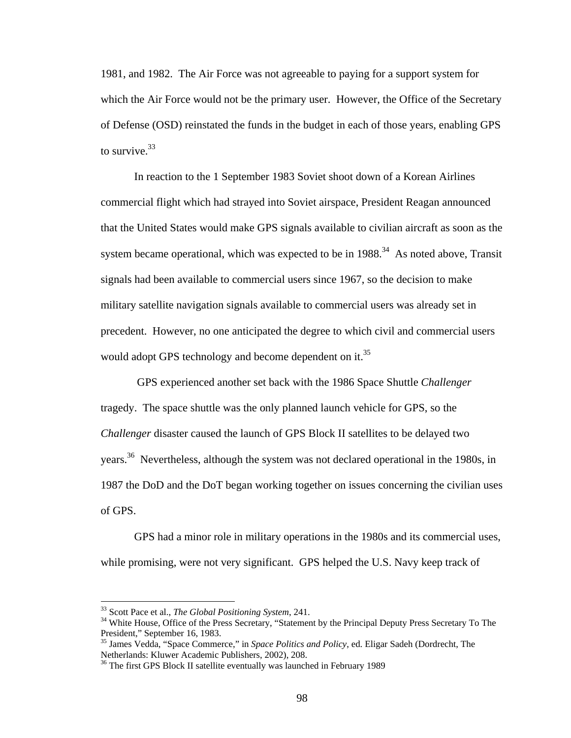1981, and 1982. The Air Force was not agreeable to paying for a support system for which the Air Force would not be the primary user. However, the Office of the Secretary of Defense (OSD) reinstated the funds in the budget in each of those years, enabling GPS to survive. $33$ 

 In reaction to the 1 September 1983 Soviet shoot down of a Korean Airlines commercial flight which had strayed into Soviet airspace, President Reagan announced that the United States would make GPS signals available to civilian aircraft as soon as the system became operational, which was expected to be in  $1988<sup>34</sup>$  As noted above, Transit signals had been available to commercial users since 1967, so the decision to make military satellite navigation signals available to commercial users was already set in precedent. However, no one anticipated the degree to which civil and commercial users would adopt GPS technology and become dependent on it.<sup>35</sup>

 GPS experienced another set back with the 1986 Space Shuttle *Challenger* tragedy. The space shuttle was the only planned launch vehicle for GPS, so the *Challenger* disaster caused the launch of GPS Block II satellites to be delayed two years.36 Nevertheless, although the system was not declared operational in the 1980s, in 1987 the DoD and the DoT began working together on issues concerning the civilian uses of GPS.

GPS had a minor role in military operations in the 1980s and its commercial uses, while promising, were not very significant. GPS helped the U.S. Navy keep track of

<sup>&</sup>lt;sup>33</sup> Scott Pace et al., *The Global Positioning System*, 241.<br><sup>34</sup> White House, Office of the Press Secretary, "Statement by the Principal Deputy Press Secretary To The President," September 16, 1983.

<sup>35</sup> James Vedda, "Space Commerce," in *Space Politics and Policy*, ed. Eligar Sadeh (Dordrecht, The Netherlands: Kluwer Academic Publishers, 2002), 208.

<sup>&</sup>lt;sup>36</sup> The first GPS Block II satellite eventually was launched in February 1989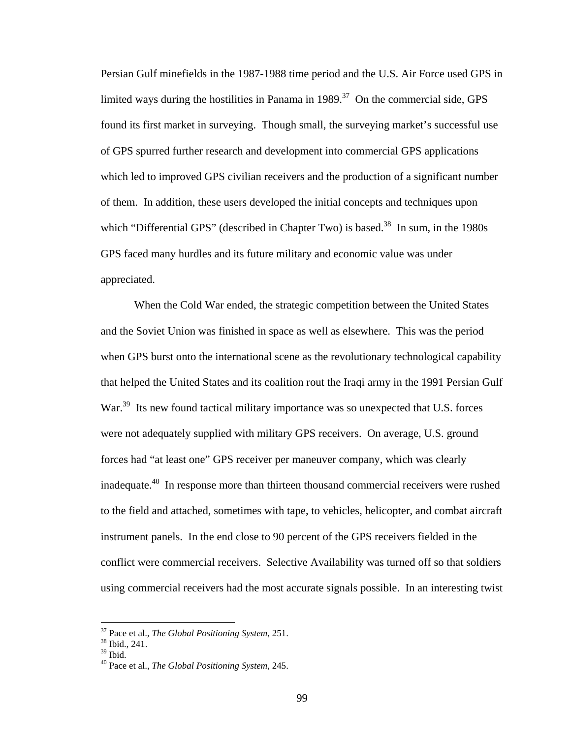Persian Gulf minefields in the 1987-1988 time period and the U.S. Air Force used GPS in limited ways during the hostilities in Panama in  $1989$ <sup>37</sup> On the commercial side, GPS found its first market in surveying. Though small, the surveying market's successful use of GPS spurred further research and development into commercial GPS applications which led to improved GPS civilian receivers and the production of a significant number of them. In addition, these users developed the initial concepts and techniques upon which "Differential GPS" (described in Chapter Two) is based.<sup>38</sup> In sum, in the 1980s GPS faced many hurdles and its future military and economic value was under appreciated.

When the Cold War ended, the strategic competition between the United States and the Soviet Union was finished in space as well as elsewhere. This was the period when GPS burst onto the international scene as the revolutionary technological capability that helped the United States and its coalition rout the Iraqi army in the 1991 Persian Gulf War.<sup>39</sup> Its new found tactical military importance was so unexpected that U.S. forces were not adequately supplied with military GPS receivers. On average, U.S. ground forces had "at least one" GPS receiver per maneuver company, which was clearly inadequate.40 In response more than thirteen thousand commercial receivers were rushed to the field and attached, sometimes with tape, to vehicles, helicopter, and combat aircraft instrument panels. In the end close to 90 percent of the GPS receivers fielded in the conflict were commercial receivers. Selective Availability was turned off so that soldiers using commercial receivers had the most accurate signals possible. In an interesting twist

<sup>&</sup>lt;sup>37</sup> Pace et al., *The Global Positioning System*, 251.<br><sup>38</sup> Ibid., 241.

 $38 \text{ Ibid., } 241.$ <br> $39 \text{ Ibid.}$ 

<sup>40</sup> Pace et al., *The Global Positioning System*, 245.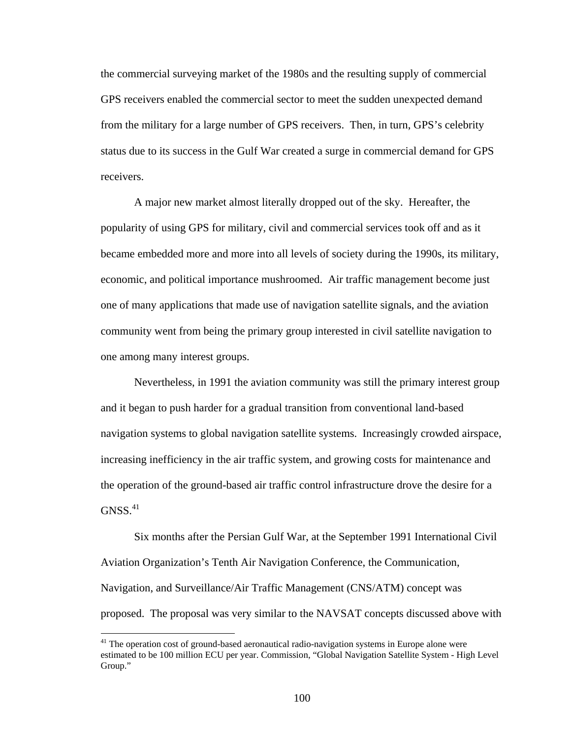the commercial surveying market of the 1980s and the resulting supply of commercial GPS receivers enabled the commercial sector to meet the sudden unexpected demand from the military for a large number of GPS receivers. Then, in turn, GPS's celebrity status due to its success in the Gulf War created a surge in commercial demand for GPS receivers.

A major new market almost literally dropped out of the sky. Hereafter, the popularity of using GPS for military, civil and commercial services took off and as it became embedded more and more into all levels of society during the 1990s, its military, economic, and political importance mushroomed. Air traffic management become just one of many applications that made use of navigation satellite signals, and the aviation community went from being the primary group interested in civil satellite navigation to one among many interest groups.

Nevertheless, in 1991 the aviation community was still the primary interest group and it began to push harder for a gradual transition from conventional land-based navigation systems to global navigation satellite systems. Increasingly crowded airspace, increasing inefficiency in the air traffic system, and growing costs for maintenance and the operation of the ground-based air traffic control infrastructure drove the desire for a  $GNSS.<sup>41</sup>$ 

Six months after the Persian Gulf War, at the September 1991 International Civil Aviation Organization's Tenth Air Navigation Conference, the Communication, Navigation, and Surveillance/Air Traffic Management (CNS/ATM) concept was proposed. The proposal was very similar to the NAVSAT concepts discussed above with

 $41$  The operation cost of ground-based aeronautical radio-navigation systems in Europe alone were estimated to be 100 million ECU per year. Commission, "Global Navigation Satellite System - High Level Group."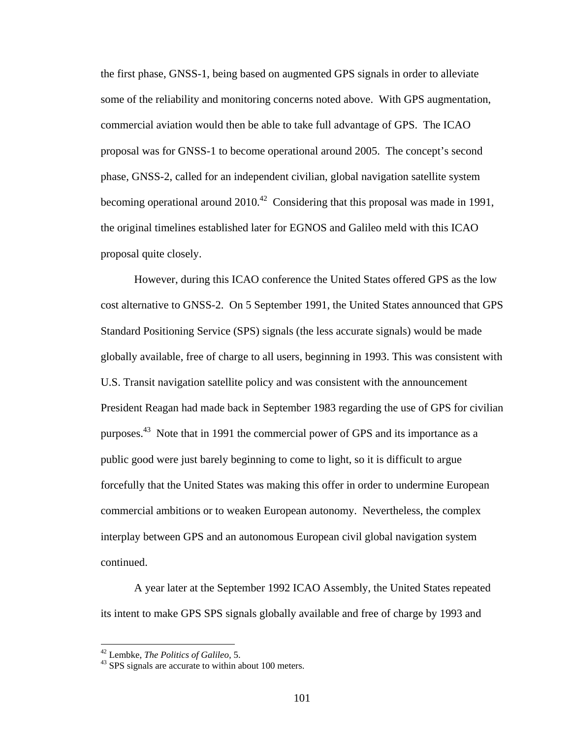the first phase, GNSS-1, being based on augmented GPS signals in order to alleviate some of the reliability and monitoring concerns noted above. With GPS augmentation, commercial aviation would then be able to take full advantage of GPS. The ICAO proposal was for GNSS-1 to become operational around 2005. The concept's second phase, GNSS-2, called for an independent civilian, global navigation satellite system becoming operational around  $2010^{42}$  Considering that this proposal was made in 1991, the original timelines established later for EGNOS and Galileo meld with this ICAO proposal quite closely.

However, during this ICAO conference the United States offered GPS as the low cost alternative to GNSS-2. On 5 September 1991, the United States announced that GPS Standard Positioning Service (SPS) signals (the less accurate signals) would be made globally available, free of charge to all users, beginning in 1993. This was consistent with U.S. Transit navigation satellite policy and was consistent with the announcement President Reagan had made back in September 1983 regarding the use of GPS for civilian purposes.43 Note that in 1991 the commercial power of GPS and its importance as a public good were just barely beginning to come to light, so it is difficult to argue forcefully that the United States was making this offer in order to undermine European commercial ambitions or to weaken European autonomy. Nevertheless, the complex interplay between GPS and an autonomous European civil global navigation system continued.

A year later at the September 1992 ICAO Assembly, the United States repeated its intent to make GPS SPS signals globally available and free of charge by 1993 and

<sup>&</sup>lt;sup>42</sup> Lembke, *The Politics of Galileo*, 5.<br><sup>43</sup> SPS signals are accurate to within about 100 meters.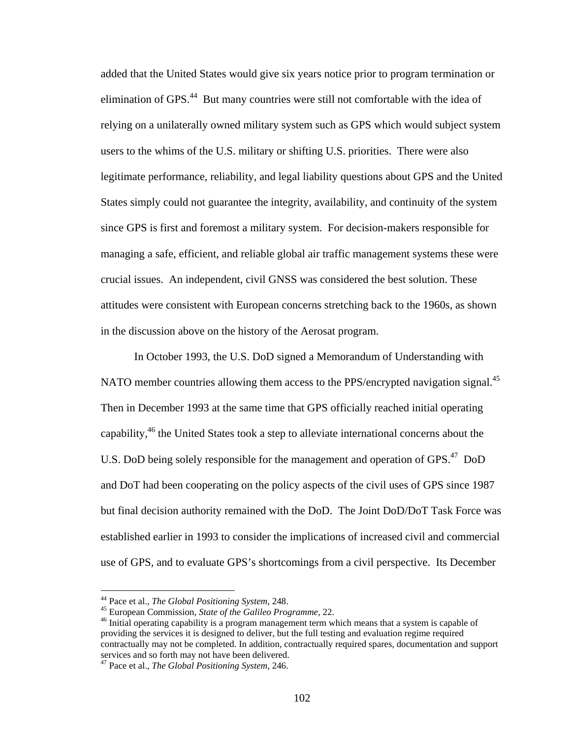added that the United States would give six years notice prior to program termination or elimination of GPS.<sup>44</sup> But many countries were still not comfortable with the idea of relying on a unilaterally owned military system such as GPS which would subject system users to the whims of the U.S. military or shifting U.S. priorities. There were also legitimate performance, reliability, and legal liability questions about GPS and the United States simply could not guarantee the integrity, availability, and continuity of the system since GPS is first and foremost a military system. For decision-makers responsible for managing a safe, efficient, and reliable global air traffic management systems these were crucial issues. An independent, civil GNSS was considered the best solution. These attitudes were consistent with European concerns stretching back to the 1960s, as shown in the discussion above on the history of the Aerosat program.

In October 1993, the U.S. DoD signed a Memorandum of Understanding with NATO member countries allowing them access to the PPS/encrypted navigation signal.<sup>45</sup> Then in December 1993 at the same time that GPS officially reached initial operating capability,  $46$  the United States took a step to alleviate international concerns about the U.S. DoD being solely responsible for the management and operation of GPS.<sup>47</sup> DoD and DoT had been cooperating on the policy aspects of the civil uses of GPS since 1987 but final decision authority remained with the DoD. The Joint DoD/DoT Task Force was established earlier in 1993 to consider the implications of increased civil and commercial use of GPS, and to evaluate GPS's shortcomings from a civil perspective. Its December

<u>.</u>

<sup>&</sup>lt;sup>44</sup> Pace et al., *The Global Positioning System*, 248.<br><sup>45</sup> European Commission, *State of the Galileo Programme*, 22.<br><sup>46</sup> Initial operating capability is a program management term which means that a system is capable o providing the services it is designed to deliver, but the full testing and evaluation regime required contractually may not be completed. In addition, contractually required spares, documentation and support services and so forth may not have been delivered.

<sup>47</sup> Pace et al., *The Global Positioning System*, 246.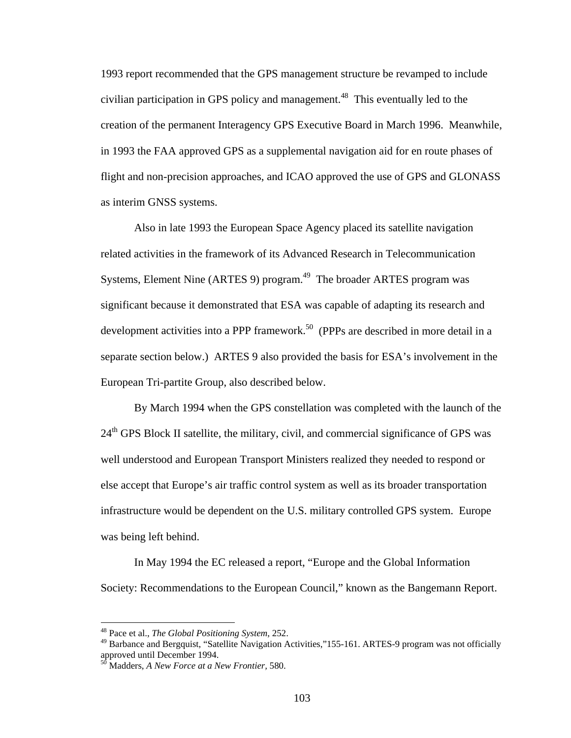1993 report recommended that the GPS management structure be revamped to include civilian participation in GPS policy and management.<sup>48</sup> This eventually led to the creation of the permanent Interagency GPS Executive Board in March 1996. Meanwhile, in 1993 the FAA approved GPS as a supplemental navigation aid for en route phases of flight and non-precision approaches, and ICAO approved the use of GPS and GLONASS as interim GNSS systems.

Also in late 1993 the European Space Agency placed its satellite navigation related activities in the framework of its Advanced Research in Telecommunication Systems, Element Nine (ARTES 9) program.<sup>49</sup> The broader ARTES program was significant because it demonstrated that ESA was capable of adapting its research and development activities into a PPP framework.<sup>50</sup> (PPPs are described in more detail in a separate section below.) ARTES 9 also provided the basis for ESA's involvement in the European Tri-partite Group, also described below.

By March 1994 when the GPS constellation was completed with the launch of the  $24<sup>th</sup> GPS Block II satellite, the military, civil, and commercial significance of GPS was$ well understood and European Transport Ministers realized they needed to respond or else accept that Europe's air traffic control system as well as its broader transportation infrastructure would be dependent on the U.S. military controlled GPS system. Europe was being left behind.

In May 1994 the EC released a report, "Europe and the Global Information Society: Recommendations to the European Council," known as the Bangemann Report.

<sup>48</sup> Pace et al., *The Global Positioning System*, 252.

<sup>&</sup>lt;sup>49</sup> Barbance and Bergquist, "Satellite Navigation Activities,"155-161. ARTES-9 program was not officially approved until December 1994.

<sup>50</sup> Madders, *A New Force at a New Frontier,* 580.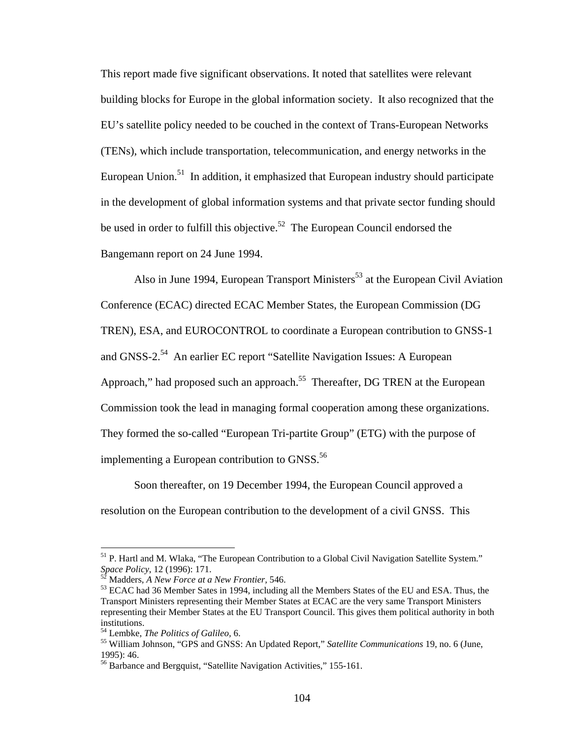This report made five significant observations. It noted that satellites were relevant building blocks for Europe in the global information society. It also recognized that the EU's satellite policy needed to be couched in the context of Trans-European Networks (TENs), which include transportation, telecommunication, and energy networks in the European Union.<sup>51</sup> In addition, it emphasized that European industry should participate in the development of global information systems and that private sector funding should be used in order to fulfill this objective.<sup>52</sup> The European Council endorsed the Bangemann report on 24 June 1994.

Also in June 1994, European Transport Ministers<sup>53</sup> at the European Civil Aviation Conference (ECAC) directed ECAC Member States, the European Commission (DG TREN), ESA, and EUROCONTROL to coordinate a European contribution to GNSS-1 and GNSS-2.<sup>54</sup> An earlier EC report "Satellite Navigation Issues: A European Approach," had proposed such an approach.<sup>55</sup> Thereafter, DG TREN at the European Commission took the lead in managing formal cooperation among these organizations. They formed the so-called "European Tri-partite Group" (ETG) with the purpose of implementing a European contribution to GNSS.<sup>56</sup>

Soon thereafter, on 19 December 1994, the European Council approved a resolution on the European contribution to the development of a civil GNSS. This

<sup>&</sup>lt;sup>51</sup> P. Hartl and M. Wlaka, "The European Contribution to a Global Civil Navigation Satellite System."<br>Space Policy, 12 (1996): 171.

<sup>&</sup>lt;sup>52</sup> Madders, *A New Force at a New Frontier*, 546.<br><sup>53</sup> ECAC had 36 Member Sates in 1994, including all the Members States of the EU and ESA. Thus, the Transport Ministers representing their Member States at ECAC are the very same Transport Ministers representing their Member States at the EU Transport Council. This gives them political authority in both institutions.

<sup>&</sup>lt;sup>54</sup> Lembke, *The Politics of Galileo*, 6.<br><sup>55</sup> William Johnson, "GPS and GNSS: An Updated Report," *Satellite Communications* 19, no. 6 (June, 1995): 46.

<sup>&</sup>lt;sup>56</sup> Barbance and Bergquist, "Satellite Navigation Activities," 155-161.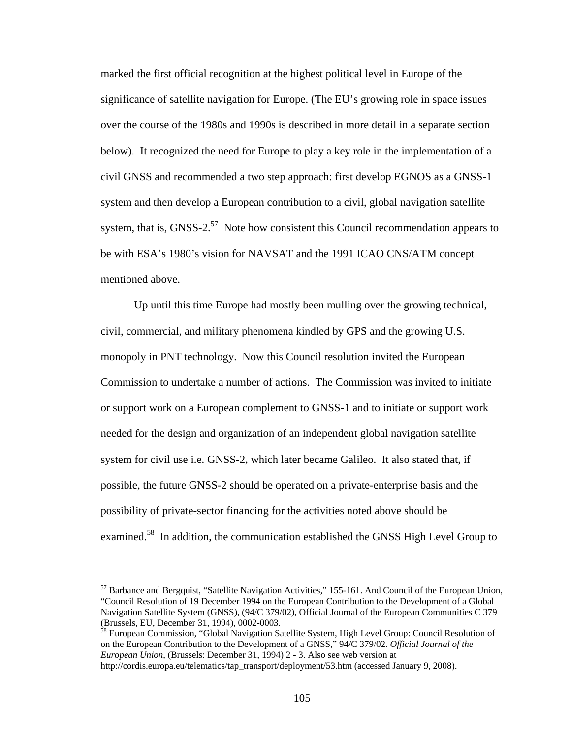marked the first official recognition at the highest political level in Europe of the significance of satellite navigation for Europe. (The EU's growing role in space issues over the course of the 1980s and 1990s is described in more detail in a separate section below). It recognized the need for Europe to play a key role in the implementation of a civil GNSS and recommended a two step approach: first develop EGNOS as a GNSS-1 system and then develop a European contribution to a civil, global navigation satellite system, that is, GNSS-2.<sup>57</sup> Note how consistent this Council recommendation appears to be with ESA's 1980's vision for NAVSAT and the 1991 ICAO CNS/ATM concept mentioned above.

Up until this time Europe had mostly been mulling over the growing technical, civil, commercial, and military phenomena kindled by GPS and the growing U.S. monopoly in PNT technology. Now this Council resolution invited the European Commission to undertake a number of actions. The Commission was invited to initiate or support work on a European complement to GNSS-1 and to initiate or support work needed for the design and organization of an independent global navigation satellite system for civil use i.e. GNSS-2, which later became Galileo. It also stated that, if possible, the future GNSS-2 should be operated on a private-enterprise basis and the possibility of private-sector financing for the activities noted above should be examined.<sup>58</sup> In addition, the communication established the GNSS High Level Group to

<sup>57</sup> Barbance and Bergquist, "Satellite Navigation Activities," 155-161. And Council of the European Union, "Council Resolution of 19 December 1994 on the European Contribution to the Development of a Global Navigation Satellite System (GNSS), (94/C 379/02), Official Journal of the European Communities C 379 (Brussels, EU, December 31, 1994), 0002-0003.<br><sup>58</sup> European Commission, "Global Navigation Satellite System, High Level Group: Council Resolution of

on the European Contribution to the Development of a GNSS," 94/C 379/02. *Official Journal of the European Union*, (Brussels: December 31, 1994) 2 - 3. Also see web version at

http://cordis.europa.eu/telematics/tap\_transport/deployment/53.htm (accessed January 9, 2008).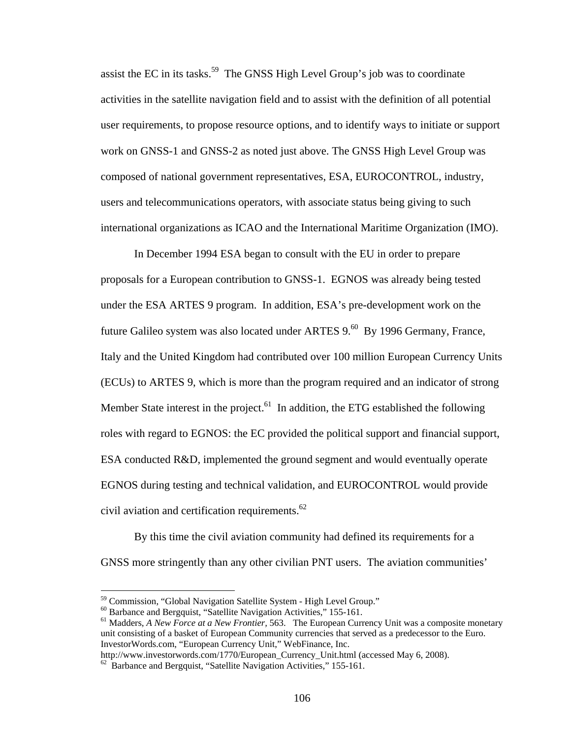assist the EC in its tasks.<sup>59</sup> The GNSS High Level Group's job was to coordinate activities in the satellite navigation field and to assist with the definition of all potential user requirements, to propose resource options, and to identify ways to initiate or support work on GNSS-1 and GNSS-2 as noted just above. The GNSS High Level Group was composed of national government representatives, ESA, EUROCONTROL, industry, users and telecommunications operators, with associate status being giving to such international organizations as ICAO and the International Maritime Organization (IMO).

In December 1994 ESA began to consult with the EU in order to prepare proposals for a European contribution to GNSS-1. EGNOS was already being tested under the ESA ARTES 9 program. In addition, ESA's pre-development work on the future Galileo system was also located under ARTES 9.<sup>60</sup> By 1996 Germany, France, Italy and the United Kingdom had contributed over 100 million European Currency Units (ECUs) to ARTES 9, which is more than the program required and an indicator of strong Member State interest in the project.<sup>61</sup> In addition, the ETG established the following roles with regard to EGNOS: the EC provided the political support and financial support, ESA conducted R&D, implemented the ground segment and would eventually operate EGNOS during testing and technical validation, and EUROCONTROL would provide civil aviation and certification requirements. $62$ 

By this time the civil aviation community had defined its requirements for a GNSS more stringently than any other civilian PNT users. The aviation communities'

<u>.</u>

<sup>59</sup> Commission, "Global Navigation Satellite System - High Level Group."

<sup>60</sup> Barbance and Bergquist, "Satellite Navigation Activities," 155-161.

<sup>&</sup>lt;sup>61</sup> Madders, *A New Force at a New Frontier*, 563. The European Currency Unit was a composite monetary unit consisting of a basket of European Community currencies that served as a predecessor to the Euro. InvestorWords.com, "European Currency Unit," WebFinance, Inc.

http://www.investorwords.com/1770/European\_Currency\_Unit.html (accessed May 6, 2008). <sup>62</sup> Barbance and Bergquist, "Satellite Navigation Activities," 155-161.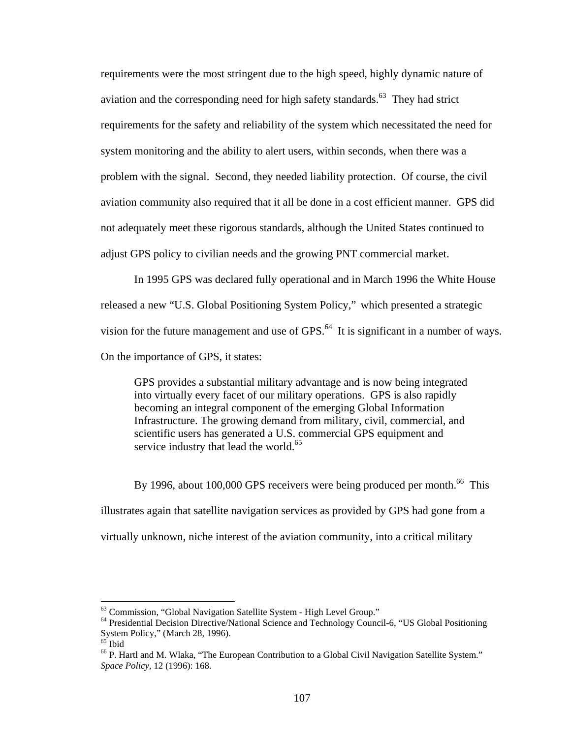requirements were the most stringent due to the high speed, highly dynamic nature of aviation and the corresponding need for high safety standards.<sup>63</sup> They had strict requirements for the safety and reliability of the system which necessitated the need for system monitoring and the ability to alert users, within seconds, when there was a problem with the signal. Second, they needed liability protection. Of course, the civil aviation community also required that it all be done in a cost efficient manner. GPS did not adequately meet these rigorous standards, although the United States continued to adjust GPS policy to civilian needs and the growing PNT commercial market.

In 1995 GPS was declared fully operational and in March 1996 the White House released a new "U.S. Global Positioning System Policy," which presented a strategic vision for the future management and use of GPS.<sup>64</sup> It is significant in a number of ways. On the importance of GPS, it states:

GPS provides a substantial military advantage and is now being integrated into virtually every facet of our military operations. GPS is also rapidly becoming an integral component of the emerging Global Information Infrastructure. The growing demand from military, civil, commercial, and scientific users has generated a U.S. commercial GPS equipment and service industry that lead the world.<sup>65</sup>

By 1996, about 100,000 GPS receivers were being produced per month.<sup>66</sup> This illustrates again that satellite navigation services as provided by GPS had gone from a virtually unknown, niche interest of the aviation community, into a critical military

<sup>&</sup>lt;sup>63</sup> Commission, "Global Navigation Satellite System - High Level Group."

<sup>&</sup>lt;sup>64</sup> Presidential Decision Directive/National Science and Technology Council-6, "US Global Positioning System Policy," (March 28, 1996).

 $65$  Ibid

<sup>&</sup>lt;sup>66</sup> P. Hartl and M. Wlaka, "The European Contribution to a Global Civil Navigation Satellite System." *Space Policy*, 12 (1996): 168.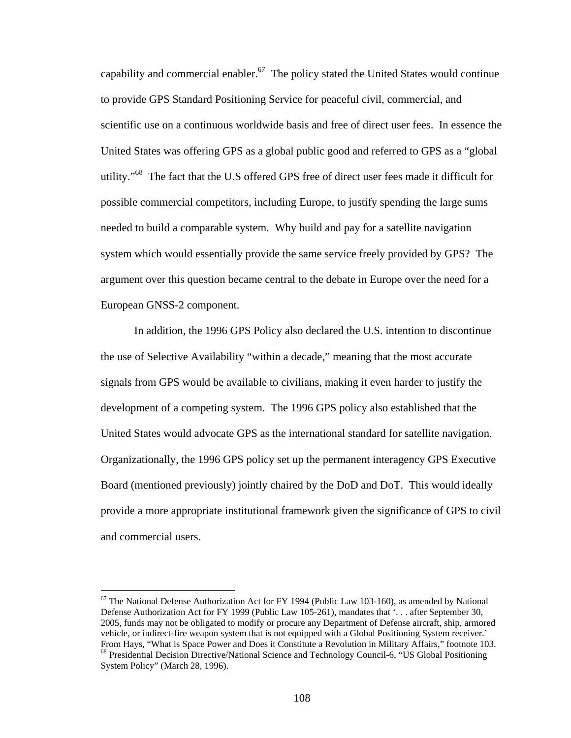capability and commercial enabler.<sup>67</sup> The policy stated the United States would continue to provide GPS Standard Positioning Service for peaceful civil, commercial, and scientific use on a continuous worldwide basis and free of direct user fees. In essence the United States was offering GPS as a global public good and referred to GPS as a "global utility."<sup>68</sup> The fact that the U.S offered GPS free of direct user fees made it difficult for possible commercial competitors, including Europe, to justify spending the large sums needed to build a comparable system. Why build and pay for a satellite navigation system which would essentially provide the same service freely provided by GPS? The argument over this question became central to the debate in Europe over the need for a European GNSS-2 component.

In addition, the 1996 GPS Policy also declared the U.S. intention to discontinue the use of Selective Availability "within a decade," meaning that the most accurate signals from GPS would be available to civilians, making it even harder to justify the development of a competing system. The 1996 GPS policy also established that the United States would advocate GPS as the international standard for satellite navigation. Organizationally, the 1996 GPS policy set up the permanent interagency GPS Executive Board (mentioned previously) jointly chaired by the DoD and DoT. This would ideally provide a more appropriate institutional framework given the significance of GPS to civil and commercial users.

 $67$  The National Defense Authorization Act for FY 1994 (Public Law 103-160), as amended by National Defense Authorization Act for FY 1999 (Public Law 105-261), mandates that '. . . after September 30, 2005, funds may not be obligated to modify or procure any Department of Defense aircraft, ship, armored vehicle, or indirect-fire weapon system that is not equipped with a Global Positioning System receiver.' From Hays, "What is Space Power and Does it Constitute a Revolution in Military Affairs," footnote 103.<br><sup>68</sup> Presidential Decision Directive/National Science and Technology Council-6, "US Global Positioning System Policy" (March 28, 1996).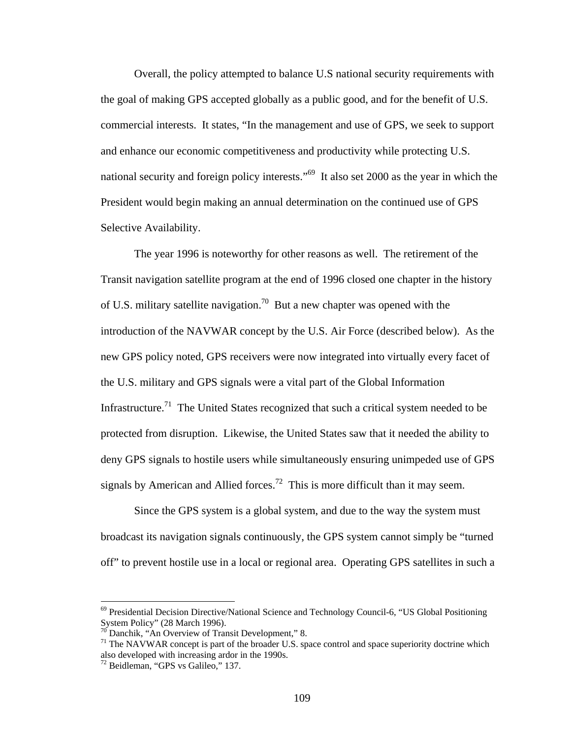Overall, the policy attempted to balance U.S national security requirements with the goal of making GPS accepted globally as a public good, and for the benefit of U.S. commercial interests. It states, "In the management and use of GPS, we seek to support and enhance our economic competitiveness and productivity while protecting U.S. national security and foreign policy interests."<sup>69</sup> It also set 2000 as the year in which the President would begin making an annual determination on the continued use of GPS Selective Availability.

The year 1996 is noteworthy for other reasons as well. The retirement of the Transit navigation satellite program at the end of 1996 closed one chapter in the history of U.S. military satellite navigation.<sup>70</sup> But a new chapter was opened with the introduction of the NAVWAR concept by the U.S. Air Force (described below). As the new GPS policy noted, GPS receivers were now integrated into virtually every facet of the U.S. military and GPS signals were a vital part of the Global Information Infrastructure.<sup>71</sup> The United States recognized that such a critical system needed to be protected from disruption. Likewise, the United States saw that it needed the ability to deny GPS signals to hostile users while simultaneously ensuring unimpeded use of GPS signals by American and Allied forces.<sup>72</sup> This is more difficult than it may seem.

Since the GPS system is a global system, and due to the way the system must broadcast its navigation signals continuously, the GPS system cannot simply be "turned off" to prevent hostile use in a local or regional area. Operating GPS satellites in such a

 $^{69}$  Presidential Decision Directive/National Science and Technology Council-6, "US Global Positioning System Policy" (28 March 1996).

 $70^{\circ}$  Danchik, "An Overview of Transit Development," 8.

 $71$  The NAVWAR concept is part of the broader U.S. space control and space superiority doctrine which also developed with increasing ardor in the 1990s.

<sup>72</sup> Beidleman, "GPS vs Galileo," 137.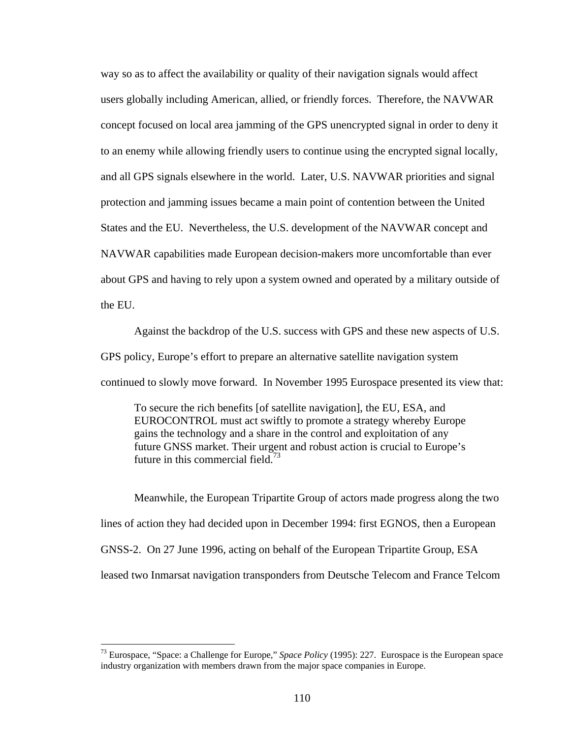way so as to affect the availability or quality of their navigation signals would affect users globally including American, allied, or friendly forces. Therefore, the NAVWAR concept focused on local area jamming of the GPS unencrypted signal in order to deny it to an enemy while allowing friendly users to continue using the encrypted signal locally, and all GPS signals elsewhere in the world. Later, U.S. NAVWAR priorities and signal protection and jamming issues became a main point of contention between the United States and the EU. Nevertheless, the U.S. development of the NAVWAR concept and NAVWAR capabilities made European decision-makers more uncomfortable than ever about GPS and having to rely upon a system owned and operated by a military outside of the EU.

Against the backdrop of the U.S. success with GPS and these new aspects of U.S. GPS policy, Europe's effort to prepare an alternative satellite navigation system continued to slowly move forward. In November 1995 Eurospace presented its view that:

To secure the rich benefits [of satellite navigation], the EU, ESA, and EUROCONTROL must act swiftly to promote a strategy whereby Europe gains the technology and a share in the control and exploitation of any future GNSS market. Their urgent and robust action is crucial to Europe's future in this commercial field.<sup>73</sup>

Meanwhile, the European Tripartite Group of actors made progress along the two lines of action they had decided upon in December 1994: first EGNOS, then a European GNSS-2. On 27 June 1996, acting on behalf of the European Tripartite Group, ESA leased two Inmarsat navigation transponders from Deutsche Telecom and France Telcom

<sup>73</sup> Eurospace, "Space: a Challenge for Europe," *Space Policy* (1995): 227. Eurospace is the European space industry organization with members drawn from the major space companies in Europe.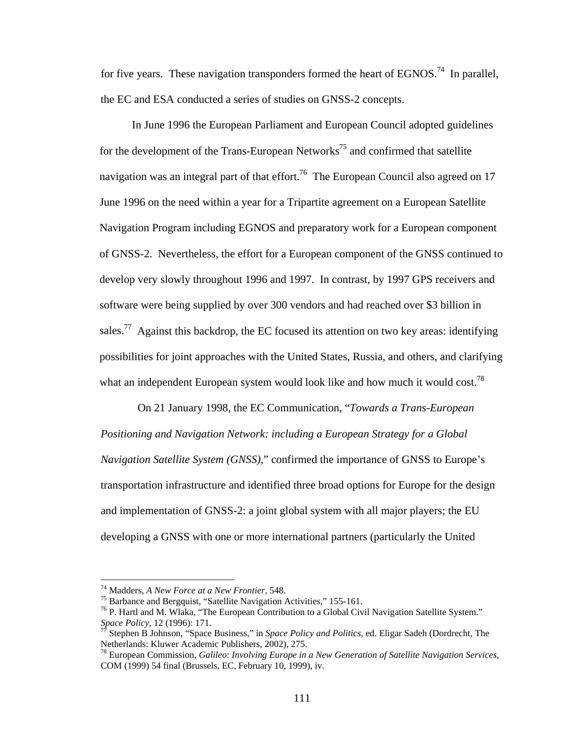for five years. These navigation transponders formed the heart of  $EGNOS<sup>74</sup>$  In parallel, the EC and ESA conducted a series of studies on GNSS-2 concepts.

In June 1996 the European Parliament and European Council adopted guidelines for the development of the Trans-European Networks<sup>75</sup> and confirmed that satellite navigation was an integral part of that effort.<sup>76</sup> The European Council also agreed on 17 June 1996 on the need within a year for a Tripartite agreement on a European Satellite Navigation Program including EGNOS and preparatory work for a European component of GNSS-2. Nevertheless, the effort for a European component of the GNSS continued to develop very slowly throughout 1996 and 1997. In contrast, by 1997 GPS receivers and software were being supplied by over 300 vendors and had reached over \$3 billion in sales.<sup>77</sup> Against this backdrop, the EC focused its attention on two key areas: identifying possibilities for joint approaches with the United States, Russia, and others, and clarifying what an independent European system would look like and how much it would cost.<sup>78</sup>

 On 21 January 1998, the EC Communication, "*Towards a Trans-European Positioning and Navigation Network: including a European Strategy for a Global Navigation Satellite System (GNSS)*," confirmed the importance of GNSS to Europe's transportation infrastructure and identified three broad options for Europe for the design and implementation of GNSS-2: a joint global system with all major players; the EU developing a GNSS with one or more international partners (particularly the United

<sup>&</sup>lt;sup>74</sup> Madders, *A New Force at a New Frontier*, 548.<br><sup>75</sup> Barbance and Bergquist, "Satellite Navigation Activities," 155-161.

<sup>&</sup>lt;sup>76</sup> P. Hartl and M. Wlaka, "The European Contribution to a Global Civil Navigation Satellite System."<br>Space Policy, 12 (1996): 171.

*Stephen B Johnson, "Space Business," in <i>Space Policy and Politics*, ed. Eligar Sadeh (Dordrecht, The Netherlands: Kluwer Academic Publishers, 2002), 275.

<sup>78</sup> European Commission, *Galileo*: *Involving Europe in a New Generation of Satellite Navigation Services,* COM (1999) 54 final (Brussels, EC, February 10, 1999), iv.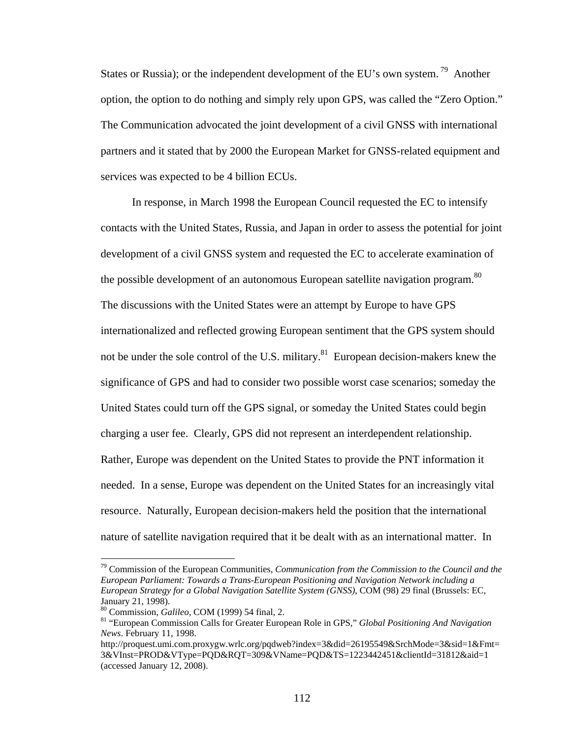States or Russia); or the independent development of the EU's own system.<sup>79</sup> Another option, the option to do nothing and simply rely upon GPS, was called the "Zero Option." The Communication advocated the joint development of a civil GNSS with international partners and it stated that by 2000 the European Market for GNSS-related equipment and services was expected to be 4 billion ECUs.

In response, in March 1998 the European Council requested the EC to intensify contacts with the United States, Russia, and Japan in order to assess the potential for joint development of a civil GNSS system and requested the EC to accelerate examination of the possible development of an autonomous European satellite navigation program.<sup>80</sup> The discussions with the United States were an attempt by Europe to have GPS internationalized and reflected growing European sentiment that the GPS system should not be under the sole control of the U.S. military.<sup>81</sup> European decision-makers knew the significance of GPS and had to consider two possible worst case scenarios; someday the United States could turn off the GPS signal, or someday the United States could begin charging a user fee. Clearly, GPS did not represent an interdependent relationship. Rather, Europe was dependent on the United States to provide the PNT information it needed. In a sense, Europe was dependent on the United States for an increasingly vital resource. Naturally, European decision-makers held the position that the international nature of satellite navigation required that it be dealt with as an international matter. In

<sup>79</sup> Commission of the European Communities, *Communication from the Commission to the Council and the European Parliament: Towards a Trans-European Positioning and Navigation Network including a European Strategy for a Global Navigation Satellite System (GNSS)*, COM (98) 29 final (Brussels: EC, January 21, 1998).<br><sup>80</sup> Commission, *Galileo*, COM (1999) 54 final, 2.

<sup>&</sup>lt;sup>81</sup> "European Commission Calls for Greater European Role in GPS," *Global Positioning And Navigation News*. February 11, 1998.

http://proquest.umi.com.proxygw.wrlc.org/pqdweb?index=3&did=26195549&SrchMode=3&sid=1&Fmt= 3&VInst=PROD&VType=PQD&RQT=309&VName=PQD&TS=1223442451&clientId=31812&aid=1 (accessed January 12, 2008).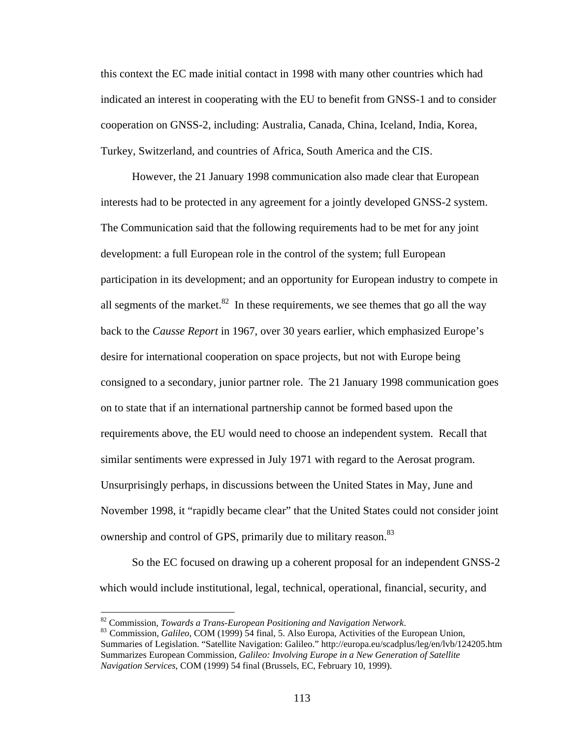this context the EC made initial contact in 1998 with many other countries which had indicated an interest in cooperating with the EU to benefit from GNSS-1 and to consider cooperation on GNSS-2, including: Australia, Canada, China, Iceland, India, Korea, Turkey, Switzerland, and countries of Africa, South America and the CIS.

However, the 21 January 1998 communication also made clear that European interests had to be protected in any agreement for a jointly developed GNSS-2 system. The Communication said that the following requirements had to be met for any joint development: a full European role in the control of the system; full European participation in its development; and an opportunity for European industry to compete in all segments of the market.<sup>82</sup> In these requirements, we see themes that go all the way back to the *Causse Report* in 1967, over 30 years earlier, which emphasized Europe's desire for international cooperation on space projects, but not with Europe being consigned to a secondary, junior partner role. The 21 January 1998 communication goes on to state that if an international partnership cannot be formed based upon the requirements above, the EU would need to choose an independent system. Recall that similar sentiments were expressed in July 1971 with regard to the Aerosat program. Unsurprisingly perhaps, in discussions between the United States in May, June and November 1998, it "rapidly became clear" that the United States could not consider joint ownership and control of GPS, primarily due to military reason.<sup>83</sup>

So the EC focused on drawing up a coherent proposal for an independent GNSS-2 which would include institutional, legal, technical, operational, financial, security, and

<sup>82</sup> Commission, *Towards a Trans-European Positioning and Navigation Network*. 83 Commission, *Galileo,* COM (1999) 54 final, 5. Also Europa, Activities of the European Union,

Summaries of Legislation. "Satellite Navigation: Galileo." http://europa.eu/scadplus/leg/en/lvb/124205.htm Summarizes European Commission, *Galileo: Involving Europe in a New Generation of Satellite Navigation Services,* COM (1999) 54 final (Brussels, EC, February 10, 1999).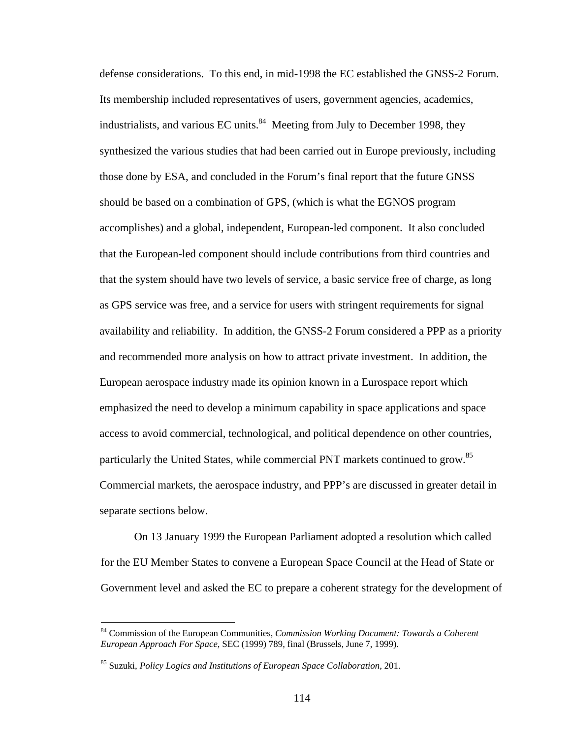defense considerations. To this end, in mid-1998 the EC established the GNSS-2 Forum. Its membership included representatives of users, government agencies, academics, industrialists, and various EC units. $^{84}$  Meeting from July to December 1998, they synthesized the various studies that had been carried out in Europe previously, including those done by ESA, and concluded in the Forum's final report that the future GNSS should be based on a combination of GPS, (which is what the EGNOS program accomplishes) and a global, independent, European-led component. It also concluded that the European-led component should include contributions from third countries and that the system should have two levels of service, a basic service free of charge, as long as GPS service was free, and a service for users with stringent requirements for signal availability and reliability. In addition, the GNSS-2 Forum considered a PPP as a priority and recommended more analysis on how to attract private investment. In addition, the European aerospace industry made its opinion known in a Eurospace report which emphasized the need to develop a minimum capability in space applications and space access to avoid commercial, technological, and political dependence on other countries, particularly the United States, while commercial PNT markets continued to grow.85 Commercial markets, the aerospace industry, and PPP's are discussed in greater detail in separate sections below.

On 13 January 1999 the European Parliament adopted a resolution which called for the EU Member States to convene a European Space Council at the Head of State or Government level and asked the EC to prepare a coherent strategy for the development of

<u>.</u>

<sup>84</sup> Commission of the European Communities, *Commission Working Document: Towards a Coherent European Approach For Space,* SEC (1999) 789, final (Brussels, June 7, 1999).

<sup>85</sup> Suzuki, *Policy Logics and Institutions of European Space Collaboration*, 201.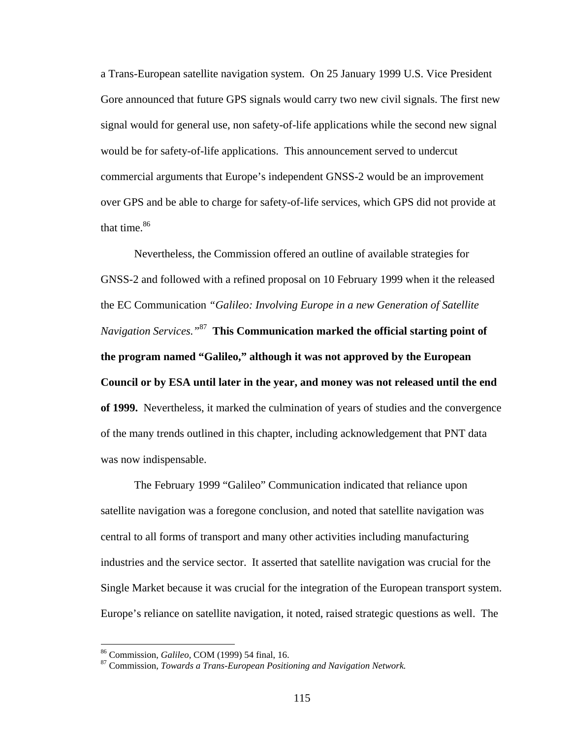a Trans-European satellite navigation system. On 25 January 1999 U.S. Vice President Gore announced that future GPS signals would carry two new civil signals. The first new signal would for general use, non safety-of-life applications while the second new signal would be for safety-of-life applications. This announcement served to undercut commercial arguments that Europe's independent GNSS-2 would be an improvement over GPS and be able to charge for safety-of-life services, which GPS did not provide at that time. $86$ 

Nevertheless, the Commission offered an outline of available strategies for GNSS-2 and followed with a refined proposal on 10 February 1999 when it the released the EC Communication *"Galileo: Involving Europe in a new Generation of Satellite Navigation Services."*87 **This Communication marked the official starting point of the program named "Galileo," although it was not approved by the European Council or by ESA until later in the year, and money was not released until the end of 1999.** Nevertheless, it marked the culmination of years of studies and the convergence of the many trends outlined in this chapter, including acknowledgement that PNT data was now indispensable.

The February 1999 "Galileo" Communication indicated that reliance upon satellite navigation was a foregone conclusion, and noted that satellite navigation was central to all forms of transport and many other activities including manufacturing industries and the service sector. It asserted that satellite navigation was crucial for the Single Market because it was crucial for the integration of the European transport system. Europe's reliance on satellite navigation, it noted, raised strategic questions as well. The

<sup>&</sup>lt;sup>86</sup> Commission, *Galileo, COM (1999) 54 final, 16.* 87 Commission, *Towards a Trans-European Positioning and Navigation Network.*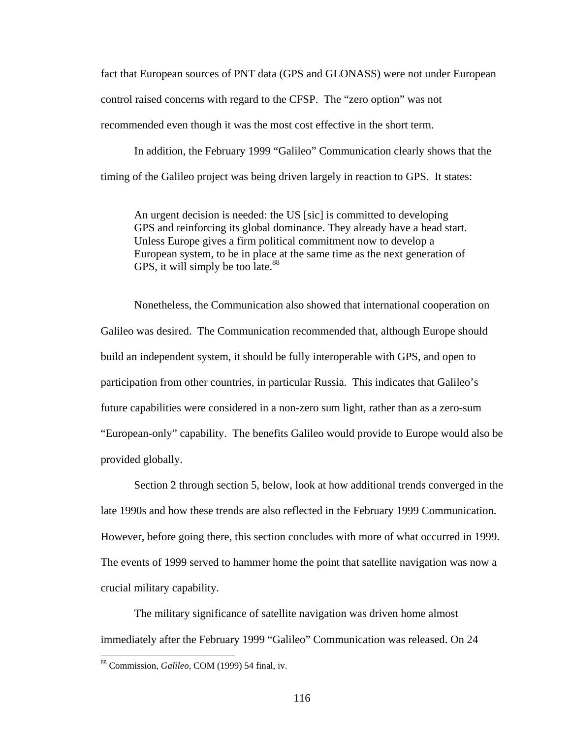fact that European sources of PNT data (GPS and GLONASS) were not under European control raised concerns with regard to the CFSP. The "zero option" was not recommended even though it was the most cost effective in the short term.

In addition, the February 1999 "Galileo" Communication clearly shows that the timing of the Galileo project was being driven largely in reaction to GPS. It states:

An urgent decision is needed: the US [sic] is committed to developing GPS and reinforcing its global dominance. They already have a head start. Unless Europe gives a firm political commitment now to develop a European system, to be in place at the same time as the next generation of GPS, it will simply be too late. $88$ 

Nonetheless, the Communication also showed that international cooperation on Galileo was desired. The Communication recommended that, although Europe should build an independent system, it should be fully interoperable with GPS, and open to participation from other countries, in particular Russia. This indicates that Galileo's future capabilities were considered in a non-zero sum light, rather than as a zero-sum "European-only" capability. The benefits Galileo would provide to Europe would also be provided globally.

Section 2 through section 5, below, look at how additional trends converged in the late 1990s and how these trends are also reflected in the February 1999 Communication. However, before going there, this section concludes with more of what occurred in 1999. The events of 1999 served to hammer home the point that satellite navigation was now a crucial military capability.

 The military significance of satellite navigation was driven home almost immediately after the February 1999 "Galileo" Communication was released. On 24

<sup>88</sup> Commission, *Galileo,* COM (1999) 54 final, iv.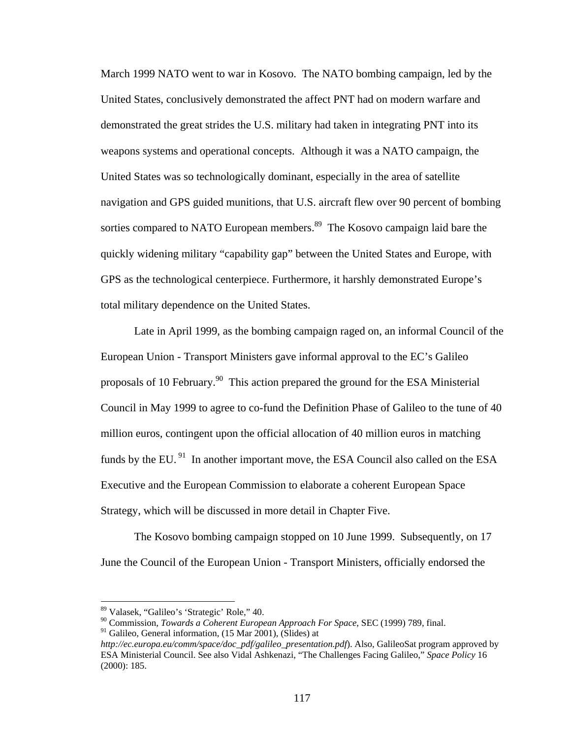March 1999 NATO went to war in Kosovo. The NATO bombing campaign, led by the United States, conclusively demonstrated the affect PNT had on modern warfare and demonstrated the great strides the U.S. military had taken in integrating PNT into its weapons systems and operational concepts. Although it was a NATO campaign, the United States was so technologically dominant, especially in the area of satellite navigation and GPS guided munitions, that U.S. aircraft flew over 90 percent of bombing sorties compared to NATO European members.<sup>89</sup> The Kosovo campaign laid bare the quickly widening military "capability gap" between the United States and Europe, with GPS as the technological centerpiece. Furthermore, it harshly demonstrated Europe's total military dependence on the United States.

Late in April 1999, as the bombing campaign raged on, an informal Council of the European Union - Transport Ministers gave informal approval to the EC's Galileo proposals of 10 February.90 This action prepared the ground for the ESA Ministerial Council in May 1999 to agree to co-fund the Definition Phase of Galileo to the tune of 40 million euros, contingent upon the official allocation of 40 million euros in matching funds by the EU. $91$  In another important move, the ESA Council also called on the ESA Executive and the European Commission to elaborate a coherent European Space Strategy, which will be discussed in more detail in Chapter Five.

The Kosovo bombing campaign stopped on 10 June 1999. Subsequently, on 17 June the Council of the European Union - Transport Ministers, officially endorsed the

<sup>89</sup> Valasek, "Galileo's 'Strategic' Role," 40.

<sup>90</sup> Commission, *Towards a Coherent European Approach For Space,* SEC (1999) 789, final.

 $91$  Galileo, General information, (15 Mar 2001), (Slides) at

*http://ec.europa.eu/comm/space/doc\_pdf/galileo\_presentation.pdf*). Also, GalileoSat program approved by ESA Ministerial Council. See also Vidal Ashkenazi, "The Challenges Facing Galileo," *Space Policy* 16 (2000): 185.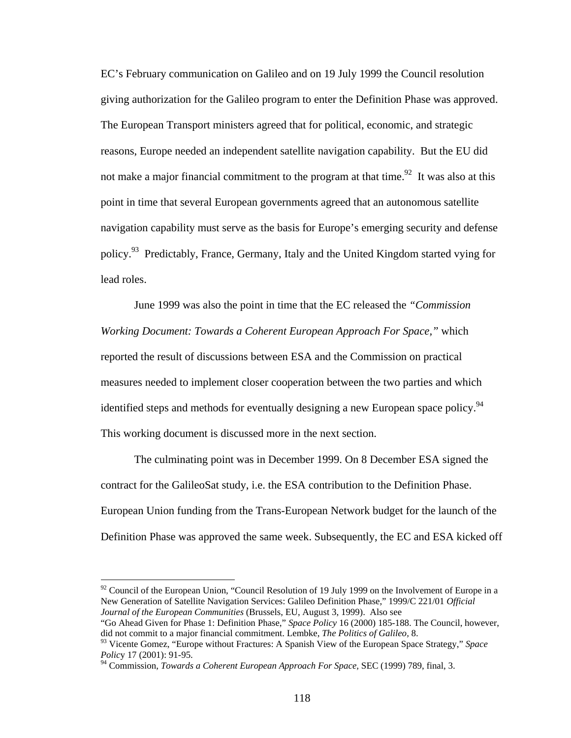EC's February communication on Galileo and on 19 July 1999 the Council resolution giving authorization for the Galileo program to enter the Definition Phase was approved. The European Transport ministers agreed that for political, economic, and strategic reasons, Europe needed an independent satellite navigation capability. But the EU did not make a major financial commitment to the program at that time.<sup>92</sup> It was also at this point in time that several European governments agreed that an autonomous satellite navigation capability must serve as the basis for Europe's emerging security and defense policy.<sup>93</sup> Predictably, France, Germany, Italy and the United Kingdom started vying for lead roles.

June 1999 was also the point in time that the EC released the *"Commission Working Document: Towards a Coherent European Approach For Space,"* which reported the result of discussions between ESA and the Commission on practical measures needed to implement closer cooperation between the two parties and which identified steps and methods for eventually designing a new European space policy.<sup>94</sup> This working document is discussed more in the next section.

The culminating point was in December 1999. On 8 December ESA signed the contract for the GalileoSat study, i.e. the ESA contribution to the Definition Phase. European Union funding from the Trans-European Network budget for the launch of the Definition Phase was approved the same week. Subsequently, the EC and ESA kicked off

 $92$  Council of the European Union, "Council Resolution of 19 July 1999 on the Involvement of Europe in a New Generation of Satellite Navigation Services: Galileo Definition Phase," 1999/C 221/01 *Official Journal of the European Communities* (Brussels, EU, August 3, 1999). Also see

<sup>&</sup>quot;Go Ahead Given for Phase 1: Definition Phase," *Space Policy* 16 (2000) 185-188. The Council, however, did not commit to a major financial commitment. Lembke, *The Politics of Galileo,* 8.

<sup>93</sup> Vicente Gomez, "Europe without Fractures: A Spanish View of the European Space Strategy," *Space Polic*y 17 (2001): 91-95.

<sup>94</sup> Commission, *Towards a Coherent European Approach For Space,* SEC (1999) 789, final, 3.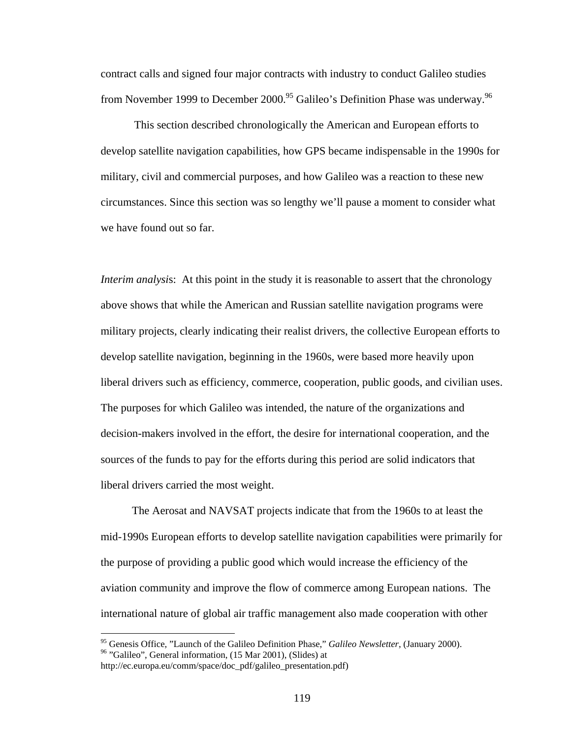contract calls and signed four major contracts with industry to conduct Galileo studies from November 1999 to December 2000.<sup>95</sup> Galileo's Definition Phase was underway.<sup>96</sup>

This section described chronologically the American and European efforts to develop satellite navigation capabilities, how GPS became indispensable in the 1990s for military, civil and commercial purposes, and how Galileo was a reaction to these new circumstances. Since this section was so lengthy we'll pause a moment to consider what we have found out so far.

*Interim analysis*: At this point in the study it is reasonable to assert that the chronology above shows that while the American and Russian satellite navigation programs were military projects, clearly indicating their realist drivers, the collective European efforts to develop satellite navigation, beginning in the 1960s, were based more heavily upon liberal drivers such as efficiency, commerce, cooperation, public goods, and civilian uses. The purposes for which Galileo was intended, the nature of the organizations and decision-makers involved in the effort, the desire for international cooperation, and the sources of the funds to pay for the efforts during this period are solid indicators that liberal drivers carried the most weight.

The Aerosat and NAVSAT projects indicate that from the 1960s to at least the mid-1990s European efforts to develop satellite navigation capabilities were primarily for the purpose of providing a public good which would increase the efficiency of the aviation community and improve the flow of commerce among European nations. The international nature of global air traffic management also made cooperation with other

<sup>&</sup>lt;sup>95</sup> Genesis Office, "Launch of the Galileo Definition Phase," *Galileo Newsletter*, (January 2000).<br><sup>96</sup> "Galileo", General information, (15 Mar 2001), (Slides) at

http://ec.europa.eu/comm/space/doc\_pdf/galileo\_presentation.pdf)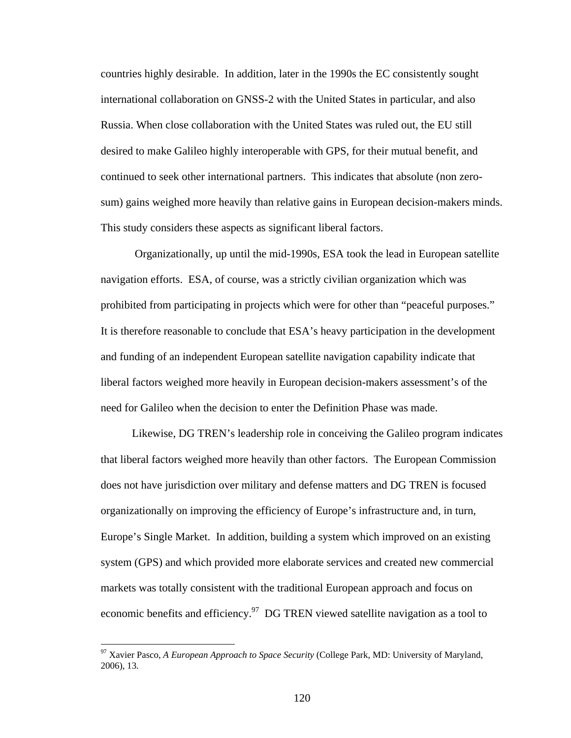countries highly desirable. In addition, later in the 1990s the EC consistently sought international collaboration on GNSS-2 with the United States in particular, and also Russia. When close collaboration with the United States was ruled out, the EU still desired to make Galileo highly interoperable with GPS, for their mutual benefit, and continued to seek other international partners. This indicates that absolute (non zerosum) gains weighed more heavily than relative gains in European decision-makers minds. This study considers these aspects as significant liberal factors.

 Organizationally, up until the mid-1990s, ESA took the lead in European satellite navigation efforts. ESA, of course, was a strictly civilian organization which was prohibited from participating in projects which were for other than "peaceful purposes." It is therefore reasonable to conclude that ESA's heavy participation in the development and funding of an independent European satellite navigation capability indicate that liberal factors weighed more heavily in European decision-makers assessment's of the need for Galileo when the decision to enter the Definition Phase was made.

Likewise, DG TREN's leadership role in conceiving the Galileo program indicates that liberal factors weighed more heavily than other factors. The European Commission does not have jurisdiction over military and defense matters and DG TREN is focused organizationally on improving the efficiency of Europe's infrastructure and, in turn, Europe's Single Market. In addition, building a system which improved on an existing system (GPS) and which provided more elaborate services and created new commercial markets was totally consistent with the traditional European approach and focus on economic benefits and efficiency.<sup>97</sup> DG TREN viewed satellite navigation as a tool to

<sup>97</sup> Xavier Pasco, *A European Approach to Space Security* (College Park, MD: University of Maryland, 2006), 13.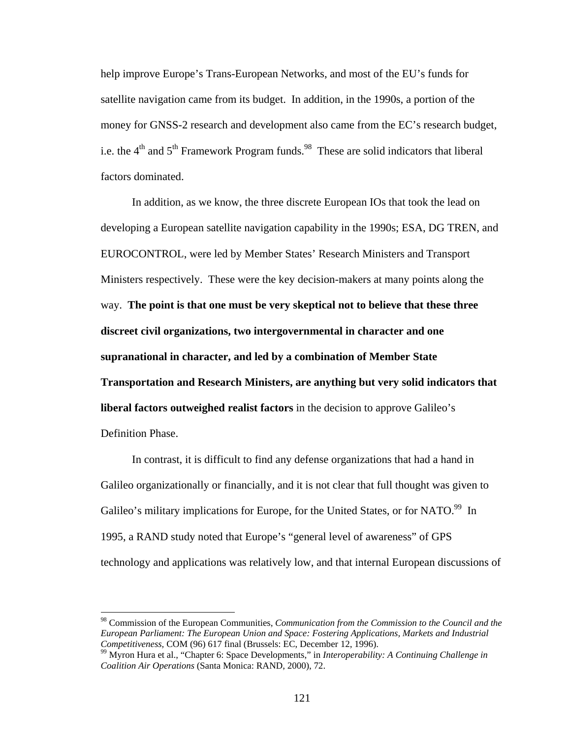help improve Europe's Trans-European Networks, and most of the EU's funds for satellite navigation came from its budget. In addition, in the 1990s, a portion of the money for GNSS-2 research and development also came from the EC's research budget, i.e. the  $4<sup>th</sup>$  and  $5<sup>th</sup>$  Framework Program funds.<sup>98</sup> These are solid indicators that liberal factors dominated.

In addition, as we know, the three discrete European IOs that took the lead on developing a European satellite navigation capability in the 1990s; ESA, DG TREN, and EUROCONTROL, were led by Member States' Research Ministers and Transport Ministers respectively. These were the key decision-makers at many points along the way. **The point is that one must be very skeptical not to believe that these three discreet civil organizations, two intergovernmental in character and one supranational in character, and led by a combination of Member State Transportation and Research Ministers, are anything but very solid indicators that liberal factors outweighed realist factors** in the decision to approve Galileo's Definition Phase.

In contrast, it is difficult to find any defense organizations that had a hand in Galileo organizationally or financially, and it is not clear that full thought was given to Galileo's military implications for Europe, for the United States, or for NATO.<sup>99</sup> In 1995, a RAND study noted that Europe's "general level of awareness" of GPS technology and applications was relatively low, and that internal European discussions of

<sup>98</sup> Commission of the European Communities, *Communication from the Commission to the Council and the European Parliament: The European Union and Space: Fostering Applications, Markets and Industrial* 

<sup>&</sup>lt;sup>99</sup> Myron Hura et al., "Chapter 6: Space Developments," in *Interoperability: A Continuing Challenge in Coalition Air Operations* (Santa Monica: RAND, 2000), 72.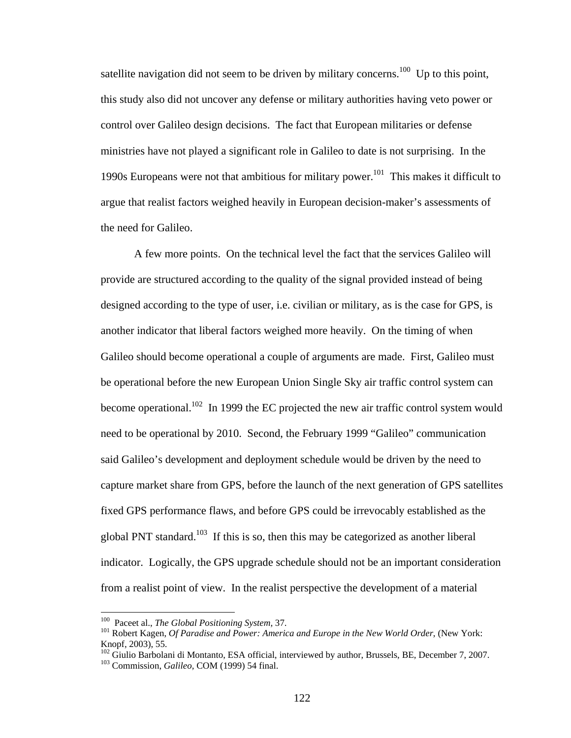satellite navigation did not seem to be driven by military concerns.<sup>100</sup> Up to this point, this study also did not uncover any defense or military authorities having veto power or control over Galileo design decisions. The fact that European militaries or defense ministries have not played a significant role in Galileo to date is not surprising. In the 1990s Europeans were not that ambitious for military power.<sup>101</sup> This makes it difficult to argue that realist factors weighed heavily in European decision-maker's assessments of the need for Galileo.

A few more points. On the technical level the fact that the services Galileo will provide are structured according to the quality of the signal provided instead of being designed according to the type of user, i.e. civilian or military, as is the case for GPS, is another indicator that liberal factors weighed more heavily. On the timing of when Galileo should become operational a couple of arguments are made. First, Galileo must be operational before the new European Union Single Sky air traffic control system can become operational.<sup>102</sup> In 1999 the EC projected the new air traffic control system would need to be operational by 2010. Second, the February 1999 "Galileo" communication said Galileo's development and deployment schedule would be driven by the need to capture market share from GPS, before the launch of the next generation of GPS satellites fixed GPS performance flaws, and before GPS could be irrevocably established as the global PNT standard.<sup>103</sup> If this is so, then this may be categorized as another liberal indicator. Logically, the GPS upgrade schedule should not be an important consideration from a realist point of view. In the realist perspective the development of a material

<sup>&</sup>lt;sup>100</sup> Paceet al., *The Global Positioning System*, 37.

<sup>&</sup>lt;sup>101</sup> Robert Kagen, *Of Paradise and Power: America and Europe in the New World Order*, (New York: Knopf, 2003), 55.

<sup>102</sup> Giulio Barbolani di Montanto, ESA official, interviewed by author, Brussels, BE, December 7, 2007. 103 Commission, *Galileo,* COM (1999) 54 final.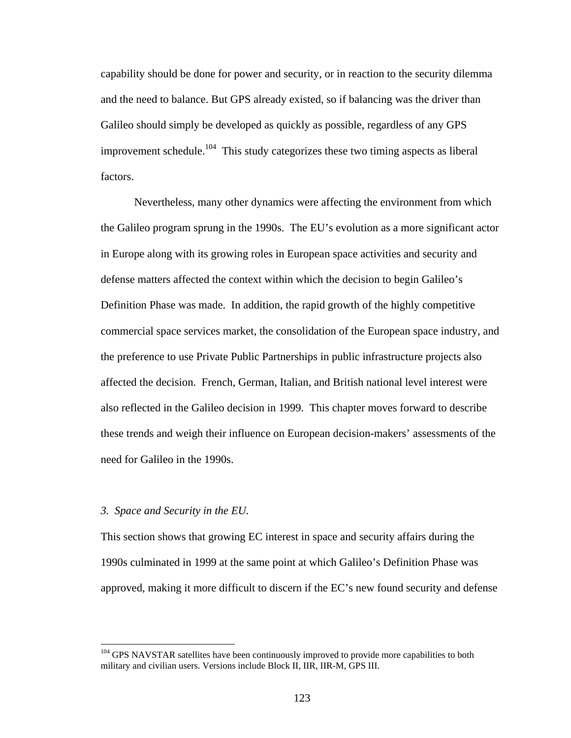capability should be done for power and security, or in reaction to the security dilemma and the need to balance. But GPS already existed, so if balancing was the driver than Galileo should simply be developed as quickly as possible, regardless of any GPS improvement schedule.<sup>104</sup> This study categorizes these two timing aspects as liberal factors.

Nevertheless, many other dynamics were affecting the environment from which the Galileo program sprung in the 1990s. The EU's evolution as a more significant actor in Europe along with its growing roles in European space activities and security and defense matters affected the context within which the decision to begin Galileo's Definition Phase was made. In addition, the rapid growth of the highly competitive commercial space services market, the consolidation of the European space industry, and the preference to use Private Public Partnerships in public infrastructure projects also affected the decision. French, German, Italian, and British national level interest were also reflected in the Galileo decision in 1999. This chapter moves forward to describe these trends and weigh their influence on European decision-makers' assessments of the need for Galileo in the 1990s.

## *3. Space and Security in the EU.*

 $\overline{a}$ 

This section shows that growing EC interest in space and security affairs during the 1990s culminated in 1999 at the same point at which Galileo's Definition Phase was approved, making it more difficult to discern if the EC's new found security and defense

<sup>&</sup>lt;sup>104</sup> GPS NAVSTAR satellites have been continuously improved to provide more capabilities to both military and civilian users. Versions include Block II, IIR, IIR-M, GPS III.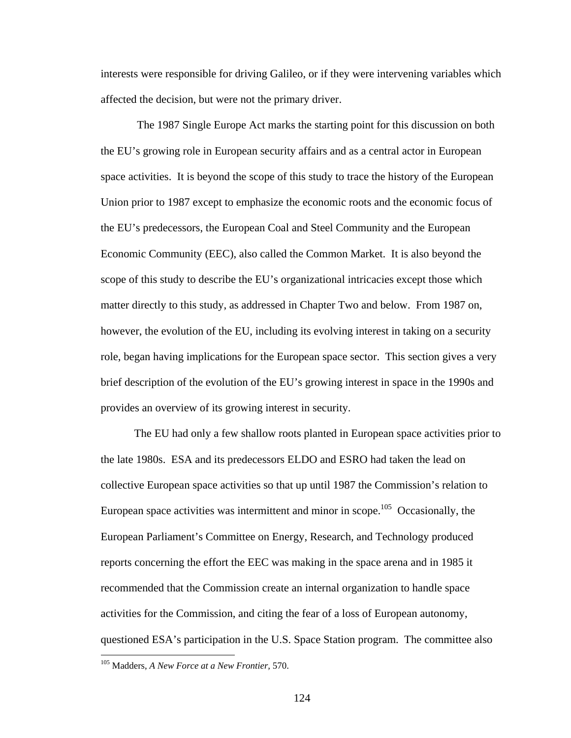interests were responsible for driving Galileo, or if they were intervening variables which affected the decision, but were not the primary driver.

 The 1987 Single Europe Act marks the starting point for this discussion on both the EU's growing role in European security affairs and as a central actor in European space activities. It is beyond the scope of this study to trace the history of the European Union prior to 1987 except to emphasize the economic roots and the economic focus of the EU's predecessors, the European Coal and Steel Community and the European Economic Community (EEC), also called the Common Market. It is also beyond the scope of this study to describe the EU's organizational intricacies except those which matter directly to this study, as addressed in Chapter Two and below. From 1987 on, however, the evolution of the EU, including its evolving interest in taking on a security role, began having implications for the European space sector. This section gives a very brief description of the evolution of the EU's growing interest in space in the 1990s and provides an overview of its growing interest in security.

 The EU had only a few shallow roots planted in European space activities prior to the late 1980s. ESA and its predecessors ELDO and ESRO had taken the lead on collective European space activities so that up until 1987 the Commission's relation to European space activities was intermittent and minor in scope.<sup>105</sup> Occasionally, the European Parliament's Committee on Energy, Research, and Technology produced reports concerning the effort the EEC was making in the space arena and in 1985 it recommended that the Commission create an internal organization to handle space activities for the Commission, and citing the fear of a loss of European autonomy, questioned ESA's participation in the U.S. Space Station program. The committee also

<sup>105</sup> Madders, *A New Force at a New Frontier,* 570.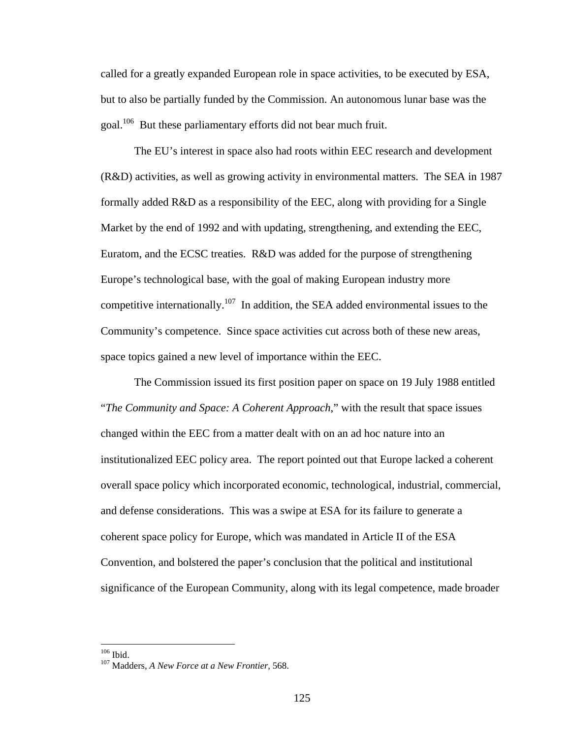called for a greatly expanded European role in space activities, to be executed by ESA, but to also be partially funded by the Commission. An autonomous lunar base was the goal.<sup>106</sup> But these parliamentary efforts did not bear much fruit.

 The EU's interest in space also had roots within EEC research and development (R&D) activities, as well as growing activity in environmental matters. The SEA in 1987 formally added R&D as a responsibility of the EEC, along with providing for a Single Market by the end of 1992 and with updating, strengthening, and extending the EEC, Euratom, and the ECSC treaties. R&D was added for the purpose of strengthening Europe's technological base, with the goal of making European industry more competitive internationally.<sup>107</sup> In addition, the SEA added environmental issues to the Community's competence. Since space activities cut across both of these new areas, space topics gained a new level of importance within the EEC.

 The Commission issued its first position paper on space on 19 July 1988 entitled "*The Community and Space: A Coherent Approach*," with the result that space issues changed within the EEC from a matter dealt with on an ad hoc nature into an institutionalized EEC policy area. The report pointed out that Europe lacked a coherent overall space policy which incorporated economic, technological, industrial, commercial, and defense considerations. This was a swipe at ESA for its failure to generate a coherent space policy for Europe, which was mandated in Article II of the ESA Convention, and bolstered the paper's conclusion that the political and institutional significance of the European Community, along with its legal competence, made broader

 $106$  Ibid.

<sup>&</sup>lt;sup>107</sup> Madders, *A New Force at a New Frontier*, 568.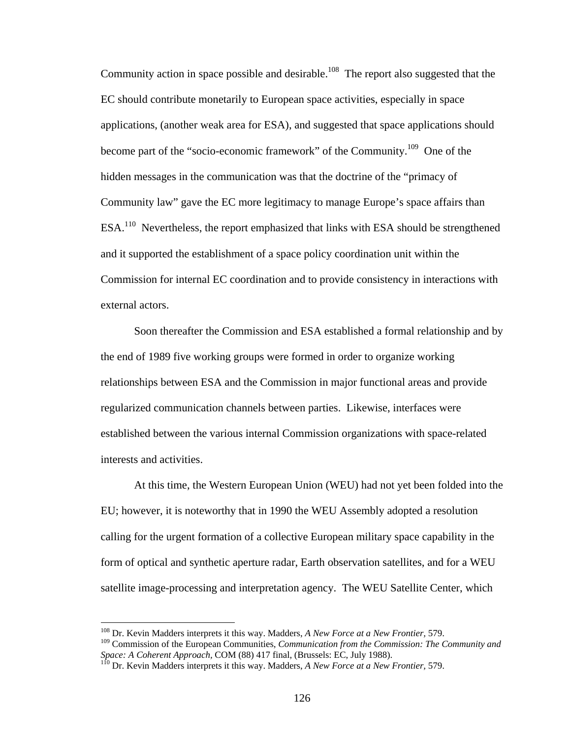Community action in space possible and desirable.<sup>108</sup> The report also suggested that the EC should contribute monetarily to European space activities, especially in space applications, (another weak area for ESA), and suggested that space applications should become part of the "socio-economic framework" of the Community.109 One of the hidden messages in the communication was that the doctrine of the "primacy of Community law" gave the EC more legitimacy to manage Europe's space affairs than ESA.110 Nevertheless, the report emphasized that links with ESA should be strengthened and it supported the establishment of a space policy coordination unit within the Commission for internal EC coordination and to provide consistency in interactions with external actors.

 Soon thereafter the Commission and ESA established a formal relationship and by the end of 1989 five working groups were formed in order to organize working relationships between ESA and the Commission in major functional areas and provide regularized communication channels between parties. Likewise, interfaces were established between the various internal Commission organizations with space-related interests and activities.

 At this time, the Western European Union (WEU) had not yet been folded into the EU; however, it is noteworthy that in 1990 the WEU Assembly adopted a resolution calling for the urgent formation of a collective European military space capability in the form of optical and synthetic aperture radar, Earth observation satellites, and for a WEU satellite image-processing and interpretation agency. The WEU Satellite Center, which

<sup>108</sup> Dr. Kevin Madders interprets it this way. Madders, *A New Force at a New Frontier,* 579.

<sup>109</sup> Commission of the European Communities, *Communication from the Commission: The Community and Space: A Coherent Approach,* COM (88) 417 final, (Brussels: EC, July 1988). 110 Dr. Kevin Madders interprets it this way. Madders, *A New Force at a New Frontier,* 579.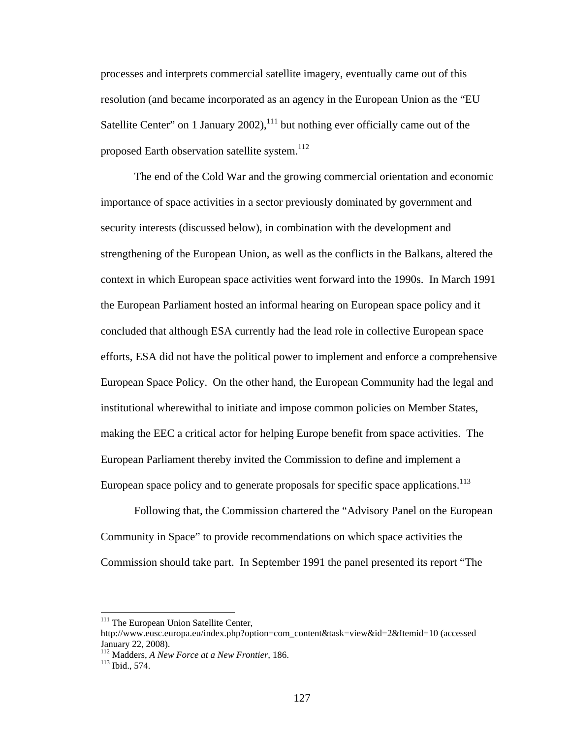processes and interprets commercial satellite imagery, eventually came out of this resolution (and became incorporated as an agency in the European Union as the "EU Satellite Center" on 1 January  $2002$ ,  $^{111}$  but nothing ever officially came out of the proposed Earth observation satellite system. $112$ 

 The end of the Cold War and the growing commercial orientation and economic importance of space activities in a sector previously dominated by government and security interests (discussed below), in combination with the development and strengthening of the European Union, as well as the conflicts in the Balkans, altered the context in which European space activities went forward into the 1990s. In March 1991 the European Parliament hosted an informal hearing on European space policy and it concluded that although ESA currently had the lead role in collective European space efforts, ESA did not have the political power to implement and enforce a comprehensive European Space Policy. On the other hand, the European Community had the legal and institutional wherewithal to initiate and impose common policies on Member States, making the EEC a critical actor for helping Europe benefit from space activities. The European Parliament thereby invited the Commission to define and implement a European space policy and to generate proposals for specific space applications.<sup>113</sup>

 Following that, the Commission chartered the "Advisory Panel on the European Community in Space" to provide recommendations on which space activities the Commission should take part. In September 1991 the panel presented its report "The

<sup>&</sup>lt;sup>111</sup> The European Union Satellite Center,

http://www.eusc.europa.eu/index.php?option=com\_content&task=view&id=2&Itemid=10 (accessed January 22, 2008).

<sup>&</sup>lt;sup>112</sup> Madders, *A New Force at a New Frontier*, 186.<br><sup>113</sup> Ibid., 574.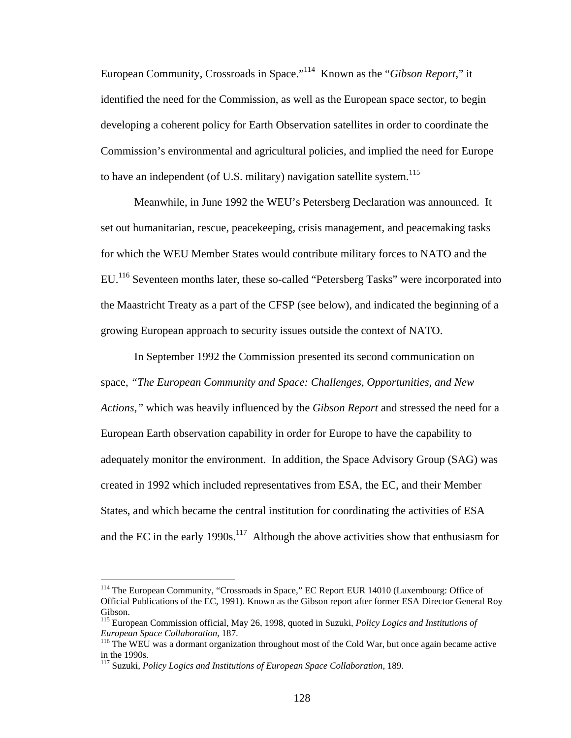European Community, Crossroads in Space."114 Known as the "*Gibson Report*," it identified the need for the Commission, as well as the European space sector, to begin developing a coherent policy for Earth Observation satellites in order to coordinate the Commission's environmental and agricultural policies, and implied the need for Europe to have an independent (of U.S. military) navigation satellite system.<sup>115</sup>

Meanwhile, in June 1992 the WEU's Petersberg Declaration was announced. It set out humanitarian, rescue, peacekeeping, crisis management, and peacemaking tasks for which the WEU Member States would contribute military forces to NATO and the EU.116 Seventeen months later, these so-called "Petersberg Tasks" were incorporated into the Maastricht Treaty as a part of the CFSP (see below), and indicated the beginning of a growing European approach to security issues outside the context of NATO.

In September 1992 the Commission presented its second communication on space, *"The European Community and Space: Challenges, Opportunities, and New Actions,"* which was heavily influenced by the *Gibson Report* and stressed the need for a European Earth observation capability in order for Europe to have the capability to adequately monitor the environment. In addition, the Space Advisory Group (SAG) was created in 1992 which included representatives from ESA, the EC, and their Member States, and which became the central institution for coordinating the activities of ESA and the EC in the early 1990s.<sup>117</sup> Although the above activities show that enthusiasm for

<sup>&</sup>lt;sup>114</sup> The European Community, "Crossroads in Space," EC Report EUR 14010 (Luxembourg: Office of Official Publications of the EC, 1991). Known as the Gibson report after former ESA Director General Roy Gibson.

<sup>115</sup> European Commission official, May 26, 1998, quoted in Suzuki, *Policy Logics and Institutions of* 

<sup>&</sup>lt;sup>116</sup> The WEU was a dormant organization throughout most of the Cold War, but once again became active in the 1990s.

<sup>117</sup> Suzuki, *Policy Logics and Institutions of European Space Collaboration*, 189.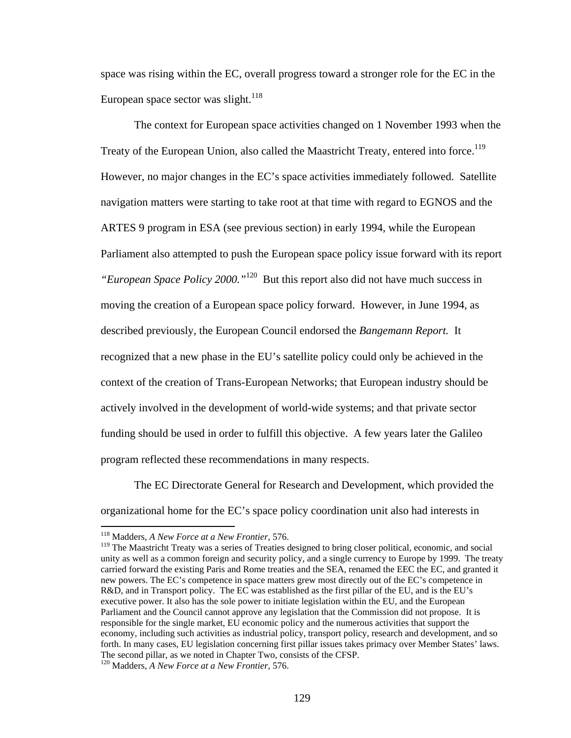space was rising within the EC, overall progress toward a stronger role for the EC in the European space sector was slight.<sup>118</sup>

 The context for European space activities changed on 1 November 1993 when the Treaty of the European Union, also called the Maastricht Treaty, entered into force.<sup>119</sup> However, no major changes in the EC's space activities immediately followed. Satellite navigation matters were starting to take root at that time with regard to EGNOS and the ARTES 9 program in ESA (see previous section) in early 1994, while the European Parliament also attempted to push the European space policy issue forward with its report *"European Space Policy 2000."*120 But this report also did not have much success in moving the creation of a European space policy forward. However, in June 1994, as described previously, the European Council endorsed the *Bangemann Report.* It recognized that a new phase in the EU's satellite policy could only be achieved in the context of the creation of Trans-European Networks; that European industry should be actively involved in the development of world-wide systems; and that private sector funding should be used in order to fulfill this objective. A few years later the Galileo program reflected these recommendations in many respects.

 The EC Directorate General for Research and Development, which provided the organizational home for the EC's space policy coordination unit also had interests in

<sup>118</sup> Madders, *A New Force at a New Frontier,* 576.

<sup>&</sup>lt;sup>119</sup> The Maastricht Treaty was a series of Treaties designed to bring closer political, economic, and social unity as well as a common foreign and security policy, and a single currency to Europe by 1999. The treaty carried forward the existing Paris and Rome treaties and the SEA, renamed the EEC the EC, and granted it new powers. The EC's competence in space matters grew most directly out of the EC's competence in R&D, and in Transport policy. The EC was established as the first pillar of the EU, and is the EU's executive power. It also has the sole power to initiate legislation within the EU, and the European Parliament and the Council cannot approve any legislation that the Commission did not propose. It is responsible for the single market, EU economic policy and the numerous activities that support the economy, including such activities as industrial policy, transport policy, research and development, and so forth. In many cases, EU legislation concerning first pillar issues takes primacy over Member States' laws. The second pillar, as we noted in Chapter Two, consists of the CFSP. 120 Madders, *A New Force at a New Frontier,* 576.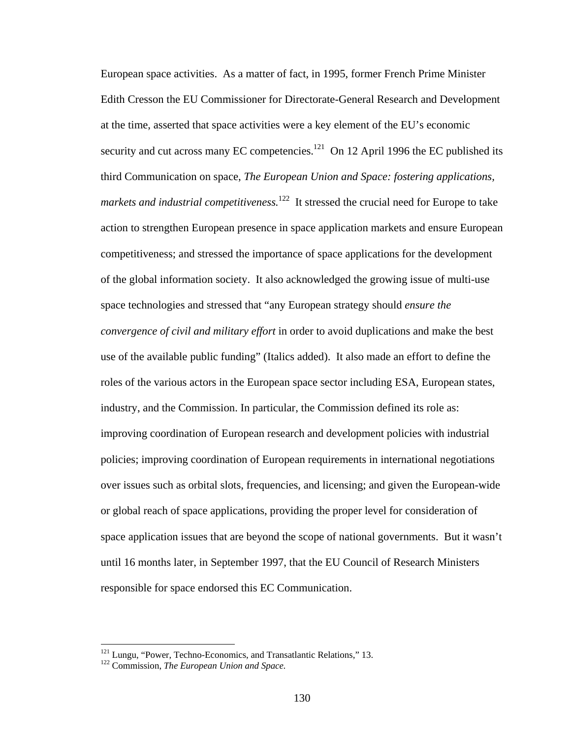European space activities. As a matter of fact, in 1995, former French Prime Minister Edith Cresson the EU Commissioner for Directorate-General Research and Development at the time, asserted that space activities were a key element of the EU's economic security and cut across many EC competencies.<sup>121</sup> On 12 April 1996 the EC published its third Communication on space, *The European Union and Space: fostering applications, markets and industrial competitiveness.*<sup>122</sup> It stressed the crucial need for Europe to take action to strengthen European presence in space application markets and ensure European competitiveness; and stressed the importance of space applications for the development of the global information society. It also acknowledged the growing issue of multi-use space technologies and stressed that "any European strategy should *ensure the convergence of civil and military effort* in order to avoid duplications and make the best use of the available public funding" (Italics added). It also made an effort to define the roles of the various actors in the European space sector including ESA, European states, industry, and the Commission. In particular, the Commission defined its role as: improving coordination of European research and development policies with industrial policies; improving coordination of European requirements in international negotiations over issues such as orbital slots, frequencies, and licensing; and given the European-wide or global reach of space applications, providing the proper level for consideration of space application issues that are beyond the scope of national governments. But it wasn't until 16 months later, in September 1997, that the EU Council of Research Ministers responsible for space endorsed this EC Communication.

<sup>&</sup>lt;sup>121</sup> Lungu, "Power, Techno-Economics, and Transatlantic Relations," 13.<br><sup>122</sup> Commission, *The European Union and Space*.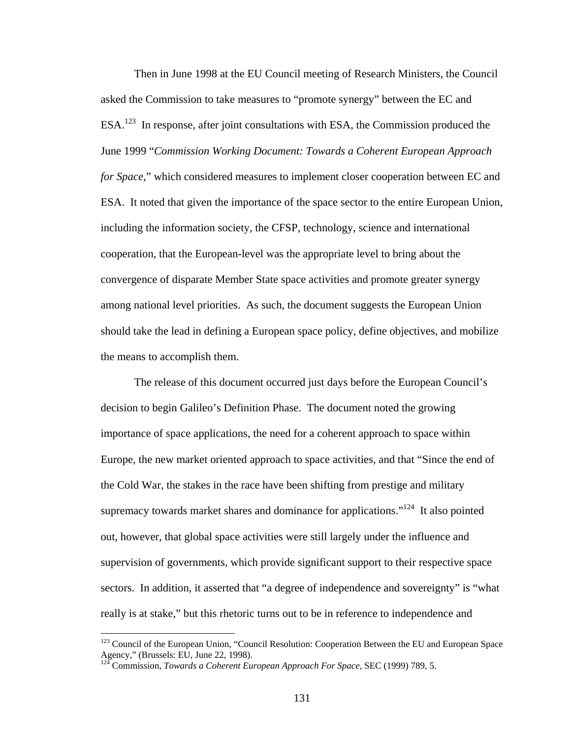Then in June 1998 at the EU Council meeting of Research Ministers, the Council asked the Commission to take measures to "promote synergy" between the EC and ESA.123 In response, after joint consultations with ESA, the Commission produced the June 1999 "*Commission Working Document: Towards a Coherent European Approach for Space,*" which considered measures to implement closer cooperation between EC and ESA. It noted that given the importance of the space sector to the entire European Union, including the information society, the CFSP, technology, science and international cooperation, that the European-level was the appropriate level to bring about the convergence of disparate Member State space activities and promote greater synergy among national level priorities. As such, the document suggests the European Union should take the lead in defining a European space policy, define objectives, and mobilize the means to accomplish them.

The release of this document occurred just days before the European Council's decision to begin Galileo's Definition Phase. The document noted the growing importance of space applications, the need for a coherent approach to space within Europe, the new market oriented approach to space activities, and that "Since the end of the Cold War, the stakes in the race have been shifting from prestige and military supremacy towards market shares and dominance for applications."<sup>124</sup> It also pointed out, however, that global space activities were still largely under the influence and supervision of governments, which provide significant support to their respective space sectors. In addition, it asserted that "a degree of independence and sovereignty" is "what really is at stake," but this rhetoric turns out to be in reference to independence and

<sup>&</sup>lt;sup>123</sup> Council of the European Union, "Council Resolution: Cooperation Between the EU and European Space Agency," (Brussels: EU, June 22, 1998).

<sup>124</sup> Commission, *Towards a Coherent European Approach For Space,* SEC (1999) 789, 5.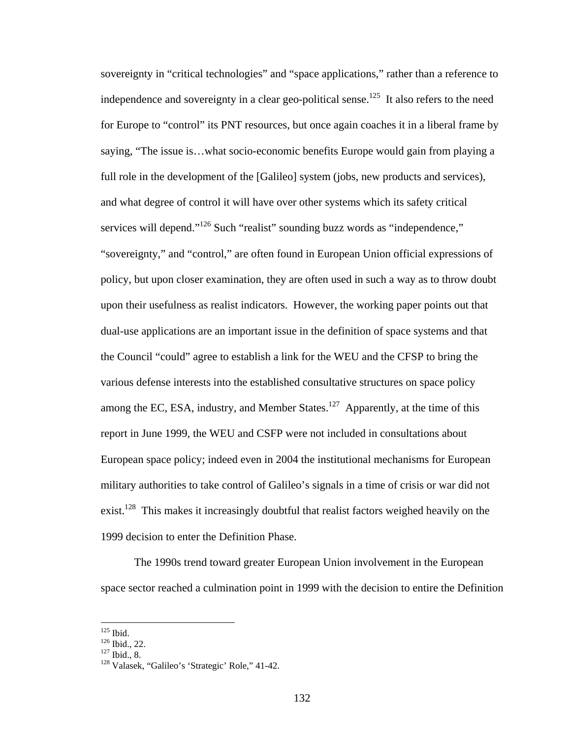sovereignty in "critical technologies" and "space applications," rather than a reference to independence and sovereignty in a clear geo-political sense.<sup>125</sup> It also refers to the need for Europe to "control" its PNT resources, but once again coaches it in a liberal frame by saying, "The issue is…what socio-economic benefits Europe would gain from playing a full role in the development of the [Galileo] system (jobs, new products and services), and what degree of control it will have over other systems which its safety critical services will depend."<sup>126</sup> Such "realist" sounding buzz words as "independence," "sovereignty," and "control," are often found in European Union official expressions of policy, but upon closer examination, they are often used in such a way as to throw doubt upon their usefulness as realist indicators. However, the working paper points out that dual-use applications are an important issue in the definition of space systems and that the Council "could" agree to establish a link for the WEU and the CFSP to bring the various defense interests into the established consultative structures on space policy among the EC, ESA, industry, and Member States.<sup>127</sup> Apparently, at the time of this report in June 1999, the WEU and CSFP were not included in consultations about European space policy; indeed even in 2004 the institutional mechanisms for European military authorities to take control of Galileo's signals in a time of crisis or war did not exist.<sup>128</sup> This makes it increasingly doubtful that realist factors weighed heavily on the 1999 decision to enter the Definition Phase.

The 1990s trend toward greater European Union involvement in the European space sector reached a culmination point in 1999 with the decision to entire the Definition

 $125$  Ibid.

<sup>126</sup> Ibid., 22.<br>  $125$  Ibid., 8.<br>  $128$  Valasek, "Galileo's 'Strategic' Role," 41-42.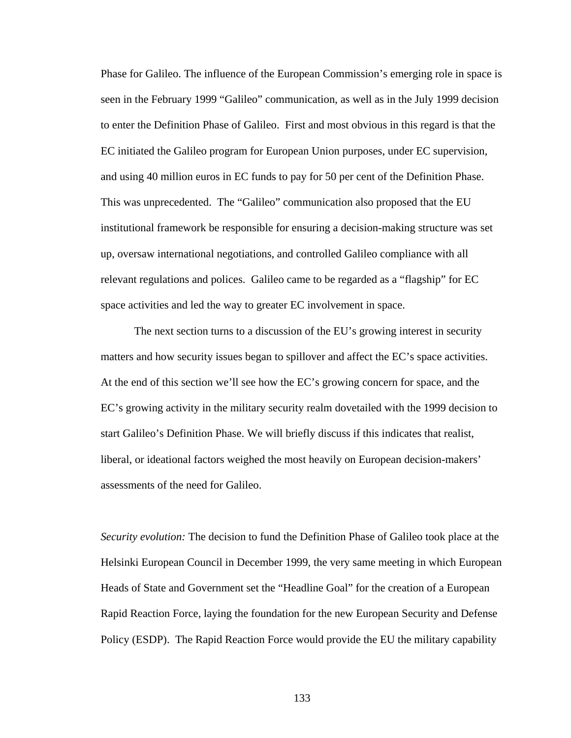Phase for Galileo. The influence of the European Commission's emerging role in space is seen in the February 1999 "Galileo" communication, as well as in the July 1999 decision to enter the Definition Phase of Galileo. First and most obvious in this regard is that the EC initiated the Galileo program for European Union purposes, under EC supervision, and using 40 million euros in EC funds to pay for 50 per cent of the Definition Phase. This was unprecedented. The "Galileo" communication also proposed that the EU institutional framework be responsible for ensuring a decision-making structure was set up, oversaw international negotiations, and controlled Galileo compliance with all relevant regulations and polices. Galileo came to be regarded as a "flagship" for EC space activities and led the way to greater EC involvement in space.

The next section turns to a discussion of the EU's growing interest in security matters and how security issues began to spillover and affect the EC's space activities. At the end of this section we'll see how the EC's growing concern for space, and the EC's growing activity in the military security realm dovetailed with the 1999 decision to start Galileo's Definition Phase. We will briefly discuss if this indicates that realist, liberal, or ideational factors weighed the most heavily on European decision-makers' assessments of the need for Galileo.

*Security evolution:* The decision to fund the Definition Phase of Galileo took place at the Helsinki European Council in December 1999, the very same meeting in which European Heads of State and Government set the "Headline Goal" for the creation of a European Rapid Reaction Force, laying the foundation for the new European Security and Defense Policy (ESDP). The Rapid Reaction Force would provide the EU the military capability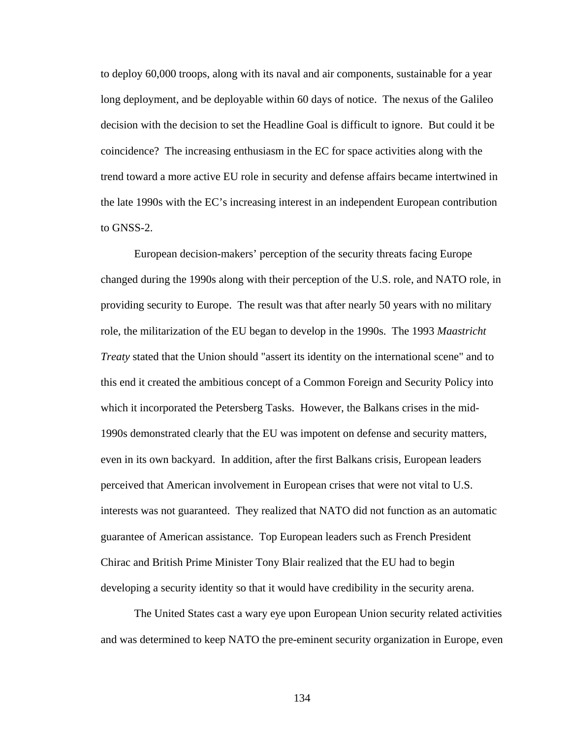to deploy 60,000 troops, along with its naval and air components, sustainable for a year long deployment, and be deployable within 60 days of notice. The nexus of the Galileo decision with the decision to set the Headline Goal is difficult to ignore. But could it be coincidence? The increasing enthusiasm in the EC for space activities along with the trend toward a more active EU role in security and defense affairs became intertwined in the late 1990s with the EC's increasing interest in an independent European contribution to GNSS-2.

European decision-makers' perception of the security threats facing Europe changed during the 1990s along with their perception of the U.S. role, and NATO role, in providing security to Europe. The result was that after nearly 50 years with no military role, the militarization of the EU began to develop in the 1990s. The 1993 *Maastricht Treaty* stated that the Union should "assert its identity on the international scene" and to this end it created the ambitious concept of a Common Foreign and Security Policy into which it incorporated the Petersberg Tasks. However, the Balkans crises in the mid-1990s demonstrated clearly that the EU was impotent on defense and security matters, even in its own backyard. In addition, after the first Balkans crisis, European leaders perceived that American involvement in European crises that were not vital to U.S. interests was not guaranteed. They realized that NATO did not function as an automatic guarantee of American assistance. Top European leaders such as French President Chirac and British Prime Minister Tony Blair realized that the EU had to begin developing a security identity so that it would have credibility in the security arena.

The United States cast a wary eye upon European Union security related activities and was determined to keep NATO the pre-eminent security organization in Europe, even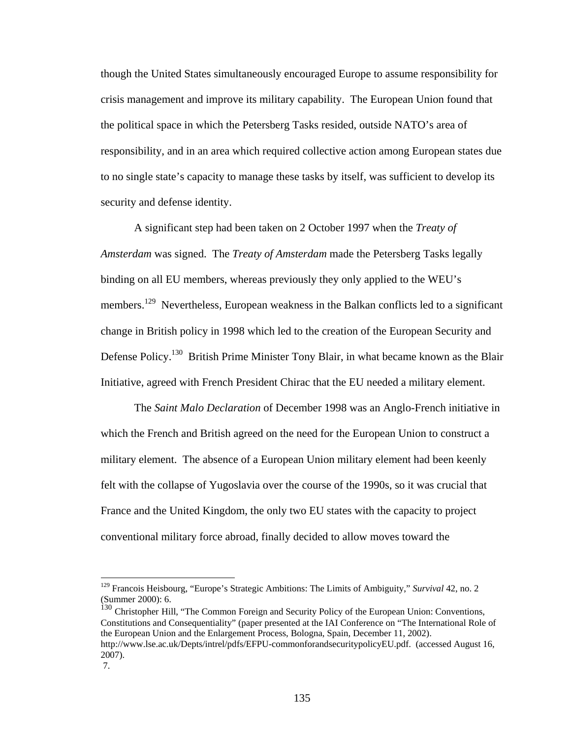though the United States simultaneously encouraged Europe to assume responsibility for crisis management and improve its military capability. The European Union found that the political space in which the Petersberg Tasks resided, outside NATO's area of responsibility, and in an area which required collective action among European states due to no single state's capacity to manage these tasks by itself, was sufficient to develop its security and defense identity.

A significant step had been taken on 2 October 1997 when the *Treaty of Amsterdam* was signed. The *Treaty of Amsterdam* made the Petersberg Tasks legally binding on all EU members, whereas previously they only applied to the WEU's members.<sup>129</sup> Nevertheless, European weakness in the Balkan conflicts led to a significant change in British policy in 1998 which led to the creation of the European Security and Defense Policy.<sup>130</sup> British Prime Minister Tony Blair, in what became known as the Blair Initiative, agreed with French President Chirac that the EU needed a military element.

The *Saint Malo Declaration* of December 1998 was an Anglo-French initiative in which the French and British agreed on the need for the European Union to construct a military element. The absence of a European Union military element had been keenly felt with the collapse of Yugoslavia over the course of the 1990s, so it was crucial that France and the United Kingdom, the only two EU states with the capacity to project conventional military force abroad, finally decided to allow moves toward the

<sup>130</sup> Christopher Hill, "The Common Foreign and Security Policy of the European Union: Conventions, Constitutions and Consequentiality" (paper presented at the IAI Conference on "The International Role of the European Union and the Enlargement Process, Bologna, Spain, December 11, 2002). http://www.lse.ac.uk/Depts/intrel/pdfs/EFPU-commonforandsecuritypolicyEU.pdf. (accessed August 16, 2007).

<sup>129</sup> Francois Heisbourg, "Europe's Strategic Ambitions: The Limits of Ambiguity," *Survival* 42, no. 2 (Summer 2000): 6.

 <sup>7.</sup>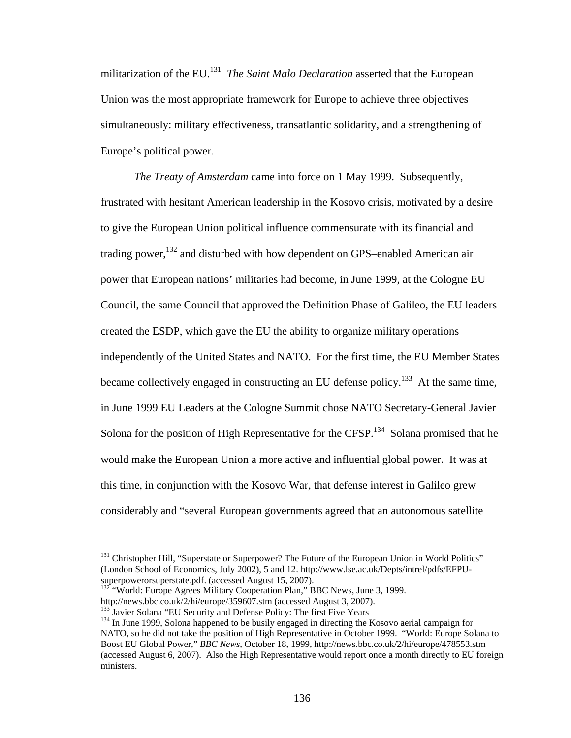militarization of the EU.131 *The Saint Malo Declaration* asserted that the European Union was the most appropriate framework for Europe to achieve three objectives simultaneously: military effectiveness, transatlantic solidarity, and a strengthening of Europe's political power.

*The Treaty of Amsterdam* came into force on 1 May 1999. Subsequently, frustrated with hesitant American leadership in the Kosovo crisis, motivated by a desire to give the European Union political influence commensurate with its financial and trading power,  $132$  and disturbed with how dependent on GPS–enabled American air power that European nations' militaries had become, in June 1999, at the Cologne EU Council, the same Council that approved the Definition Phase of Galileo, the EU leaders created the ESDP, which gave the EU the ability to organize military operations independently of the United States and NATO. For the first time, the EU Member States became collectively engaged in constructing an EU defense policy.<sup>133</sup> At the same time, in June 1999 EU Leaders at the Cologne Summit chose NATO Secretary-General Javier Solona for the position of High Representative for the CFSP.<sup>134</sup> Solana promised that he would make the European Union a more active and influential global power. It was at this time, in conjunction with the Kosovo War, that defense interest in Galileo grew considerably and "several European governments agreed that an autonomous satellite

<sup>&</sup>lt;sup>131</sup> Christopher Hill, "Superstate or Superpower? The Future of the European Union in World Politics" (London School of Economics, July 2002), 5 and 12. http://www.lse.ac.uk/Depts/intrel/pdfs/EFPU-

 $132$  "World: Europe Agrees Military Cooperation Plan," BBC News, June 3, 1999.<br>http://news.bbc.co.uk/2/hi/europe/359607.stm (accessed August 3, 2007).

<sup>&</sup>lt;sup>133</sup> Javier Solana "EU Security and Defense Policy: The first Five Years<br><sup>134</sup> In June 1999, Solona happened to be busily engaged in directing the Kosovo aerial campaign for NATO, so he did not take the position of High Representative in October 1999. "World: Europe Solana to Boost EU Global Power," *BBC News*, October 18, 1999, http://news.bbc.co.uk/2/hi/europe/478553.stm (accessed August 6, 2007). Also the High Representative would report once a month directly to EU foreign ministers.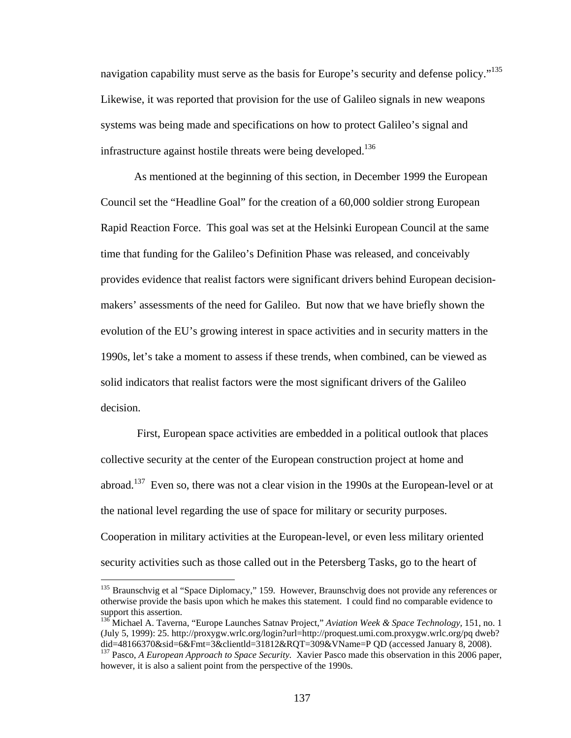navigation capability must serve as the basis for Europe's security and defense policy."<sup>135</sup> Likewise, it was reported that provision for the use of Galileo signals in new weapons systems was being made and specifications on how to protect Galileo's signal and infrastructure against hostile threats were being developed.<sup>136</sup>

As mentioned at the beginning of this section, in December 1999 the European Council set the "Headline Goal" for the creation of a 60,000 soldier strong European Rapid Reaction Force. This goal was set at the Helsinki European Council at the same time that funding for the Galileo's Definition Phase was released, and conceivably provides evidence that realist factors were significant drivers behind European decisionmakers' assessments of the need for Galileo. But now that we have briefly shown the evolution of the EU's growing interest in space activities and in security matters in the 1990s, let's take a moment to assess if these trends, when combined, can be viewed as solid indicators that realist factors were the most significant drivers of the Galileo decision.

 First, European space activities are embedded in a political outlook that places collective security at the center of the European construction project at home and abroad.<sup>137</sup> Even so, there was not a clear vision in the 1990s at the European-level or at the national level regarding the use of space for military or security purposes. Cooperation in military activities at the European-level, or even less military oriented security activities such as those called out in the Petersberg Tasks, go to the heart of

<sup>&</sup>lt;sup>135</sup> Braunschvig et al "Space Diplomacy," 159. However, Braunschvig does not provide any references or otherwise provide the basis upon which he makes this statement. I could find no comparable evidence to support this assertion.

<sup>136</sup> Michael A. Taverna, "Europe Launches Satnav Project," *Aviation Week & Space Technology,* 151, no. 1 (July 5, 1999): 25. http://proxygw.wrlc.org/login?url=http://proquest.umi.com.proxygw.wrlc.org/pq dweb? <sup>137</sup> Pasco, *A European Approach to Space Security*. Xavier Pasco made this observation in this 2006 paper,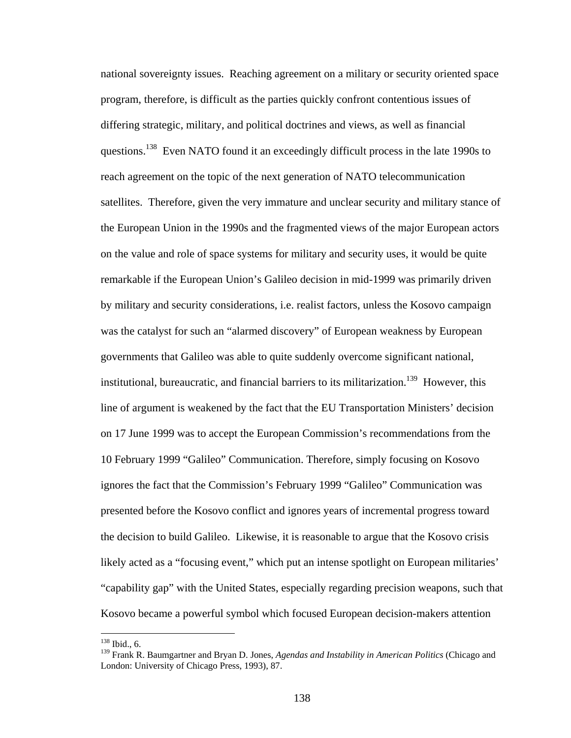national sovereignty issues. Reaching agreement on a military or security oriented space program, therefore, is difficult as the parties quickly confront contentious issues of differing strategic, military, and political doctrines and views, as well as financial questions.<sup>138</sup> Even NATO found it an exceedingly difficult process in the late 1990s to reach agreement on the topic of the next generation of NATO telecommunication satellites. Therefore, given the very immature and unclear security and military stance of the European Union in the 1990s and the fragmented views of the major European actors on the value and role of space systems for military and security uses, it would be quite remarkable if the European Union's Galileo decision in mid-1999 was primarily driven by military and security considerations, i.e. realist factors, unless the Kosovo campaign was the catalyst for such an "alarmed discovery" of European weakness by European governments that Galileo was able to quite suddenly overcome significant national, institutional, bureaucratic, and financial barriers to its militarization.<sup>139</sup> However, this line of argument is weakened by the fact that the EU Transportation Ministers' decision on 17 June 1999 was to accept the European Commission's recommendations from the 10 February 1999 "Galileo" Communication. Therefore, simply focusing on Kosovo ignores the fact that the Commission's February 1999 "Galileo" Communication was presented before the Kosovo conflict and ignores years of incremental progress toward the decision to build Galileo. Likewise, it is reasonable to argue that the Kosovo crisis likely acted as a "focusing event," which put an intense spotlight on European militaries' "capability gap" with the United States, especially regarding precision weapons, such that Kosovo became a powerful symbol which focused European decision-makers attention

 $138$  Ibid., 6.

<sup>139</sup> Frank R. Baumgartner and Bryan D. Jones, *Agendas and Instability in American Politics* (Chicago and London: University of Chicago Press, 1993), 87.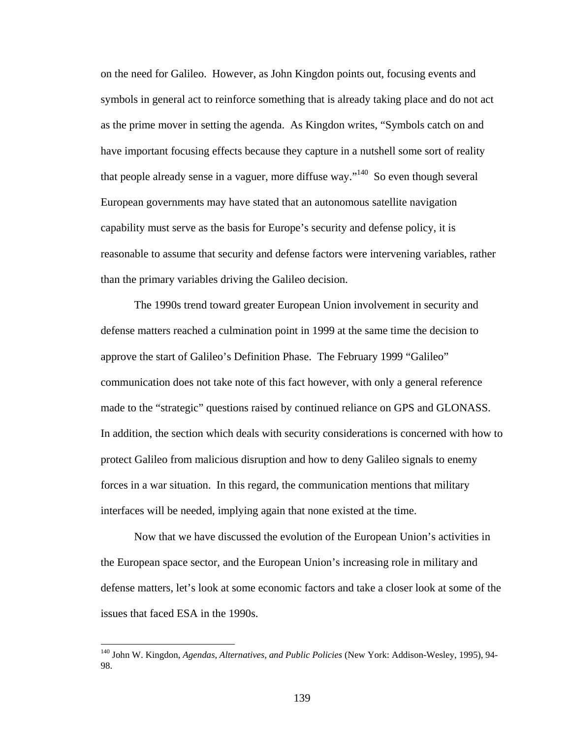on the need for Galileo. However, as John Kingdon points out, focusing events and symbols in general act to reinforce something that is already taking place and do not act as the prime mover in setting the agenda. As Kingdon writes, "Symbols catch on and have important focusing effects because they capture in a nutshell some sort of reality that people already sense in a vaguer, more diffuse way."<sup>140</sup> So even though several European governments may have stated that an autonomous satellite navigation capability must serve as the basis for Europe's security and defense policy, it is reasonable to assume that security and defense factors were intervening variables, rather than the primary variables driving the Galileo decision.

The 1990s trend toward greater European Union involvement in security and defense matters reached a culmination point in 1999 at the same time the decision to approve the start of Galileo's Definition Phase. The February 1999 "Galileo" communication does not take note of this fact however, with only a general reference made to the "strategic" questions raised by continued reliance on GPS and GLONASS. In addition, the section which deals with security considerations is concerned with how to protect Galileo from malicious disruption and how to deny Galileo signals to enemy forces in a war situation. In this regard, the communication mentions that military interfaces will be needed, implying again that none existed at the time.

 Now that we have discussed the evolution of the European Union's activities in the European space sector, and the European Union's increasing role in military and defense matters, let's look at some economic factors and take a closer look at some of the issues that faced ESA in the 1990s.

<sup>140</sup> John W. Kingdon, *Agendas, Alternatives, and Public Policies* (New York: Addison-Wesley, 1995), 94- 98.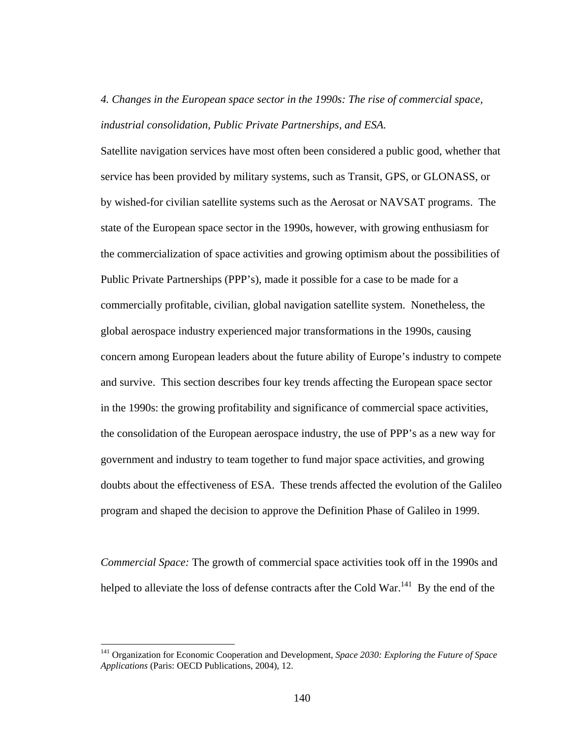## *4. Changes in the European space sector in the 1990s: The rise of commercial space, industrial consolidation, Public Private Partnerships, and ESA.*

Satellite navigation services have most often been considered a public good, whether that service has been provided by military systems, such as Transit, GPS, or GLONASS, or by wished-for civilian satellite systems such as the Aerosat or NAVSAT programs. The state of the European space sector in the 1990s, however, with growing enthusiasm for the commercialization of space activities and growing optimism about the possibilities of Public Private Partnerships (PPP's), made it possible for a case to be made for a commercially profitable, civilian, global navigation satellite system. Nonetheless, the global aerospace industry experienced major transformations in the 1990s, causing concern among European leaders about the future ability of Europe's industry to compete and survive. This section describes four key trends affecting the European space sector in the 1990s: the growing profitability and significance of commercial space activities, the consolidation of the European aerospace industry, the use of PPP's as a new way for government and industry to team together to fund major space activities, and growing doubts about the effectiveness of ESA. These trends affected the evolution of the Galileo program and shaped the decision to approve the Definition Phase of Galileo in 1999.

*Commercial Space:* The growth of commercial space activities took off in the 1990s and helped to alleviate the loss of defense contracts after the Cold War.<sup>141</sup> By the end of the

<sup>141</sup> Organization for Economic Cooperation and Development, *Space 2030: Exploring the Future of Space Applications* (Paris: OECD Publications, 2004), 12.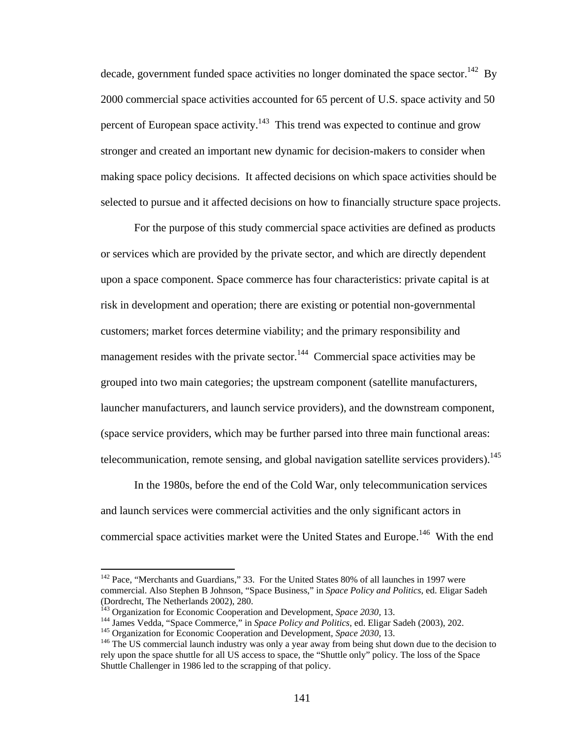decade, government funded space activities no longer dominated the space sector.<sup>142</sup> By 2000 commercial space activities accounted for 65 percent of U.S. space activity and 50 percent of European space activity.<sup>143</sup> This trend was expected to continue and grow stronger and created an important new dynamic for decision-makers to consider when making space policy decisions. It affected decisions on which space activities should be selected to pursue and it affected decisions on how to financially structure space projects.

For the purpose of this study commercial space activities are defined as products or services which are provided by the private sector, and which are directly dependent upon a space component. Space commerce has four characteristics: private capital is at risk in development and operation; there are existing or potential non-governmental customers; market forces determine viability; and the primary responsibility and management resides with the private sector.<sup>144</sup> Commercial space activities may be grouped into two main categories; the upstream component (satellite manufacturers, launcher manufacturers, and launch service providers), and the downstream component, (space service providers, which may be further parsed into three main functional areas: telecommunication, remote sensing, and global navigation satellite services providers).<sup>145</sup>

In the 1980s, before the end of the Cold War, only telecommunication services and launch services were commercial activities and the only significant actors in commercial space activities market were the United States and Europe.<sup>146</sup> With the end

<sup>&</sup>lt;sup>142</sup> Pace, "Merchants and Guardians," 33. For the United States 80% of all launches in 1997 were commercial. Also Stephen B Johnson, "Space Business," in *Space Policy and Politics*, ed. Eligar Sadeh (Dordrecht, The Netherlands 2002), 280.<br><sup>143</sup> Organization for Economic Cooperation and Development, Space 2030, 13.

<sup>&</sup>lt;sup>144</sup> James Vedda, "Space Commerce," in *Space Policy and Politics*, ed. Eligar Sadeh (2003), 202.<br><sup>145</sup> Organization for Economic Cooperation and Development, *Space 2030*, 13.<br><sup>146</sup> The US commercial launch industry was rely upon the space shuttle for all US access to space, the "Shuttle only" policy. The loss of the Space Shuttle Challenger in 1986 led to the scrapping of that policy.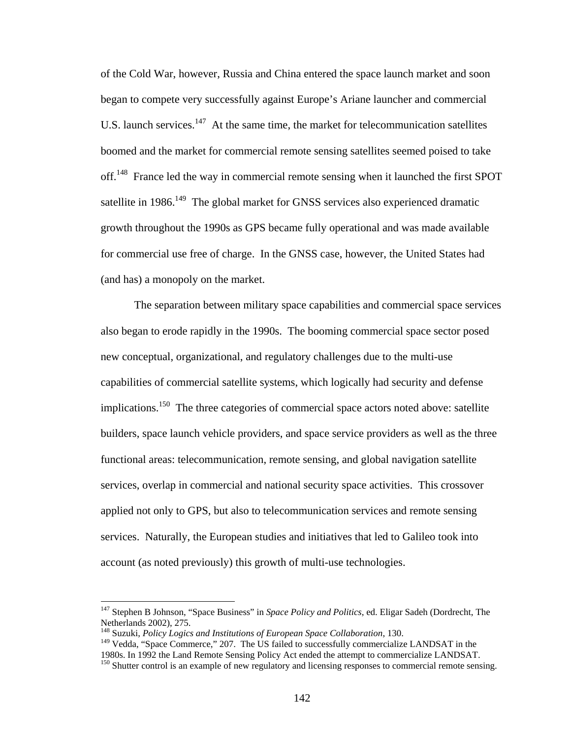of the Cold War, however, Russia and China entered the space launch market and soon began to compete very successfully against Europe's Ariane launcher and commercial U.S. launch services.<sup>147</sup> At the same time, the market for telecommunication satellites boomed and the market for commercial remote sensing satellites seemed poised to take off.<sup>148</sup> France led the way in commercial remote sensing when it launched the first SPOT satellite in 1986.<sup>149</sup> The global market for GNSS services also experienced dramatic growth throughout the 1990s as GPS became fully operational and was made available for commercial use free of charge. In the GNSS case, however, the United States had (and has) a monopoly on the market.

The separation between military space capabilities and commercial space services also began to erode rapidly in the 1990s. The booming commercial space sector posed new conceptual, organizational, and regulatory challenges due to the multi-use capabilities of commercial satellite systems, which logically had security and defense implications.<sup>150</sup> The three categories of commercial space actors noted above: satellite builders, space launch vehicle providers, and space service providers as well as the three functional areas: telecommunication, remote sensing, and global navigation satellite services, overlap in commercial and national security space activities. This crossover applied not only to GPS, but also to telecommunication services and remote sensing services. Naturally, the European studies and initiatives that led to Galileo took into account (as noted previously) this growth of multi-use technologies.

<sup>147</sup> Stephen B Johnson, "Space Business" in *Space Policy and Politics*, ed. Eligar Sadeh (Dordrecht, The Netherlands 2002), 275.

<sup>148</sup> Suzuki, *Policy Logics and Institutions of European Space Collaboration*, 130.

<sup>&</sup>lt;sup>149</sup> Vedda, "Space Commerce," 207. The US failed to successfully commercialize LANDSAT in the 1980s. In 1992 the Land Remote Sensing Policy Act ended the attempt to commercialize LANDSAT.

<sup>&</sup>lt;sup>150</sup> Shutter control is an example of new regulatory and licensing responses to commercial remote sensing.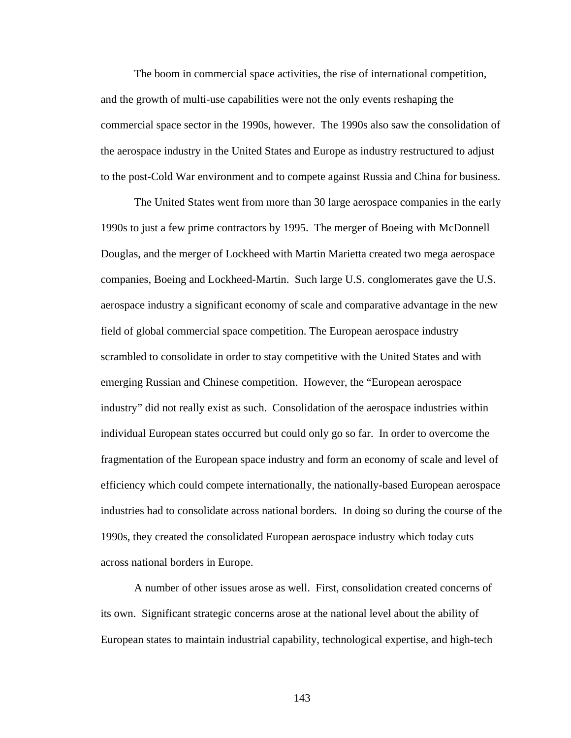The boom in commercial space activities, the rise of international competition, and the growth of multi-use capabilities were not the only events reshaping the commercial space sector in the 1990s, however. The 1990s also saw the consolidation of the aerospace industry in the United States and Europe as industry restructured to adjust to the post-Cold War environment and to compete against Russia and China for business.

The United States went from more than 30 large aerospace companies in the early 1990s to just a few prime contractors by 1995. The merger of Boeing with McDonnell Douglas, and the merger of Lockheed with Martin Marietta created two mega aerospace companies, Boeing and Lockheed-Martin. Such large U.S. conglomerates gave the U.S. aerospace industry a significant economy of scale and comparative advantage in the new field of global commercial space competition. The European aerospace industry scrambled to consolidate in order to stay competitive with the United States and with emerging Russian and Chinese competition. However, the "European aerospace industry" did not really exist as such. Consolidation of the aerospace industries within individual European states occurred but could only go so far. In order to overcome the fragmentation of the European space industry and form an economy of scale and level of efficiency which could compete internationally, the nationally-based European aerospace industries had to consolidate across national borders. In doing so during the course of the 1990s, they created the consolidated European aerospace industry which today cuts across national borders in Europe.

A number of other issues arose as well. First, consolidation created concerns of its own. Significant strategic concerns arose at the national level about the ability of European states to maintain industrial capability, technological expertise, and high-tech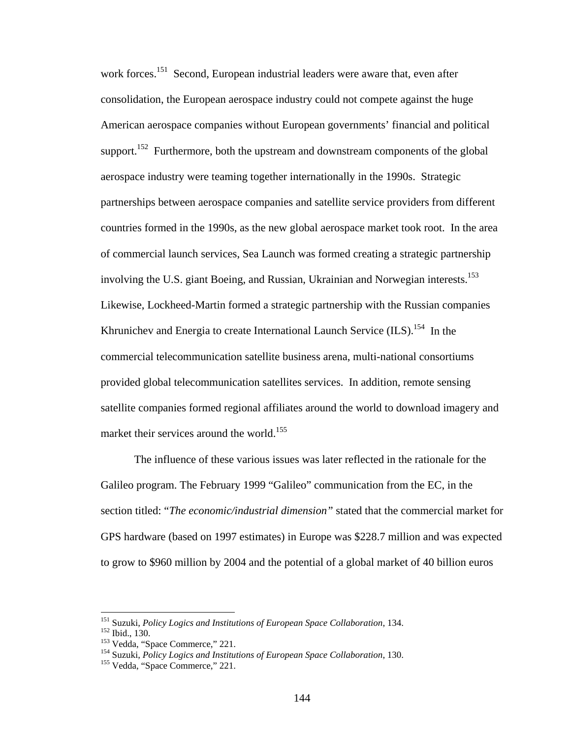work forces.<sup>151</sup> Second, European industrial leaders were aware that, even after consolidation, the European aerospace industry could not compete against the huge American aerospace companies without European governments' financial and political support.<sup>152</sup> Furthermore, both the upstream and downstream components of the global aerospace industry were teaming together internationally in the 1990s. Strategic partnerships between aerospace companies and satellite service providers from different countries formed in the 1990s, as the new global aerospace market took root. In the area of commercial launch services, Sea Launch was formed creating a strategic partnership involving the U.S. giant Boeing, and Russian, Ukrainian and Norwegian interests.<sup>153</sup> Likewise, Lockheed-Martin formed a strategic partnership with the Russian companies Khrunichev and Energia to create International Launch Service  $(ILS).<sup>154</sup>$  In the commercial telecommunication satellite business arena, multi-national consortiums provided global telecommunication satellites services. In addition, remote sensing satellite companies formed regional affiliates around the world to download imagery and market their services around the world.<sup>155</sup>

The influence of these various issues was later reflected in the rationale for the Galileo program. The February 1999 "Galileo" communication from the EC, in the section titled: "*The economic/industrial dimension"* stated that the commercial market for GPS hardware (based on 1997 estimates) in Europe was \$228.7 million and was expected to grow to \$960 million by 2004 and the potential of a global market of 40 billion euros

<sup>&</sup>lt;sup>151</sup> Suzuki, *Policy Logics and Institutions of European Space Collaboration*, 134.<br><sup>152</sup> Ibid., 130.<br><sup>153</sup> Vedda, "Space Commerce," 221.<br><sup>154</sup> Suzuki, *Policy Logics and Institutions of European Space Collaboration*, 130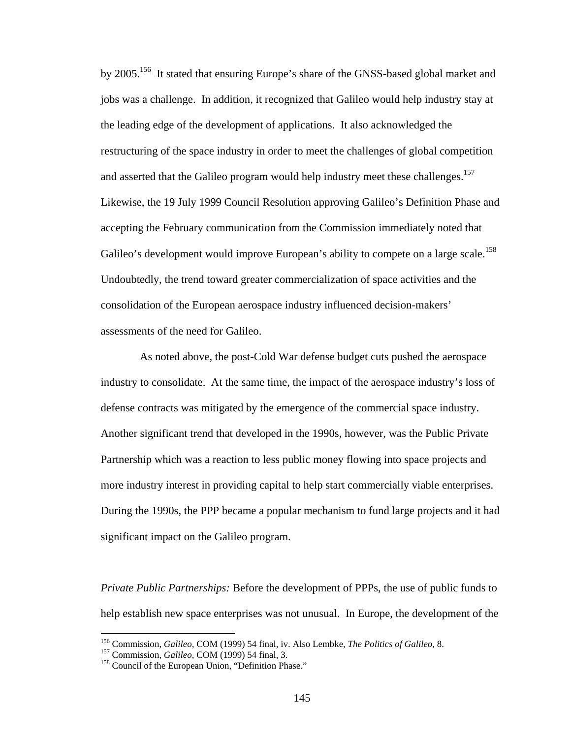by 2005.156 It stated that ensuring Europe's share of the GNSS-based global market and jobs was a challenge. In addition, it recognized that Galileo would help industry stay at the leading edge of the development of applications. It also acknowledged the restructuring of the space industry in order to meet the challenges of global competition and asserted that the Galileo program would help industry meet these challenges.<sup>157</sup> Likewise, the 19 July 1999 Council Resolution approving Galileo's Definition Phase and accepting the February communication from the Commission immediately noted that Galileo's development would improve European's ability to compete on a large scale.<sup>158</sup> Undoubtedly, the trend toward greater commercialization of space activities and the consolidation of the European aerospace industry influenced decision-makers' assessments of the need for Galileo.

 As noted above, the post-Cold War defense budget cuts pushed the aerospace industry to consolidate. At the same time, the impact of the aerospace industry's loss of defense contracts was mitigated by the emergence of the commercial space industry. Another significant trend that developed in the 1990s, however, was the Public Private Partnership which was a reaction to less public money flowing into space projects and more industry interest in providing capital to help start commercially viable enterprises. During the 1990s, the PPP became a popular mechanism to fund large projects and it had significant impact on the Galileo program.

*Private Public Partnerships:* Before the development of PPPs, the use of public funds to help establish new space enterprises was not unusual. In Europe, the development of the

<sup>&</sup>lt;sup>156</sup> Commission, *Galileo*, COM (1999) 54 final, iv. Also Lembke, *The Politics of Galileo*, 8.<br><sup>157</sup> Commission, *Galileo*, COM (1999) 54 final, 3.<br><sup>158</sup> Council of the European Union, "Definition Phase."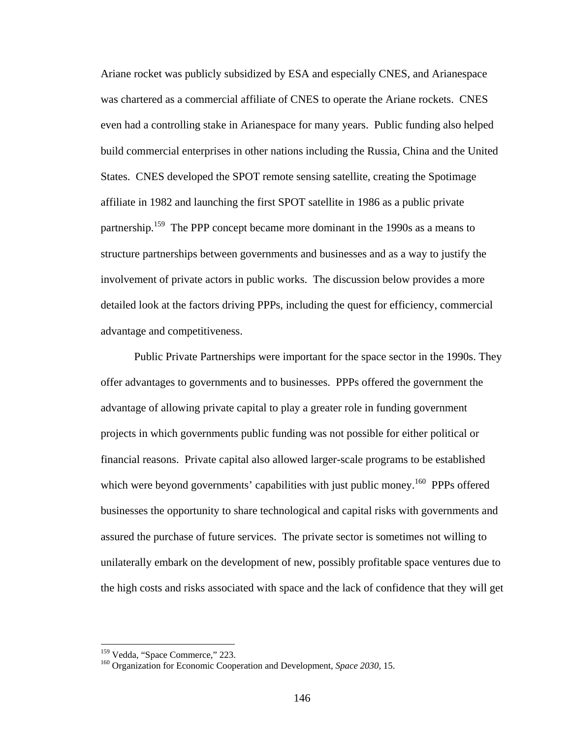Ariane rocket was publicly subsidized by ESA and especially CNES, and Arianespace was chartered as a commercial affiliate of CNES to operate the Ariane rockets. CNES even had a controlling stake in Arianespace for many years. Public funding also helped build commercial enterprises in other nations including the Russia, China and the United States. CNES developed the SPOT remote sensing satellite, creating the Spotimage affiliate in 1982 and launching the first SPOT satellite in 1986 as a public private partnership.<sup>159</sup> The PPP concept became more dominant in the 1990s as a means to structure partnerships between governments and businesses and as a way to justify the involvement of private actors in public works. The discussion below provides a more detailed look at the factors driving PPPs, including the quest for efficiency, commercial advantage and competitiveness.

Public Private Partnerships were important for the space sector in the 1990s. They offer advantages to governments and to businesses. PPPs offered the government the advantage of allowing private capital to play a greater role in funding government projects in which governments public funding was not possible for either political or financial reasons. Private capital also allowed larger-scale programs to be established which were beyond governments' capabilities with just public money.<sup>160</sup> PPPs offered businesses the opportunity to share technological and capital risks with governments and assured the purchase of future services. The private sector is sometimes not willing to unilaterally embark on the development of new, possibly profitable space ventures due to the high costs and risks associated with space and the lack of confidence that they will get

<sup>&</sup>lt;sup>159</sup> Vedda, "Space Commerce," 223.

<sup>&</sup>lt;sup>160</sup> Organization for Economic Cooperation and Development, *Space 2030*, 15.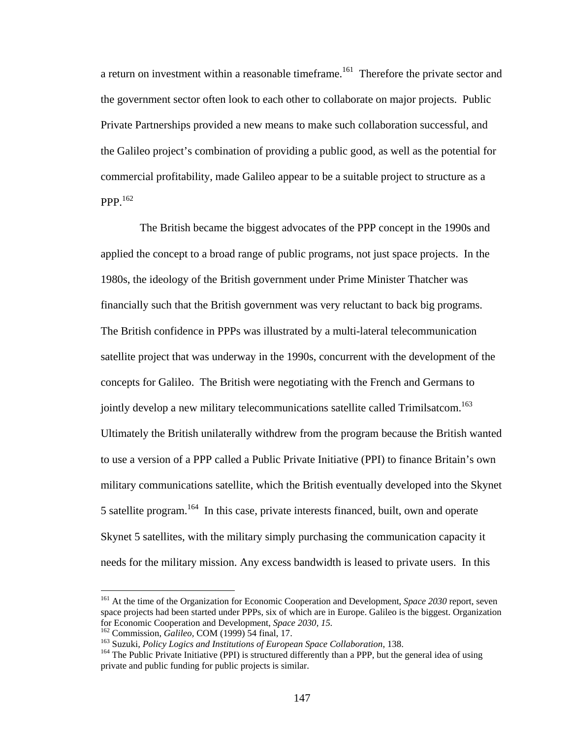a return on investment within a reasonable timeframe.<sup>161</sup> Therefore the private sector and the government sector often look to each other to collaborate on major projects. Public Private Partnerships provided a new means to make such collaboration successful, and the Galileo project's combination of providing a public good, as well as the potential for commercial profitability, made Galileo appear to be a suitable project to structure as a PPP.<sup>162</sup>

 The British became the biggest advocates of the PPP concept in the 1990s and applied the concept to a broad range of public programs, not just space projects. In the 1980s, the ideology of the British government under Prime Minister Thatcher was financially such that the British government was very reluctant to back big programs. The British confidence in PPPs was illustrated by a multi-lateral telecommunication satellite project that was underway in the 1990s, concurrent with the development of the concepts for Galileo. The British were negotiating with the French and Germans to jointly develop a new military telecommunications satellite called Trimilsatcom.<sup>163</sup> Ultimately the British unilaterally withdrew from the program because the British wanted to use a version of a PPP called a Public Private Initiative (PPI) to finance Britain's own military communications satellite, which the British eventually developed into the Skynet 5 satellite program.164 In this case, private interests financed, built, own and operate Skynet 5 satellites, with the military simply purchasing the communication capacity it needs for the military mission. Any excess bandwidth is leased to private users. In this

<sup>161</sup> At the time of the Organization for Economic Cooperation and Development, *Space 2030* report, seven space projects had been started under PPPs, six of which are in Europe. Galileo is the biggest. Organization for Economic Cooperation and Development, *Space 2030, 15*.<br><sup>162</sup> Commission, *Galileo*, COM (1999) 54 final, 17.<br><sup>163</sup> Suzuki, *Policy Logics and Institutions of European Space Collaboration*, 138.<br><sup>164</sup> The Public Privat

private and public funding for public projects is similar.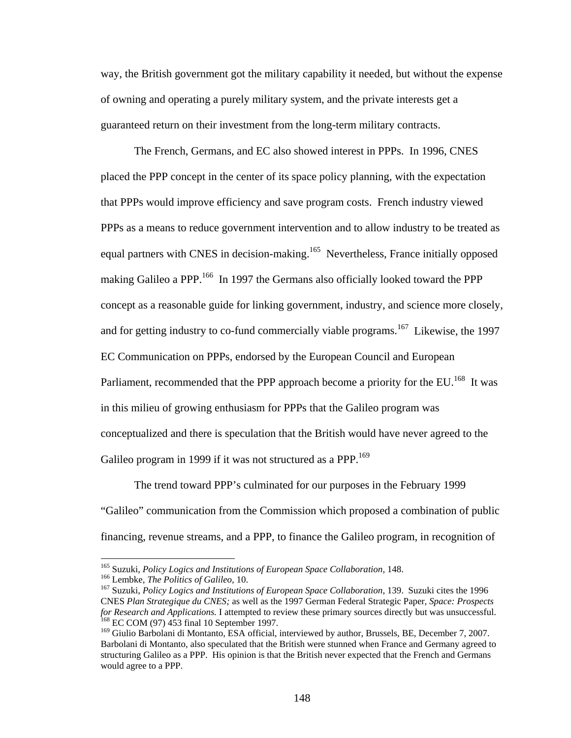way, the British government got the military capability it needed, but without the expense of owning and operating a purely military system, and the private interests get a guaranteed return on their investment from the long-term military contracts.

The French, Germans, and EC also showed interest in PPPs. In 1996, CNES placed the PPP concept in the center of its space policy planning, with the expectation that PPPs would improve efficiency and save program costs. French industry viewed PPPs as a means to reduce government intervention and to allow industry to be treated as equal partners with CNES in decision-making.<sup>165</sup> Nevertheless, France initially opposed making Galileo a PPP.<sup>166</sup> In 1997 the Germans also officially looked toward the PPP concept as a reasonable guide for linking government, industry, and science more closely, and for getting industry to co-fund commercially viable programs.<sup>167</sup> Likewise, the 1997 EC Communication on PPPs, endorsed by the European Council and European Parliament, recommended that the PPP approach become a priority for the EU.<sup>168</sup> It was in this milieu of growing enthusiasm for PPPs that the Galileo program was conceptualized and there is speculation that the British would have never agreed to the Galileo program in 1999 if it was not structured as a PPP.<sup>169</sup>

The trend toward PPP's culminated for our purposes in the February 1999 "Galileo" communication from the Commission which proposed a combination of public financing, revenue streams, and a PPP, to finance the Galileo program, in recognition of

<sup>&</sup>lt;sup>165</sup> Suzuki, *Policy Logics and Institutions of European Space Collaboration*, 148.<br><sup>166</sup> Lembke, *The Politics of Galileo*, 10.<br><sup>167</sup> Suzuki, *Policy Logics and Institutions of European Space Collaboration*, 139. Suzuki CNES *Plan Strategique du CNES;* as well as the 1997 German Federal Strategic Paper*, Space: Prospects for Research and Applications.* I attempted to review these primary sources directly but was unsuccessful. 168 EC COM (97) 453 final 10 September 1997.

<sup>&</sup>lt;sup>169</sup> Giulio Barbolani di Montanto, ESA official, interviewed by author, Brussels, BE, December 7, 2007. Barbolani di Montanto, also speculated that the British were stunned when France and Germany agreed to structuring Galileo as a PPP. His opinion is that the British never expected that the French and Germans would agree to a PPP.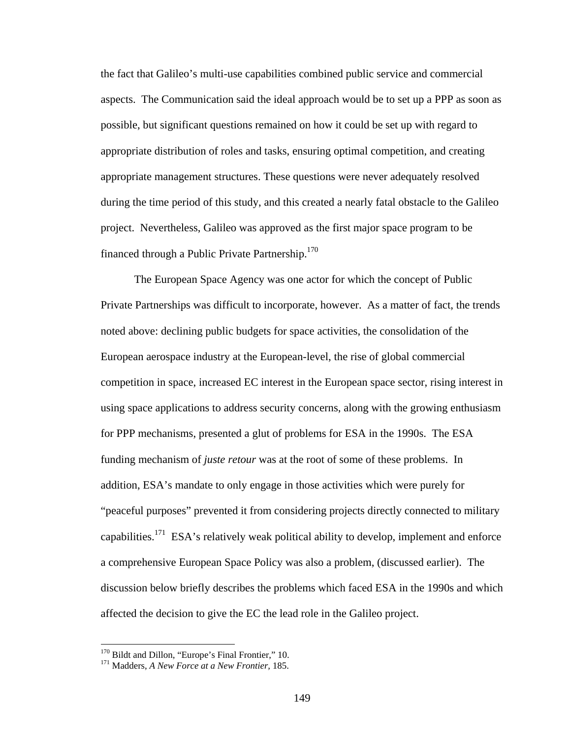the fact that Galileo's multi-use capabilities combined public service and commercial aspects. The Communication said the ideal approach would be to set up a PPP as soon as possible, but significant questions remained on how it could be set up with regard to appropriate distribution of roles and tasks, ensuring optimal competition, and creating appropriate management structures. These questions were never adequately resolved during the time period of this study, and this created a nearly fatal obstacle to the Galileo project. Nevertheless, Galileo was approved as the first major space program to be financed through a Public Private Partnership.<sup>170</sup>

The European Space Agency was one actor for which the concept of Public Private Partnerships was difficult to incorporate, however. As a matter of fact, the trends noted above: declining public budgets for space activities, the consolidation of the European aerospace industry at the European-level, the rise of global commercial competition in space, increased EC interest in the European space sector, rising interest in using space applications to address security concerns, along with the growing enthusiasm for PPP mechanisms, presented a glut of problems for ESA in the 1990s. The ESA funding mechanism of *juste retour* was at the root of some of these problems. In addition, ESA's mandate to only engage in those activities which were purely for "peaceful purposes" prevented it from considering projects directly connected to military capabilities.<sup>171</sup> ESA's relatively weak political ability to develop, implement and enforce a comprehensive European Space Policy was also a problem, (discussed earlier). The discussion below briefly describes the problems which faced ESA in the 1990s and which affected the decision to give the EC the lead role in the Galileo project.

<sup>&</sup>lt;sup>170</sup> Bildt and Dillon, "Europe's Final Frontier," 10.

<sup>&</sup>lt;sup>171</sup> Madders, *A New Force at a New Frontier*, 185.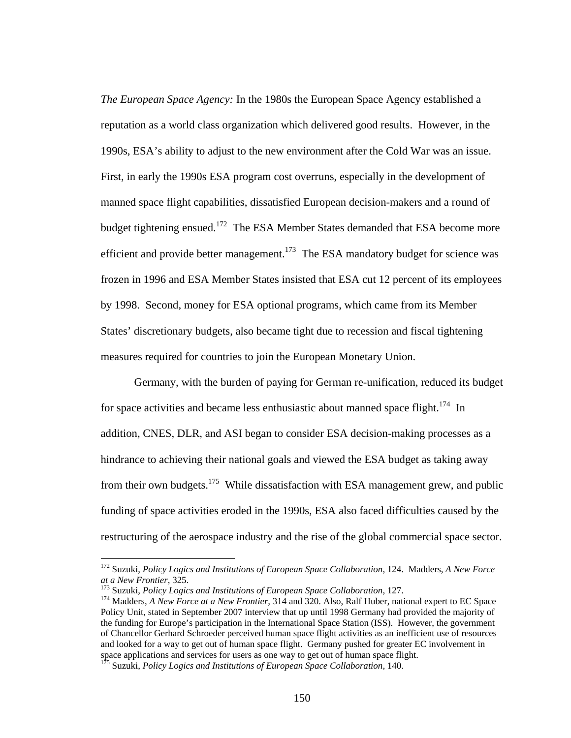*The European Space Agency:* In the 1980s the European Space Agency established a reputation as a world class organization which delivered good results. However, in the 1990s, ESA's ability to adjust to the new environment after the Cold War was an issue. First, in early the 1990s ESA program cost overruns, especially in the development of manned space flight capabilities, dissatisfied European decision-makers and a round of budget tightening ensued.<sup>172</sup> The ESA Member States demanded that ESA become more efficient and provide better management.<sup>173</sup> The ESA mandatory budget for science was frozen in 1996 and ESA Member States insisted that ESA cut 12 percent of its employees by 1998. Second, money for ESA optional programs, which came from its Member States' discretionary budgets, also became tight due to recession and fiscal tightening measures required for countries to join the European Monetary Union.

Germany, with the burden of paying for German re-unification, reduced its budget for space activities and became less enthusiastic about manned space flight.<sup>174</sup> In addition, CNES, DLR, and ASI began to consider ESA decision-making processes as a hindrance to achieving their national goals and viewed the ESA budget as taking away from their own budgets.<sup>175</sup> While dissatisfaction with ESA management grew, and public funding of space activities eroded in the 1990s, ESA also faced difficulties caused by the restructuring of the aerospace industry and the rise of the global commercial space sector.

<sup>172</sup> Suzuki, *Policy Logics and Institutions of European Space Collaboration*, 124. Madders, *A New Force* 

<sup>&</sup>lt;sup>173</sup> Suzuki, *Policy Logics and Institutions of European Space Collaboration*, 127.<br><sup>174</sup> Madders, *A New Force at a New Frontier*, 314 and 320. Also, Ralf Huber, national expert to EC Space Policy Unit, stated in September 2007 interview that up until 1998 Germany had provided the majority of the funding for Europe's participation in the International Space Station (ISS). However, the government of Chancellor Gerhard Schroeder perceived human space flight activities as an inefficient use of resources and looked for a way to get out of human space flight. Germany pushed for greater EC involvement in space applications and services for users as one way to get out of human space flight. 175 Suzuki, *Policy Logics and Institutions of European Space Collaboration*, 140.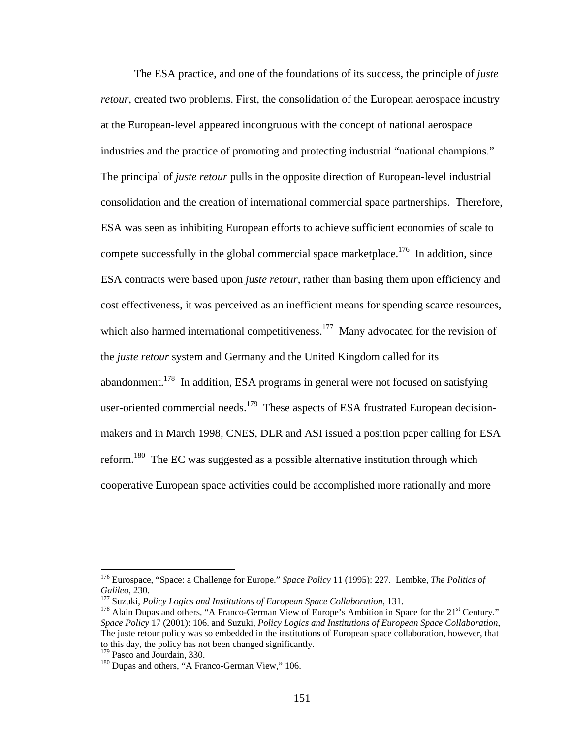The ESA practice, and one of the foundations of its success, the principle of *juste retour*, created two problems. First, the consolidation of the European aerospace industry at the European-level appeared incongruous with the concept of national aerospace industries and the practice of promoting and protecting industrial "national champions." The principal of *juste retour* pulls in the opposite direction of European-level industrial consolidation and the creation of international commercial space partnerships. Therefore, ESA was seen as inhibiting European efforts to achieve sufficient economies of scale to compete successfully in the global commercial space marketplace.<sup>176</sup> In addition, since ESA contracts were based upon *juste retour*, rather than basing them upon efficiency and cost effectiveness, it was perceived as an inefficient means for spending scarce resources, which also harmed international competitiveness.<sup>177</sup> Many advocated for the revision of the *juste retour* system and Germany and the United Kingdom called for its abandonment.<sup>178</sup> In addition, ESA programs in general were not focused on satisfying user-oriented commercial needs.<sup>179</sup> These aspects of ESA frustrated European decisionmakers and in March 1998, CNES, DLR and ASI issued a position paper calling for ESA reform.180 The EC was suggested as a possible alternative institution through which cooperative European space activities could be accomplished more rationally and more

<sup>176</sup> Eurospace, "Space: a Challenge for Europe." *Space Policy* 11 (1995): 227. Lembke, *The Politics of Galileo,* 230.<br><sup>177</sup> Suzuki, *Policy Logics and Institutions of European Space Collaboration*, 131. <sup>178</sup> Alain Dupas and others, "A Franco-German View of Europe's Ambition in Space for the 21<sup>st</sup> Century."

*Space Policy* 17 (2001): 106. and Suzuki, *Policy Logics and Institutions of European Space Collaboration*, The juste retour policy was so embedded in the institutions of European space collaboration, however, that to this day, the policy has not been changed significantly.<br><sup>179</sup> Pasco and Jourdain, 330.

 $180$  Dupas and others, "A Franco-German View," 106.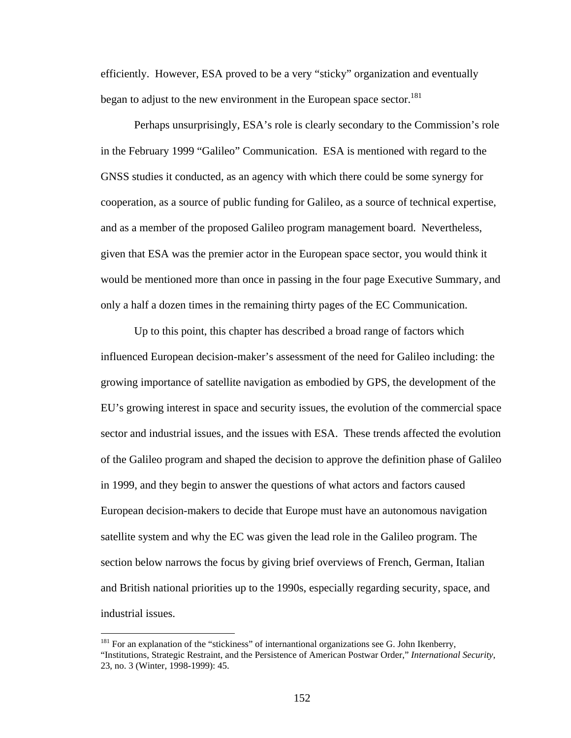efficiently. However, ESA proved to be a very "sticky" organization and eventually began to adjust to the new environment in the European space sector.<sup>181</sup>

 Perhaps unsurprisingly, ESA's role is clearly secondary to the Commission's role in the February 1999 "Galileo" Communication. ESA is mentioned with regard to the GNSS studies it conducted, as an agency with which there could be some synergy for cooperation, as a source of public funding for Galileo, as a source of technical expertise, and as a member of the proposed Galileo program management board. Nevertheless, given that ESA was the premier actor in the European space sector, you would think it would be mentioned more than once in passing in the four page Executive Summary, and only a half a dozen times in the remaining thirty pages of the EC Communication.

Up to this point, this chapter has described a broad range of factors which influenced European decision-maker's assessment of the need for Galileo including: the growing importance of satellite navigation as embodied by GPS, the development of the EU's growing interest in space and security issues, the evolution of the commercial space sector and industrial issues, and the issues with ESA. These trends affected the evolution of the Galileo program and shaped the decision to approve the definition phase of Galileo in 1999, and they begin to answer the questions of what actors and factors caused European decision-makers to decide that Europe must have an autonomous navigation satellite system and why the EC was given the lead role in the Galileo program. The section below narrows the focus by giving brief overviews of French, German, Italian and British national priorities up to the 1990s, especially regarding security, space, and industrial issues.

<sup>&</sup>lt;sup>181</sup> For an explanation of the "stickiness" of internantional organizations see G. John Ikenberry, "Institutions, Strategic Restraint, and the Persistence of American Postwar Order," *International Security*, 23, no. 3 (Winter, 1998-1999): 45.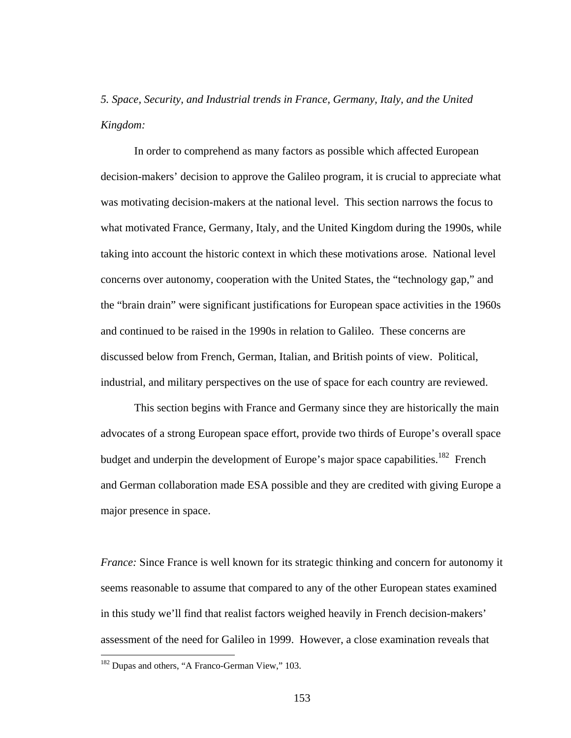*5. Space, Security, and Industrial trends in France, Germany, Italy, and the United Kingdom:*

 In order to comprehend as many factors as possible which affected European decision-makers' decision to approve the Galileo program, it is crucial to appreciate what was motivating decision-makers at the national level. This section narrows the focus to what motivated France, Germany, Italy, and the United Kingdom during the 1990s, while taking into account the historic context in which these motivations arose. National level concerns over autonomy, cooperation with the United States, the "technology gap," and the "brain drain" were significant justifications for European space activities in the 1960s and continued to be raised in the 1990s in relation to Galileo. These concerns are discussed below from French, German, Italian, and British points of view. Political, industrial, and military perspectives on the use of space for each country are reviewed.

 This section begins with France and Germany since they are historically the main advocates of a strong European space effort, provide two thirds of Europe's overall space budget and underpin the development of Europe's major space capabilities.<sup>182</sup> French and German collaboration made ESA possible and they are credited with giving Europe a major presence in space.

*France:* Since France is well known for its strategic thinking and concern for autonomy it seems reasonable to assume that compared to any of the other European states examined in this study we'll find that realist factors weighed heavily in French decision-makers' assessment of the need for Galileo in 1999. However, a close examination reveals that

 $182$  Dupas and others, "A Franco-German View," 103.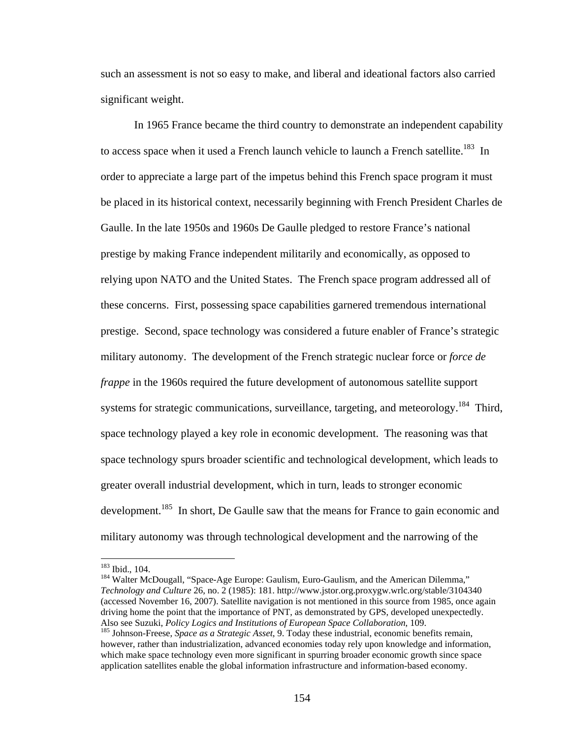such an assessment is not so easy to make, and liberal and ideational factors also carried significant weight.

In 1965 France became the third country to demonstrate an independent capability to access space when it used a French launch vehicle to launch a French satellite.<sup>183</sup> In order to appreciate a large part of the impetus behind this French space program it must be placed in its historical context, necessarily beginning with French President Charles de Gaulle. In the late 1950s and 1960s De Gaulle pledged to restore France's national prestige by making France independent militarily and economically, as opposed to relying upon NATO and the United States. The French space program addressed all of these concerns. First, possessing space capabilities garnered tremendous international prestige. Second, space technology was considered a future enabler of France's strategic military autonomy. The development of the French strategic nuclear force or *force de frappe* in the 1960s required the future development of autonomous satellite support systems for strategic communications, surveillance, targeting, and meteorology.<sup>184</sup> Third, space technology played a key role in economic development. The reasoning was that space technology spurs broader scientific and technological development, which leads to greater overall industrial development, which in turn, leads to stronger economic development.<sup>185</sup> In short, De Gaulle saw that the means for France to gain economic and military autonomy was through technological development and the narrowing of the

 $\overline{a}$ 

<sup>183</sup> Ibid., 104.<br><sup>184</sup> Walter McDougall, "Space-Age Europe: Gaulism, Euro-Gaulism, and the American Dilemma," *Technology and Culture* 26, no. 2 (1985): 181. http://www.jstor.org.proxygw.wrlc.org/stable/3104340 (accessed November 16, 2007). Satellite navigation is not mentioned in this source from 1985, once again driving home the point that the importance of PNT, as demonstrated by GPS, developed unexpectedly. Also see Suzuki, *Policy Logics and Institutions of European Space Collaboration*, 109.<br><sup>185</sup> Johnson-Freese, *Space as a Strategic Asset*, 9. Today these industrial, economic benefits remain,

however, rather than industrialization, advanced economies today rely upon knowledge and information, which make space technology even more significant in spurring broader economic growth since space application satellites enable the global information infrastructure and information-based economy.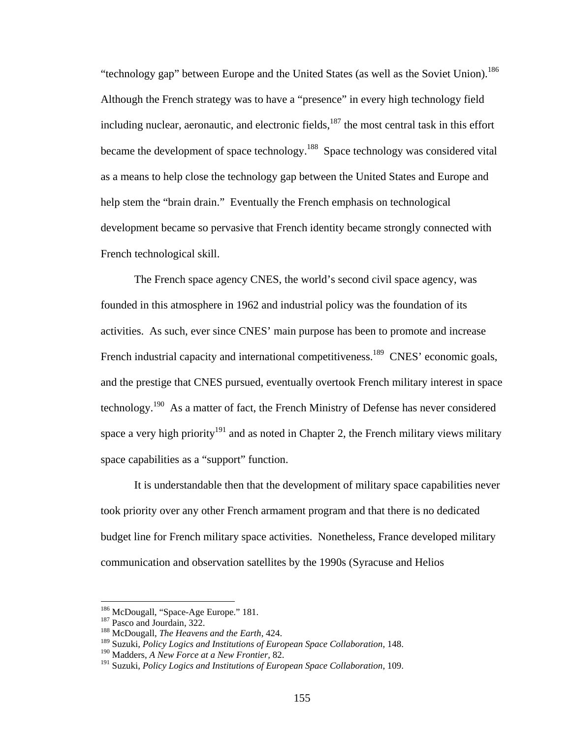"technology gap" between Europe and the United States (as well as the Soviet Union).<sup>186</sup> Although the French strategy was to have a "presence" in every high technology field including nuclear, aeronautic, and electronic fields,  $187$  the most central task in this effort became the development of space technology.<sup>188</sup> Space technology was considered vital as a means to help close the technology gap between the United States and Europe and help stem the "brain drain." Eventually the French emphasis on technological development became so pervasive that French identity became strongly connected with French technological skill.

The French space agency CNES, the world's second civil space agency, was founded in this atmosphere in 1962 and industrial policy was the foundation of its activities. As such, ever since CNES' main purpose has been to promote and increase French industrial capacity and international competitiveness.<sup>189</sup> CNES' economic goals, and the prestige that CNES pursued, eventually overtook French military interest in space technology.190 As a matter of fact, the French Ministry of Defense has never considered space a very high priority<sup>191</sup> and as noted in Chapter 2, the French military views military space capabilities as a "support" function.

It is understandable then that the development of military space capabilities never took priority over any other French armament program and that there is no dedicated budget line for French military space activities. Nonetheless, France developed military communication and observation satellites by the 1990s (Syracuse and Helios

<sup>&</sup>lt;sup>186</sup> McDougall, "Space-Age Europe." 181.

<sup>&</sup>lt;sup>187</sup> Pasco and Jourdain, 322.<br><sup>188</sup> McDougall, *The Heavens and the Earth*, 424.

<sup>189</sup> Suzuki, *Policy Logics and Institutions of European Space Collaboration*, 148.

<sup>190</sup> Madders, *A New Force at a New Frontier,* 82.

<sup>191</sup> Suzuki, *Policy Logics and Institutions of European Space Collaboration*, 109.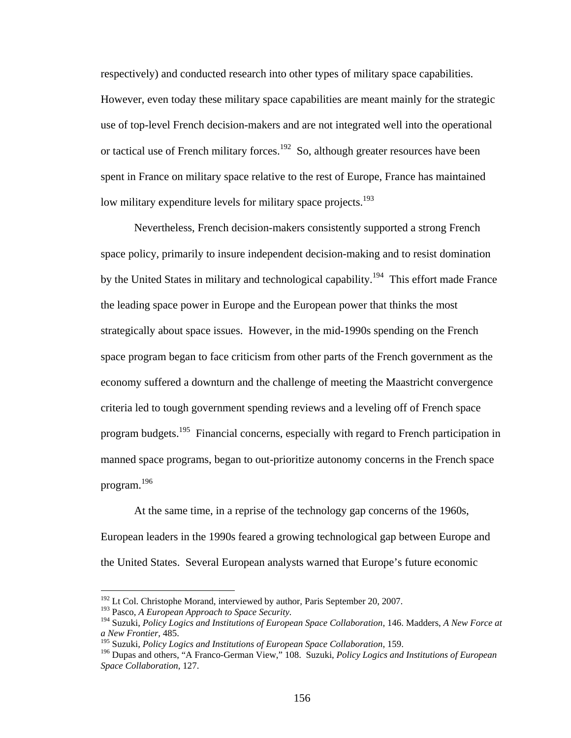respectively) and conducted research into other types of military space capabilities. However, even today these military space capabilities are meant mainly for the strategic use of top-level French decision-makers and are not integrated well into the operational or tactical use of French military forces.<sup>192</sup> So, although greater resources have been spent in France on military space relative to the rest of Europe, France has maintained low military expenditure levels for military space projects.<sup>193</sup>

Nevertheless, French decision-makers consistently supported a strong French space policy, primarily to insure independent decision-making and to resist domination by the United States in military and technological capability.<sup>194</sup> This effort made France the leading space power in Europe and the European power that thinks the most strategically about space issues. However, in the mid-1990s spending on the French space program began to face criticism from other parts of the French government as the economy suffered a downturn and the challenge of meeting the Maastricht convergence criteria led to tough government spending reviews and a leveling off of French space program budgets.<sup>195</sup> Financial concerns, especially with regard to French participation in manned space programs, began to out-prioritize autonomy concerns in the French space program.<sup>196</sup>

At the same time, in a reprise of the technology gap concerns of the 1960s, European leaders in the 1990s feared a growing technological gap between Europe and the United States. Several European analysts warned that Europe's future economic

<u>.</u>

 $192$  Lt Col. Christophe Morand, interviewed by author, Paris September 20, 2007.

<sup>&</sup>lt;sup>193</sup> Pasco, *A European Approach to Space Security.*<br><sup>194</sup> Suzuki, *Policy Logics and Institutions of European Space Collaboration*, 146. Madders, *A New Force at a New Frontier,* 485.

<sup>195</sup> Suzuki, *Policy Logics and Institutions of European Space Collaboration*, 159.

<sup>196</sup> Dupas and others, "A Franco-German View," 108. Suzuki, *Policy Logics and Institutions of European Space Collaboration*, 127.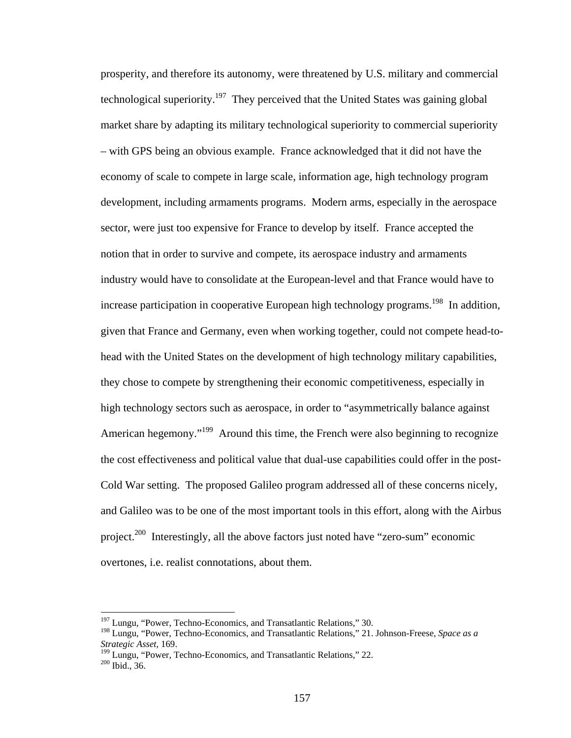prosperity, and therefore its autonomy, were threatened by U.S. military and commercial technological superiority.<sup>197</sup> They perceived that the United States was gaining global market share by adapting its military technological superiority to commercial superiority – with GPS being an obvious example. France acknowledged that it did not have the economy of scale to compete in large scale, information age, high technology program development, including armaments programs. Modern arms, especially in the aerospace sector, were just too expensive for France to develop by itself. France accepted the notion that in order to survive and compete, its aerospace industry and armaments industry would have to consolidate at the European-level and that France would have to increase participation in cooperative European high technology programs.<sup>198</sup> In addition, given that France and Germany, even when working together, could not compete head-tohead with the United States on the development of high technology military capabilities, they chose to compete by strengthening their economic competitiveness, especially in high technology sectors such as aerospace, in order to "asymmetrically balance against American hegemony."<sup>199</sup> Around this time, the French were also beginning to recognize the cost effectiveness and political value that dual-use capabilities could offer in the post-Cold War setting. The proposed Galileo program addressed all of these concerns nicely, and Galileo was to be one of the most important tools in this effort, along with the Airbus project.200 Interestingly, all the above factors just noted have "zero-sum" economic overtones, i.e. realist connotations, about them.

<sup>&</sup>lt;sup>197</sup> Lungu, "Power, Techno-Economics, and Transatlantic Relations," 30.

<sup>198</sup> Lungu, "Power, Techno-Economics, and Transatlantic Relations," 21. Johnson-Freese, *Space as a Strategic Asset,* 169.

<sup>&</sup>lt;sup>199</sup> Lungu, "Power, Techno-Economics, and Transatlantic Relations," 22.<br><sup>200</sup> Ibid., 36.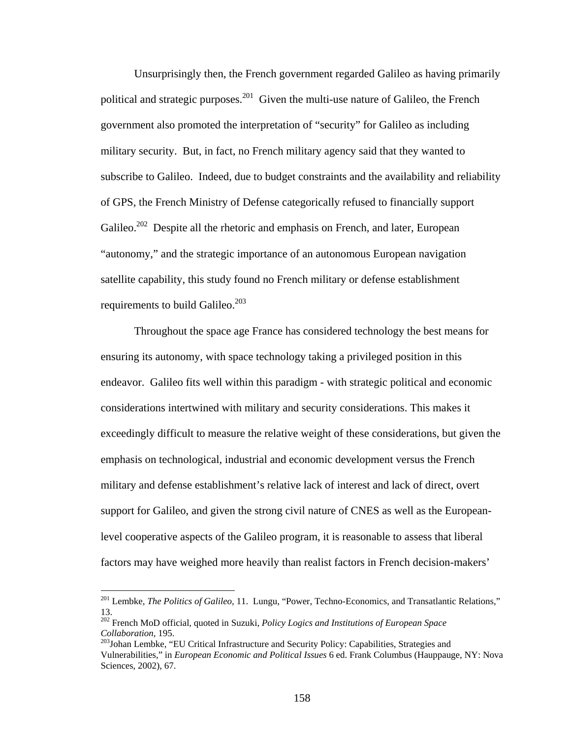Unsurprisingly then, the French government regarded Galileo as having primarily political and strategic purposes.<sup>201</sup> Given the multi-use nature of Galileo, the French government also promoted the interpretation of "security" for Galileo as including military security. But, in fact, no French military agency said that they wanted to subscribe to Galileo. Indeed, due to budget constraints and the availability and reliability of GPS, the French Ministry of Defense categorically refused to financially support Galileo.<sup>202</sup> Despite all the rhetoric and emphasis on French, and later, European "autonomy," and the strategic importance of an autonomous European navigation satellite capability, this study found no French military or defense establishment requirements to build Galileo. $^{203}$ 

Throughout the space age France has considered technology the best means for ensuring its autonomy, with space technology taking a privileged position in this endeavor. Galileo fits well within this paradigm - with strategic political and economic considerations intertwined with military and security considerations. This makes it exceedingly difficult to measure the relative weight of these considerations, but given the emphasis on technological, industrial and economic development versus the French military and defense establishment's relative lack of interest and lack of direct, overt support for Galileo, and given the strong civil nature of CNES as well as the Europeanlevel cooperative aspects of the Galileo program, it is reasonable to assess that liberal factors may have weighed more heavily than realist factors in French decision-makers'

<u>.</u>

<sup>201</sup> Lembke, *The Politics of Galileo,* 11. Lungu, "Power, Techno-Economics, and Transatlantic Relations," 13.

<sup>202</sup> French MoD official, quoted in Suzuki, *Policy Logics and Institutions of European Space Collaboration*, 195.<br><sup>203</sup>Johan Lembke, "EU Critical Infrastructure and Security Policy: Capabilities, Strategies and

Vulnerabilities," in *European Economic and Political Issues* 6 ed. Frank Columbus (Hauppauge, NY: Nova Sciences, 2002), 67.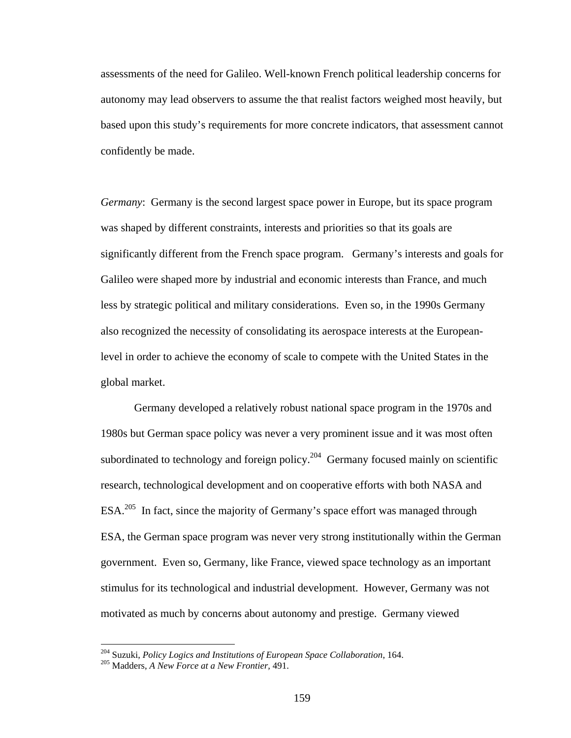assessments of the need for Galileo. Well-known French political leadership concerns for autonomy may lead observers to assume the that realist factors weighed most heavily, but based upon this study's requirements for more concrete indicators, that assessment cannot confidently be made.

*Germany*: Germany is the second largest space power in Europe, but its space program was shaped by different constraints, interests and priorities so that its goals are significantly different from the French space program. Germany's interests and goals for Galileo were shaped more by industrial and economic interests than France, and much less by strategic political and military considerations. Even so, in the 1990s Germany also recognized the necessity of consolidating its aerospace interests at the Europeanlevel in order to achieve the economy of scale to compete with the United States in the global market.

Germany developed a relatively robust national space program in the 1970s and 1980s but German space policy was never a very prominent issue and it was most often subordinated to technology and foreign policy.<sup>204</sup> Germany focused mainly on scientific research, technological development and on cooperative efforts with both NASA and ESA.205 In fact, since the majority of Germany's space effort was managed through ESA, the German space program was never very strong institutionally within the German government. Even so, Germany, like France, viewed space technology as an important stimulus for its technological and industrial development. However, Germany was not motivated as much by concerns about autonomy and prestige. Germany viewed

<sup>204</sup> Suzuki, *Policy Logics and Institutions of European Space Collaboration*, 164. 205 Madders, *A New Force at a New Frontier,* 491.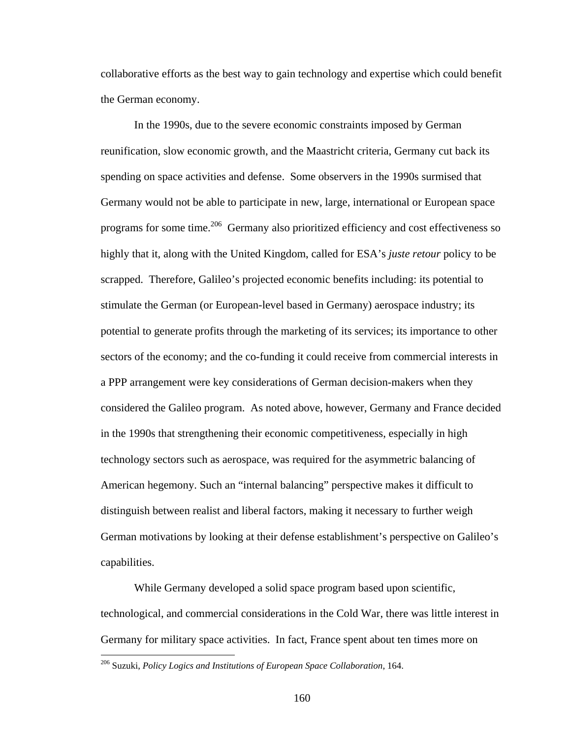collaborative efforts as the best way to gain technology and expertise which could benefit the German economy.

In the 1990s, due to the severe economic constraints imposed by German reunification, slow economic growth, and the Maastricht criteria, Germany cut back its spending on space activities and defense. Some observers in the 1990s surmised that Germany would not be able to participate in new, large, international or European space programs for some time.<sup>206</sup> Germany also prioritized efficiency and cost effectiveness so highly that it, along with the United Kingdom, called for ESA's *juste retour* policy to be scrapped. Therefore, Galileo's projected economic benefits including: its potential to stimulate the German (or European-level based in Germany) aerospace industry; its potential to generate profits through the marketing of its services; its importance to other sectors of the economy; and the co-funding it could receive from commercial interests in a PPP arrangement were key considerations of German decision-makers when they considered the Galileo program. As noted above, however, Germany and France decided in the 1990s that strengthening their economic competitiveness, especially in high technology sectors such as aerospace, was required for the asymmetric balancing of American hegemony. Such an "internal balancing" perspective makes it difficult to distinguish between realist and liberal factors, making it necessary to further weigh German motivations by looking at their defense establishment's perspective on Galileo's capabilities.

While Germany developed a solid space program based upon scientific, technological, and commercial considerations in the Cold War, there was little interest in Germany for military space activities. In fact, France spent about ten times more on

<sup>206</sup> Suzuki, *Policy Logics and Institutions of European Space Collaboration*, 164.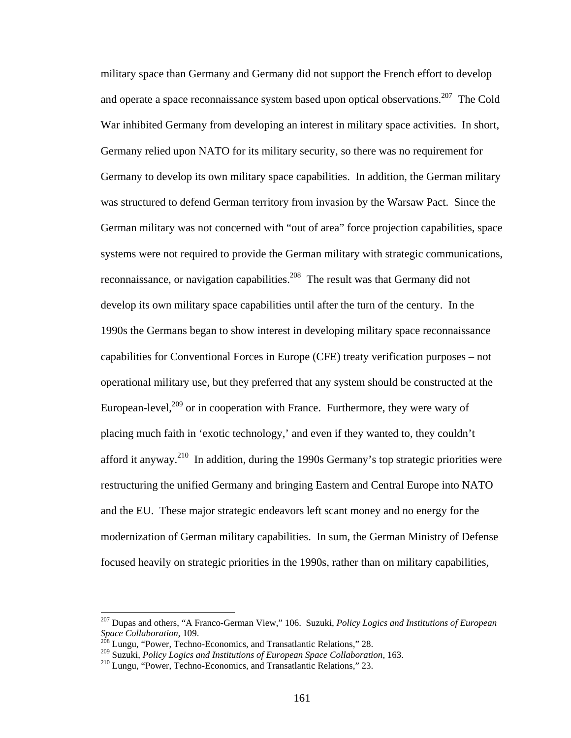military space than Germany and Germany did not support the French effort to develop and operate a space reconnaissance system based upon optical observations.<sup>207</sup> The Cold War inhibited Germany from developing an interest in military space activities. In short, Germany relied upon NATO for its military security, so there was no requirement for Germany to develop its own military space capabilities. In addition, the German military was structured to defend German territory from invasion by the Warsaw Pact. Since the German military was not concerned with "out of area" force projection capabilities, space systems were not required to provide the German military with strategic communications, reconnaissance, or navigation capabilities.<sup>208</sup> The result was that Germany did not develop its own military space capabilities until after the turn of the century. In the 1990s the Germans began to show interest in developing military space reconnaissance capabilities for Conventional Forces in Europe (CFE) treaty verification purposes – not operational military use, but they preferred that any system should be constructed at the European-level, $^{209}$  or in cooperation with France. Furthermore, they were wary of placing much faith in 'exotic technology,' and even if they wanted to, they couldn't afford it anyway.210 In addition, during the 1990s Germany's top strategic priorities were restructuring the unified Germany and bringing Eastern and Central Europe into NATO and the EU. These major strategic endeavors left scant money and no energy for the modernization of German military capabilities. In sum, the German Ministry of Defense focused heavily on strategic priorities in the 1990s, rather than on military capabilities,

<sup>207</sup> Dupas and others, "A Franco-German View," 106. Suzuki, *Policy Logics and Institutions of European Space Collaboration*, 109. 208 Lungu, "Power, Techno-Economics, and Transatlantic Relations," 28.

<sup>&</sup>lt;sup>209</sup> Suzuki, *Policy Logics and Institutions of European Space Collaboration*, 163.<br><sup>210</sup> Lungu, "Power, Techno-Economics, and Transatlantic Relations," 23.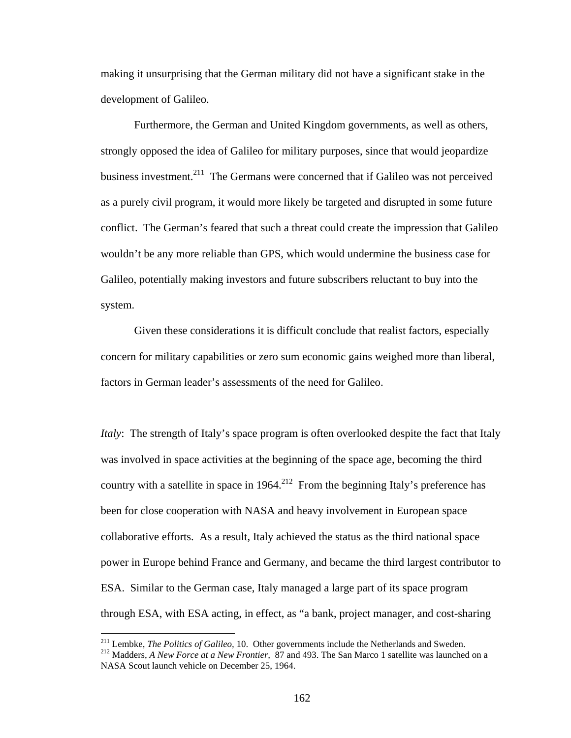making it unsurprising that the German military did not have a significant stake in the development of Galileo.

Furthermore, the German and United Kingdom governments, as well as others, strongly opposed the idea of Galileo for military purposes, since that would jeopardize business investment.<sup>211</sup> The Germans were concerned that if Galileo was not perceived as a purely civil program, it would more likely be targeted and disrupted in some future conflict. The German's feared that such a threat could create the impression that Galileo wouldn't be any more reliable than GPS, which would undermine the business case for Galileo, potentially making investors and future subscribers reluctant to buy into the system.

Given these considerations it is difficult conclude that realist factors, especially concern for military capabilities or zero sum economic gains weighed more than liberal, factors in German leader's assessments of the need for Galileo.

*Italy*: The strength of Italy's space program is often overlooked despite the fact that Italy was involved in space activities at the beginning of the space age, becoming the third country with a satellite in space in  $1964$ <sup>212</sup> From the beginning Italy's preference has been for close cooperation with NASA and heavy involvement in European space collaborative efforts. As a result, Italy achieved the status as the third national space power in Europe behind France and Germany, and became the third largest contributor to ESA. Similar to the German case, Italy managed a large part of its space program through ESA, with ESA acting, in effect, as "a bank, project manager, and cost-sharing

<sup>&</sup>lt;sup>211</sup> Lembke, *The Politics of Galileo*, 10. Other governments include the Netherlands and Sweden.<br><sup>212</sup> Madders, *A New Force at a New Frontier*, <sup>87</sup> and 493. The San Marco 1 satellite was launched on a NASA Scout launch vehicle on December 25, 1964.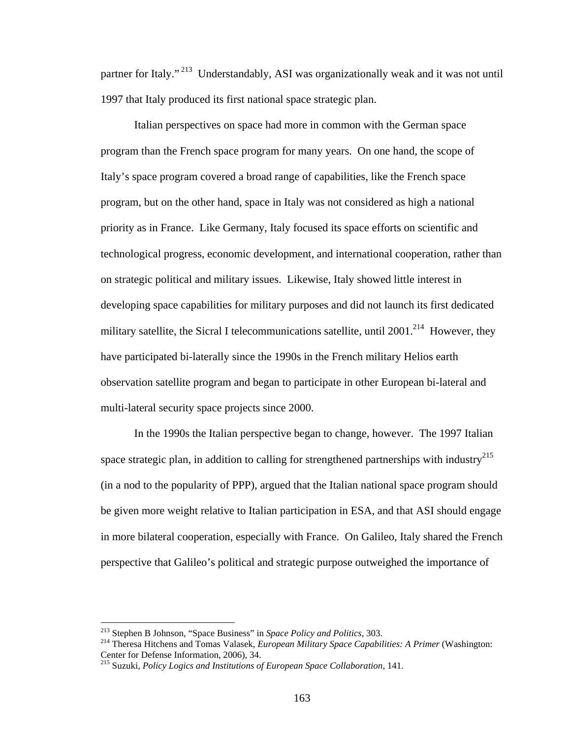partner for Italy." 213 Understandably, ASI was organizationally weak and it was not until 1997 that Italy produced its first national space strategic plan.

 Italian perspectives on space had more in common with the German space program than the French space program for many years. On one hand, the scope of Italy's space program covered a broad range of capabilities, like the French space program, but on the other hand, space in Italy was not considered as high a national priority as in France. Like Germany, Italy focused its space efforts on scientific and technological progress, economic development, and international cooperation, rather than on strategic political and military issues. Likewise, Italy showed little interest in developing space capabilities for military purposes and did not launch its first dedicated military satellite, the Sicral I telecommunications satellite, until  $2001$ <sup>214</sup> However, they have participated bi-laterally since the 1990s in the French military Helios earth observation satellite program and began to participate in other European bi-lateral and multi-lateral security space projects since 2000.

In the 1990s the Italian perspective began to change, however. The 1997 Italian space strategic plan, in addition to calling for strengthened partnerships with industry<sup>215</sup> (in a nod to the popularity of PPP), argued that the Italian national space program should be given more weight relative to Italian participation in ESA, and that ASI should engage in more bilateral cooperation, especially with France. On Galileo, Italy shared the French perspective that Galileo's political and strategic purpose outweighed the importance of

 $^{213}$  Stephen B Johnson, "Space Business" in Space Policy and Politics, 303.

<sup>&</sup>lt;sup>214</sup> Theresa Hitchens and Tomas Valasek, *European Military Space Capabilities: A Primer* (Washington: Center for Defense Information, 2006), 34.

<sup>215</sup> Suzuki, *Policy Logics and Institutions of European Space Collaboration*, 141.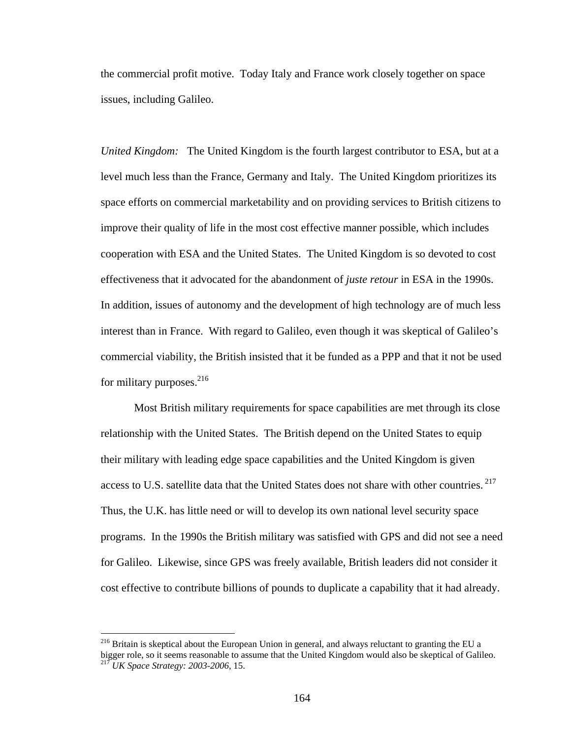the commercial profit motive. Today Italy and France work closely together on space issues, including Galileo.

*United Kingdom:* The United Kingdom is the fourth largest contributor to ESA, but at a level much less than the France, Germany and Italy. The United Kingdom prioritizes its space efforts on commercial marketability and on providing services to British citizens to improve their quality of life in the most cost effective manner possible, which includes cooperation with ESA and the United States. The United Kingdom is so devoted to cost effectiveness that it advocated for the abandonment of *juste retour* in ESA in the 1990s. In addition, issues of autonomy and the development of high technology are of much less interest than in France. With regard to Galileo, even though it was skeptical of Galileo's commercial viability, the British insisted that it be funded as a PPP and that it not be used for military purposes. $^{216}$ 

 Most British military requirements for space capabilities are met through its close relationship with the United States. The British depend on the United States to equip their military with leading edge space capabilities and the United Kingdom is given access to U.S. satellite data that the United States does not share with other countries.<sup>217</sup> Thus, the U.K. has little need or will to develop its own national level security space programs. In the 1990s the British military was satisfied with GPS and did not see a need for Galileo. Likewise, since GPS was freely available, British leaders did not consider it cost effective to contribute billions of pounds to duplicate a capability that it had already.

<sup>&</sup>lt;sup>216</sup> Britain is skeptical about the European Union in general, and always reluctant to granting the EU a bigger role, so it seems reasonable to assume that the United Kingdom would also be skeptical of Galileo. 217 *UK Space Strategy: 2003-2006*, 15.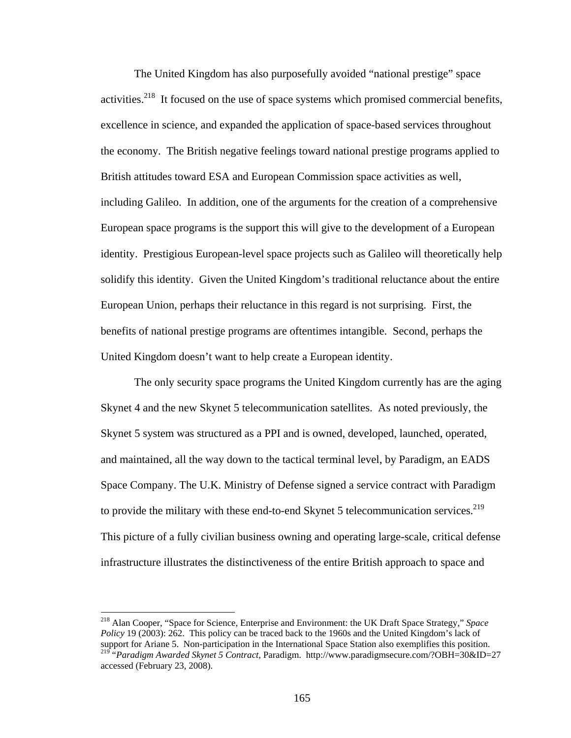The United Kingdom has also purposefully avoided "national prestige" space activities. $2^{18}$  It focused on the use of space systems which promised commercial benefits, excellence in science, and expanded the application of space-based services throughout the economy. The British negative feelings toward national prestige programs applied to British attitudes toward ESA and European Commission space activities as well, including Galileo. In addition, one of the arguments for the creation of a comprehensive European space programs is the support this will give to the development of a European identity. Prestigious European-level space projects such as Galileo will theoretically help solidify this identity. Given the United Kingdom's traditional reluctance about the entire European Union, perhaps their reluctance in this regard is not surprising. First, the benefits of national prestige programs are oftentimes intangible. Second, perhaps the United Kingdom doesn't want to help create a European identity.

 The only security space programs the United Kingdom currently has are the aging Skynet 4 and the new Skynet 5 telecommunication satellites. As noted previously, the Skynet 5 system was structured as a PPI and is owned, developed, launched, operated, and maintained, all the way down to the tactical terminal level, by Paradigm, an EADS Space Company. The U.K. Ministry of Defense signed a service contract with Paradigm to provide the military with these end-to-end Skynet 5 telecommunication services.<sup>219</sup> This picture of a fully civilian business owning and operating large-scale, critical defense infrastructure illustrates the distinctiveness of the entire British approach to space and

<sup>218</sup> Alan Cooper, "Space for Science, Enterprise and Environment: the UK Draft Space Strategy," *Space Policy* 19 (2003): 262. This policy can be traced back to the 1960s and the United Kingdom's lack of support for Ariane 5. Non-participation in the International Space Station also exemplifies this position. 219 "*Paradigm Awarded Skynet 5 Contract*, Paradigm. http://www.paradigmsecure.com/?OBH=30&ID=27 accessed (February 23, 2008).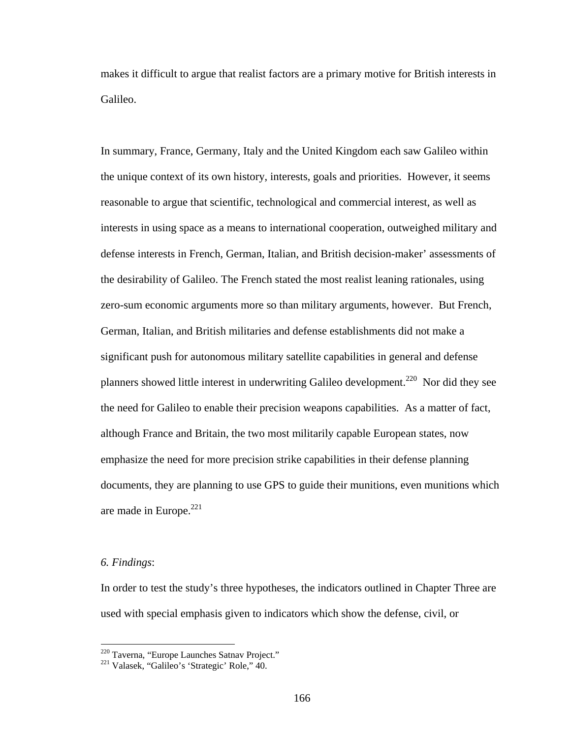makes it difficult to argue that realist factors are a primary motive for British interests in Galileo.

In summary, France, Germany, Italy and the United Kingdom each saw Galileo within the unique context of its own history, interests, goals and priorities. However, it seems reasonable to argue that scientific, technological and commercial interest, as well as interests in using space as a means to international cooperation, outweighed military and defense interests in French, German, Italian, and British decision-maker' assessments of the desirability of Galileo. The French stated the most realist leaning rationales, using zero-sum economic arguments more so than military arguments, however. But French, German, Italian, and British militaries and defense establishments did not make a significant push for autonomous military satellite capabilities in general and defense planners showed little interest in underwriting Galileo development.<sup>220</sup> Nor did they see the need for Galileo to enable their precision weapons capabilities. As a matter of fact, although France and Britain, the two most militarily capable European states, now emphasize the need for more precision strike capabilities in their defense planning documents, they are planning to use GPS to guide their munitions, even munitions which are made in Europe. $^{221}$ 

## *6. Findings*:

 $\overline{a}$ 

In order to test the study's three hypotheses, the indicators outlined in Chapter Three are used with special emphasis given to indicators which show the defense, civil, or

<sup>&</sup>lt;sup>220</sup> Taverna, "Europe Launches Satnav Project."<br><sup>221</sup> Valasek, "Galileo's 'Strategic' Role," 40.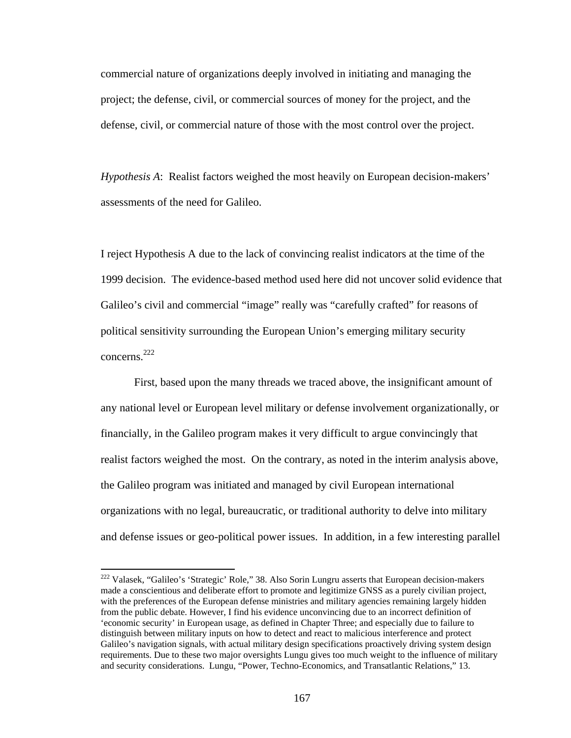commercial nature of organizations deeply involved in initiating and managing the project; the defense, civil, or commercial sources of money for the project, and the defense, civil, or commercial nature of those with the most control over the project.

*Hypothesis A*: Realist factors weighed the most heavily on European decision-makers' assessments of the need for Galileo.

I reject Hypothesis A due to the lack of convincing realist indicators at the time of the 1999 decision. The evidence-based method used here did not uncover solid evidence that Galileo's civil and commercial "image" really was "carefully crafted" for reasons of political sensitivity surrounding the European Union's emerging military security concerns.222

 First, based upon the many threads we traced above, the insignificant amount of any national level or European level military or defense involvement organizationally, or financially, in the Galileo program makes it very difficult to argue convincingly that realist factors weighed the most. On the contrary, as noted in the interim analysis above, the Galileo program was initiated and managed by civil European international organizations with no legal, bureaucratic, or traditional authority to delve into military and defense issues or geo-political power issues. In addition, in a few interesting parallel

<sup>&</sup>lt;sup>222</sup> Valasek, "Galileo's 'Strategic' Role," 38. Also Sorin Lungru asserts that European decision-makers made a conscientious and deliberate effort to promote and legitimize GNSS as a purely civilian project, with the preferences of the European defense ministries and military agencies remaining largely hidden from the public debate. However, I find his evidence unconvincing due to an incorrect definition of 'economic security' in European usage, as defined in Chapter Three; and especially due to failure to distinguish between military inputs on how to detect and react to malicious interference and protect Galileo's navigation signals, with actual military design specifications proactively driving system design requirements. Due to these two major oversights Lungu gives too much weight to the influence of military and security considerations. Lungu, "Power, Techno-Economics, and Transatlantic Relations," 13.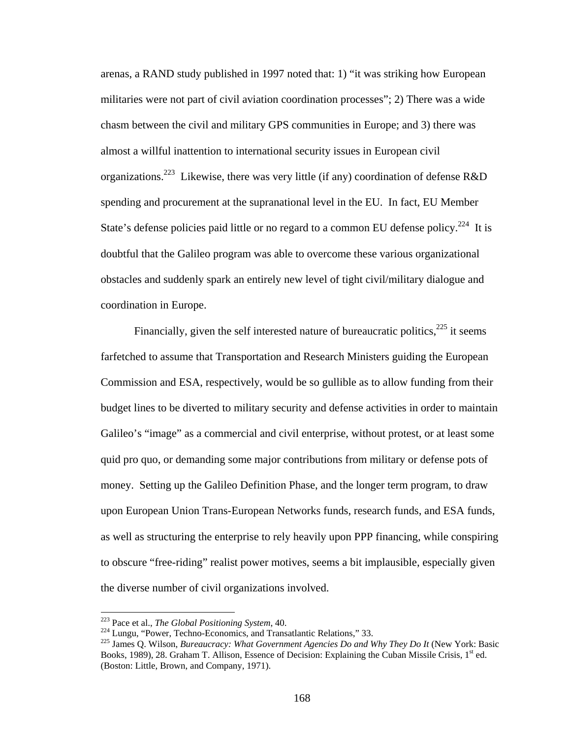arenas, a RAND study published in 1997 noted that: 1) "it was striking how European militaries were not part of civil aviation coordination processes"; 2) There was a wide chasm between the civil and military GPS communities in Europe; and 3) there was almost a willful inattention to international security issues in European civil organizations.<sup>223</sup> Likewise, there was very little (if any) coordination of defense R&D spending and procurement at the supranational level in the EU. In fact, EU Member State's defense policies paid little or no regard to a common EU defense policy.<sup>224</sup> It is doubtful that the Galileo program was able to overcome these various organizational obstacles and suddenly spark an entirely new level of tight civil/military dialogue and coordination in Europe.

Financially, given the self interested nature of bureaucratic politics,  $225$  it seems farfetched to assume that Transportation and Research Ministers guiding the European Commission and ESA, respectively, would be so gullible as to allow funding from their budget lines to be diverted to military security and defense activities in order to maintain Galileo's "image" as a commercial and civil enterprise, without protest, or at least some quid pro quo, or demanding some major contributions from military or defense pots of money. Setting up the Galileo Definition Phase, and the longer term program, to draw upon European Union Trans-European Networks funds, research funds, and ESA funds, as well as structuring the enterprise to rely heavily upon PPP financing, while conspiring to obscure "free-riding" realist power motives, seems a bit implausible, especially given the diverse number of civil organizations involved.

<sup>&</sup>lt;sup>223</sup> Pace et al., *The Global Positioning System*, 40.

<sup>&</sup>lt;sup>224</sup> Lungu, "Power, Techno-Economics, and Transatlantic Relations," 33.<br><sup>225</sup> James Q. Wilson, *Bureaucracy: What Government Agencies Do and Why They Do It* (New York: Basic Books, 1989), 28. Graham T. Allison, Essence of Decision: Explaining the Cuban Missile Crisis, 1<sup>st</sup> ed. (Boston: Little, Brown, and Company, 1971).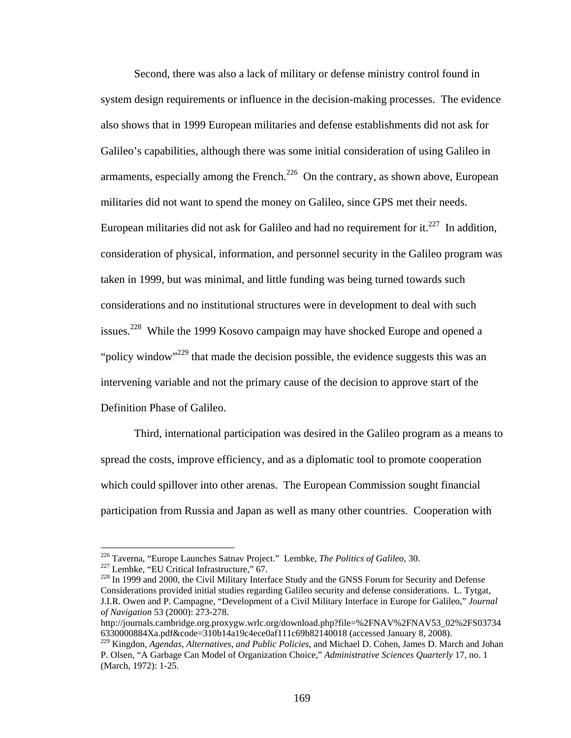Second, there was also a lack of military or defense ministry control found in system design requirements or influence in the decision-making processes. The evidence also shows that in 1999 European militaries and defense establishments did not ask for Galileo's capabilities, although there was some initial consideration of using Galileo in armaments, especially among the French.<sup>226</sup> On the contrary, as shown above, European militaries did not want to spend the money on Galileo, since GPS met their needs. European militaries did not ask for Galileo and had no requirement for it.<sup>227</sup> In addition, consideration of physical, information, and personnel security in the Galileo program was taken in 1999, but was minimal, and little funding was being turned towards such considerations and no institutional structures were in development to deal with such issues.<sup>228</sup> While the 1999 Kosovo campaign may have shocked Europe and opened a "policy window"<sup>229</sup> that made the decision possible, the evidence suggests this was an intervening variable and not the primary cause of the decision to approve start of the Definition Phase of Galileo.

Third, international participation was desired in the Galileo program as a means to spread the costs, improve efficiency, and as a diplomatic tool to promote cooperation which could spillover into other arenas. The European Commission sought financial participation from Russia and Japan as well as many other countries. Cooperation with

<sup>&</sup>lt;sup>226</sup> Taverna, "Europe Launches Satnav Project." Lembke, *The Politics of Galileo*, 30.<br><sup>227</sup> Lembke, "EU Critical Infrastructure," 67.<br><sup>228</sup> In 1999 and 2000, the Civil Military Interface Study and the GNSS Forum for Sec Considerations provided initial studies regarding Galileo security and defense considerations. L. Tytgat, J.I.R. Owen and P. Campagne, "Development of a Civil Military Interface in Europe for Galileo," *Journal of Navigation* 53 (2000): 273-278.

http://journals.cambridge.org.proxygw.wrlc.org/download.php?file=%2FNAV%2FNAV53\_02%2FS03734 6330000884Xa.pdf&code=310b14a19c4ece0af111c69b82140018 (accessed January 8, 2008).

<sup>229</sup> Kingdon, *Agendas, Alternatives, and Public Policies*, and Michael D. Cohen, James D. March and Johan P. Olsen, "A Garbage Can Model of Organization Choice," *Administrative Sciences Quarterly* 17, no. 1 (March, 1972): 1-25.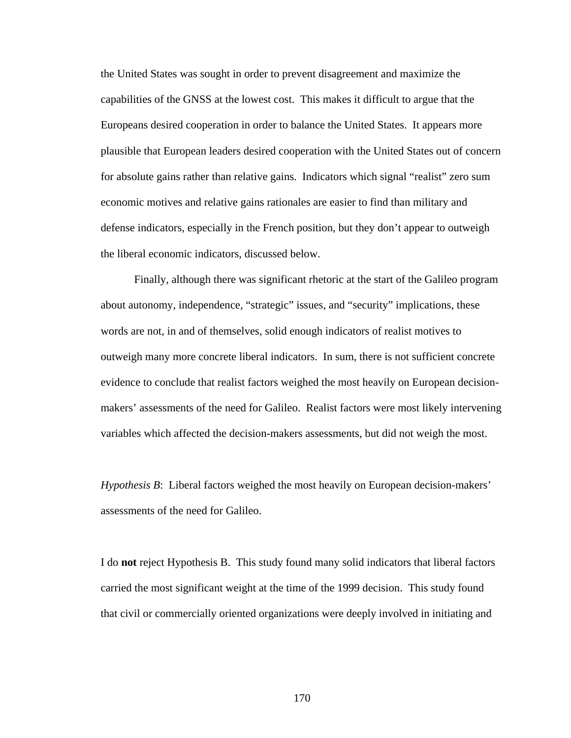the United States was sought in order to prevent disagreement and maximize the capabilities of the GNSS at the lowest cost. This makes it difficult to argue that the Europeans desired cooperation in order to balance the United States. It appears more plausible that European leaders desired cooperation with the United States out of concern for absolute gains rather than relative gains. Indicators which signal "realist" zero sum economic motives and relative gains rationales are easier to find than military and defense indicators, especially in the French position, but they don't appear to outweigh the liberal economic indicators, discussed below.

Finally, although there was significant rhetoric at the start of the Galileo program about autonomy, independence, "strategic" issues, and "security" implications, these words are not, in and of themselves, solid enough indicators of realist motives to outweigh many more concrete liberal indicators. In sum, there is not sufficient concrete evidence to conclude that realist factors weighed the most heavily on European decisionmakers' assessments of the need for Galileo. Realist factors were most likely intervening variables which affected the decision-makers assessments, but did not weigh the most.

*Hypothesis B*: Liberal factors weighed the most heavily on European decision-makers' assessments of the need for Galileo.

I do **not** reject Hypothesis B. This study found many solid indicators that liberal factors carried the most significant weight at the time of the 1999 decision. This study found that civil or commercially oriented organizations were deeply involved in initiating and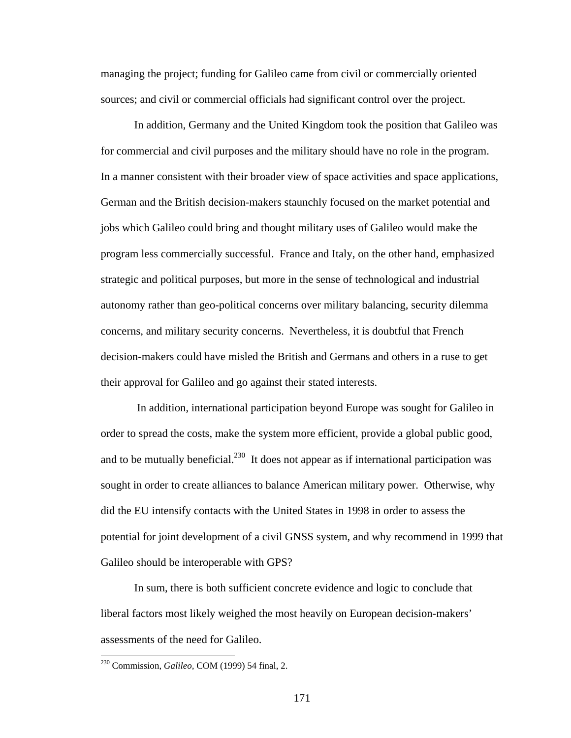managing the project; funding for Galileo came from civil or commercially oriented sources; and civil or commercial officials had significant control over the project.

 In addition, Germany and the United Kingdom took the position that Galileo was for commercial and civil purposes and the military should have no role in the program. In a manner consistent with their broader view of space activities and space applications, German and the British decision-makers staunchly focused on the market potential and jobs which Galileo could bring and thought military uses of Galileo would make the program less commercially successful. France and Italy, on the other hand, emphasized strategic and political purposes, but more in the sense of technological and industrial autonomy rather than geo-political concerns over military balancing, security dilemma concerns, and military security concerns. Nevertheless, it is doubtful that French decision-makers could have misled the British and Germans and others in a ruse to get their approval for Galileo and go against their stated interests.

 In addition, international participation beyond Europe was sought for Galileo in order to spread the costs, make the system more efficient, provide a global public good, and to be mutually beneficial.<sup>230</sup> It does not appear as if international participation was sought in order to create alliances to balance American military power. Otherwise, why did the EU intensify contacts with the United States in 1998 in order to assess the potential for joint development of a civil GNSS system, and why recommend in 1999 that Galileo should be interoperable with GPS?

In sum, there is both sufficient concrete evidence and logic to conclude that liberal factors most likely weighed the most heavily on European decision-makers' assessments of the need for Galileo.

<sup>230</sup> Commission, *Galileo,* COM (1999) 54 final, 2.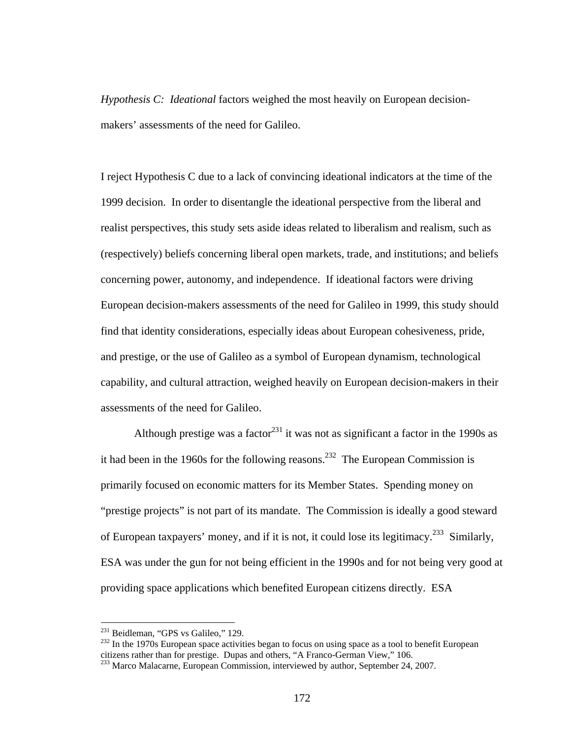*Hypothesis C: Ideational* factors weighed the most heavily on European decisionmakers' assessments of the need for Galileo.

I reject Hypothesis C due to a lack of convincing ideational indicators at the time of the 1999 decision. In order to disentangle the ideational perspective from the liberal and realist perspectives, this study sets aside ideas related to liberalism and realism, such as (respectively) beliefs concerning liberal open markets, trade, and institutions; and beliefs concerning power, autonomy, and independence. If ideational factors were driving European decision-makers assessments of the need for Galileo in 1999, this study should find that identity considerations, especially ideas about European cohesiveness, pride, and prestige, or the use of Galileo as a symbol of European dynamism, technological capability, and cultural attraction, weighed heavily on European decision-makers in their assessments of the need for Galileo.

Although prestige was a factor<sup>231</sup> it was not as significant a factor in the 1990s as it had been in the 1960s for the following reasons.<sup>232</sup> The European Commission is primarily focused on economic matters for its Member States. Spending money on "prestige projects" is not part of its mandate. The Commission is ideally a good steward of European taxpayers' money, and if it is not, it could lose its legitimacy.<sup>233</sup> Similarly, ESA was under the gun for not being efficient in the 1990s and for not being very good at providing space applications which benefited European citizens directly. ESA

<sup>&</sup>lt;sup>231</sup> Beidleman, "GPS vs Galileo," 129.

 $^{232}$  In the 1970s European space activities began to focus on using space as a tool to benefit European citizens rather than for prestige. Dupas and others, "A Franco-German View," 106. 233 Marco Malacarne, European Commission, interviewed by author, September 24, 2007.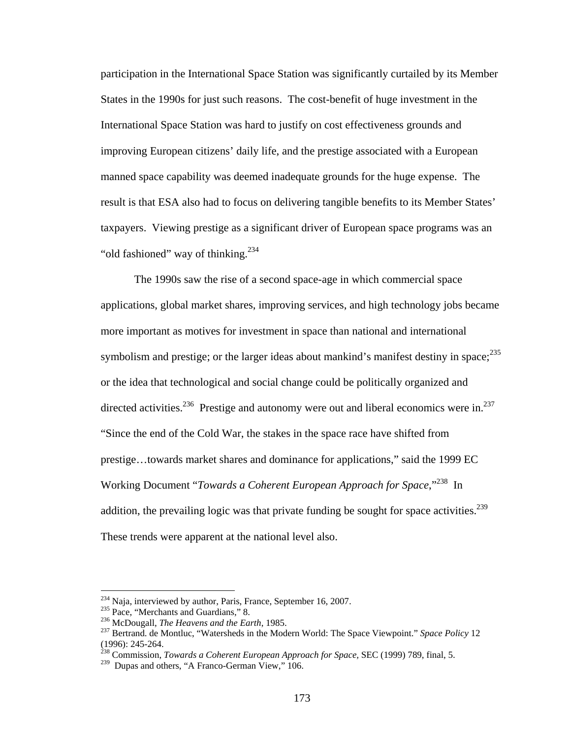participation in the International Space Station was significantly curtailed by its Member States in the 1990s for just such reasons. The cost-benefit of huge investment in the International Space Station was hard to justify on cost effectiveness grounds and improving European citizens' daily life, and the prestige associated with a European manned space capability was deemed inadequate grounds for the huge expense. The result is that ESA also had to focus on delivering tangible benefits to its Member States' taxpayers. Viewing prestige as a significant driver of European space programs was an "old fashioned" way of thinking. $^{234}$ 

The 1990s saw the rise of a second space-age in which commercial space applications, global market shares, improving services, and high technology jobs became more important as motives for investment in space than national and international symbolism and prestige; or the larger ideas about mankind's manifest destiny in space; $^{235}$ or the idea that technological and social change could be politically organized and directed activities.<sup>236</sup> Prestige and autonomy were out and liberal economics were in.<sup>237</sup> "Since the end of the Cold War, the stakes in the space race have shifted from prestige…towards market shares and dominance for applications," said the 1999 EC Working Document "*Towards a Coherent European Approach for Space*,"238 In addition, the prevailing logic was that private funding be sought for space activities.<sup>239</sup> These trends were apparent at the national level also.

<sup>&</sup>lt;sup>234</sup> Naja, interviewed by author, Paris, France, September 16, 2007.

<sup>&</sup>lt;sup>235</sup> Pace, "Merchants and Guardians," 8.<br><sup>236</sup> McDougall, *The Heavens and the Earth*, 1985.<br><sup>237</sup> Bertrand. de Montluc, "Watersheds in the Modern World: The Space Viewpoint." *Space Policy* 12 (1996): 245-264.

<sup>238</sup> Commission, *Towards a Coherent European Approach for Space,* SEC (1999) 789, final, 5.

<sup>&</sup>lt;sup>239</sup> Dupas and others, "A Franco-German View," 106.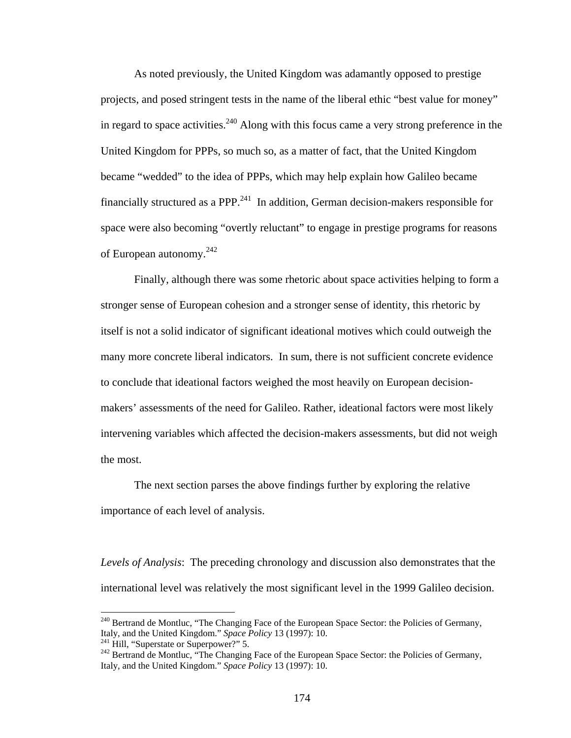As noted previously, the United Kingdom was adamantly opposed to prestige projects, and posed stringent tests in the name of the liberal ethic "best value for money" in regard to space activities.<sup>240</sup> Along with this focus came a very strong preference in the United Kingdom for PPPs, so much so, as a matter of fact, that the United Kingdom became "wedded" to the idea of PPPs, which may help explain how Galileo became financially structured as a PPP. $^{241}$  In addition, German decision-makers responsible for space were also becoming "overtly reluctant" to engage in prestige programs for reasons of European autonomy. $242$ 

Finally, although there was some rhetoric about space activities helping to form a stronger sense of European cohesion and a stronger sense of identity, this rhetoric by itself is not a solid indicator of significant ideational motives which could outweigh the many more concrete liberal indicators. In sum, there is not sufficient concrete evidence to conclude that ideational factors weighed the most heavily on European decisionmakers' assessments of the need for Galileo. Rather, ideational factors were most likely intervening variables which affected the decision-makers assessments, but did not weigh the most.

 The next section parses the above findings further by exploring the relative importance of each level of analysis.

*Levels of Analysis*: The preceding chronology and discussion also demonstrates that the international level was relatively the most significant level in the 1999 Galileo decision.

<sup>&</sup>lt;sup>240</sup> Bertrand de Montluc, "The Changing Face of the European Space Sector: the Policies of Germany, Italy, and the United Kingdom." *Space Policy* 13 (1997): 10.

<sup>&</sup>lt;sup>241</sup> Hill, "Superstate or Superpower?" 5.<br><sup>242</sup> Bertrand de Montluc, "The Changing Face of the European Space Sector: the Policies of Germany, Italy, and the United Kingdom." *Space Policy* 13 (1997): 10.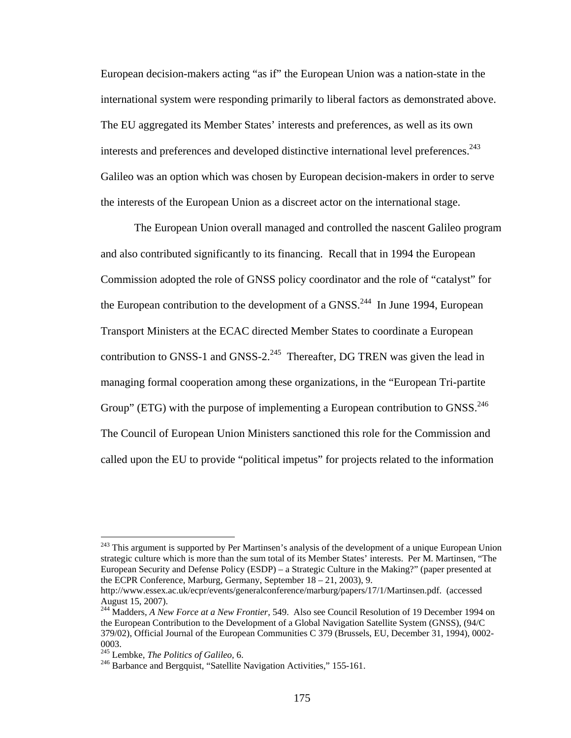European decision-makers acting "as if" the European Union was a nation-state in the international system were responding primarily to liberal factors as demonstrated above. The EU aggregated its Member States' interests and preferences, as well as its own interests and preferences and developed distinctive international level preferences.<sup>243</sup> Galileo was an option which was chosen by European decision-makers in order to serve the interests of the European Union as a discreet actor on the international stage.

The European Union overall managed and controlled the nascent Galileo program and also contributed significantly to its financing. Recall that in 1994 the European Commission adopted the role of GNSS policy coordinator and the role of "catalyst" for the European contribution to the development of a  $GNSS$ <sup>244</sup> In June 1994, European Transport Ministers at the ECAC directed Member States to coordinate a European contribution to GNSS-1 and GNSS- $2^{245}$  Thereafter, DG TREN was given the lead in managing formal cooperation among these organizations, in the "European Tri-partite Group" (ETG) with the purpose of implementing a European contribution to GNSS.<sup>246</sup> The Council of European Union Ministers sanctioned this role for the Commission and called upon the EU to provide "political impetus" for projects related to the information

<sup>&</sup>lt;sup>243</sup> This argument is supported by Per Martinsen's analysis of the development of a unique European Union strategic culture which is more than the sum total of its Member States' interests. Per M. Martinsen, "The European Security and Defense Policy (ESDP) – a Strategic Culture in the Making?" (paper presented at the ECPR Conference, Marburg, Germany, September 18 – 21, 2003), 9.

http://www.essex.ac.uk/ecpr/events/generalconference/marburg/papers/17/1/Martinsen.pdf. (accessed August 15, 2007).

<sup>244</sup> Madders, *A New Force at a New Frontier,* 549. Also see Council Resolution of 19 December 1994 on the European Contribution to the Development of a Global Navigation Satellite System (GNSS), (94/C 379/02), Official Journal of the European Communities C 379 (Brussels, EU, December 31, 1994), 0002-

<sup>0003.&</sup>lt;br><sup>245</sup> Lembke, *The Politics of Galileo*, 6.

<sup>&</sup>lt;sup>246</sup> Barbance and Bergquist, "Satellite Navigation Activities," 155-161.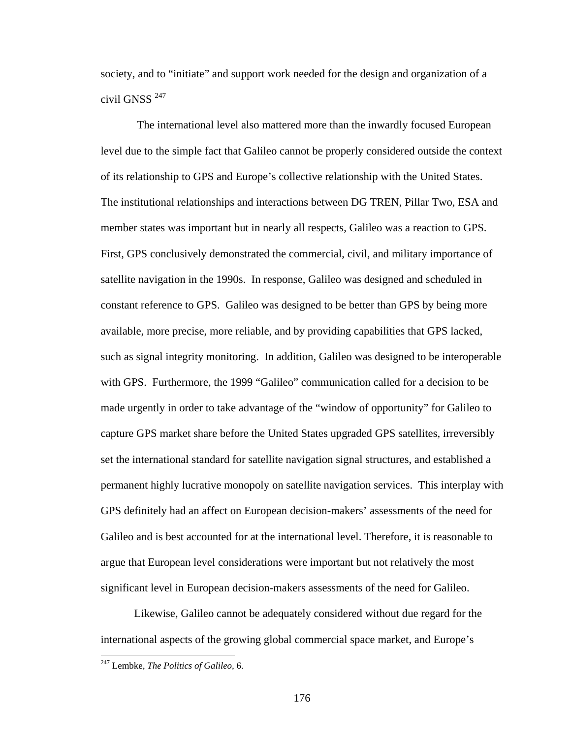society, and to "initiate" and support work needed for the design and organization of a civil GNSS<sup>247</sup>

 The international level also mattered more than the inwardly focused European level due to the simple fact that Galileo cannot be properly considered outside the context of its relationship to GPS and Europe's collective relationship with the United States. The institutional relationships and interactions between DG TREN, Pillar Two, ESA and member states was important but in nearly all respects, Galileo was a reaction to GPS. First, GPS conclusively demonstrated the commercial, civil, and military importance of satellite navigation in the 1990s. In response, Galileo was designed and scheduled in constant reference to GPS. Galileo was designed to be better than GPS by being more available, more precise, more reliable, and by providing capabilities that GPS lacked, such as signal integrity monitoring. In addition, Galileo was designed to be interoperable with GPS. Furthermore, the 1999 "Galileo" communication called for a decision to be made urgently in order to take advantage of the "window of opportunity" for Galileo to capture GPS market share before the United States upgraded GPS satellites, irreversibly set the international standard for satellite navigation signal structures, and established a permanent highly lucrative monopoly on satellite navigation services. This interplay with GPS definitely had an affect on European decision-makers' assessments of the need for Galileo and is best accounted for at the international level. Therefore, it is reasonable to argue that European level considerations were important but not relatively the most significant level in European decision-makers assessments of the need for Galileo.

Likewise, Galileo cannot be adequately considered without due regard for the international aspects of the growing global commercial space market, and Europe's

<u>.</u>

<sup>247</sup> Lembke, *The Politics of Galileo,* 6.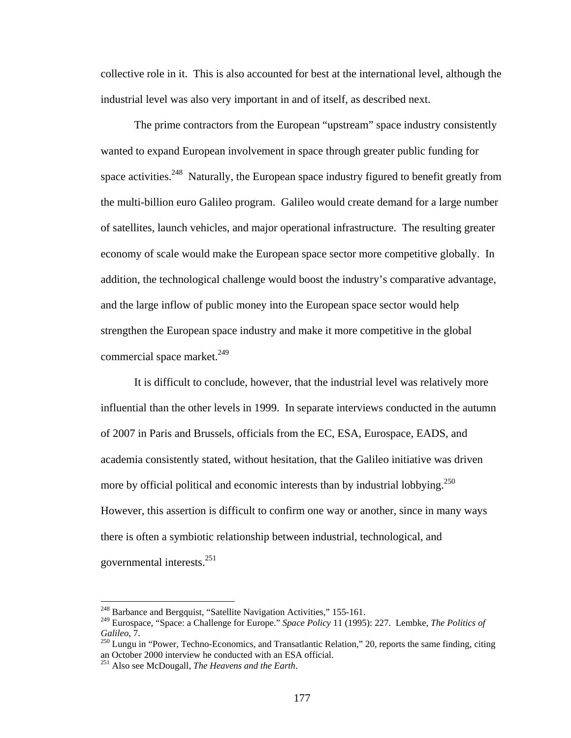collective role in it. This is also accounted for best at the international level, although the industrial level was also very important in and of itself, as described next.

The prime contractors from the European "upstream" space industry consistently wanted to expand European involvement in space through greater public funding for space activities.<sup>248</sup> Naturally, the European space industry figured to benefit greatly from the multi-billion euro Galileo program. Galileo would create demand for a large number of satellites, launch vehicles, and major operational infrastructure. The resulting greater economy of scale would make the European space sector more competitive globally. In addition, the technological challenge would boost the industry's comparative advantage, and the large inflow of public money into the European space sector would help strengthen the European space industry and make it more competitive in the global commercial space market. $^{249}$ 

It is difficult to conclude, however, that the industrial level was relatively more influential than the other levels in 1999. In separate interviews conducted in the autumn of 2007 in Paris and Brussels, officials from the EC, ESA, Eurospace, EADS, and academia consistently stated, without hesitation, that the Galileo initiative was driven more by official political and economic interests than by industrial lobbying.<sup>250</sup> However, this assertion is difficult to confirm one way or another, since in many ways there is often a symbiotic relationship between industrial, technological, and governmental interests.251

<sup>&</sup>lt;sup>248</sup> Barbance and Bergquist, "Satellite Navigation Activities," 155-161.

<sup>249</sup> Eurospace, "Space: a Challenge for Europe." *Space Policy* 11 (1995): 227. Lembke, *The Politics of* 

<sup>&</sup>lt;sup>250</sup> Lungu in "Power, Techno-Economics, and Transatlantic Relation," 20, reports the same finding, citing an October 2000 interview he conducted with an ESA official.

<sup>251</sup> Also see McDougall, *The Heavens and the Earth*.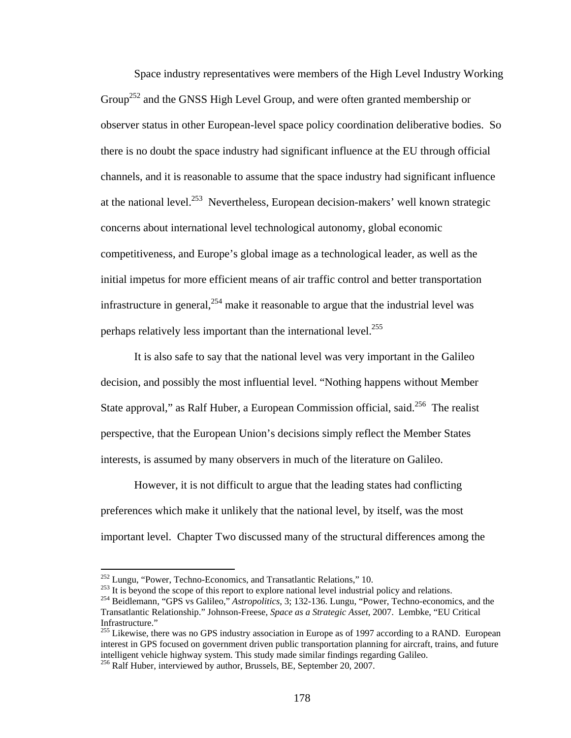Space industry representatives were members of the High Level Industry Working Group<sup>252</sup> and the GNSS High Level Group, and were often granted membership or observer status in other European-level space policy coordination deliberative bodies. So there is no doubt the space industry had significant influence at the EU through official channels, and it is reasonable to assume that the space industry had significant influence at the national level.253 Nevertheless, European decision-makers' well known strategic concerns about international level technological autonomy, global economic competitiveness, and Europe's global image as a technological leader, as well as the initial impetus for more efficient means of air traffic control and better transportation infrastructure in general,  $254$  make it reasonable to argue that the industrial level was perhaps relatively less important than the international level.<sup>255</sup>

It is also safe to say that the national level was very important in the Galileo decision, and possibly the most influential level. "Nothing happens without Member State approval," as Ralf Huber, a European Commission official, said.<sup>256</sup> The realist perspective, that the European Union's decisions simply reflect the Member States interests, is assumed by many observers in much of the literature on Galileo.

However, it is not difficult to argue that the leading states had conflicting preferences which make it unlikely that the national level, by itself, was the most important level. Chapter Two discussed many of the structural differences among the

<sup>&</sup>lt;sup>252</sup> Lungu, "Power, Techno-Economics, and Transatlantic Relations," 10.<br><sup>253</sup> It is beyond the scope of this report to explore national level industrial policy and relations.<br><sup>254</sup> Beidlemann, "GPS vs Galileo," *Astropol* Transatlantic Relationship." Johnson-Freese, *Space as a Strategic Asset*, 2007. Lembke, "EU Critical Infrastructure."

<sup>&</sup>lt;sup>255</sup> Likewise, there was no GPS industry association in Europe as of 1997 according to a RAND. European interest in GPS focused on government driven public transportation planning for aircraft, trains, and future intelligent vehicle highway system. This study made similar findings regarding Galileo.

<sup>&</sup>lt;sup>256</sup> Ralf Huber, interviewed by author, Brussels, BE, September 20, 2007.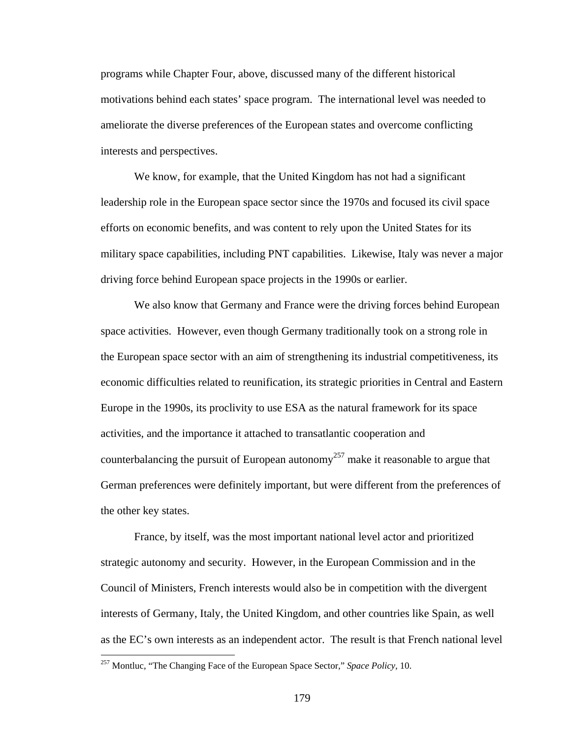programs while Chapter Four, above, discussed many of the different historical motivations behind each states' space program. The international level was needed to ameliorate the diverse preferences of the European states and overcome conflicting interests and perspectives.

We know, for example, that the United Kingdom has not had a significant leadership role in the European space sector since the 1970s and focused its civil space efforts on economic benefits, and was content to rely upon the United States for its military space capabilities, including PNT capabilities. Likewise, Italy was never a major driving force behind European space projects in the 1990s or earlier.

We also know that Germany and France were the driving forces behind European space activities. However, even though Germany traditionally took on a strong role in the European space sector with an aim of strengthening its industrial competitiveness, its economic difficulties related to reunification, its strategic priorities in Central and Eastern Europe in the 1990s, its proclivity to use ESA as the natural framework for its space activities, and the importance it attached to transatlantic cooperation and counterbalancing the pursuit of European autonomy<sup>257</sup> make it reasonable to argue that German preferences were definitely important, but were different from the preferences of the other key states.

France, by itself, was the most important national level actor and prioritized strategic autonomy and security. However, in the European Commission and in the Council of Ministers, French interests would also be in competition with the divergent interests of Germany, Italy, the United Kingdom, and other countries like Spain, as well as the EC's own interests as an independent actor. The result is that French national level

<sup>257</sup> Montluc, "The Changing Face of the European Space Sector," *Space Policy,* 10.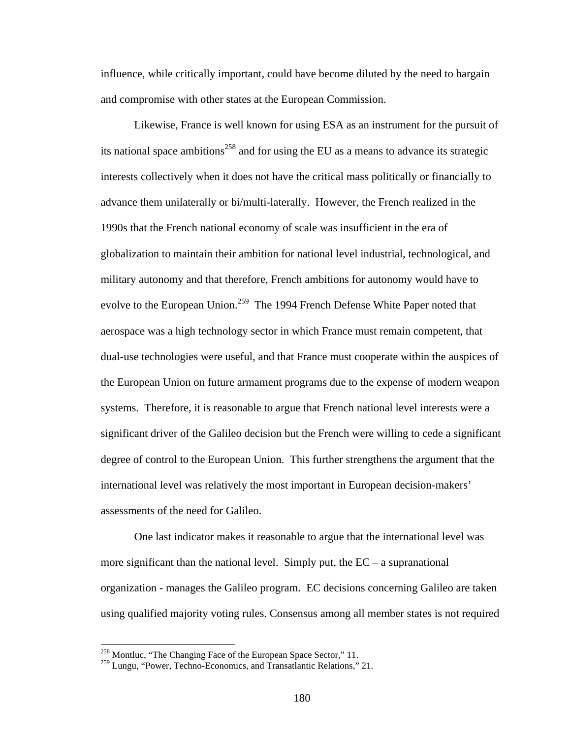influence, while critically important, could have become diluted by the need to bargain and compromise with other states at the European Commission.

Likewise, France is well known for using ESA as an instrument for the pursuit of its national space ambitions<sup>258</sup> and for using the EU as a means to advance its strategic interests collectively when it does not have the critical mass politically or financially to advance them unilaterally or bi/multi-laterally. However, the French realized in the 1990s that the French national economy of scale was insufficient in the era of globalization to maintain their ambition for national level industrial, technological, and military autonomy and that therefore, French ambitions for autonomy would have to evolve to the European Union.<sup>259</sup> The 1994 French Defense White Paper noted that aerospace was a high technology sector in which France must remain competent, that dual-use technologies were useful, and that France must cooperate within the auspices of the European Union on future armament programs due to the expense of modern weapon systems. Therefore, it is reasonable to argue that French national level interests were a significant driver of the Galileo decision but the French were willing to cede a significant degree of control to the European Union. This further strengthens the argument that the international level was relatively the most important in European decision-makers' assessments of the need for Galileo.

One last indicator makes it reasonable to argue that the international level was more significant than the national level. Simply put, the  $EC - a$  supranational organization - manages the Galileo program. EC decisions concerning Galileo are taken using qualified majority voting rules. Consensus among all member states is not required

<sup>&</sup>lt;sup>258</sup> Montluc, "The Changing Face of the European Space Sector," 11.

<sup>&</sup>lt;sup>259</sup> Lungu, "Power, Techno-Economics, and Transatlantic Relations," 21.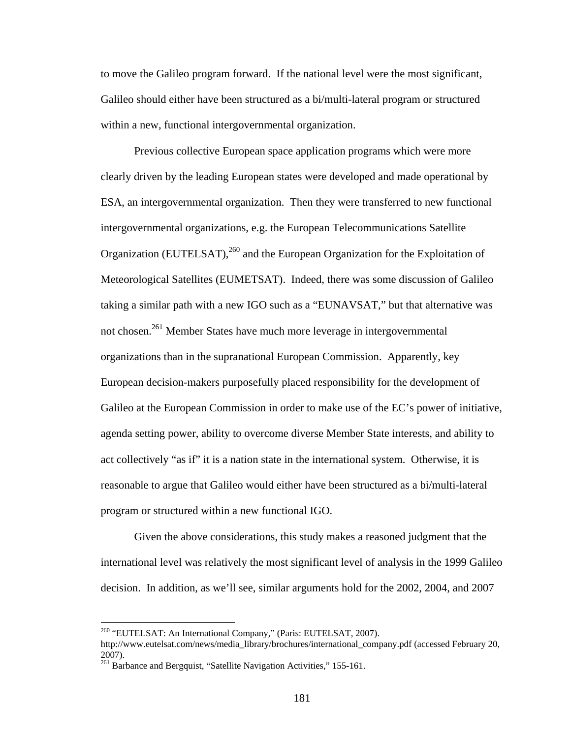to move the Galileo program forward. If the national level were the most significant, Galileo should either have been structured as a bi/multi-lateral program or structured within a new, functional intergovernmental organization.

Previous collective European space application programs which were more clearly driven by the leading European states were developed and made operational by ESA, an intergovernmental organization. Then they were transferred to new functional intergovernmental organizations, e.g. the European Telecommunications Satellite Organization (EUTELSAT),<sup>260</sup> and the European Organization for the Exploitation of Meteorological Satellites (EUMETSAT). Indeed, there was some discussion of Galileo taking a similar path with a new IGO such as a "EUNAVSAT," but that alternative was not chosen.261 Member States have much more leverage in intergovernmental organizations than in the supranational European Commission. Apparently, key European decision-makers purposefully placed responsibility for the development of Galileo at the European Commission in order to make use of the EC's power of initiative, agenda setting power, ability to overcome diverse Member State interests, and ability to act collectively "as if" it is a nation state in the international system. Otherwise, it is reasonable to argue that Galileo would either have been structured as a bi/multi-lateral program or structured within a new functional IGO.

Given the above considerations, this study makes a reasoned judgment that the international level was relatively the most significant level of analysis in the 1999 Galileo decision. In addition, as we'll see, similar arguments hold for the 2002, 2004, and 2007

<sup>260 &</sup>quot;EUTELSAT: An International Company," (Paris: EUTELSAT, 2007).

http://www.eutelsat.com/news/media\_library/brochures/international\_company.pdf (accessed February 20, 2007).

<sup>261</sup> Barbance and Bergquist, "Satellite Navigation Activities," 155-161.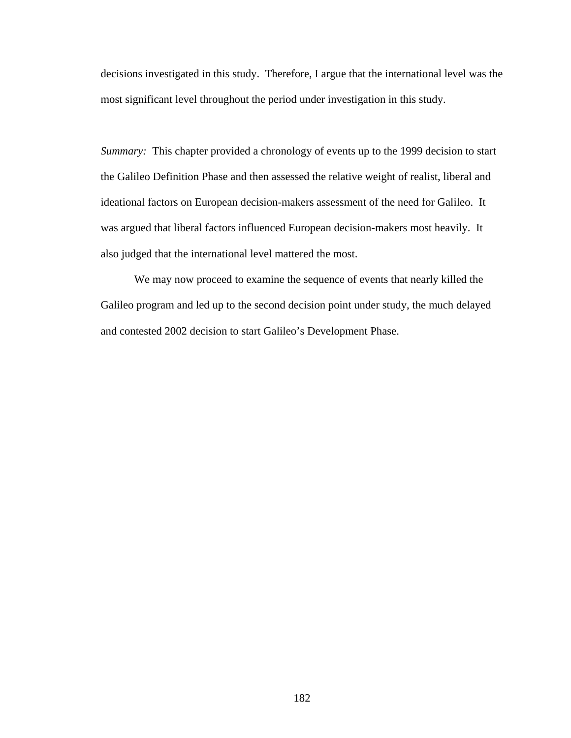decisions investigated in this study. Therefore, I argue that the international level was the most significant level throughout the period under investigation in this study.

*Summary:* This chapter provided a chronology of events up to the 1999 decision to start the Galileo Definition Phase and then assessed the relative weight of realist, liberal and ideational factors on European decision-makers assessment of the need for Galileo. It was argued that liberal factors influenced European decision-makers most heavily. It also judged that the international level mattered the most.

We may now proceed to examine the sequence of events that nearly killed the Galileo program and led up to the second decision point under study, the much delayed and contested 2002 decision to start Galileo's Development Phase.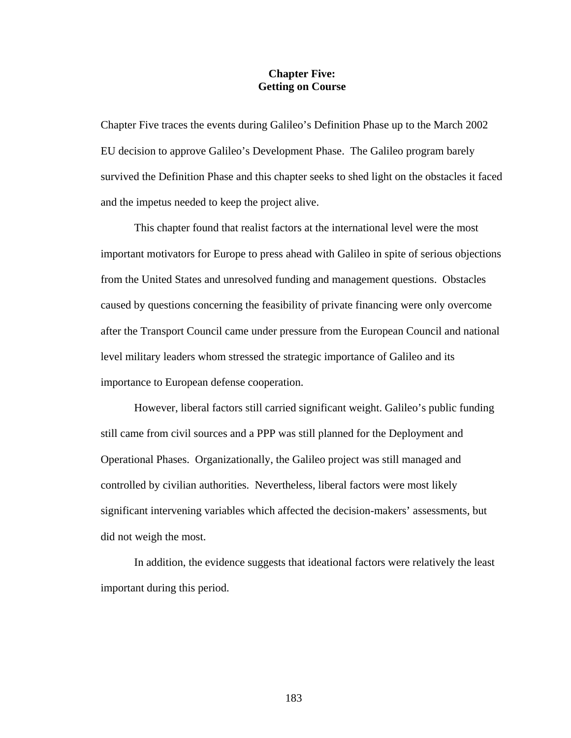## **Chapter Five: Getting on Course**

Chapter Five traces the events during Galileo's Definition Phase up to the March 2002 EU decision to approve Galileo's Development Phase. The Galileo program barely survived the Definition Phase and this chapter seeks to shed light on the obstacles it faced and the impetus needed to keep the project alive.

This chapter found that realist factors at the international level were the most important motivators for Europe to press ahead with Galileo in spite of serious objections from the United States and unresolved funding and management questions. Obstacles caused by questions concerning the feasibility of private financing were only overcome after the Transport Council came under pressure from the European Council and national level military leaders whom stressed the strategic importance of Galileo and its importance to European defense cooperation.

 However, liberal factors still carried significant weight. Galileo's public funding still came from civil sources and a PPP was still planned for the Deployment and Operational Phases. Organizationally, the Galileo project was still managed and controlled by civilian authorities. Nevertheless, liberal factors were most likely significant intervening variables which affected the decision-makers' assessments, but did not weigh the most.

In addition, the evidence suggests that ideational factors were relatively the least important during this period.

183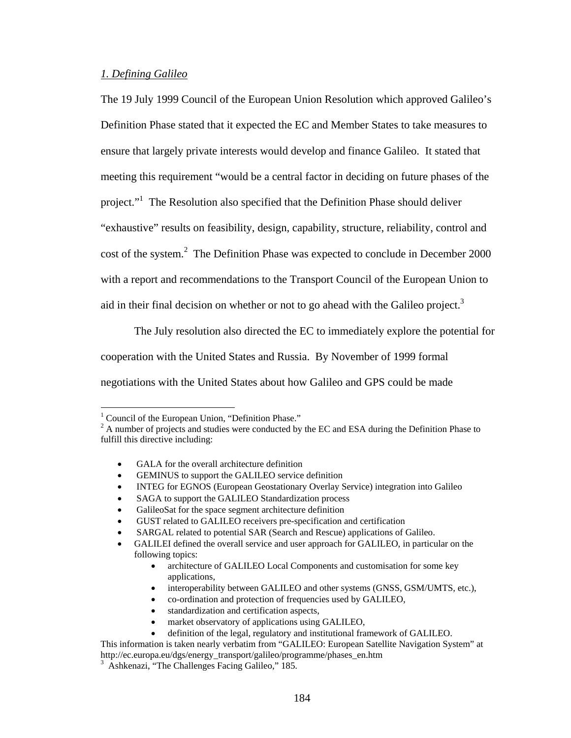## *1. Defining Galileo*

The 19 July 1999 Council of the European Union Resolution which approved Galileo's Definition Phase stated that it expected the EC and Member States to take measures to ensure that largely private interests would develop and finance Galileo. It stated that meeting this requirement "would be a central factor in deciding on future phases of the project."<sup>1</sup> The Resolution also specified that the Definition Phase should deliver "exhaustive" results on feasibility, design, capability, structure, reliability, control and cost of the system. $2$  The Definition Phase was expected to conclude in December 2000 with a report and recommendations to the Transport Council of the European Union to aid in their final decision on whether or not to go ahead with the Galileo project.<sup>3</sup>

 The July resolution also directed the EC to immediately explore the potential for cooperation with the United States and Russia. By November of 1999 formal negotiations with the United States about how Galileo and GPS could be made

<u>.</u>

- GALA for the overall architecture definition
- GEMINUS to support the GALILEO service definition
- INTEG for EGNOS (European Geostationary Overlay Service) integration into Galileo
- SAGA to support the GALILEO Standardization process
- GalileoSat for the space segment architecture definition
- GUST related to GALILEO receivers pre-specification and certification
- SARGAL related to potential SAR (Search and Rescue) applications of Galileo.

- architecture of GALILEO Local Components and customisation for some key applications,
- interoperability between GALILEO and other systems (GNSS, GSM/UMTS, etc.),
- co-ordination and protection of frequencies used by GALILEO,
- standardization and certification aspects,
- market observatory of applications using GALILEO,
- definition of the legal, regulatory and institutional framework of GALILEO.

This information is taken nearly verbatim from "GALILEO: European Satellite Navigation System" at http://ec.europa.eu/dgs/energy\_transport/galileo/programme/phases\_en.htm 3

<sup>&</sup>lt;sup>1</sup> Council of the European Union, "Definition Phase."

 $2^2$  A number of projects and studies were conducted by the EC and ESA during the Definition Phase to fulfill this directive including:

<sup>•</sup> GALILEI defined the overall service and user approach for GALILEO, in particular on the following topics:

<sup>&</sup>lt;sup>3</sup> Ashkenazi, "The Challenges Facing Galileo," 185.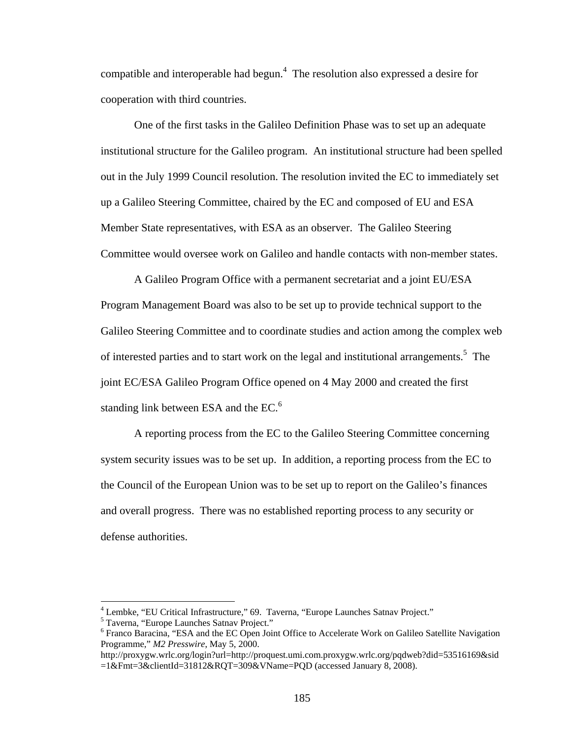compatible and interoperable had begun.4 The resolution also expressed a desire for cooperation with third countries.

One of the first tasks in the Galileo Definition Phase was to set up an adequate institutional structure for the Galileo program. An institutional structure had been spelled out in the July 1999 Council resolution. The resolution invited the EC to immediately set up a Galileo Steering Committee, chaired by the EC and composed of EU and ESA Member State representatives, with ESA as an observer. The Galileo Steering Committee would oversee work on Galileo and handle contacts with non-member states.

A Galileo Program Office with a permanent secretariat and a joint EU/ESA Program Management Board was also to be set up to provide technical support to the Galileo Steering Committee and to coordinate studies and action among the complex web of interested parties and to start work on the legal and institutional arrangements.<sup>5</sup> The joint EC/ESA Galileo Program Office opened on 4 May 2000 and created the first standing link between ESA and the EC.<sup>6</sup>

A reporting process from the EC to the Galileo Steering Committee concerning system security issues was to be set up. In addition, a reporting process from the EC to the Council of the European Union was to be set up to report on the Galileo's finances and overall progress. There was no established reporting process to any security or defense authorities.

1

 $^{4}$  Lembke, "EU Critical Infrastructure," 69. Taverna, "Europe Launches Satnav Project."<br>  $^{5}$  Touerna, "Europe Launches Satnav Project."

Taverna, "Europe Launches Satnav Project."

<sup>&</sup>lt;sup>6</sup> Franco Baracina, "ESA and the EC Open Joint Office to Accelerate Work on Galileo Satellite Navigation Programme," *M2 Presswire*, May 5, 2000.

http://proxygw.wrlc.org/login?url=http://proquest.umi.com.proxygw.wrlc.org/pqdweb?did=53516169&sid =1&Fmt=3&clientId=31812&RQT=309&VName=PQD (accessed January 8, 2008).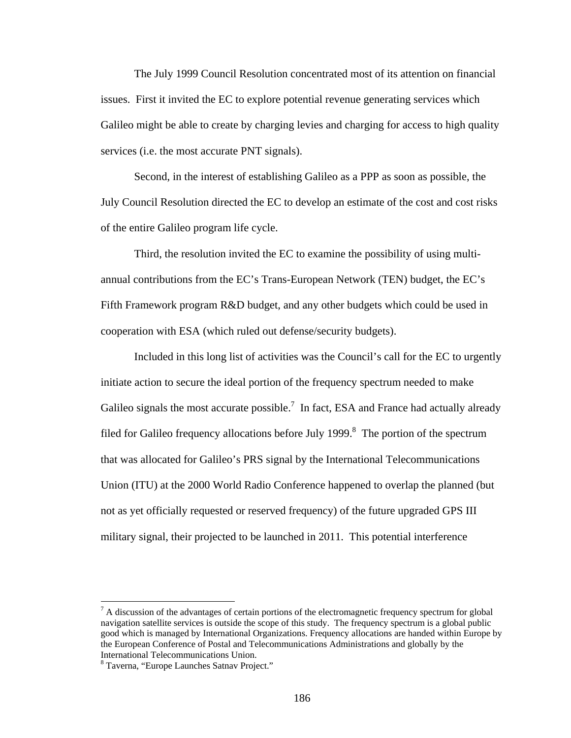The July 1999 Council Resolution concentrated most of its attention on financial issues. First it invited the EC to explore potential revenue generating services which Galileo might be able to create by charging levies and charging for access to high quality services (i.e. the most accurate PNT signals).

 Second, in the interest of establishing Galileo as a PPP as soon as possible, the July Council Resolution directed the EC to develop an estimate of the cost and cost risks of the entire Galileo program life cycle.

 Third, the resolution invited the EC to examine the possibility of using multiannual contributions from the EC's Trans-European Network (TEN) budget, the EC's Fifth Framework program R&D budget, and any other budgets which could be used in cooperation with ESA (which ruled out defense/security budgets).

 Included in this long list of activities was the Council's call for the EC to urgently initiate action to secure the ideal portion of the frequency spectrum needed to make Galileo signals the most accurate possible.<sup>7</sup> In fact, ESA and France had actually already filed for Galileo frequency allocations before July 1999. $\delta$  The portion of the spectrum that was allocated for Galileo's PRS signal by the International Telecommunications Union (ITU) at the 2000 World Radio Conference happened to overlap the planned (but not as yet officially requested or reserved frequency) of the future upgraded GPS III military signal, their projected to be launched in 2011. This potential interference

 $<sup>7</sup>$  A discussion of the advantages of certain portions of the electromagnetic frequency spectrum for global</sup> navigation satellite services is outside the scope of this study. The frequency spectrum is a global public good which is managed by International Organizations. Frequency allocations are handed within Europe by the European Conference of Postal and Telecommunications Administrations and globally by the International Telecommunications Union.

<sup>&</sup>lt;sup>8</sup> Taverna, "Europe Launches Satnav Project."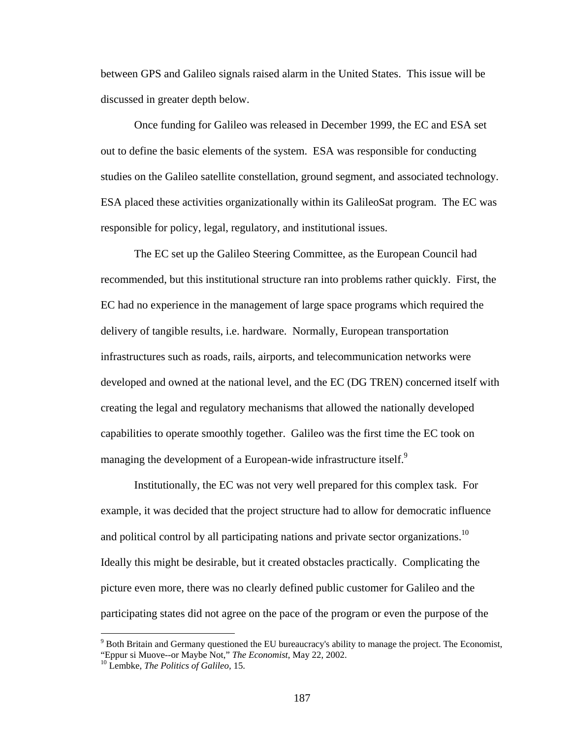between GPS and Galileo signals raised alarm in the United States. This issue will be discussed in greater depth below.

 Once funding for Galileo was released in December 1999, the EC and ESA set out to define the basic elements of the system. ESA was responsible for conducting studies on the Galileo satellite constellation, ground segment, and associated technology. ESA placed these activities organizationally within its GalileoSat program. The EC was responsible for policy, legal, regulatory, and institutional issues.

 The EC set up the Galileo Steering Committee, as the European Council had recommended, but this institutional structure ran into problems rather quickly. First, the EC had no experience in the management of large space programs which required the delivery of tangible results, i.e. hardware. Normally, European transportation infrastructures such as roads, rails, airports, and telecommunication networks were developed and owned at the national level, and the EC (DG TREN) concerned itself with creating the legal and regulatory mechanisms that allowed the nationally developed capabilities to operate smoothly together. Galileo was the first time the EC took on managing the development of a European-wide infrastructure itself.<sup>9</sup>

Institutionally, the EC was not very well prepared for this complex task. For example, it was decided that the project structure had to allow for democratic influence and political control by all participating nations and private sector organizations.<sup>10</sup> Ideally this might be desirable, but it created obstacles practically. Complicating the picture even more, there was no clearly defined public customer for Galileo and the participating states did not agree on the pace of the program or even the purpose of the

<sup>&</sup>lt;sup>9</sup> Both Britain and Germany questioned the EU bureaucracy's ability to manage the project. The Economist, "Eppur si Muove--or Maybe Not," *The Economist*, May 22, 2002. 10 Lembke, *The Politics of Galileo,* 15.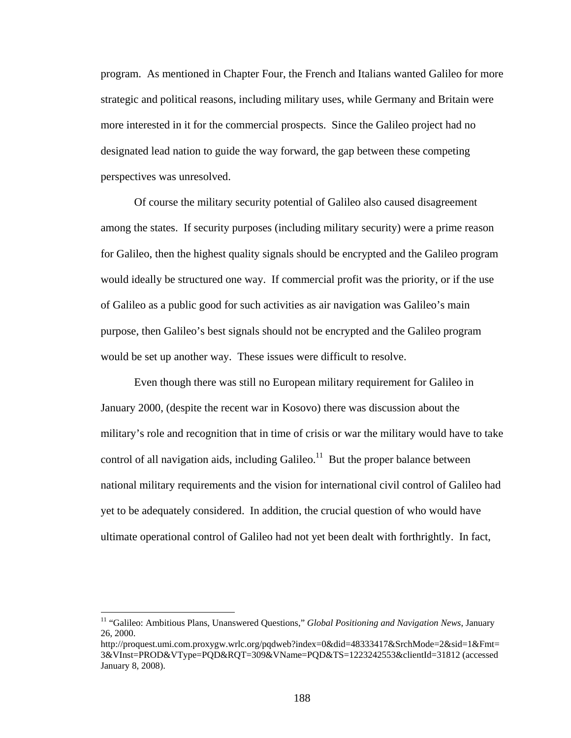program. As mentioned in Chapter Four, the French and Italians wanted Galileo for more strategic and political reasons, including military uses, while Germany and Britain were more interested in it for the commercial prospects. Since the Galileo project had no designated lead nation to guide the way forward, the gap between these competing perspectives was unresolved.

Of course the military security potential of Galileo also caused disagreement among the states. If security purposes (including military security) were a prime reason for Galileo, then the highest quality signals should be encrypted and the Galileo program would ideally be structured one way. If commercial profit was the priority, or if the use of Galileo as a public good for such activities as air navigation was Galileo's main purpose, then Galileo's best signals should not be encrypted and the Galileo program would be set up another way. These issues were difficult to resolve.

Even though there was still no European military requirement for Galileo in January 2000, (despite the recent war in Kosovo) there was discussion about the military's role and recognition that in time of crisis or war the military would have to take control of all navigation aids, including Galileo.<sup>11</sup> But the proper balance between national military requirements and the vision for international civil control of Galileo had yet to be adequately considered. In addition, the crucial question of who would have ultimate operational control of Galileo had not yet been dealt with forthrightly. In fact,

<sup>&</sup>lt;sup>11</sup> "Galileo: Ambitious Plans, Unanswered Questions," *Global Positioning and Navigation News*, January 26, 2000.

http://proquest.umi.com.proxygw.wrlc.org/pqdweb?index=0&did=48333417&SrchMode=2&sid=1&Fmt= 3&VInst=PROD&VType=PQD&RQT=309&VName=PQD&TS=1223242553&clientId=31812 (accessed January 8, 2008).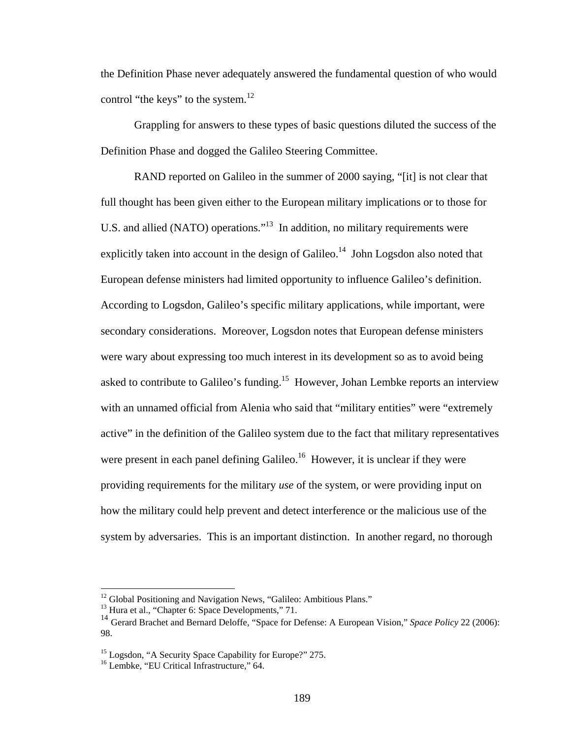the Definition Phase never adequately answered the fundamental question of who would control "the keys" to the system.<sup>12</sup>

Grappling for answers to these types of basic questions diluted the success of the Definition Phase and dogged the Galileo Steering Committee.

RAND reported on Galileo in the summer of 2000 saying, "[it] is not clear that full thought has been given either to the European military implications or to those for U.S. and allied (NATO) operations."13 In addition, no military requirements were explicitly taken into account in the design of Galileo.<sup>14</sup> John Logsdon also noted that European defense ministers had limited opportunity to influence Galileo's definition. According to Logsdon, Galileo's specific military applications, while important, were secondary considerations. Moreover, Logsdon notes that European defense ministers were wary about expressing too much interest in its development so as to avoid being asked to contribute to Galileo's funding.<sup>15</sup> However, Johan Lembke reports an interview with an unnamed official from Alenia who said that "military entities" were "extremely active" in the definition of the Galileo system due to the fact that military representatives were present in each panel defining Galileo.<sup>16</sup> However, it is unclear if they were providing requirements for the military *use* of the system, or were providing input on how the military could help prevent and detect interference or the malicious use of the system by adversaries. This is an important distinction. In another regard, no thorough

<sup>&</sup>lt;sup>12</sup> Global Positioning and Navigation News, "Galileo: Ambitious Plans."

<sup>&</sup>lt;sup>13</sup> Hura et al., "Chapter 6: Space Developments," 71.

<sup>14</sup> Gerard Brachet and Bernard Deloffe, "Space for Defense: A European Vision," *Space Policy* 22 (2006): 98.

<sup>&</sup>lt;sup>15</sup> Logsdon, "A Security Space Capability for Europe?" 275.

<sup>&</sup>lt;sup>16</sup> Lembke, "EU Critical Infrastructure," 64.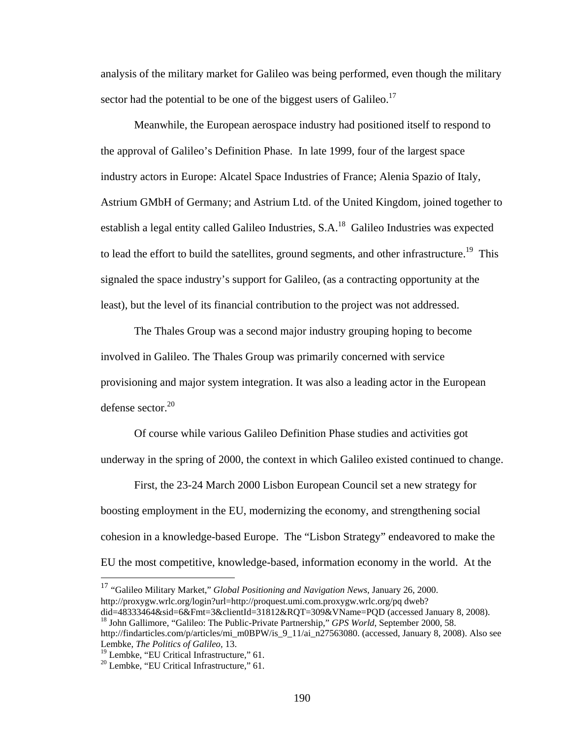analysis of the military market for Galileo was being performed, even though the military sector had the potential to be one of the biggest users of Galileo.<sup>17</sup>

 Meanwhile, the European aerospace industry had positioned itself to respond to the approval of Galileo's Definition Phase. In late 1999, four of the largest space industry actors in Europe: Alcatel Space Industries of France; Alenia Spazio of Italy, Astrium GMbH of Germany; and Astrium Ltd. of the United Kingdom, joined together to establish a legal entity called Galileo Industries,  $S.A.^{18}$  Galileo Industries was expected to lead the effort to build the satellites, ground segments, and other infrastructure.<sup>19</sup> This signaled the space industry's support for Galileo, (as a contracting opportunity at the least), but the level of its financial contribution to the project was not addressed.

The Thales Group was a second major industry grouping hoping to become involved in Galileo. The Thales Group was primarily concerned with service provisioning and major system integration. It was also a leading actor in the European defense sector. $20$ 

 Of course while various Galileo Definition Phase studies and activities got underway in the spring of 2000, the context in which Galileo existed continued to change.

 First, the 23-24 March 2000 Lisbon European Council set a new strategy for boosting employment in the EU, modernizing the economy, and strengthening social cohesion in a knowledge-based Europe. The "Lisbon Strategy" endeavored to make the EU the most competitive, knowledge-based, information economy in the world. At the

<sup>17</sup> "Galileo Military Market," *Global Positioning and Navigation News*, January 26, 2000. http://proxygw.wrlc.org/login?url=http://proquest.umi.com.proxygw.wrlc.org/pq dweb?<br>did=48333464&sid=6&Fmt=3&clientId=31812&RQT=309&VName=PQD (accessed January 8, 2008).

<sup>18</sup> John Gallimore, "Galileo: The Public-Private Partnership," *GPS World*, September 2000, 58. http://findarticles.com/p/articles/mi\_m0BPW/is\_9\_11/ai\_n27563080. (accessed, January 8, 2008). Also see Lembke, *The Politics of Galileo,* 13.

<sup>&</sup>lt;sup>19</sup> Lembke, "EU Critical Infrastructure," 61.

<sup>&</sup>lt;sup>20</sup> Lembke, "EU Critical Infrastructure," 61.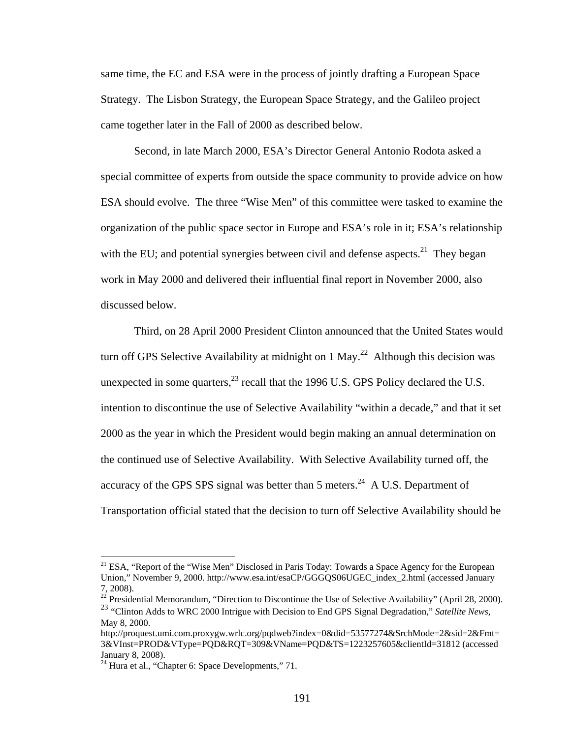same time, the EC and ESA were in the process of jointly drafting a European Space Strategy. The Lisbon Strategy, the European Space Strategy, and the Galileo project came together later in the Fall of 2000 as described below.

Second, in late March 2000, ESA's Director General Antonio Rodota asked a special committee of experts from outside the space community to provide advice on how ESA should evolve. The three "Wise Men" of this committee were tasked to examine the organization of the public space sector in Europe and ESA's role in it; ESA's relationship with the EU; and potential synergies between civil and defense aspects.<sup>21</sup> They began work in May 2000 and delivered their influential final report in November 2000, also discussed below.

Third, on 28 April 2000 President Clinton announced that the United States would turn off GPS Selective Availability at midnight on  $1 \text{ May.}^{22}$  Although this decision was unexpected in some quarters, $^{23}$  recall that the 1996 U.S. GPS Policy declared the U.S. intention to discontinue the use of Selective Availability "within a decade," and that it set 2000 as the year in which the President would begin making an annual determination on the continued use of Selective Availability. With Selective Availability turned off, the accuracy of the GPS SPS signal was better than 5 meters.<sup>24</sup> A U.S. Department of Transportation official stated that the decision to turn off Selective Availability should be

<sup>&</sup>lt;sup>21</sup> ESA, "Report of the "Wise Men" Disclosed in Paris Today: Towards a Space Agency for the European Union," November 9, 2000. http://www.esa.int/esaCP/GGGQS06UGEC\_index\_2.html (accessed January 7, 2008).

 $^{22}$  Presidential Memorandum, "Direction to Discontinue the Use of Selective Availability" (April 28, 2000). <sup>23</sup> "Clinton Adds to WRC 2000 Intrigue with Decision to End GPS Signal Degradation," *Satellite News*,

May 8, 2000.

http://proquest.umi.com.proxygw.wrlc.org/pqdweb?index=0&did=53577274&SrchMode=2&sid=2&Fmt= 3&VInst=PROD&VType=PQD&RQT=309&VName=PQD&TS=1223257605&clientId=31812 (accessed January 8, 2008).

<sup>&</sup>lt;sup>24</sup> Hura et al., "Chapter 6: Space Developments," 71.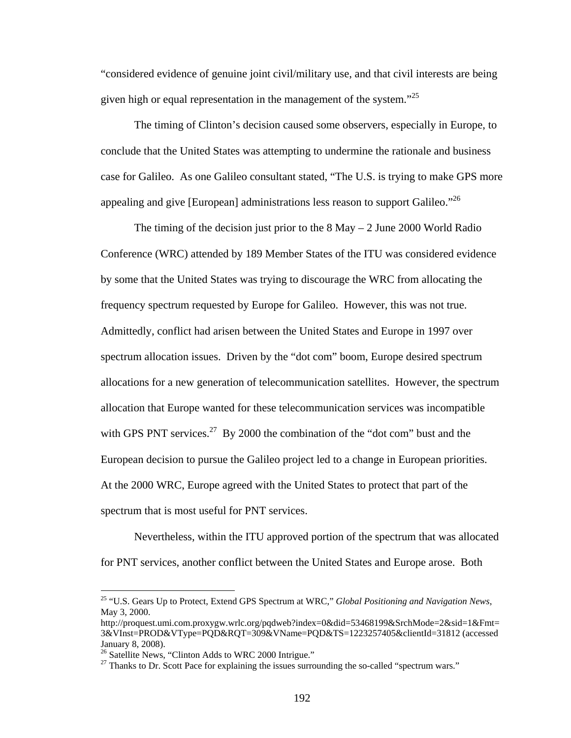"considered evidence of genuine joint civil/military use, and that civil interests are being given high or equal representation in the management of the system."<sup>25</sup>

 The timing of Clinton's decision caused some observers, especially in Europe, to conclude that the United States was attempting to undermine the rationale and business case for Galileo. As one Galileo consultant stated, "The U.S. is trying to make GPS more appealing and give [European] administrations less reason to support Galileo.<sup> $26$ </sup>

The timing of the decision just prior to the  $8$  May  $-2$  June 2000 World Radio Conference (WRC) attended by 189 Member States of the ITU was considered evidence by some that the United States was trying to discourage the WRC from allocating the frequency spectrum requested by Europe for Galileo. However, this was not true. Admittedly, conflict had arisen between the United States and Europe in 1997 over spectrum allocation issues. Driven by the "dot com" boom, Europe desired spectrum allocations for a new generation of telecommunication satellites. However, the spectrum allocation that Europe wanted for these telecommunication services was incompatible with GPS PNT services.<sup>27</sup> By 2000 the combination of the "dot com" bust and the European decision to pursue the Galileo project led to a change in European priorities. At the 2000 WRC, Europe agreed with the United States to protect that part of the spectrum that is most useful for PNT services.

Nevertheless, within the ITU approved portion of the spectrum that was allocated for PNT services, another conflict between the United States and Europe arose. Both

<sup>25 &</sup>quot;U.S. Gears Up to Protect, Extend GPS Spectrum at WRC," *Global Positioning and Navigation News*, May 3, 2000.

http://proquest.umi.com.proxygw.wrlc.org/pqdweb?index=0&did=53468199&SrchMode=2&sid=1&Fmt= 3&VInst=PROD&VType=PQD&RQT=309&VName=PQD&TS=1223257405&clientId=31812 (accessed January 8, 2008).

<sup>&</sup>lt;sup>26</sup> Satellite News, "Clinton Adds to WRC 2000 Intrigue."

 $27$  Thanks to Dr. Scott Pace for explaining the issues surrounding the so-called "spectrum wars."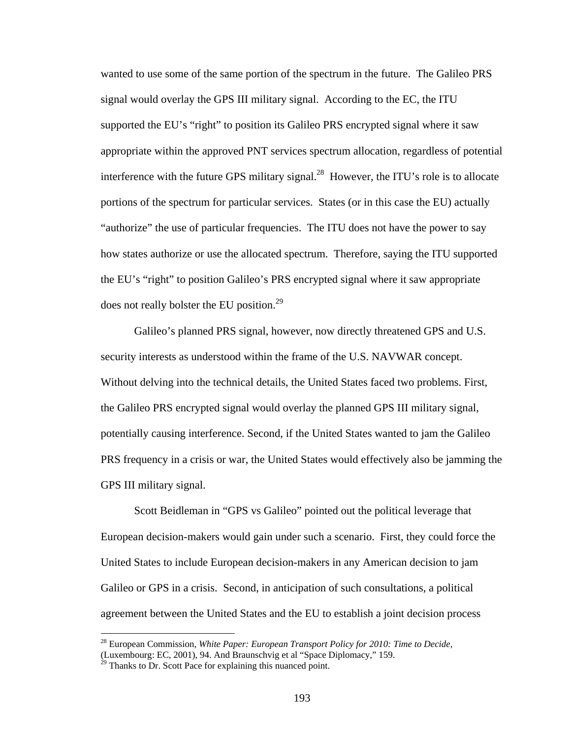wanted to use some of the same portion of the spectrum in the future. The Galileo PRS signal would overlay the GPS III military signal. According to the EC, the ITU supported the EU's "right" to position its Galileo PRS encrypted signal where it saw appropriate within the approved PNT services spectrum allocation, regardless of potential interference with the future GPS military signal.<sup>28</sup> However, the ITU's role is to allocate portions of the spectrum for particular services. States (or in this case the EU) actually "authorize" the use of particular frequencies. The ITU does not have the power to say how states authorize or use the allocated spectrum. Therefore, saying the ITU supported the EU's "right" to position Galileo's PRS encrypted signal where it saw appropriate does not really bolster the EU position.<sup>29</sup>

 Galileo's planned PRS signal, however, now directly threatened GPS and U.S. security interests as understood within the frame of the U.S. NAVWAR concept. Without delving into the technical details, the United States faced two problems. First, the Galileo PRS encrypted signal would overlay the planned GPS III military signal, potentially causing interference. Second, if the United States wanted to jam the Galileo PRS frequency in a crisis or war, the United States would effectively also be jamming the GPS III military signal.

Scott Beidleman in "GPS vs Galileo" pointed out the political leverage that European decision-makers would gain under such a scenario. First, they could force the United States to include European decision-makers in any American decision to jam Galileo or GPS in a crisis. Second, in anticipation of such consultations, a political agreement between the United States and the EU to establish a joint decision process

<sup>28</sup> European Commission, *White Paper: European Transport Policy for 2010: Time to Decide*, (Luxembourg: EC, 2001), 94. And Braunschvig et al "Space Diplomacy," 159.

 $^{29}$  Thanks to Dr. Scott Pace for explaining this nuanced point.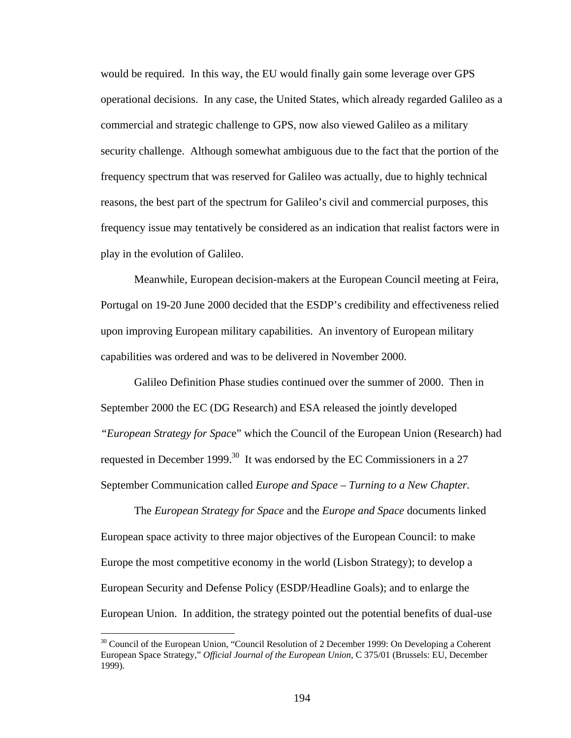would be required. In this way, the EU would finally gain some leverage over GPS operational decisions. In any case, the United States, which already regarded Galileo as a commercial and strategic challenge to GPS, now also viewed Galileo as a military security challenge. Although somewhat ambiguous due to the fact that the portion of the frequency spectrum that was reserved for Galileo was actually, due to highly technical reasons, the best part of the spectrum for Galileo's civil and commercial purposes, this frequency issue may tentatively be considered as an indication that realist factors were in play in the evolution of Galileo.

Meanwhile, European decision-makers at the European Council meeting at Feira, Portugal on 19-20 June 2000 decided that the ESDP's credibility and effectiveness relied upon improving European military capabilities. An inventory of European military capabilities was ordered and was to be delivered in November 2000.

 Galileo Definition Phase studies continued over the summer of 2000. Then in September 2000 the EC (DG Research) and ESA released the jointly developed *"European Strategy for Spac*e" which the Council of the European Union (Research) had requested in December 1999.<sup>30</sup> It was endorsed by the EC Commissioners in a 27 September Communication called *Europe and Space – Turning to a New Chapter.*

The *European Strategy for Space* and the *Europe and Space* documents linked European space activity to three major objectives of the European Council: to make Europe the most competitive economy in the world (Lisbon Strategy); to develop a European Security and Defense Policy (ESDP/Headline Goals); and to enlarge the European Union. In addition, the strategy pointed out the potential benefits of dual-use

<sup>&</sup>lt;sup>30</sup> Council of the European Union, "Council Resolution of 2 December 1999: On Developing a Coherent European Space Strategy," *Official Journal of the European Union*, C 375/01 (Brussels: EU, December 1999).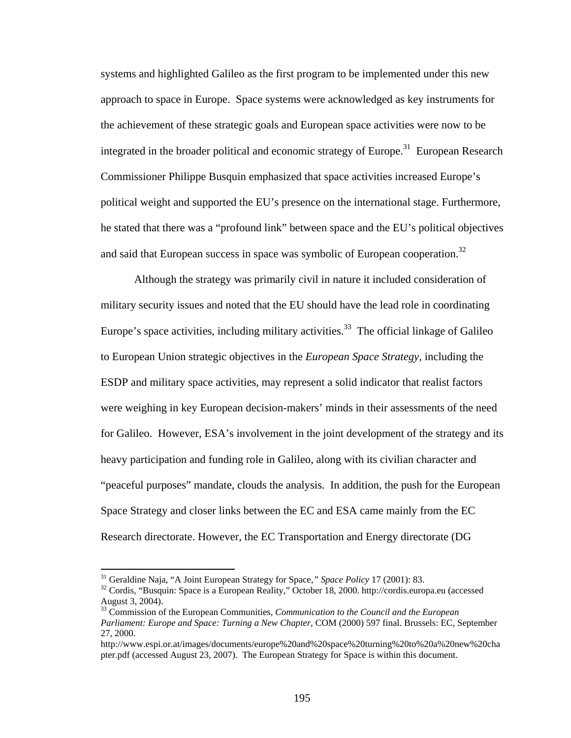systems and highlighted Galileo as the first program to be implemented under this new approach to space in Europe. Space systems were acknowledged as key instruments for the achievement of these strategic goals and European space activities were now to be integrated in the broader political and economic strategy of Europe.<sup>31</sup> European Research Commissioner Philippe Busquin emphasized that space activities increased Europe's political weight and supported the EU's presence on the international stage. Furthermore, he stated that there was a "profound link" between space and the EU's political objectives and said that European success in space was symbolic of European cooperation.<sup>32</sup>

Although the strategy was primarily civil in nature it included consideration of military security issues and noted that the EU should have the lead role in coordinating Europe's space activities, including military activities.<sup>33</sup> The official linkage of Galileo to European Union strategic objectives in the *European Space Strategy*, including the ESDP and military space activities, may represent a solid indicator that realist factors were weighing in key European decision-makers' minds in their assessments of the need for Galileo. However, ESA's involvement in the joint development of the strategy and its heavy participation and funding role in Galileo, along with its civilian character and "peaceful purposes" mandate, clouds the analysis. In addition, the push for the European Space Strategy and closer links between the EC and ESA came mainly from the EC Research directorate. However, the EC Transportation and Energy directorate (DG

<sup>&</sup>lt;sup>31</sup> Geraldine Naja, "A Joint European Strategy for Space," Space Policy 17 (2001): 83.<br><sup>32</sup> Cordis, "Busquin: Space is a European Reality," October 18, 2000. http://cordis.europa.eu (accessed August 3, 2004).

<sup>33</sup> Commission of the European Communities, *Communication to the Council and the European Parliament: Europe and Space: Turning a New Chapter*, COM (2000) 597 final. Brussels: EC, September 27, 2000.

http://www.espi.or.at/images/documents/europe%20and%20space%20turning%20to%20a%20new%20cha pter.pdf (accessed August 23, 2007). The European Strategy for Space is within this document.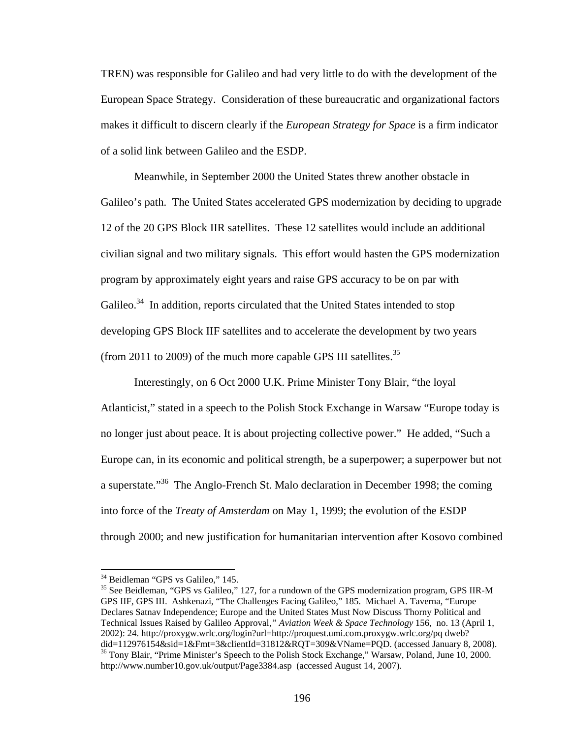TREN) was responsible for Galileo and had very little to do with the development of the European Space Strategy. Consideration of these bureaucratic and organizational factors makes it difficult to discern clearly if the *European Strategy for Space* is a firm indicator of a solid link between Galileo and the ESDP.

 Meanwhile, in September 2000 the United States threw another obstacle in Galileo's path. The United States accelerated GPS modernization by deciding to upgrade 12 of the 20 GPS Block IIR satellites. These 12 satellites would include an additional civilian signal and two military signals. This effort would hasten the GPS modernization program by approximately eight years and raise GPS accuracy to be on par with Galileo.<sup>34</sup> In addition, reports circulated that the United States intended to stop developing GPS Block IIF satellites and to accelerate the development by two years (from 2011 to 2009) of the much more capable GPS III satellites.<sup>35</sup>

 Interestingly, on 6 Oct 2000 U.K. Prime Minister Tony Blair, "the loyal Atlanticist," stated in a speech to the Polish Stock Exchange in Warsaw "Europe today is no longer just about peace. It is about projecting collective power." He added, "Such a Europe can, in its economic and political strength, be a superpower; a superpower but not a superstate."36 The Anglo-French St. Malo declaration in December 1998; the coming into force of the *Treaty of Amsterdam* on May 1, 1999; the evolution of the ESDP through 2000; and new justification for humanitarian intervention after Kosovo combined

<sup>&</sup>lt;sup>34</sup> Beidleman "GPS vs Galileo," 145.

<sup>&</sup>lt;sup>35</sup> See Beidleman, "GPS vs Galileo," 127, for a rundown of the GPS modernization program, GPS IIR-M GPS IIF, GPS III. Ashkenazi, "The Challenges Facing Galileo," 185. Michael A. Taverna, "Europe Declares Satnav Independence; Europe and the United States Must Now Discuss Thorny Political and Technical Issues Raised by Galileo Approval*," Aviation Week & Space Technology* 156, no. 13 (April 1, 2002): 24. http://proxygw.wrlc.org/login?url=http://proquest.umi.com.proxygw.wrlc.org/pq dweb? did=112976154&sid=1&Fmt=3&clientId=31812&ROT=309&VName=POD. (accessed January 8, 2008). <sup>36</sup> Tony Blair, "Prime Minister's Speech to the Polish Stock Exchange," Warsaw, Poland, June 10, 2000. http://www.number10.gov.uk/output/Page3384.asp (accessed August 14, 2007).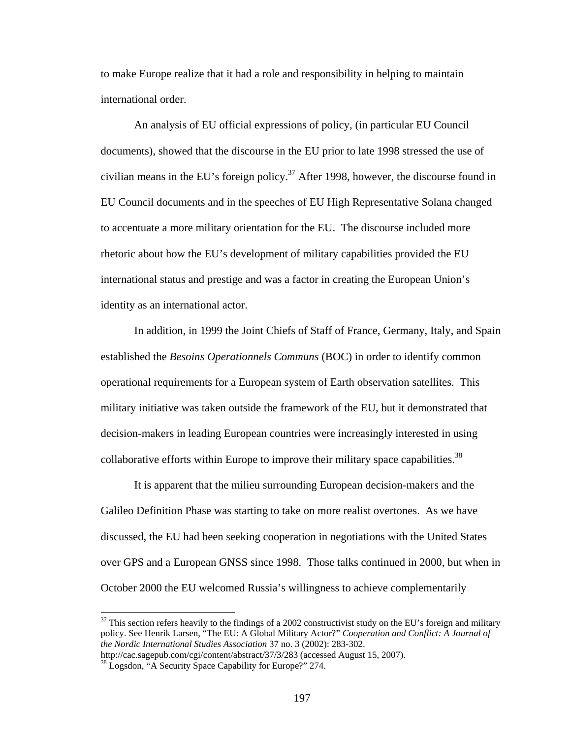to make Europe realize that it had a role and responsibility in helping to maintain international order.

An analysis of EU official expressions of policy, (in particular EU Council documents), showed that the discourse in the EU prior to late 1998 stressed the use of civilian means in the EU's foreign policy.<sup>37</sup> After 1998, however, the discourse found in EU Council documents and in the speeches of EU High Representative Solana changed to accentuate a more military orientation for the EU. The discourse included more rhetoric about how the EU's development of military capabilities provided the EU international status and prestige and was a factor in creating the European Union's identity as an international actor.

In addition, in 1999 the Joint Chiefs of Staff of France, Germany, Italy, and Spain established the *Besoins Operationnels Communs* (BOC) in order to identify common operational requirements for a European system of Earth observation satellites. This military initiative was taken outside the framework of the EU, but it demonstrated that decision-makers in leading European countries were increasingly interested in using collaborative efforts within Europe to improve their military space capabilities.<sup>38</sup>

It is apparent that the milieu surrounding European decision-makers and the Galileo Definition Phase was starting to take on more realist overtones. As we have discussed, the EU had been seeking cooperation in negotiations with the United States over GPS and a European GNSS since 1998. Those talks continued in 2000, but when in October 2000 the EU welcomed Russia's willingness to achieve complementarily

 $37$  This section refers heavily to the findings of a 2002 constructivist study on the EU's foreign and military policy. See Henrik Larsen, "The EU: A Global Military Actor?" *Cooperation and Conflict: A Journal of the Nordic International Studies Association* 37 no. 3 (2002): 283-302.

http://cac.sagepub.com/cgi/content/abstract/37/3/283 (accessed August 15, 2007).<br><sup>38</sup> Logsdon, "A Security Space Capability for Europe?" 274.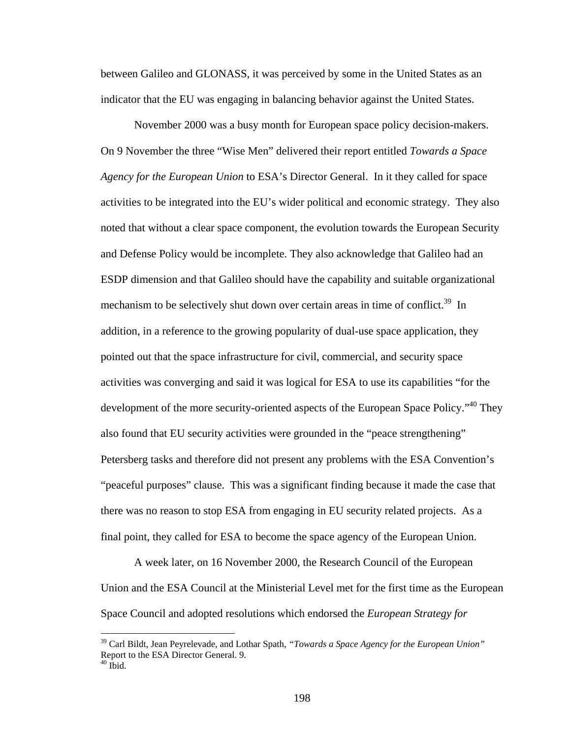between Galileo and GLONASS, it was perceived by some in the United States as an indicator that the EU was engaging in balancing behavior against the United States.

November 2000 was a busy month for European space policy decision-makers. On 9 November the three "Wise Men" delivered their report entitled *Towards a Space Agency for the European Union* to ESA's Director General. In it they called for space activities to be integrated into the EU's wider political and economic strategy. They also noted that without a clear space component, the evolution towards the European Security and Defense Policy would be incomplete. They also acknowledge that Galileo had an ESDP dimension and that Galileo should have the capability and suitable organizational mechanism to be selectively shut down over certain areas in time of conflict.<sup>39</sup> In addition, in a reference to the growing popularity of dual-use space application, they pointed out that the space infrastructure for civil, commercial, and security space activities was converging and said it was logical for ESA to use its capabilities "for the development of the more security-oriented aspects of the European Space Policy."<sup>40</sup> They also found that EU security activities were grounded in the "peace strengthening" Petersberg tasks and therefore did not present any problems with the ESA Convention's "peaceful purposes" clause. This was a significant finding because it made the case that there was no reason to stop ESA from engaging in EU security related projects. As a final point, they called for ESA to become the space agency of the European Union.

A week later, on 16 November 2000, the Research Council of the European Union and the ESA Council at the Ministerial Level met for the first time as the European Space Council and adopted resolutions which endorsed the *European Strategy for* 

1

<sup>39</sup> Carl Bildt, Jean Peyrelevade, and Lothar Spath, *"Towards a Space Agency for the European Union"* Report to the ESA Director General. 9.

 $40$  Ibid.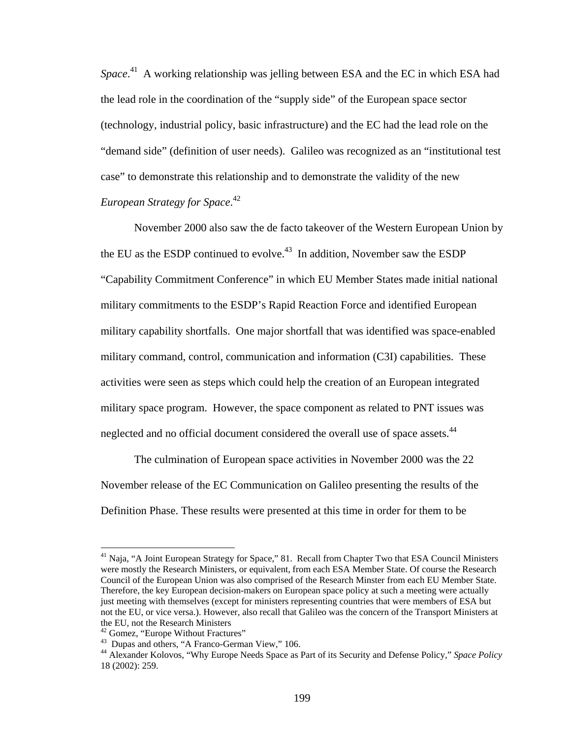Space.<sup>41</sup> A working relationship was jelling between ESA and the EC in which ESA had the lead role in the coordination of the "supply side" of the European space sector (technology, industrial policy, basic infrastructure) and the EC had the lead role on the "demand side" (definition of user needs). Galileo was recognized as an "institutional test case" to demonstrate this relationship and to demonstrate the validity of the new *European Strategy for Space*. 42

November 2000 also saw the de facto takeover of the Western European Union by the EU as the ESDP continued to evolve.<sup>43</sup> In addition, November saw the ESDP "Capability Commitment Conference" in which EU Member States made initial national military commitments to the ESDP's Rapid Reaction Force and identified European military capability shortfalls. One major shortfall that was identified was space-enabled military command, control, communication and information (C3I) capabilities. These activities were seen as steps which could help the creation of an European integrated military space program. However, the space component as related to PNT issues was neglected and no official document considered the overall use of space assets.<sup>44</sup>

 The culmination of European space activities in November 2000 was the 22 November release of the EC Communication on Galileo presenting the results of the Definition Phase. These results were presented at this time in order for them to be

<sup>&</sup>lt;sup>41</sup> Naja, "A Joint European Strategy for Space," 81. Recall from Chapter Two that ESA Council Ministers were mostly the Research Ministers, or equivalent, from each ESA Member State. Of course the Research Council of the European Union was also comprised of the Research Minster from each EU Member State. Therefore, the key European decision-makers on European space policy at such a meeting were actually just meeting with themselves (except for ministers representing countries that were members of ESA but not the EU, or vice versa.). However, also recall that Galileo was the concern of the Transport Ministers at the EU, not the Research Ministers

<sup>&</sup>lt;sup>42</sup> Gomez, "Europe Without Fractures"

<sup>&</sup>lt;sup>43</sup> Dupas and others, "A Franco-German View," 106.

<sup>44</sup> Alexander Kolovos, "Why Europe Needs Space as Part of its Security and Defense Policy," *Space Policy*  18 (2002): 259.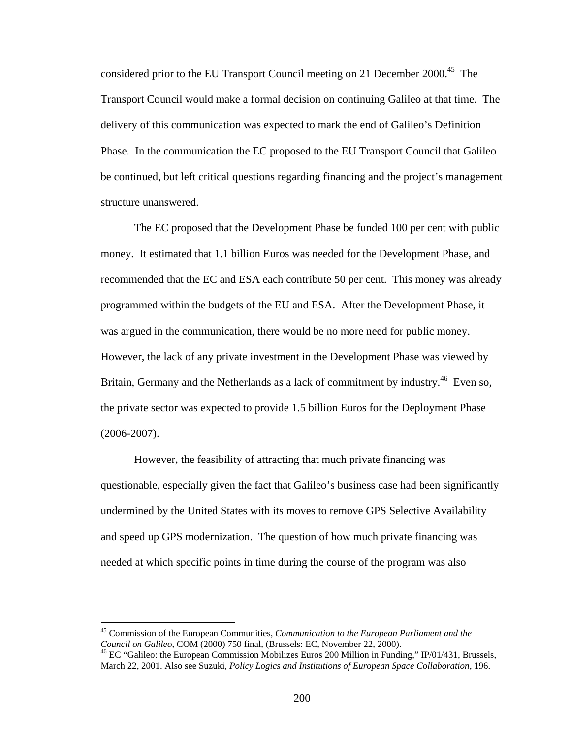considered prior to the EU Transport Council meeting on 21 December 2000.<sup>45</sup> The Transport Council would make a formal decision on continuing Galileo at that time. The delivery of this communication was expected to mark the end of Galileo's Definition Phase. In the communication the EC proposed to the EU Transport Council that Galileo be continued, but left critical questions regarding financing and the project's management structure unanswered.

 The EC proposed that the Development Phase be funded 100 per cent with public money. It estimated that 1.1 billion Euros was needed for the Development Phase, and recommended that the EC and ESA each contribute 50 per cent. This money was already programmed within the budgets of the EU and ESA. After the Development Phase, it was argued in the communication, there would be no more need for public money. However, the lack of any private investment in the Development Phase was viewed by Britain, Germany and the Netherlands as a lack of commitment by industry.<sup>46</sup> Even so, the private sector was expected to provide 1.5 billion Euros for the Deployment Phase (2006-2007).

However, the feasibility of attracting that much private financing was questionable, especially given the fact that Galileo's business case had been significantly undermined by the United States with its moves to remove GPS Selective Availability and speed up GPS modernization. The question of how much private financing was needed at which specific points in time during the course of the program was also

<sup>45</sup> Commission of the European Communities, *Communication to the European Parliament and the Council on Galileo*, COM (2000) 750 final, (Brussels: EC, November 22, 2000).<br><sup>46</sup> EC "Galileo: the European Commission Mobilizes Euros 200 Million in Funding," IP/01/431, Brussels,

March 22, 2001. Also see Suzuki, *Policy Logics and Institutions of European Space Collaboration*, 196.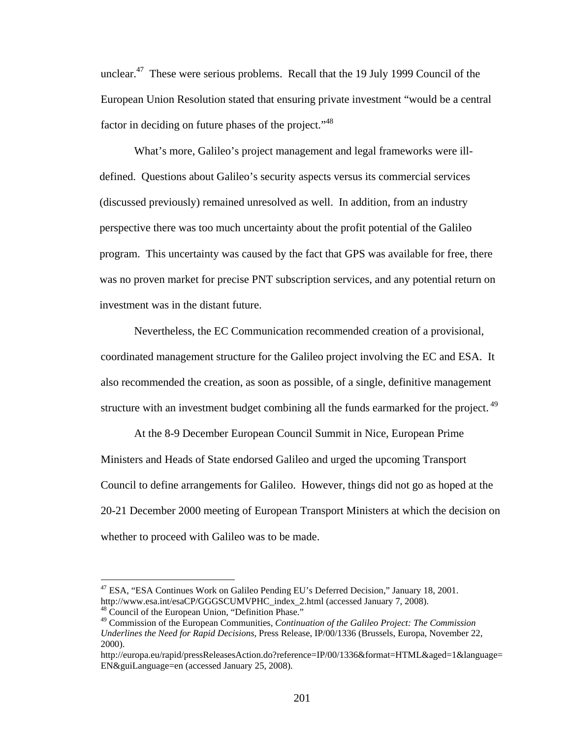unclear.47 These were serious problems. Recall that the 19 July 1999 Council of the European Union Resolution stated that ensuring private investment "would be a central factor in deciding on future phases of the project."<sup>48</sup>

What's more, Galileo's project management and legal frameworks were illdefined. Questions about Galileo's security aspects versus its commercial services (discussed previously) remained unresolved as well. In addition, from an industry perspective there was too much uncertainty about the profit potential of the Galileo program. This uncertainty was caused by the fact that GPS was available for free, there was no proven market for precise PNT subscription services, and any potential return on investment was in the distant future.

Nevertheless, the EC Communication recommended creation of a provisional, coordinated management structure for the Galileo project involving the EC and ESA. It also recommended the creation, as soon as possible, of a single, definitive management structure with an investment budget combining all the funds earmarked for the project.<sup>49</sup>

At the 8-9 December European Council Summit in Nice, European Prime Ministers and Heads of State endorsed Galileo and urged the upcoming Transport Council to define arrangements for Galileo. However, things did not go as hoped at the 20-21 December 2000 meeting of European Transport Ministers at which the decision on whether to proceed with Galileo was to be made.

1

<sup>47</sup> ESA, "ESA Continues Work on Galileo Pending EU's Deferred Decision," January 18, 2001. http://www.esa.int/esaCP/GGGSCUMVPHC\_index\_2.html (accessed January 7, 2008). 48 Council of the European Union, "Definition Phase."

<sup>49</sup> Commission of the European Communities, *Continuation of the Galileo Project: The Commission Underlines the Need for Rapid Decisions*, Press Release, IP/00/1336 (Brussels, Europa, November 22, 2000).

http://europa.eu/rapid/pressReleasesAction.do?reference=IP/00/1336&format=HTML&aged=1&language= EN&guiLanguage=en (accessed January 25, 2008).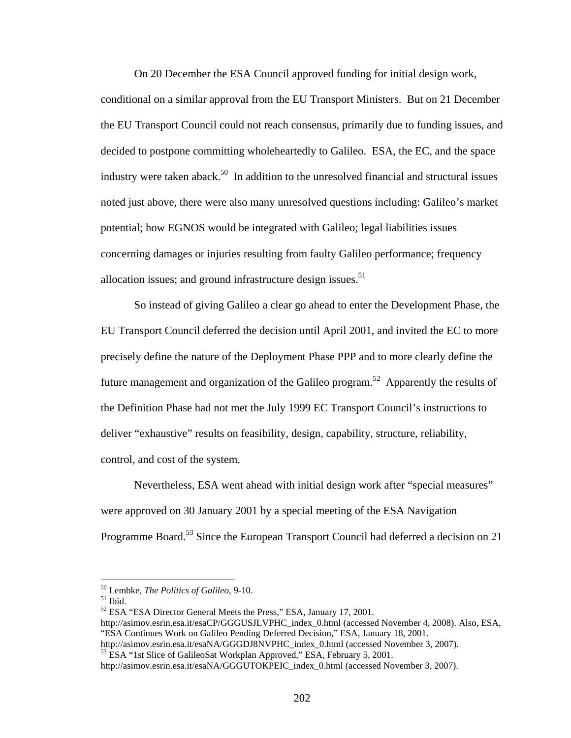On 20 December the ESA Council approved funding for initial design work,

conditional on a similar approval from the EU Transport Ministers. But on 21 December the EU Transport Council could not reach consensus, primarily due to funding issues, and decided to postpone committing wholeheartedly to Galileo. ESA, the EC, and the space industry were taken aback.<sup>50</sup> In addition to the unresolved financial and structural issues noted just above, there were also many unresolved questions including: Galileo's market potential; how EGNOS would be integrated with Galileo; legal liabilities issues concerning damages or injuries resulting from faulty Galileo performance; frequency allocation issues; and ground infrastructure design issues. $51$ 

So instead of giving Galileo a clear go ahead to enter the Development Phase, the EU Transport Council deferred the decision until April 2001, and invited the EC to more precisely define the nature of the Deployment Phase PPP and to more clearly define the future management and organization of the Galileo program.<sup>52</sup> Apparently the results of the Definition Phase had not met the July 1999 EC Transport Council's instructions to deliver "exhaustive" results on feasibility, design, capability, structure, reliability, control, and cost of the system.

Nevertheless, ESA went ahead with initial design work after "special measures" were approved on 30 January 2001 by a special meeting of the ESA Navigation Programme Board.<sup>53</sup> Since the European Transport Council had deferred a decision on 21

<sup>50</sup> Lembke, *The Politics of Galileo,* 9-10. 51 Ibid.

<sup>&</sup>lt;sup>52</sup> ESA "ESA Director General Meets the Press," ESA, January 17, 2001.

http://asimov.esrin.esa.it/esaCP/GGGUSJLVPHC\_index\_0.html (accessed November 4, 2008). Also, ESA, "ESA Continues Work on Galileo Pending Deferred Decision," ESA, January 18, 2001.

http://asimov.esrin.esa.it/esaNA/GGGDJ8NVPHC\_index\_0.html (accessed November 3, 2007).<br><sup>53</sup> ESA "1st Slice of GalileoSat Workplan Approved," ESA, February 5, 2001.

http://asimov.esrin.esa.it/esaNA/GGGUTOKPEIC\_index\_0.html (accessed November 3, 2007).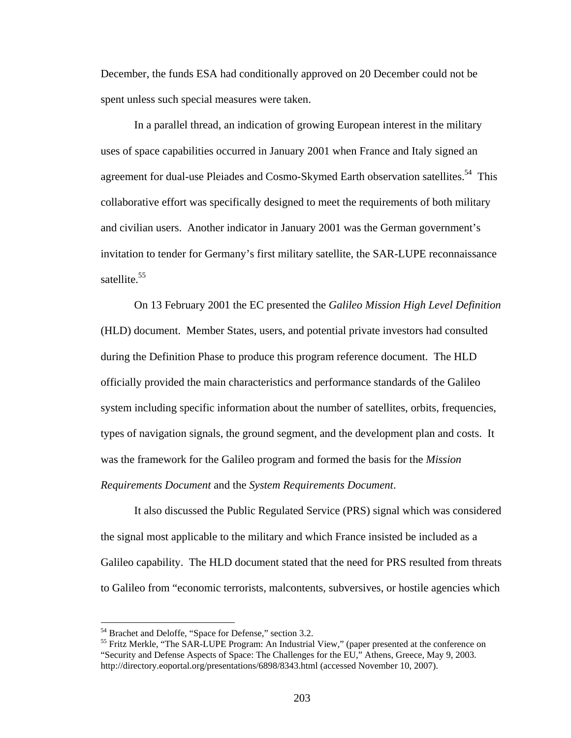December, the funds ESA had conditionally approved on 20 December could not be spent unless such special measures were taken.

In a parallel thread, an indication of growing European interest in the military uses of space capabilities occurred in January 2001 when France and Italy signed an agreement for dual-use Pleiades and Cosmo-Skymed Earth observation satellites.<sup>54</sup> This collaborative effort was specifically designed to meet the requirements of both military and civilian users. Another indicator in January 2001 was the German government's invitation to tender for Germany's first military satellite, the SAR-LUPE reconnaissance satellite.<sup>55</sup>

On 13 February 2001 the EC presented the *Galileo Mission High Level Definition* (HLD) document. Member States, users, and potential private investors had consulted during the Definition Phase to produce this program reference document. The HLD officially provided the main characteristics and performance standards of the Galileo system including specific information about the number of satellites, orbits, frequencies, types of navigation signals, the ground segment, and the development plan and costs. It was the framework for the Galileo program and formed the basis for the *Mission Requirements Document* and the *System Requirements Document*.

It also discussed the Public Regulated Service (PRS) signal which was considered the signal most applicable to the military and which France insisted be included as a Galileo capability. The HLD document stated that the need for PRS resulted from threats to Galileo from "economic terrorists, malcontents, subversives, or hostile agencies which

<sup>&</sup>lt;sup>54</sup> Brachet and Deloffe, "Space for Defense," section 3.2.

 $<sup>55</sup>$  Fritz Merkle, "The SAR-LUPE Program: An Industrial View," (paper presented at the conference on</sup> "Security and Defense Aspects of Space: The Challenges for the EU," Athens, Greece, May 9, 2003. http://directory.eoportal.org/presentations/6898/8343.html (accessed November 10, 2007).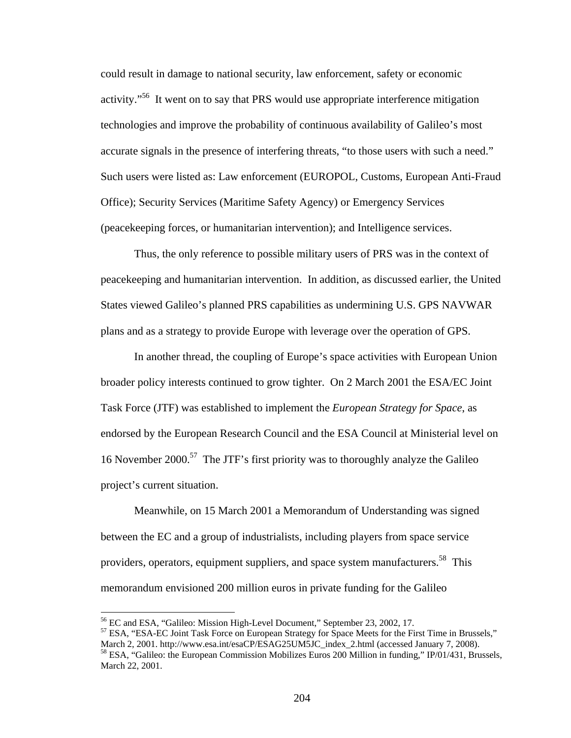could result in damage to national security, law enforcement, safety or economic activity."<sup>56</sup> It went on to say that PRS would use appropriate interference mitigation technologies and improve the probability of continuous availability of Galileo's most accurate signals in the presence of interfering threats, "to those users with such a need." Such users were listed as: Law enforcement (EUROPOL, Customs, European Anti-Fraud Office); Security Services (Maritime Safety Agency) or Emergency Services (peacekeeping forces, or humanitarian intervention); and Intelligence services.

Thus, the only reference to possible military users of PRS was in the context of peacekeeping and humanitarian intervention. In addition, as discussed earlier, the United States viewed Galileo's planned PRS capabilities as undermining U.S. GPS NAVWAR plans and as a strategy to provide Europe with leverage over the operation of GPS.

In another thread, the coupling of Europe's space activities with European Union broader policy interests continued to grow tighter. On 2 March 2001 the ESA/EC Joint Task Force (JTF) was established to implement the *European Strategy for Space*, as endorsed by the European Research Council and the ESA Council at Ministerial level on 16 November 2000.57 The JTF's first priority was to thoroughly analyze the Galileo project's current situation.

Meanwhile, on 15 March 2001 a Memorandum of Understanding was signed between the EC and a group of industrialists, including players from space service providers, operators, equipment suppliers, and space system manufacturers.<sup>58</sup> This memorandum envisioned 200 million euros in private funding for the Galileo

 $\overline{a}$ 

 $57$  ESA, "ESA-EC Joint Task Force on European Strategy for Space Meets for the First Time in Brussels,"<br>March 2, 2001. http://www.esa.int/esaCP/ESAG25UM5JC index 2.html (accessed January 7, 2008).

<sup>56</sup> EC and ESA, "Galileo: Mission High-Level Document," September 23, 2002, 17.

<sup>&</sup>lt;sup>58</sup> ESA, "Galileo: the European Commission Mobilizes Euros 200 Million in funding," IP/01/431, Brussels, March 22, 2001.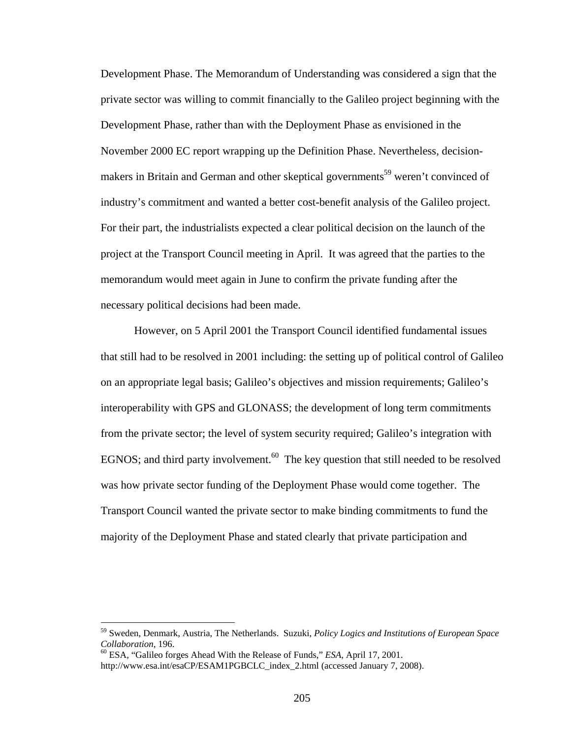Development Phase. The Memorandum of Understanding was considered a sign that the private sector was willing to commit financially to the Galileo project beginning with the Development Phase, rather than with the Deployment Phase as envisioned in the November 2000 EC report wrapping up the Definition Phase. Nevertheless, decisionmakers in Britain and German and other skeptical governments<sup>59</sup> weren't convinced of industry's commitment and wanted a better cost-benefit analysis of the Galileo project. For their part, the industrialists expected a clear political decision on the launch of the project at the Transport Council meeting in April. It was agreed that the parties to the memorandum would meet again in June to confirm the private funding after the necessary political decisions had been made.

However, on 5 April 2001 the Transport Council identified fundamental issues that still had to be resolved in 2001 including: the setting up of political control of Galileo on an appropriate legal basis; Galileo's objectives and mission requirements; Galileo's interoperability with GPS and GLONASS; the development of long term commitments from the private sector; the level of system security required; Galileo's integration with EGNOS; and third party involvement.<sup>60</sup> The key question that still needed to be resolved was how private sector funding of the Deployment Phase would come together. The Transport Council wanted the private sector to make binding commitments to fund the majority of the Deployment Phase and stated clearly that private participation and

<sup>59</sup> Sweden, Denmark, Austria, The Netherlands. Suzuki, *Policy Logics and Institutions of European Space Collaboration*, 196.<br><sup>60</sup> ESA, "Galileo forges Ahead With the Release of Funds," *ESA*, April 17, 2001.

http://www.esa.int/esaCP/ESAM1PGBCLC\_index\_2.html (accessed January 7, 2008).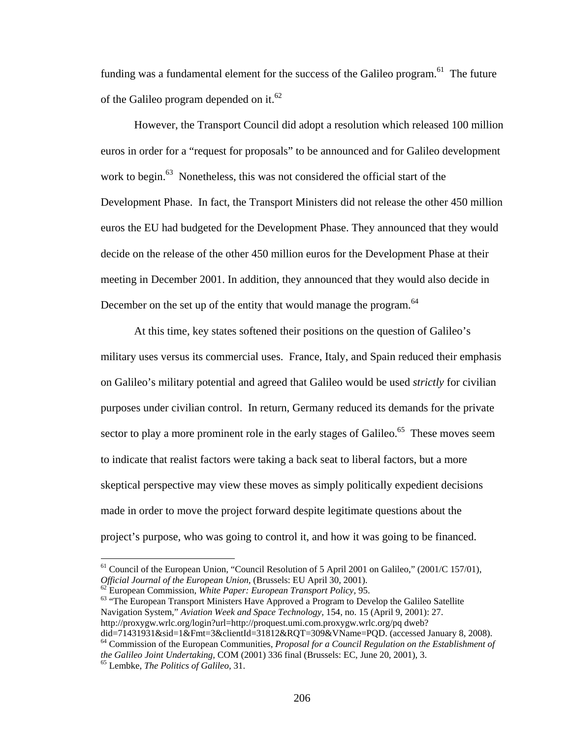funding was a fundamental element for the success of the Galileo program.<sup>61</sup> The future of the Galileo program depended on it.<sup>62</sup>

However, the Transport Council did adopt a resolution which released 100 million euros in order for a "request for proposals" to be announced and for Galileo development work to begin.<sup>63</sup> Nonetheless, this was not considered the official start of the Development Phase. In fact, the Transport Ministers did not release the other 450 million euros the EU had budgeted for the Development Phase. They announced that they would decide on the release of the other 450 million euros for the Development Phase at their meeting in December 2001. In addition, they announced that they would also decide in December on the set up of the entity that would manage the program.<sup>64</sup>

 At this time, key states softened their positions on the question of Galileo's military uses versus its commercial uses. France, Italy, and Spain reduced their emphasis on Galileo's military potential and agreed that Galileo would be used *strictly* for civilian purposes under civilian control. In return, Germany reduced its demands for the private sector to play a more prominent role in the early stages of Galileo.<sup>65</sup> These moves seem to indicate that realist factors were taking a back seat to liberal factors, but a more skeptical perspective may view these moves as simply politically expedient decisions made in order to move the project forward despite legitimate questions about the project's purpose, who was going to control it, and how it was going to be financed.

 $^{62}$  European Commission, *White Paper: European Transport Policy*, 95.<br><sup>63</sup> "The European Transport Ministers Have Approved a Program to Develop the Galileo Satellite Navigation System," *Aviation Week and Space Technology,* 154, no. 15 (April 9, 2001): 27. http://proxygw.wrlc.org/login?url=http://proquest.umi.com.proxygw.wrlc.org/pq dweb?

did=71431931&sid=1&Fmt=3&clientId=31812&RQT=309&VName=PQD. (accessed January 8, 2008). 64 Commission of the European Communities, *Proposal for a Council Regulation on the Establishment of* 

<sup>&</sup>lt;sup>61</sup> Council of the European Union, "Council Resolution of 5 April 2001 on Galileo," (2001/C 157/01), *Official Journal of the European Union*, (Brussels: EU April 30, 2001).

*the Galileo Joint Undertaking,* COM (2001) 336 final (Brussels: EC, June 20, 2001), 3. 65 Lembke, *The Politics of Galileo,* 31.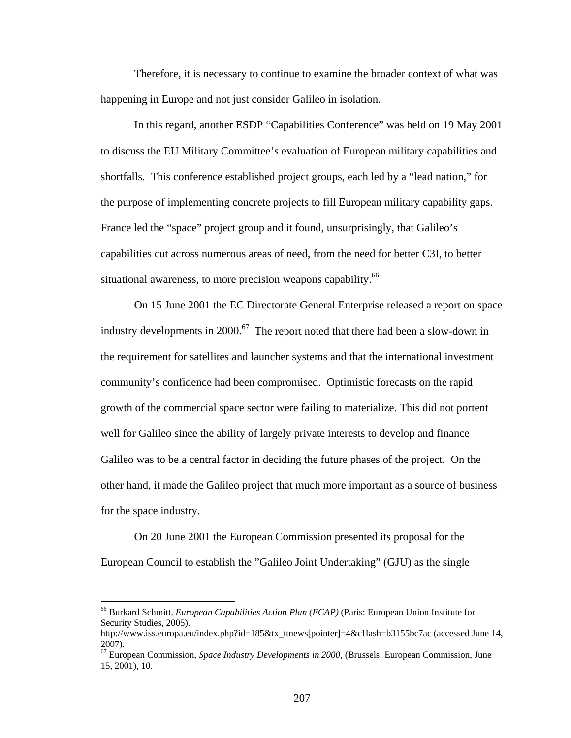Therefore, it is necessary to continue to examine the broader context of what was happening in Europe and not just consider Galileo in isolation.

 In this regard, another ESDP "Capabilities Conference" was held on 19 May 2001 to discuss the EU Military Committee's evaluation of European military capabilities and shortfalls. This conference established project groups, each led by a "lead nation," for the purpose of implementing concrete projects to fill European military capability gaps. France led the "space" project group and it found, unsurprisingly, that Galileo's capabilities cut across numerous areas of need, from the need for better C3I, to better situational awareness, to more precision weapons capability.<sup>66</sup>

On 15 June 2001 the EC Directorate General Enterprise released a report on space industry developments in 2000.<sup>67</sup> The report noted that there had been a slow-down in the requirement for satellites and launcher systems and that the international investment community's confidence had been compromised. Optimistic forecasts on the rapid growth of the commercial space sector were failing to materialize. This did not portent well for Galileo since the ability of largely private interests to develop and finance Galileo was to be a central factor in deciding the future phases of the project. On the other hand, it made the Galileo project that much more important as a source of business for the space industry.

On 20 June 2001 the European Commission presented its proposal for the European Council to establish the "Galileo Joint Undertaking" (GJU) as the single

1

<sup>66</sup> Burkard Schmitt, *European Capabilities Action Plan (ECAP)* (Paris: European Union Institute for Security Studies, 2005).

http://www.iss.europa.eu/index.php?id=185&tx\_ttnews[pointer]=4&cHash=b3155bc7ac (accessed June 14, 2007).

<sup>67</sup> European Commission, *Space Industry Developments in 2000*, (Brussels: European Commission, June 15, 2001), 10.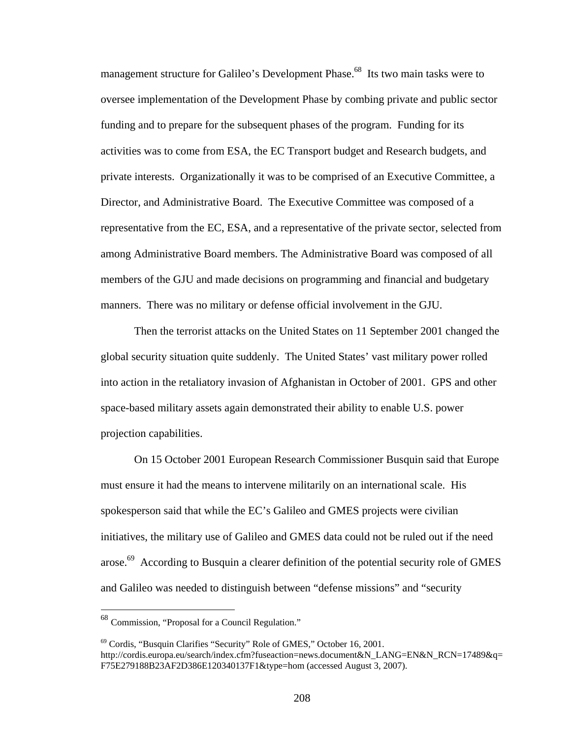management structure for Galileo's Development Phase.<sup>68</sup> Its two main tasks were to oversee implementation of the Development Phase by combing private and public sector funding and to prepare for the subsequent phases of the program. Funding for its activities was to come from ESA, the EC Transport budget and Research budgets, and private interests. Organizationally it was to be comprised of an Executive Committee, a Director, and Administrative Board. The Executive Committee was composed of a representative from the EC, ESA, and a representative of the private sector, selected from among Administrative Board members. The Administrative Board was composed of all members of the GJU and made decisions on programming and financial and budgetary manners. There was no military or defense official involvement in the GJU.

 Then the terrorist attacks on the United States on 11 September 2001 changed the global security situation quite suddenly. The United States' vast military power rolled into action in the retaliatory invasion of Afghanistan in October of 2001. GPS and other space-based military assets again demonstrated their ability to enable U.S. power projection capabilities.

 On 15 October 2001 European Research Commissioner Busquin said that Europe must ensure it had the means to intervene militarily on an international scale. His spokesperson said that while the EC's Galileo and GMES projects were civilian initiatives, the military use of Galileo and GMES data could not be ruled out if the need arose.<sup>69</sup> According to Busquin a clearer definition of the potential security role of GMES and Galileo was needed to distinguish between "defense missions" and "security

<sup>68</sup> Commission, "Proposal for a Council Regulation."

<sup>69</sup> Cordis, "Busquin Clarifies "Security" Role of GMES," October 16, 2001. http://cordis.europa.eu/search/index.cfm?fuseaction=news.document&N\_LANG=EN&N\_RCN=17489&q= F75E279188B23AF2D386E120340137F1&type=hom (accessed August 3, 2007).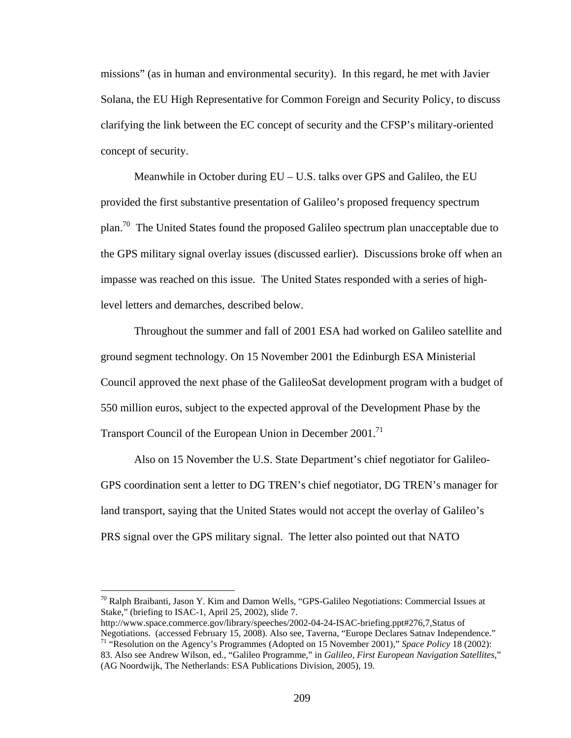missions" (as in human and environmental security). In this regard, he met with Javier Solana, the EU High Representative for Common Foreign and Security Policy, to discuss clarifying the link between the EC concept of security and the CFSP's military-oriented concept of security.

 Meanwhile in October during EU – U.S. talks over GPS and Galileo, the EU provided the first substantive presentation of Galileo's proposed frequency spectrum plan.<sup>70</sup> The United States found the proposed Galileo spectrum plan unacceptable due to the GPS military signal overlay issues (discussed earlier). Discussions broke off when an impasse was reached on this issue. The United States responded with a series of highlevel letters and demarches, described below.

 Throughout the summer and fall of 2001 ESA had worked on Galileo satellite and ground segment technology. On 15 November 2001 the Edinburgh ESA Ministerial Council approved the next phase of the GalileoSat development program with a budget of 550 million euros, subject to the expected approval of the Development Phase by the Transport Council of the European Union in December 2001.<sup>71</sup>

 Also on 15 November the U.S. State Department's chief negotiator for Galileo-GPS coordination sent a letter to DG TREN's chief negotiator, DG TREN's manager for land transport, saying that the United States would not accept the overlay of Galileo's PRS signal over the GPS military signal. The letter also pointed out that NATO

 $\overline{a}$ 

http://www.space.commerce.gov/library/speeches/2002-04-24-ISAC-briefing.ppt#276,7,Status of<br>Negotiations. (accessed February 15, 2008). Also see, Taverna, "Europe Declares Satnav Independence."

<sup>&</sup>lt;sup>70</sup> Ralph Braibanti, Jason Y. Kim and Damon Wells, "GPS-Galileo Negotiations: Commercial Issues at Stake," (briefing to ISAC-1, April 25, 2002), slide 7.

<sup>&</sup>lt;sup>71</sup> "Resolution on the Agency's Programmes (Adopted on 15 November 2001)," *Space Policy* 18 (2002): 83. Also see Andrew Wilson, ed., "Galileo Programme," in *Galileo, First European Navigation Satellites*," (AG Noordwijk, The Netherlands: ESA Publications Division, 2005), 19.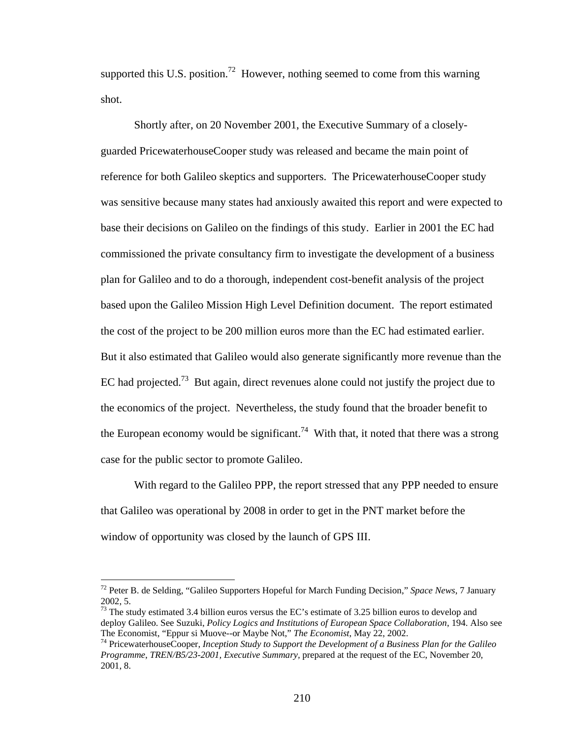supported this U.S. position.<sup>72</sup> However, nothing seemed to come from this warning shot.

Shortly after, on 20 November 2001, the Executive Summary of a closelyguarded PricewaterhouseCooper study was released and became the main point of reference for both Galileo skeptics and supporters. The PricewaterhouseCooper study was sensitive because many states had anxiously awaited this report and were expected to base their decisions on Galileo on the findings of this study. Earlier in 2001 the EC had commissioned the private consultancy firm to investigate the development of a business plan for Galileo and to do a thorough, independent cost-benefit analysis of the project based upon the Galileo Mission High Level Definition document. The report estimated the cost of the project to be 200 million euros more than the EC had estimated earlier. But it also estimated that Galileo would also generate significantly more revenue than the EC had projected.<sup>73</sup> But again, direct revenues alone could not justify the project due to the economics of the project. Nevertheless, the study found that the broader benefit to the European economy would be significant.<sup>74</sup> With that, it noted that there was a strong case for the public sector to promote Galileo.

 With regard to the Galileo PPP, the report stressed that any PPP needed to ensure that Galileo was operational by 2008 in order to get in the PNT market before the window of opportunity was closed by the launch of GPS III.

<sup>72</sup> Peter B. de Selding, "Galileo Supporters Hopeful for March Funding Decision," *Space News*, 7 January 2002, 5.

<sup>&</sup>lt;sup>73</sup> The study estimated 3.4 billion euros versus the EC's estimate of 3.25 billion euros to develop and deploy Galileo. See Suzuki, *Policy Logics and Institutions of European Space Collaboration*, 194. Also see The Economist, "Eppur si Muove--or Maybe Not," *The Economist*, May 22, 2002.

<sup>&</sup>lt;sup>74</sup> PricewaterhouseCooper, Inception Study to Support the Development of a Business Plan for the Galileo *Programme*, *TREN/B5/23-2001, Executive Summary,* prepared at the request of the EC, November 20, 2001, 8.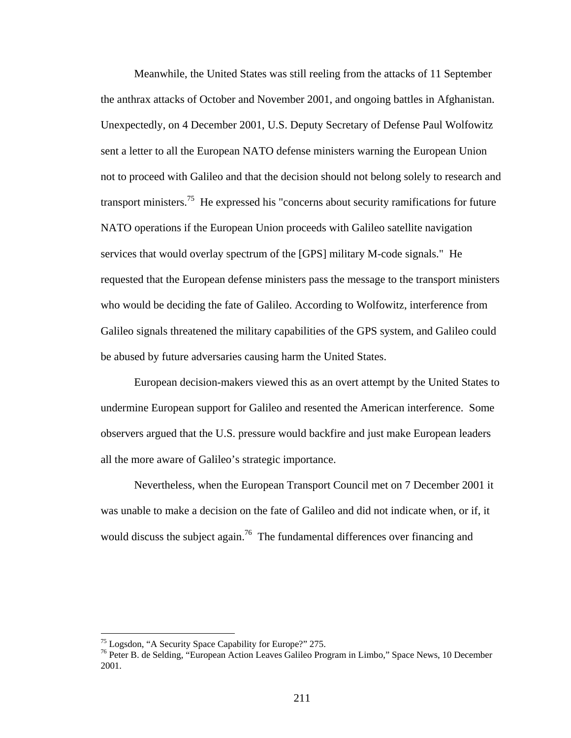Meanwhile, the United States was still reeling from the attacks of 11 September the anthrax attacks of October and November 2001, and ongoing battles in Afghanistan. Unexpectedly, on 4 December 2001, U.S. Deputy Secretary of Defense Paul Wolfowitz sent a letter to all the European NATO defense ministers warning the European Union not to proceed with Galileo and that the decision should not belong solely to research and transport ministers.<sup>75</sup> He expressed his "concerns about security ramifications for future NATO operations if the European Union proceeds with Galileo satellite navigation services that would overlay spectrum of the [GPS] military M-code signals." He requested that the European defense ministers pass the message to the transport ministers who would be deciding the fate of Galileo. According to Wolfowitz, interference from Galileo signals threatened the military capabilities of the GPS system, and Galileo could be abused by future adversaries causing harm the United States.

European decision-makers viewed this as an overt attempt by the United States to undermine European support for Galileo and resented the American interference. Some observers argued that the U.S. pressure would backfire and just make European leaders all the more aware of Galileo's strategic importance.

Nevertheless, when the European Transport Council met on 7 December 2001 it was unable to make a decision on the fate of Galileo and did not indicate when, or if, it would discuss the subject again.<sup>76</sup> The fundamental differences over financing and

<sup>&</sup>lt;sup>75</sup> Logsdon, "A Security Space Capability for Europe?" 275.

<sup>76</sup> Peter B. de Selding, "European Action Leaves Galileo Program in Limbo," Space News, 10 December 2001.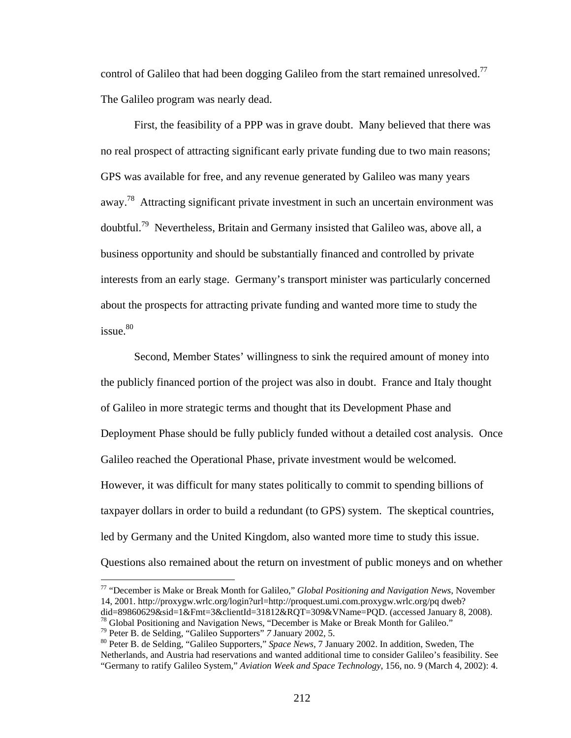control of Galileo that had been dogging Galileo from the start remained unresolved.<sup>77</sup> The Galileo program was nearly dead.

First, the feasibility of a PPP was in grave doubt. Many believed that there was no real prospect of attracting significant early private funding due to two main reasons; GPS was available for free, and any revenue generated by Galileo was many years away.<sup>78</sup> Attracting significant private investment in such an uncertain environment was doubtful.79 Nevertheless, Britain and Germany insisted that Galileo was, above all, a business opportunity and should be substantially financed and controlled by private interests from an early stage. Germany's transport minister was particularly concerned about the prospects for attracting private funding and wanted more time to study the issue.<sup>80</sup>

Second, Member States' willingness to sink the required amount of money into the publicly financed portion of the project was also in doubt. France and Italy thought of Galileo in more strategic terms and thought that its Development Phase and Deployment Phase should be fully publicly funded without a detailed cost analysis. Once Galileo reached the Operational Phase, private investment would be welcomed. However, it was difficult for many states politically to commit to spending billions of taxpayer dollars in order to build a redundant (to GPS) system. The skeptical countries, led by Germany and the United Kingdom, also wanted more time to study this issue. Questions also remained about the return on investment of public moneys and on whether

<sup>77 &</sup>quot;December is Make or Break Month for Galileo," *Global Positioning and Navigation News*, November 14, 2001. http://proxygw.wrlc.org/login?url=http://proquest.umi.com.proxygw.wrlc.org/pq dweb?<br>did=89860629&sid=1&Fmt=3&clientId=31812&RQT=309&VName=PQD. (accessed January 8, 2008).

<sup>&</sup>lt;sup>78</sup> Global Positioning and Navigation News, "December is Make or Break Month for Galileo."<br><sup>79</sup> Peter B. de Selding, "Galileo Supporters" 7 January 2002, 5.<br><sup>80</sup> Peter B. de Selding, "Galileo Supporters," Space News, 7 J Netherlands, and Austria had reservations and wanted additional time to consider Galileo's feasibility. See "Germany to ratify Galileo System," *Aviation Week and Space Technology*, 156, no. 9 (March 4, 2002): 4.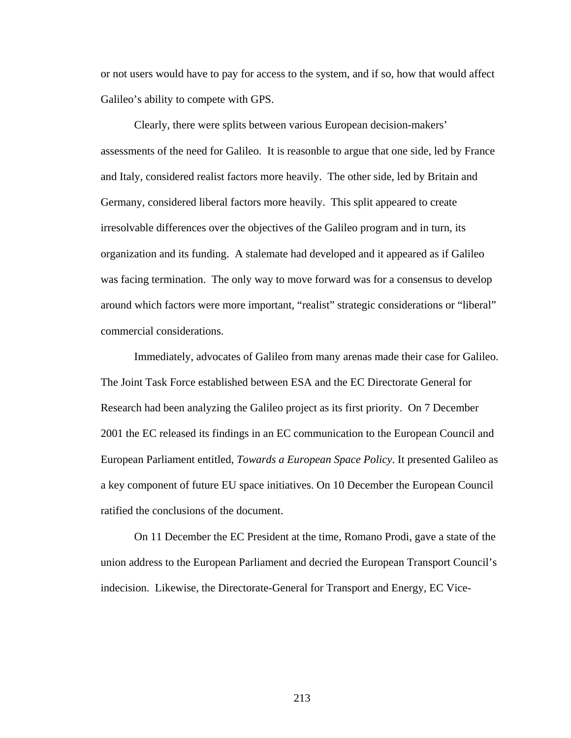or not users would have to pay for access to the system, and if so, how that would affect Galileo's ability to compete with GPS.

Clearly, there were splits between various European decision-makers' assessments of the need for Galileo. It is reasonble to argue that one side, led by France and Italy, considered realist factors more heavily. The other side, led by Britain and Germany, considered liberal factors more heavily. This split appeared to create irresolvable differences over the objectives of the Galileo program and in turn, its organization and its funding. A stalemate had developed and it appeared as if Galileo was facing termination. The only way to move forward was for a consensus to develop around which factors were more important, "realist" strategic considerations or "liberal" commercial considerations.

 Immediately, advocates of Galileo from many arenas made their case for Galileo. The Joint Task Force established between ESA and the EC Directorate General for Research had been analyzing the Galileo project as its first priority. On 7 December 2001 the EC released its findings in an EC communication to the European Council and European Parliament entitled, *Towards a European Space Policy*. It presented Galileo as a key component of future EU space initiatives. On 10 December the European Council ratified the conclusions of the document.

On 11 December the EC President at the time, Romano Prodi, gave a state of the union address to the European Parliament and decried the European Transport Council's indecision. Likewise, the Directorate-General for Transport and Energy, EC Vice-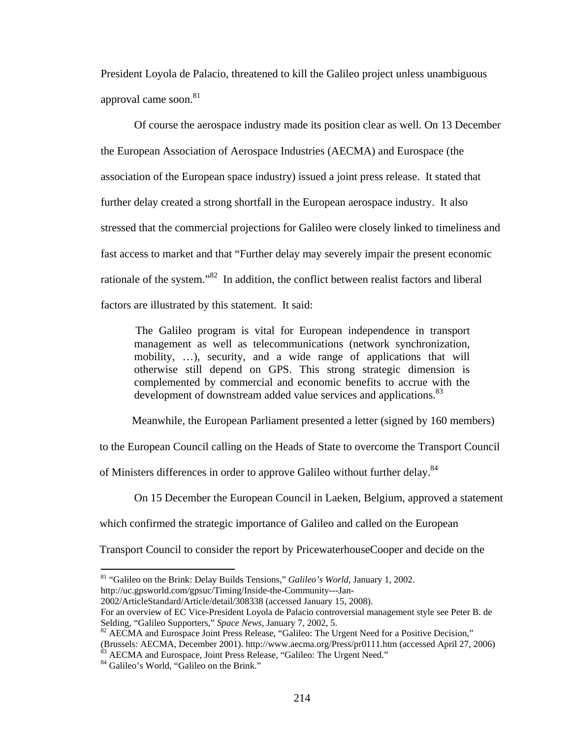President Loyola de Palacio, threatened to kill the Galileo project unless unambiguous approval came soon.<sup>81</sup>

Of course the aerospace industry made its position clear as well. On 13 December the European Association of Aerospace Industries (AECMA) and Eurospace (the association of the European space industry) issued a joint press release. It stated that further delay created a strong shortfall in the European aerospace industry. It also stressed that the commercial projections for Galileo were closely linked to timeliness and fast access to market and that "Further delay may severely impair the present economic rationale of the system."82 In addition, the conflict between realist factors and liberal factors are illustrated by this statement. It said:

The Galileo program is vital for European independence in transport management as well as telecommunications (network synchronization, mobility, …), security, and a wide range of applications that will otherwise still depend on GPS. This strong strategic dimension is complemented by commercial and economic benefits to accrue with the development of downstream added value services and applications.<sup>83</sup>

Meanwhile, the European Parliament presented a letter (signed by 160 members)

to the European Council calling on the Heads of State to overcome the Transport Council

of Ministers differences in order to approve Galileo without further delay.<sup>84</sup>

On 15 December the European Council in Laeken, Belgium, approved a statement

which confirmed the strategic importance of Galileo and called on the European

Transport Council to consider the report by PricewaterhouseCooper and decide on the

2002/ArticleStandard/Article/detail/308338 (accessed January 15, 2008). For an overview of EC Vice-President Loyola de Palacio controversial management style see Peter B. de

<sup>81 &</sup>quot;Galileo on the Brink: Delay Builds Tensions," *Galileo's World*, January 1, 2002. http://uc.gpsworld.com/gpsuc/Timing/Inside-the-Community---Jan-

Selding, "Galileo Supporters," *Space News*, January 7, 2002, 5.<br><sup>82</sup> AECMA and Eurospace Joint Press Release, "Galileo: The Urgent Need for a Positive Decision," (Brussels: AECMA, December 2001). http://www.aecma.org/Press/pr0111.htm (accessed April 27, 2006) <sup>83</sup> AECMA and Eurospace, Joint Press Release, "Galileo: The Urgent Need." 84 Galileo's World, "Galileo on the Brink."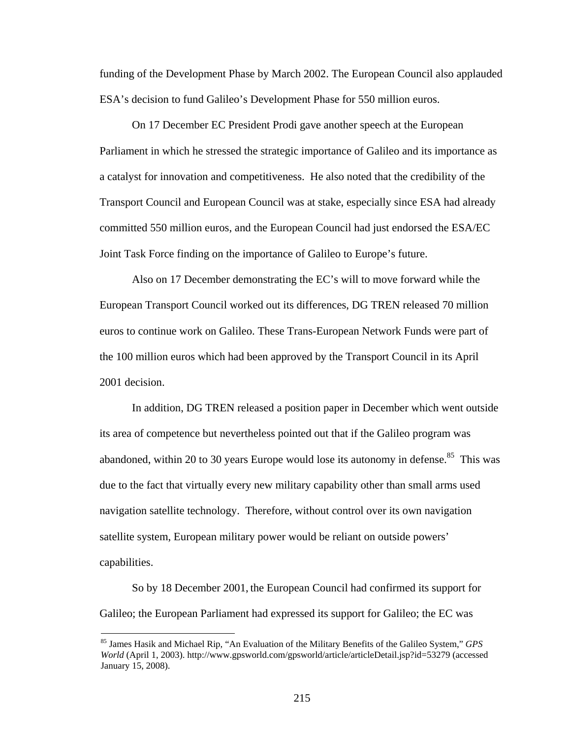funding of the Development Phase by March 2002. The European Council also applauded ESA's decision to fund Galileo's Development Phase for 550 million euros.

On 17 December EC President Prodi gave another speech at the European Parliament in which he stressed the strategic importance of Galileo and its importance as a catalyst for innovation and competitiveness. He also noted that the credibility of the Transport Council and European Council was at stake, especially since ESA had already committed 550 million euros, and the European Council had just endorsed the ESA/EC Joint Task Force finding on the importance of Galileo to Europe's future.

Also on 17 December demonstrating the EC's will to move forward while the European Transport Council worked out its differences, DG TREN released 70 million euros to continue work on Galileo. These Trans-European Network Funds were part of the 100 million euros which had been approved by the Transport Council in its April 2001 decision.

In addition, DG TREN released a position paper in December which went outside its area of competence but nevertheless pointed out that if the Galileo program was abandoned, within 20 to 30 years Europe would lose its autonomy in defense. $85$  This was due to the fact that virtually every new military capability other than small arms used navigation satellite technology. Therefore, without control over its own navigation satellite system, European military power would be reliant on outside powers' capabilities.

So by 18 December 2001, the European Council had confirmed its support for Galileo; the European Parliament had expressed its support for Galileo; the EC was

<sup>85</sup> James Hasik and Michael Rip, "An Evaluation of the Military Benefits of the Galileo System," *GPS World* (April 1, 2003). http://www.gpsworld.com/gpsworld/article/articleDetail.jsp?id=53279 (accessed January 15, 2008).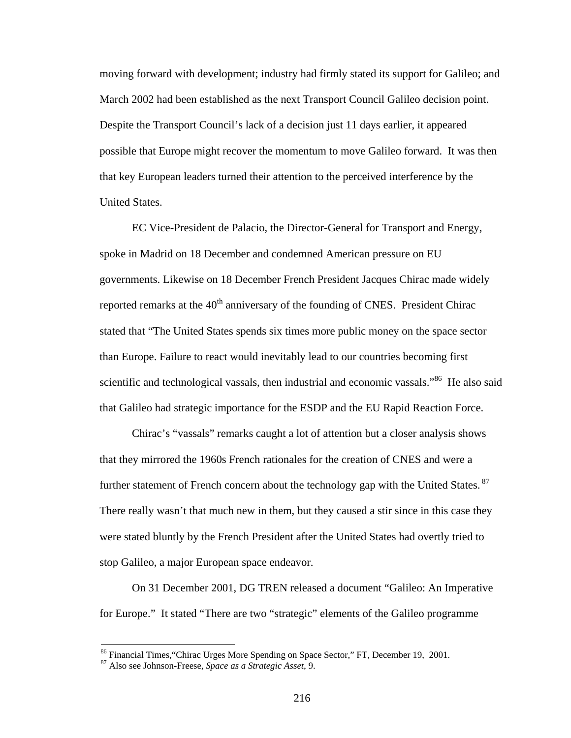moving forward with development; industry had firmly stated its support for Galileo; and March 2002 had been established as the next Transport Council Galileo decision point. Despite the Transport Council's lack of a decision just 11 days earlier, it appeared possible that Europe might recover the momentum to move Galileo forward. It was then that key European leaders turned their attention to the perceived interference by the United States.

EC Vice-President de Palacio, the Director-General for Transport and Energy, spoke in Madrid on 18 December and condemned American pressure on EU governments. Likewise on 18 December French President Jacques Chirac made widely reported remarks at the  $40<sup>th</sup>$  anniversary of the founding of CNES. President Chirac stated that "The United States spends six times more public money on the space sector than Europe. Failure to react would inevitably lead to our countries becoming first scientific and technological vassals, then industrial and economic vassals."<sup>86</sup> He also said that Galileo had strategic importance for the ESDP and the EU Rapid Reaction Force.

Chirac's "vassals" remarks caught a lot of attention but a closer analysis shows that they mirrored the 1960s French rationales for the creation of CNES and were a further statement of French concern about the technology gap with the United States. <sup>87</sup> There really wasn't that much new in them, but they caused a stir since in this case they were stated bluntly by the French President after the United States had overtly tried to stop Galileo, a major European space endeavor.

On 31 December 2001, DG TREN released a document "Galileo: An Imperative for Europe." It stated "There are two "strategic" elements of the Galileo programme

<sup>86</sup> Financial Times,"Chirac Urges More Spending on Space Sector," FT, December 19, 2001. 87 Also see Johnson-Freese, *Space as a Strategic Asset*, 9.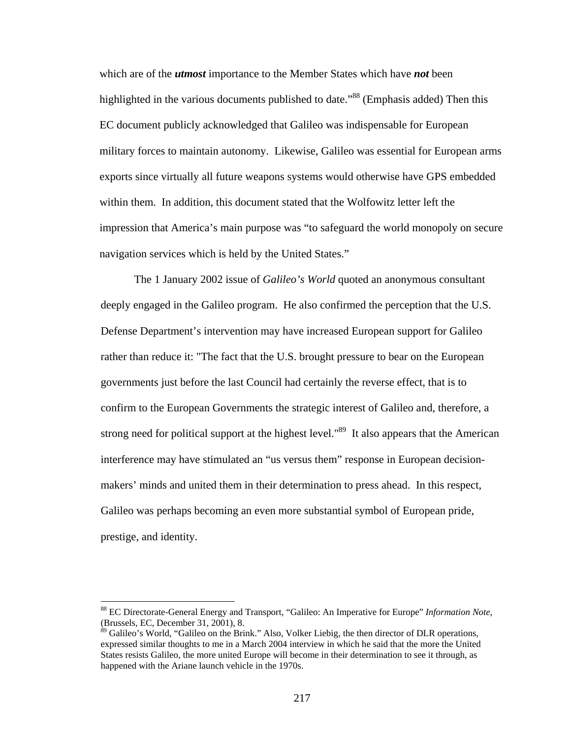which are of the *utmost* importance to the Member States which have *not* been highlighted in the various documents published to date."<sup>88</sup> (Emphasis added) Then this EC document publicly acknowledged that Galileo was indispensable for European military forces to maintain autonomy. Likewise, Galileo was essential for European arms exports since virtually all future weapons systems would otherwise have GPS embedded within them. In addition, this document stated that the Wolfowitz letter left the impression that America's main purpose was "to safeguard the world monopoly on secure navigation services which is held by the United States."

 The 1 January 2002 issue of *Galileo's World* quoted an anonymous consultant deeply engaged in the Galileo program. He also confirmed the perception that the U.S. Defense Department's intervention may have increased European support for Galileo rather than reduce it: "The fact that the U.S. brought pressure to bear on the European governments just before the last Council had certainly the reverse effect, that is to confirm to the European Governments the strategic interest of Galileo and, therefore, a strong need for political support at the highest level."<sup>89</sup> It also appears that the American interference may have stimulated an "us versus them" response in European decisionmakers' minds and united them in their determination to press ahead. In this respect, Galileo was perhaps becoming an even more substantial symbol of European pride, prestige, and identity.

<sup>88</sup> EC Directorate-General Energy and Transport, "Galileo: An Imperative for Europe" *Information Note*, (Brussels, EC, December 31, 2001), 8.

<sup>&</sup>lt;sup>89</sup> Galileo's World, "Galileo on the Brink." Also, Volker Liebig, the then director of DLR operations, expressed similar thoughts to me in a March 2004 interview in which he said that the more the United States resists Galileo, the more united Europe will become in their determination to see it through, as happened with the Ariane launch vehicle in the 1970s.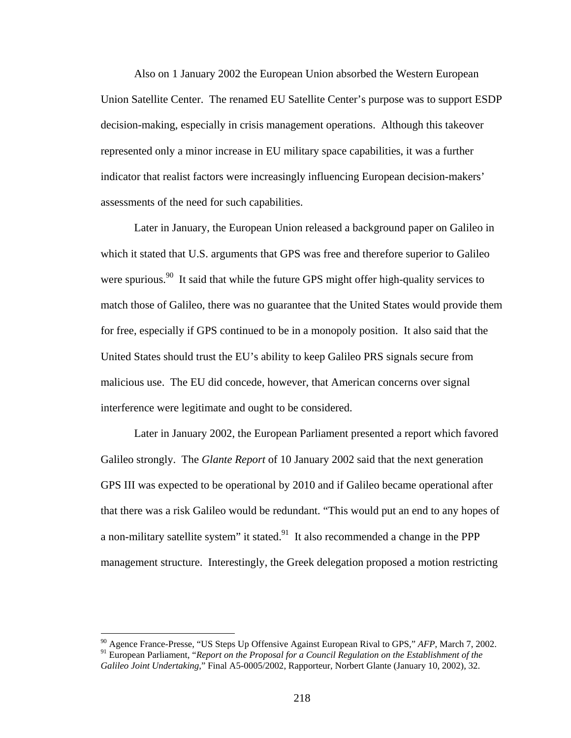Also on 1 January 2002 the European Union absorbed the Western European Union Satellite Center. The renamed EU Satellite Center's purpose was to support ESDP decision-making, especially in crisis management operations. Although this takeover represented only a minor increase in EU military space capabilities, it was a further indicator that realist factors were increasingly influencing European decision-makers' assessments of the need for such capabilities.

 Later in January, the European Union released a background paper on Galileo in which it stated that U.S. arguments that GPS was free and therefore superior to Galileo were spurious.<sup>90</sup> It said that while the future GPS might offer high-quality services to match those of Galileo, there was no guarantee that the United States would provide them for free, especially if GPS continued to be in a monopoly position. It also said that the United States should trust the EU's ability to keep Galileo PRS signals secure from malicious use. The EU did concede, however, that American concerns over signal interference were legitimate and ought to be considered.

 Later in January 2002, the European Parliament presented a report which favored Galileo strongly. The *Glante Report* of 10 January 2002 said that the next generation GPS III was expected to be operational by 2010 and if Galileo became operational after that there was a risk Galileo would be redundant. "This would put an end to any hopes of a non-military satellite system" it stated.<sup>91</sup> It also recommended a change in the PPP management structure. Interestingly, the Greek delegation proposed a motion restricting

<sup>90</sup> Agence France-Presse, "US Steps Up Offensive Against European Rival to GPS," *AFP*, March 7, 2002. <sup>91</sup> European Parliament, "*Report on the Proposal for a Council Regulation on the Establishment of the Galileo Joint Undertaking*," Final A5-0005/2002, Rapporteur, Norbert Glante (January 10, 2002), 32.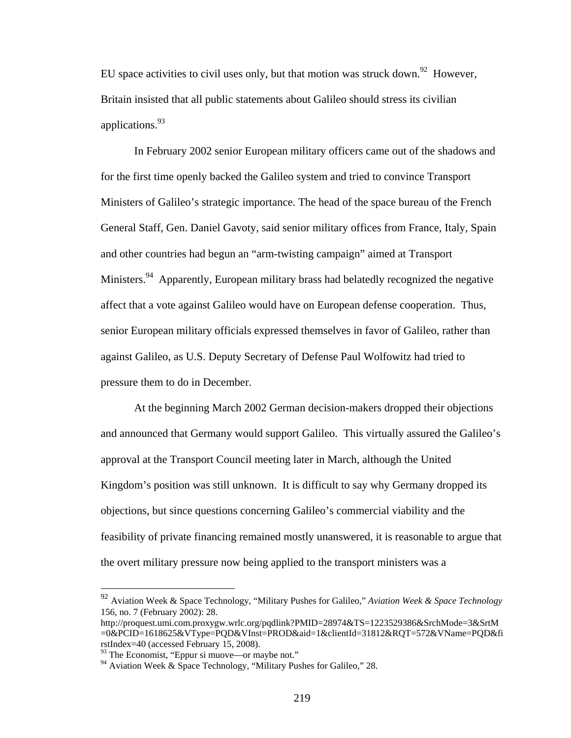EU space activities to civil uses only, but that motion was struck down.<sup>92</sup> However, Britain insisted that all public statements about Galileo should stress its civilian applications.<sup>93</sup>

 In February 2002 senior European military officers came out of the shadows and for the first time openly backed the Galileo system and tried to convince Transport Ministers of Galileo's strategic importance. The head of the space bureau of the French General Staff, Gen. Daniel Gavoty, said senior military offices from France, Italy, Spain and other countries had begun an "arm-twisting campaign" aimed at Transport Ministers.<sup>94</sup> Apparently, European military brass had belatedly recognized the negative affect that a vote against Galileo would have on European defense cooperation. Thus, senior European military officials expressed themselves in favor of Galileo, rather than against Galileo, as U.S. Deputy Secretary of Defense Paul Wolfowitz had tried to pressure them to do in December.

At the beginning March 2002 German decision-makers dropped their objections and announced that Germany would support Galileo. This virtually assured the Galileo's approval at the Transport Council meeting later in March, although the United Kingdom's position was still unknown. It is difficult to say why Germany dropped its objections, but since questions concerning Galileo's commercial viability and the feasibility of private financing remained mostly unanswered, it is reasonable to argue that the overt military pressure now being applied to the transport ministers was a

<u>.</u>

<sup>92</sup> Aviation Week & Space Technology, "Military Pushes for Galileo," *Aviation Week & Space Technology* 156, no. 7 (February 2002): 28.

http://proquest.umi.com.proxygw.wrlc.org/pqdlink?PMID=28974&TS=1223529386&SrchMode=3&SrtM =0&PCID=1618625&VType=PQD&VInst=PROD&aid=1&clientId=31812&RQT=572&VName=PQD&fi rstIndex=40 (accessed February 15, 2008).

<sup>93</sup> The Economist, "Eppur si muove—or maybe not."

 $94$  Aviation Week & Space Technology, "Military Pushes for Galileo," 28.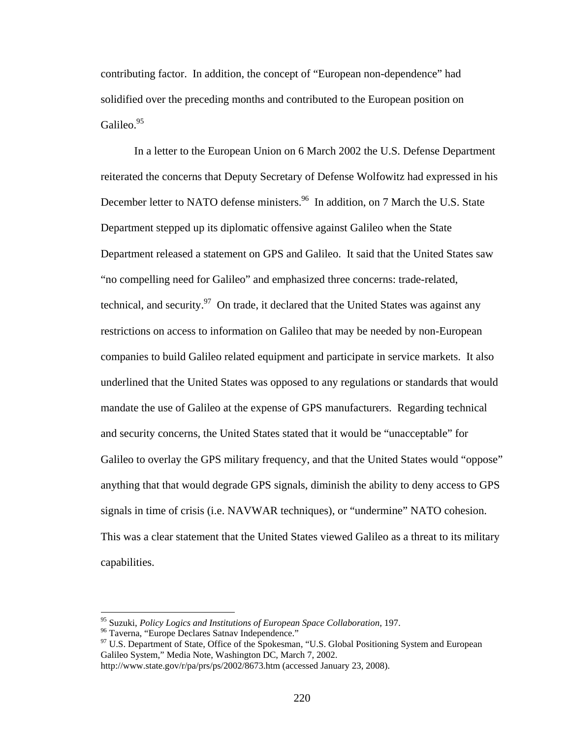contributing factor. In addition, the concept of "European non-dependence" had solidified over the preceding months and contributed to the European position on Galileo.<sup>95</sup>

In a letter to the European Union on 6 March 2002 the U.S. Defense Department reiterated the concerns that Deputy Secretary of Defense Wolfowitz had expressed in his December letter to NATO defense ministers.<sup>96</sup> In addition, on 7 March the U.S. State Department stepped up its diplomatic offensive against Galileo when the State Department released a statement on GPS and Galileo. It said that the United States saw "no compelling need for Galileo" and emphasized three concerns: trade-related, technical, and security. $97$  On trade, it declared that the United States was against any restrictions on access to information on Galileo that may be needed by non-European companies to build Galileo related equipment and participate in service markets. It also underlined that the United States was opposed to any regulations or standards that would mandate the use of Galileo at the expense of GPS manufacturers. Regarding technical and security concerns, the United States stated that it would be "unacceptable" for Galileo to overlay the GPS military frequency, and that the United States would "oppose" anything that that would degrade GPS signals, diminish the ability to deny access to GPS signals in time of crisis (i.e. NAVWAR techniques), or "undermine" NATO cohesion. This was a clear statement that the United States viewed Galileo as a threat to its military capabilities.

<sup>&</sup>lt;sup>95</sup> Suzuki, *Policy Logics and Institutions of European Space Collaboration*, 197.<br><sup>96</sup> Taverna, "Europe Declares Satnav Independence."

<sup>&</sup>lt;sup>97</sup> U.S. Department of State, Office of the Spokesman, "U.S. Global Positioning System and European Galileo System," Media Note, Washington DC, March 7, 2002.

http://www.state.gov/r/pa/prs/ps/2002/8673.htm (accessed January 23, 2008).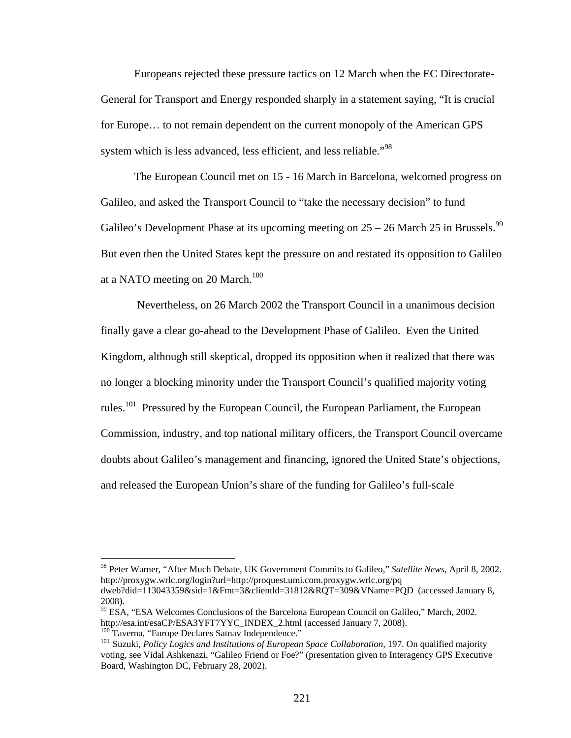Europeans rejected these pressure tactics on 12 March when the EC Directorate-General for Transport and Energy responded sharply in a statement saying, "It is crucial for Europe… to not remain dependent on the current monopoly of the American GPS system which is less advanced, less efficient, and less reliable."<sup>98</sup>

 The European Council met on 15 - 16 March in Barcelona, welcomed progress on Galileo, and asked the Transport Council to "take the necessary decision" to fund Galileo's Development Phase at its upcoming meeting on  $25 - 26$  March  $25$  in Brussels.<sup>99</sup> But even then the United States kept the pressure on and restated its opposition to Galileo at a NATO meeting on 20 March.<sup>100</sup>

 Nevertheless, on 26 March 2002 the Transport Council in a unanimous decision finally gave a clear go-ahead to the Development Phase of Galileo. Even the United Kingdom, although still skeptical, dropped its opposition when it realized that there was no longer a blocking minority under the Transport Council's qualified majority voting rules.101 Pressured by the European Council, the European Parliament, the European Commission, industry, and top national military officers, the Transport Council overcame doubts about Galileo's management and financing, ignored the United State's objections, and released the European Union's share of the funding for Galileo's full-scale

<sup>98</sup> Peter Warner, "After Much Debate, UK Government Commits to Galileo," *Satellite News*, April 8, 2002. http://proxygw.wrlc.org/login?url=http://proquest.umi.com.proxygw.wrlc.org/pq dweb?did=113043359&sid=1&Fmt=3&clientld=31812&RQT=309&VName=PQD (accessed January 8,

<sup>2008).</sup> 

<sup>99</sup> ESA, "ESA Welcomes Conclusions of the Barcelona European Council on Galileo," March, 2002. http://esa.int/esaCP/ESA3YFT7YYC\_INDEX\_2.html (accessed January 7, 2008).<br><sup>100</sup> Taverna, "Europe Declares Satnav Independence."<br><sup>101</sup> Suzuki, *Policy Logics and Institutions of European Space Collaboration*, 197. On qualif

voting, see Vidal Ashkenazi, "Galileo Friend or Foe?" (presentation given to Interagency GPS Executive Board, Washington DC, February 28, 2002).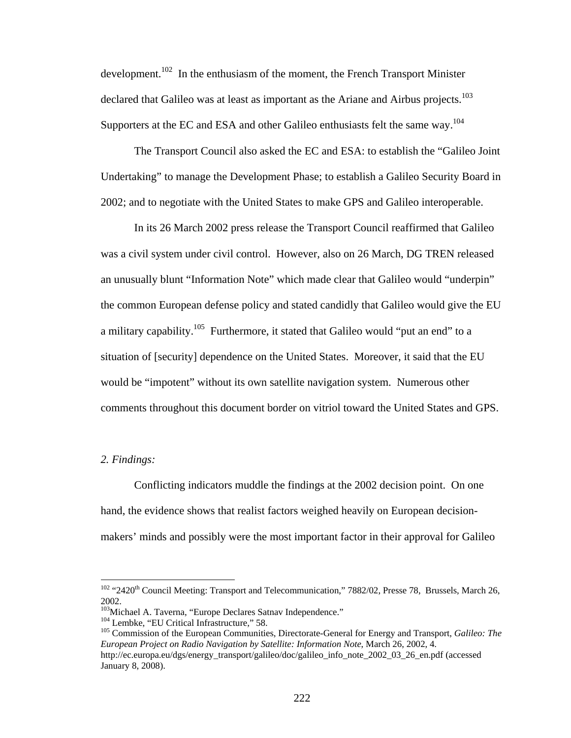development.<sup>102</sup> In the enthusiasm of the moment, the French Transport Minister declared that Galileo was at least as important as the Ariane and Airbus projects.<sup>103</sup> Supporters at the EC and ESA and other Galileo enthusiasts felt the same way.<sup>104</sup>

The Transport Council also asked the EC and ESA: to establish the "Galileo Joint Undertaking" to manage the Development Phase; to establish a Galileo Security Board in 2002; and to negotiate with the United States to make GPS and Galileo interoperable.

In its 26 March 2002 press release the Transport Council reaffirmed that Galileo was a civil system under civil control. However, also on 26 March, DG TREN released an unusually blunt "Information Note" which made clear that Galileo would "underpin" the common European defense policy and stated candidly that Galileo would give the EU a military capability.105 Furthermore, it stated that Galileo would "put an end" to a situation of [security] dependence on the United States. Moreover, it said that the EU would be "impotent" without its own satellite navigation system. Numerous other comments throughout this document border on vitriol toward the United States and GPS.

## *2. Findings:*

 $\overline{a}$ 

Conflicting indicators muddle the findings at the 2002 decision point. On one hand, the evidence shows that realist factors weighed heavily on European decisionmakers' minds and possibly were the most important factor in their approval for Galileo

<sup>&</sup>lt;sup>102</sup> "2420<sup>th</sup> Council Meeting: Transport and Telecommunication," 7882/02, Presse 78, Brussels, March 26, 2002.<br><sup>103</sup>Michael A. Taverna, "Europe Declares Satnav Independence."

<sup>&</sup>lt;sup>104</sup> Lembke, "EU Critical Infrastructure," 58.<br><sup>105</sup> Commission of the European Communities, Directorate-General for Energy and Transport, *Galileo: The European Project on Radio Navigation by Satellite: Information Note*, March 26, 2002, 4.

http://ec.europa.eu/dgs/energy\_transport/galileo/doc/galileo\_info\_note\_2002\_03\_26\_en.pdf (accessed January 8, 2008).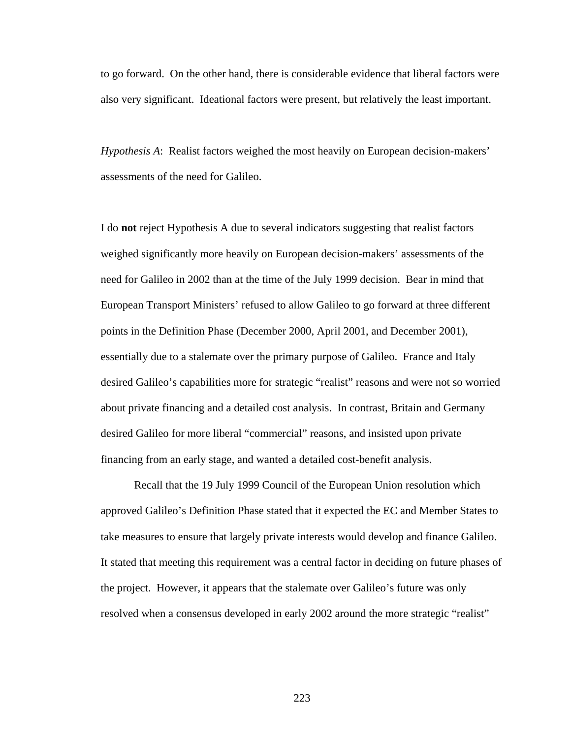to go forward. On the other hand, there is considerable evidence that liberal factors were also very significant. Ideational factors were present, but relatively the least important.

*Hypothesis A*: Realist factors weighed the most heavily on European decision-makers' assessments of the need for Galileo.

I do **not** reject Hypothesis A due to several indicators suggesting that realist factors weighed significantly more heavily on European decision-makers' assessments of the need for Galileo in 2002 than at the time of the July 1999 decision. Bear in mind that European Transport Ministers' refused to allow Galileo to go forward at three different points in the Definition Phase (December 2000, April 2001, and December 2001), essentially due to a stalemate over the primary purpose of Galileo. France and Italy desired Galileo's capabilities more for strategic "realist" reasons and were not so worried about private financing and a detailed cost analysis. In contrast, Britain and Germany desired Galileo for more liberal "commercial" reasons, and insisted upon private financing from an early stage, and wanted a detailed cost-benefit analysis.

Recall that the 19 July 1999 Council of the European Union resolution which approved Galileo's Definition Phase stated that it expected the EC and Member States to take measures to ensure that largely private interests would develop and finance Galileo. It stated that meeting this requirement was a central factor in deciding on future phases of the project. However, it appears that the stalemate over Galileo's future was only resolved when a consensus developed in early 2002 around the more strategic "realist"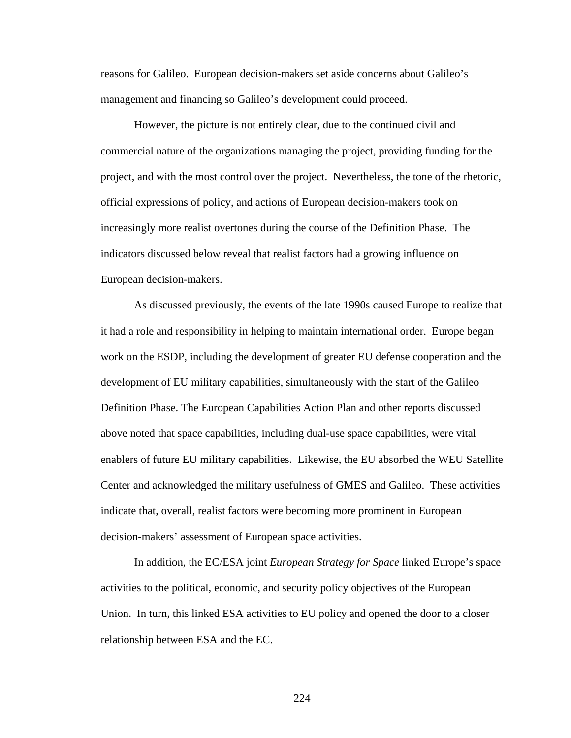reasons for Galileo. European decision-makers set aside concerns about Galileo's management and financing so Galileo's development could proceed.

 However, the picture is not entirely clear, due to the continued civil and commercial nature of the organizations managing the project, providing funding for the project, and with the most control over the project. Nevertheless, the tone of the rhetoric, official expressions of policy, and actions of European decision-makers took on increasingly more realist overtones during the course of the Definition Phase. The indicators discussed below reveal that realist factors had a growing influence on European decision-makers.

As discussed previously, the events of the late 1990s caused Europe to realize that it had a role and responsibility in helping to maintain international order. Europe began work on the ESDP, including the development of greater EU defense cooperation and the development of EU military capabilities, simultaneously with the start of the Galileo Definition Phase. The European Capabilities Action Plan and other reports discussed above noted that space capabilities, including dual-use space capabilities, were vital enablers of future EU military capabilities. Likewise, the EU absorbed the WEU Satellite Center and acknowledged the military usefulness of GMES and Galileo. These activities indicate that, overall, realist factors were becoming more prominent in European decision-makers' assessment of European space activities.

In addition, the EC/ESA joint *European Strategy for Space* linked Europe's space activities to the political, economic, and security policy objectives of the European Union. In turn, this linked ESA activities to EU policy and opened the door to a closer relationship between ESA and the EC.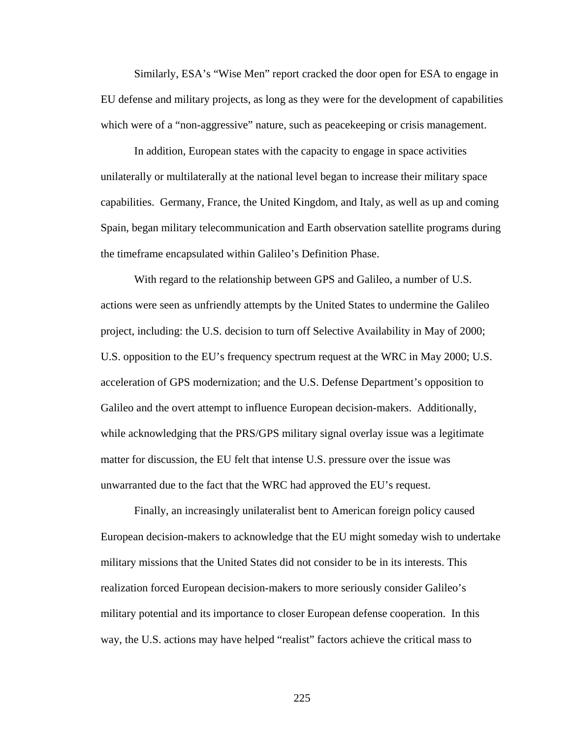Similarly, ESA's "Wise Men" report cracked the door open for ESA to engage in EU defense and military projects, as long as they were for the development of capabilities which were of a "non-aggressive" nature, such as peace keeping or crisis management.

In addition, European states with the capacity to engage in space activities unilaterally or multilaterally at the national level began to increase their military space capabilities. Germany, France, the United Kingdom, and Italy, as well as up and coming Spain, began military telecommunication and Earth observation satellite programs during the timeframe encapsulated within Galileo's Definition Phase.

With regard to the relationship between GPS and Galileo, a number of U.S. actions were seen as unfriendly attempts by the United States to undermine the Galileo project, including: the U.S. decision to turn off Selective Availability in May of 2000; U.S. opposition to the EU's frequency spectrum request at the WRC in May 2000; U.S. acceleration of GPS modernization; and the U.S. Defense Department's opposition to Galileo and the overt attempt to influence European decision-makers. Additionally, while acknowledging that the PRS/GPS military signal overlay issue was a legitimate matter for discussion, the EU felt that intense U.S. pressure over the issue was unwarranted due to the fact that the WRC had approved the EU's request.

Finally, an increasingly unilateralist bent to American foreign policy caused European decision-makers to acknowledge that the EU might someday wish to undertake military missions that the United States did not consider to be in its interests. This realization forced European decision-makers to more seriously consider Galileo's military potential and its importance to closer European defense cooperation. In this way, the U.S. actions may have helped "realist" factors achieve the critical mass to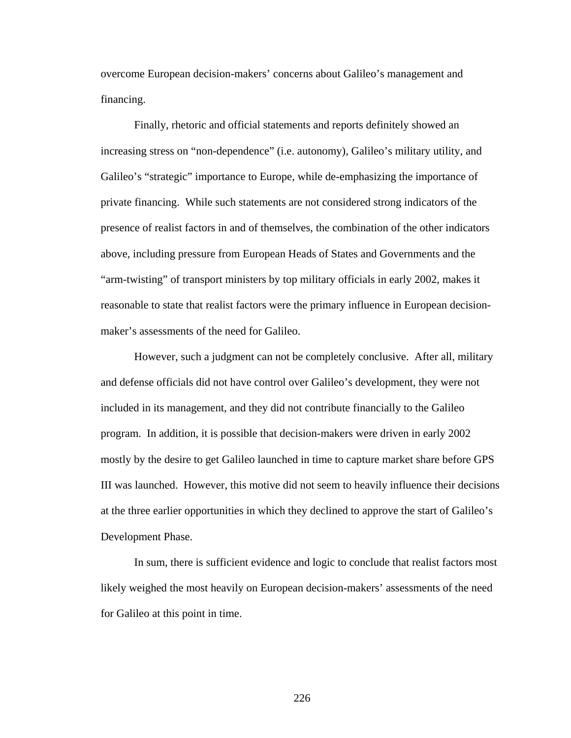overcome European decision-makers' concerns about Galileo's management and financing.

Finally, rhetoric and official statements and reports definitely showed an increasing stress on "non-dependence" (i.e. autonomy), Galileo's military utility, and Galileo's "strategic" importance to Europe, while de-emphasizing the importance of private financing. While such statements are not considered strong indicators of the presence of realist factors in and of themselves, the combination of the other indicators above, including pressure from European Heads of States and Governments and the "arm-twisting" of transport ministers by top military officials in early 2002, makes it reasonable to state that realist factors were the primary influence in European decisionmaker's assessments of the need for Galileo.

 However, such a judgment can not be completely conclusive. After all, military and defense officials did not have control over Galileo's development, they were not included in its management, and they did not contribute financially to the Galileo program. In addition, it is possible that decision-makers were driven in early 2002 mostly by the desire to get Galileo launched in time to capture market share before GPS III was launched. However, this motive did not seem to heavily influence their decisions at the three earlier opportunities in which they declined to approve the start of Galileo's Development Phase.

In sum, there is sufficient evidence and logic to conclude that realist factors most likely weighed the most heavily on European decision-makers' assessments of the need for Galileo at this point in time.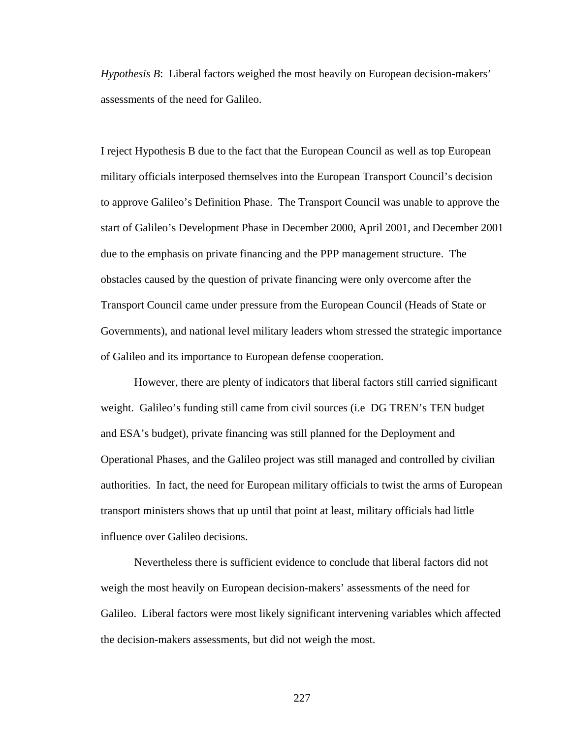*Hypothesis B*: Liberal factors weighed the most heavily on European decision-makers' assessments of the need for Galileo.

I reject Hypothesis B due to the fact that the European Council as well as top European military officials interposed themselves into the European Transport Council's decision to approve Galileo's Definition Phase. The Transport Council was unable to approve the start of Galileo's Development Phase in December 2000, April 2001, and December 2001 due to the emphasis on private financing and the PPP management structure. The obstacles caused by the question of private financing were only overcome after the Transport Council came under pressure from the European Council (Heads of State or Governments), and national level military leaders whom stressed the strategic importance of Galileo and its importance to European defense cooperation.

 However, there are plenty of indicators that liberal factors still carried significant weight. Galileo's funding still came from civil sources (i.e DG TREN's TEN budget and ESA's budget), private financing was still planned for the Deployment and Operational Phases, and the Galileo project was still managed and controlled by civilian authorities. In fact, the need for European military officials to twist the arms of European transport ministers shows that up until that point at least, military officials had little influence over Galileo decisions.

 Nevertheless there is sufficient evidence to conclude that liberal factors did not weigh the most heavily on European decision-makers' assessments of the need for Galileo. Liberal factors were most likely significant intervening variables which affected the decision-makers assessments, but did not weigh the most.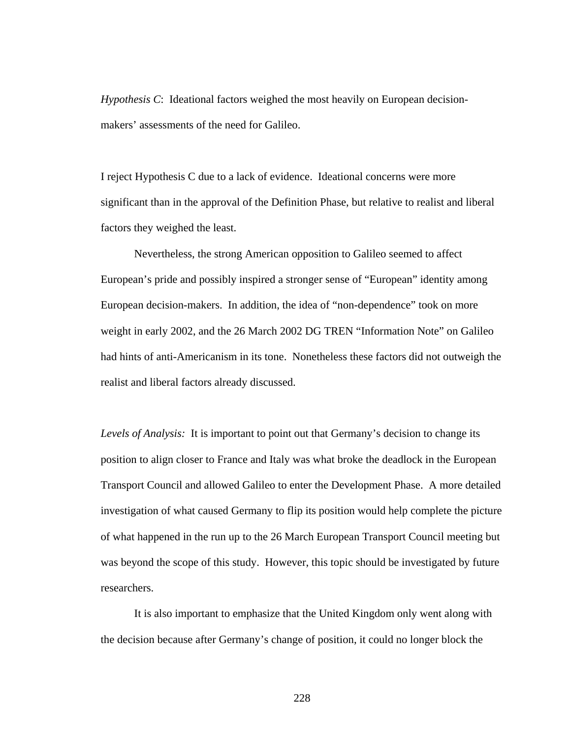*Hypothesis C*: Ideational factors weighed the most heavily on European decisionmakers' assessments of the need for Galileo.

I reject Hypothesis C due to a lack of evidence. Ideational concerns were more significant than in the approval of the Definition Phase, but relative to realist and liberal factors they weighed the least.

 Nevertheless, the strong American opposition to Galileo seemed to affect European's pride and possibly inspired a stronger sense of "European" identity among European decision-makers. In addition, the idea of "non-dependence" took on more weight in early 2002, and the 26 March 2002 DG TREN "Information Note" on Galileo had hints of anti-Americanism in its tone. Nonetheless these factors did not outweigh the realist and liberal factors already discussed.

*Levels of Analysis:* It is important to point out that Germany's decision to change its position to align closer to France and Italy was what broke the deadlock in the European Transport Council and allowed Galileo to enter the Development Phase. A more detailed investigation of what caused Germany to flip its position would help complete the picture of what happened in the run up to the 26 March European Transport Council meeting but was beyond the scope of this study. However, this topic should be investigated by future researchers.

It is also important to emphasize that the United Kingdom only went along with the decision because after Germany's change of position, it could no longer block the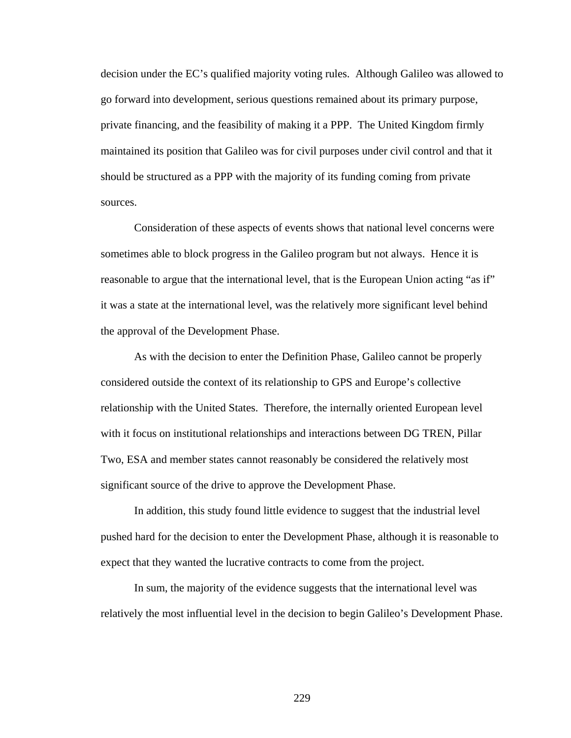decision under the EC's qualified majority voting rules. Although Galileo was allowed to go forward into development, serious questions remained about its primary purpose, private financing, and the feasibility of making it a PPP. The United Kingdom firmly maintained its position that Galileo was for civil purposes under civil control and that it should be structured as a PPP with the majority of its funding coming from private sources.

Consideration of these aspects of events shows that national level concerns were sometimes able to block progress in the Galileo program but not always. Hence it is reasonable to argue that the international level, that is the European Union acting "as if" it was a state at the international level, was the relatively more significant level behind the approval of the Development Phase.

As with the decision to enter the Definition Phase, Galileo cannot be properly considered outside the context of its relationship to GPS and Europe's collective relationship with the United States. Therefore, the internally oriented European level with it focus on institutional relationships and interactions between DG TREN, Pillar Two, ESA and member states cannot reasonably be considered the relatively most significant source of the drive to approve the Development Phase.

In addition, this study found little evidence to suggest that the industrial level pushed hard for the decision to enter the Development Phase, although it is reasonable to expect that they wanted the lucrative contracts to come from the project.

In sum, the majority of the evidence suggests that the international level was relatively the most influential level in the decision to begin Galileo's Development Phase.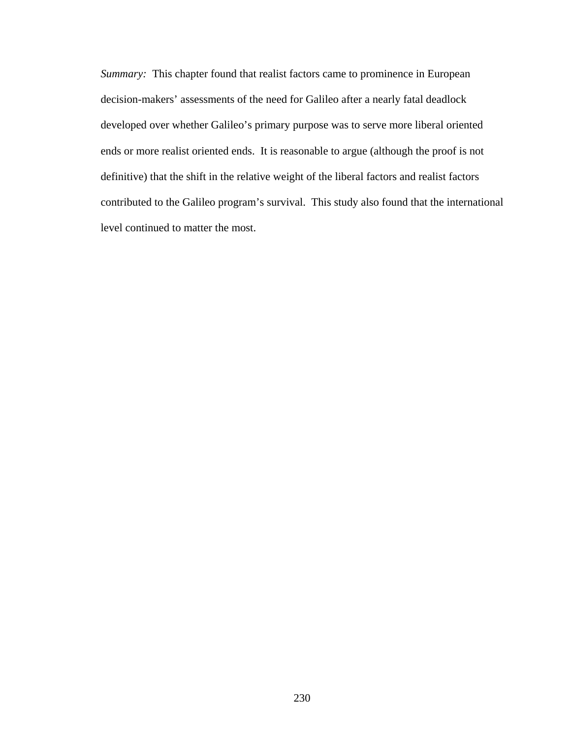*Summary:* This chapter found that realist factors came to prominence in European decision-makers' assessments of the need for Galileo after a nearly fatal deadlock developed over whether Galileo's primary purpose was to serve more liberal oriented ends or more realist oriented ends. It is reasonable to argue (although the proof is not definitive) that the shift in the relative weight of the liberal factors and realist factors contributed to the Galileo program's survival. This study also found that the international level continued to matter the most.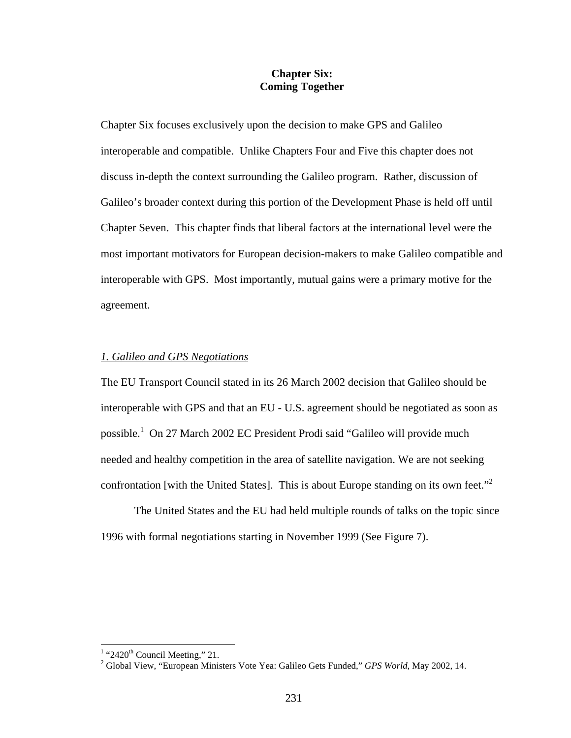## **Chapter Six: Coming Together**

Chapter Six focuses exclusively upon the decision to make GPS and Galileo interoperable and compatible. Unlike Chapters Four and Five this chapter does not discuss in-depth the context surrounding the Galileo program. Rather, discussion of Galileo's broader context during this portion of the Development Phase is held off until Chapter Seven. This chapter finds that liberal factors at the international level were the most important motivators for European decision-makers to make Galileo compatible and interoperable with GPS. Most importantly, mutual gains were a primary motive for the agreement.

## *1. Galileo and GPS Negotiations*

The EU Transport Council stated in its 26 March 2002 decision that Galileo should be interoperable with GPS and that an EU - U.S. agreement should be negotiated as soon as possible.<sup>1</sup> On 27 March 2002 EC President Prodi said "Galileo will provide much needed and healthy competition in the area of satellite navigation. We are not seeking confrontation [with the United States]. This is about Europe standing on its own feet."<sup>2</sup>

 The United States and the EU had held multiple rounds of talks on the topic since 1996 with formal negotiations starting in November 1999 (See Figure 7).

 $\frac{1}{2}$  "2420<sup>th</sup> Council Meeting," 21.

<sup>&</sup>lt;sup>2</sup> Global View, "European Ministers Vote Yea: Galileo Gets Funded," *GPS World*, May 2002, 14.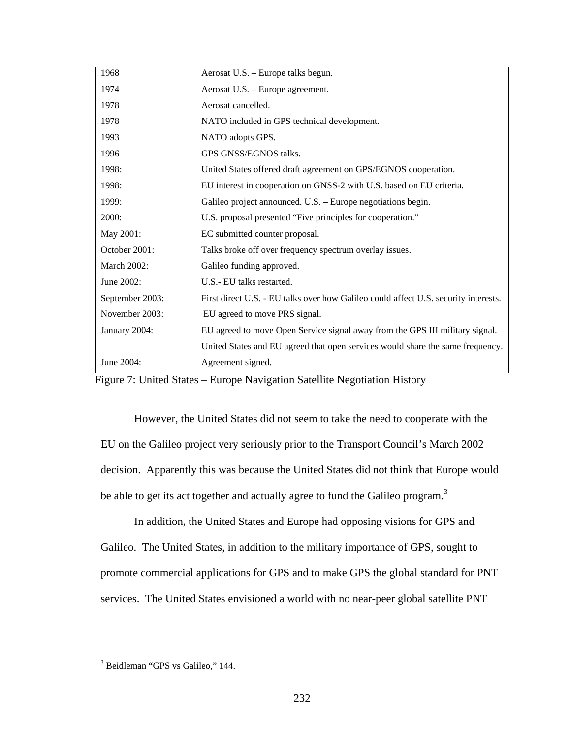| 1968            | Aerosat U.S. - Europe talks begun.                                                  |
|-----------------|-------------------------------------------------------------------------------------|
| 1974            | Aerosat U.S. - Europe agreement.                                                    |
| 1978            | Aerosat cancelled.                                                                  |
| 1978            | NATO included in GPS technical development.                                         |
| 1993            | NATO adopts GPS.                                                                    |
| 1996            | GPS GNSS/EGNOS talks.                                                               |
| 1998:           | United States offered draft agreement on GPS/EGNOS cooperation.                     |
| 1998:           | EU interest in cooperation on GNSS-2 with U.S. based on EU criteria.                |
| 1999:           | Galileo project announced. U.S. – Europe negotiations begin.                        |
| 2000:           | U.S. proposal presented "Five principles for cooperation."                          |
| May 2001:       | EC submitted counter proposal.                                                      |
| October 2001:   | Talks broke off over frequency spectrum overlay issues.                             |
| March 2002:     | Galileo funding approved.                                                           |
| June 2002:      | U.S.- EU talks restarted.                                                           |
| September 2003: | First direct U.S. - EU talks over how Galileo could affect U.S. security interests. |
| November 2003:  | EU agreed to move PRS signal.                                                       |
| January 2004:   | EU agreed to move Open Service signal away from the GPS III military signal.        |
|                 | United States and EU agreed that open services would share the same frequency.      |
| June 2004:      | Agreement signed.                                                                   |

Figure 7: United States – Europe Navigation Satellite Negotiation History

However, the United States did not seem to take the need to cooperate with the EU on the Galileo project very seriously prior to the Transport Council's March 2002 decision. Apparently this was because the United States did not think that Europe would be able to get its act together and actually agree to fund the Galileo program.<sup>3</sup>

In addition, the United States and Europe had opposing visions for GPS and Galileo. The United States, in addition to the military importance of GPS, sought to promote commercial applications for GPS and to make GPS the global standard for PNT services. The United States envisioned a world with no near-peer global satellite PNT

 3 Beidleman "GPS vs Galileo," 144.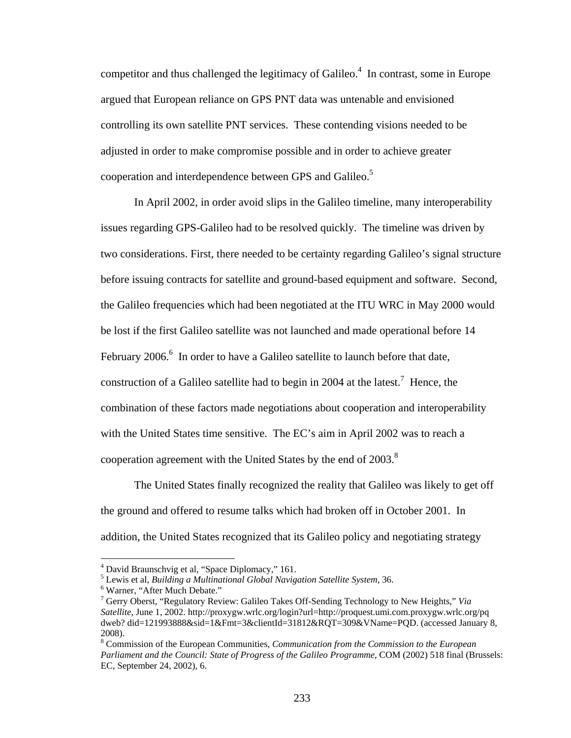competitor and thus challenged the legitimacy of Galileo. $4\,$  In contrast, some in Europe argued that European reliance on GPS PNT data was untenable and envisioned controlling its own satellite PNT services. These contending visions needed to be adjusted in order to make compromise possible and in order to achieve greater cooperation and interdependence between GPS and Galileo.<sup>5</sup>

In April 2002, in order avoid slips in the Galileo timeline, many interoperability issues regarding GPS-Galileo had to be resolved quickly. The timeline was driven by two considerations. First, there needed to be certainty regarding Galileo's signal structure before issuing contracts for satellite and ground-based equipment and software. Second, the Galileo frequencies which had been negotiated at the ITU WRC in May 2000 would be lost if the first Galileo satellite was not launched and made operational before 14 February 2006. $^6$  In order to have a Galileo satellite to launch before that date, construction of a Galileo satellite had to begin in 2004 at the latest.<sup>7</sup> Hence, the combination of these factors made negotiations about cooperation and interoperability with the United States time sensitive. The EC's aim in April 2002 was to reach a cooperation agreement with the United States by the end of  $2003$ .<sup>8</sup>

The United States finally recognized the reality that Galileo was likely to get off the ground and offered to resume talks which had broken off in October 2001. In addition, the United States recognized that its Galileo policy and negotiating strategy

 $^{4}$  David Braunschvig et al, "Space Diplomacy," 161.

Lewis et al, *Building a Multinational Global Navigation Satellite System,* 36. 6

Warner, "After Much Debate."

<sup>7</sup> Gerry Oberst, "Regulatory Review: Galileo Takes Off-Sending Technology to New Heights," *Via Satellite*, June 1, 2002. http://proxygw.wrlc.org/login?url=http://proquest.umi.com.proxygw.wrlc.org/pq dweb? did=121993888&sid=1&Fmt=3&clientId=31812&RQT=309&VName=PQD. (accessed January 8, 2008).

<sup>8</sup> Commission of the European Communities, *Communication from the Commission to the European Parliament and the Council: State of Progress of the Galileo Programme*, COM (2002) 518 final (Brussels: EC, September 24, 2002), 6.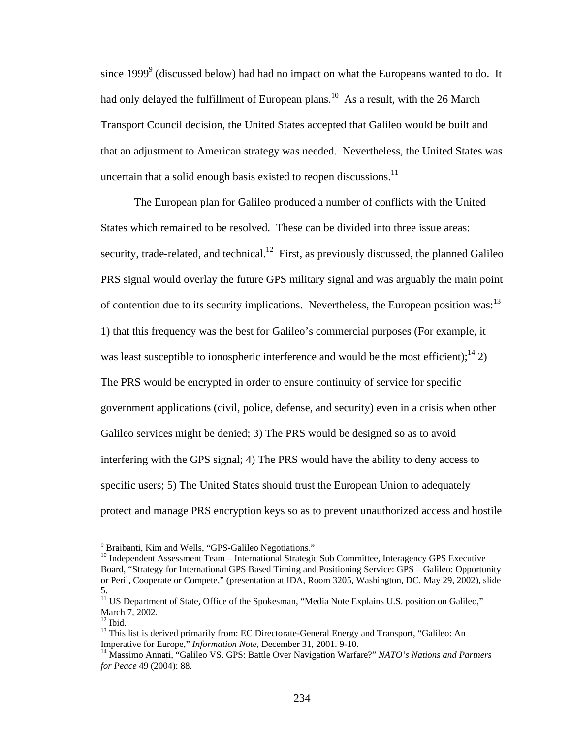since  $1999^9$  (discussed below) had had no impact on what the Europeans wanted to do. It had only delayed the fulfillment of European plans.<sup>10</sup> As a result, with the 26 March Transport Council decision, the United States accepted that Galileo would be built and that an adjustment to American strategy was needed. Nevertheless, the United States was uncertain that a solid enough basis existed to reopen discussions.<sup>11</sup>

The European plan for Galileo produced a number of conflicts with the United States which remained to be resolved. These can be divided into three issue areas: security, trade-related, and technical.<sup>12</sup> First, as previously discussed, the planned Galileo PRS signal would overlay the future GPS military signal and was arguably the main point of contention due to its security implications. Nevertheless, the European position was:  $13$ 1) that this frequency was the best for Galileo's commercial purposes (For example, it was least susceptible to ionospheric interference and would be the most efficient);<sup>14</sup> 2) The PRS would be encrypted in order to ensure continuity of service for specific government applications (civil, police, defense, and security) even in a crisis when other Galileo services might be denied; 3) The PRS would be designed so as to avoid interfering with the GPS signal; 4) The PRS would have the ability to deny access to specific users; 5) The United States should trust the European Union to adequately protect and manage PRS encryption keys so as to prevent unauthorized access and hostile

<sup>&</sup>lt;sup>9</sup> Braibanti, Kim and Wells, "GPS-Galileo Negotiations."

 $10$  Independent Assessment Team – International Strategic Sub Committee, Interagency GPS Executive Board, "Strategy for International GPS Based Timing and Positioning Service: GPS – Galileo: Opportunity or Peril, Cooperate or Compete," (presentation at IDA, Room 3205, Washington, DC. May 29, 2002), slide 5.

<sup>&</sup>lt;sup>11</sup> US Department of State, Office of the Spokesman, "Media Note Explains U.S. position on Galileo," March 7, 2002.

 $12$  Ibid.

<sup>&</sup>lt;sup>13</sup> This list is derived primarily from: EC Directorate-General Energy and Transport, "Galileo: An Imperative for Europe," *Information Note*, December 31, 2001. 9-10.

<sup>&</sup>lt;sup>14</sup> Massimo Annati, "Galileo VS. GPS: Battle Over Navigation Warfare?" *NATO's Nations and Partners for Peace* 49 (2004): 88.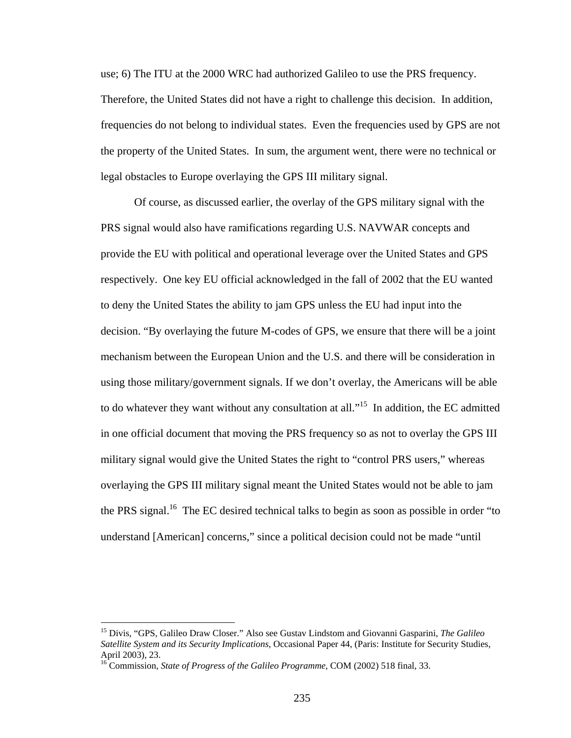use; 6) The ITU at the 2000 WRC had authorized Galileo to use the PRS frequency. Therefore, the United States did not have a right to challenge this decision. In addition, frequencies do not belong to individual states. Even the frequencies used by GPS are not the property of the United States. In sum, the argument went, there were no technical or legal obstacles to Europe overlaying the GPS III military signal.

Of course, as discussed earlier, the overlay of the GPS military signal with the PRS signal would also have ramifications regarding U.S. NAVWAR concepts and provide the EU with political and operational leverage over the United States and GPS respectively. One key EU official acknowledged in the fall of 2002 that the EU wanted to deny the United States the ability to jam GPS unless the EU had input into the decision. "By overlaying the future M-codes of GPS, we ensure that there will be a joint mechanism between the European Union and the U.S. and there will be consideration in using those military/government signals. If we don't overlay, the Americans will be able to do whatever they want without any consultation at all."<sup>15</sup> In addition, the EC admitted in one official document that moving the PRS frequency so as not to overlay the GPS III military signal would give the United States the right to "control PRS users," whereas overlaying the GPS III military signal meant the United States would not be able to jam the PRS signal.<sup>16</sup> The EC desired technical talks to begin as soon as possible in order "to" understand [American] concerns," since a political decision could not be made "until

<sup>15</sup> Divis, "GPS, Galileo Draw Closer." Also see Gustav Lindstom and Giovanni Gasparini, *The Galileo Satellite System and its Security Implications*, Occasional Paper 44, (Paris: Institute for Security Studies, April 2003), 23.

<sup>16</sup> Commission, *State of Progress of the Galileo Programme*, COM (2002) 518 final, 33.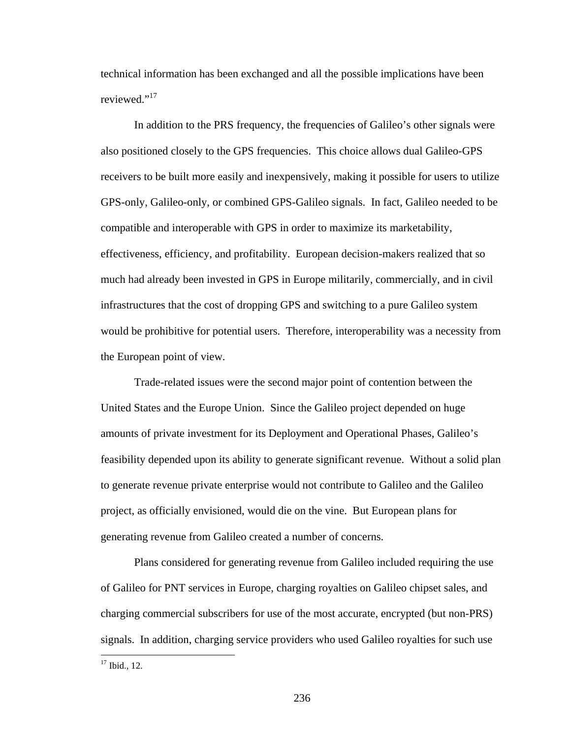technical information has been exchanged and all the possible implications have been reviewed."<sup>17</sup>

In addition to the PRS frequency, the frequencies of Galileo's other signals were also positioned closely to the GPS frequencies. This choice allows dual Galileo-GPS receivers to be built more easily and inexpensively, making it possible for users to utilize GPS-only, Galileo-only, or combined GPS-Galileo signals. In fact, Galileo needed to be compatible and interoperable with GPS in order to maximize its marketability, effectiveness, efficiency, and profitability. European decision-makers realized that so much had already been invested in GPS in Europe militarily, commercially, and in civil infrastructures that the cost of dropping GPS and switching to a pure Galileo system would be prohibitive for potential users. Therefore, interoperability was a necessity from the European point of view.

Trade-related issues were the second major point of contention between the United States and the Europe Union. Since the Galileo project depended on huge amounts of private investment for its Deployment and Operational Phases, Galileo's feasibility depended upon its ability to generate significant revenue. Without a solid plan to generate revenue private enterprise would not contribute to Galileo and the Galileo project, as officially envisioned, would die on the vine. But European plans for generating revenue from Galileo created a number of concerns.

Plans considered for generating revenue from Galileo included requiring the use of Galileo for PNT services in Europe, charging royalties on Galileo chipset sales, and charging commercial subscribers for use of the most accurate, encrypted (but non-PRS) signals. In addition, charging service providers who used Galileo royalties for such use

<u>.</u>

 $17$  Ibid., 12.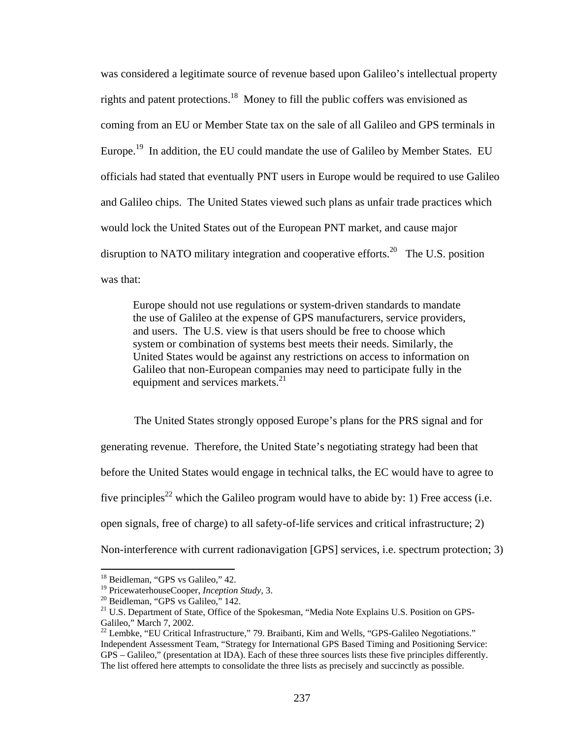was considered a legitimate source of revenue based upon Galileo's intellectual property rights and patent protections.18 Money to fill the public coffers was envisioned as coming from an EU or Member State tax on the sale of all Galileo and GPS terminals in Europe.<sup>19</sup> In addition, the EU could mandate the use of Galileo by Member States. EU officials had stated that eventually PNT users in Europe would be required to use Galileo and Galileo chips. The United States viewed such plans as unfair trade practices which would lock the United States out of the European PNT market, and cause major disruption to NATO military integration and cooperative efforts.<sup>20</sup> The U.S. position was that:

Europe should not use regulations or system-driven standards to mandate the use of Galileo at the expense of GPS manufacturers, service providers, and users. The U.S. view is that users should be free to choose which system or combination of systems best meets their needs. Similarly, the United States would be against any restrictions on access to information on Galileo that non-European companies may need to participate fully in the equipment and services markets.<sup>21</sup>

The United States strongly opposed Europe's plans for the PRS signal and for generating revenue. Therefore, the United State's negotiating strategy had been that before the United States would engage in technical talks, the EC would have to agree to five principles<sup>22</sup> which the Galileo program would have to abide by: 1) Free access (i.e. open signals, free of charge) to all safety-of-life services and critical infrastructure; 2) Non-interference with current radionavigation [GPS] services, i.e. spectrum protection; 3)

<sup>&</sup>lt;sup>18</sup> Beidleman, "GPS vs Galileo," 42.

<sup>&</sup>lt;sup>19</sup> PricewaterhouseCooper, *Inception Study*, 3.<br><sup>20</sup> Beidleman, "GPS vs Galileo," 142.

<sup>&</sup>lt;sup>21</sup> U.S. Department of State, Office of the Spokesman, "Media Note Explains U.S. Position on GPS-Galileo," March 7, 2002.

 $^{22}$  Lembke, "EU Critical Infrastructure," 79. Braibanti, Kim and Wells, "GPS-Galileo Negotiations." Independent Assessment Team, "Strategy for International GPS Based Timing and Positioning Service: GPS – Galileo," (presentation at IDA). Each of these three sources lists these five principles differently. The list offered here attempts to consolidate the three lists as precisely and succinctly as possible.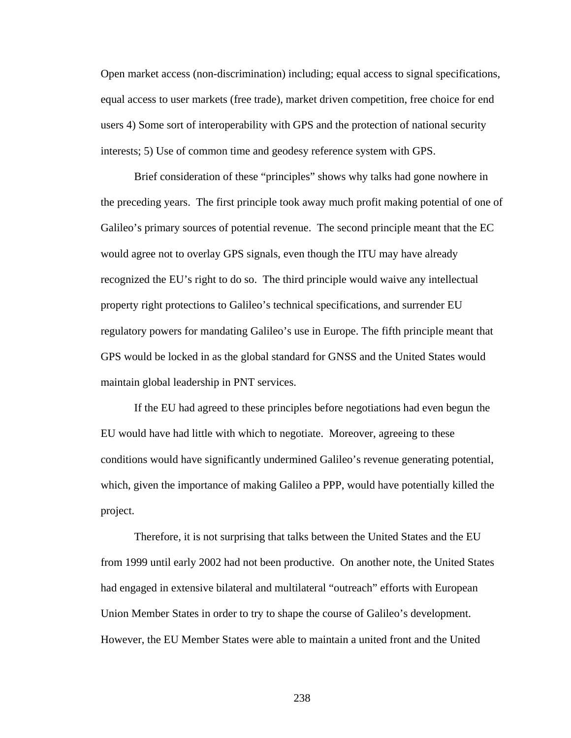Open market access (non-discrimination) including; equal access to signal specifications, equal access to user markets (free trade), market driven competition, free choice for end users 4) Some sort of interoperability with GPS and the protection of national security interests; 5) Use of common time and geodesy reference system with GPS.

Brief consideration of these "principles" shows why talks had gone nowhere in the preceding years. The first principle took away much profit making potential of one of Galileo's primary sources of potential revenue. The second principle meant that the EC would agree not to overlay GPS signals, even though the ITU may have already recognized the EU's right to do so. The third principle would waive any intellectual property right protections to Galileo's technical specifications, and surrender EU regulatory powers for mandating Galileo's use in Europe. The fifth principle meant that GPS would be locked in as the global standard for GNSS and the United States would maintain global leadership in PNT services.

If the EU had agreed to these principles before negotiations had even begun the EU would have had little with which to negotiate. Moreover, agreeing to these conditions would have significantly undermined Galileo's revenue generating potential, which, given the importance of making Galileo a PPP, would have potentially killed the project.

Therefore, it is not surprising that talks between the United States and the EU from 1999 until early 2002 had not been productive. On another note, the United States had engaged in extensive bilateral and multilateral "outreach" efforts with European Union Member States in order to try to shape the course of Galileo's development. However, the EU Member States were able to maintain a united front and the United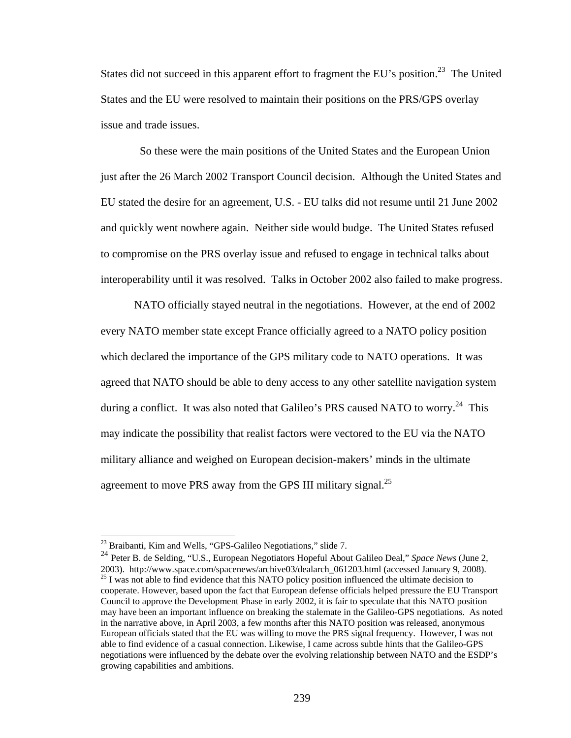States did not succeed in this apparent effort to fragment the EU's position.<sup>23</sup> The United States and the EU were resolved to maintain their positions on the PRS/GPS overlay issue and trade issues.

 So these were the main positions of the United States and the European Union just after the 26 March 2002 Transport Council decision. Although the United States and EU stated the desire for an agreement, U.S. - EU talks did not resume until 21 June 2002 and quickly went nowhere again. Neither side would budge. The United States refused to compromise on the PRS overlay issue and refused to engage in technical talks about interoperability until it was resolved. Talks in October 2002 also failed to make progress.

NATO officially stayed neutral in the negotiations. However, at the end of 2002 every NATO member state except France officially agreed to a NATO policy position which declared the importance of the GPS military code to NATO operations. It was agreed that NATO should be able to deny access to any other satellite navigation system during a conflict. It was also noted that Galileo's PRS caused NATO to worry.<sup>24</sup> This may indicate the possibility that realist factors were vectored to the EU via the NATO military alliance and weighed on European decision-makers' minds in the ultimate agreement to move PRS away from the GPS III military signal.<sup>25</sup>

 $^{23}$  Braibanti, Kim and Wells, "GPS-Galileo Negotiations," slide 7.

<sup>&</sup>lt;sup>24</sup> Peter B. de Selding, "U.S., European Negotiators Hopeful About Galileo Deal," *Space News* (June 2, 2003). http://www.space.com/spacenews/archive03/dealarch 061203.html (accessed January 9, 2008).  $25$  I was not able to find evidence that this NATO policy position influenced the ultimate decision to cooperate. However, based upon the fact that European defense officials helped pressure the EU Transport Council to approve the Development Phase in early 2002, it is fair to speculate that this NATO position may have been an important influence on breaking the stalemate in the Galileo-GPS negotiations. As noted in the narrative above, in April 2003, a few months after this NATO position was released, anonymous European officials stated that the EU was willing to move the PRS signal frequency. However, I was not able to find evidence of a casual connection. Likewise, I came across subtle hints that the Galileo-GPS negotiations were influenced by the debate over the evolving relationship between NATO and the ESDP's growing capabilities and ambitions.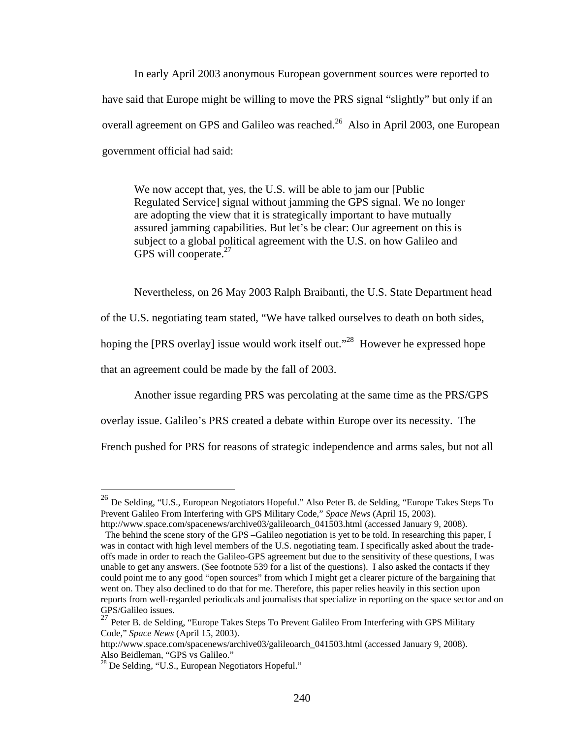In early April 2003 anonymous European government sources were reported to have said that Europe might be willing to move the PRS signal "slightly" but only if an overall agreement on GPS and Galileo was reached.<sup>26</sup> Also in April 2003, one European government official had said:

We now accept that, yes, the U.S. will be able to jam our [Public Regulated Service] signal without jamming the GPS signal. We no longer are adopting the view that it is strategically important to have mutually assured jamming capabilities. But let's be clear: Our agreement on this is subject to a global political agreement with the U.S. on how Galileo and GPS will cooperate.<sup>27</sup>

Nevertheless, on 26 May 2003 Ralph Braibanti, the U.S. State Department head of the U.S. negotiating team stated, "We have talked ourselves to death on both sides, hoping the [PRS overlay] issue would work itself out."<sup>28</sup> However he expressed hope that an agreement could be made by the fall of 2003.

Another issue regarding PRS was percolating at the same time as the PRS/GPS

overlay issue. Galileo's PRS created a debate within Europe over its necessity. The

French pushed for PRS for reasons of strategic independence and arms sales, but not all

<u>.</u>

<sup>26</sup> De Selding, "U.S., European Negotiators Hopeful." Also Peter B. de Selding, "Europe Takes Steps To Prevent Galileo From Interfering with GPS Military Code," *Space News* (April 15, 2003).

http://www.space.com/spacenews/archive03/galileoarch 041503.html (accessed January 9, 2008). The behind the scene story of the GPS –Galileo negotiation is yet to be told. In researching this paper, I was in contact with high level members of the U.S. negotiating team. I specifically asked about the tradeoffs made in order to reach the Galileo-GPS agreement but due to the sensitivity of these questions, I was unable to get any answers. (See footnote 539 for a list of the questions). I also asked the contacts if they could point me to any good "open sources" from which I might get a clearer picture of the bargaining that went on. They also declined to do that for me. Therefore, this paper relies heavily in this section upon reports from well-regarded periodicals and journalists that specialize in reporting on the space sector and on GPS/Galileo issues.

<sup>&</sup>lt;sup>27</sup> Peter B. de Selding, "Europe Takes Steps To Prevent Galileo From Interfering with GPS Military Code," *Space News* (April 15, 2003).

http://www.space.com/spacenews/archive03/galileoarch 041503.html (accessed January 9, 2008). Also Beidleman, "GPS vs Galileo."

 $^{28}$  De Selding, "U.S., European Negotiators Hopeful."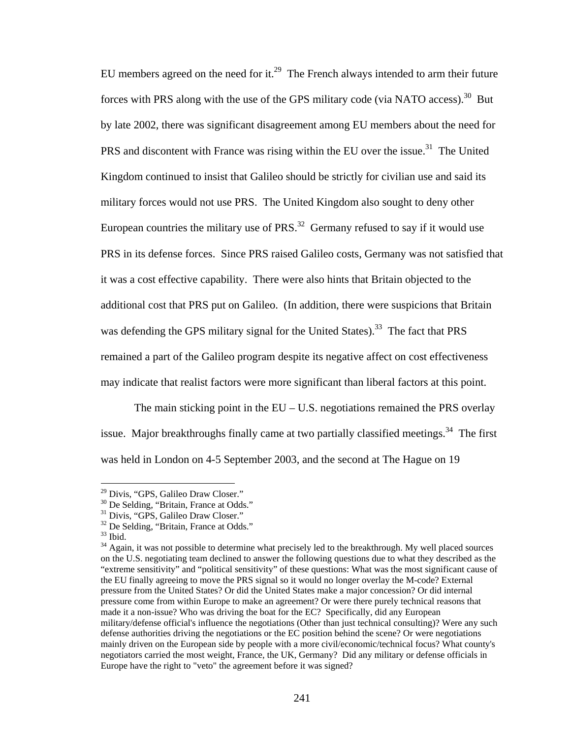EU members agreed on the need for it.<sup>29</sup> The French always intended to arm their future forces with PRS along with the use of the GPS military code (via NATO access).<sup>30</sup> But by late 2002, there was significant disagreement among EU members about the need for PRS and discontent with France was rising within the EU over the issue.<sup>31</sup> The United Kingdom continued to insist that Galileo should be strictly for civilian use and said its military forces would not use PRS. The United Kingdom also sought to deny other European countries the military use of  $PRS<sup>32</sup>$  Germany refused to say if it would use PRS in its defense forces. Since PRS raised Galileo costs, Germany was not satisfied that it was a cost effective capability. There were also hints that Britain objected to the additional cost that PRS put on Galileo. (In addition, there were suspicions that Britain was defending the GPS military signal for the United States).<sup>33</sup> The fact that PRS remained a part of the Galileo program despite its negative affect on cost effectiveness may indicate that realist factors were more significant than liberal factors at this point.

The main sticking point in the  $EU - U.S.$  negotiations remained the PRS overlay issue. Major breakthroughs finally came at two partially classified meetings.<sup>34</sup> The first was held in London on 4-5 September 2003, and the second at The Hague on 19

<sup>&</sup>lt;sup>29</sup> Divis, "GPS, Galileo Draw Closer."

<sup>&</sup>lt;sup>30</sup> De Selding, "Britain, France at Odds."

<sup>&</sup>lt;sup>31</sup> Divis, "GPS, Galileo Draw Closer."

<sup>&</sup>lt;sup>32</sup> De Selding, "Britain, France at Odds."

 $33$  Ibid.

<sup>&</sup>lt;sup>34</sup> Again, it was not possible to determine what precisely led to the breakthrough. My well placed sources on the U.S. negotiating team declined to answer the following questions due to what they described as the "extreme sensitivity" and "political sensitivity" of these questions: What was the most significant cause of the EU finally agreeing to move the PRS signal so it would no longer overlay the M-code? External pressure from the United States? Or did the United States make a major concession? Or did internal pressure come from within Europe to make an agreement? Or were there purely technical reasons that made it a non-issue? Who was driving the boat for the EC? Specifically, did any European military/defense official's influence the negotiations (Other than just technical consulting)? Were any such defense authorities driving the negotiations or the EC position behind the scene? Or were negotiations mainly driven on the European side by people with a more civil/economic/technical focus? What county's negotiators carried the most weight, France, the UK, Germany? Did any military or defense officials in Europe have the right to "veto" the agreement before it was signed?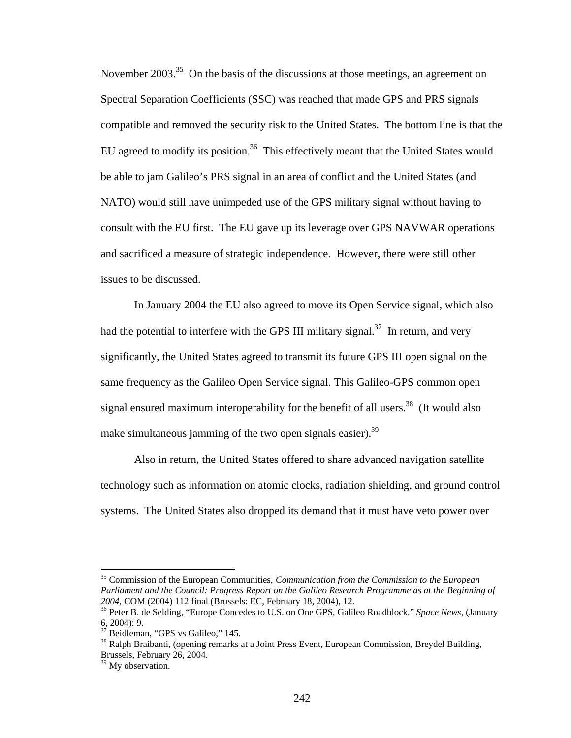November 2003.<sup>35</sup> On the basis of the discussions at those meetings, an agreement on Spectral Separation Coefficients (SSC) was reached that made GPS and PRS signals compatible and removed the security risk to the United States. The bottom line is that the EU agreed to modify its position.<sup>36</sup> This effectively meant that the United States would be able to jam Galileo's PRS signal in an area of conflict and the United States (and NATO) would still have unimpeded use of the GPS military signal without having to consult with the EU first. The EU gave up its leverage over GPS NAVWAR operations and sacrificed a measure of strategic independence. However, there were still other issues to be discussed.

In January 2004 the EU also agreed to move its Open Service signal, which also had the potential to interfere with the GPS III military signal.<sup>37</sup> In return, and very significantly, the United States agreed to transmit its future GPS III open signal on the same frequency as the Galileo Open Service signal. This Galileo-GPS common open signal ensured maximum interoperability for the benefit of all users.<sup>38</sup> (It would also make simultaneous jamming of the two open signals easier).<sup>39</sup>

Also in return, the United States offered to share advanced navigation satellite technology such as information on atomic clocks, radiation shielding, and ground control systems. The United States also dropped its demand that it must have veto power over

<sup>35</sup> Commission of the European Communities, *Communication from the Commission to the European Parliament and the Council: Progress Report on the Galileo Research Programme as at the Beginning of* 

<sup>&</sup>lt;sup>26</sup> Peter B. de Selding, "Europe Concedes to U.S. on One GPS, Galileo Roadblock," *Space News*, (January 6, 2004): 9.

 $37$  Beidleman, "GPS vs Galileo," 145.

<sup>&</sup>lt;sup>38</sup> Ralph Braibanti, (opening remarks at a Joint Press Event, European Commission, Breydel Building, Brussels, February 26, 2004.

 $39$  My observation.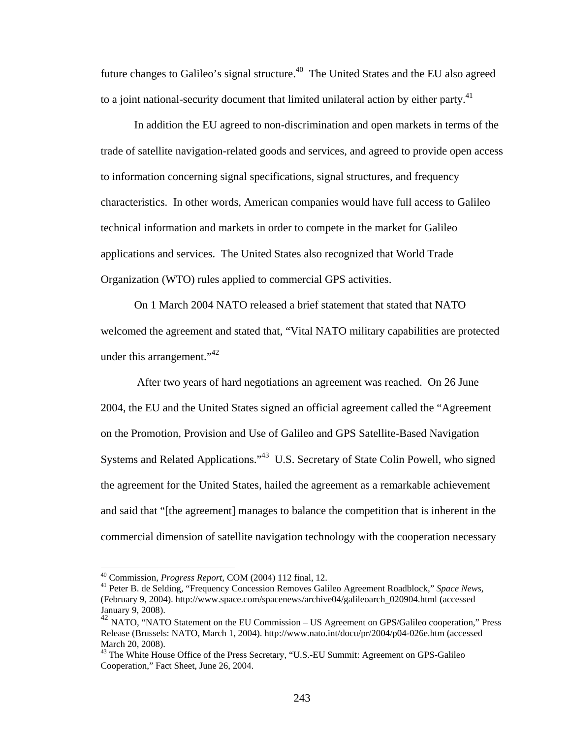future changes to Galileo's signal structure.<sup>40</sup> The United States and the EU also agreed to a joint national-security document that limited unilateral action by either party.<sup>41</sup>

In addition the EU agreed to non-discrimination and open markets in terms of the trade of satellite navigation-related goods and services, and agreed to provide open access to information concerning signal specifications, signal structures, and frequency characteristics. In other words, American companies would have full access to Galileo technical information and markets in order to compete in the market for Galileo applications and services. The United States also recognized that World Trade Organization (WTO) rules applied to commercial GPS activities.

On 1 March 2004 NATO released a brief statement that stated that NATO welcomed the agreement and stated that, "Vital NATO military capabilities are protected under this arrangement."<sup>42</sup>

 After two years of hard negotiations an agreement was reached. On 26 June 2004, the EU and the United States signed an official agreement called the "Agreement on the Promotion, Provision and Use of Galileo and GPS Satellite-Based Navigation Systems and Related Applications."43 U.S. Secretary of State Colin Powell, who signed the agreement for the United States, hailed the agreement as a remarkable achievement and said that "[the agreement] manages to balance the competition that is inherent in the commercial dimension of satellite navigation technology with the cooperation necessary

<sup>40</sup> Commission, *Progress Report,* COM (2004) 112 final, 12. 41 Peter B. de Selding, "Frequency Concession Removes Galileo Agreement Roadblock," *Space News*, (February 9, 2004). http://www.space.com/spacenews/archive04/galileoarch\_020904.html (accessed January 9, 2008).

 $^{42}$  NATO, "NATO Statement on the EU Commission – US Agreement on GPS/Galileo cooperation," Press Release (Brussels: NATO, March 1, 2004). http://www.nato.int/docu/pr/2004/p04-026e.htm (accessed March 20, 2008).

<sup>&</sup>lt;sup>43</sup> The White House Office of the Press Secretary, "U.S.-EU Summit: Agreement on GPS-Galileo Cooperation," Fact Sheet, June 26, 2004.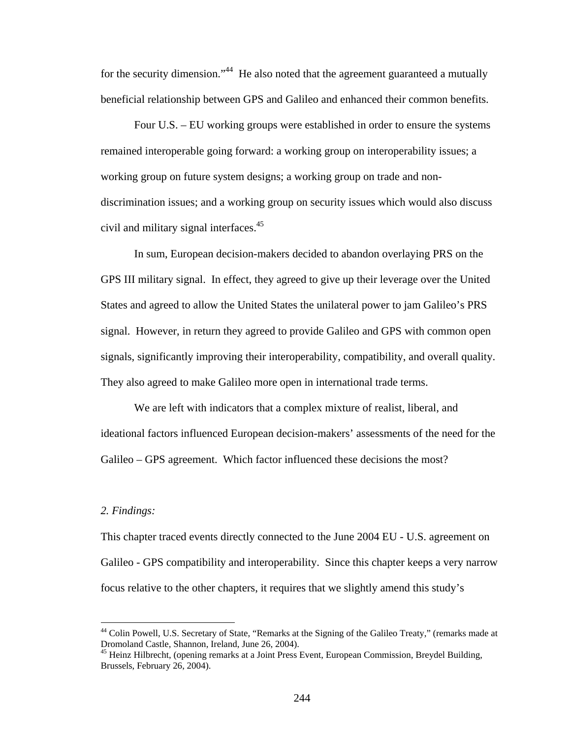for the security dimension."<sup>44</sup> He also noted that the agreement guaranteed a mutually beneficial relationship between GPS and Galileo and enhanced their common benefits.

Four U.S. – EU working groups were established in order to ensure the systems remained interoperable going forward: a working group on interoperability issues; a working group on future system designs; a working group on trade and nondiscrimination issues; and a working group on security issues which would also discuss civil and military signal interfaces.<sup>45</sup>

In sum, European decision-makers decided to abandon overlaying PRS on the GPS III military signal. In effect, they agreed to give up their leverage over the United States and agreed to allow the United States the unilateral power to jam Galileo's PRS signal. However, in return they agreed to provide Galileo and GPS with common open signals, significantly improving their interoperability, compatibility, and overall quality. They also agreed to make Galileo more open in international trade terms.

We are left with indicators that a complex mixture of realist, liberal, and ideational factors influenced European decision-makers' assessments of the need for the Galileo – GPS agreement. Which factor influenced these decisions the most?

## *2. Findings:*

 $\overline{a}$ 

This chapter traced events directly connected to the June 2004 EU - U.S. agreement on Galileo - GPS compatibility and interoperability. Since this chapter keeps a very narrow focus relative to the other chapters, it requires that we slightly amend this study's

<sup>&</sup>lt;sup>44</sup> Colin Powell, U.S. Secretary of State, "Remarks at the Signing of the Galileo Treaty," (remarks made at Dromoland Castle, Shannon, Ireland, June 26, 2004).

 $45$  Heinz Hilbrecht, (opening remarks at a Joint Press Event, European Commission, Breydel Building, Brussels, February 26, 2004).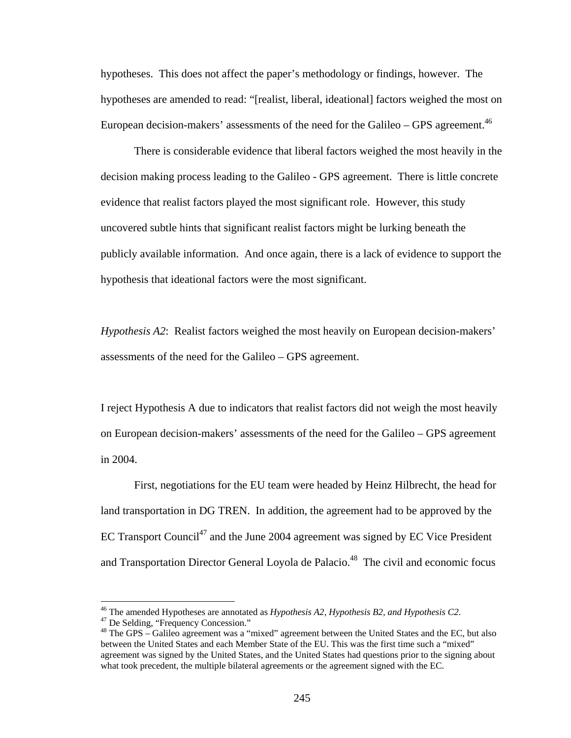hypotheses. This does not affect the paper's methodology or findings, however. The hypotheses are amended to read: "[realist, liberal, ideational] factors weighed the most on European decision-makers' assessments of the need for the Galileo – GPS agreement.<sup>46</sup>

There is considerable evidence that liberal factors weighed the most heavily in the decision making process leading to the Galileo - GPS agreement. There is little concrete evidence that realist factors played the most significant role. However, this study uncovered subtle hints that significant realist factors might be lurking beneath the publicly available information. And once again, there is a lack of evidence to support the hypothesis that ideational factors were the most significant.

*Hypothesis A2*: Realist factors weighed the most heavily on European decision-makers' assessments of the need for the Galileo – GPS agreement.

I reject Hypothesis A due to indicators that realist factors did not weigh the most heavily on European decision-makers' assessments of the need for the Galileo – GPS agreement in 2004.

First, negotiations for the EU team were headed by Heinz Hilbrecht, the head for land transportation in DG TREN. In addition, the agreement had to be approved by the EC Transport Council<sup>47</sup> and the June 2004 agreement was signed by EC Vice President and Transportation Director General Loyola de Palacio.<sup>48</sup> The civil and economic focus

<sup>&</sup>lt;sup>46</sup> The amended Hypotheses are annotated as *Hypothesis A2, Hypothesis B2, and Hypothesis C2*. <sup>47</sup> De Selding, "Frequency Concession."

<sup>&</sup>lt;sup>48</sup> The GPS – Galileo agreement was a "mixed" agreement between the United States and the EC, but also between the United States and each Member State of the EU. This was the first time such a "mixed" agreement was signed by the United States, and the United States had questions prior to the signing about what took precedent, the multiple bilateral agreements or the agreement signed with the EC.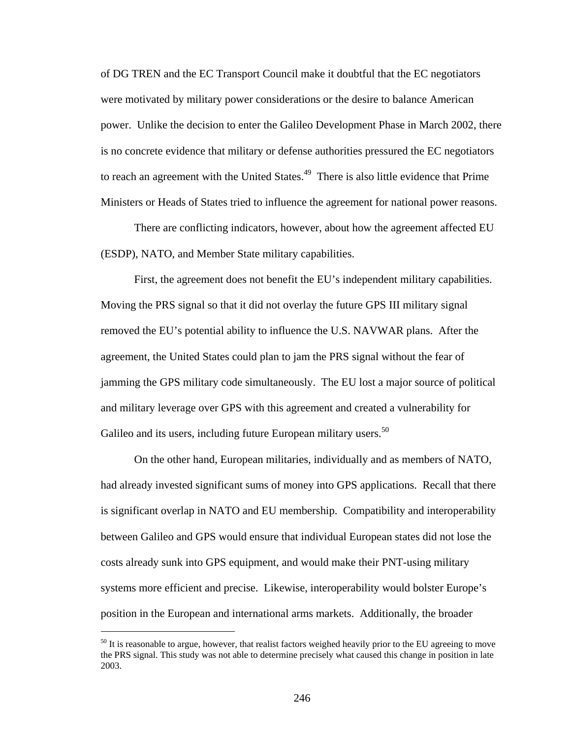of DG TREN and the EC Transport Council make it doubtful that the EC negotiators were motivated by military power considerations or the desire to balance American power. Unlike the decision to enter the Galileo Development Phase in March 2002, there is no concrete evidence that military or defense authorities pressured the EC negotiators to reach an agreement with the United States.<sup>49</sup> There is also little evidence that Prime Ministers or Heads of States tried to influence the agreement for national power reasons.

There are conflicting indicators, however, about how the agreement affected EU (ESDP), NATO, and Member State military capabilities.

First, the agreement does not benefit the EU's independent military capabilities. Moving the PRS signal so that it did not overlay the future GPS III military signal removed the EU's potential ability to influence the U.S. NAVWAR plans. After the agreement, the United States could plan to jam the PRS signal without the fear of jamming the GPS military code simultaneously. The EU lost a major source of political and military leverage over GPS with this agreement and created a vulnerability for Galileo and its users, including future European military users.<sup>50</sup>

On the other hand, European militaries, individually and as members of NATO, had already invested significant sums of money into GPS applications. Recall that there is significant overlap in NATO and EU membership. Compatibility and interoperability between Galileo and GPS would ensure that individual European states did not lose the costs already sunk into GPS equipment, and would make their PNT-using military systems more efficient and precise. Likewise, interoperability would bolster Europe's position in the European and international arms markets. Additionally, the broader

 $50$  It is reasonable to argue, however, that realist factors weighed heavily prior to the EU agreeing to move the PRS signal. This study was not able to determine precisely what caused this change in position in late 2003.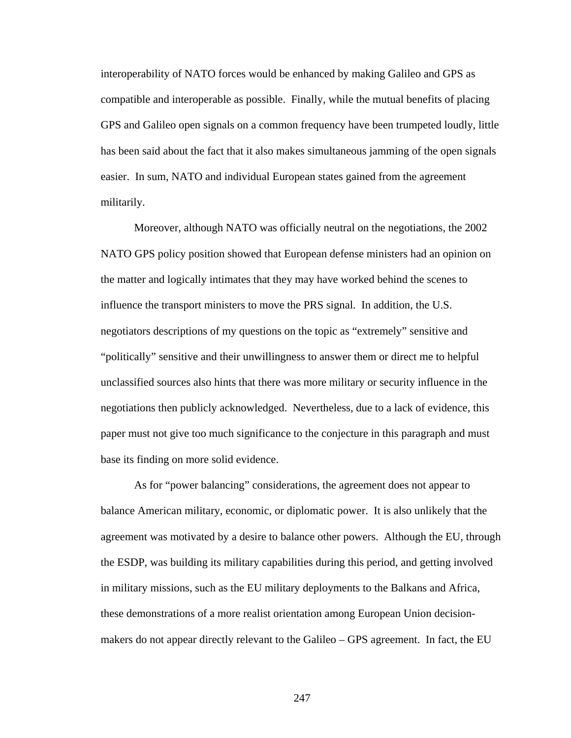interoperability of NATO forces would be enhanced by making Galileo and GPS as compatible and interoperable as possible. Finally, while the mutual benefits of placing GPS and Galileo open signals on a common frequency have been trumpeted loudly, little has been said about the fact that it also makes simultaneous jamming of the open signals easier. In sum, NATO and individual European states gained from the agreement militarily.

Moreover, although NATO was officially neutral on the negotiations, the 2002 NATO GPS policy position showed that European defense ministers had an opinion on the matter and logically intimates that they may have worked behind the scenes to influence the transport ministers to move the PRS signal. In addition, the U.S. negotiators descriptions of my questions on the topic as "extremely" sensitive and "politically" sensitive and their unwillingness to answer them or direct me to helpful unclassified sources also hints that there was more military or security influence in the negotiations then publicly acknowledged. Nevertheless, due to a lack of evidence, this paper must not give too much significance to the conjecture in this paragraph and must base its finding on more solid evidence.

As for "power balancing" considerations, the agreement does not appear to balance American military, economic, or diplomatic power. It is also unlikely that the agreement was motivated by a desire to balance other powers. Although the EU, through the ESDP, was building its military capabilities during this period, and getting involved in military missions, such as the EU military deployments to the Balkans and Africa, these demonstrations of a more realist orientation among European Union decisionmakers do not appear directly relevant to the Galileo – GPS agreement. In fact, the EU

247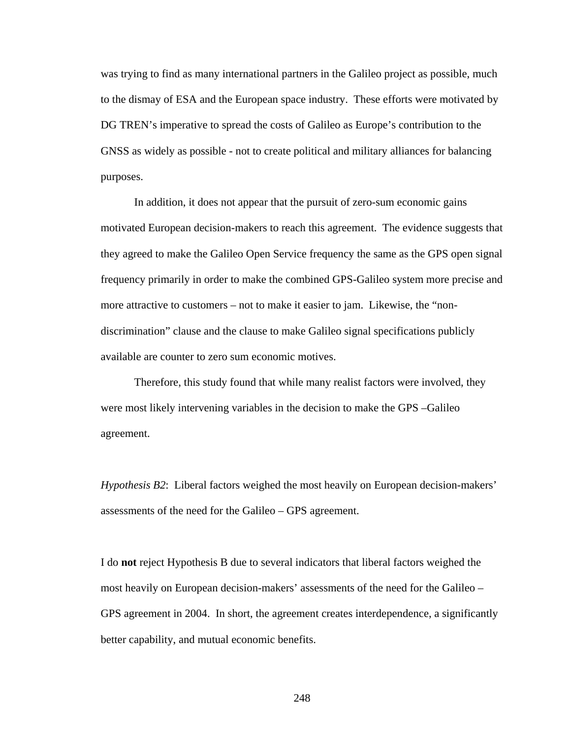was trying to find as many international partners in the Galileo project as possible, much to the dismay of ESA and the European space industry. These efforts were motivated by DG TREN's imperative to spread the costs of Galileo as Europe's contribution to the GNSS as widely as possible - not to create political and military alliances for balancing purposes.

In addition, it does not appear that the pursuit of zero-sum economic gains motivated European decision-makers to reach this agreement. The evidence suggests that they agreed to make the Galileo Open Service frequency the same as the GPS open signal frequency primarily in order to make the combined GPS-Galileo system more precise and more attractive to customers – not to make it easier to jam. Likewise, the "nondiscrimination" clause and the clause to make Galileo signal specifications publicly available are counter to zero sum economic motives.

 Therefore, this study found that while many realist factors were involved, they were most likely intervening variables in the decision to make the GPS –Galileo agreement.

*Hypothesis B2*: Liberal factors weighed the most heavily on European decision-makers' assessments of the need for the Galileo – GPS agreement.

I do **not** reject Hypothesis B due to several indicators that liberal factors weighed the most heavily on European decision-makers' assessments of the need for the Galileo – GPS agreement in 2004. In short, the agreement creates interdependence, a significantly better capability, and mutual economic benefits.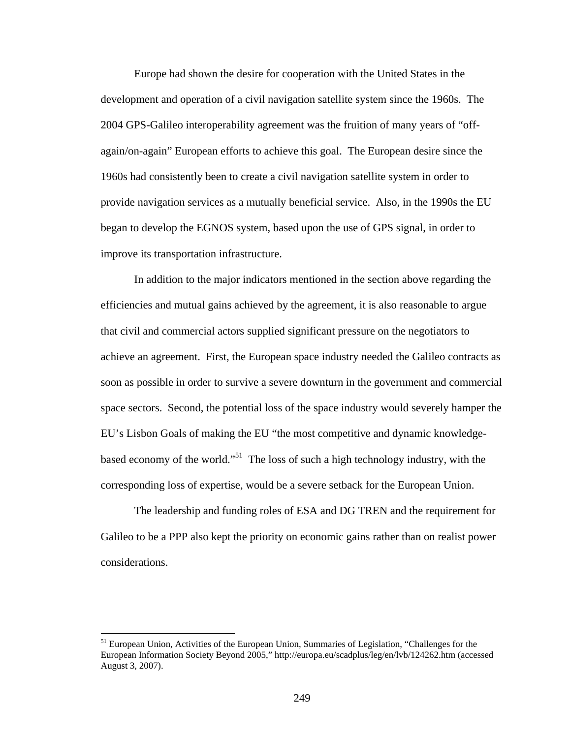Europe had shown the desire for cooperation with the United States in the development and operation of a civil navigation satellite system since the 1960s. The 2004 GPS-Galileo interoperability agreement was the fruition of many years of "offagain/on-again" European efforts to achieve this goal. The European desire since the 1960s had consistently been to create a civil navigation satellite system in order to provide navigation services as a mutually beneficial service. Also, in the 1990s the EU began to develop the EGNOS system, based upon the use of GPS signal, in order to improve its transportation infrastructure.

 In addition to the major indicators mentioned in the section above regarding the efficiencies and mutual gains achieved by the agreement, it is also reasonable to argue that civil and commercial actors supplied significant pressure on the negotiators to achieve an agreement. First, the European space industry needed the Galileo contracts as soon as possible in order to survive a severe downturn in the government and commercial space sectors. Second, the potential loss of the space industry would severely hamper the EU's Lisbon Goals of making the EU "the most competitive and dynamic knowledgebased economy of the world."51 The loss of such a high technology industry, with the corresponding loss of expertise, would be a severe setback for the European Union.

 The leadership and funding roles of ESA and DG TREN and the requirement for Galileo to be a PPP also kept the priority on economic gains rather than on realist power considerations.

1

<sup>&</sup>lt;sup>51</sup> European Union, Activities of the European Union, Summaries of Legislation, "Challenges for the European Information Society Beyond 2005," http://europa.eu/scadplus/leg/en/lvb/124262.htm (accessed August 3, 2007).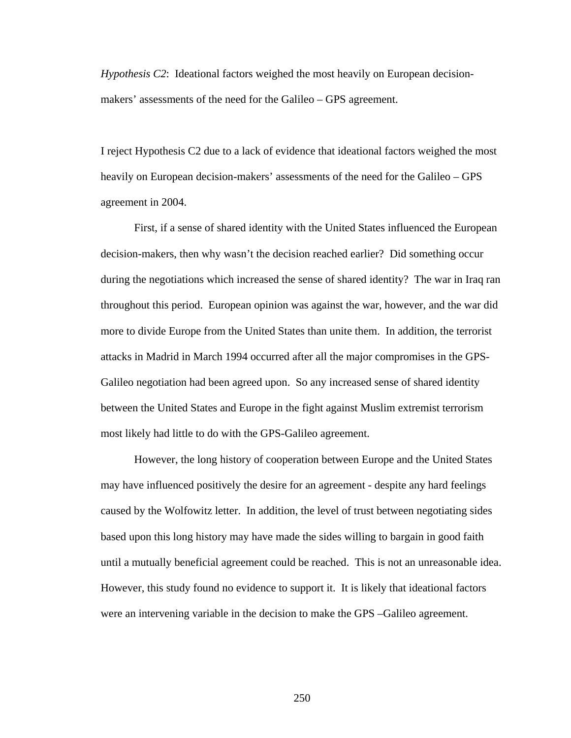*Hypothesis C2*: Ideational factors weighed the most heavily on European decisionmakers' assessments of the need for the Galileo – GPS agreement.

I reject Hypothesis C2 due to a lack of evidence that ideational factors weighed the most heavily on European decision-makers' assessments of the need for the Galileo – GPS agreement in 2004.

 First, if a sense of shared identity with the United States influenced the European decision-makers, then why wasn't the decision reached earlier? Did something occur during the negotiations which increased the sense of shared identity? The war in Iraq ran throughout this period. European opinion was against the war, however, and the war did more to divide Europe from the United States than unite them. In addition, the terrorist attacks in Madrid in March 1994 occurred after all the major compromises in the GPS-Galileo negotiation had been agreed upon. So any increased sense of shared identity between the United States and Europe in the fight against Muslim extremist terrorism most likely had little to do with the GPS-Galileo agreement.

 However, the long history of cooperation between Europe and the United States may have influenced positively the desire for an agreement - despite any hard feelings caused by the Wolfowitz letter. In addition, the level of trust between negotiating sides based upon this long history may have made the sides willing to bargain in good faith until a mutually beneficial agreement could be reached. This is not an unreasonable idea. However, this study found no evidence to support it. It is likely that ideational factors were an intervening variable in the decision to make the GPS –Galileo agreement.

250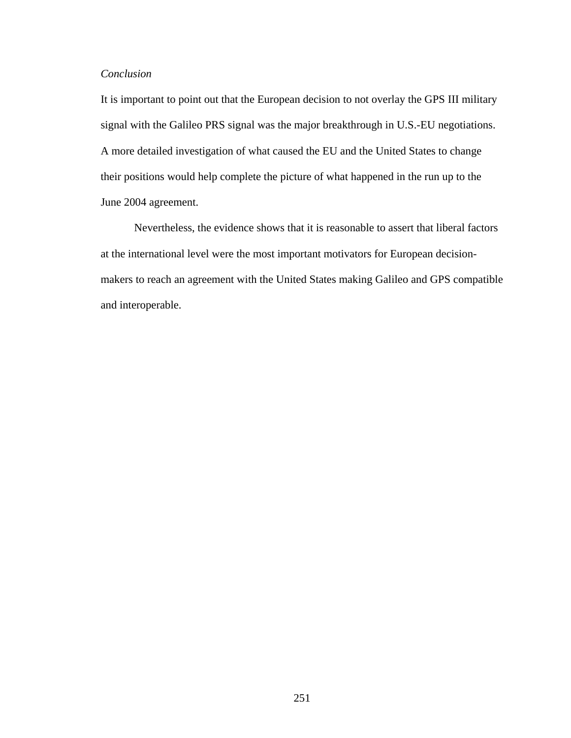## *Conclusion*

It is important to point out that the European decision to not overlay the GPS III military signal with the Galileo PRS signal was the major breakthrough in U.S.-EU negotiations. A more detailed investigation of what caused the EU and the United States to change their positions would help complete the picture of what happened in the run up to the June 2004 agreement.

Nevertheless, the evidence shows that it is reasonable to assert that liberal factors at the international level were the most important motivators for European decisionmakers to reach an agreement with the United States making Galileo and GPS compatible and interoperable.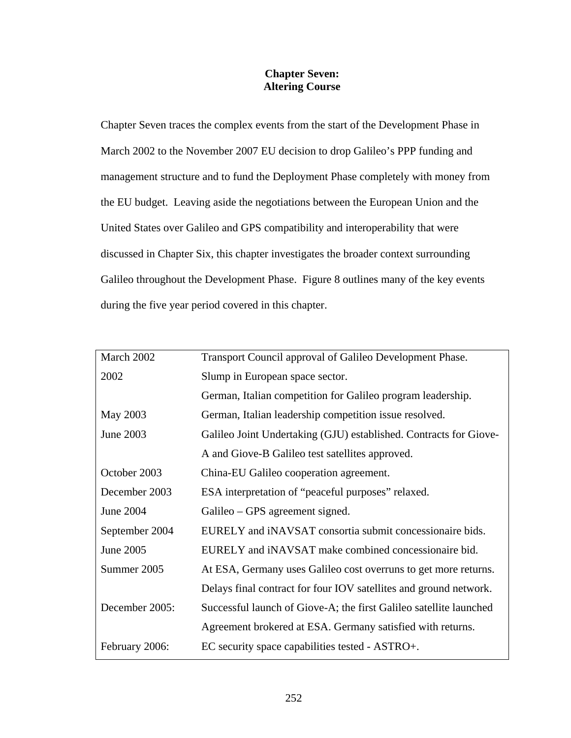# **Chapter Seven: Altering Course**

Chapter Seven traces the complex events from the start of the Development Phase in March 2002 to the November 2007 EU decision to drop Galileo's PPP funding and management structure and to fund the Deployment Phase completely with money from the EU budget. Leaving aside the negotiations between the European Union and the United States over Galileo and GPS compatibility and interoperability that were discussed in Chapter Six, this chapter investigates the broader context surrounding Galileo throughout the Development Phase. Figure 8 outlines many of the key events during the five year period covered in this chapter.

| March 2002     | Transport Council approval of Galileo Development Phase.           |
|----------------|--------------------------------------------------------------------|
| 2002           | Slump in European space sector.                                    |
|                | German, Italian competition for Galileo program leadership.        |
| May 2003       | German, Italian leadership competition issue resolved.             |
| June 2003      | Galileo Joint Undertaking (GJU) established. Contracts for Giove-  |
|                | A and Giove-B Galileo test satellites approved.                    |
| October 2003   | China-EU Galileo cooperation agreement.                            |
| December 2003  | ESA interpretation of "peaceful purposes" relaxed.                 |
| June 2004      | Galileo – GPS agreement signed.                                    |
| September 2004 | EURELY and iNAVSAT consortia submit concessionaire bids.           |
| June 2005      | EURELY and iNAVSAT make combined concessionaire bid.               |
| Summer 2005    | At ESA, Germany uses Galileo cost overruns to get more returns.    |
|                | Delays final contract for four IOV satellites and ground network.  |
| December 2005: | Successful launch of Giove-A; the first Galileo satellite launched |
|                | Agreement brokered at ESA. Germany satisfied with returns.         |
| February 2006: | EC security space capabilities tested - ASTRO+.                    |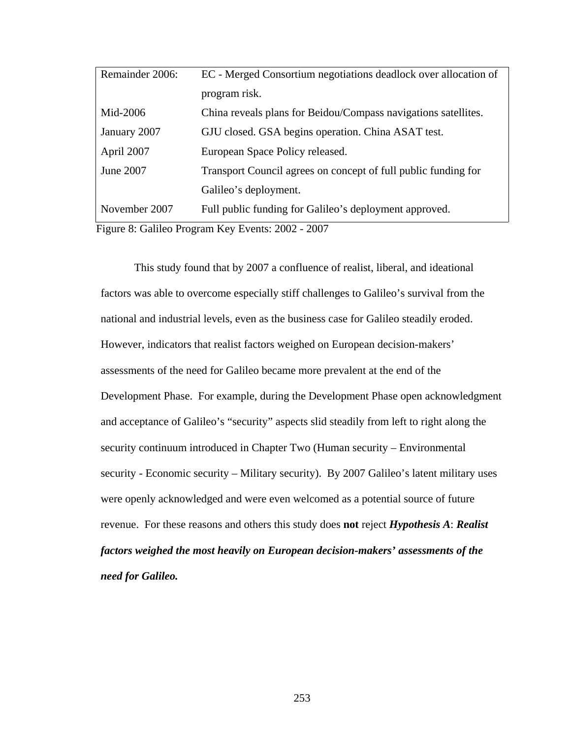| Remainder 2006: | EC - Merged Consortium negotiations deadlock over allocation of                                              |
|-----------------|--------------------------------------------------------------------------------------------------------------|
|                 | program risk.                                                                                                |
| Mid-2006        | China reveals plans for Beidou/Compass navigations satellites.                                               |
| January 2007    | GJU closed. GSA begins operation. China ASAT test.                                                           |
| April 2007      | European Space Policy released.                                                                              |
| June 2007       | Transport Council agrees on concept of full public funding for                                               |
|                 | Galileo's deployment.                                                                                        |
| November 2007   | Full public funding for Galileo's deployment approved.                                                       |
|                 | $\Gamma'$ $\Omega$ $\Omega$ $\Gamma$ $\Gamma$ $\Gamma$ $\Omega$ $\Omega$<br>$\Delta$ $\Delta$ $\Delta$ $\pi$ |

Figure 8: Galileo Program Key Events: 2002 - 2007

This study found that by 2007 a confluence of realist, liberal, and ideational factors was able to overcome especially stiff challenges to Galileo's survival from the national and industrial levels, even as the business case for Galileo steadily eroded. However, indicators that realist factors weighed on European decision-makers' assessments of the need for Galileo became more prevalent at the end of the Development Phase. For example, during the Development Phase open acknowledgment and acceptance of Galileo's "security" aspects slid steadily from left to right along the security continuum introduced in Chapter Two (Human security – Environmental security - Economic security – Military security). By 2007 Galileo's latent military uses were openly acknowledged and were even welcomed as a potential source of future revenue. For these reasons and others this study does **not** reject *Hypothesis A*: *Realist factors weighed the most heavily on European decision-makers' assessments of the need for Galileo.*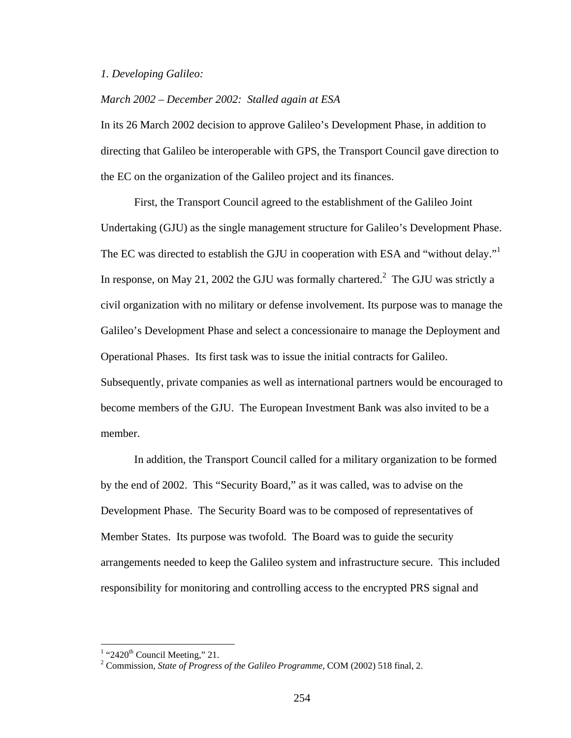#### *1. Developing Galileo:*

## *March 2002 – December 2002: Stalled again at ESA*

In its 26 March 2002 decision to approve Galileo's Development Phase, in addition to directing that Galileo be interoperable with GPS, the Transport Council gave direction to the EC on the organization of the Galileo project and its finances.

 First, the Transport Council agreed to the establishment of the Galileo Joint Undertaking (GJU) as the single management structure for Galileo's Development Phase. The EC was directed to establish the GJU in cooperation with ESA and "without delay."<sup>1</sup> In response, on May 21, 2002 the GJU was formally chartered.<sup>2</sup> The GJU was strictly a civil organization with no military or defense involvement. Its purpose was to manage the Galileo's Development Phase and select a concessionaire to manage the Deployment and Operational Phases. Its first task was to issue the initial contracts for Galileo. Subsequently, private companies as well as international partners would be encouraged to become members of the GJU. The European Investment Bank was also invited to be a member.

 In addition, the Transport Council called for a military organization to be formed by the end of 2002. This "Security Board," as it was called, was to advise on the Development Phase. The Security Board was to be composed of representatives of Member States. Its purpose was twofold. The Board was to guide the security arrangements needed to keep the Galileo system and infrastructure secure. This included responsibility for monitoring and controlling access to the encrypted PRS signal and

<sup>&</sup>lt;sup>1</sup> "2420<sup>th</sup> Council Meeting," 21.

Commission, *State of Progress of the Galileo Programme*, COM (2002) 518 final, 2.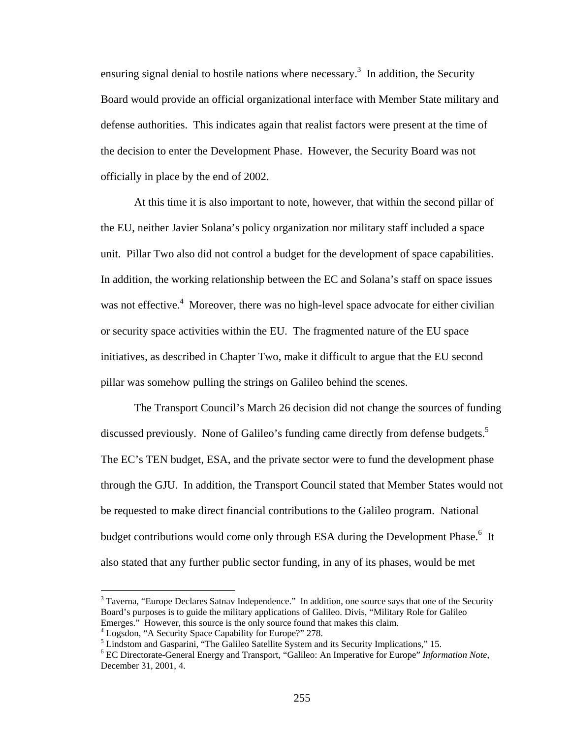ensuring signal denial to hostile nations where necessary.<sup>3</sup> In addition, the Security Board would provide an official organizational interface with Member State military and defense authorities. This indicates again that realist factors were present at the time of the decision to enter the Development Phase. However, the Security Board was not officially in place by the end of 2002.

At this time it is also important to note, however, that within the second pillar of the EU, neither Javier Solana's policy organization nor military staff included a space unit. Pillar Two also did not control a budget for the development of space capabilities. In addition, the working relationship between the EC and Solana's staff on space issues was not effective.<sup>4</sup> Moreover, there was no high-level space advocate for either civilian or security space activities within the EU. The fragmented nature of the EU space initiatives, as described in Chapter Two, make it difficult to argue that the EU second pillar was somehow pulling the strings on Galileo behind the scenes.

The Transport Council's March 26 decision did not change the sources of funding discussed previously. None of Galileo's funding came directly from defense budgets.<sup>5</sup> The EC's TEN budget, ESA, and the private sector were to fund the development phase through the GJU. In addition, the Transport Council stated that Member States would not be requested to make direct financial contributions to the Galileo program. National budget contributions would come only through ESA during the Development Phase.<sup>6</sup> It also stated that any further public sector funding, in any of its phases, would be met

<sup>&</sup>lt;sup>3</sup> Taverna, "Europe Declares Satnav Independence." In addition, one source says that one of the Security Board's purposes is to guide the military applications of Galileo. Divis, "Military Role for Galileo Emerges." However, this source is the only source found that makes this claim.

<sup>&</sup>lt;sup>4</sup> Logsdon, "A Security Space Capability for Europe?" 278.

<sup>&</sup>lt;sup>5</sup> Lindstom and Gasparini, "The Galileo Satellite System and its Security Implications," 15.

<sup>6</sup> EC Directorate-General Energy and Transport, "Galileo: An Imperative for Europe" *Information Note*, December 31, 2001, 4.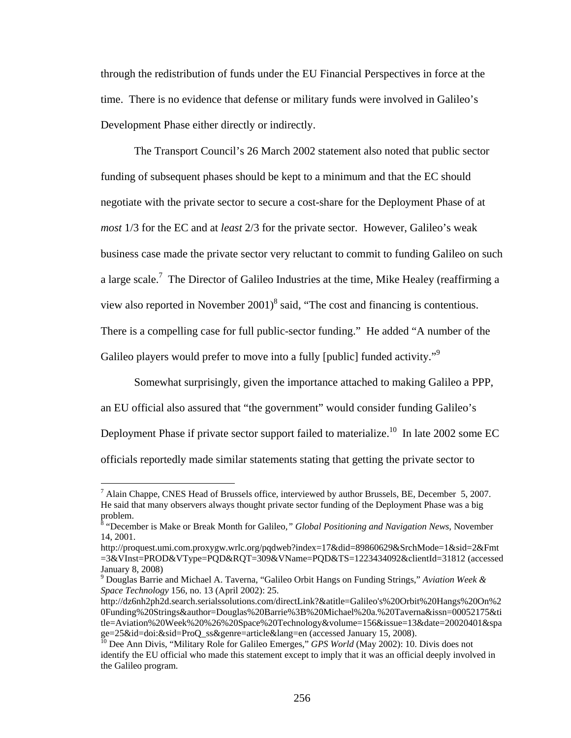through the redistribution of funds under the EU Financial Perspectives in force at the time. There is no evidence that defense or military funds were involved in Galileo's Development Phase either directly or indirectly.

 The Transport Council's 26 March 2002 statement also noted that public sector funding of subsequent phases should be kept to a minimum and that the EC should negotiate with the private sector to secure a cost-share for the Deployment Phase of at *most* 1/3 for the EC and at *least* 2/3 for the private sector. However, Galileo's weak business case made the private sector very reluctant to commit to funding Galileo on such a large scale.<sup>7</sup> The Director of Galileo Industries at the time, Mike Healey (reaffirming a view also reported in November  $2001$ <sup>8</sup> said, "The cost and financing is contentious. There is a compelling case for full public-sector funding." He added "A number of the Galileo players would prefer to move into a fully [public] funded activity."<sup>9</sup>

Somewhat surprisingly, given the importance attached to making Galileo a PPP, an EU official also assured that "the government" would consider funding Galileo's Deployment Phase if private sector support failed to materialize.<sup>10</sup> In late 2002 some EC officials reportedly made similar statements stating that getting the private sector to

 $^7$  Alain Chappe, CNES Head of Brussels office, interviewed by author Brussels, BE, December 5, 2007. He said that many observers always thought private sector funding of the Deployment Phase was a big problem.

<sup>&</sup>lt;sup>8</sup> "December is Make or Break Month for Galileo," *Global Positioning and Navigation News*, November 14, 2001.

http://proquest.umi.com.proxygw.wrlc.org/pqdweb?index=17&did=89860629&SrchMode=1&sid=2&Fmt =3&VInst=PROD&VType=PQD&RQT=309&VName=PQD&TS=1223434092&clientId=31812 (accessed January 8, 2008)

<sup>9</sup> Douglas Barrie and Michael A. Taverna, "Galileo Orbit Hangs on Funding Strings," *Aviation Week & Space Technology* 156, no. 13 (April 2002): 25.

http://dz6nh2ph2d.search.serialssolutions.com/directLink?&atitle=Galileo's%20Orbit%20Hangs%20On%2 0Funding%20Strings&author=Douglas%20Barrie%3B%20Michael%20a.%20Taverna&issn=00052175&ti tle=Aviation%20Week%20%26%20Space%20Technology&volume=156&issue=13&date=20020401&spa ge=25&id=doi:&sid=ProQ\_ss&genre=article&lang=en (accessed January 15, 2008).

<sup>&</sup>lt;sup>10</sup> Dee Ann Divis, "Military Role for Galileo Emerges," *GPS World* (May 2002): 10. Divis does not identify the EU official who made this statement except to imply that it was an official deeply involved in the Galileo program.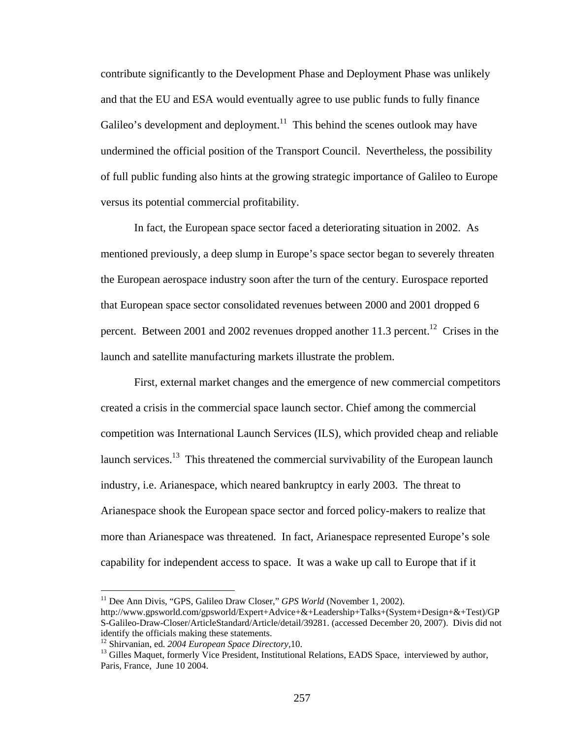contribute significantly to the Development Phase and Deployment Phase was unlikely and that the EU and ESA would eventually agree to use public funds to fully finance Galileo's development and deployment.<sup>11</sup> This behind the scenes outlook may have undermined the official position of the Transport Council. Nevertheless, the possibility of full public funding also hints at the growing strategic importance of Galileo to Europe versus its potential commercial profitability.

In fact, the European space sector faced a deteriorating situation in 2002. As mentioned previously, a deep slump in Europe's space sector began to severely threaten the European aerospace industry soon after the turn of the century. Eurospace reported that European space sector consolidated revenues between 2000 and 2001 dropped 6 percent. Between 2001 and 2002 revenues dropped another 11.3 percent.<sup>12</sup> Crises in the launch and satellite manufacturing markets illustrate the problem.

First, external market changes and the emergence of new commercial competitors created a crisis in the commercial space launch sector. Chief among the commercial competition was International Launch Services (ILS), which provided cheap and reliable launch services.<sup>13</sup> This threatened the commercial survivability of the European launch industry, i.e. Arianespace, which neared bankruptcy in early 2003. The threat to Arianespace shook the European space sector and forced policy-makers to realize that more than Arianespace was threatened. In fact, Arianespace represented Europe's sole capability for independent access to space. It was a wake up call to Europe that if it

<sup>&</sup>lt;sup>11</sup> Dee Ann Divis, "GPS, Galileo Draw Closer," *GPS World* (November 1, 2002).

http://www.gpsworld.com/gpsworld/Expert+Advice+&+Leadership+Talks+(System+Design+&+Test)/GP S-Galileo-Draw-Closer/ArticleStandard/Article/detail/39281. (accessed December 20, 2007). Divis did not identify the officials making these statements.<br><sup>12</sup> Shirvanian, ed. 2004 European Space Directory, 10.

<sup>&</sup>lt;sup>13</sup> Gilles Maquet, formerly Vice President, Institutional Relations, EADS Space, interviewed by author, Paris, France, June 10 2004.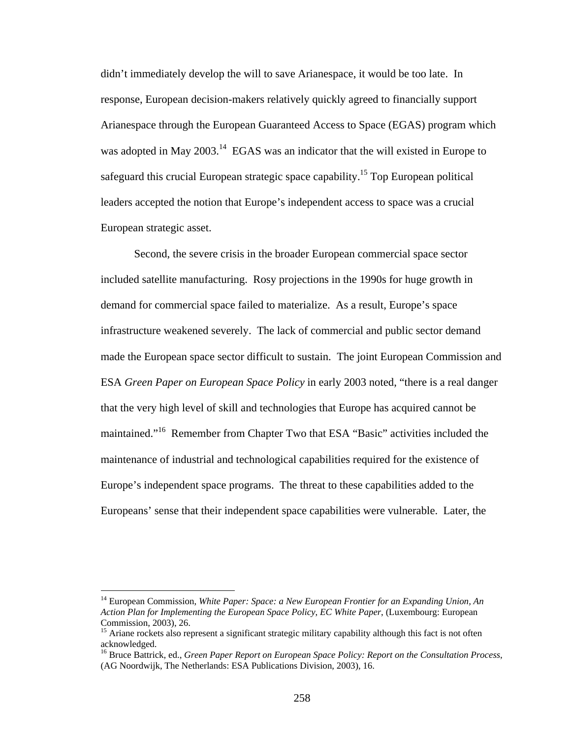didn't immediately develop the will to save Arianespace, it would be too late. In response, European decision-makers relatively quickly agreed to financially support Arianespace through the European Guaranteed Access to Space (EGAS) program which was adopted in May 2003.<sup>14</sup> EGAS was an indicator that the will existed in Europe to safeguard this crucial European strategic space capability.<sup>15</sup> Top European political leaders accepted the notion that Europe's independent access to space was a crucial European strategic asset.

Second, the severe crisis in the broader European commercial space sector included satellite manufacturing. Rosy projections in the 1990s for huge growth in demand for commercial space failed to materialize. As a result, Europe's space infrastructure weakened severely. The lack of commercial and public sector demand made the European space sector difficult to sustain. The joint European Commission and ESA *Green Paper on European Space Policy* in early 2003 noted, "there is a real danger that the very high level of skill and technologies that Europe has acquired cannot be maintained."16 Remember from Chapter Two that ESA "Basic" activities included the maintenance of industrial and technological capabilities required for the existence of Europe's independent space programs. The threat to these capabilities added to the Europeans' sense that their independent space capabilities were vulnerable. Later, the

<sup>14</sup> European Commission, *White Paper: Space: a New European Frontier for an Expanding Union, An Action Plan for Implementing the European Space Policy*, *EC White Paper*, (Luxembourg: European Commission, 2003), 26.

<sup>&</sup>lt;sup>15</sup> Ariane rockets also represent a significant strategic military capability although this fact is not often acknowledged.

<sup>16</sup> Bruce Battrick, ed., *Green Paper Report on European Space Policy: Report on the Consultation Process*, (AG Noordwijk, The Netherlands: ESA Publications Division, 2003), 16.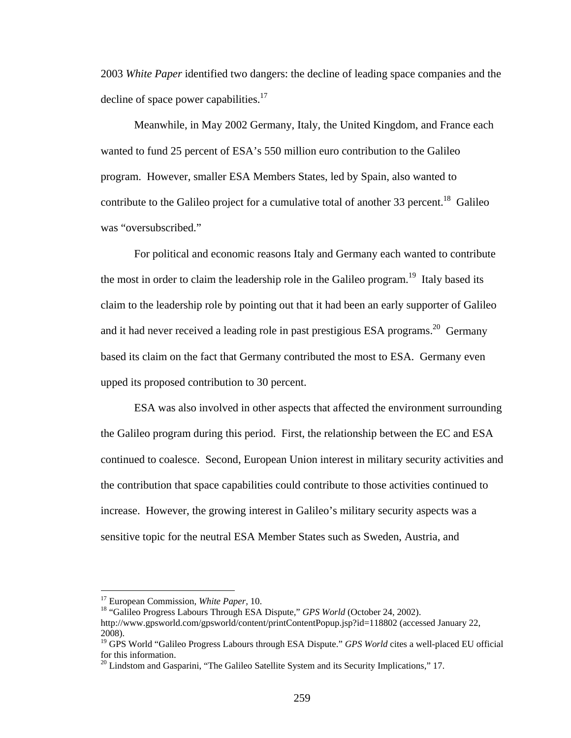2003 *White Paper* identified two dangers: the decline of leading space companies and the decline of space power capabilities.<sup>17</sup>

Meanwhile, in May 2002 Germany, Italy, the United Kingdom, and France each wanted to fund 25 percent of ESA's 550 million euro contribution to the Galileo program. However, smaller ESA Members States, led by Spain, also wanted to contribute to the Galileo project for a cumulative total of another 33 percent.<sup>18</sup> Galileo was "oversubscribed."

For political and economic reasons Italy and Germany each wanted to contribute the most in order to claim the leadership role in the Galileo program.<sup>19</sup> Italy based its claim to the leadership role by pointing out that it had been an early supporter of Galileo and it had never received a leading role in past prestigious ESA programs.<sup>20</sup> Germany based its claim on the fact that Germany contributed the most to ESA. Germany even upped its proposed contribution to 30 percent.

 ESA was also involved in other aspects that affected the environment surrounding the Galileo program during this period. First, the relationship between the EC and ESA continued to coalesce. Second, European Union interest in military security activities and the contribution that space capabilities could contribute to those activities continued to increase. However, the growing interest in Galileo's military security aspects was a sensitive topic for the neutral ESA Member States such as Sweden, Austria, and

<sup>&</sup>lt;sup>17</sup> European Commission, *White Paper*, 10.<br><sup>18</sup> "Galileo Progress Labours Through ESA Dispute," *GPS World* (October 24, 2002). http://www.gpsworld.com/gpsworld/content/printContentPopup.jsp?id=118802 (accessed January 22, 2008).

<sup>&</sup>lt;sup>19</sup> GPS World "Galileo Progress Labours through ESA Dispute." *GPS World* cites a well-placed EU official for this information.

 $20$  Lindstom and Gasparini, "The Galileo Satellite System and its Security Implications," 17.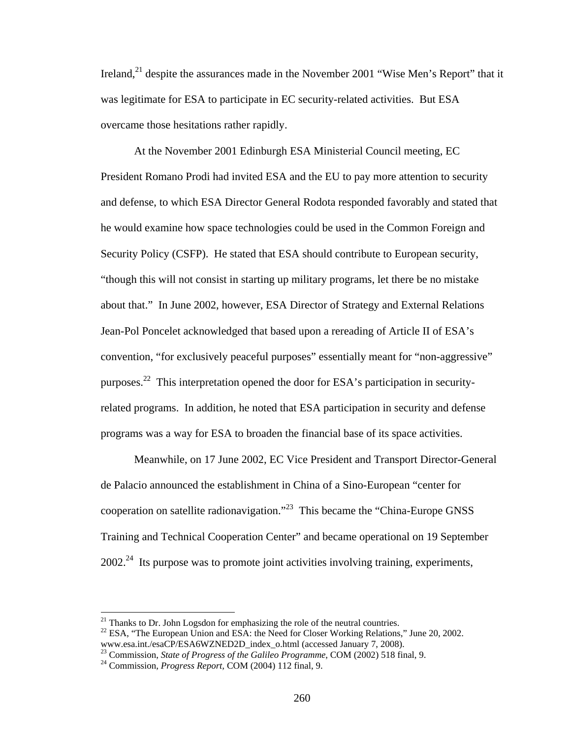Ireland, $^{21}$  despite the assurances made in the November 2001 "Wise Men's Report" that it was legitimate for ESA to participate in EC security-related activities. But ESA overcame those hesitations rather rapidly.

At the November 2001 Edinburgh ESA Ministerial Council meeting, EC President Romano Prodi had invited ESA and the EU to pay more attention to security and defense, to which ESA Director General Rodota responded favorably and stated that he would examine how space technologies could be used in the Common Foreign and Security Policy (CSFP). He stated that ESA should contribute to European security, "though this will not consist in starting up military programs, let there be no mistake about that." In June 2002, however, ESA Director of Strategy and External Relations Jean-Pol Poncelet acknowledged that based upon a rereading of Article II of ESA's convention, "for exclusively peaceful purposes" essentially meant for "non-aggressive" purposes.22 This interpretation opened the door for ESA's participation in securityrelated programs. In addition, he noted that ESA participation in security and defense programs was a way for ESA to broaden the financial base of its space activities.

Meanwhile, on 17 June 2002, EC Vice President and Transport Director-General de Palacio announced the establishment in China of a Sino-European "center for cooperation on satellite radionavigation."23 This became the "China-Europe GNSS Training and Technical Cooperation Center" and became operational on 19 September  $2002.<sup>24</sup>$  Its purpose was to promote joint activities involving training, experiments,

 $21$  Thanks to Dr. John Logsdon for emphasizing the role of the neutral countries.

<sup>&</sup>lt;sup>22</sup> ESA, "The European Union and ESA: the Need for Closer Working Relations," June 20, 2002. www.esa.int./esaCP/ESA6WZNED2D index o.html (accessed January 7, 2008).

<sup>&</sup>lt;sup>23</sup> Commission, *State of Progress of the Galileo Programme*, COM (2002) 518 final, 9.<br><sup>24</sup> Commission, *Progress Report*, COM (2004) 112 final, 9.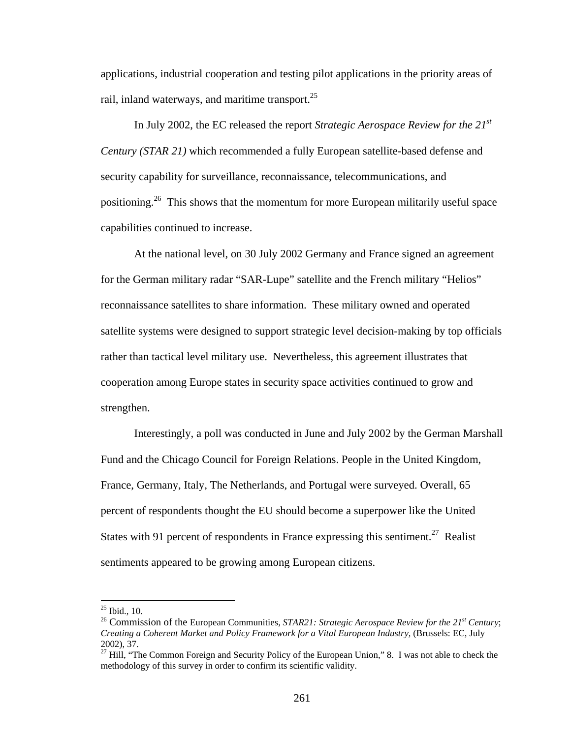applications, industrial cooperation and testing pilot applications in the priority areas of rail, inland waterways, and maritime transport.<sup>25</sup>

In July 2002, the EC released the report *Strategic Aerospace Review for the 21st Century (STAR 21)* which recommended a fully European satellite-based defense and security capability for surveillance, reconnaissance, telecommunications, and positioning.26 This shows that the momentum for more European militarily useful space capabilities continued to increase.

At the national level, on 30 July 2002 Germany and France signed an agreement for the German military radar "SAR-Lupe" satellite and the French military "Helios" reconnaissance satellites to share information. These military owned and operated satellite systems were designed to support strategic level decision-making by top officials rather than tactical level military use. Nevertheless, this agreement illustrates that cooperation among Europe states in security space activities continued to grow and strengthen.

Interestingly, a poll was conducted in June and July 2002 by the German Marshall Fund and the Chicago Council for Foreign Relations. People in the United Kingdom, France, Germany, Italy, The Netherlands, and Portugal were surveyed. Overall, 65 percent of respondents thought the EU should become a superpower like the United States with 91 percent of respondents in France expressing this sentiment.<sup>27</sup> Realist sentiments appeared to be growing among European citizens.

1

 $25$  Ibid., 10.

<sup>&</sup>lt;sup>26</sup> Commission of the European Communities, *STAR21: Strategic Aerospace Review for the 21<sup>st</sup> Century*; *Creating a Coherent Market and Policy Framework for a Vital European Industry,* (Brussels: EC, July 2002), 37.

 $27$  Hill, "The Common Foreign and Security Policy of the European Union," 8. I was not able to check the methodology of this survey in order to confirm its scientific validity.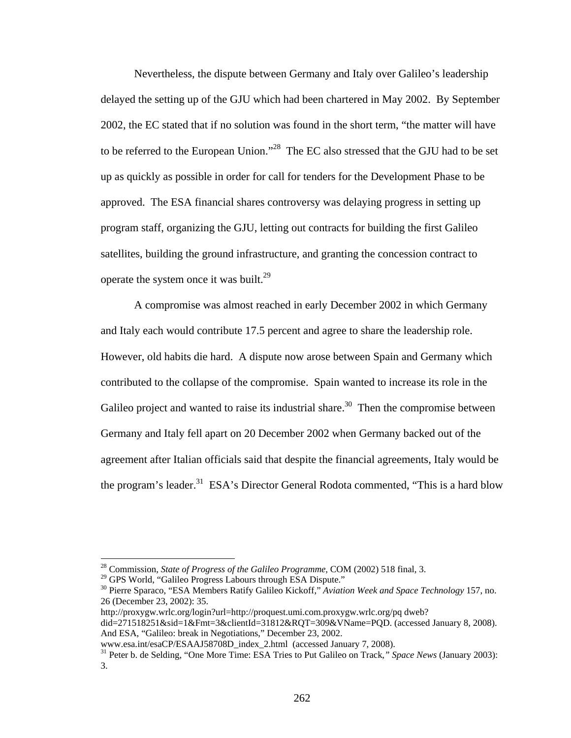Nevertheless, the dispute between Germany and Italy over Galileo's leadership delayed the setting up of the GJU which had been chartered in May 2002. By September 2002, the EC stated that if no solution was found in the short term, "the matter will have to be referred to the European Union."<sup>28</sup> The EC also stressed that the GJU had to be set up as quickly as possible in order for call for tenders for the Development Phase to be approved. The ESA financial shares controversy was delaying progress in setting up program staff, organizing the GJU, letting out contracts for building the first Galileo satellites, building the ground infrastructure, and granting the concession contract to operate the system once it was built.<sup>29</sup>

A compromise was almost reached in early December 2002 in which Germany and Italy each would contribute 17.5 percent and agree to share the leadership role. However, old habits die hard. A dispute now arose between Spain and Germany which contributed to the collapse of the compromise. Spain wanted to increase its role in the Galileo project and wanted to raise its industrial share.<sup>30</sup> Then the compromise between Germany and Italy fell apart on 20 December 2002 when Germany backed out of the agreement after Italian officials said that despite the financial agreements, Italy would be the program's leader.<sup>31</sup> ESA's Director General Rodota commented, "This is a hard blow

1

http://proxygw.wrlc.org/login?url=http://proquest.umi.com.proxygw.wrlc.org/pq dweb?

<sup>&</sup>lt;sup>28</sup> Commission, *State of Progress of the Galileo Programme*, COM (2002) 518 final, 3.<br><sup>29</sup> GPS World, "Galileo Progress Labours through ESA Dispute."

<sup>&</sup>lt;sup>30</sup> Pierre Sparaco, "ESA Members Ratify Galileo Kickoff," *Aviation Week and Space Technology* 157, no. 26 (December 23, 2002): 35.

did=271518251&sid=1&Fmt=3&clientId=31812&RQT=309&VName=PQD. (accessed January 8, 2008). And ESA, "Galileo: break in Negotiations," December 23, 2002.<br>www.esa.int/esaCP/ESAAJ58708D index 2.html (accessed January 7, 2008).

<sup>&</sup>lt;sup>31</sup> Peter b. de Selding, "One More Time: ESA Tries to Put Galileo on Track, " Space News (January 2003): 3.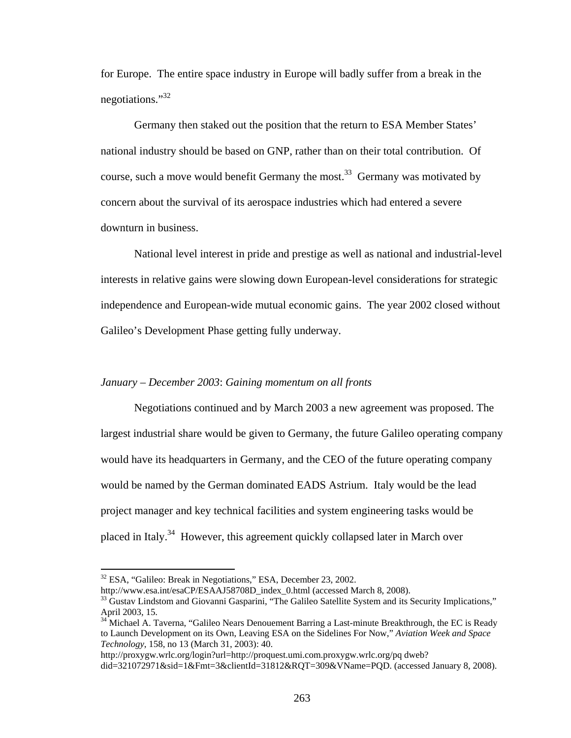for Europe. The entire space industry in Europe will badly suffer from a break in the negotiations."<sup>32</sup>

Germany then staked out the position that the return to ESA Member States' national industry should be based on GNP, rather than on their total contribution. Of course, such a move would benefit Germany the most.<sup>33</sup> Germany was motivated by concern about the survival of its aerospace industries which had entered a severe downturn in business.

National level interest in pride and prestige as well as national and industrial-level interests in relative gains were slowing down European-level considerations for strategic independence and European-wide mutual economic gains. The year 2002 closed without Galileo's Development Phase getting fully underway.

## *January – December 2003*: *Gaining momentum on all fronts*

 Negotiations continued and by March 2003 a new agreement was proposed. The largest industrial share would be given to Germany, the future Galileo operating company would have its headquarters in Germany, and the CEO of the future operating company would be named by the German dominated EADS Astrium. Italy would be the lead project manager and key technical facilities and system engineering tasks would be placed in Italy.34 However, this agreement quickly collapsed later in March over

 $\overline{a}$ 

http://proxygw.wrlc.org/login?url=http://proquest.umi.com.proxygw.wrlc.org/pq dweb?

<sup>&</sup>lt;sup>32</sup> ESA, "Galileo: Break in Negotiations," ESA, December 23, 2002.<br>http://www.esa.int/esaCP/ESAAJ58708D\_index\_0.html (accessed March 8, 2008).

<sup>&</sup>lt;sup>33</sup> Gustav Lindstom and Giovanni Gasparini, "The Galileo Satellite System and its Security Implications," April 2003, 15.

<sup>&</sup>lt;sup>34</sup> Michael A. Taverna, "Galileo Nears Denouement Barring a Last-minute Breakthrough, the EC is Ready to Launch Development on its Own, Leaving ESA on the Sidelines For Now," *Aviation Week and Space Technology*, 158, no 13 (March 31, 2003): 40.

did=321072971&sid=1&Fmt=3&clientId=31812&RQT=309&VName=PQD. (accessed January 8, 2008).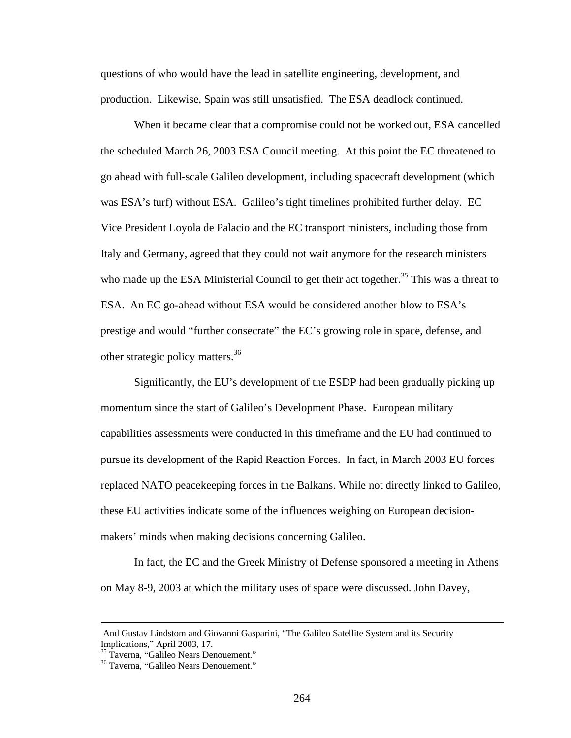questions of who would have the lead in satellite engineering, development, and production. Likewise, Spain was still unsatisfied. The ESA deadlock continued.

 When it became clear that a compromise could not be worked out, ESA cancelled the scheduled March 26, 2003 ESA Council meeting. At this point the EC threatened to go ahead with full-scale Galileo development, including spacecraft development (which was ESA's turf) without ESA. Galileo's tight timelines prohibited further delay. EC Vice President Loyola de Palacio and the EC transport ministers, including those from Italy and Germany, agreed that they could not wait anymore for the research ministers who made up the ESA Ministerial Council to get their act together.<sup>35</sup> This was a threat to ESA. An EC go-ahead without ESA would be considered another blow to ESA's prestige and would "further consecrate" the EC's growing role in space, defense, and other strategic policy matters.<sup>36</sup>

Significantly, the EU's development of the ESDP had been gradually picking up momentum since the start of Galileo's Development Phase. European military capabilities assessments were conducted in this timeframe and the EU had continued to pursue its development of the Rapid Reaction Forces. In fact, in March 2003 EU forces replaced NATO peacekeeping forces in the Balkans. While not directly linked to Galileo, these EU activities indicate some of the influences weighing on European decisionmakers' minds when making decisions concerning Galileo.

In fact, the EC and the Greek Ministry of Defense sponsored a meeting in Athens on May 8-9, 2003 at which the military uses of space were discussed. John Davey,

And Gustav Lindstom and Giovanni Gasparini, "The Galileo Satellite System and its Security Implications," April 2003, 17.

<sup>&</sup>lt;sup>35</sup> Taverna, "Galileo Nears Denouement."

<sup>36</sup> Taverna, "Galileo Nears Denouement."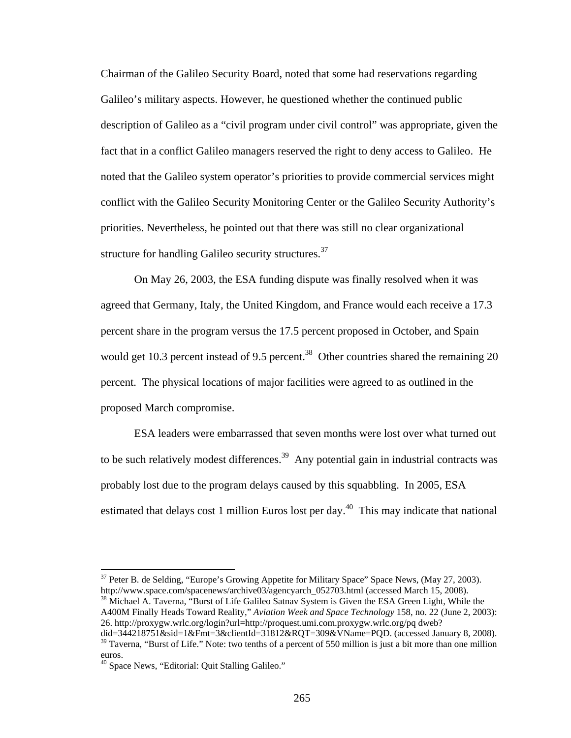Chairman of the Galileo Security Board, noted that some had reservations regarding Galileo's military aspects. However, he questioned whether the continued public description of Galileo as a "civil program under civil control" was appropriate, given the fact that in a conflict Galileo managers reserved the right to deny access to Galileo. He noted that the Galileo system operator's priorities to provide commercial services might conflict with the Galileo Security Monitoring Center or the Galileo Security Authority's priorities. Nevertheless, he pointed out that there was still no clear organizational structure for handling Galileo security structures.<sup>37</sup>

 On May 26, 2003, the ESA funding dispute was finally resolved when it was agreed that Germany, Italy, the United Kingdom, and France would each receive a 17.3 percent share in the program versus the 17.5 percent proposed in October, and Spain would get 10.3 percent instead of 9.5 percent.<sup>38</sup> Other countries shared the remaining 20 percent. The physical locations of major facilities were agreed to as outlined in the proposed March compromise.

ESA leaders were embarrassed that seven months were lost over what turned out to be such relatively modest differences.<sup>39</sup> Any potential gain in industrial contracts was probably lost due to the program delays caused by this squabbling. In 2005, ESA estimated that delays cost 1 million Euros lost per day.<sup>40</sup> This may indicate that national

 $37$  Peter B. de Selding, "Europe's Growing Appetite for Military Space" Space News, (May 27, 2003). http://www.space.com/spacenews/archive03/agencyarch\_052703.html (accessed March 15, 2008).<br><sup>38</sup> Michael A. Taverna, "Burst of Life Galileo Satnav System is Given the ESA Green Light, While the

A400M Finally Heads Toward Reality," *Aviation Week and Space Technology* 158, no. 22 (June 2, 2003): 26. http://proxygw.wrlc.org/login?url=http://proquest.umi.com.proxygw.wrlc.org/pq dweb?

did=344218751&sid=1&Fmt=3&clientId=31812&RQT=309&VName=PQD. (accessed January 8, 2008).  $39$  Taverna, "Burst of Life." Note: two tenths of a percent of 550 million is just a bit more than one million euros.

<sup>&</sup>lt;sup>40</sup> Space News, "Editorial: Quit Stalling Galileo."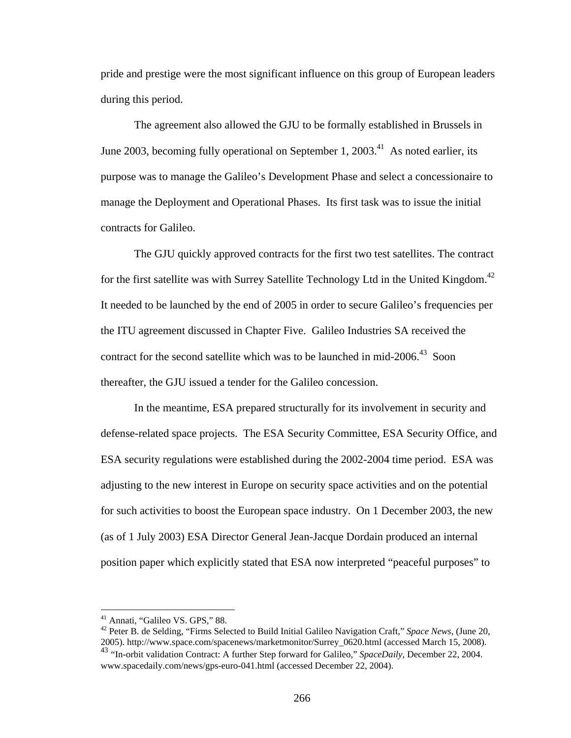pride and prestige were the most significant influence on this group of European leaders during this period.

 The agreement also allowed the GJU to be formally established in Brussels in June 2003, becoming fully operational on September 1,  $2003<sup>41</sup>$  As noted earlier, its purpose was to manage the Galileo's Development Phase and select a concessionaire to manage the Deployment and Operational Phases. Its first task was to issue the initial contracts for Galileo.

The GJU quickly approved contracts for the first two test satellites. The contract for the first satellite was with Surrey Satellite Technology Ltd in the United Kingdom.<sup>42</sup> It needed to be launched by the end of 2005 in order to secure Galileo's frequencies per the ITU agreement discussed in Chapter Five. Galileo Industries SA received the contract for the second satellite which was to be launched in mid-2006.<sup>43</sup> Soon thereafter, the GJU issued a tender for the Galileo concession.

In the meantime, ESA prepared structurally for its involvement in security and defense-related space projects. The ESA Security Committee, ESA Security Office, and ESA security regulations were established during the 2002-2004 time period. ESA was adjusting to the new interest in Europe on security space activities and on the potential for such activities to boost the European space industry. On 1 December 2003, the new (as of 1 July 2003) ESA Director General Jean-Jacque Dordain produced an internal position paper which explicitly stated that ESA now interpreted "peaceful purposes" to

<sup>41</sup> Annati, "Galileo VS. GPS," 88.

<sup>42</sup> Peter B. de Selding, "Firms Selected to Build Initial Galileo Navigation Craft," *Space News*, (June 20, 2005). http://www.space.com/spacenews/marketmonitor/Surrey\_0620.html (accessed March 15, 2008). <sup>43</sup> "In-orbit validation Contract: A further Step forward for Galileo," *SpaceDaily*, December 22, 2004.

www.spacedaily.com/news/gps-euro-041.html (accessed December 22, 2004).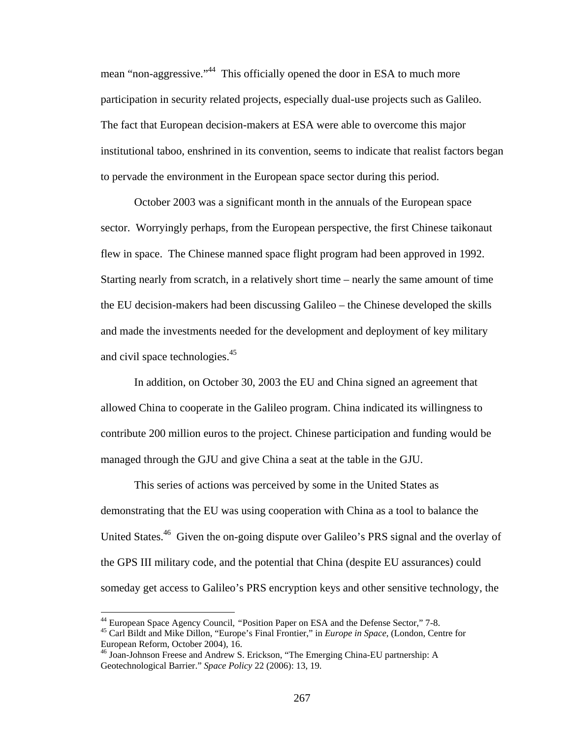mean "non-aggressive."<sup>44</sup> This officially opened the door in ESA to much more participation in security related projects, especially dual-use projects such as Galileo. The fact that European decision-makers at ESA were able to overcome this major institutional taboo, enshrined in its convention, seems to indicate that realist factors began to pervade the environment in the European space sector during this period.

October 2003 was a significant month in the annuals of the European space sector. Worryingly perhaps, from the European perspective, the first Chinese taikonaut flew in space. The Chinese manned space flight program had been approved in 1992. Starting nearly from scratch, in a relatively short time – nearly the same amount of time the EU decision-makers had been discussing Galileo – the Chinese developed the skills and made the investments needed for the development and deployment of key military and civil space technologies.<sup>45</sup>

In addition, on October 30, 2003 the EU and China signed an agreement that allowed China to cooperate in the Galileo program. China indicated its willingness to contribute 200 million euros to the project. Chinese participation and funding would be managed through the GJU and give China a seat at the table in the GJU.

This series of actions was perceived by some in the United States as demonstrating that the EU was using cooperation with China as a tool to balance the United States.<sup>46</sup> Given the on-going dispute over Galileo's PRS signal and the overlay of the GPS III military code, and the potential that China (despite EU assurances) could someday get access to Galileo's PRS encryption keys and other sensitive technology, the

<sup>&</sup>lt;sup>44</sup> European Space Agency Council, "Position Paper on ESA and the Defense Sector," 7-8.<br><sup>45</sup> Carl Bildt and Mike Dillon, "Europe's Final Frontier," in *Europe in Space*, (London, Centre for European Reform, October 2004), 16.

<sup>46</sup> Joan-Johnson Freese and Andrew S. Erickson, "The Emerging China-EU partnership: A Geotechnological Barrier." *Space Policy* 22 (2006): 13, 19.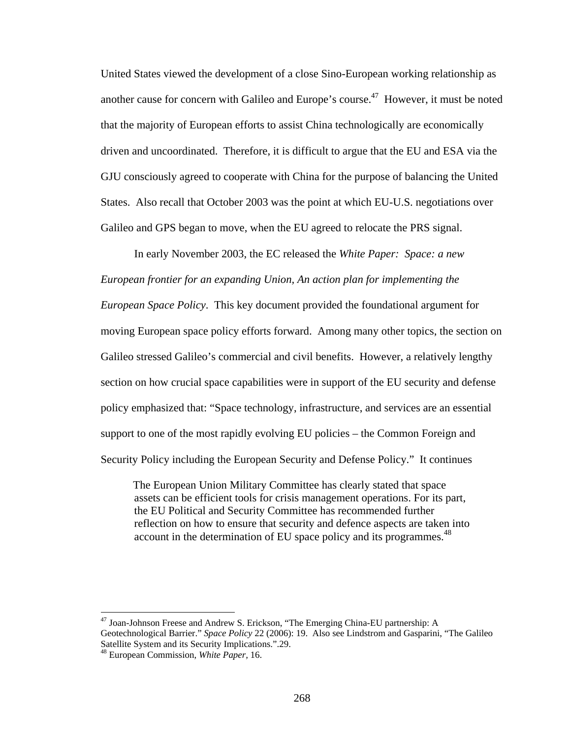United States viewed the development of a close Sino-European working relationship as another cause for concern with Galileo and Europe's course.<sup>47</sup> However, it must be noted that the majority of European efforts to assist China technologically are economically driven and uncoordinated. Therefore, it is difficult to argue that the EU and ESA via the GJU consciously agreed to cooperate with China for the purpose of balancing the United States. Also recall that October 2003 was the point at which EU-U.S. negotiations over Galileo and GPS began to move, when the EU agreed to relocate the PRS signal.

In early November 2003, the EC released the *White Paper: Space: a new European frontier for an expanding Union, An action plan for implementing the European Space Policy*. This key document provided the foundational argument for moving European space policy efforts forward. Among many other topics, the section on Galileo stressed Galileo's commercial and civil benefits. However, a relatively lengthy section on how crucial space capabilities were in support of the EU security and defense policy emphasized that: "Space technology, infrastructure, and services are an essential support to one of the most rapidly evolving EU policies – the Common Foreign and Security Policy including the European Security and Defense Policy." It continues

The European Union Military Committee has clearly stated that space assets can be efficient tools for crisis management operations. For its part, the EU Political and Security Committee has recommended further reflection on how to ensure that security and defence aspects are taken into account in the determination of EU space policy and its programmes.<sup>48</sup>

<sup>&</sup>lt;sup>47</sup> Joan-Johnson Freese and Andrew S. Erickson, "The Emerging China-EU partnership: A Geotechnological Barrier." *Space Policy* 22 (2006): 19. Also see Lindstrom and Gasparini, "The Galileo Satellite System and its Security Implications.".29.

<sup>48</sup> European Commission, *White Paper,* 16.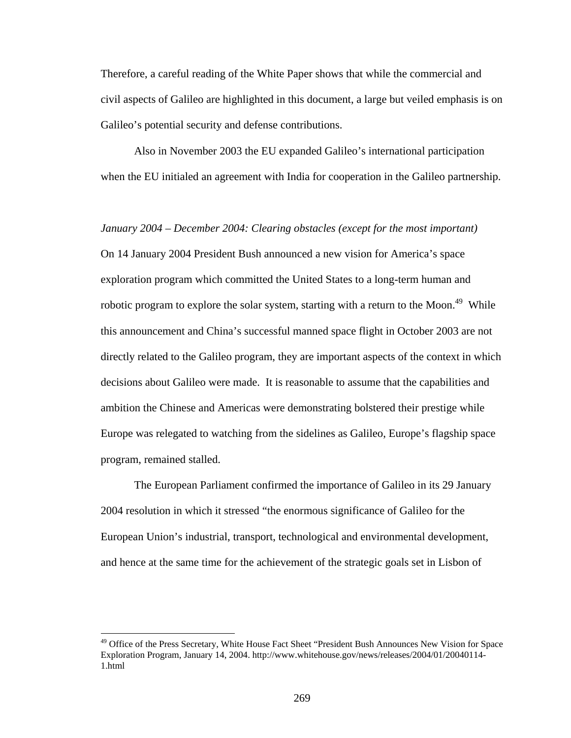Therefore, a careful reading of the White Paper shows that while the commercial and civil aspects of Galileo are highlighted in this document, a large but veiled emphasis is on Galileo's potential security and defense contributions.

Also in November 2003 the EU expanded Galileo's international participation when the EU initialed an agreement with India for cooperation in the Galileo partnership.

*January 2004 – December 2004: Clearing obstacles (except for the most important)* On 14 January 2004 President Bush announced a new vision for America's space exploration program which committed the United States to a long-term human and robotic program to explore the solar system, starting with a return to the Moon.<sup>49</sup> While this announcement and China's successful manned space flight in October 2003 are not directly related to the Galileo program, they are important aspects of the context in which decisions about Galileo were made. It is reasonable to assume that the capabilities and ambition the Chinese and Americas were demonstrating bolstered their prestige while Europe was relegated to watching from the sidelines as Galileo, Europe's flagship space program, remained stalled.

The European Parliament confirmed the importance of Galileo in its 29 January 2004 resolution in which it stressed "the enormous significance of Galileo for the European Union's industrial, transport, technological and environmental development, and hence at the same time for the achievement of the strategic goals set in Lisbon of

1

<sup>&</sup>lt;sup>49</sup> Office of the Press Secretary, White House Fact Sheet "President Bush Announces New Vision for Space Exploration Program, January 14, 2004. http://www.whitehouse.gov/news/releases/2004/01/20040114- 1.html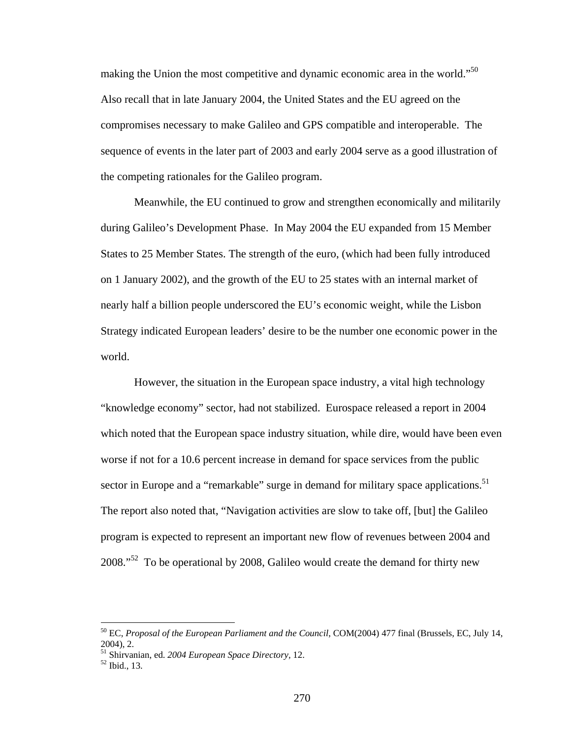making the Union the most competitive and dynamic economic area in the world."<sup>50</sup> Also recall that in late January 2004, the United States and the EU agreed on the compromises necessary to make Galileo and GPS compatible and interoperable. The sequence of events in the later part of 2003 and early 2004 serve as a good illustration of the competing rationales for the Galileo program.

Meanwhile, the EU continued to grow and strengthen economically and militarily during Galileo's Development Phase. In May 2004 the EU expanded from 15 Member States to 25 Member States. The strength of the euro, (which had been fully introduced on 1 January 2002), and the growth of the EU to 25 states with an internal market of nearly half a billion people underscored the EU's economic weight, while the Lisbon Strategy indicated European leaders' desire to be the number one economic power in the world.

However, the situation in the European space industry, a vital high technology "knowledge economy" sector, had not stabilized. Eurospace released a report in 2004 which noted that the European space industry situation, while dire, would have been even worse if not for a 10.6 percent increase in demand for space services from the public sector in Europe and a "remarkable" surge in demand for military space applications.<sup>51</sup> The report also noted that, "Navigation activities are slow to take off, [but] the Galileo program is expected to represent an important new flow of revenues between 2004 and 2008."<sup>52</sup> To be operational by 2008, Galileo would create the demand for thirty new

<sup>50</sup> EC, *Proposal of the European Parliament and the Council*, COM(2004) 477 final (Brussels, EC, July 14, 2004), 2.

<sup>51</sup> Shirvanian, ed. *2004 European Space Directory,* 12. 52 Ibid., 13.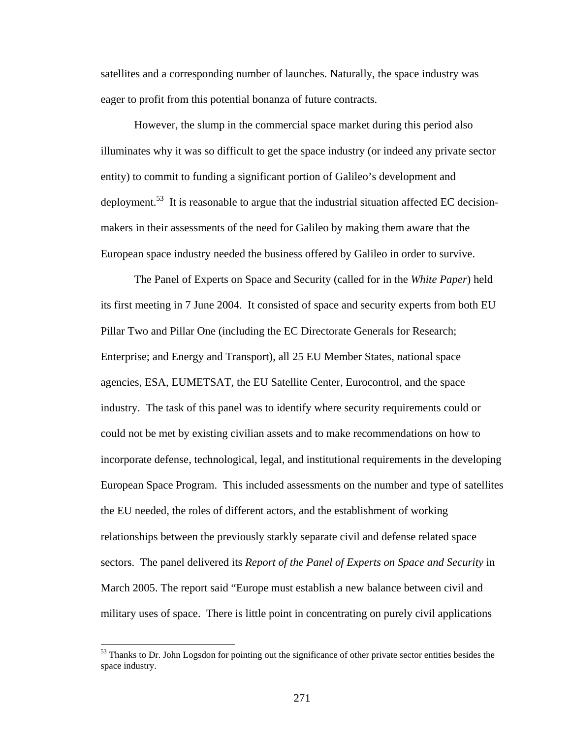satellites and a corresponding number of launches. Naturally, the space industry was eager to profit from this potential bonanza of future contracts.

However, the slump in the commercial space market during this period also illuminates why it was so difficult to get the space industry (or indeed any private sector entity) to commit to funding a significant portion of Galileo's development and deployment.<sup>53</sup> It is reasonable to argue that the industrial situation affected EC decisionmakers in their assessments of the need for Galileo by making them aware that the European space industry needed the business offered by Galileo in order to survive.

The Panel of Experts on Space and Security (called for in the *White Paper*) held its first meeting in 7 June 2004. It consisted of space and security experts from both EU Pillar Two and Pillar One (including the EC Directorate Generals for Research; Enterprise; and Energy and Transport), all 25 EU Member States, national space agencies, ESA, EUMETSAT, the EU Satellite Center, Eurocontrol, and the space industry. The task of this panel was to identify where security requirements could or could not be met by existing civilian assets and to make recommendations on how to incorporate defense, technological, legal, and institutional requirements in the developing European Space Program. This included assessments on the number and type of satellites the EU needed, the roles of different actors, and the establishment of working relationships between the previously starkly separate civil and defense related space sectors. The panel delivered its *Report of the Panel of Experts on Space and Security* in March 2005. The report said "Europe must establish a new balance between civil and military uses of space. There is little point in concentrating on purely civil applications

1

<sup>&</sup>lt;sup>53</sup> Thanks to Dr. John Logsdon for pointing out the significance of other private sector entities besides the space industry.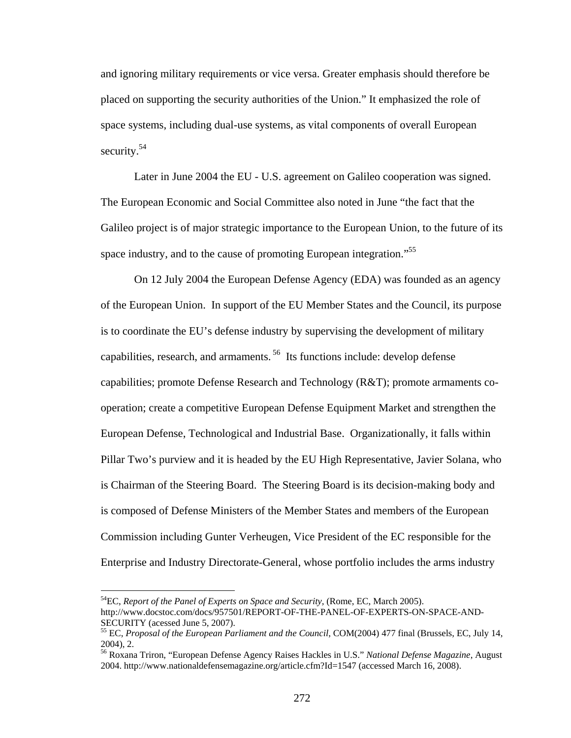and ignoring military requirements or vice versa. Greater emphasis should therefore be placed on supporting the security authorities of the Union." It emphasized the role of space systems, including dual-use systems, as vital components of overall European security.<sup>54</sup>

Later in June 2004 the EU - U.S. agreement on Galileo cooperation was signed. The European Economic and Social Committee also noted in June "the fact that the Galileo project is of major strategic importance to the European Union, to the future of its space industry, and to the cause of promoting European integration."<sup>55</sup>

On 12 July 2004 the European Defense Agency (EDA) was founded as an agency of the European Union. In support of the EU Member States and the Council, its purpose is to coordinate the EU's defense industry by supervising the development of military capabilities, research, and armaments. 56 Its functions include: develop defense capabilities; promote Defense Research and Technology (R&T); promote armaments cooperation; create a competitive European Defense Equipment Market and strengthen the European Defense, Technological and Industrial Base. Organizationally, it falls within Pillar Two's purview and it is headed by the EU High Representative, Javier Solana, who is Chairman of the Steering Board. The Steering Board is its decision-making body and is composed of Defense Ministers of the Member States and members of the European Commission including Gunter Verheugen, Vice President of the EC responsible for the Enterprise and Industry Directorate-General, whose portfolio includes the arms industry

<sup>&</sup>lt;sup>54</sup>EC, *Report of the Panel of Experts on Space and Security*, (Rome, EC, March 2005). http://www.docstoc.com/docs/957501/REPORT-OF-THE-PANEL-OF-EXPERTS-ON-SPACE-AND-SECURITY (acessed June 5, 2007).

<sup>55</sup> EC, *Proposal of the European Parliament and the Council*, COM(2004) 477 final (Brussels, EC, July 14, 2004), 2.

<sup>56</sup> Roxana Triron, "European Defense Agency Raises Hackles in U.S." *National Defense Magazine*, August 2004. http://www.nationaldefensemagazine.org/article.cfm?Id=1547 (accessed March 16, 2008).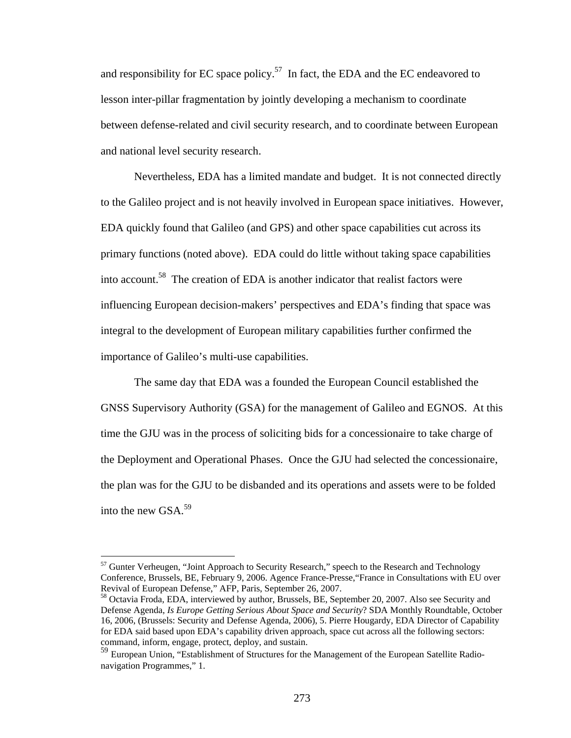and responsibility for EC space policy.<sup>57</sup> In fact, the EDA and the EC endeavored to lesson inter-pillar fragmentation by jointly developing a mechanism to coordinate between defense-related and civil security research, and to coordinate between European and national level security research.

Nevertheless, EDA has a limited mandate and budget. It is not connected directly to the Galileo project and is not heavily involved in European space initiatives. However, EDA quickly found that Galileo (and GPS) and other space capabilities cut across its primary functions (noted above). EDA could do little without taking space capabilities into account.58 The creation of EDA is another indicator that realist factors were influencing European decision-makers' perspectives and EDA's finding that space was integral to the development of European military capabilities further confirmed the importance of Galileo's multi-use capabilities.

The same day that EDA was a founded the European Council established the GNSS Supervisory Authority (GSA) for the management of Galileo and EGNOS. At this time the GJU was in the process of soliciting bids for a concessionaire to take charge of the Deployment and Operational Phases. Once the GJU had selected the concessionaire, the plan was for the GJU to be disbanded and its operations and assets were to be folded into the new GSA.59

 $57$  Gunter Verheugen, "Joint Approach to Security Research," speech to the Research and Technology Conference, Brussels, BE, February 9, 2006. Agence France-Presse,"France in Consultations with EU over Revival of European Defense," AFP, Paris, September 26, 2007.

<sup>&</sup>lt;sup>58</sup> Octavia Froda, EDA, interviewed by author, Brussels, BE, September 20, 2007. Also see Security and Defense Agenda, *Is Europe Getting Serious About Space and Security*? SDA Monthly Roundtable, October 16, 2006, (Brussels: Security and Defense Agenda, 2006), 5. Pierre Hougardy, EDA Director of Capability for EDA said based upon EDA's capability driven approach, space cut across all the following sectors: command, inform, engage, protect, deploy, and sustain.

<sup>&</sup>lt;sup>59</sup> European Union, "Establishment of Structures for the Management of the European Satellite Radionavigation Programmes," 1.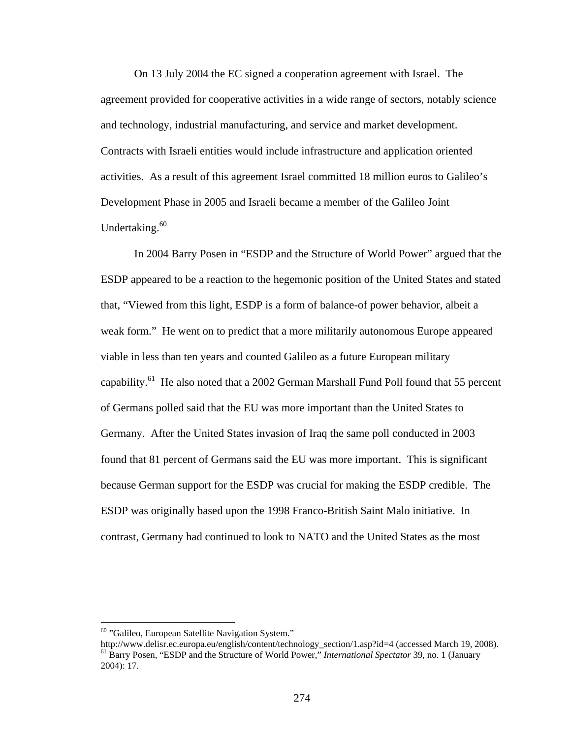On 13 July 2004 the EC signed a cooperation agreement with Israel. The agreement provided for cooperative activities in a wide range of sectors, notably science and technology, industrial manufacturing, and service and market development. Contracts with Israeli entities would include infrastructure and application oriented activities. As a result of this agreement Israel committed 18 million euros to Galileo's Development Phase in 2005 and Israeli became a member of the Galileo Joint Undertaking.<sup>60</sup>

In 2004 Barry Posen in "ESDP and the Structure of World Power" argued that the ESDP appeared to be a reaction to the hegemonic position of the United States and stated that, "Viewed from this light, ESDP is a form of balance-of power behavior, albeit a weak form." He went on to predict that a more militarily autonomous Europe appeared viable in less than ten years and counted Galileo as a future European military capability.<sup>61</sup> He also noted that a 2002 German Marshall Fund Poll found that 55 percent of Germans polled said that the EU was more important than the United States to Germany. After the United States invasion of Iraq the same poll conducted in 2003 found that 81 percent of Germans said the EU was more important. This is significant because German support for the ESDP was crucial for making the ESDP credible. The ESDP was originally based upon the 1998 Franco-British Saint Malo initiative. In contrast, Germany had continued to look to NATO and the United States as the most

<u>.</u>

 $60$  "Galileo, European Satellite Navigation System."<br>http://www.delisr.ec.europa.eu/english/content/technology section/1.asp?id=4 (accessed March 19, 2008). <sup>61</sup> Barry Posen, "ESDP and the Structure of World Power," *International Spectator* 39, no. 1 (January 2004): 17.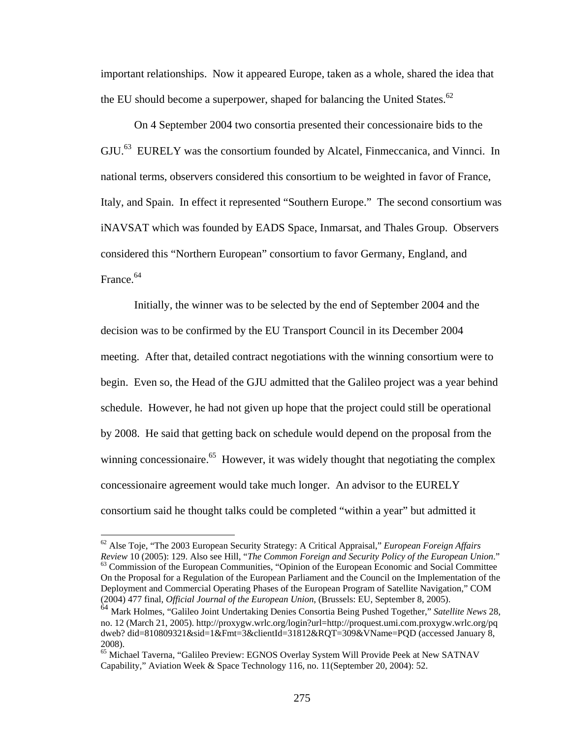important relationships. Now it appeared Europe, taken as a whole, shared the idea that the EU should become a superpower, shaped for balancing the United States.<sup>62</sup>

On 4 September 2004 two consortia presented their concessionaire bids to the GJU.<sup>63</sup> EURELY was the consortium founded by Alcatel, Finmeccanica, and Vinnci. In national terms, observers considered this consortium to be weighted in favor of France, Italy, and Spain. In effect it represented "Southern Europe." The second consortium was iNAVSAT which was founded by EADS Space, Inmarsat, and Thales Group. Observers considered this "Northern European" consortium to favor Germany, England, and France.64

Initially, the winner was to be selected by the end of September 2004 and the decision was to be confirmed by the EU Transport Council in its December 2004 meeting. After that, detailed contract negotiations with the winning consortium were to begin. Even so, the Head of the GJU admitted that the Galileo project was a year behind schedule. However, he had not given up hope that the project could still be operational by 2008. He said that getting back on schedule would depend on the proposal from the winning concessionaire.<sup>65</sup> However, it was widely thought that negotiating the complex concessionaire agreement would take much longer. An advisor to the EURELY consortium said he thought talks could be completed "within a year" but admitted it

<sup>62</sup> Alse Toje, "The 2003 European Security Strategy: A Critical Appraisal," *European Foreign Affairs Review* 10 (2005): 129. Also see Hill, "*The Common Foreign and Security Policy of the European Union*." <sup>63</sup> Commission of the European Communities, "Opinion of the European Economic and Social Committee On the Proposal for a Regulation of the European Parliament and the Council on the Implementation of the Deployment and Commercial Operating Phases of the European Program of Satellite Navigation," COM (2004) 477 final, *Official Journal of the European Union*, (Brussels: EU, September 8, 2005).

<sup>64</sup> Mark Holmes, "Galileo Joint Undertaking Denies Consortia Being Pushed Together," *Satellite News* 28, no. 12 (March 21, 2005). http://proxygw.wrlc.org/login?url=http://proquest.umi.com.proxygw.wrlc.org/pq dweb? did=810809321&sid=1&Fmt=3&clientId=31812&RQT=309&VName=PQD (accessed January 8, 2008).

<sup>65</sup> Michael Taverna, "Galileo Preview: EGNOS Overlay System Will Provide Peek at New SATNAV Capability," Aviation Week & Space Technology 116, no. 11(September 20, 2004): 52.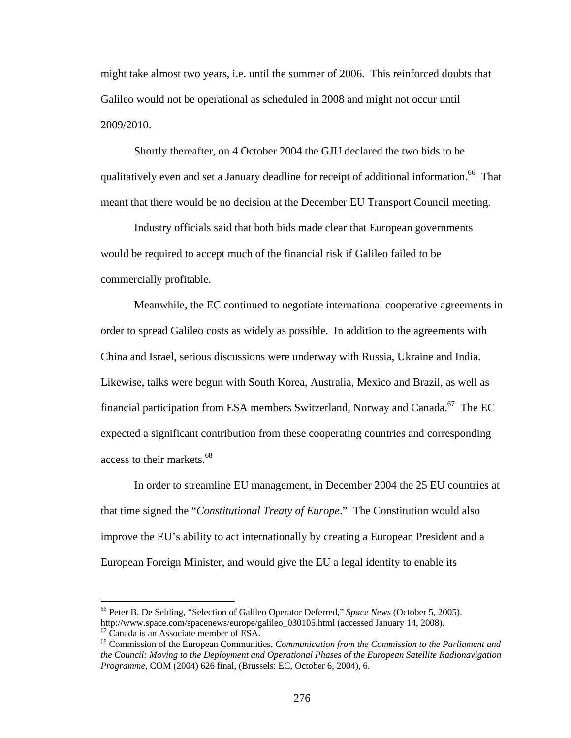might take almost two years, i.e. until the summer of 2006. This reinforced doubts that Galileo would not be operational as scheduled in 2008 and might not occur until 2009/2010.

Shortly thereafter, on 4 October 2004 the GJU declared the two bids to be qualitatively even and set a January deadline for receipt of additional information.<sup>66</sup> That meant that there would be no decision at the December EU Transport Council meeting.

Industry officials said that both bids made clear that European governments would be required to accept much of the financial risk if Galileo failed to be commercially profitable.

Meanwhile, the EC continued to negotiate international cooperative agreements in order to spread Galileo costs as widely as possible. In addition to the agreements with China and Israel, serious discussions were underway with Russia, Ukraine and India. Likewise, talks were begun with South Korea, Australia, Mexico and Brazil, as well as financial participation from ESA members Switzerland, Norway and Canada.<sup>67</sup> The EC expected a significant contribution from these cooperating countries and corresponding access to their markets.<sup>68</sup>

In order to streamline EU management, in December 2004 the 25 EU countries at that time signed the "*Constitutional Treaty of Europe*." The Constitution would also improve the EU's ability to act internationally by creating a European President and a European Foreign Minister, and would give the EU a legal identity to enable its

<sup>66</sup> Peter B. De Selding, "Selection of Galileo Operator Deferred," *Space News* (October 5, 2005). http://www.space.com/spacenews/europe/galileo\_030105.html (accessed January 14, 2008). 67 Canada is an Associate member of ESA.

<sup>68</sup> Commission of the European Communities, *Communication from the Commission to the Parliament and the Council: Moving to the Deployment and Operational Phases of the European Satellite Radionavigation Programme,* COM (2004) 626 final, (Brussels: EC, October 6, 2004), 6.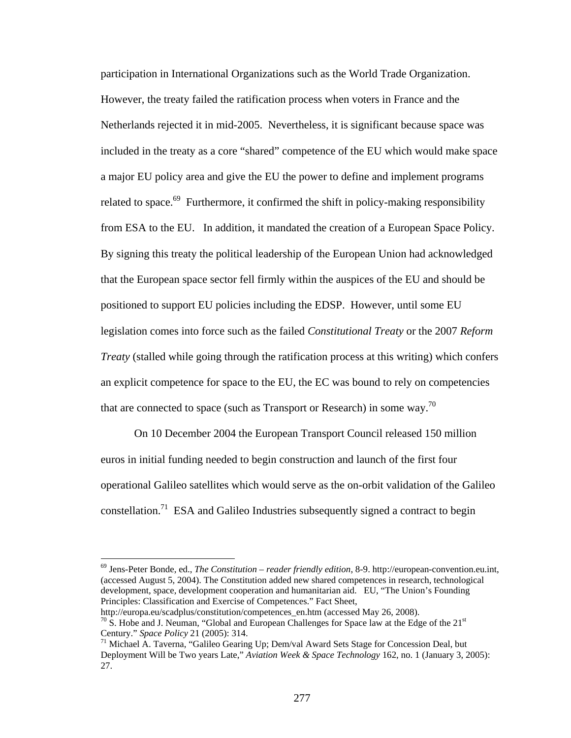participation in International Organizations such as the World Trade Organization. However, the treaty failed the ratification process when voters in France and the Netherlands rejected it in mid-2005. Nevertheless, it is significant because space was included in the treaty as a core "shared" competence of the EU which would make space a major EU policy area and give the EU the power to define and implement programs related to space. $69$  Furthermore, it confirmed the shift in policy-making responsibility from ESA to the EU. In addition, it mandated the creation of a European Space Policy. By signing this treaty the political leadership of the European Union had acknowledged that the European space sector fell firmly within the auspices of the EU and should be positioned to support EU policies including the EDSP. However, until some EU legislation comes into force such as the failed *Constitutional Treaty* or the 2007 *Reform Treaty* (stalled while going through the ratification process at this writing) which confers an explicit competence for space to the EU, the EC was bound to rely on competencies that are connected to space (such as Transport or Research) in some way.<sup>70</sup>

On 10 December 2004 the European Transport Council released 150 million euros in initial funding needed to begin construction and launch of the first four operational Galileo satellites which would serve as the on-orbit validation of the Galileo constellation.<sup>71</sup> ESA and Galileo Industries subsequently signed a contract to begin

<sup>69</sup> Jens-Peter Bonde, ed., *The Constitution – reader friendly edition*, 8-9. http://european-convention.eu.int, (accessed August 5, 2004). The Constitution added new shared competences in research, technological development, space, development cooperation and humanitarian aid. EU, "The Union's Founding Principles: Classification and Exercise of Competences." Fact Sheet,

http://europa.eu/scadplus/constitution/competences\_en.htm (accessed May 26, 2008).<br><sup>70</sup> S. Hobe and J. Neuman, "Global and European Challenges for Space law at the Edge of the 21<sup>st</sup> Century." *Space Policy* 21 (2005): 31

<sup>&</sup>lt;sup>71</sup> Michael A. Taverna, "Galileo Gearing Up; Dem/val Award Sets Stage for Concession Deal, but Deployment Will be Two years Late," *Aviation Week & Space Technology* 162, no. 1 (January 3, 2005): 27.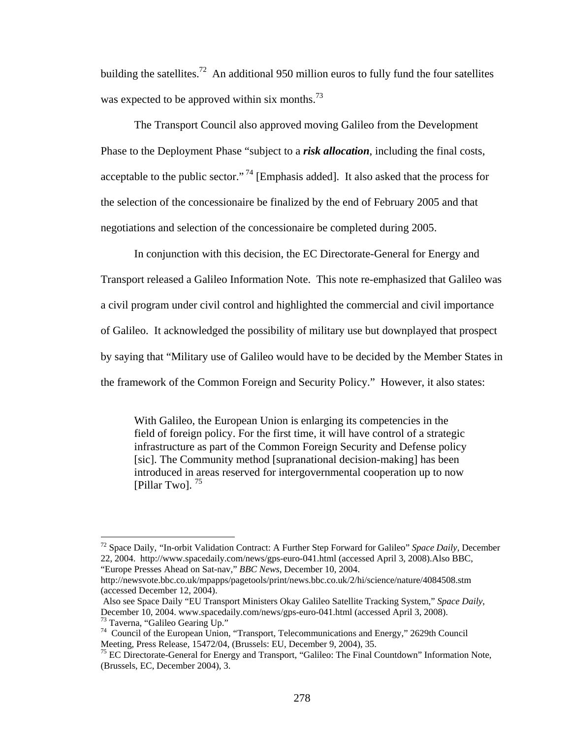building the satellites.<sup>72</sup> An additional 950 million euros to fully fund the four satellites was expected to be approved within six months.<sup>73</sup>

The Transport Council also approved moving Galileo from the Development Phase to the Deployment Phase "subject to a *risk allocation*, including the final costs, acceptable to the public sector."<sup>74</sup> [Emphasis added]. It also asked that the process for the selection of the concessionaire be finalized by the end of February 2005 and that negotiations and selection of the concessionaire be completed during 2005.

In conjunction with this decision, the EC Directorate-General for Energy and Transport released a Galileo Information Note. This note re-emphasized that Galileo was a civil program under civil control and highlighted the commercial and civil importance of Galileo. It acknowledged the possibility of military use but downplayed that prospect by saying that "Military use of Galileo would have to be decided by the Member States in the framework of the Common Foreign and Security Policy." However, it also states:

With Galileo, the European Union is enlarging its competencies in the field of foreign policy. For the first time, it will have control of a strategic infrastructure as part of the Common Foreign Security and Defense policy [sic]. The Community method [supranational decision-making] has been introduced in areas reserved for intergovernmental cooperation up to now [Pillar Two].  $^{75}$ 

<sup>72</sup> Space Daily, "In-orbit Validation Contract: A Further Step Forward for Galileo" *Space Daily*, December 22, 2004. http://www.spacedaily.com/news/gps-euro-041.html (accessed April 3, 2008).Also BBC, "Europe Presses Ahead on Sat-nav," *BBC News*, December 10, 2004.

http://newsvote.bbc.co.uk/mpapps/pagetools/print/news.bbc.co.uk/2/hi/science/nature/4084508.stm (accessed December 12, 2004).

Also see Space Daily "EU Transport Ministers Okay Galileo Satellite Tracking System," *Space Daily*, December 10, 2004. www.spacedaily.com/news/gps-euro-041.html (accessed April 3, 2008).<br><sup>73</sup> Taverna, "Galileo Gearing Up."

<sup>&</sup>lt;sup>74</sup> Council of the European Union, "Transport, Telecommunications and Energy," 2629th Council Meeting, Press Release, 15472/04, (Brussels: EU, December 9, 2004), 35.

<sup>&</sup>lt;sup>75</sup> EC Directorate-General for Energy and Transport, "Galileo: The Final Countdown" Information Note, (Brussels, EC, December 2004), 3.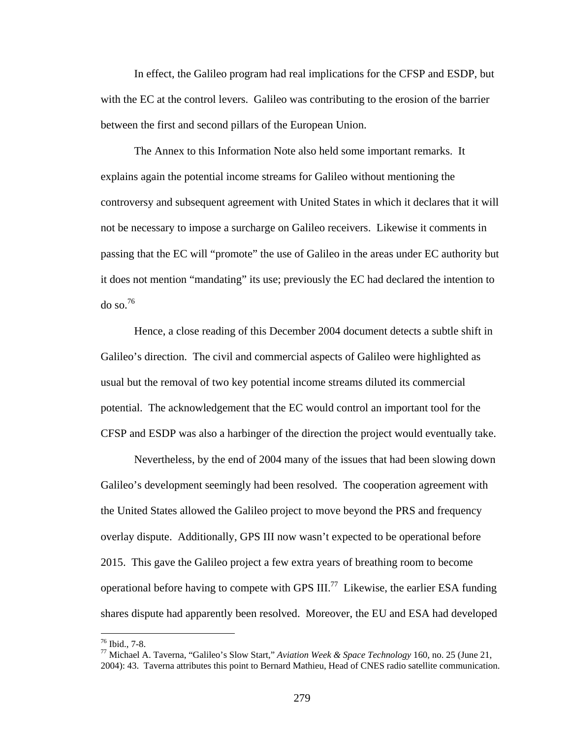In effect, the Galileo program had real implications for the CFSP and ESDP, but with the EC at the control levers. Galileo was contributing to the erosion of the barrier between the first and second pillars of the European Union.

The Annex to this Information Note also held some important remarks. It explains again the potential income streams for Galileo without mentioning the controversy and subsequent agreement with United States in which it declares that it will not be necessary to impose a surcharge on Galileo receivers. Likewise it comments in passing that the EC will "promote" the use of Galileo in the areas under EC authority but it does not mention "mandating" its use; previously the EC had declared the intention to  $\sigma$  so.<sup>76</sup>

Hence, a close reading of this December 2004 document detects a subtle shift in Galileo's direction. The civil and commercial aspects of Galileo were highlighted as usual but the removal of two key potential income streams diluted its commercial potential. The acknowledgement that the EC would control an important tool for the CFSP and ESDP was also a harbinger of the direction the project would eventually take.

Nevertheless, by the end of 2004 many of the issues that had been slowing down Galileo's development seemingly had been resolved. The cooperation agreement with the United States allowed the Galileo project to move beyond the PRS and frequency overlay dispute. Additionally, GPS III now wasn't expected to be operational before 2015. This gave the Galileo project a few extra years of breathing room to become operational before having to compete with GPS  $III^{77}$  Likewise, the earlier ESA funding shares dispute had apparently been resolved. Moreover, the EU and ESA had developed

<sup>76</sup> Ibid., 7-8.

<sup>77</sup> Michael A. Taverna, "Galileo's Slow Start," *Aviation Week & Space Technology* 160, no. 25 (June 21, 2004): 43. Taverna attributes this point to Bernard Mathieu, Head of CNES radio satellite communication.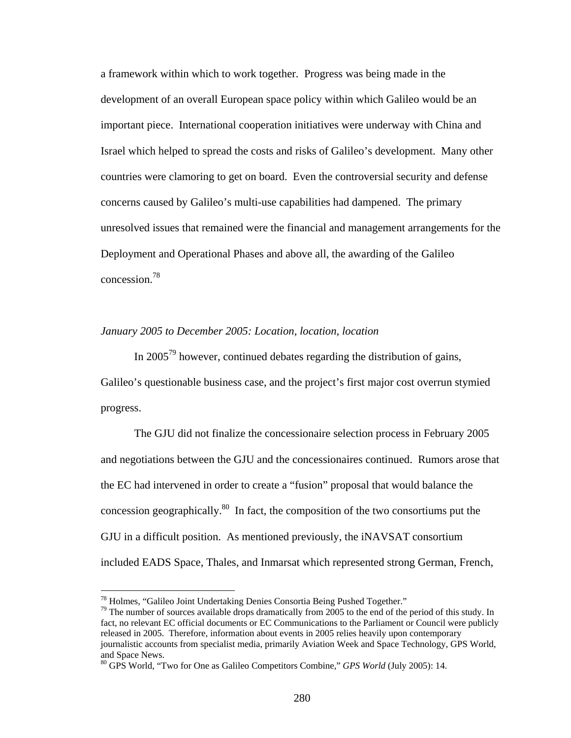a framework within which to work together. Progress was being made in the development of an overall European space policy within which Galileo would be an important piece. International cooperation initiatives were underway with China and Israel which helped to spread the costs and risks of Galileo's development. Many other countries were clamoring to get on board. Even the controversial security and defense concerns caused by Galileo's multi-use capabilities had dampened. The primary unresolved issues that remained were the financial and management arrangements for the Deployment and Operational Phases and above all, the awarding of the Galileo concession.78

## *January 2005 to December 2005: Location, location, location*

In  $2005^{79}$  however, continued debates regarding the distribution of gains, Galileo's questionable business case, and the project's first major cost overrun stymied progress.

The GJU did not finalize the concessionaire selection process in February 2005 and negotiations between the GJU and the concessionaires continued. Rumors arose that the EC had intervened in order to create a "fusion" proposal that would balance the concession geographically. $80 \text{ In fact, the composition of the two consortiums put the}$ GJU in a difficult position. As mentioned previously, the iNAVSAT consortium included EADS Space, Thales, and Inmarsat which represented strong German, French,

<sup>78</sup> Holmes, "Galileo Joint Undertaking Denies Consortia Being Pushed Together."

 $79$  The number of sources available drops dramatically from 2005 to the end of the period of this study. In fact, no relevant EC official documents or EC Communications to the Parliament or Council were publicly released in 2005. Therefore, information about events in 2005 relies heavily upon contemporary journalistic accounts from specialist media, primarily Aviation Week and Space Technology, GPS World, and Space News.

<sup>80</sup> GPS World, "Two for One as Galileo Competitors Combine," *GPS World* (July 2005): 14.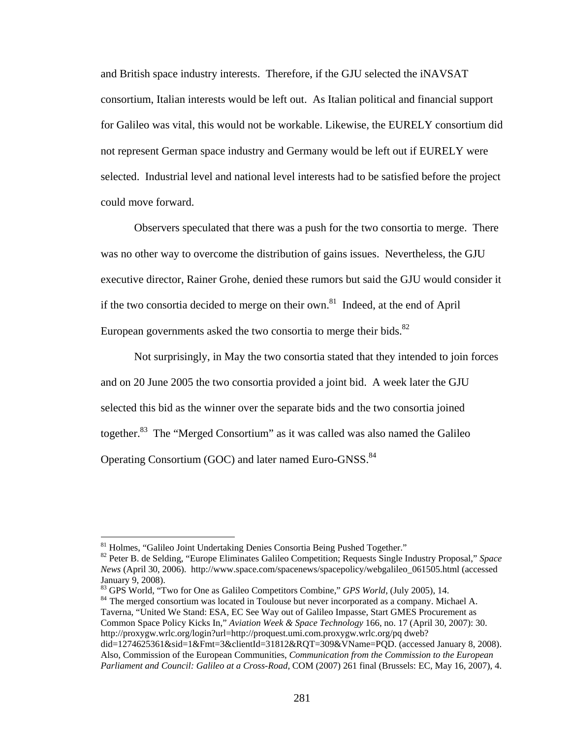and British space industry interests. Therefore, if the GJU selected the iNAVSAT consortium, Italian interests would be left out. As Italian political and financial support for Galileo was vital, this would not be workable. Likewise, the EURELY consortium did not represent German space industry and Germany would be left out if EURELY were selected. Industrial level and national level interests had to be satisfied before the project could move forward.

Observers speculated that there was a push for the two consortia to merge. There was no other way to overcome the distribution of gains issues. Nevertheless, the GJU executive director, Rainer Grohe, denied these rumors but said the GJU would consider it if the two consortia decided to merge on their own.<sup>81</sup> Indeed, at the end of April European governments asked the two consortia to merge their bids. $82$ 

Not surprisingly, in May the two consortia stated that they intended to join forces and on 20 June 2005 the two consortia provided a joint bid. A week later the GJU selected this bid as the winner over the separate bids and the two consortia joined together.<sup>83</sup> The "Merged Consortium" as it was called was also named the Galileo Operating Consortium (GOC) and later named Euro-GNSS.<sup>84</sup>

<sup>&</sup>lt;sup>81</sup> Holmes, "Galileo Joint Undertaking Denies Consortia Being Pushed Together."

<sup>82</sup> Peter B. de Selding, "Europe Eliminates Galileo Competition; Requests Single Industry Proposal," *Space News* (April 30, 2006). http://www.space.com/spacenews/spacepolicy/webgalileo\_061505.html (accessed January 9, 2008).<br><sup>83</sup> GPS World, "Two for One as Galileo Competitors Combine," *GPS World*, (July 2005), 14.

<sup>&</sup>lt;sup>84</sup> The merged consortium was located in Toulouse but never incorporated as a company. Michael A. Taverna, "United We Stand: ESA, EC See Way out of Galileo Impasse, Start GMES Procurement as Common Space Policy Kicks In," *Aviation Week & Space Technology* 166, no. 17 (April 30, 2007): 30. http://proxygw.wrlc.org/login?url=http://proquest.umi.com.proxygw.wrlc.org/pq dweb?

did=1274625361&sid=1&Fmt=3&clientId=31812&RQT=309&VName=PQD. (accessed January 8, 2008). Also, Commission of the European Communities, *Communication from the Commission to the European Parliament and Council: Galileo at a Cross-Road,* COM (2007) 261 final (Brussels: EC, May 16, 2007), 4.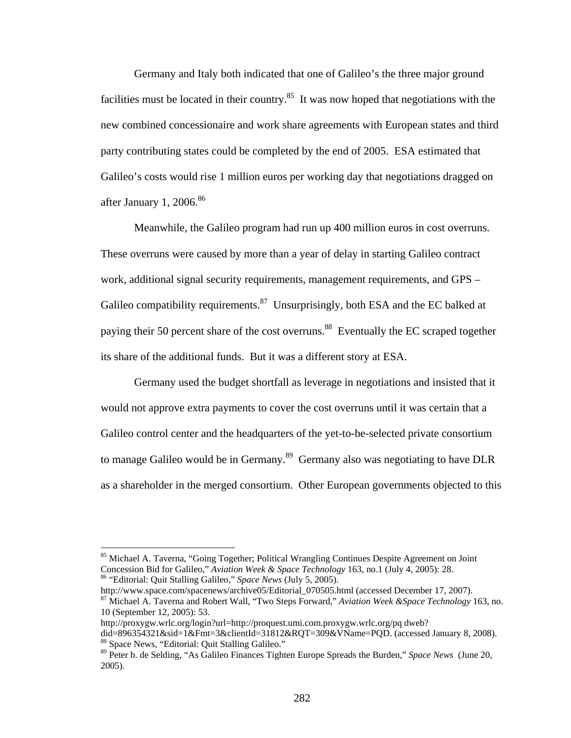Germany and Italy both indicated that one of Galileo's the three major ground facilities must be located in their country.<sup>85</sup> It was now hoped that negotiations with the new combined concessionaire and work share agreements with European states and third party contributing states could be completed by the end of 2005. ESA estimated that Galileo's costs would rise 1 million euros per working day that negotiations dragged on after January 1, 2006. $86$ 

Meanwhile, the Galileo program had run up 400 million euros in cost overruns. These overruns were caused by more than a year of delay in starting Galileo contract work, additional signal security requirements, management requirements, and GPS – Galileo compatibility requirements.<sup>87</sup> Unsurprisingly, both ESA and the EC balked at paying their 50 percent share of the cost overruns.<sup>88</sup> Eventually the EC scraped together its share of the additional funds. But it was a different story at ESA.

 Germany used the budget shortfall as leverage in negotiations and insisted that it would not approve extra payments to cover the cost overruns until it was certain that a Galileo control center and the headquarters of the yet-to-be-selected private consortium to manage Galileo would be in Germany.<sup>89</sup> Germany also was negotiating to have DLR as a shareholder in the merged consortium. Other European governments objected to this

http://www.space.com/spacenews/archive05/Editorial\_070505.html (accessed December 17, 2007). 87 Michael A. Taverna and Robert Wall, "Two Steps Forward," *Aviation Week &Space Technology* 163, no.

http://proxygw.wrlc.org/login?url=http://proquest.umi.com.proxygw.wrlc.org/pq dweb?

<sup>&</sup>lt;sup>85</sup> Michael A. Taverna, "Going Together; Political Wrangling Continues Despite Agreement on Joint Concession Bid for Galileo," *Aviation Week & Space Technology* 163, no.1 (July 4, 2005): 28. 86 "Editorial: Quit Stalling Galileo," *Space News* (July 5, 2005).

<sup>10 (</sup>September 12, 2005): 53.

did=896354321&sid=1&Fmt=3&clientId=31812&RQT=309&VName=PQD. (accessed January 8, 2008). 88 Space News, "Editorial: Quit Stalling Galileo."

<sup>89</sup> Peter b. de Selding, "As Galileo Finances Tighten Europe Spreads the Burden," *Space News* (June 20, 2005).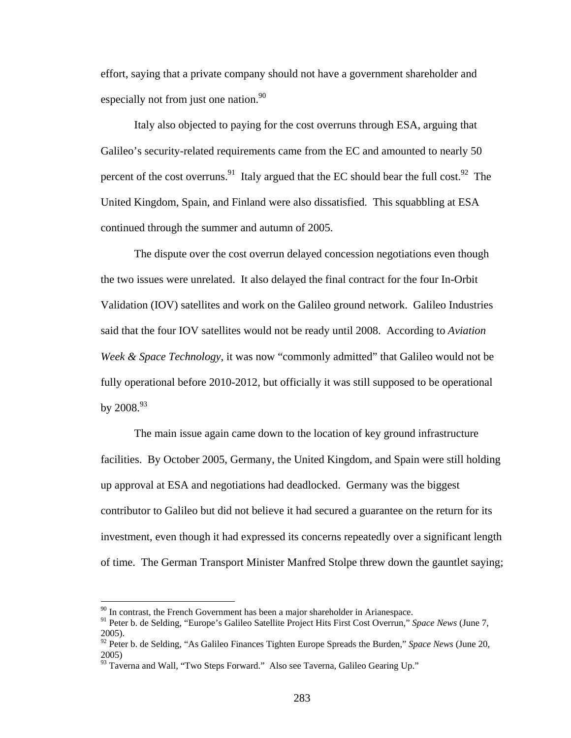effort, saying that a private company should not have a government shareholder and especially not from just one nation. $90$ 

 Italy also objected to paying for the cost overruns through ESA, arguing that Galileo's security-related requirements came from the EC and amounted to nearly 50 percent of the cost overruns.<sup>91</sup> Italy argued that the EC should bear the full cost.<sup>92</sup> The United Kingdom, Spain, and Finland were also dissatisfied. This squabbling at ESA continued through the summer and autumn of 2005.

The dispute over the cost overrun delayed concession negotiations even though the two issues were unrelated. It also delayed the final contract for the four In-Orbit Validation (IOV) satellites and work on the Galileo ground network. Galileo Industries said that the four IOV satellites would not be ready until 2008. According to *Aviation Week & Space Technology*, it was now "commonly admitted" that Galileo would not be fully operational before 2010-2012, but officially it was still supposed to be operational by  $2008.<sup>93</sup>$ 

The main issue again came down to the location of key ground infrastructure facilities. By October 2005, Germany, the United Kingdom, and Spain were still holding up approval at ESA and negotiations had deadlocked. Germany was the biggest contributor to Galileo but did not believe it had secured a guarantee on the return for its investment, even though it had expressed its concerns repeatedly over a significant length of time. The German Transport Minister Manfred Stolpe threw down the gauntlet saying;

 $90$  In contrast, the French Government has been a major shareholder in Arianespace.

<sup>91</sup> Peter b. de Selding, "Europe's Galileo Satellite Project Hits First Cost Overrun," *Space News* (June 7, 2005).

<sup>&</sup>lt;sup>92</sup> Peter b. de Selding, "As Galileo Finances Tighten Europe Spreads the Burden," Space News (June 20, 2005)

<sup>93</sup> Taverna and Wall, "Two Steps Forward." Also see Taverna, Galileo Gearing Up."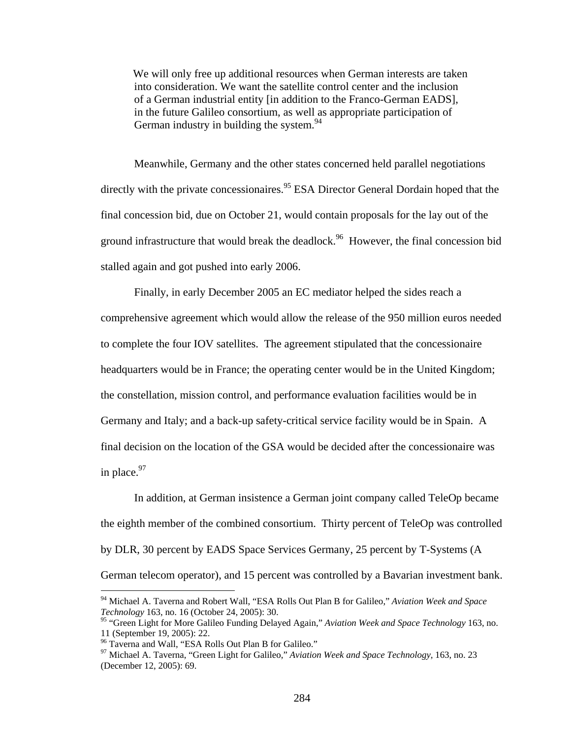We will only free up additional resources when German interests are taken into consideration. We want the satellite control center and the inclusion of a German industrial entity [in addition to the Franco-German EADS], in the future Galileo consortium, as well as appropriate participation of German industry in building the system.  $94$ 

Meanwhile, Germany and the other states concerned held parallel negotiations directly with the private concessionaires.<sup>95</sup> ESA Director General Dordain hoped that the final concession bid, due on October 21, would contain proposals for the lay out of the ground infrastructure that would break the deadlock.<sup>96</sup> However, the final concession bid stalled again and got pushed into early 2006.

Finally, in early December 2005 an EC mediator helped the sides reach a comprehensive agreement which would allow the release of the 950 million euros needed to complete the four IOV satellites. The agreement stipulated that the concessionaire headquarters would be in France; the operating center would be in the United Kingdom; the constellation, mission control, and performance evaluation facilities would be in Germany and Italy; and a back-up safety-critical service facility would be in Spain. A final decision on the location of the GSA would be decided after the concessionaire was in place. $97$ 

In addition, at German insistence a German joint company called TeleOp became the eighth member of the combined consortium. Thirty percent of TeleOp was controlled by DLR, 30 percent by EADS Space Services Germany, 25 percent by T-Systems (A German telecom operator), and 15 percent was controlled by a Bavarian investment bank.

<sup>94</sup> Michael A. Taverna and Robert Wall, "ESA Rolls Out Plan B for Galileo," *Aviation Week and Space Technology* 163, no. 16 (October 24, 2005): 30.

<sup>95 &</sup>quot;Green Light for More Galileo Funding Delayed Again," *Aviation Week and Space Technology* 163, no. 11 (September 19, 2005): 22.

<sup>&</sup>lt;sup>96</sup> Taverna and Wall, "ESA Rolls Out Plan B for Galileo."

<sup>97</sup> Michael A. Taverna, "Green Light for Galileo," *Aviation Week and Space Technology,* 163, no. 23 (December 12, 2005): 69.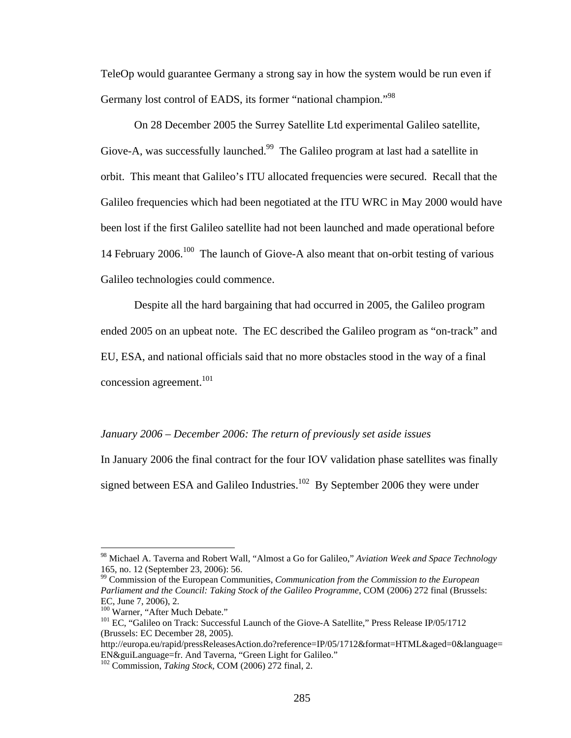TeleOp would guarantee Germany a strong say in how the system would be run even if Germany lost control of EADS, its former "national champion."98

On 28 December 2005 the Surrey Satellite Ltd experimental Galileo satellite, Giove-A, was successfully launched.<sup>99</sup> The Galileo program at last had a satellite in orbit. This meant that Galileo's ITU allocated frequencies were secured. Recall that the Galileo frequencies which had been negotiated at the ITU WRC in May 2000 would have been lost if the first Galileo satellite had not been launched and made operational before 14 February 2006.<sup>100</sup> The launch of Giove-A also meant that on-orbit testing of various Galileo technologies could commence.

Despite all the hard bargaining that had occurred in 2005, the Galileo program ended 2005 on an upbeat note. The EC described the Galileo program as "on-track" and EU, ESA, and national officials said that no more obstacles stood in the way of a final concession agreement.<sup>101</sup>

## *January 2006 – December 2006: The return of previously set aside issues*

In January 2006 the final contract for the four IOV validation phase satellites was finally signed between ESA and Galileo Industries.<sup>102</sup> By September 2006 they were under

<sup>98</sup> Michael A. Taverna and Robert Wall, "Almost a Go for Galileo," *Aviation Week and Space Technology*  165, no. 12 (September 23, 2006): 56.

<sup>99</sup> Commission of the European Communities, *Communication from the Commission to the European Parliament and the Council: Taking Stock of the Galileo Programme*, COM (2006) 272 final (Brussels: EC, June 7, 2006), 2.<br><sup>100</sup> Warner, "After Much Debate."

<sup>&</sup>lt;sup>101</sup> EC, "Galileo on Track: Successful Launch of the Giove-A Satellite," Press Release IP/05/1712 (Brussels: EC December 28, 2005).

http://europa.eu/rapid/pressReleasesAction.do?reference=IP/05/1712&format=HTML&aged=0&language= EN&guiLanguage=fr. And Taverna, "Green Light for Galileo."

<sup>102</sup> Commission, *Taking Stock,* COM (2006) 272 final, 2.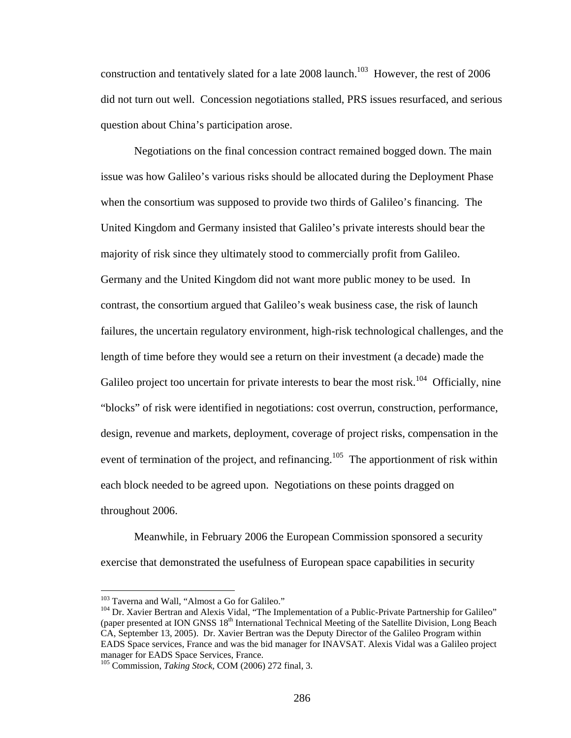construction and tentatively slated for a late  $2008$  launch.<sup>103</sup> However, the rest of  $2006$ did not turn out well. Concession negotiations stalled, PRS issues resurfaced, and serious question about China's participation arose.

Negotiations on the final concession contract remained bogged down. The main issue was how Galileo's various risks should be allocated during the Deployment Phase when the consortium was supposed to provide two thirds of Galileo's financing. The United Kingdom and Germany insisted that Galileo's private interests should bear the majority of risk since they ultimately stood to commercially profit from Galileo. Germany and the United Kingdom did not want more public money to be used. In contrast, the consortium argued that Galileo's weak business case, the risk of launch failures, the uncertain regulatory environment, high-risk technological challenges, and the length of time before they would see a return on their investment (a decade) made the Galileo project too uncertain for private interests to bear the most risk.<sup>104</sup> Officially, nine "blocks" of risk were identified in negotiations: cost overrun, construction, performance, design, revenue and markets, deployment, coverage of project risks, compensation in the event of termination of the project, and refinancing.<sup>105</sup> The apportionment of risk within each block needed to be agreed upon. Negotiations on these points dragged on throughout 2006.

Meanwhile, in February 2006 the European Commission sponsored a security exercise that demonstrated the usefulness of European space capabilities in security

<sup>&</sup>lt;sup>103</sup> Taverna and Wall, "Almost a Go for Galileo."

<sup>&</sup>lt;sup>104</sup> Dr. Xavier Bertran and Alexis Vidal, "The Implementation of a Public-Private Partnership for Galileo" (paper presented at ION GNSS 18<sup>th</sup> International Technical Meeting of the Satellite Division, Long Beach CA, September 13, 2005). Dr. Xavier Bertran was the Deputy Director of the Galileo Program within EADS Space services, France and was the bid manager for INAVSAT. Alexis Vidal was a Galileo project manager for EADS Space Services, France.

<sup>105</sup> Commission, *Taking Stock,* COM (2006) 272 final, 3.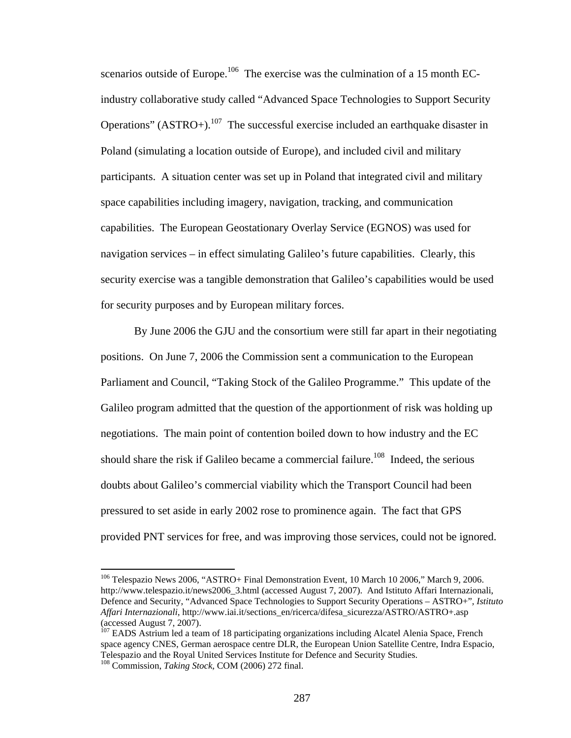scenarios outside of Europe.<sup>106</sup> The exercise was the culmination of a 15 month ECindustry collaborative study called "Advanced Space Technologies to Support Security Operations" (ASTRO+).<sup>107</sup> The successful exercise included an earthquake disaster in Poland (simulating a location outside of Europe), and included civil and military participants. A situation center was set up in Poland that integrated civil and military space capabilities including imagery, navigation, tracking, and communication capabilities. The European Geostationary Overlay Service (EGNOS) was used for navigation services – in effect simulating Galileo's future capabilities. Clearly, this security exercise was a tangible demonstration that Galileo's capabilities would be used for security purposes and by European military forces.

By June 2006 the GJU and the consortium were still far apart in their negotiating positions. On June 7, 2006 the Commission sent a communication to the European Parliament and Council, "Taking Stock of the Galileo Programme." This update of the Galileo program admitted that the question of the apportionment of risk was holding up negotiations. The main point of contention boiled down to how industry and the EC should share the risk if Galileo became a commercial failure.<sup>108</sup> Indeed, the serious doubts about Galileo's commercial viability which the Transport Council had been pressured to set aside in early 2002 rose to prominence again. The fact that GPS provided PNT services for free, and was improving those services, could not be ignored.

<sup>&</sup>lt;sup>106</sup> Telespazio News 2006, "ASTRO+ Final Demonstration Event, 10 March 10 2006," March 9, 2006. http://www.telespazio.it/news2006\_3.html (accessed August 7, 2007). And Istituto Affari Internazionali, Defence and Security, "Advanced Space Technologies to Support Security Operations – ASTRO+"*, Istituto Affari Internazionali*, http://www.iai.it/sections\_en/ricerca/difesa\_sicurezza/ASTRO/ASTRO+.asp (accessed August 7, 2007).

<sup>&</sup>lt;sup>107</sup> EADS Astrium led a team of 18 participating organizations including Alcatel Alenia Space, French space agency CNES, German aerospace centre DLR, the European Union Satellite Centre, Indra Espacio, Telespazio and the Royal United Services Institute for Defence and Security Studies. 108 Commission, *Taking Stock,* COM (2006) 272 final.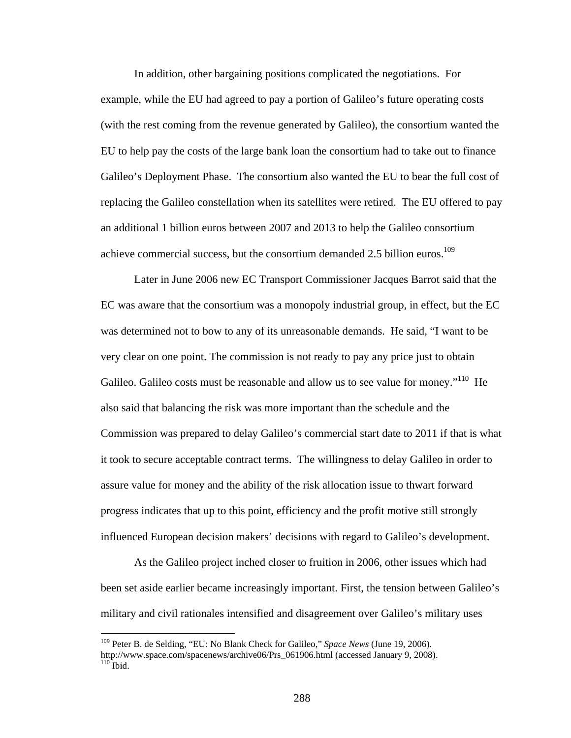In addition, other bargaining positions complicated the negotiations. For example, while the EU had agreed to pay a portion of Galileo's future operating costs (with the rest coming from the revenue generated by Galileo), the consortium wanted the EU to help pay the costs of the large bank loan the consortium had to take out to finance Galileo's Deployment Phase. The consortium also wanted the EU to bear the full cost of replacing the Galileo constellation when its satellites were retired. The EU offered to pay an additional 1 billion euros between 2007 and 2013 to help the Galileo consortium achieve commercial success, but the consortium demanded 2.5 billion euros.<sup>109</sup>

Later in June 2006 new EC Transport Commissioner Jacques Barrot said that the EC was aware that the consortium was a monopoly industrial group, in effect, but the EC was determined not to bow to any of its unreasonable demands. He said, "I want to be very clear on one point. The commission is not ready to pay any price just to obtain Galileo. Galileo costs must be reasonable and allow us to see value for money."<sup>110</sup> He also said that balancing the risk was more important than the schedule and the Commission was prepared to delay Galileo's commercial start date to 2011 if that is what it took to secure acceptable contract terms. The willingness to delay Galileo in order to assure value for money and the ability of the risk allocation issue to thwart forward progress indicates that up to this point, efficiency and the profit motive still strongly influenced European decision makers' decisions with regard to Galileo's development.

As the Galileo project inched closer to fruition in 2006, other issues which had been set aside earlier became increasingly important. First, the tension between Galileo's military and civil rationales intensified and disagreement over Galileo's military uses

<sup>109</sup> Peter B. de Selding, "EU: No Blank Check for Galileo," *Space News* (June 19, 2006). http://www.space.com/spacenews/archive06/Prs\_061906.html (accessed January 9, 2008).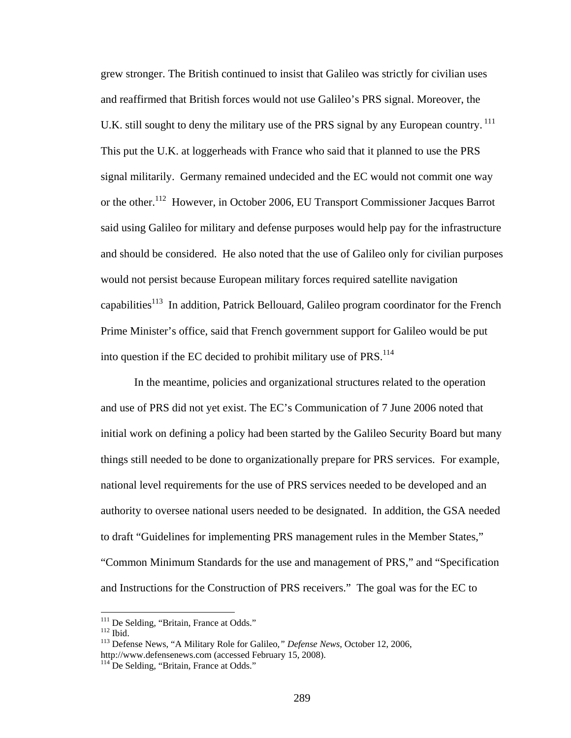grew stronger. The British continued to insist that Galileo was strictly for civilian uses and reaffirmed that British forces would not use Galileo's PRS signal. Moreover, the U.K. still sought to deny the military use of the PRS signal by any European country.<sup>111</sup> This put the U.K. at loggerheads with France who said that it planned to use the PRS signal militarily. Germany remained undecided and the EC would not commit one way or the other.112 However, in October 2006, EU Transport Commissioner Jacques Barrot said using Galileo for military and defense purposes would help pay for the infrastructure and should be considered. He also noted that the use of Galileo only for civilian purposes would not persist because European military forces required satellite navigation capabilities<sup>113</sup> In addition, Patrick Bellouard, Galileo program coordinator for the French Prime Minister's office, said that French government support for Galileo would be put into question if the EC decided to prohibit military use of  $PRS$ <sup>114</sup>

In the meantime, policies and organizational structures related to the operation and use of PRS did not yet exist. The EC's Communication of 7 June 2006 noted that initial work on defining a policy had been started by the Galileo Security Board but many things still needed to be done to organizationally prepare for PRS services. For example, national level requirements for the use of PRS services needed to be developed and an authority to oversee national users needed to be designated. In addition, the GSA needed to draft "Guidelines for implementing PRS management rules in the Member States," "Common Minimum Standards for the use and management of PRS," and "Specification and Instructions for the Construction of PRS receivers." The goal was for the EC to

<sup>&</sup>lt;sup>111</sup> De Selding, "Britain, France at Odds."

<sup>112</sup> Ibid.<br><sup>112</sup> Ibid. <sup>113</sup> Defense News, "A Military Role for Galileo, " *Defense News*, October 12, 2006, http://www.defensenews.com (accessed February 15, 2008).<br><sup>114</sup> De Selding, "Britain, France at Odds."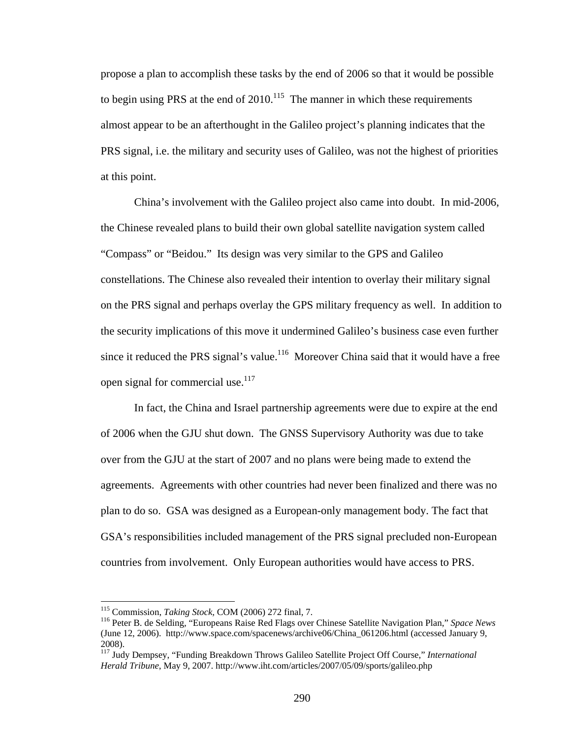propose a plan to accomplish these tasks by the end of 2006 so that it would be possible to begin using PRS at the end of  $2010$ .<sup>115</sup> The manner in which these requirements almost appear to be an afterthought in the Galileo project's planning indicates that the PRS signal, i.e. the military and security uses of Galileo, was not the highest of priorities at this point.

China's involvement with the Galileo project also came into doubt. In mid-2006, the Chinese revealed plans to build their own global satellite navigation system called "Compass" or "Beidou." Its design was very similar to the GPS and Galileo constellations. The Chinese also revealed their intention to overlay their military signal on the PRS signal and perhaps overlay the GPS military frequency as well. In addition to the security implications of this move it undermined Galileo's business case even further since it reduced the PRS signal's value.<sup>116</sup> Moreover China said that it would have a free open signal for commercial use.<sup>117</sup>

 In fact, the China and Israel partnership agreements were due to expire at the end of 2006 when the GJU shut down. The GNSS Supervisory Authority was due to take over from the GJU at the start of 2007 and no plans were being made to extend the agreements. Agreements with other countries had never been finalized and there was no plan to do so. GSA was designed as a European-only management body. The fact that GSA's responsibilities included management of the PRS signal precluded non-European countries from involvement. Only European authorities would have access to PRS.

<sup>&</sup>lt;sup>115</sup> Commission, *Taking Stock*, COM (2006) 272 final, 7.<br><sup>116</sup> Peter B. de Selding, "Europeans Raise Red Flags over Chinese Satellite Navigation Plan," *Space News* (June 12, 2006). http://www.space.com/spacenews/archive06/China\_061206.html (accessed January 9, 2008).

<sup>117</sup> Judy Dempsey, "Funding Breakdown Throws Galileo Satellite Project Off Course," *International Herald Tribune*, May 9, 2007. http://www.iht.com/articles/2007/05/09/sports/galileo.php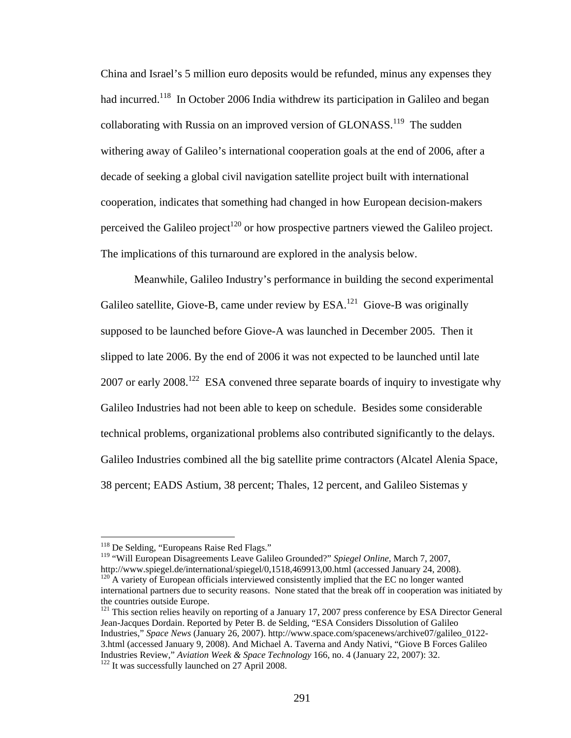China and Israel's 5 million euro deposits would be refunded, minus any expenses they had incurred.<sup>118</sup> In October 2006 India withdrew its participation in Galileo and began collaborating with Russia on an improved version of GLONASS.<sup>119</sup> The sudden withering away of Galileo's international cooperation goals at the end of 2006, after a decade of seeking a global civil navigation satellite project built with international cooperation, indicates that something had changed in how European decision-makers perceived the Galileo project<sup>120</sup> or how prospective partners viewed the Galileo project. The implications of this turnaround are explored in the analysis below.

 Meanwhile, Galileo Industry's performance in building the second experimental Galileo satellite, Giove-B, came under review by  $ESA$ <sup>121</sup> Giove-B was originally supposed to be launched before Giove-A was launched in December 2005. Then it slipped to late 2006. By the end of 2006 it was not expected to be launched until late 2007 or early  $2008$ <sup>122</sup> ESA convened three separate boards of inquiry to investigate why Galileo Industries had not been able to keep on schedule. Besides some considerable technical problems, organizational problems also contributed significantly to the delays. Galileo Industries combined all the big satellite prime contractors (Alcatel Alenia Space, 38 percent; EADS Astium, 38 percent; Thales, 12 percent, and Galileo Sistemas y

1

<sup>119</sup> "Will European Disagreements Leave Galileo Grounded?" *Spiegel Online*, March 7, 2007,<br>http://www.spiegel.de/international/spiegel/0,1518,469913,00.html (accessed January 24, 2008).  $h^{120}A$  variety of European officials interviewed consistently implied that the EC no longer wanted

<sup>&</sup>lt;sup>118</sup> De Selding, "Europeans Raise Red Flags."

international partners due to security reasons. None stated that the break off in cooperation was initiated by the countries outside Europe.

<sup>&</sup>lt;sup>121</sup> This section relies heavily on reporting of a January 17, 2007 press conference by ESA Director General Jean-Jacques Dordain. Reported by Peter B. de Selding, "ESA Considers Dissolution of Galileo Industries," *Space News* (January 26, 2007). http://www.space.com/spacenews/archive07/galileo\_0122- 3.html (accessed January 9, 2008). And Michael A. Taverna and Andy Nativi, "Giove B Forces Galileo Industries Review," *Aviation Week & Space Technology* 166, no. 4 (January 22, 2007): 32. 122 It was successfully launched on 27 April 2008.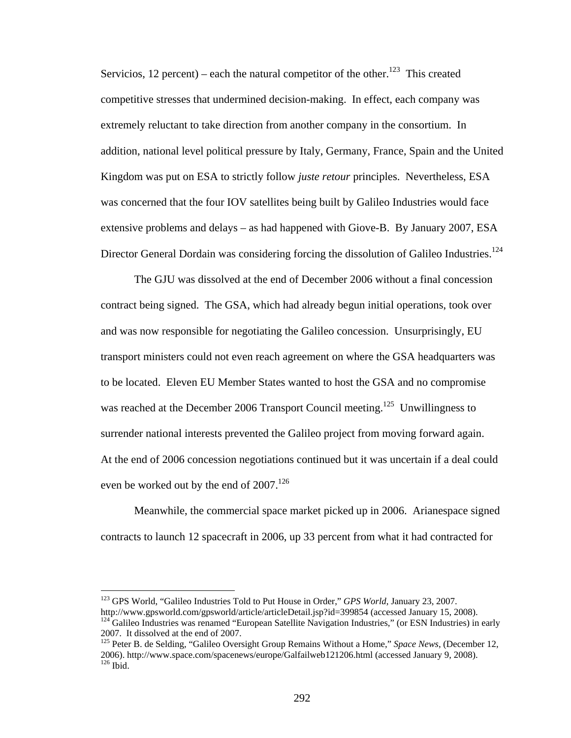Servicios, 12 percent) – each the natural competitor of the other.<sup>123</sup> This created competitive stresses that undermined decision-making. In effect, each company was extremely reluctant to take direction from another company in the consortium. In addition, national level political pressure by Italy, Germany, France, Spain and the United Kingdom was put on ESA to strictly follow *juste retour* principles. Nevertheless, ESA was concerned that the four IOV satellites being built by Galileo Industries would face extensive problems and delays – as had happened with Giove-B. By January 2007, ESA Director General Dordain was considering forcing the dissolution of Galileo Industries.<sup>124</sup>

 The GJU was dissolved at the end of December 2006 without a final concession contract being signed. The GSA, which had already begun initial operations, took over and was now responsible for negotiating the Galileo concession. Unsurprisingly, EU transport ministers could not even reach agreement on where the GSA headquarters was to be located. Eleven EU Member States wanted to host the GSA and no compromise was reached at the December 2006 Transport Council meeting.<sup>125</sup> Unwillingness to surrender national interests prevented the Galileo project from moving forward again. At the end of 2006 concession negotiations continued but it was uncertain if a deal could even be worked out by the end of  $2007$ .<sup>126</sup>

 Meanwhile, the commercial space market picked up in 2006. Arianespace signed contracts to launch 12 spacecraft in 2006, up 33 percent from what it had contracted for

<sup>&</sup>lt;sup>123</sup> GPS World, "Galileo Industries Told to Put House in Order," *GPS World*, January 23, 2007.<br>http://www.gpsworld.com/gpsworld/article/articleDetail.jsp?id=399854 (accessed January 15, 2008).

 $h<sup>124</sup>$  Galileo Industries was renamed "European Satellite Navigation Industries," (or ESN Industries) in early

<sup>2007.</sup> It dissolved at the end of 2007.

<sup>&</sup>lt;sup>125</sup> Peter B. de Selding, "Galileo Oversight Group Remains Without a Home," Space News, (December 12, 2006). http://www.space.com/spacenews/europe/Galfailweb121206.html (accessed January 9, 2008).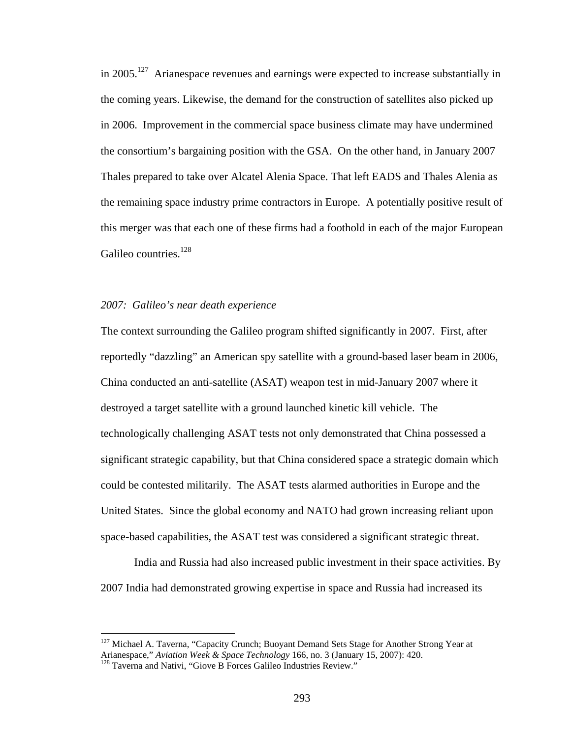in 2005.<sup>127</sup> Arianespace revenues and earnings were expected to increase substantially in the coming years. Likewise, the demand for the construction of satellites also picked up in 2006. Improvement in the commercial space business climate may have undermined the consortium's bargaining position with the GSA. On the other hand, in January 2007 Thales prepared to take over Alcatel Alenia Space. That left EADS and Thales Alenia as the remaining space industry prime contractors in Europe. A potentially positive result of this merger was that each one of these firms had a foothold in each of the major European Galileo countries.<sup>128</sup>

## *2007: Galileo's near death experience*

The context surrounding the Galileo program shifted significantly in 2007. First, after reportedly "dazzling" an American spy satellite with a ground-based laser beam in 2006, China conducted an anti-satellite (ASAT) weapon test in mid-January 2007 where it destroyed a target satellite with a ground launched kinetic kill vehicle. The technologically challenging ASAT tests not only demonstrated that China possessed a significant strategic capability, but that China considered space a strategic domain which could be contested militarily. The ASAT tests alarmed authorities in Europe and the United States. Since the global economy and NATO had grown increasing reliant upon space-based capabilities, the ASAT test was considered a significant strategic threat.

 India and Russia had also increased public investment in their space activities. By 2007 India had demonstrated growing expertise in space and Russia had increased its

<sup>&</sup>lt;sup>127</sup> Michael A. Taverna, "Capacity Crunch; Buoyant Demand Sets Stage for Another Strong Year at Arianespace," *Aviation Week & Space Technology* 166, no. 3 (January 15, 2007): 420. 128 Taverna and Nativi, "Giove B Forces Galileo Industries Review."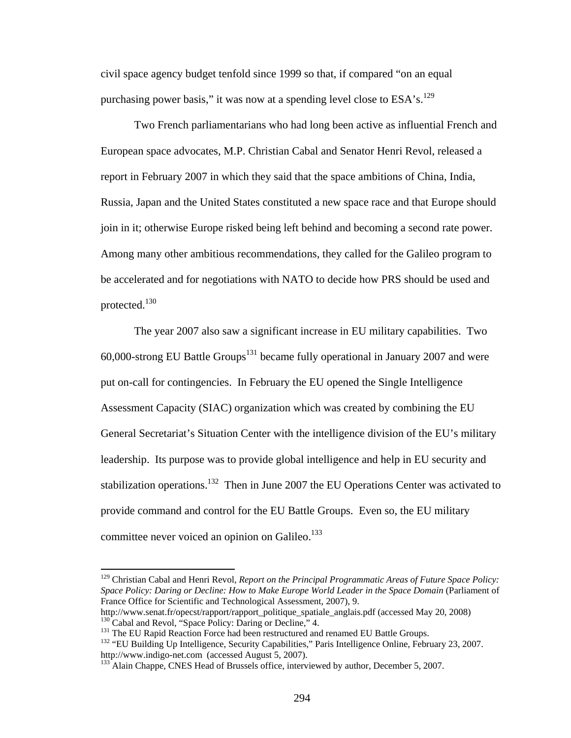civil space agency budget tenfold since 1999 so that, if compared "on an equal purchasing power basis," it was now at a spending level close to  $ESA's$ .<sup>129</sup>

 Two French parliamentarians who had long been active as influential French and European space advocates, M.P. Christian Cabal and Senator Henri Revol, released a report in February 2007 in which they said that the space ambitions of China, India, Russia, Japan and the United States constituted a new space race and that Europe should join in it; otherwise Europe risked being left behind and becoming a second rate power. Among many other ambitious recommendations, they called for the Galileo program to be accelerated and for negotiations with NATO to decide how PRS should be used and protected.130

The year 2007 also saw a significant increase in EU military capabilities. Two  $60,000$ -strong EU Battle Groups<sup>131</sup> became fully operational in January 2007 and were put on-call for contingencies. In February the EU opened the Single Intelligence Assessment Capacity (SIAC) organization which was created by combining the EU General Secretariat's Situation Center with the intelligence division of the EU's military leadership. Its purpose was to provide global intelligence and help in EU security and stabilization operations.<sup>132</sup> Then in June 2007 the EU Operations Center was activated to provide command and control for the EU Battle Groups. Even so, the EU military committee never voiced an opinion on Galileo. $133$ 

<sup>129</sup> Christian Cabal and Henri Revol, *Report on the Principal Programmatic Areas of Future Space Policy: Space Policy: Daring or Decline: How to Make Europe World Leader in the Space Domain* (Parliament of France Office for Scientific and Technological Assessment, 2007), 9.

http://www.senat.fr/opecst/rapport/rapport\_politique\_spatiale\_anglais.pdf (accessed May 20, 2008)<br><sup>130</sup> Cabal and Revol, "Space Policy: Daring or Decline," 4.<br><sup>131</sup> The EU Rapid Reaction Force had been restructured and ren

http://www.indigo-net.com (accessed August 5, 2007).<br><sup>133</sup> Alain Chappe, CNES Head of Brussels office, interviewed by author, December 5, 2007.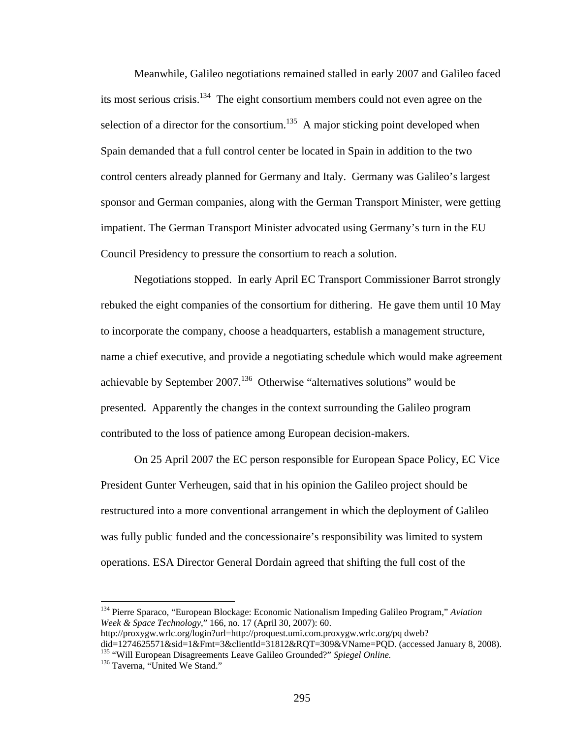Meanwhile, Galileo negotiations remained stalled in early 2007 and Galileo faced its most serious crisis.<sup>134</sup> The eight consortium members could not even agree on the selection of a director for the consortium.<sup>135</sup> A major sticking point developed when Spain demanded that a full control center be located in Spain in addition to the two control centers already planned for Germany and Italy. Germany was Galileo's largest sponsor and German companies, along with the German Transport Minister, were getting impatient. The German Transport Minister advocated using Germany's turn in the EU Council Presidency to pressure the consortium to reach a solution.

 Negotiations stopped. In early April EC Transport Commissioner Barrot strongly rebuked the eight companies of the consortium for dithering. He gave them until 10 May to incorporate the company, choose a headquarters, establish a management structure, name a chief executive, and provide a negotiating schedule which would make agreement achievable by September  $2007$ .<sup>136</sup> Otherwise "alternatives solutions" would be presented. Apparently the changes in the context surrounding the Galileo program contributed to the loss of patience among European decision-makers.

 On 25 April 2007 the EC person responsible for European Space Policy, EC Vice President Gunter Verheugen, said that in his opinion the Galileo project should be restructured into a more conventional arrangement in which the deployment of Galileo was fully public funded and the concessionaire's responsibility was limited to system operations. ESA Director General Dordain agreed that shifting the full cost of the

1

<sup>134</sup> Pierre Sparaco, "European Blockage: Economic Nationalism Impeding Galileo Program," *Aviation Week & Space Technology*," 166, no. 17 (April 30, 2007): 60.

http://proxygw.wrlc.org/login?url=http://proquest.umi.com.proxygw.wrlc.org/pq dweb?

did=1274625571&sid=1&Fmt=3&clientId=31812&RQT=309&VName=PQD. (accessed January 8, 2008).<br><sup>135</sup> "Will European Disagreements Leave Galileo Grounded?" *Spiegel Online*.<br><sup>136</sup> Taverna, "United We Stand."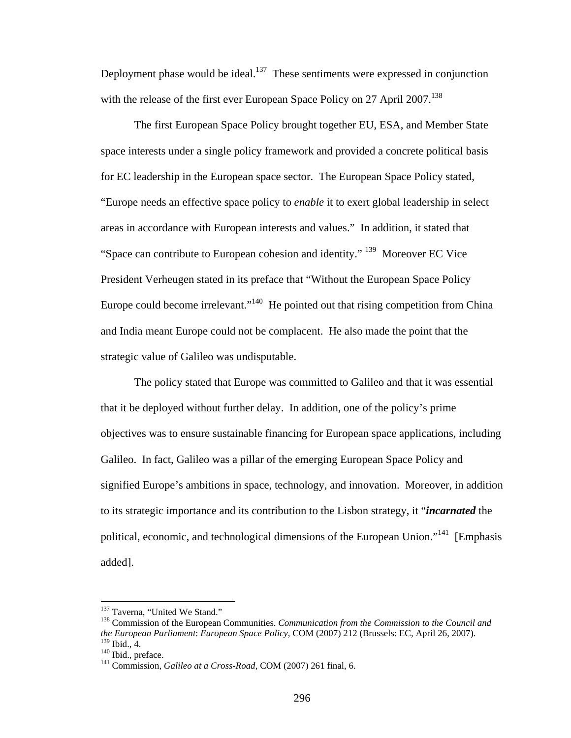Deployment phase would be ideal.<sup>137</sup> These sentiments were expressed in conjunction with the release of the first ever European Space Policy on 27 April 2007.<sup>138</sup>

 The first European Space Policy brought together EU, ESA, and Member State space interests under a single policy framework and provided a concrete political basis for EC leadership in the European space sector. The European Space Policy stated, "Europe needs an effective space policy to *enable* it to exert global leadership in select areas in accordance with European interests and values." In addition, it stated that "Space can contribute to European cohesion and identity." 139 Moreover EC Vice President Verheugen stated in its preface that "Without the European Space Policy Europe could become irrelevant."<sup>140</sup> He pointed out that rising competition from China and India meant Europe could not be complacent. He also made the point that the strategic value of Galileo was undisputable.

The policy stated that Europe was committed to Galileo and that it was essential that it be deployed without further delay. In addition, one of the policy's prime objectives was to ensure sustainable financing for European space applications, including Galileo. In fact, Galileo was a pillar of the emerging European Space Policy and signified Europe's ambitions in space, technology, and innovation. Moreover, in addition to its strategic importance and its contribution to the Lisbon strategy, it "*incarnated* the political, economic, and technological dimensions of the European Union."<sup>141</sup> [Emphasis] added].

1

<sup>&</sup>lt;sup>137</sup> Taverna, "United We Stand."<br><sup>138</sup> Commission of the European Communities. *Communication from the Commission to the Council and the European Parliament*: *European Space Policy*, COM (2007) 212 (Brussels: EC, April 26, 2007).

<sup>&</sup>lt;sup>140</sup> Ibid., preface.<br><sup>141</sup> Commission, *Galileo at a Cross-Road*, COM (2007) 261 final, 6.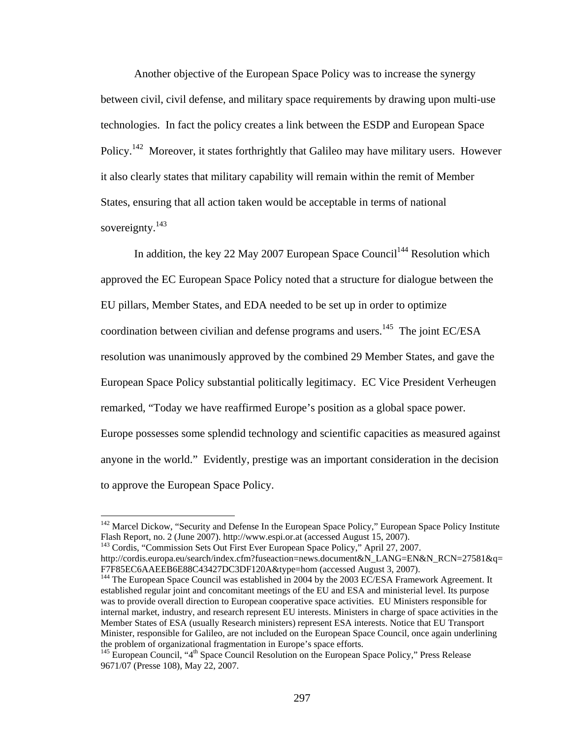Another objective of the European Space Policy was to increase the synergy between civil, civil defense, and military space requirements by drawing upon multi-use technologies. In fact the policy creates a link between the ESDP and European Space Policy.<sup>142</sup> Moreover, it states forthrightly that Galileo may have military users. However it also clearly states that military capability will remain within the remit of Member States, ensuring that all action taken would be acceptable in terms of national sovereignty. $143$ 

In addition, the key 22 May 2007 European Space Council<sup>144</sup> Resolution which approved the EC European Space Policy noted that a structure for dialogue between the EU pillars, Member States, and EDA needed to be set up in order to optimize coordination between civilian and defense programs and users.<sup>145</sup> The joint EC/ESA resolution was unanimously approved by the combined 29 Member States, and gave the European Space Policy substantial politically legitimacy. EC Vice President Verheugen remarked, "Today we have reaffirmed Europe's position as a global space power. Europe possesses some splendid technology and scientific capacities as measured against anyone in the world." Evidently, prestige was an important consideration in the decision to approve the European Space Policy.

<sup>&</sup>lt;sup>142</sup> Marcel Dickow, "Security and Defense In the European Space Policy," European Space Policy Institute Flash Report, no. 2 (June 2007). http://www.espi.or.at (accessed August 15, 2007).

<sup>&</sup>lt;sup>143</sup> Cordis, "Commission Sets Out First Ever European Space Policy," April 27, 2007.

http://cordis.europa.eu/search/index.cfm?fuseaction=news.document&N\_LANG=EN&N\_RCN=27581&q=<br>F7F85EC6AAEEB6E88C43427DC3DF120A&type=hom (accessed August 3, 2007).

 $^{144}$  The European Space Council was established in 2004 by the 2003 EC/ESA Framework Agreement. It established regular joint and concomitant meetings of the EU and ESA and ministerial level. Its purpose was to provide overall direction to European cooperative space activities. EU Ministers responsible for internal market, industry, and research represent EU interests. Ministers in charge of space activities in the Member States of ESA (usually Research ministers) represent ESA interests. Notice that EU Transport Minister, responsible for Galileo, are not included on the European Space Council, once again underlining the problem of organizational fragmentation in Europe's space efforts.

<sup>&</sup>lt;sup>145</sup> European Council, "4<sup>th</sup> Space Council Resolution on the European Space Policy," Press Release 9671/07 (Presse 108), May 22, 2007.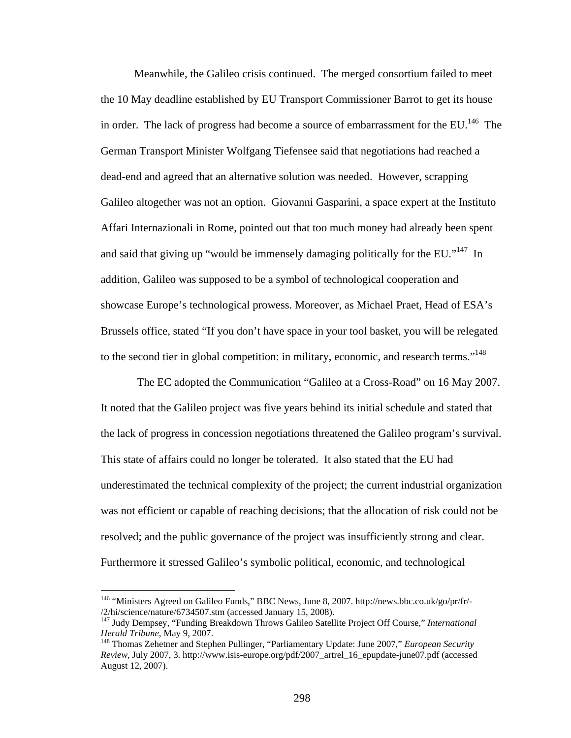Meanwhile, the Galileo crisis continued. The merged consortium failed to meet the 10 May deadline established by EU Transport Commissioner Barrot to get its house in order. The lack of progress had become a source of embarrassment for the EU.<sup>146</sup> The German Transport Minister Wolfgang Tiefensee said that negotiations had reached a dead-end and agreed that an alternative solution was needed. However, scrapping Galileo altogether was not an option. Giovanni Gasparini, a space expert at the Instituto Affari Internazionali in Rome, pointed out that too much money had already been spent and said that giving up "would be immensely damaging politically for the EU."<sup>147</sup> In addition, Galileo was supposed to be a symbol of technological cooperation and showcase Europe's technological prowess. Moreover, as Michael Praet, Head of ESA's Brussels office, stated "If you don't have space in your tool basket, you will be relegated to the second tier in global competition: in military, economic, and research terms."<sup>148</sup>

 The EC adopted the Communication "Galileo at a Cross-Road" on 16 May 2007. It noted that the Galileo project was five years behind its initial schedule and stated that the lack of progress in concession negotiations threatened the Galileo program's survival. This state of affairs could no longer be tolerated. It also stated that the EU had underestimated the technical complexity of the project; the current industrial organization was not efficient or capable of reaching decisions; that the allocation of risk could not be resolved; and the public governance of the project was insufficiently strong and clear. Furthermore it stressed Galileo's symbolic political, economic, and technological

<u>.</u>

<sup>146 &</sup>quot;Ministers Agreed on Galileo Funds," BBC News, June 8, 2007. http://news.bbc.co.uk/go/pr/fr/-

<sup>/2/</sup>hi/science/nature/6734507.stm (accessed January 15, 2008). 147 Judy Dempsey, "Funding Breakdown Throws Galileo Satellite Project Off Course," *International* 

<sup>&</sup>lt;sup>148</sup> Thomas Zehetner and Stephen Pullinger, "Parliamentary Update: June 2007," *European Security Review*, July 2007, 3. http://www.isis-europe.org/pdf/2007\_artrel\_16\_epupdate-june07.pdf (accessed August 12, 2007).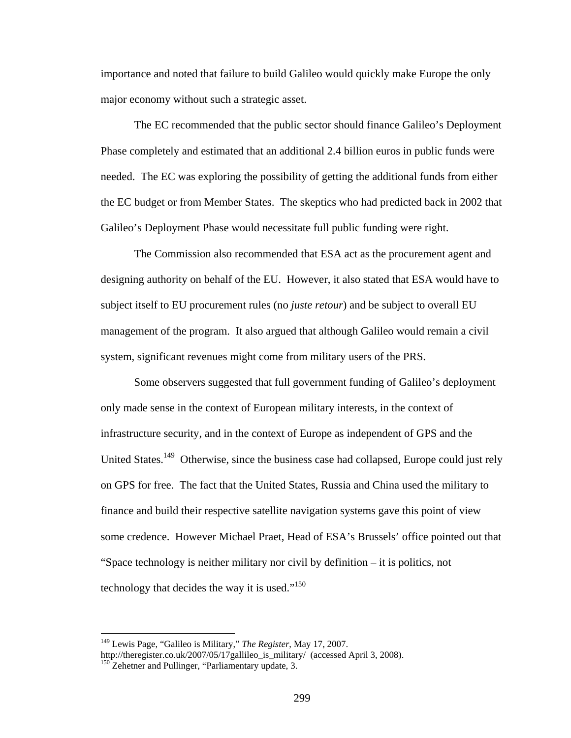importance and noted that failure to build Galileo would quickly make Europe the only major economy without such a strategic asset.

 The EC recommended that the public sector should finance Galileo's Deployment Phase completely and estimated that an additional 2.4 billion euros in public funds were needed. The EC was exploring the possibility of getting the additional funds from either the EC budget or from Member States. The skeptics who had predicted back in 2002 that Galileo's Deployment Phase would necessitate full public funding were right.

The Commission also recommended that ESA act as the procurement agent and designing authority on behalf of the EU. However, it also stated that ESA would have to subject itself to EU procurement rules (no *juste retour*) and be subject to overall EU management of the program. It also argued that although Galileo would remain a civil system, significant revenues might come from military users of the PRS.

Some observers suggested that full government funding of Galileo's deployment only made sense in the context of European military interests, in the context of infrastructure security, and in the context of Europe as independent of GPS and the United States.<sup>149</sup> Otherwise, since the business case had collapsed, Europe could just rely on GPS for free. The fact that the United States, Russia and China used the military to finance and build their respective satellite navigation systems gave this point of view some credence. However Michael Praet, Head of ESA's Brussels' office pointed out that "Space technology is neither military nor civil by definition – it is politics, not technology that decides the way it is used."<sup>150</sup>

<sup>149</sup> Lewis Page, "Galileo is Military," *The Register*, May 17, 2007.

http://theregister.co.uk/2007/05/17gallileo\_is\_military/ (accessed April 3, 2008). <sup>150</sup> Zehetner and Pullinger, "Parliamentary update, 3.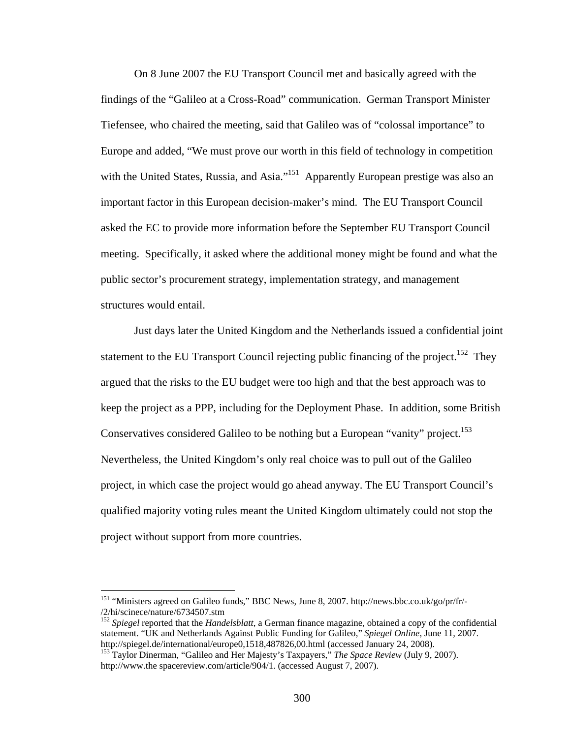On 8 June 2007 the EU Transport Council met and basically agreed with the findings of the "Galileo at a Cross-Road" communication. German Transport Minister Tiefensee, who chaired the meeting, said that Galileo was of "colossal importance" to Europe and added, "We must prove our worth in this field of technology in competition with the United States, Russia, and Asia."<sup>151</sup> Apparently European prestige was also an important factor in this European decision-maker's mind. The EU Transport Council asked the EC to provide more information before the September EU Transport Council meeting. Specifically, it asked where the additional money might be found and what the public sector's procurement strategy, implementation strategy, and management structures would entail.

Just days later the United Kingdom and the Netherlands issued a confidential joint statement to the EU Transport Council rejecting public financing of the project.<sup>152</sup> They argued that the risks to the EU budget were too high and that the best approach was to keep the project as a PPP, including for the Deployment Phase. In addition, some British Conservatives considered Galileo to be nothing but a European "vanity" project.<sup>153</sup> Nevertheless, the United Kingdom's only real choice was to pull out of the Galileo project, in which case the project would go ahead anyway. The EU Transport Council's qualified majority voting rules meant the United Kingdom ultimately could not stop the project without support from more countries.

<u>.</u>

<sup>151 &</sup>quot;Ministers agreed on Galileo funds," BBC News, June 8, 2007. http://news.bbc.co.uk/go/pr/fr/- /2/hi/scinece/nature/6734507.stm 152 *Spiegel* reported that the *Handelsblatt*, a German finance magazine, obtained a copy of the confidential

statement. "UK and Netherlands Against Public Funding for Galileo," *Spiegel Online*, June 11, 2007.<br>http://spiegel.de/international/europe0,1518,487826,00.html (accessed January 24, 2008).

<sup>&</sup>lt;sup>153</sup> Taylor Dinerman, "Galileo and Her Majesty's Taxpayers," *The Space Review* (July 9, 2007). http://www.the spacereview.com/article/904/1. (accessed August 7, 2007).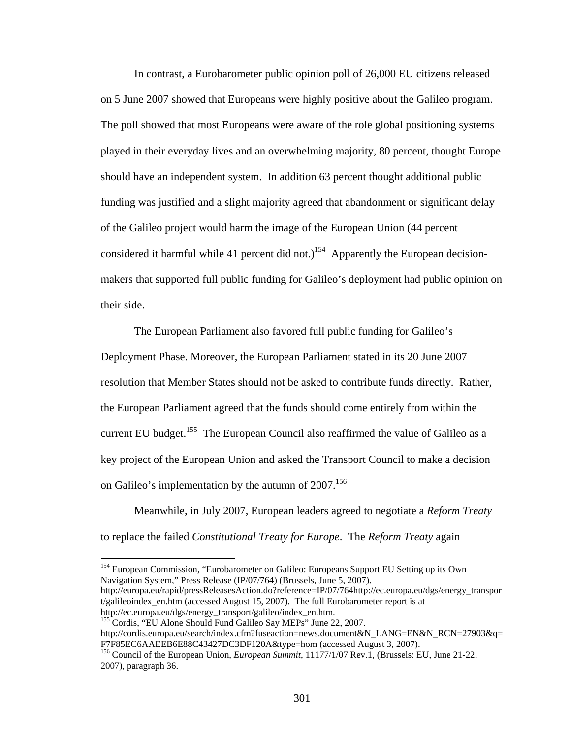In contrast, a Eurobarometer public opinion poll of 26,000 EU citizens released on 5 June 2007 showed that Europeans were highly positive about the Galileo program. The poll showed that most Europeans were aware of the role global positioning systems played in their everyday lives and an overwhelming majority, 80 percent, thought Europe should have an independent system. In addition 63 percent thought additional public funding was justified and a slight majority agreed that abandonment or significant delay of the Galileo project would harm the image of the European Union (44 percent considered it harmful while 41 percent did not.)<sup>154</sup> Apparently the European decisionmakers that supported full public funding for Galileo's deployment had public opinion on their side.

The European Parliament also favored full public funding for Galileo's Deployment Phase. Moreover, the European Parliament stated in its 20 June 2007 resolution that Member States should not be asked to contribute funds directly. Rather, the European Parliament agreed that the funds should come entirely from within the current EU budget.<sup>155</sup> The European Council also reaffirmed the value of Galileo as a key project of the European Union and asked the Transport Council to make a decision on Galileo's implementation by the autumn of  $2007$ <sup>156</sup>

Meanwhile, in July 2007, European leaders agreed to negotiate a *Reform Treaty*  to replace the failed *Constitutional Treaty for Europe*. The *Reform Treaty* again

<sup>154</sup> European Commission, "Eurobarometer on Galileo: Europeans Support EU Setting up its Own Navigation System," Press Release (IP/07/764) (Brussels, June 5, 2007).

http://europa.eu/rapid/pressReleasesAction.do?reference=IP/07/764http://ec.europa.eu/dgs/energy\_transpor  $t/galileoindex$  en.htm (accessed August 15, 2007). The full Eurobarometer report is at http://ec.europa.eu/dgs/energy\_transport/galileo/index\_en.htm.

<sup>155</sup> Cordis, "EU Alone Should Fund Galileo Say MEPs" June 22, 2007.

1

http://cordis.europa.eu/search/index.cfm?fuseaction=news.document&N\_LANG=EN&N\_RCN=27903&q= F7F85EC6AAEEB6E88C43427DC3DF120A&type=hom (accessed August 3, 2007). 156 Council of the European Union, *European Summit*, 11177/1/07 Rev.1, (Brussels: EU, June 21-22,

<sup>2007),</sup> paragraph 36.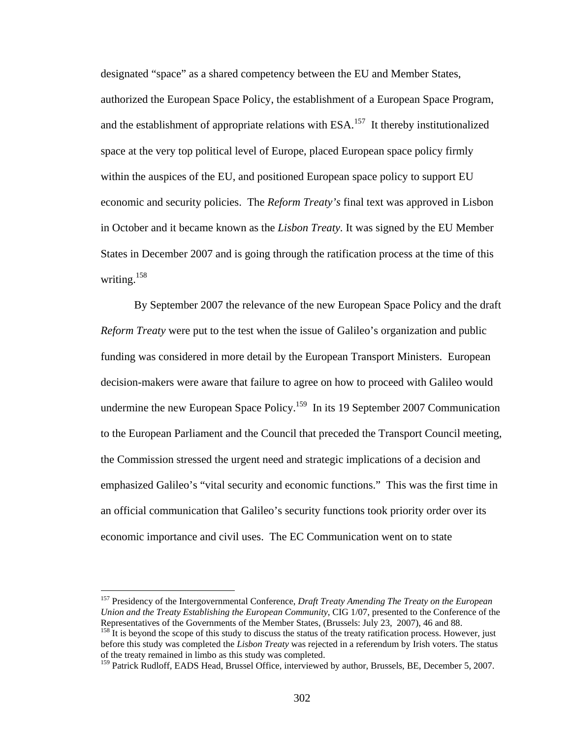designated "space" as a shared competency between the EU and Member States, authorized the European Space Policy, the establishment of a European Space Program, and the establishment of appropriate relations with  $ESA$ <sup>157</sup> It thereby institutionalized space at the very top political level of Europe, placed European space policy firmly within the auspices of the EU, and positioned European space policy to support EU economic and security policies. The *Reform Treaty's* final text was approved in Lisbon in October and it became known as the *Lisbon Treaty.* It was signed by the EU Member States in December 2007 and is going through the ratification process at the time of this writing. $158$ 

By September 2007 the relevance of the new European Space Policy and the draft *Reform Treaty* were put to the test when the issue of Galileo's organization and public funding was considered in more detail by the European Transport Ministers. European decision-makers were aware that failure to agree on how to proceed with Galileo would undermine the new European Space Policy.<sup>159</sup> In its 19 September 2007 Communication to the European Parliament and the Council that preceded the Transport Council meeting, the Commission stressed the urgent need and strategic implications of a decision and emphasized Galileo's "vital security and economic functions." This was the first time in an official communication that Galileo's security functions took priority order over its economic importance and civil uses. The EC Communication went on to state

<sup>157</sup> Presidency of the Intergovernmental Conference, *Draft Treaty Amending The Treaty on the European Union and the Treaty Establishing the European Community*, CIG 1/07, presented to the Conference of the Representatives of the Governments of the Member States, (Brussels: July 23, 2007), 46 and 88.

 $158$  It is beyond the scope of this study to discuss the status of the treaty ratification process. However, just before this study was completed the *Lisbon Treaty* was rejected in a referendum by Irish voters. The status of the treaty remained in limbo as this study was completed.

<sup>&</sup>lt;sup>159</sup> Patrick Rudloff, EADS Head, Brussel Office, interviewed by author, Brussels, BE, December 5, 2007.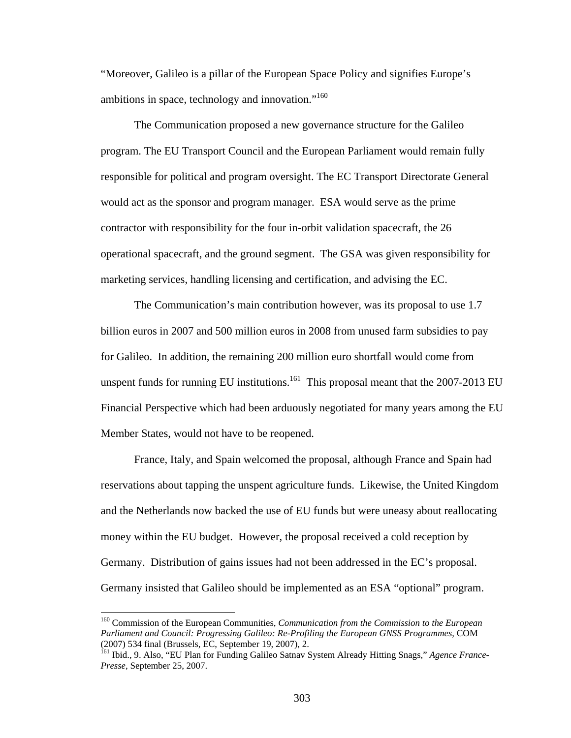"Moreover, Galileo is a pillar of the European Space Policy and signifies Europe's ambitions in space, technology and innovation."<sup>160</sup>

The Communication proposed a new governance structure for the Galileo program. The EU Transport Council and the European Parliament would remain fully responsible for political and program oversight. The EC Transport Directorate General would act as the sponsor and program manager. ESA would serve as the prime contractor with responsibility for the four in-orbit validation spacecraft, the 26 operational spacecraft, and the ground segment. The GSA was given responsibility for marketing services, handling licensing and certification, and advising the EC.

The Communication's main contribution however, was its proposal to use 1.7 billion euros in 2007 and 500 million euros in 2008 from unused farm subsidies to pay for Galileo. In addition, the remaining 200 million euro shortfall would come from unspent funds for running EU institutions.<sup>161</sup> This proposal meant that the 2007-2013 EU Financial Perspective which had been arduously negotiated for many years among the EU Member States, would not have to be reopened.

France, Italy, and Spain welcomed the proposal, although France and Spain had reservations about tapping the unspent agriculture funds. Likewise, the United Kingdom and the Netherlands now backed the use of EU funds but were uneasy about reallocating money within the EU budget. However, the proposal received a cold reception by Germany. Distribution of gains issues had not been addressed in the EC's proposal. Germany insisted that Galileo should be implemented as an ESA "optional" program.

<sup>160</sup> Commission of the European Communities, *Communication from the Commission to the European Parliament and Council: Progressing Galileo: Re-Profiling the European GNSS Programmes*, COM (2007) 534 final (Brussels, EC, September 19, 2007), 2.

<sup>161</sup> Ibid., 9. Also, "EU Plan for Funding Galileo Satnav System Already Hitting Snags," *Agence France-Presse*, September 25, 2007.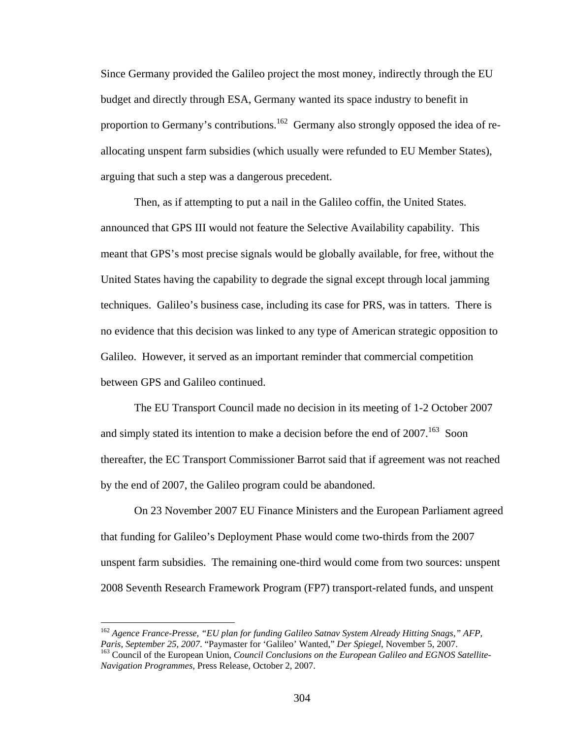Since Germany provided the Galileo project the most money, indirectly through the EU budget and directly through ESA, Germany wanted its space industry to benefit in proportion to Germany's contributions.<sup>162</sup> Germany also strongly opposed the idea of reallocating unspent farm subsidies (which usually were refunded to EU Member States), arguing that such a step was a dangerous precedent.

Then, as if attempting to put a nail in the Galileo coffin, the United States. announced that GPS III would not feature the Selective Availability capability. This meant that GPS's most precise signals would be globally available, for free, without the United States having the capability to degrade the signal except through local jamming techniques. Galileo's business case, including its case for PRS, was in tatters. There is no evidence that this decision was linked to any type of American strategic opposition to Galileo. However, it served as an important reminder that commercial competition between GPS and Galileo continued.

The EU Transport Council made no decision in its meeting of 1-2 October 2007 and simply stated its intention to make a decision before the end of  $2007$ .<sup>163</sup> Soon thereafter, the EC Transport Commissioner Barrot said that if agreement was not reached by the end of 2007, the Galileo program could be abandoned.

On 23 November 2007 EU Finance Ministers and the European Parliament agreed that funding for Galileo's Deployment Phase would come two-thirds from the 2007 unspent farm subsidies. The remaining one-third would come from two sources: unspent 2008 Seventh Research Framework Program (FP7) transport-related funds, and unspent

<u>.</u>

<sup>&</sup>lt;sup>162</sup> Agence France-Presse, "EU plan for funding Galileo Satnav System Already Hitting Snags," AFP, Paris, September 25, 2007. "Paymaster for 'Galileo' Wanted," Der Spiegel, November 5, 2007. <sup>163</sup> Council of the European Union, *Council Conclusions on the European Galileo and EGNOS Satellite-Navigation Programmes,* Press Release, October 2, 2007.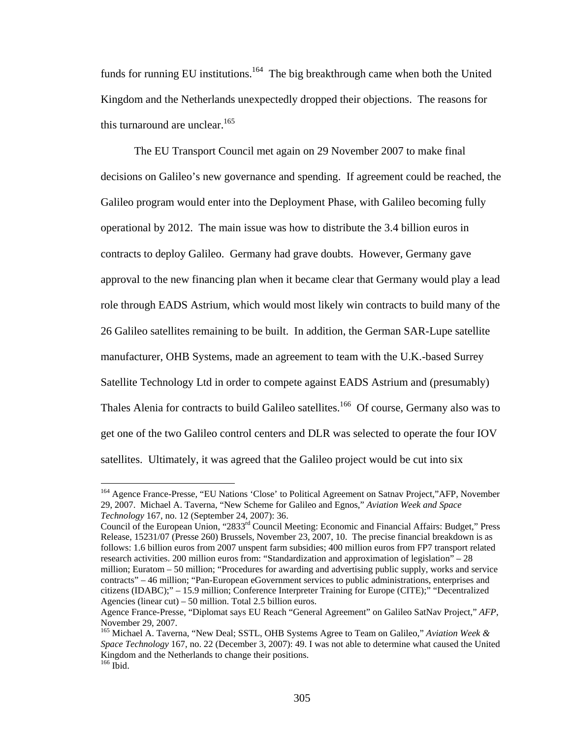funds for running EU institutions.<sup>164</sup> The big breakthrough came when both the United Kingdom and the Netherlands unexpectedly dropped their objections. The reasons for this turnaround are unclear.  $165$ 

The EU Transport Council met again on 29 November 2007 to make final decisions on Galileo's new governance and spending. If agreement could be reached, the Galileo program would enter into the Deployment Phase, with Galileo becoming fully operational by 2012. The main issue was how to distribute the 3.4 billion euros in contracts to deploy Galileo. Germany had grave doubts. However, Germany gave approval to the new financing plan when it became clear that Germany would play a lead role through EADS Astrium, which would most likely win contracts to build many of the 26 Galileo satellites remaining to be built. In addition, the German SAR-Lupe satellite manufacturer, OHB Systems, made an agreement to team with the U.K.-based Surrey Satellite Technology Ltd in order to compete against EADS Astrium and (presumably) Thales Alenia for contracts to build Galileo satellites.<sup>166</sup> Of course, Germany also was to get one of the two Galileo control centers and DLR was selected to operate the four IOV satellites. Ultimately, it was agreed that the Galileo project would be cut into six

<sup>164</sup> Agence France-Presse, "EU Nations 'Close' to Political Agreement on Satnav Project,"AFP, November 29, 2007. Michael A. Taverna, "New Scheme for Galileo and Egnos," *Aviation Week and Space Technology* 167, no. 12 (September 24, 2007): 36.

Council of the European Union, "2833rd Council Meeting: Economic and Financial Affairs: Budget," Press Release, 15231/07 (Presse 260) Brussels, November 23, 2007, 10. The precise financial breakdown is as follows: 1.6 billion euros from 2007 unspent farm subsidies; 400 million euros from FP7 transport related research activities. 200 million euros from: "Standardization and approximation of legislation" – 28 million; Euratom – 50 million; "Procedures for awarding and advertising public supply, works and service contracts" – 46 million; "Pan-European eGovernment services to public administrations, enterprises and citizens (IDABC);" – 15.9 million; Conference Interpreter Training for Europe (CITE);" "Decentralized Agencies (linear cut) – 50 million. Total 2.5 billion euros.

Agence France-Presse, "Diplomat says EU Reach "General Agreement" on Galileo SatNav Project," *AFP*, November 29, 2007.

<sup>165</sup> Michael A. Taverna, "New Deal; SSTL, OHB Systems Agree to Team on Galileo," *Aviation Week & Space Technology* 167, no. 22 (December 3, 2007): 49. I was not able to determine what caused the United Kingdom and the Netherlands to change their positions. <sup>166</sup> Ibid.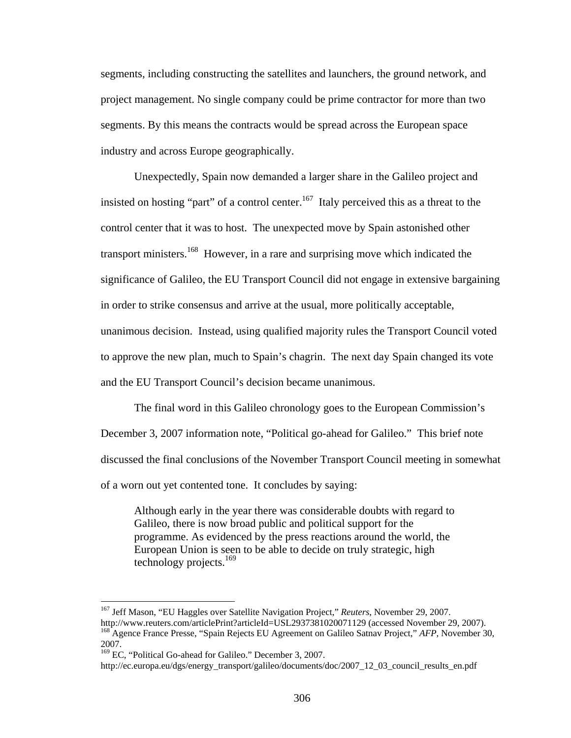segments, including constructing the satellites and launchers, the ground network, and project management. No single company could be prime contractor for more than two segments. By this means the contracts would be spread across the European space industry and across Europe geographically.

Unexpectedly, Spain now demanded a larger share in the Galileo project and insisted on hosting "part" of a control center.<sup>167</sup> Italy perceived this as a threat to the control center that it was to host. The unexpected move by Spain astonished other transport ministers.<sup>168</sup> However, in a rare and surprising move which indicated the significance of Galileo, the EU Transport Council did not engage in extensive bargaining in order to strike consensus and arrive at the usual, more politically acceptable, unanimous decision. Instead, using qualified majority rules the Transport Council voted to approve the new plan, much to Spain's chagrin. The next day Spain changed its vote and the EU Transport Council's decision became unanimous.

The final word in this Galileo chronology goes to the European Commission's December 3, 2007 information note, "Political go-ahead for Galileo." This brief note discussed the final conclusions of the November Transport Council meeting in somewhat of a worn out yet contented tone. It concludes by saying:

Although early in the year there was considerable doubts with regard to Galileo, there is now broad public and political support for the programme. As evidenced by the press reactions around the world, the European Union is seen to be able to decide on truly strategic, high technology projects.<sup>169</sup>

<sup>&</sup>lt;sup>167</sup> Jeff Mason, "EU Haggles over Satellite Navigation Project," *Reuters*, November 29, 2007.<br>http://www.reuters.com/articlePrint?articleId=USL2937381020071129 (accessed November 29, 2007). <sup>168</sup> Agence France Presse, "Spain Rejects EU Agreement on Galileo Satnav Project," *AFP*, November 30, 2007.

<sup>169</sup> EC, "Political Go-ahead for Galileo." December 3, 2007.

http://ec.europa.eu/dgs/energy\_transport/galileo/documents/doc/2007\_12\_03\_council\_results\_en.pdf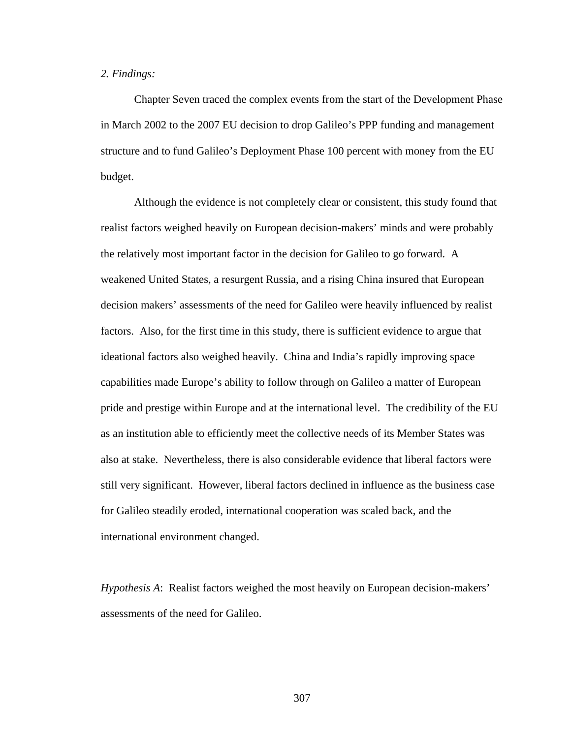## *2. Findings:*

Chapter Seven traced the complex events from the start of the Development Phase in March 2002 to the 2007 EU decision to drop Galileo's PPP funding and management structure and to fund Galileo's Deployment Phase 100 percent with money from the EU budget.

Although the evidence is not completely clear or consistent, this study found that realist factors weighed heavily on European decision-makers' minds and were probably the relatively most important factor in the decision for Galileo to go forward. A weakened United States, a resurgent Russia, and a rising China insured that European decision makers' assessments of the need for Galileo were heavily influenced by realist factors. Also, for the first time in this study, there is sufficient evidence to argue that ideational factors also weighed heavily. China and India's rapidly improving space capabilities made Europe's ability to follow through on Galileo a matter of European pride and prestige within Europe and at the international level. The credibility of the EU as an institution able to efficiently meet the collective needs of its Member States was also at stake. Nevertheless, there is also considerable evidence that liberal factors were still very significant. However, liberal factors declined in influence as the business case for Galileo steadily eroded, international cooperation was scaled back, and the international environment changed.

*Hypothesis A*: Realist factors weighed the most heavily on European decision-makers' assessments of the need for Galileo.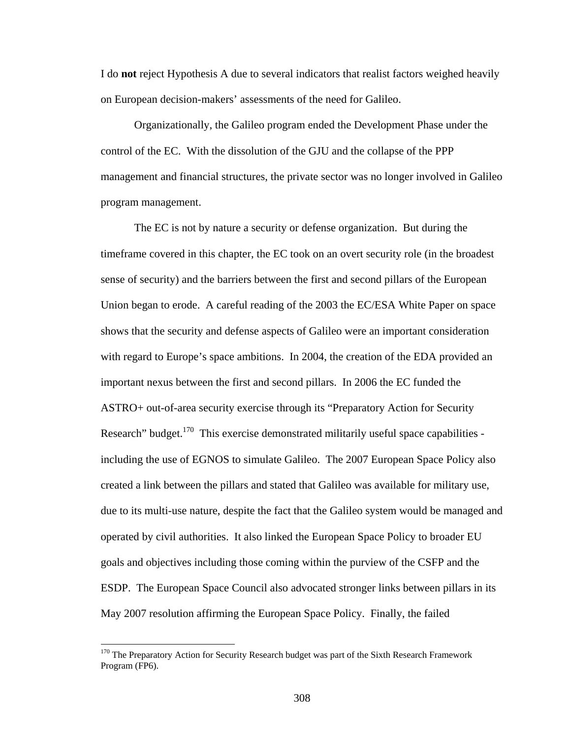I do **not** reject Hypothesis A due to several indicators that realist factors weighed heavily on European decision-makers' assessments of the need for Galileo.

Organizationally, the Galileo program ended the Development Phase under the control of the EC. With the dissolution of the GJU and the collapse of the PPP management and financial structures, the private sector was no longer involved in Galileo program management.

The EC is not by nature a security or defense organization. But during the timeframe covered in this chapter, the EC took on an overt security role (in the broadest sense of security) and the barriers between the first and second pillars of the European Union began to erode. A careful reading of the 2003 the EC/ESA White Paper on space shows that the security and defense aspects of Galileo were an important consideration with regard to Europe's space ambitions. In 2004, the creation of the EDA provided an important nexus between the first and second pillars. In 2006 the EC funded the ASTRO+ out-of-area security exercise through its "Preparatory Action for Security Research" budget.<sup>170</sup> This exercise demonstrated militarily useful space capabilities including the use of EGNOS to simulate Galileo. The 2007 European Space Policy also created a link between the pillars and stated that Galileo was available for military use, due to its multi-use nature, despite the fact that the Galileo system would be managed and operated by civil authorities. It also linked the European Space Policy to broader EU goals and objectives including those coming within the purview of the CSFP and the ESDP. The European Space Council also advocated stronger links between pillars in its May 2007 resolution affirming the European Space Policy. Finally, the failed

<sup>&</sup>lt;sup>170</sup> The Preparatory Action for Security Research budget was part of the Sixth Research Framework Program (FP6).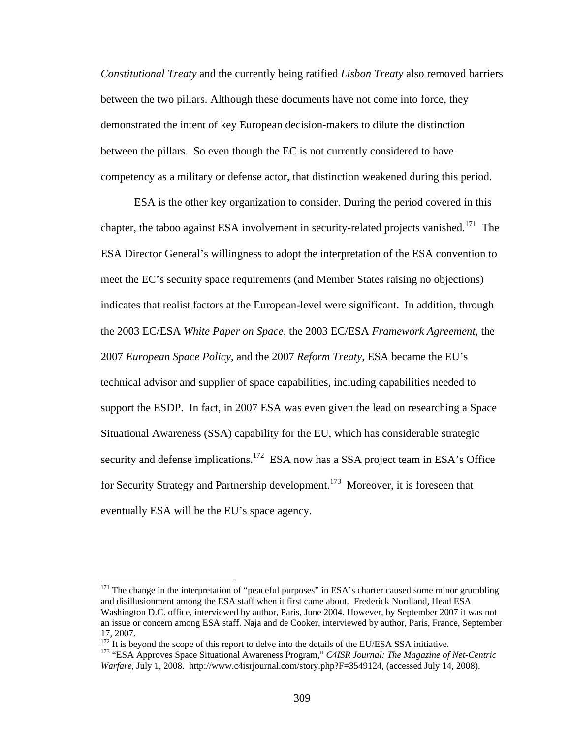*Constitutional Treaty* and the currently being ratified *Lisbon Treaty* also removed barriers between the two pillars. Although these documents have not come into force, they demonstrated the intent of key European decision-makers to dilute the distinction between the pillars. So even though the EC is not currently considered to have competency as a military or defense actor, that distinction weakened during this period.

ESA is the other key organization to consider. During the period covered in this chapter, the taboo against ESA involvement in security-related projects vanished.<sup>171</sup> The ESA Director General's willingness to adopt the interpretation of the ESA convention to meet the EC's security space requirements (and Member States raising no objections) indicates that realist factors at the European-level were significant. In addition, through the 2003 EC/ESA *White Paper on Space*, the 2003 EC/ESA *Framework Agreement*, the 2007 *European Space Policy*, and the 2007 *Reform Treaty*, ESA became the EU's technical advisor and supplier of space capabilities, including capabilities needed to support the ESDP. In fact, in 2007 ESA was even given the lead on researching a Space Situational Awareness (SSA) capability for the EU, which has considerable strategic security and defense implications.<sup>172</sup> ESA now has a SSA project team in ESA's Office for Security Strategy and Partnership development.<sup>173</sup> Moreover, it is foreseen that eventually ESA will be the EU's space agency.

 $171$  The change in the interpretation of "peaceful purposes" in ESA's charter caused some minor grumbling and disillusionment among the ESA staff when it first came about. Frederick Nordland, Head ESA Washington D.C. office, interviewed by author, Paris, June 2004. However, by September 2007 it was not an issue or concern among ESA staff. Naja and de Cooker, interviewed by author, Paris, France, September 17, 2007.<br><sup>172</sup> It is beyond the scope of this report to delve into the details of the EU/ESA SSA initiative.

<sup>&</sup>lt;sup>173</sup> "ESA Approves Space Situational Awareness Program," *C4ISR Journal: The Magazine of Net-Centric Warfare*, July 1, 2008. http://www.c4isrjournal.com/story.php?F=3549124, (accessed July 14, 2008).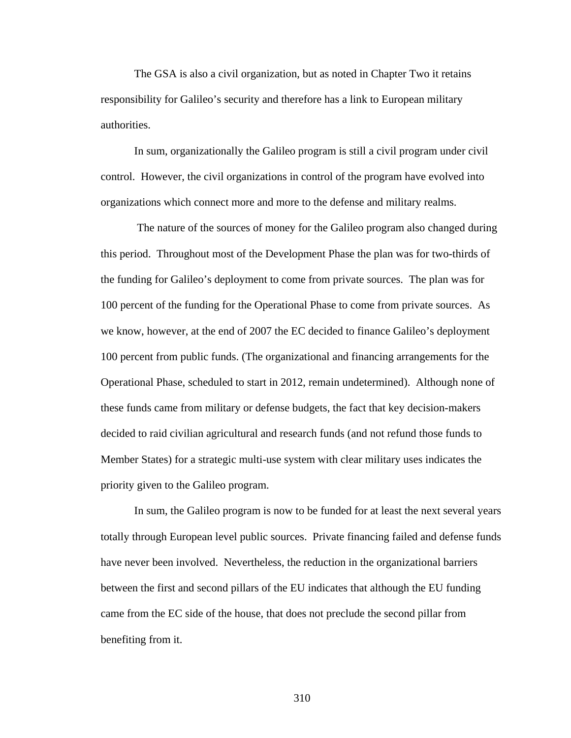The GSA is also a civil organization, but as noted in Chapter Two it retains responsibility for Galileo's security and therefore has a link to European military authorities.

 In sum, organizationally the Galileo program is still a civil program under civil control. However, the civil organizations in control of the program have evolved into organizations which connect more and more to the defense and military realms.

 The nature of the sources of money for the Galileo program also changed during this period. Throughout most of the Development Phase the plan was for two-thirds of the funding for Galileo's deployment to come from private sources. The plan was for 100 percent of the funding for the Operational Phase to come from private sources. As we know, however, at the end of 2007 the EC decided to finance Galileo's deployment 100 percent from public funds. (The organizational and financing arrangements for the Operational Phase, scheduled to start in 2012, remain undetermined). Although none of these funds came from military or defense budgets, the fact that key decision-makers decided to raid civilian agricultural and research funds (and not refund those funds to Member States) for a strategic multi-use system with clear military uses indicates the priority given to the Galileo program.

 In sum, the Galileo program is now to be funded for at least the next several years totally through European level public sources. Private financing failed and defense funds have never been involved. Nevertheless, the reduction in the organizational barriers between the first and second pillars of the EU indicates that although the EU funding came from the EC side of the house, that does not preclude the second pillar from benefiting from it.

310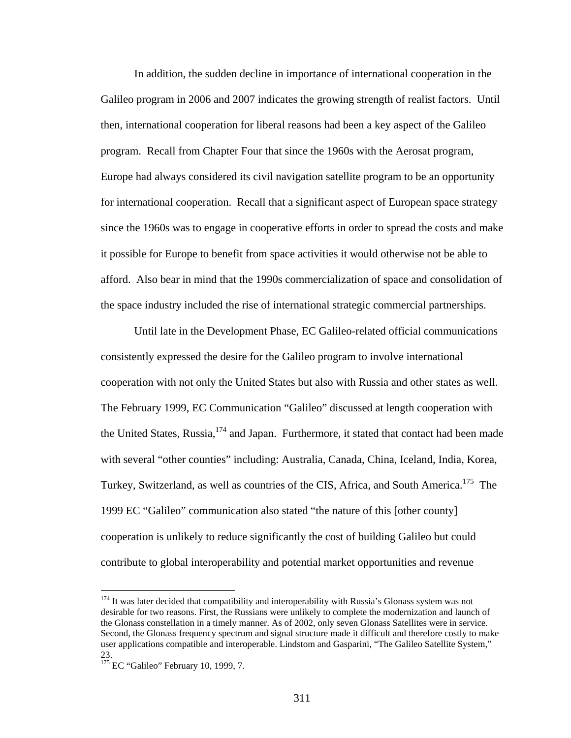In addition, the sudden decline in importance of international cooperation in the Galileo program in 2006 and 2007 indicates the growing strength of realist factors. Until then, international cooperation for liberal reasons had been a key aspect of the Galileo program. Recall from Chapter Four that since the 1960s with the Aerosat program, Europe had always considered its civil navigation satellite program to be an opportunity for international cooperation. Recall that a significant aspect of European space strategy since the 1960s was to engage in cooperative efforts in order to spread the costs and make it possible for Europe to benefit from space activities it would otherwise not be able to afford. Also bear in mind that the 1990s commercialization of space and consolidation of the space industry included the rise of international strategic commercial partnerships.

Until late in the Development Phase, EC Galileo-related official communications consistently expressed the desire for the Galileo program to involve international cooperation with not only the United States but also with Russia and other states as well. The February 1999, EC Communication "Galileo" discussed at length cooperation with the United States, Russia, <sup>174</sup> and Japan. Furthermore, it stated that contact had been made with several "other counties" including: Australia, Canada, China, Iceland, India, Korea, Turkey, Switzerland, as well as countries of the CIS, Africa, and South America.<sup>175</sup> The 1999 EC "Galileo" communication also stated "the nature of this [other county] cooperation is unlikely to reduce significantly the cost of building Galileo but could contribute to global interoperability and potential market opportunities and revenue

<u>.</u>

 $174$  It was later decided that compatibility and interoperability with Russia's Glonass system was not desirable for two reasons. First, the Russians were unlikely to complete the modernization and launch of the Glonass constellation in a timely manner. As of 2002, only seven Glonass Satellites were in service. Second, the Glonass frequency spectrum and signal structure made it difficult and therefore costly to make user applications compatible and interoperable. Lindstom and Gasparini, "The Galileo Satellite System," 23.

<sup>&</sup>lt;sup>175</sup> EC "Galileo" February 10, 1999, 7.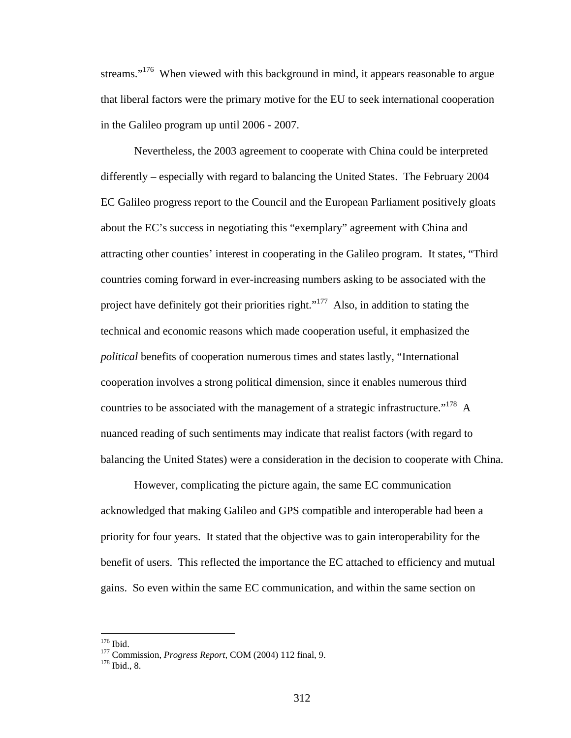streams."<sup>176</sup> When viewed with this background in mind, it appears reasonable to argue that liberal factors were the primary motive for the EU to seek international cooperation in the Galileo program up until 2006 - 2007.

Nevertheless, the 2003 agreement to cooperate with China could be interpreted differently – especially with regard to balancing the United States. The February 2004 EC Galileo progress report to the Council and the European Parliament positively gloats about the EC's success in negotiating this "exemplary" agreement with China and attracting other counties' interest in cooperating in the Galileo program. It states, "Third countries coming forward in ever-increasing numbers asking to be associated with the project have definitely got their priorities right."<sup>177</sup> Also, in addition to stating the technical and economic reasons which made cooperation useful, it emphasized the *political* benefits of cooperation numerous times and states lastly, "International cooperation involves a strong political dimension, since it enables numerous third countries to be associated with the management of a strategic infrastructure."<sup>178</sup> A nuanced reading of such sentiments may indicate that realist factors (with regard to balancing the United States) were a consideration in the decision to cooperate with China.

However, complicating the picture again, the same EC communication acknowledged that making Galileo and GPS compatible and interoperable had been a priority for four years. It stated that the objective was to gain interoperability for the benefit of users. This reflected the importance the EC attached to efficiency and mutual gains. So even within the same EC communication, and within the same section on

 $176$  Ibid.

<sup>&</sup>lt;sup>177</sup> Commission, *Progress Report*, COM (2004) 112 final, 9.<br><sup>178</sup> Ibid., 8.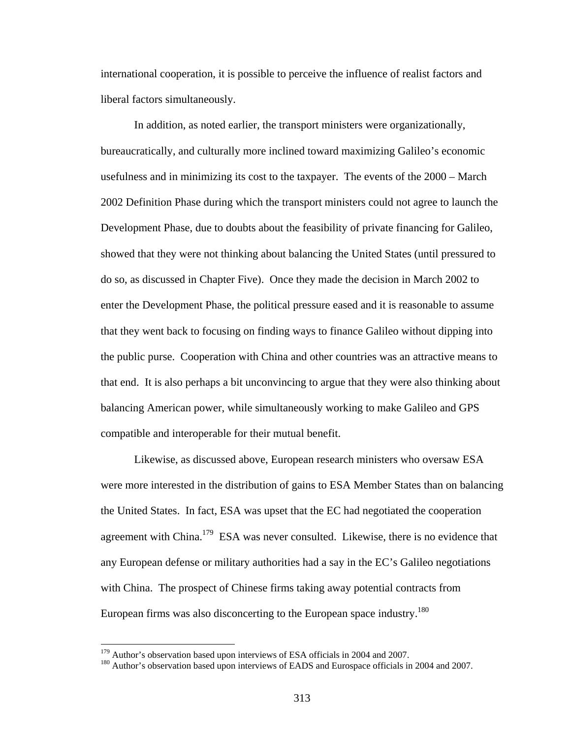international cooperation, it is possible to perceive the influence of realist factors and liberal factors simultaneously.

In addition, as noted earlier, the transport ministers were organizationally, bureaucratically, and culturally more inclined toward maximizing Galileo's economic usefulness and in minimizing its cost to the taxpayer. The events of the 2000 – March 2002 Definition Phase during which the transport ministers could not agree to launch the Development Phase, due to doubts about the feasibility of private financing for Galileo, showed that they were not thinking about balancing the United States (until pressured to do so, as discussed in Chapter Five). Once they made the decision in March 2002 to enter the Development Phase, the political pressure eased and it is reasonable to assume that they went back to focusing on finding ways to finance Galileo without dipping into the public purse. Cooperation with China and other countries was an attractive means to that end. It is also perhaps a bit unconvincing to argue that they were also thinking about balancing American power, while simultaneously working to make Galileo and GPS compatible and interoperable for their mutual benefit.

Likewise, as discussed above, European research ministers who oversaw ESA were more interested in the distribution of gains to ESA Member States than on balancing the United States. In fact, ESA was upset that the EC had negotiated the cooperation agreement with China.<sup>179</sup> ESA was never consulted. Likewise, there is no evidence that any European defense or military authorities had a say in the EC's Galileo negotiations with China. The prospect of Chinese firms taking away potential contracts from European firms was also disconcerting to the European space industry.<sup>180</sup>

<sup>&</sup>lt;sup>179</sup> Author's observation based upon interviews of ESA officials in 2004 and 2007.

<sup>&</sup>lt;sup>180</sup> Author's observation based upon interviews of EADS and Eurospace officials in 2004 and 2007.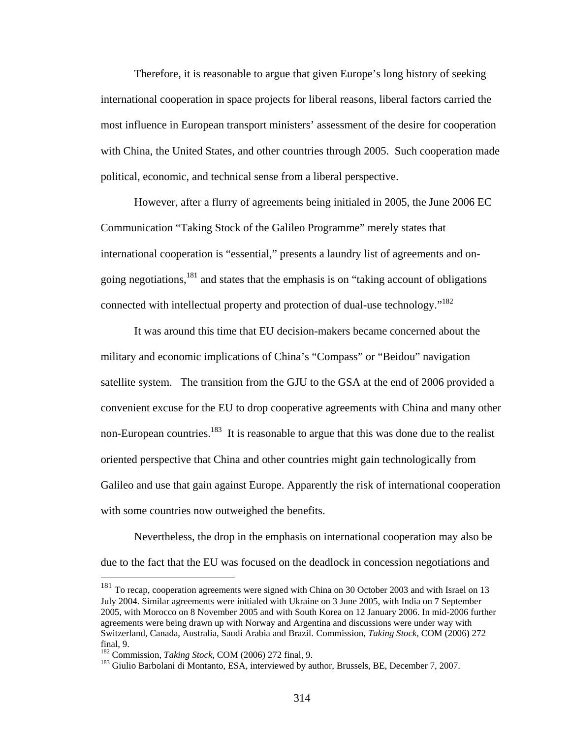Therefore, it is reasonable to argue that given Europe's long history of seeking international cooperation in space projects for liberal reasons, liberal factors carried the most influence in European transport ministers' assessment of the desire for cooperation with China, the United States, and other countries through 2005. Such cooperation made political, economic, and technical sense from a liberal perspective.

However, after a flurry of agreements being initialed in 2005, the June 2006 EC Communication "Taking Stock of the Galileo Programme" merely states that international cooperation is "essential," presents a laundry list of agreements and ongoing negotiations,  $^{181}$  and states that the emphasis is on "taking account of obligations" connected with intellectual property and protection of dual-use technology."<sup>182</sup>

It was around this time that EU decision-makers became concerned about the military and economic implications of China's "Compass" or "Beidou" navigation satellite system. The transition from the GJU to the GSA at the end of 2006 provided a convenient excuse for the EU to drop cooperative agreements with China and many other non-European countries.<sup>183</sup> It is reasonable to argue that this was done due to the realist oriented perspective that China and other countries might gain technologically from Galileo and use that gain against Europe. Apparently the risk of international cooperation with some countries now outweighed the benefits.

Nevertheless, the drop in the emphasis on international cooperation may also be due to the fact that the EU was focused on the deadlock in concession negotiations and

<sup>&</sup>lt;sup>181</sup> To recap, cooperation agreements were signed with China on 30 October 2003 and with Israel on 13 July 2004. Similar agreements were initialed with Ukraine on 3 June 2005, with India on 7 September 2005, with Morocco on 8 November 2005 and with South Korea on 12 January 2006. In mid-2006 further agreements were being drawn up with Norway and Argentina and discussions were under way with Switzerland, Canada, Australia, Saudi Arabia and Brazil. Commission, *Taking Stock,* COM (2006) 272 final, 9.<br><sup>182</sup> Commission, *Taking Stock*, COM (2006) 272 final, 9.

<sup>&</sup>lt;sup>183</sup> Giulio Barbolani di Montanto, ESA, interviewed by author, Brussels, BE, December 7, 2007.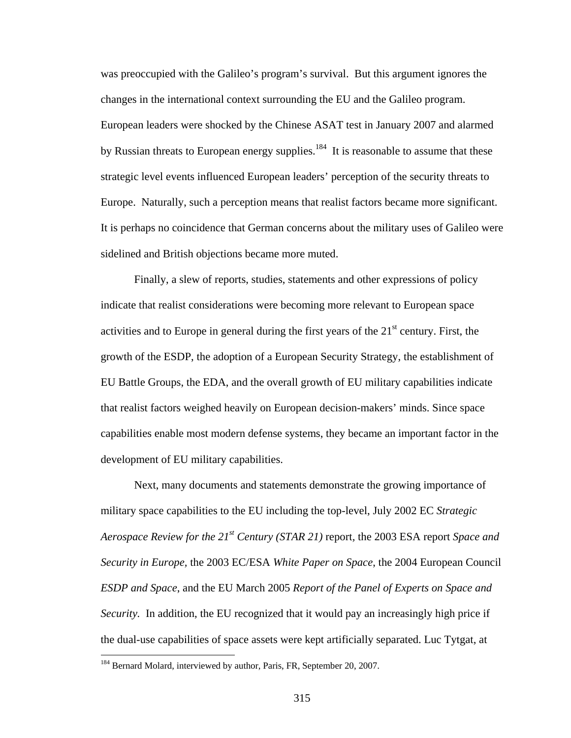was preoccupied with the Galileo's program's survival. But this argument ignores the changes in the international context surrounding the EU and the Galileo program. European leaders were shocked by the Chinese ASAT test in January 2007 and alarmed by Russian threats to European energy supplies.<sup>184</sup> It is reasonable to assume that these strategic level events influenced European leaders' perception of the security threats to Europe. Naturally, such a perception means that realist factors became more significant. It is perhaps no coincidence that German concerns about the military uses of Galileo were sidelined and British objections became more muted.

Finally, a slew of reports, studies, statements and other expressions of policy indicate that realist considerations were becoming more relevant to European space activities and to Europe in general during the first years of the  $21<sup>st</sup>$  century. First, the growth of the ESDP, the adoption of a European Security Strategy, the establishment of EU Battle Groups, the EDA, and the overall growth of EU military capabilities indicate that realist factors weighed heavily on European decision-makers' minds. Since space capabilities enable most modern defense systems, they became an important factor in the development of EU military capabilities.

Next, many documents and statements demonstrate the growing importance of military space capabilities to the EU including the top-level, July 2002 EC *Strategic Aerospace Review for the 21st Century (STAR 21)* report*,* the 2003 ESA report *Space and Security in Europe,* the 2003 EC/ESA *White Paper on Space*, the 2004 European Council *ESDP and Space*, and the EU March 2005 *Report of the Panel of Experts on Space and Security.* In addition, the EU recognized that it would pay an increasingly high price if the dual-use capabilities of space assets were kept artificially separated. Luc Tytgat, at

<u>.</u>

<sup>&</sup>lt;sup>184</sup> Bernard Molard, interviewed by author, Paris, FR, September 20, 2007.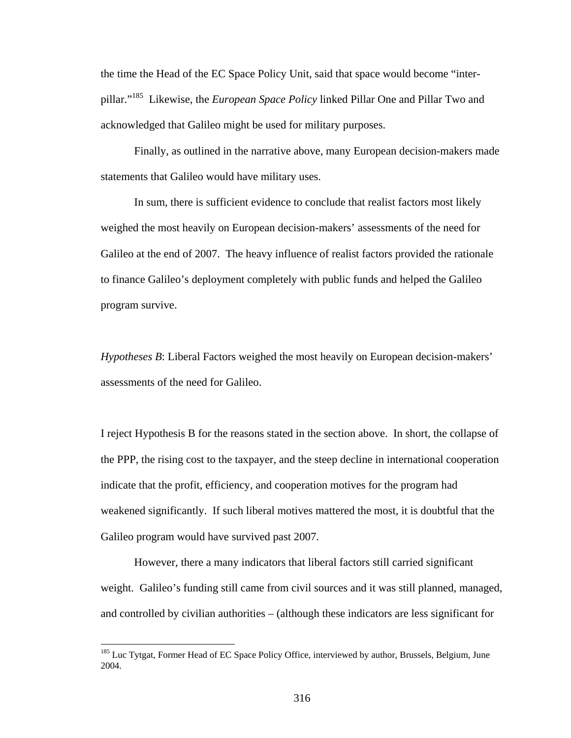the time the Head of the EC Space Policy Unit, said that space would become "interpillar."185 Likewise, the *European Space Policy* linked Pillar One and Pillar Two and acknowledged that Galileo might be used for military purposes.

Finally, as outlined in the narrative above, many European decision-makers made statements that Galileo would have military uses.

In sum, there is sufficient evidence to conclude that realist factors most likely weighed the most heavily on European decision-makers' assessments of the need for Galileo at the end of 2007. The heavy influence of realist factors provided the rationale to finance Galileo's deployment completely with public funds and helped the Galileo program survive.

*Hypotheses B*: Liberal Factors weighed the most heavily on European decision-makers' assessments of the need for Galileo.

I reject Hypothesis B for the reasons stated in the section above. In short, the collapse of the PPP, the rising cost to the taxpayer, and the steep decline in international cooperation indicate that the profit, efficiency, and cooperation motives for the program had weakened significantly. If such liberal motives mattered the most, it is doubtful that the Galileo program would have survived past 2007.

However, there a many indicators that liberal factors still carried significant weight. Galileo's funding still came from civil sources and it was still planned, managed, and controlled by civilian authorities – (although these indicators are less significant for

<sup>&</sup>lt;sup>185</sup> Luc Tytgat, Former Head of EC Space Policy Office, interviewed by author, Brussels, Belgium, June 2004.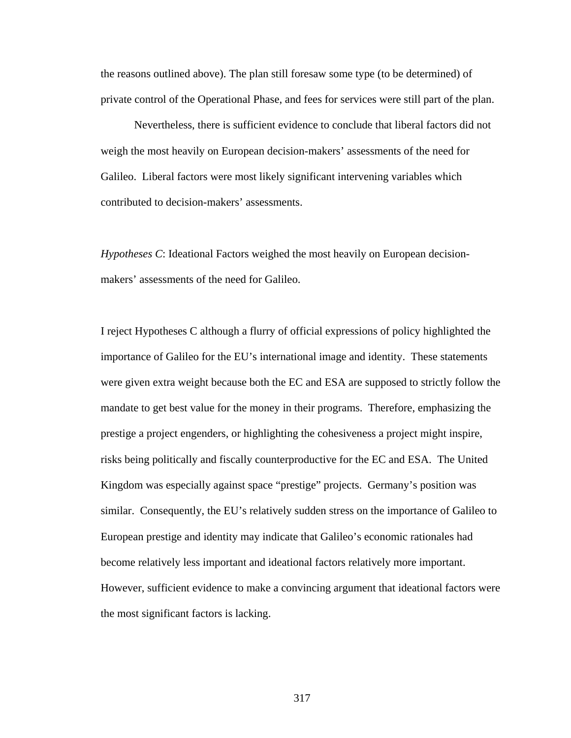the reasons outlined above). The plan still foresaw some type (to be determined) of private control of the Operational Phase, and fees for services were still part of the plan.

 Nevertheless, there is sufficient evidence to conclude that liberal factors did not weigh the most heavily on European decision-makers' assessments of the need for Galileo. Liberal factors were most likely significant intervening variables which contributed to decision-makers' assessments.

*Hypotheses C*: Ideational Factors weighed the most heavily on European decisionmakers' assessments of the need for Galileo.

I reject Hypotheses C although a flurry of official expressions of policy highlighted the importance of Galileo for the EU's international image and identity. These statements were given extra weight because both the EC and ESA are supposed to strictly follow the mandate to get best value for the money in their programs. Therefore, emphasizing the prestige a project engenders, or highlighting the cohesiveness a project might inspire, risks being politically and fiscally counterproductive for the EC and ESA. The United Kingdom was especially against space "prestige" projects. Germany's position was similar. Consequently, the EU's relatively sudden stress on the importance of Galileo to European prestige and identity may indicate that Galileo's economic rationales had become relatively less important and ideational factors relatively more important. However, sufficient evidence to make a convincing argument that ideational factors were the most significant factors is lacking.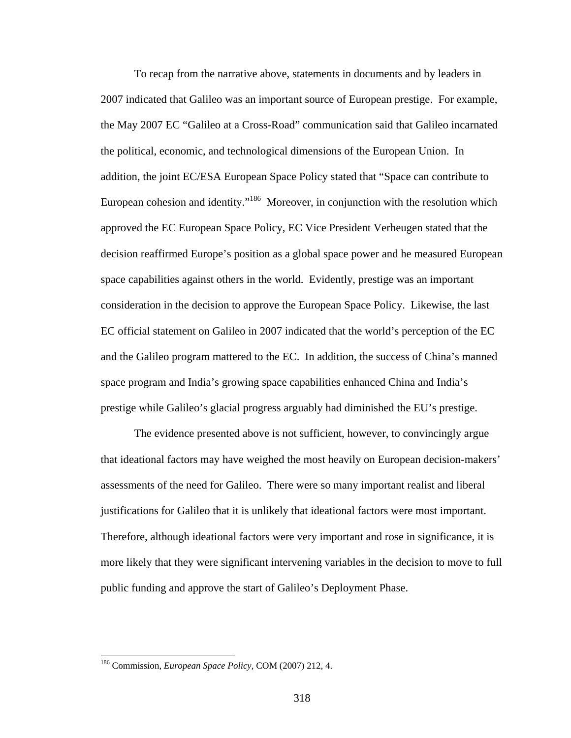To recap from the narrative above, statements in documents and by leaders in 2007 indicated that Galileo was an important source of European prestige. For example, the May 2007 EC "Galileo at a Cross-Road" communication said that Galileo incarnated the political, economic, and technological dimensions of the European Union. In addition, the joint EC/ESA European Space Policy stated that "Space can contribute to European cohesion and identity."<sup>186</sup> Moreover, in conjunction with the resolution which approved the EC European Space Policy, EC Vice President Verheugen stated that the decision reaffirmed Europe's position as a global space power and he measured European space capabilities against others in the world. Evidently, prestige was an important consideration in the decision to approve the European Space Policy. Likewise, the last EC official statement on Galileo in 2007 indicated that the world's perception of the EC and the Galileo program mattered to the EC. In addition, the success of China's manned space program and India's growing space capabilities enhanced China and India's prestige while Galileo's glacial progress arguably had diminished the EU's prestige.

The evidence presented above is not sufficient, however, to convincingly argue that ideational factors may have weighed the most heavily on European decision-makers' assessments of the need for Galileo. There were so many important realist and liberal justifications for Galileo that it is unlikely that ideational factors were most important. Therefore, although ideational factors were very important and rose in significance, it is more likely that they were significant intervening variables in the decision to move to full public funding and approve the start of Galileo's Deployment Phase.

<u>.</u>

<sup>186</sup> Commission, *European Space Policy*, COM (2007) 212, 4.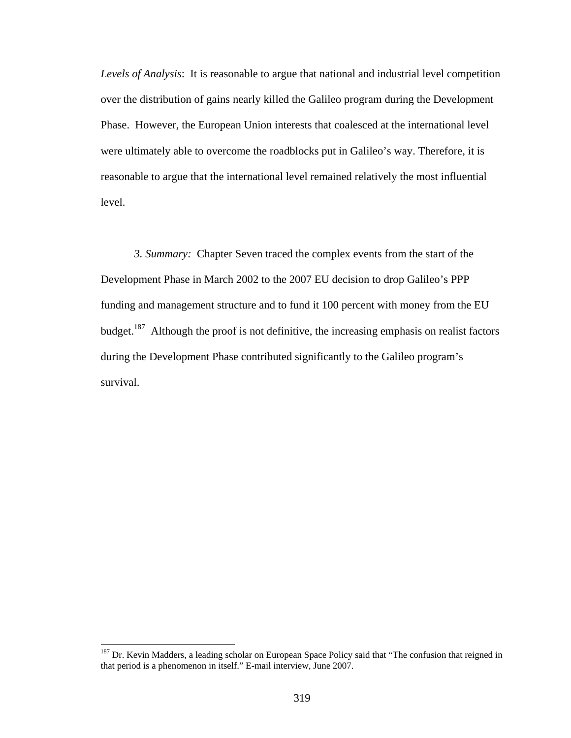*Levels of Analysis*: It is reasonable to argue that national and industrial level competition over the distribution of gains nearly killed the Galileo program during the Development Phase. However, the European Union interests that coalesced at the international level were ultimately able to overcome the roadblocks put in Galileo's way. Therefore, it is reasonable to argue that the international level remained relatively the most influential level.

*3. Summary:* Chapter Seven traced the complex events from the start of the Development Phase in March 2002 to the 2007 EU decision to drop Galileo's PPP funding and management structure and to fund it 100 percent with money from the EU budget.<sup>187</sup> Although the proof is not definitive, the increasing emphasis on realist factors during the Development Phase contributed significantly to the Galileo program's survival.

 $\overline{a}$ 

<sup>&</sup>lt;sup>187</sup> Dr. Kevin Madders, a leading scholar on European Space Policy said that "The confusion that reigned in that period is a phenomenon in itself." E-mail interview, June 2007.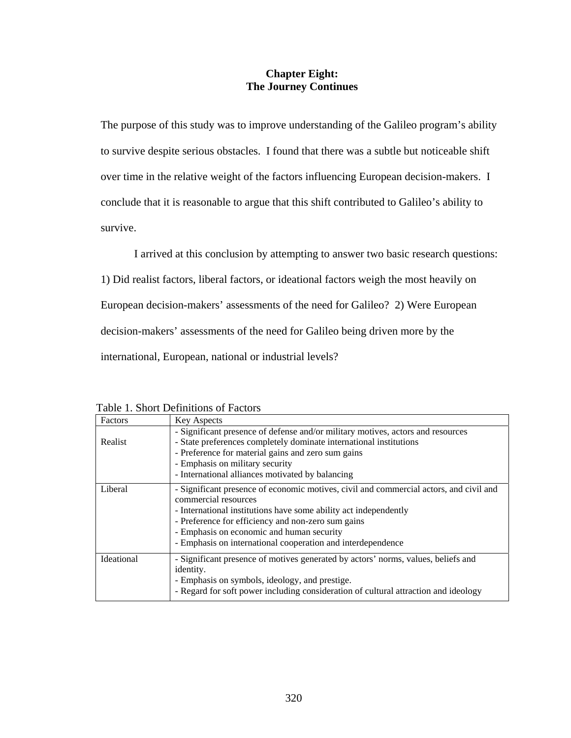## **Chapter Eight: The Journey Continues**

The purpose of this study was to improve understanding of the Galileo program's ability to survive despite serious obstacles. I found that there was a subtle but noticeable shift over time in the relative weight of the factors influencing European decision-makers. I conclude that it is reasonable to argue that this shift contributed to Galileo's ability to survive.

I arrived at this conclusion by attempting to answer two basic research questions:

1) Did realist factors, liberal factors, or ideational factors weigh the most heavily on

European decision-makers' assessments of the need for Galileo? 2) Were European

decision-makers' assessments of the need for Galileo being driven more by the

international, European, national or industrial levels?

| Factors           | <b>Key Aspects</b>                                                                                                                                                                                                                                                                                                                                   |
|-------------------|------------------------------------------------------------------------------------------------------------------------------------------------------------------------------------------------------------------------------------------------------------------------------------------------------------------------------------------------------|
| Realist           | - Significant presence of defense and/or military motives, actors and resources<br>- State preferences completely dominate international institutions<br>- Preference for material gains and zero sum gains<br>- Emphasis on military security<br>- International alliances motivated by balancing                                                   |
| Liberal           | - Significant presence of economic motives, civil and commercial actors, and civil and<br>commercial resources<br>- International institutions have some ability act independently<br>- Preference for efficiency and non-zero sum gains<br>- Emphasis on economic and human security<br>- Emphasis on international cooperation and interdependence |
| <b>Ideational</b> | - Significant presence of motives generated by actors' norms, values, beliefs and<br>identity.<br>- Emphasis on symbols, ideology, and prestige.<br>- Regard for soft power including consideration of cultural attraction and ideology                                                                                                              |

Table 1. Short Definitions of Factors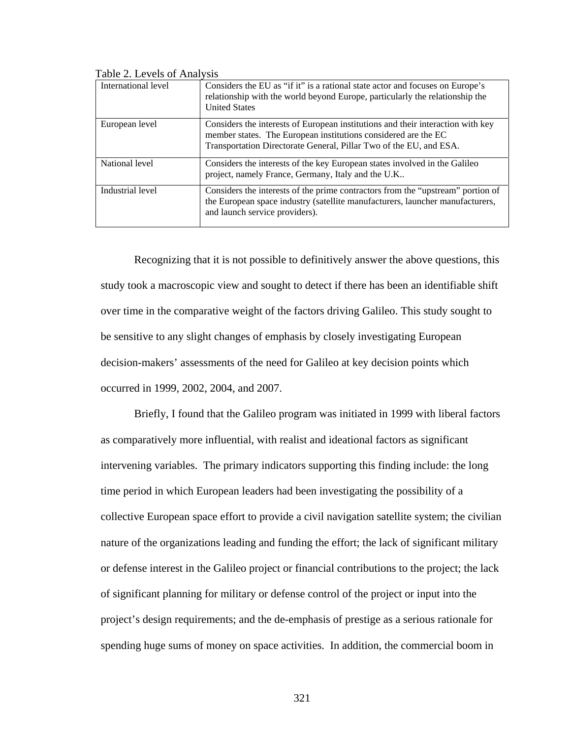| International level | Considers the EU as "if it" is a rational state actor and focuses on Europe's<br>relationship with the world beyond Europe, particularly the relationship the<br><b>United States</b>                                   |
|---------------------|-------------------------------------------------------------------------------------------------------------------------------------------------------------------------------------------------------------------------|
| European level      | Considers the interests of European institutions and their interaction with key<br>member states. The European institutions considered are the EC<br>Transportation Directorate General, Pillar Two of the EU, and ESA. |
| National level      | Considers the interests of the key European states involved in the Galileo<br>project, namely France, Germany, Italy and the U.K                                                                                        |
| Industrial level    | Considers the interests of the prime contractors from the "upstream" portion of<br>the European space industry (satellite manufacturers, launcher manufacturers,<br>and launch service providers).                      |

Table 2. Levels of Analysis

Recognizing that it is not possible to definitively answer the above questions, this study took a macroscopic view and sought to detect if there has been an identifiable shift over time in the comparative weight of the factors driving Galileo. This study sought to be sensitive to any slight changes of emphasis by closely investigating European decision-makers' assessments of the need for Galileo at key decision points which occurred in 1999, 2002, 2004, and 2007.

Briefly, I found that the Galileo program was initiated in 1999 with liberal factors as comparatively more influential, with realist and ideational factors as significant intervening variables. The primary indicators supporting this finding include: the long time period in which European leaders had been investigating the possibility of a collective European space effort to provide a civil navigation satellite system; the civilian nature of the organizations leading and funding the effort; the lack of significant military or defense interest in the Galileo project or financial contributions to the project; the lack of significant planning for military or defense control of the project or input into the project's design requirements; and the de-emphasis of prestige as a serious rationale for spending huge sums of money on space activities. In addition, the commercial boom in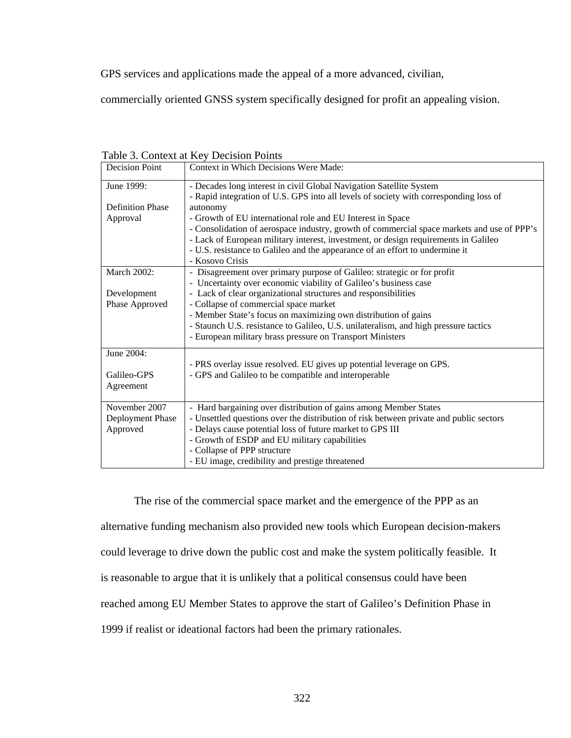GPS services and applications made the appeal of a more advanced, civilian,

commercially oriented GNSS system specifically designed for profit an appealing vision.

| <b>Decision Point</b>   | Context in Which Decisions Were Made:                                                      |
|-------------------------|--------------------------------------------------------------------------------------------|
| June 1999:              | - Decades long interest in civil Global Navigation Satellite System                        |
|                         | - Rapid integration of U.S. GPS into all levels of society with corresponding loss of      |
| <b>Definition Phase</b> | autonomy                                                                                   |
| Approval                | - Growth of EU international role and EU Interest in Space                                 |
|                         | - Consolidation of aerospace industry, growth of commercial space markets and use of PPP's |
|                         | - Lack of European military interest, investment, or design requirements in Galileo        |
|                         | - U.S. resistance to Galileo and the appearance of an effort to undermine it               |
|                         | - Kosovo Crisis                                                                            |
| <b>March 2002:</b>      | - Disagreement over primary purpose of Galileo: strategic or for profit                    |
|                         | - Uncertainty over economic viability of Galileo's business case                           |
| Development             | - Lack of clear organizational structures and responsibilities                             |
| Phase Approved          | - Collapse of commercial space market                                                      |
|                         | - Member State's focus on maximizing own distribution of gains                             |
|                         | - Staunch U.S. resistance to Galileo, U.S. unilateralism, and high pressure tactics        |
|                         | - European military brass pressure on Transport Ministers                                  |
| June 2004:              |                                                                                            |
|                         | - PRS overlay issue resolved. EU gives up potential leverage on GPS.                       |
| Galileo-GPS             | - GPS and Galileo to be compatible and interoperable                                       |
| Agreement               |                                                                                            |
| November 2007           | - Hard bargaining over distribution of gains among Member States                           |
| Deployment Phase        | - Unsettled questions over the distribution of risk between private and public sectors     |
| Approved                | - Delays cause potential loss of future market to GPS III                                  |
|                         | - Growth of ESDP and EU military capabilities                                              |
|                         | - Collapse of PPP structure                                                                |
|                         | - EU image, credibility and prestige threatened                                            |

Table 3. Context at Key Decision Points

The rise of the commercial space market and the emergence of the PPP as an alternative funding mechanism also provided new tools which European decision-makers could leverage to drive down the public cost and make the system politically feasible. It is reasonable to argue that it is unlikely that a political consensus could have been reached among EU Member States to approve the start of Galileo's Definition Phase in 1999 if realist or ideational factors had been the primary rationales.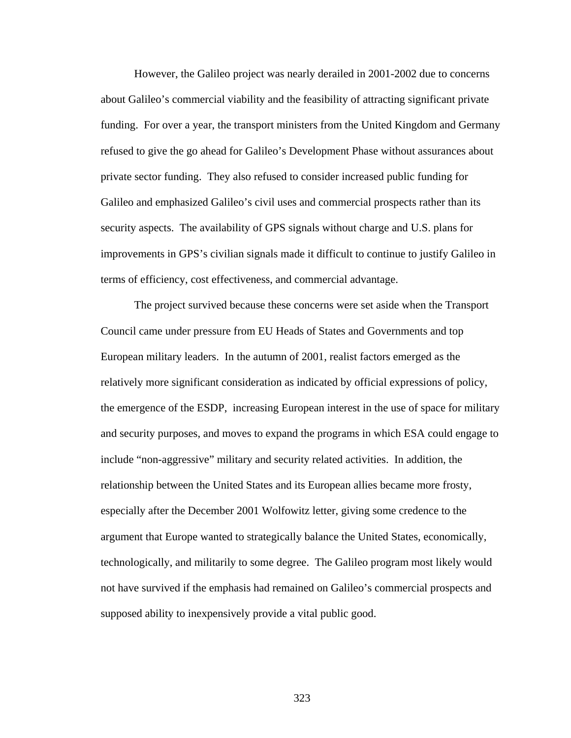However, the Galileo project was nearly derailed in 2001-2002 due to concerns about Galileo's commercial viability and the feasibility of attracting significant private funding. For over a year, the transport ministers from the United Kingdom and Germany refused to give the go ahead for Galileo's Development Phase without assurances about private sector funding. They also refused to consider increased public funding for Galileo and emphasized Galileo's civil uses and commercial prospects rather than its security aspects. The availability of GPS signals without charge and U.S. plans for improvements in GPS's civilian signals made it difficult to continue to justify Galileo in terms of efficiency, cost effectiveness, and commercial advantage.

The project survived because these concerns were set aside when the Transport Council came under pressure from EU Heads of States and Governments and top European military leaders. In the autumn of 2001, realist factors emerged as the relatively more significant consideration as indicated by official expressions of policy, the emergence of the ESDP, increasing European interest in the use of space for military and security purposes, and moves to expand the programs in which ESA could engage to include "non-aggressive" military and security related activities. In addition, the relationship between the United States and its European allies became more frosty, especially after the December 2001 Wolfowitz letter, giving some credence to the argument that Europe wanted to strategically balance the United States, economically, technologically, and militarily to some degree. The Galileo program most likely would not have survived if the emphasis had remained on Galileo's commercial prospects and supposed ability to inexpensively provide a vital public good.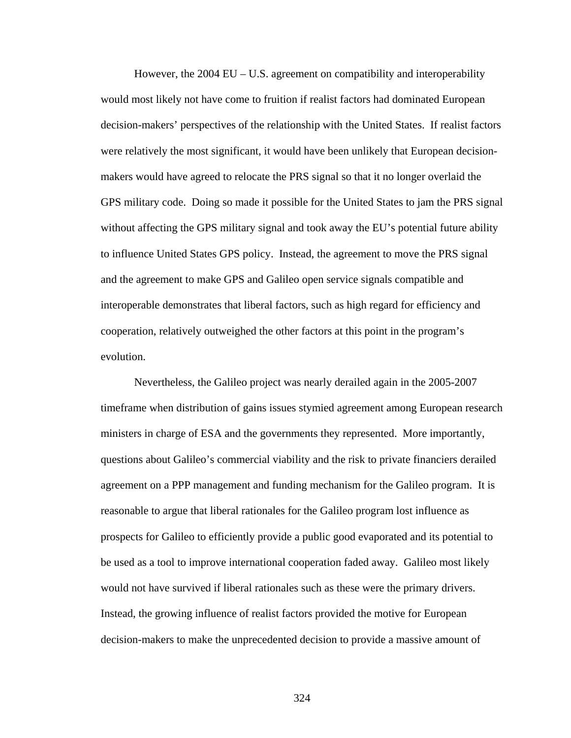However, the  $2004 \text{ EU} - \text{U.S.}$  agreement on compatibility and interoperability would most likely not have come to fruition if realist factors had dominated European decision-makers' perspectives of the relationship with the United States. If realist factors were relatively the most significant, it would have been unlikely that European decisionmakers would have agreed to relocate the PRS signal so that it no longer overlaid the GPS military code. Doing so made it possible for the United States to jam the PRS signal without affecting the GPS military signal and took away the EU's potential future ability to influence United States GPS policy. Instead, the agreement to move the PRS signal and the agreement to make GPS and Galileo open service signals compatible and interoperable demonstrates that liberal factors, such as high regard for efficiency and cooperation, relatively outweighed the other factors at this point in the program's evolution.

 Nevertheless, the Galileo project was nearly derailed again in the 2005-2007 timeframe when distribution of gains issues stymied agreement among European research ministers in charge of ESA and the governments they represented. More importantly, questions about Galileo's commercial viability and the risk to private financiers derailed agreement on a PPP management and funding mechanism for the Galileo program. It is reasonable to argue that liberal rationales for the Galileo program lost influence as prospects for Galileo to efficiently provide a public good evaporated and its potential to be used as a tool to improve international cooperation faded away. Galileo most likely would not have survived if liberal rationales such as these were the primary drivers. Instead, the growing influence of realist factors provided the motive for European decision-makers to make the unprecedented decision to provide a massive amount of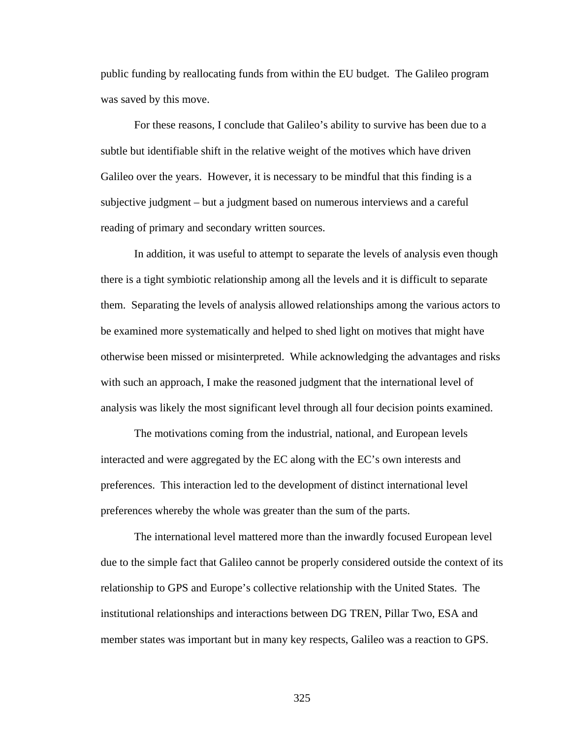public funding by reallocating funds from within the EU budget. The Galileo program was saved by this move.

For these reasons, I conclude that Galileo's ability to survive has been due to a subtle but identifiable shift in the relative weight of the motives which have driven Galileo over the years. However, it is necessary to be mindful that this finding is a subjective judgment – but a judgment based on numerous interviews and a careful reading of primary and secondary written sources.

In addition, it was useful to attempt to separate the levels of analysis even though there is a tight symbiotic relationship among all the levels and it is difficult to separate them. Separating the levels of analysis allowed relationships among the various actors to be examined more systematically and helped to shed light on motives that might have otherwise been missed or misinterpreted. While acknowledging the advantages and risks with such an approach, I make the reasoned judgment that the international level of analysis was likely the most significant level through all four decision points examined.

The motivations coming from the industrial, national, and European levels interacted and were aggregated by the EC along with the EC's own interests and preferences. This interaction led to the development of distinct international level preferences whereby the whole was greater than the sum of the parts.

The international level mattered more than the inwardly focused European level due to the simple fact that Galileo cannot be properly considered outside the context of its relationship to GPS and Europe's collective relationship with the United States. The institutional relationships and interactions between DG TREN, Pillar Two, ESA and member states was important but in many key respects, Galileo was a reaction to GPS.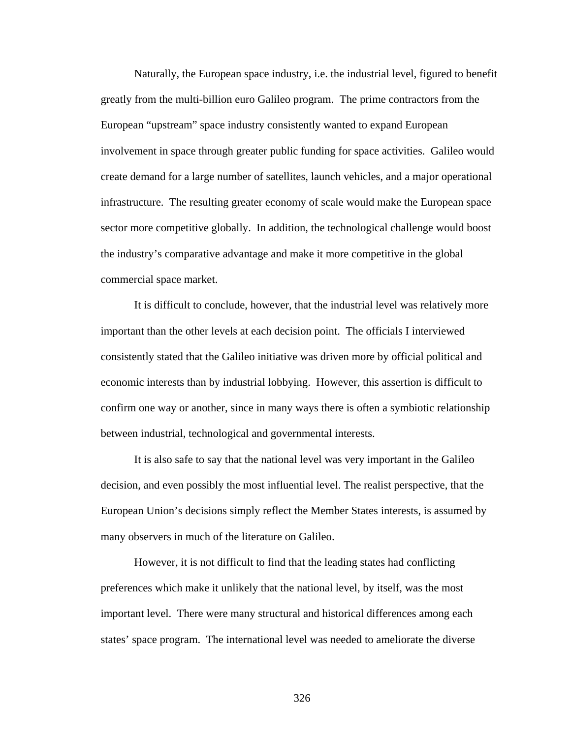Naturally, the European space industry, i.e. the industrial level, figured to benefit greatly from the multi-billion euro Galileo program. The prime contractors from the European "upstream" space industry consistently wanted to expand European involvement in space through greater public funding for space activities. Galileo would create demand for a large number of satellites, launch vehicles, and a major operational infrastructure. The resulting greater economy of scale would make the European space sector more competitive globally. In addition, the technological challenge would boost the industry's comparative advantage and make it more competitive in the global commercial space market.

It is difficult to conclude, however, that the industrial level was relatively more important than the other levels at each decision point. The officials I interviewed consistently stated that the Galileo initiative was driven more by official political and economic interests than by industrial lobbying. However, this assertion is difficult to confirm one way or another, since in many ways there is often a symbiotic relationship between industrial, technological and governmental interests.

It is also safe to say that the national level was very important in the Galileo decision, and even possibly the most influential level. The realist perspective, that the European Union's decisions simply reflect the Member States interests, is assumed by many observers in much of the literature on Galileo.

However, it is not difficult to find that the leading states had conflicting preferences which make it unlikely that the national level, by itself, was the most important level. There were many structural and historical differences among each states' space program. The international level was needed to ameliorate the diverse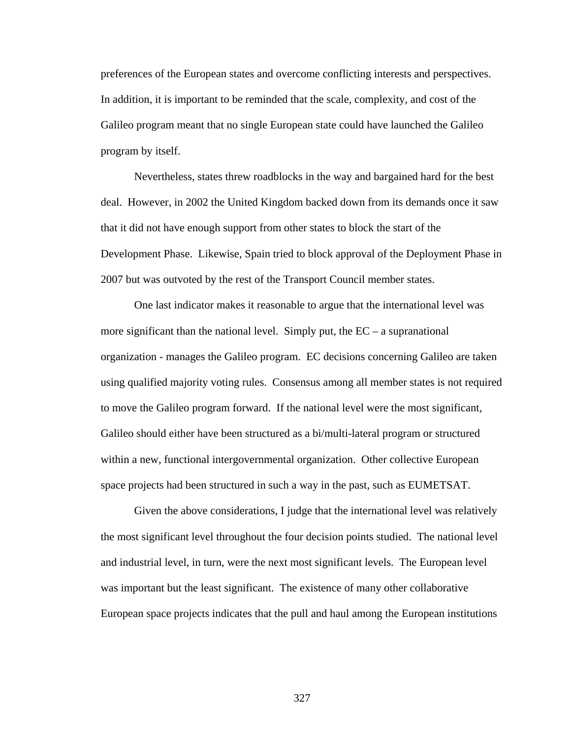preferences of the European states and overcome conflicting interests and perspectives. In addition, it is important to be reminded that the scale, complexity, and cost of the Galileo program meant that no single European state could have launched the Galileo program by itself.

Nevertheless, states threw roadblocks in the way and bargained hard for the best deal. However, in 2002 the United Kingdom backed down from its demands once it saw that it did not have enough support from other states to block the start of the Development Phase. Likewise, Spain tried to block approval of the Deployment Phase in 2007 but was outvoted by the rest of the Transport Council member states.

One last indicator makes it reasonable to argue that the international level was more significant than the national level. Simply put, the  $EC - a$  supranational organization - manages the Galileo program. EC decisions concerning Galileo are taken using qualified majority voting rules. Consensus among all member states is not required to move the Galileo program forward. If the national level were the most significant, Galileo should either have been structured as a bi/multi-lateral program or structured within a new, functional intergovernmental organization. Other collective European space projects had been structured in such a way in the past, such as EUMETSAT.

Given the above considerations, I judge that the international level was relatively the most significant level throughout the four decision points studied. The national level and industrial level, in turn, were the next most significant levels. The European level was important but the least significant. The existence of many other collaborative European space projects indicates that the pull and haul among the European institutions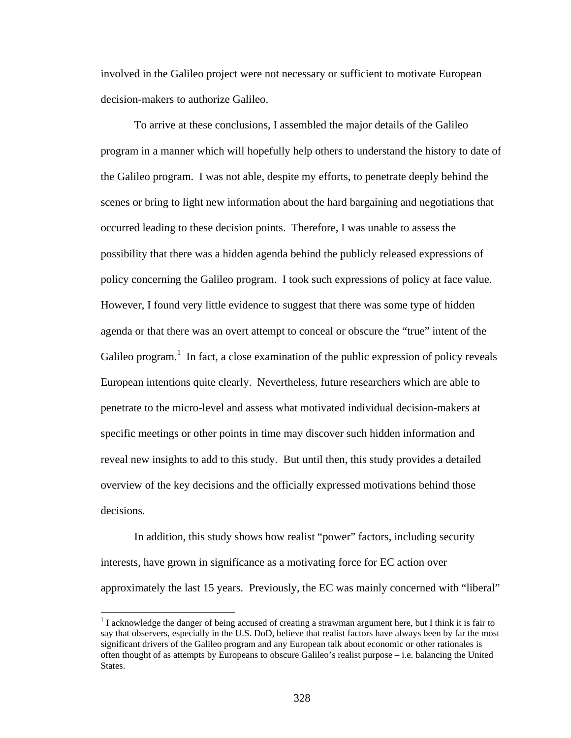involved in the Galileo project were not necessary or sufficient to motivate European decision-makers to authorize Galileo.

To arrive at these conclusions, I assembled the major details of the Galileo program in a manner which will hopefully help others to understand the history to date of the Galileo program. I was not able, despite my efforts, to penetrate deeply behind the scenes or bring to light new information about the hard bargaining and negotiations that occurred leading to these decision points. Therefore, I was unable to assess the possibility that there was a hidden agenda behind the publicly released expressions of policy concerning the Galileo program. I took such expressions of policy at face value. However, I found very little evidence to suggest that there was some type of hidden agenda or that there was an overt attempt to conceal or obscure the "true" intent of the Galileo program.<sup>1</sup> In fact, a close examination of the public expression of policy reveals European intentions quite clearly. Nevertheless, future researchers which are able to penetrate to the micro-level and assess what motivated individual decision-makers at specific meetings or other points in time may discover such hidden information and reveal new insights to add to this study. But until then, this study provides a detailed overview of the key decisions and the officially expressed motivations behind those decisions.

 In addition, this study shows how realist "power" factors, including security interests, have grown in significance as a motivating force for EC action over approximately the last 15 years. Previously, the EC was mainly concerned with "liberal"

 $1$  I acknowledge the danger of being accused of creating a strawman argument here, but I think it is fair to say that observers, especially in the U.S. DoD, believe that realist factors have always been by far the most significant drivers of the Galileo program and any European talk about economic or other rationales is often thought of as attempts by Europeans to obscure Galileo's realist purpose – i.e. balancing the United States.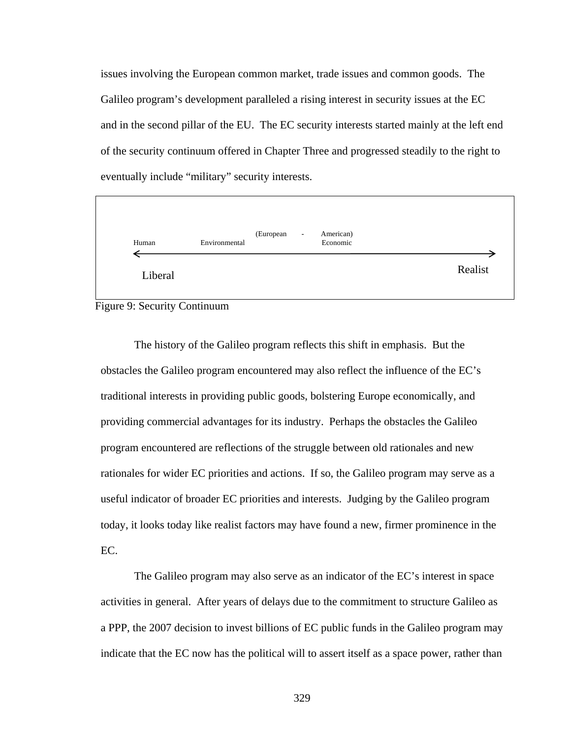issues involving the European common market, trade issues and common goods. The Galileo program's development paralleled a rising interest in security issues at the EC and in the second pillar of the EU. The EC security interests started mainly at the left end of the security continuum offered in Chapter Three and progressed steadily to the right to eventually include "military" security interests.



Figure 9: Security Continuum

The history of the Galileo program reflects this shift in emphasis. But the obstacles the Galileo program encountered may also reflect the influence of the EC's traditional interests in providing public goods, bolstering Europe economically, and providing commercial advantages for its industry. Perhaps the obstacles the Galileo program encountered are reflections of the struggle between old rationales and new rationales for wider EC priorities and actions. If so, the Galileo program may serve as a useful indicator of broader EC priorities and interests. Judging by the Galileo program today, it looks today like realist factors may have found a new, firmer prominence in the EC.

The Galileo program may also serve as an indicator of the EC's interest in space activities in general. After years of delays due to the commitment to structure Galileo as a PPP, the 2007 decision to invest billions of EC public funds in the Galileo program may indicate that the EC now has the political will to assert itself as a space power, rather than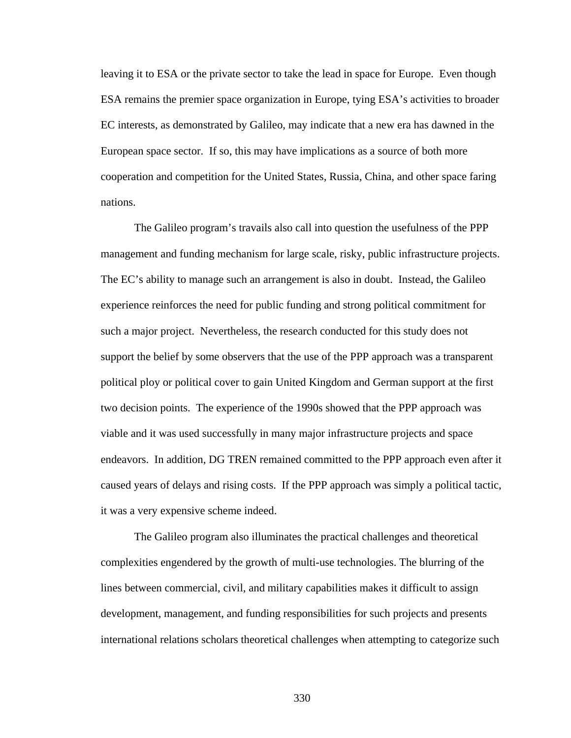leaving it to ESA or the private sector to take the lead in space for Europe. Even though ESA remains the premier space organization in Europe, tying ESA's activities to broader EC interests, as demonstrated by Galileo, may indicate that a new era has dawned in the European space sector. If so, this may have implications as a source of both more cooperation and competition for the United States, Russia, China, and other space faring nations.

 The Galileo program's travails also call into question the usefulness of the PPP management and funding mechanism for large scale, risky, public infrastructure projects. The EC's ability to manage such an arrangement is also in doubt. Instead, the Galileo experience reinforces the need for public funding and strong political commitment for such a major project. Nevertheless, the research conducted for this study does not support the belief by some observers that the use of the PPP approach was a transparent political ploy or political cover to gain United Kingdom and German support at the first two decision points. The experience of the 1990s showed that the PPP approach was viable and it was used successfully in many major infrastructure projects and space endeavors. In addition, DG TREN remained committed to the PPP approach even after it caused years of delays and rising costs. If the PPP approach was simply a political tactic, it was a very expensive scheme indeed.

 The Galileo program also illuminates the practical challenges and theoretical complexities engendered by the growth of multi-use technologies. The blurring of the lines between commercial, civil, and military capabilities makes it difficult to assign development, management, and funding responsibilities for such projects and presents international relations scholars theoretical challenges when attempting to categorize such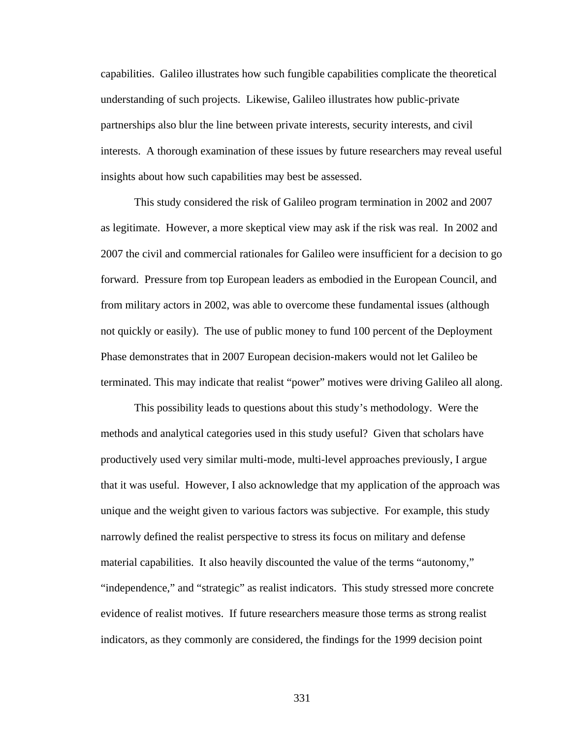capabilities. Galileo illustrates how such fungible capabilities complicate the theoretical understanding of such projects. Likewise, Galileo illustrates how public-private partnerships also blur the line between private interests, security interests, and civil interests. A thorough examination of these issues by future researchers may reveal useful insights about how such capabilities may best be assessed.

This study considered the risk of Galileo program termination in 2002 and 2007 as legitimate. However, a more skeptical view may ask if the risk was real. In 2002 and 2007 the civil and commercial rationales for Galileo were insufficient for a decision to go forward. Pressure from top European leaders as embodied in the European Council, and from military actors in 2002, was able to overcome these fundamental issues (although not quickly or easily). The use of public money to fund 100 percent of the Deployment Phase demonstrates that in 2007 European decision-makers would not let Galileo be terminated. This may indicate that realist "power" motives were driving Galileo all along.

This possibility leads to questions about this study's methodology. Were the methods and analytical categories used in this study useful? Given that scholars have productively used very similar multi-mode, multi-level approaches previously, I argue that it was useful. However, I also acknowledge that my application of the approach was unique and the weight given to various factors was subjective. For example, this study narrowly defined the realist perspective to stress its focus on military and defense material capabilities. It also heavily discounted the value of the terms "autonomy," "independence," and "strategic" as realist indicators. This study stressed more concrete evidence of realist motives. If future researchers measure those terms as strong realist indicators, as they commonly are considered, the findings for the 1999 decision point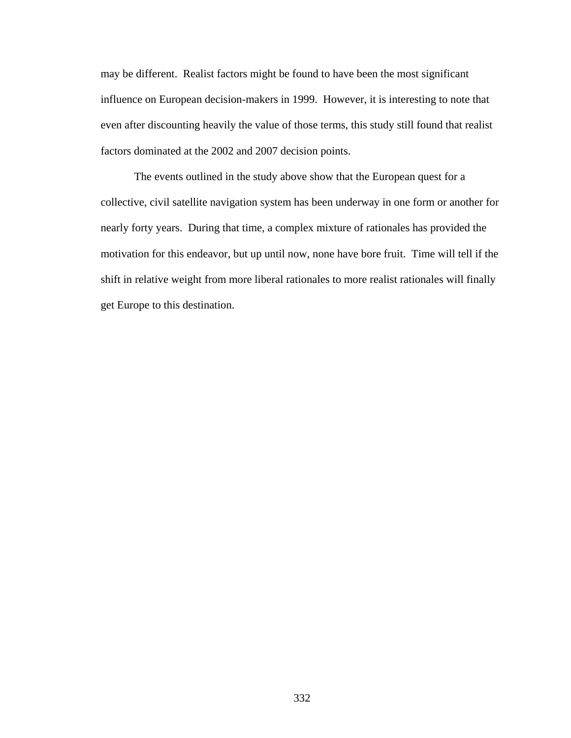may be different. Realist factors might be found to have been the most significant influence on European decision-makers in 1999. However, it is interesting to note that even after discounting heavily the value of those terms, this study still found that realist factors dominated at the 2002 and 2007 decision points.

 The events outlined in the study above show that the European quest for a collective, civil satellite navigation system has been underway in one form or another for nearly forty years. During that time, a complex mixture of rationales has provided the motivation for this endeavor, but up until now, none have bore fruit. Time will tell if the shift in relative weight from more liberal rationales to more realist rationales will finally get Europe to this destination.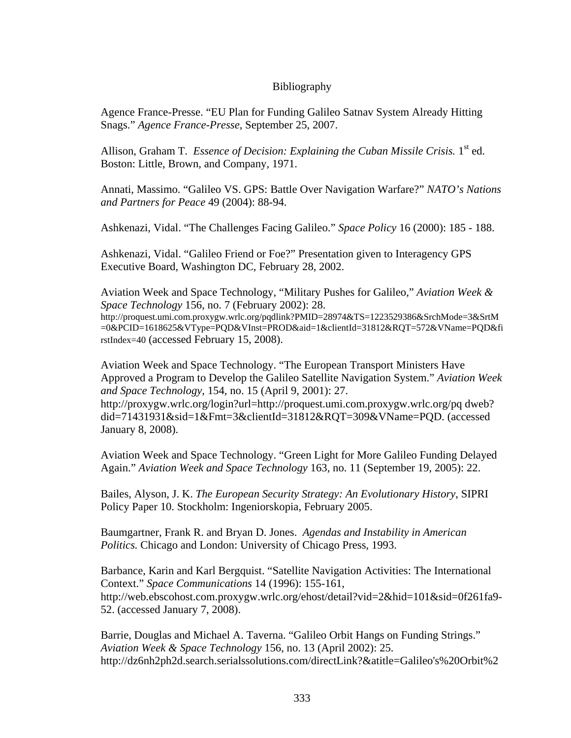## Bibliography

Agence France-Presse. "EU Plan for Funding Galileo Satnav System Already Hitting Snags." *Agence France-Presse*, September 25, 2007.

Allison, Graham T. *Essence of Decision: Explaining the Cuban Missile Crisis.* 1<sup>st</sup> ed. Boston: Little, Brown, and Company, 1971.

Annati, Massimo. "Galileo VS. GPS: Battle Over Navigation Warfare?" *NATO's Nations and Partners for Peace* 49 (2004): 88-94.

Ashkenazi, Vidal. "The Challenges Facing Galileo." *Space Policy* 16 (2000): 185 - 188.

Ashkenazi, Vidal. "Galileo Friend or Foe?" Presentation given to Interagency GPS Executive Board, Washington DC, February 28, 2002.

Aviation Week and Space Technology, "Military Pushes for Galileo," *Aviation Week & Space Technology* 156, no. 7 (February 2002): 28. http://proquest.umi.com.proxygw.wrlc.org/pqdlink?PMID=28974&TS=1223529386&SrchMode=3&SrtM =0&PCID=1618625&VType=PQD&VInst=PROD&aid=1&clientId=31812&RQT=572&VName=PQD&fi rstIndex=40 (accessed February 15, 2008).

Aviation Week and Space Technology. "The European Transport Ministers Have Approved a Program to Develop the Galileo Satellite Navigation System." *Aviation Week and Space Technology,* 154, no. 15 (April 9, 2001): 27. http://proxygw.wrlc.org/login?url=http://proquest.umi.com.proxygw.wrlc.org/pq dweb? did=71431931&sid=1&Fmt=3&clientId=31812&RQT=309&VName=PQD. (accessed January 8, 2008).

Aviation Week and Space Technology. "Green Light for More Galileo Funding Delayed Again." *Aviation Week and Space Technology* 163, no. 11 (September 19, 2005): 22.

Bailes, Alyson, J. K. *The European Security Strategy: An Evolutionary History*, SIPRI Policy Paper 10. Stockholm: Ingeniorskopia, February 2005.

Baumgartner, Frank R. and Bryan D. Jones. *Agendas and Instability in American Politics.* Chicago and London: University of Chicago Press, 1993.

Barbance, Karin and Karl Bergquist. "Satellite Navigation Activities: The International Context." *Space Communications* 14 (1996): 155-161, http://web.ebscohost.com.proxygw.wrlc.org/ehost/detail?vid=2&hid=101&sid=0f261fa9- 52. (accessed January 7, 2008).

Barrie, Douglas and Michael A. Taverna. "Galileo Orbit Hangs on Funding Strings." *Aviation Week & Space Technology* 156, no. 13 (April 2002): 25. http://dz6nh2ph2d.search.serialssolutions.com/directLink?&atitle=Galileo's%20Orbit%2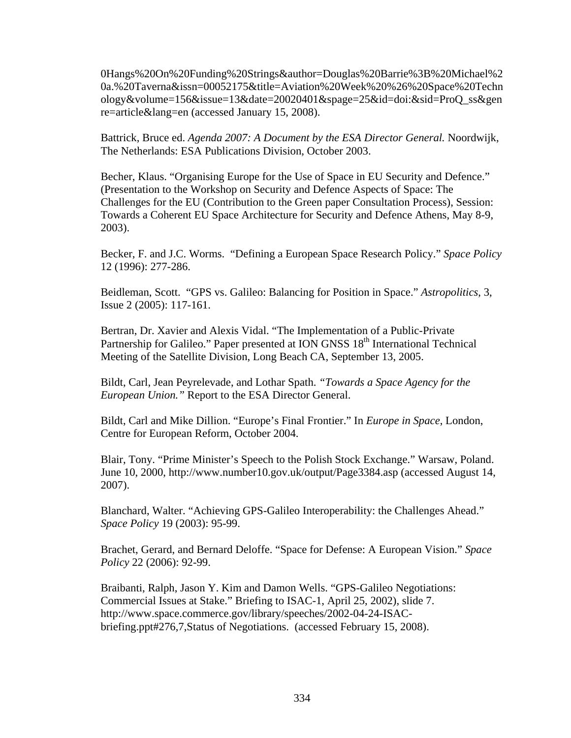0Hangs%20On%20Funding%20Strings&author=Douglas%20Barrie%3B%20Michael%2 0a.%20Taverna&issn=00052175&title=Aviation%20Week%20%26%20Space%20Techn ology&volume=156&issue=13&date=20020401&spage=25&id=doi:&sid=ProQ\_ss&gen re=article&lang=en (accessed January 15, 2008).

Battrick, Bruce ed. *Agenda 2007: A Document by the ESA Director General.* Noordwijk, The Netherlands: ESA Publications Division, October 2003.

Becher, Klaus. "Organising Europe for the Use of Space in EU Security and Defence." (Presentation to the Workshop on Security and Defence Aspects of Space: The Challenges for the EU (Contribution to the Green paper Consultation Process), Session: Towards a Coherent EU Space Architecture for Security and Defence Athens, May 8-9, 2003).

Becker, F. and J.C. Worms. "Defining a European Space Research Policy." *Space Policy* 12 (1996): 277-286.

Beidleman, Scott. "GPS vs. Galileo: Balancing for Position in Space." *Astropolitics*, 3, Issue 2 (2005): 117-161.

Bertran, Dr. Xavier and Alexis Vidal. "The Implementation of a Public-Private Partnership for Galileo." Paper presented at ION GNSS 18<sup>th</sup> International Technical Meeting of the Satellite Division, Long Beach CA, September 13, 2005.

Bildt, Carl, Jean Peyrelevade, and Lothar Spath. *"Towards a Space Agency for the European Union."* Report to the ESA Director General.

Bildt, Carl and Mike Dillion. "Europe's Final Frontier." In *Europe in Space*, London, Centre for European Reform, October 2004.

Blair, Tony. "Prime Minister's Speech to the Polish Stock Exchange." Warsaw, Poland. June 10, 2000, http://www.number10.gov.uk/output/Page3384.asp (accessed August 14, 2007).

Blanchard, Walter. "Achieving GPS-Galileo Interoperability: the Challenges Ahead." *Space Policy* 19 (2003): 95-99.

Brachet, Gerard, and Bernard Deloffe. "Space for Defense: A European Vision." *Space Policy* 22 (2006): 92-99.

Braibanti, Ralph, Jason Y. Kim and Damon Wells. "GPS-Galileo Negotiations: Commercial Issues at Stake." Briefing to ISAC-1, April 25, 2002), slide 7. http://www.space.commerce.gov/library/speeches/2002-04-24-ISACbriefing.ppt#276,7,Status of Negotiations. (accessed February 15, 2008).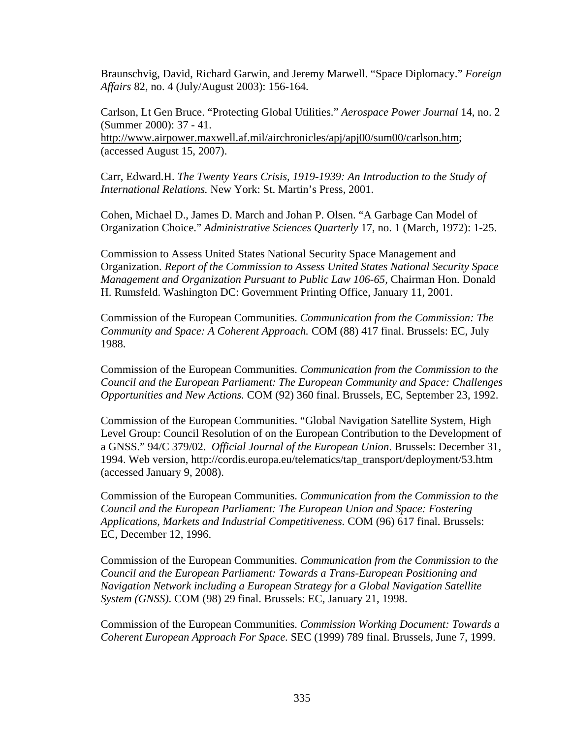Braunschvig, David, Richard Garwin, and Jeremy Marwell. "Space Diplomacy." *Foreign Affairs* 82, no. 4 (July/August 2003): 156-164.

Carlson, Lt Gen Bruce. "Protecting Global Utilities." *Aerospace Power Journal* 14, no. 2 (Summer 2000): 37 - 41. http://www.airpower.maxwell.af.mil/airchronicles/apj/apj00/sum00/carlson.htm; (accessed August 15, 2007).

Carr, Edward.H. *The Twenty Years Crisis, 1919-1939: An Introduction to the Study of International Relations.* New York: St. Martin's Press, 2001.

Cohen, Michael D., James D. March and Johan P. Olsen. "A Garbage Can Model of Organization Choice." *Administrative Sciences Quarterly* 17, no. 1 (March, 1972): 1-25.

Commission to Assess United States National Security Space Management and Organization. *Report of the Commission to Assess United States National Security Space Management and Organization Pursuant to Public Law 106-65,* Chairman Hon. Donald H. Rumsfeld. Washington DC: Government Printing Office, January 11, 2001.

Commission of the European Communities. *Communication from the Commission: The Community and Space: A Coherent Approach.* COM (88) 417 final. Brussels: EC, July 1988.

Commission of the European Communities. *Communication from the Commission to the Council and the European Parliament: The European Community and Space: Challenges Opportunities and New Actions.* COM (92) 360 final. Brussels, EC, September 23, 1992.

Commission of the European Communities. "Global Navigation Satellite System, High Level Group: Council Resolution of on the European Contribution to the Development of a GNSS." 94/C 379/02. *Official Journal of the European Union*. Brussels: December 31, 1994. Web version, http://cordis.europa.eu/telematics/tap\_transport/deployment/53.htm (accessed January 9, 2008).

Commission of the European Communities. *Communication from the Commission to the Council and the European Parliament: The European Union and Space: Fostering Applications, Markets and Industrial Competitiveness.* COM (96) 617 final. Brussels: EC, December 12, 1996.

Commission of the European Communities. *Communication from the Commission to the Council and the European Parliament: Towards a Trans-European Positioning and Navigation Network including a European Strategy for a Global Navigation Satellite System (GNSS)*. COM (98) 29 final. Brussels: EC, January 21, 1998.

Commission of the European Communities. *Commission Working Document: Towards a Coherent European Approach For Space.* SEC (1999) 789 final. Brussels, June 7, 1999.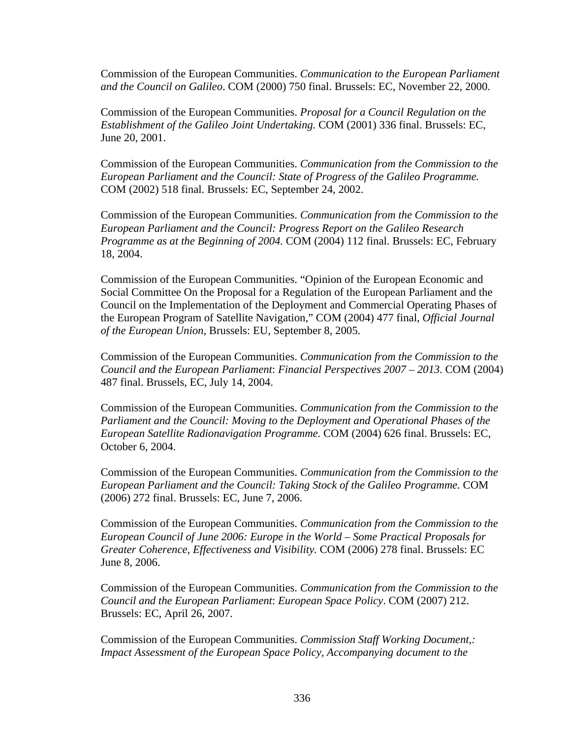Commission of the European Communities. *Communication to the European Parliament and the Council on Galileo*. COM (2000) 750 final. Brussels: EC, November 22, 2000.

Commission of the European Communities. *Proposal for a Council Regulation on the Establishment of the Galileo Joint Undertaking.* COM (2001) 336 final. Brussels: EC, June 20, 2001.

Commission of the European Communities. *Communication from the Commission to the European Parliament and the Council: State of Progress of the Galileo Programme.* COM (2002) 518 final. Brussels: EC, September 24, 2002.

Commission of the European Communities. *Communication from the Commission to the European Parliament and the Council: Progress Report on the Galileo Research Programme as at the Beginning of 2004.* COM (2004) 112 final. Brussels: EC, February 18, 2004.

Commission of the European Communities. "Opinion of the European Economic and Social Committee On the Proposal for a Regulation of the European Parliament and the Council on the Implementation of the Deployment and Commercial Operating Phases of the European Program of Satellite Navigation," COM (2004) 477 final, *Official Journal of the European Union*, Brussels: EU, September 8, 2005.

Commission of the European Communities. *Communication from the Commission to the Council and the European Parliament*: *Financial Perspectives 2007 – 2013*. COM (2004) 487 final. Brussels, EC, July 14, 2004.

Commission of the European Communities. *Communication from the Commission to the Parliament and the Council: Moving to the Deployment and Operational Phases of the European Satellite Radionavigation Programme.* COM (2004) 626 final. Brussels: EC, October 6, 2004.

Commission of the European Communities. *Communication from the Commission to the European Parliament and the Council: Taking Stock of the Galileo Programme.* COM (2006) 272 final. Brussels: EC, June 7, 2006.

Commission of the European Communities. *Communication from the Commission to the European Council of June 2006: Europe in the World – Some Practical Proposals for Greater Coherence, Effectiveness and Visibility.* COM (2006) 278 final. Brussels: EC June 8, 2006.

Commission of the European Communities. *Communication from the Commission to the Council and the European Parliament*: *European Space Policy*. COM (2007) 212. Brussels: EC, April 26, 2007.

Commission of the European Communities. *Commission Staff Working Document,: Impact Assessment of the European Space Policy, Accompanying document to the*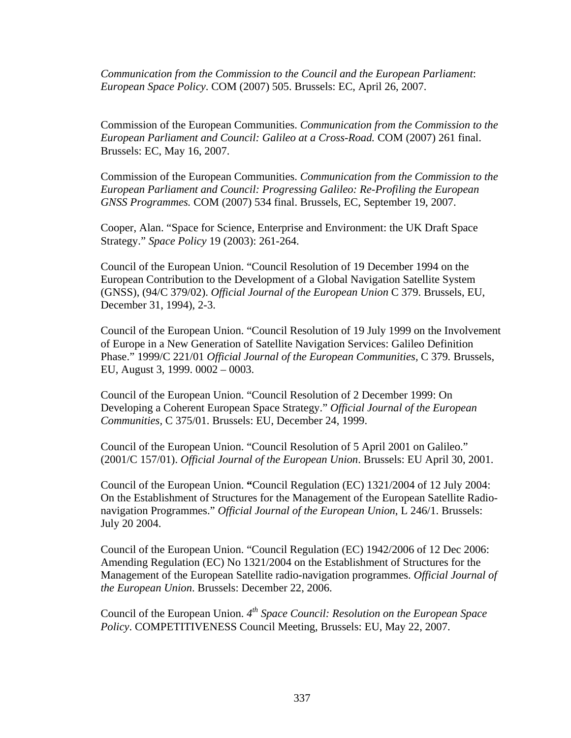*Communication from the Commission to the Council and the European Parliament*: *European Space Policy*. COM (2007) 505. Brussels: EC, April 26, 2007.

Commission of the European Communities. *Communication from the Commission to the European Parliament and Council: Galileo at a Cross-Road.* COM (2007) 261 final. Brussels: EC, May 16, 2007.

Commission of the European Communities. *Communication from the Commission to the European Parliament and Council: Progressing Galileo: Re-Profiling the European GNSS Programmes.* COM (2007) 534 final. Brussels, EC, September 19, 2007.

Cooper, Alan. "Space for Science, Enterprise and Environment: the UK Draft Space Strategy." *Space Policy* 19 (2003): 261-264.

Council of the European Union. "Council Resolution of 19 December 1994 on the European Contribution to the Development of a Global Navigation Satellite System (GNSS), (94/C 379/02). *Official Journal of the European Union* C 379. Brussels, EU, December 31, 1994), 2-3.

Council of the European Union. "Council Resolution of 19 July 1999 on the Involvement of Europe in a New Generation of Satellite Navigation Services: Galileo Definition Phase." 1999/C 221/01 *Official Journal of the European Communities,* C 379*.* Brussels, EU, August 3, 1999. 0002 – 0003.

Council of the European Union. "Council Resolution of 2 December 1999: On Developing a Coherent European Space Strategy." *Official Journal of the European Communities,* C 375/01. Brussels: EU, December 24, 1999.

Council of the European Union. "Council Resolution of 5 April 2001 on Galileo." (2001/C 157/01). *Official Journal of the European Union*. Brussels: EU April 30, 2001.

Council of the European Union. **"**Council Regulation (EC) 1321/2004 of 12 July 2004: On the Establishment of Structures for the Management of the European Satellite Radionavigation Programmes." *Official Journal of the European Union*, L 246/1. Brussels: July 20 2004.

Council of the European Union. "Council Regulation (EC) 1942/2006 of 12 Dec 2006: Amending Regulation (EC) No 1321/2004 on the Establishment of Structures for the Management of the European Satellite radio-navigation programmes. *Official Journal of the European Union*. Brussels: December 22, 2006.

Council of the European Union. *4th Space Council: Resolution on the European Space Policy*. COMPETITIVENESS Council Meeting, Brussels: EU, May 22, 2007.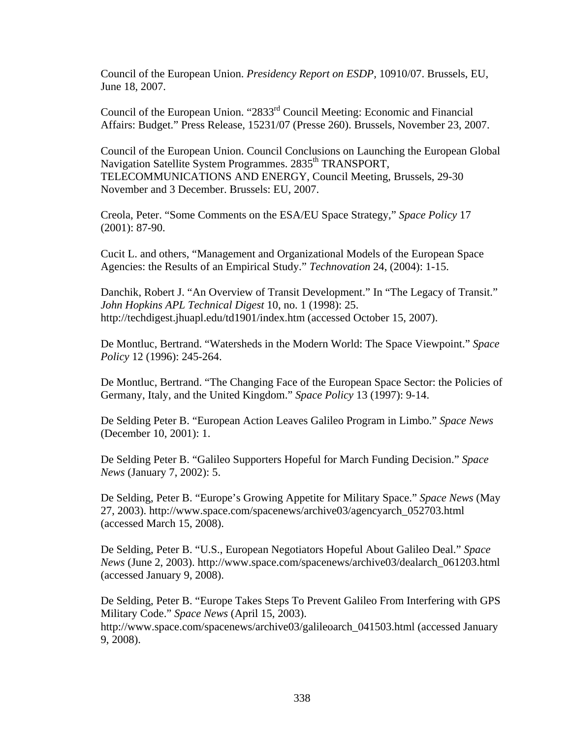Council of the European Union. *Presidency Report on ESDP,* 10910/07. Brussels, EU, June 18, 2007.

Council of the European Union. "2833<sup>rd</sup> Council Meeting: Economic and Financial Affairs: Budget." Press Release, 15231/07 (Presse 260). Brussels, November 23, 2007.

Council of the European Union. Council Conclusions on Launching the European Global Navigation Satellite System Programmes. 2835<sup>th</sup> TRANSPORT, TELECOMMUNICATIONS AND ENERGY, Council Meeting, Brussels, 29-30 November and 3 December. Brussels: EU, 2007.

Creola, Peter. "Some Comments on the ESA/EU Space Strategy," *Space Policy* 17 (2001): 87-90.

Cucit L. and others, "Management and Organizational Models of the European Space Agencies: the Results of an Empirical Study." *Technovation* 24, (2004): 1-15.

Danchik, Robert J. "An Overview of Transit Development." In "The Legacy of Transit." *John Hopkins APL Technical Digest* 10, no. 1 (1998): 25. http://techdigest.jhuapl.edu/td1901/index.htm (accessed October 15, 2007).

De Montluc, Bertrand. "Watersheds in the Modern World: The Space Viewpoint." *Space Policy* 12 (1996): 245-264.

De Montluc, Bertrand. "The Changing Face of the European Space Sector: the Policies of Germany, Italy, and the United Kingdom." *Space Policy* 13 (1997): 9-14.

De Selding Peter B. "European Action Leaves Galileo Program in Limbo." *Space News* (December 10, 2001): 1.

De Selding Peter B. "Galileo Supporters Hopeful for March Funding Decision." *Space News* (January 7, 2002): 5.

De Selding, Peter B. "Europe's Growing Appetite for Military Space." *Space News* (May 27, 2003). http://www.space.com/spacenews/archive03/agencyarch\_052703.html (accessed March 15, 2008).

De Selding, Peter B. "U.S., European Negotiators Hopeful About Galileo Deal." *Space News* (June 2, 2003). http://www.space.com/spacenews/archive03/dealarch\_061203.html (accessed January 9, 2008).

De Selding, Peter B. "Europe Takes Steps To Prevent Galileo From Interfering with GPS Military Code." *Space News* (April 15, 2003). http://www.space.com/spacenews/archive03/galileoarch\_041503.html (accessed January 9, 2008).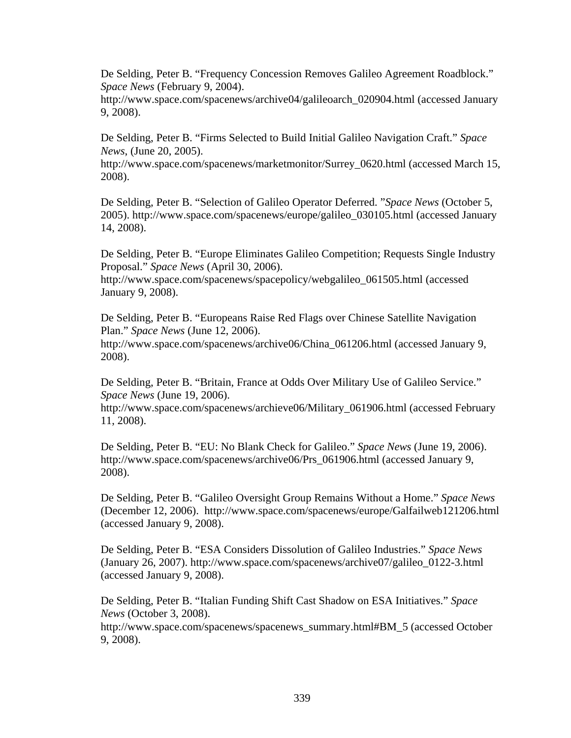De Selding, Peter B. "Frequency Concession Removes Galileo Agreement Roadblock." *Space News* (February 9, 2004).

http://www.space.com/spacenews/archive04/galileoarch\_020904.html (accessed January 9, 2008).

De Selding, Peter B. "Firms Selected to Build Initial Galileo Navigation Craft." *Space News*, (June 20, 2005).

http://www.space.com/spacenews/marketmonitor/Surrey\_0620.html (accessed March 15, 2008).

De Selding, Peter B. "Selection of Galileo Operator Deferred. "*Space News* (October 5, 2005). http://www.space.com/spacenews/europe/galileo\_030105.html (accessed January 14, 2008).

De Selding, Peter B. "Europe Eliminates Galileo Competition; Requests Single Industry Proposal." *Space News* (April 30, 2006).

http://www.space.com/spacenews/spacepolicy/webgalileo\_061505.html (accessed January 9, 2008).

De Selding, Peter B. "Europeans Raise Red Flags over Chinese Satellite Navigation Plan." *Space News* (June 12, 2006).

http://www.space.com/spacenews/archive06/China\_061206.html (accessed January 9, 2008).

De Selding, Peter B. "Britain, France at Odds Over Military Use of Galileo Service." *Space News* (June 19, 2006).

http://www.space.com/spacenews/archieve06/Military\_061906.html (accessed February 11, 2008).

De Selding, Peter B. "EU: No Blank Check for Galileo." *Space News* (June 19, 2006). http://www.space.com/spacenews/archive06/Prs\_061906.html (accessed January 9, 2008).

De Selding, Peter B. "Galileo Oversight Group Remains Without a Home." *Space News* (December 12, 2006). http://www.space.com/spacenews/europe/Galfailweb121206.html (accessed January 9, 2008).

De Selding, Peter B. "ESA Considers Dissolution of Galileo Industries." *Space News* (January 26, 2007). http://www.space.com/spacenews/archive07/galileo\_0122-3.html (accessed January 9, 2008).

De Selding, Peter B. "Italian Funding Shift Cast Shadow on ESA Initiatives." *Space News* (October 3, 2008).

http://www.space.com/spacenews/spacenews\_summary.html#BM\_5 (accessed October 9, 2008).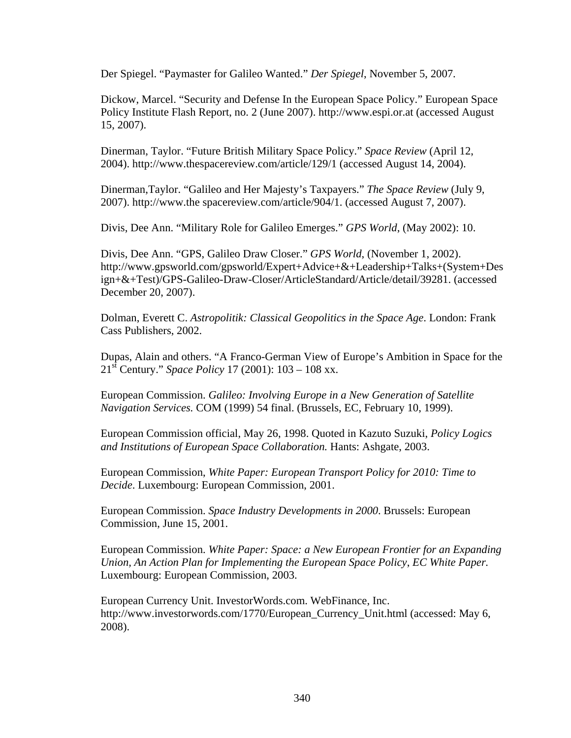Der Spiegel. "Paymaster for Galileo Wanted." *Der Spiegel*, November 5, 2007.

Dickow, Marcel. "Security and Defense In the European Space Policy." European Space Policy Institute Flash Report, no. 2 (June 2007). http://www.espi.or.at (accessed August 15, 2007).

Dinerman, Taylor. "Future British Military Space Policy." *Space Review* (April 12, 2004). http://www.thespacereview.com/article/129/1 (accessed August 14, 2004).

Dinerman,Taylor. "Galileo and Her Majesty's Taxpayers." *The Space Review* (July 9, 2007). http://www.the spacereview.com/article/904/1. (accessed August 7, 2007).

Divis, Dee Ann. "Military Role for Galileo Emerges." *GPS World*, (May 2002): 10.

Divis, Dee Ann. "GPS, Galileo Draw Closer." *GPS World*, (November 1, 2002). http://www.gpsworld.com/gpsworld/Expert+Advice+&+Leadership+Talks+(System+Des ign+&+Test)/GPS-Galileo-Draw-Closer/ArticleStandard/Article/detail/39281. (accessed December 20, 2007).

Dolman, Everett C. *Astropolitik: Classical Geopolitics in the Space Age*. London: Frank Cass Publishers, 2002.

Dupas, Alain and others. "A Franco-German View of Europe's Ambition in Space for the 21st Century." *Space Policy* 17 (2001): 103 – 108 xx.

European Commission. *Galileo: Involving Europe in a New Generation of Satellite Navigation Services.* COM (1999) 54 final. (Brussels, EC, February 10, 1999).

European Commission official, May 26, 1998. Quoted in Kazuto Suzuki, *Policy Logics and Institutions of European Space Collaboration.* Hants: Ashgate, 2003.

European Commission, *White Paper: European Transport Policy for 2010: Time to Decide*. Luxembourg: European Commission, 2001.

European Commission. *Space Industry Developments in 2000*. Brussels: European Commission, June 15, 2001.

European Commission. *White Paper: Space: a New European Frontier for an Expanding Union, An Action Plan for Implementing the European Space Policy*, *EC White Paper.* Luxembourg: European Commission, 2003.

European Currency Unit. InvestorWords.com. WebFinance, Inc. http://www.investorwords.com/1770/European\_Currency\_Unit.html (accessed: May 6, 2008).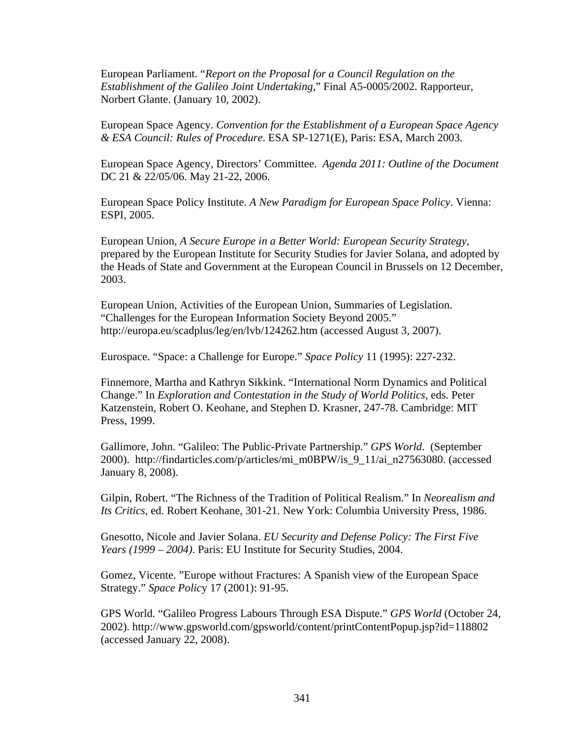European Parliament. "*Report on the Proposal for a Council Regulation on the Establishment of the Galileo Joint Undertaking,*" Final A5-0005/2002. Rapporteur, Norbert Glante. (January 10, 2002).

European Space Agency. *Convention for the Establishment of a European Space Agency & ESA Council: Rules of Procedure*. ESA SP-1271(E), Paris: ESA, March 2003.

European Space Agency, Directors' Committee. *Agenda 2011: Outline of the Document* DC 21 & 22/05/06. May 21-22, 2006.

European Space Policy Institute. *A New Paradigm for European Space Policy*. Vienna: ESPI, 2005.

European Union, *A Secure Europe in a Better World: European Security Strategy*, prepared by the European Institute for Security Studies for Javier Solana, and adopted by the Heads of State and Government at the European Council in Brussels on 12 December, 2003.

European Union, Activities of the European Union, Summaries of Legislation. "Challenges for the European Information Society Beyond 2005." http://europa.eu/scadplus/leg/en/lvb/124262.htm (accessed August 3, 2007).

Eurospace. "Space: a Challenge for Europe." *Space Policy* 11 (1995): 227-232.

Finnemore, Martha and Kathryn Sikkink. "International Norm Dynamics and Political Change." In *Exploration and Contestation in the Study of World Politics,* eds. Peter Katzenstein, Robert O. Keohane, and Stephen D. Krasner, 247-78. Cambridge: MIT Press, 1999.

Gallimore, John. "Galileo: The Public-Private Partnership." *GPS World*. (September 2000). http://findarticles.com/p/articles/mi\_m0BPW/is\_9\_11/ai\_n27563080. (accessed January 8, 2008).

Gilpin, Robert. "The Richness of the Tradition of Political Realism." In *Neorealism and Its Critics*, ed. Robert Keohane, 301-21. New York: Columbia University Press, 1986.

Gnesotto, Nicole and Javier Solana. *EU Security and Defense Policy: The First Five Years (1999 – 2004)*. Paris: EU Institute for Security Studies, 2004.

Gomez, Vicente. "Europe without Fractures: A Spanish view of the European Space Strategy." *Space Polic*y 17 (2001): 91-95.

GPS World. "Galileo Progress Labours Through ESA Dispute." *GPS World* (October 24, 2002). http://www.gpsworld.com/gpsworld/content/printContentPopup.jsp?id=118802 (accessed January 22, 2008).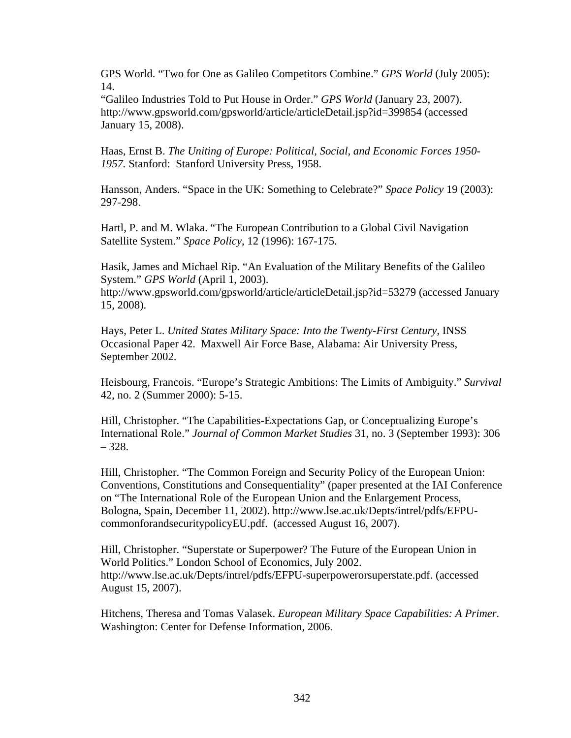GPS World. "Two for One as Galileo Competitors Combine." *GPS World* (July 2005): 14.

"Galileo Industries Told to Put House in Order." *GPS World* (January 23, 2007). http://www.gpsworld.com/gpsworld/article/articleDetail.jsp?id=399854 (accessed January 15, 2008).

Haas, Ernst B. *The Uniting of Europe: Political, Social, and Economic Forces 1950- 1957.* Stanford: Stanford University Press, 1958.

Hansson, Anders. "Space in the UK: Something to Celebrate?" *Space Policy* 19 (2003): 297-298.

Hartl, P. and M. Wlaka. "The European Contribution to a Global Civil Navigation Satellite System." *Space Policy*, 12 (1996): 167-175.

Hasik, James and Michael Rip. "An Evaluation of the Military Benefits of the Galileo System." *GPS World* (April 1, 2003).

http://www.gpsworld.com/gpsworld/article/articleDetail.jsp?id=53279 (accessed January 15, 2008).

Hays, Peter L. *United States Military Space: Into the Twenty-First Century*, INSS Occasional Paper 42. Maxwell Air Force Base, Alabama: Air University Press, September 2002.

Heisbourg, Francois. "Europe's Strategic Ambitions: The Limits of Ambiguity." *Survival* 42, no. 2 (Summer 2000): 5-15.

Hill, Christopher. "The Capabilities-Expectations Gap, or Conceptualizing Europe's International Role." *Journal of Common Market Studies* 31, no. 3 (September 1993): 306 – 328.

Hill, Christopher. "The Common Foreign and Security Policy of the European Union: Conventions, Constitutions and Consequentiality" (paper presented at the IAI Conference on "The International Role of the European Union and the Enlargement Process, Bologna, Spain, December 11, 2002). http://www.lse.ac.uk/Depts/intrel/pdfs/EFPUcommonforandsecuritypolicyEU.pdf. (accessed August 16, 2007).

Hill, Christopher. "Superstate or Superpower? The Future of the European Union in World Politics." London School of Economics, July 2002. http://www.lse.ac.uk/Depts/intrel/pdfs/EFPU-superpowerorsuperstate.pdf. (accessed August 15, 2007).

Hitchens, Theresa and Tomas Valasek. *European Military Space Capabilities: A Primer*. Washington: Center for Defense Information, 2006.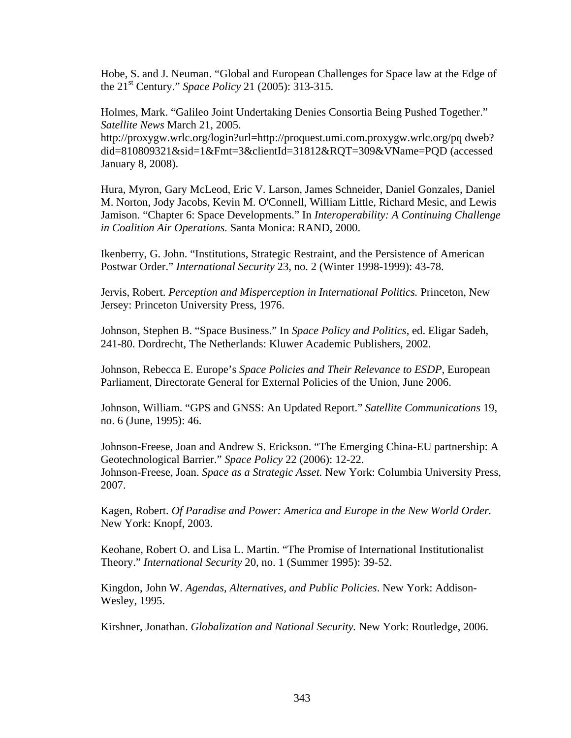Hobe, S. and J. Neuman. "Global and European Challenges for Space law at the Edge of the 21st Century." *Space Policy* 21 (2005): 313-315.

Holmes, Mark. "Galileo Joint Undertaking Denies Consortia Being Pushed Together." *Satellite News* March 21, 2005.

http://proxygw.wrlc.org/login?url=http://proquest.umi.com.proxygw.wrlc.org/pq dweb? did=810809321&sid=1&Fmt=3&clientId=31812&RQT=309&VName=PQD (accessed January 8, 2008).

Hura, Myron, Gary McLeod, Eric V. Larson, James Schneider, Daniel Gonzales, Daniel M. Norton, Jody Jacobs, Kevin M. O'Connell, William Little, Richard Mesic, and Lewis Jamison. "Chapter 6: Space Developments." In *Interoperability: A Continuing Challenge in Coalition Air Operations.* Santa Monica: RAND, 2000.

Ikenberry, G. John. "Institutions, Strategic Restraint, and the Persistence of American Postwar Order." *International Security* 23, no. 2 (Winter 1998-1999): 43-78.

Jervis, Robert. *Perception and Misperception in International Politics.* Princeton, New Jersey: Princeton University Press, 1976.

Johnson, Stephen B. "Space Business." In *Space Policy and Politics*, ed. Eligar Sadeh, 241-80. Dordrecht, The Netherlands: Kluwer Academic Publishers, 2002.

Johnson, Rebecca E. Europe's *Space Policies and Their Relevance to ESDP*, European Parliament, Directorate General for External Policies of the Union, June 2006.

Johnson, William. "GPS and GNSS: An Updated Report." *Satellite Communications* 19, no. 6 (June, 1995): 46.

Johnson-Freese, Joan and Andrew S. Erickson. "The Emerging China-EU partnership: A Geotechnological Barrier." *Space Policy* 22 (2006): 12-22. Johnson-Freese, Joan. *Space as a Strategic Asset.* New York: Columbia University Press, 2007.

Kagen, Robert. *Of Paradise and Power: America and Europe in the New World Order.* New York: Knopf, 2003.

Keohane, Robert O. and Lisa L. Martin. "The Promise of International Institutionalist Theory." *International Security* 20, no. 1 (Summer 1995): 39-52.

Kingdon, John W. *Agendas, Alternatives, and Public Policies*. New York: Addison-Wesley, 1995.

Kirshner, Jonathan. *Globalization and National Security.* New York: Routledge, 2006.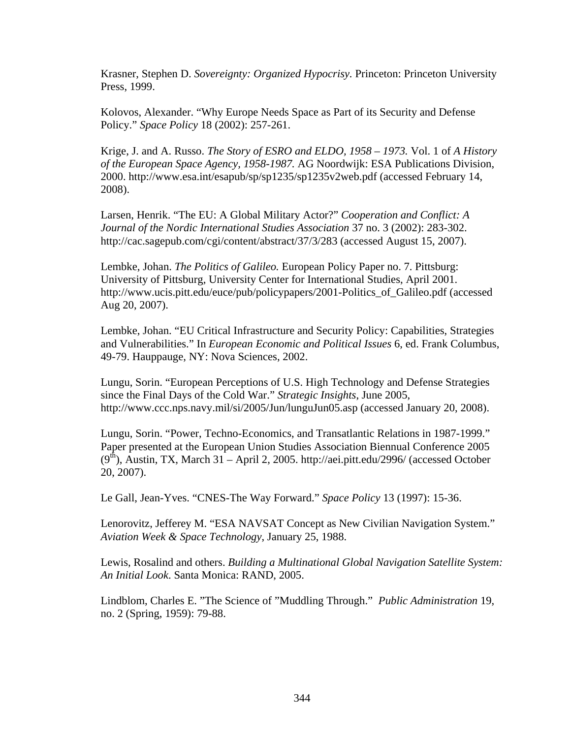Krasner, Stephen D. *Sovereignty: Organized Hypocrisy.* Princeton: Princeton University Press, 1999.

Kolovos, Alexander. "Why Europe Needs Space as Part of its Security and Defense Policy." *Space Policy* 18 (2002): 257-261.

Krige, J. and A. Russo. *The Story of ESRO and ELDO, 1958 – 1973.* Vol. 1 of *A History of the European Space Agency, 1958-1987.* AG Noordwijk: ESA Publications Division, 2000. http://www.esa.int/esapub/sp/sp1235/sp1235v2web.pdf (accessed February 14, 2008).

Larsen, Henrik. "The EU: A Global Military Actor?" *Cooperation and Conflict: A Journal of the Nordic International Studies Association* 37 no. 3 (2002): 283-302. http://cac.sagepub.com/cgi/content/abstract/37/3/283 (accessed August 15, 2007).

Lembke, Johan. *The Politics of Galileo.* European Policy Paper no. 7. Pittsburg: University of Pittsburg, University Center for International Studies, April 2001. http://www.ucis.pitt.edu/euce/pub/policypapers/2001-Politics\_of\_Galileo.pdf (accessed Aug 20, 2007).

Lembke, Johan. "EU Critical Infrastructure and Security Policy: Capabilities, Strategies and Vulnerabilities." In *European Economic and Political Issues* 6, ed. Frank Columbus, 49-79. Hauppauge, NY: Nova Sciences, 2002.

Lungu, Sorin. "European Perceptions of U.S. High Technology and Defense Strategies since the Final Days of the Cold War." *Strategic Insights*, June 2005, http://www.ccc.nps.navy.mil/si/2005/Jun/lunguJun05.asp (accessed January 20, 2008).

Lungu, Sorin. "Power, Techno-Economics, and Transatlantic Relations in 1987-1999." Paper presented at the European Union Studies Association Biennual Conference 2005  $(9<sup>th</sup>)$ , Austin, TX, March 31 – April 2, 2005. http://aei.pitt.edu/2996/ (accessed October 20, 2007).

Le Gall, Jean-Yves. "CNES-The Way Forward." *Space Policy* 13 (1997): 15-36.

Lenorovitz, Jefferey M. "ESA NAVSAT Concept as New Civilian Navigation System." *Aviation Week & Space Technology*, January 25, 1988.

Lewis, Rosalind and others. *Building a Multinational Global Navigation Satellite System: An Initial Look*. Santa Monica: RAND, 2005.

Lindblom, Charles E. "The Science of "Muddling Through." *Public Administration* 19, no. 2 (Spring, 1959): 79-88.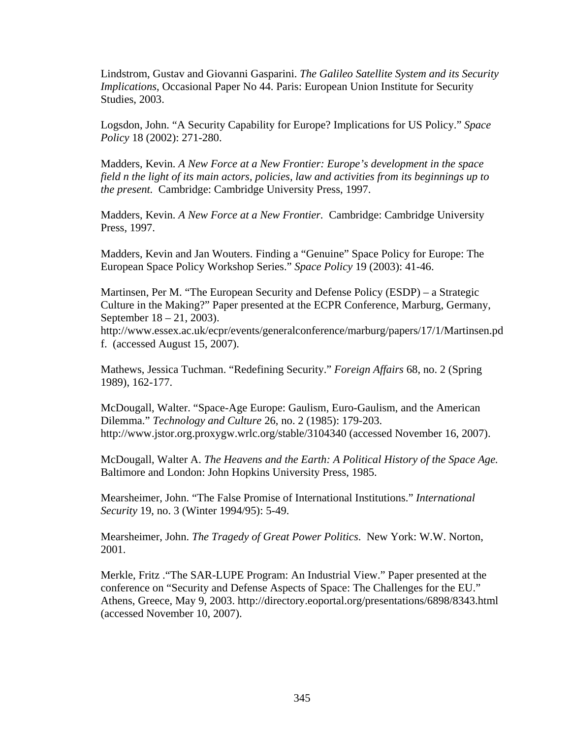Lindstrom, Gustav and Giovanni Gasparini. *The Galileo Satellite System and its Security Implications*, Occasional Paper No 44. Paris: European Union Institute for Security Studies, 2003.

Logsdon, John. "A Security Capability for Europe? Implications for US Policy." *Space Policy* 18 (2002): 271-280.

Madders, Kevin. *A New Force at a New Frontier: Europe's development in the space field n the light of its main actors, policies, law and activities from its beginnings up to the present.* Cambridge: Cambridge University Press, 1997.

Madders, Kevin. *A New Force at a New Frontier.* Cambridge: Cambridge University Press, 1997.

Madders, Kevin and Jan Wouters. Finding a "Genuine" Space Policy for Europe: The European Space Policy Workshop Series." *Space Policy* 19 (2003): 41-46.

Martinsen, Per M. "The European Security and Defense Policy (ESDP) – a Strategic Culture in the Making?" Paper presented at the ECPR Conference, Marburg, Germany, September 18 – 21, 2003).

http://www.essex.ac.uk/ecpr/events/generalconference/marburg/papers/17/1/Martinsen.pd f. (accessed August 15, 2007).

Mathews, Jessica Tuchman. "Redefining Security." *Foreign Affairs* 68, no. 2 (Spring 1989), 162-177.

McDougall, Walter. "Space-Age Europe: Gaulism, Euro-Gaulism, and the American Dilemma." *Technology and Culture* 26, no. 2 (1985): 179-203. http://www.jstor.org.proxygw.wrlc.org/stable/3104340 (accessed November 16, 2007).

McDougall, Walter A. *The Heavens and the Earth: A Political History of the Space Age.* Baltimore and London: John Hopkins University Press, 1985.

Mearsheimer, John. "The False Promise of International Institutions." *International Security* 19, no. 3 (Winter 1994/95): 5-49.

Mearsheimer, John. *The Tragedy of Great Power Politics*. New York: W.W. Norton, 2001.

Merkle, Fritz ."The SAR-LUPE Program: An Industrial View." Paper presented at the conference on "Security and Defense Aspects of Space: The Challenges for the EU." Athens, Greece, May 9, 2003. http://directory.eoportal.org/presentations/6898/8343.html (accessed November 10, 2007).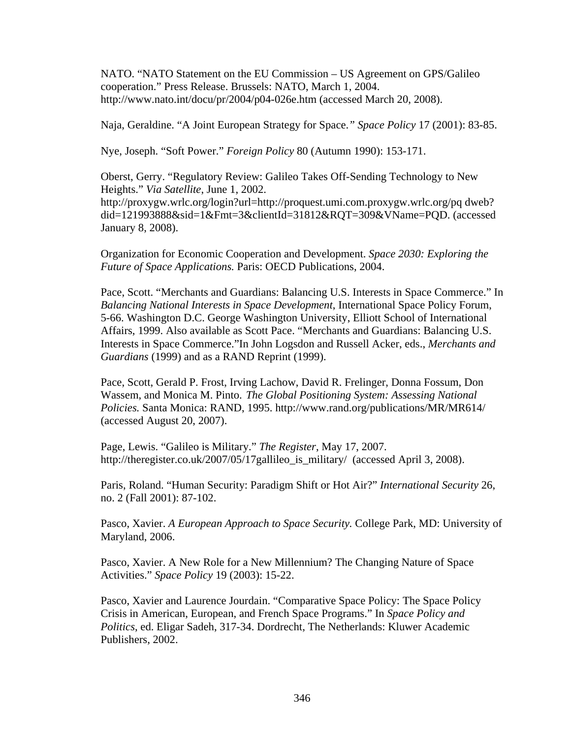NATO. "NATO Statement on the EU Commission – US Agreement on GPS/Galileo cooperation." Press Release. Brussels: NATO, March 1, 2004. http://www.nato.int/docu/pr/2004/p04-026e.htm (accessed March 20, 2008).

Naja, Geraldine. "A Joint European Strategy for Space.*" Space Policy* 17 (2001): 83-85.

Nye, Joseph. "Soft Power." *Foreign Policy* 80 (Autumn 1990): 153-171.

Oberst, Gerry. "Regulatory Review: Galileo Takes Off-Sending Technology to New Heights." *Via Satellite*, June 1, 2002. http://proxygw.wrlc.org/login?url=http://proquest.umi.com.proxygw.wrlc.org/pq dweb? did=121993888&sid=1&Fmt=3&clientId=31812&RQT=309&VName=PQD. (accessed January 8, 2008).

Organization for Economic Cooperation and Development. *Space 2030: Exploring the Future of Space Applications.* Paris: OECD Publications, 2004.

Pace, Scott. "Merchants and Guardians: Balancing U.S. Interests in Space Commerce." In *Balancing National Interests in Space Development*, International Space Policy Forum, 5-66. Washington D.C. George Washington University, Elliott School of International Affairs, 1999. Also available as Scott Pace. "Merchants and Guardians: Balancing U.S. Interests in Space Commerce."In John Logsdon and Russell Acker, eds., *Merchants and Guardians* (1999) and as a RAND Reprint (1999).

Pace, Scott, Gerald P. Frost, Irving Lachow, David R. Frelinger, Donna Fossum, Don Wassem, and Monica M. Pinto. *The Global Positioning System: Assessing National Policies.* Santa Monica: RAND, 1995. http://www.rand.org/publications/MR/MR614/ (accessed August 20, 2007).

Page, Lewis. "Galileo is Military." *The Register*, May 17, 2007. http://theregister.co.uk/2007/05/17gallileo\_is\_military/ (accessed April 3, 2008).

Paris, Roland. "Human Security: Paradigm Shift or Hot Air?" *International Security* 26, no. 2 (Fall 2001): 87-102.

Pasco, Xavier. *A European Approach to Space Security.* College Park, MD: University of Maryland, 2006.

Pasco, Xavier. A New Role for a New Millennium? The Changing Nature of Space Activities." *Space Policy* 19 (2003): 15-22.

Pasco, Xavier and Laurence Jourdain. "Comparative Space Policy: The Space Policy Crisis in American, European, and French Space Programs." In *Space Policy and Politics*, ed. Eligar Sadeh, 317-34. Dordrecht, The Netherlands: Kluwer Academic Publishers, 2002.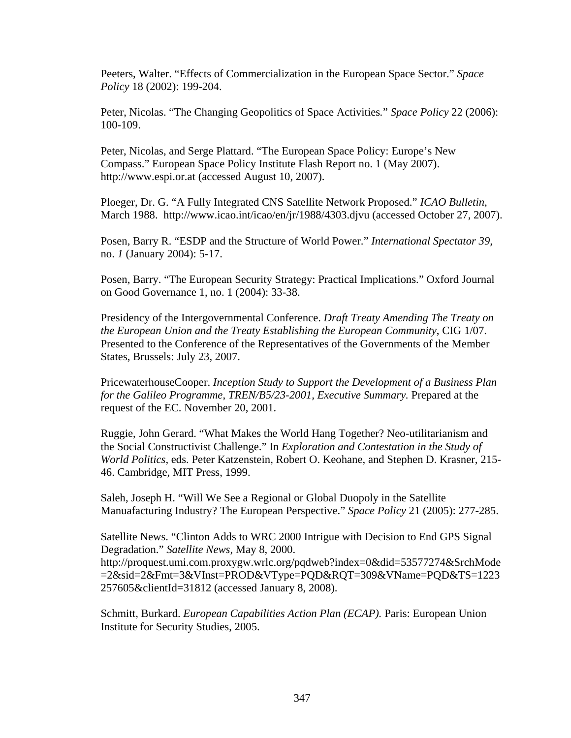Peeters, Walter. "Effects of Commercialization in the European Space Sector." *Space Policy* 18 (2002): 199-204.

Peter, Nicolas. "The Changing Geopolitics of Space Activities*.*" *Space Policy* 22 (2006): 100-109.

Peter, Nicolas, and Serge Plattard. "The European Space Policy: Europe's New Compass." European Space Policy Institute Flash Report no. 1 (May 2007). http://www.espi.or.at (accessed August 10, 2007).

Ploeger, Dr. G. "A Fully Integrated CNS Satellite Network Proposed." *ICAO Bulletin*, March 1988. http://www.icao.int/icao/en/jr/1988/4303.djvu (accessed October 27, 2007).

Posen, Barry R. "ESDP and the Structure of World Power." *International Spectator 39,*  no. *1* (January 2004): 5-17.

Posen, Barry. "The European Security Strategy: Practical Implications." Oxford Journal on Good Governance 1, no. 1 (2004): 33-38.

Presidency of the Intergovernmental Conference. *Draft Treaty Amending The Treaty on the European Union and the Treaty Establishing the European Community*, CIG 1/07. Presented to the Conference of the Representatives of the Governments of the Member States, Brussels: July 23, 2007.

PricewaterhouseCooper. *Inception Study to Support the Development of a Business Plan for the Galileo Programme*, *TREN/B5/23-2001, Executive Summary.* Prepared at the request of the EC. November 20, 2001.

Ruggie, John Gerard. "What Makes the World Hang Together? Neo-utilitarianism and the Social Constructivist Challenge." In *Exploration and Contestation in the Study of World Politics,* eds. Peter Katzenstein, Robert O. Keohane, and Stephen D. Krasner, 215- 46. Cambridge, MIT Press, 1999.

Saleh, Joseph H. "Will We See a Regional or Global Duopoly in the Satellite Manuafacturing Industry? The European Perspective." *Space Policy* 21 (2005): 277-285.

Satellite News. "Clinton Adds to WRC 2000 Intrigue with Decision to End GPS Signal Degradation." *Satellite News*, May 8, 2000. http://proquest.umi.com.proxygw.wrlc.org/pqdweb?index=0&did=53577274&SrchMode =2&sid=2&Fmt=3&VInst=PROD&VType=PQD&RQT=309&VName=PQD&TS=1223 257605&clientId=31812 (accessed January 8, 2008).

Schmitt, Burkard. *European Capabilities Action Plan (ECAP).* Paris: European Union Institute for Security Studies, 2005.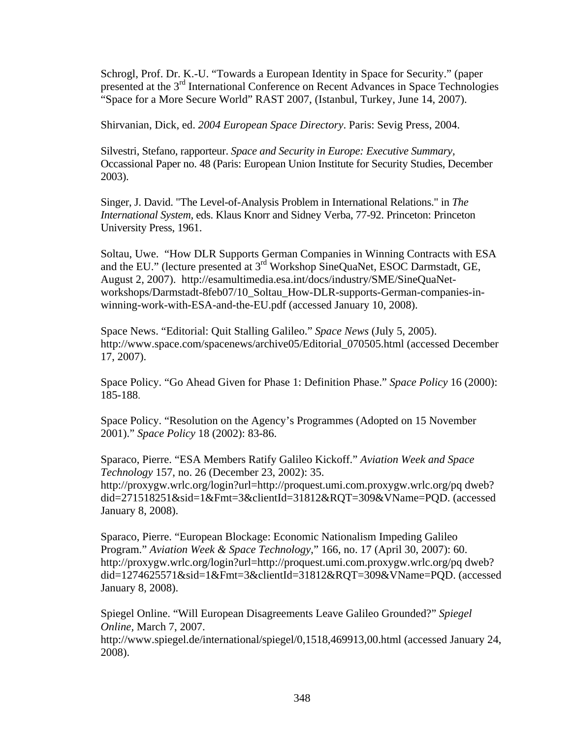Schrogl, Prof. Dr. K.-U. "Towards a European Identity in Space for Security." (paper presented at the 3<sup>rd</sup> International Conference on Recent Advances in Space Technologies "Space for a More Secure World" RAST 2007, (Istanbul, Turkey, June 14, 2007).

Shirvanian, Dick, ed. *2004 European Space Directory*. Paris: Sevig Press, 2004.

Silvestri, Stefano, rapporteur. *Space and Security in Europe: Executive Summary,*  Occassional Paper no. 48 (Paris: European Union Institute for Security Studies, December 2003).

Singer, J. David. "The Level-of-Analysis Problem in International Relations." in *The International System,* eds. Klaus Knorr and Sidney Verba, 77-92. Princeton: Princeton University Press, 1961.

Soltau, Uwe. "How DLR Supports German Companies in Winning Contracts with ESA and the EU." (lecture presented at 3rd Workshop SineQuaNet, ESOC Darmstadt, GE, August 2, 2007). http://esamultimedia.esa.int/docs/industry/SME/SineQuaNetworkshops/Darmstadt-8feb07/10\_Soltau\_How-DLR-supports-German-companies-inwinning-work-with-ESA-and-the-EU.pdf (accessed January 10, 2008).

Space News. "Editorial: Quit Stalling Galileo." *Space News* (July 5, 2005). http://www.space.com/spacenews/archive05/Editorial\_070505.html (accessed December 17, 2007).

Space Policy. "Go Ahead Given for Phase 1: Definition Phase." *Space Policy* 16 (2000): 185-188.

Space Policy. "Resolution on the Agency's Programmes (Adopted on 15 November 2001)." *Space Policy* 18 (2002): 83-86.

Sparaco, Pierre. "ESA Members Ratify Galileo Kickoff." *Aviation Week and Space Technology* 157, no. 26 (December 23, 2002): 35. http://proxygw.wrlc.org/login?url=http://proquest.umi.com.proxygw.wrlc.org/pq dweb? did=271518251&sid=1&Fmt=3&clientId=31812&RQT=309&VName=PQD. (accessed January 8, 2008).

Sparaco, Pierre. "European Blockage: Economic Nationalism Impeding Galileo Program." *Aviation Week & Space Technology*," 166, no. 17 (April 30, 2007): 60. http://proxygw.wrlc.org/login?url=http://proquest.umi.com.proxygw.wrlc.org/pq dweb? did=1274625571&sid=1&Fmt=3&clientId=31812&RQT=309&VName=PQD. (accessed January 8, 2008).

Spiegel Online. "Will European Disagreements Leave Galileo Grounded?" *Spiegel Online,* March 7, 2007.

http://www.spiegel.de/international/spiegel/0,1518,469913,00.html (accessed January 24, 2008).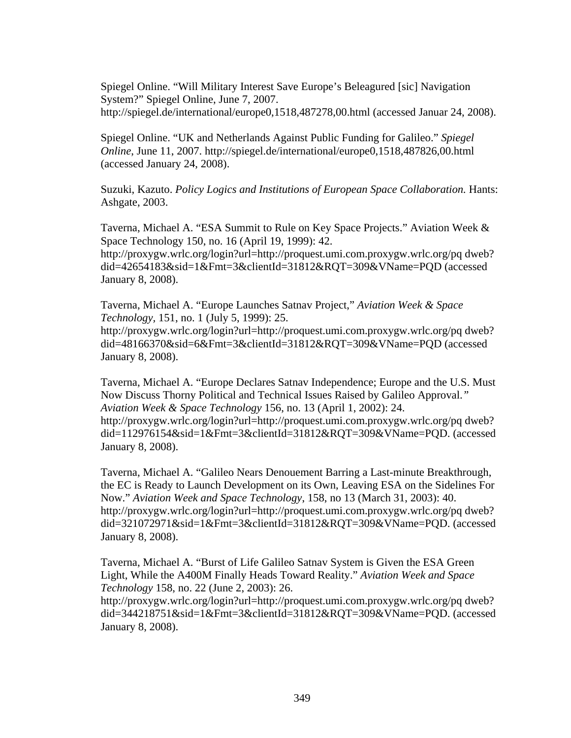Spiegel Online. "Will Military Interest Save Europe's Beleagured [sic] Navigation System?" Spiegel Online, June 7, 2007. http://spiegel.de/international/europe0,1518,487278,00.html (accessed Januar 24, 2008).

Spiegel Online. "UK and Netherlands Against Public Funding for Galileo." *Spiegel Online*, June 11, 2007. http://spiegel.de/international/europe0,1518,487826,00.html (accessed January 24, 2008).

Suzuki, Kazuto. *Policy Logics and Institutions of European Space Collaboration.* Hants: Ashgate, 2003.

Taverna, Michael A. "ESA Summit to Rule on Key Space Projects." Aviation Week & Space Technology 150, no. 16 (April 19, 1999): 42.

http://proxygw.wrlc.org/login?url=http://proquest.umi.com.proxygw.wrlc.org/pq dweb? did=42654183&sid=1&Fmt=3&clientId=31812&RQT=309&VName=PQD (accessed January 8, 2008).

Taverna, Michael A. "Europe Launches Satnav Project," *Aviation Week & Space Technology,* 151, no. 1 (July 5, 1999): 25.

http://proxygw.wrlc.org/login?url=http://proquest.umi.com.proxygw.wrlc.org/pq dweb? did=48166370&sid=6&Fmt=3&clientId=31812&RQT=309&VName=PQD (accessed January 8, 2008).

Taverna, Michael A. "Europe Declares Satnav Independence; Europe and the U.S. Must Now Discuss Thorny Political and Technical Issues Raised by Galileo Approval.*" Aviation Week & Space Technology* 156, no. 13 (April 1, 2002): 24. http://proxygw.wrlc.org/login?url=http://proquest.umi.com.proxygw.wrlc.org/pq dweb? did=112976154&sid=1&Fmt=3&clientId=31812&RQT=309&VName=PQD. (accessed January 8, 2008).

Taverna, Michael A. "Galileo Nears Denouement Barring a Last-minute Breakthrough, the EC is Ready to Launch Development on its Own, Leaving ESA on the Sidelines For Now." *Aviation Week and Space Technology*, 158, no 13 (March 31, 2003): 40. http://proxygw.wrlc.org/login?url=http://proquest.umi.com.proxygw.wrlc.org/pq dweb? did=321072971&sid=1&Fmt=3&clientId=31812&RQT=309&VName=PQD. (accessed January 8, 2008).

Taverna, Michael A. "Burst of Life Galileo Satnav System is Given the ESA Green Light, While the A400M Finally Heads Toward Reality." *Aviation Week and Space Technology* 158, no. 22 (June 2, 2003): 26.

http://proxygw.wrlc.org/login?url=http://proquest.umi.com.proxygw.wrlc.org/pq dweb? did=344218751&sid=1&Fmt=3&clientId=31812&RQT=309&VName=PQD. (accessed January 8, 2008).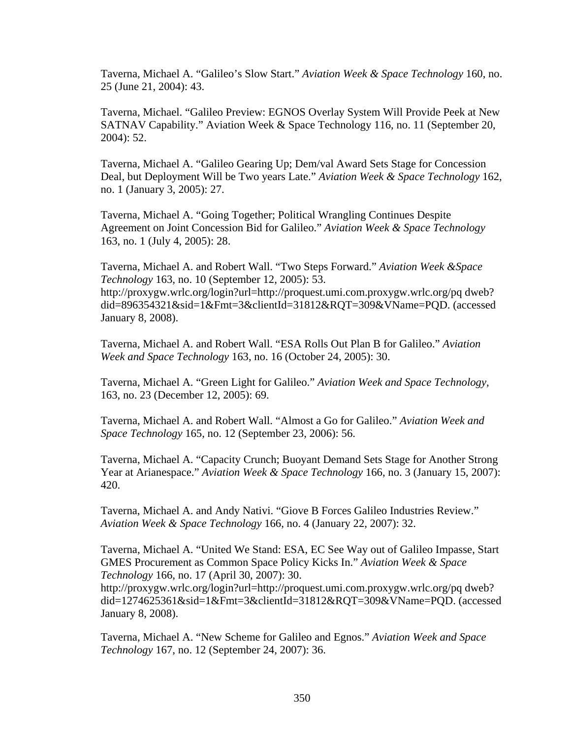Taverna, Michael A. "Galileo's Slow Start." *Aviation Week & Space Technology* 160, no. 25 (June 21, 2004): 43.

Taverna, Michael. "Galileo Preview: EGNOS Overlay System Will Provide Peek at New SATNAV Capability." Aviation Week & Space Technology 116, no. 11 (September 20, 2004): 52.

Taverna, Michael A. "Galileo Gearing Up; Dem/val Award Sets Stage for Concession Deal, but Deployment Will be Two years Late." *Aviation Week & Space Technology* 162, no. 1 (January 3, 2005): 27.

Taverna, Michael A. "Going Together; Political Wrangling Continues Despite Agreement on Joint Concession Bid for Galileo." *Aviation Week & Space Technology* 163, no. 1 (July 4, 2005): 28.

Taverna, Michael A. and Robert Wall. "Two Steps Forward." *Aviation Week &Space Technology* 163, no. 10 (September 12, 2005): 53. http://proxygw.wrlc.org/login?url=http://proquest.umi.com.proxygw.wrlc.org/pq dweb? did=896354321&sid=1&Fmt=3&clientId=31812&RQT=309&VName=PQD. (accessed January 8, 2008).

Taverna, Michael A. and Robert Wall. "ESA Rolls Out Plan B for Galileo." *Aviation Week and Space Technology* 163, no. 16 (October 24, 2005): 30.

Taverna, Michael A. "Green Light for Galileo." *Aviation Week and Space Technology,*  163, no. 23 (December 12, 2005): 69.

Taverna, Michael A. and Robert Wall. "Almost a Go for Galileo." *Aviation Week and Space Technology* 165, no. 12 (September 23, 2006): 56.

Taverna, Michael A. "Capacity Crunch; Buoyant Demand Sets Stage for Another Strong Year at Arianespace." *Aviation Week & Space Technology* 166, no. 3 (January 15, 2007): 420.

Taverna, Michael A. and Andy Nativi. "Giove B Forces Galileo Industries Review." *Aviation Week & Space Technology* 166, no. 4 (January 22, 2007): 32.

Taverna, Michael A. "United We Stand: ESA, EC See Way out of Galileo Impasse, Start GMES Procurement as Common Space Policy Kicks In." *Aviation Week & Space Technology* 166, no. 17 (April 30, 2007): 30.

http://proxygw.wrlc.org/login?url=http://proquest.umi.com.proxygw.wrlc.org/pq dweb? did=1274625361&sid=1&Fmt=3&clientId=31812&RQT=309&VName=PQD. (accessed January 8, 2008).

Taverna, Michael A. "New Scheme for Galileo and Egnos." *Aviation Week and Space Technology* 167, no. 12 (September 24, 2007): 36.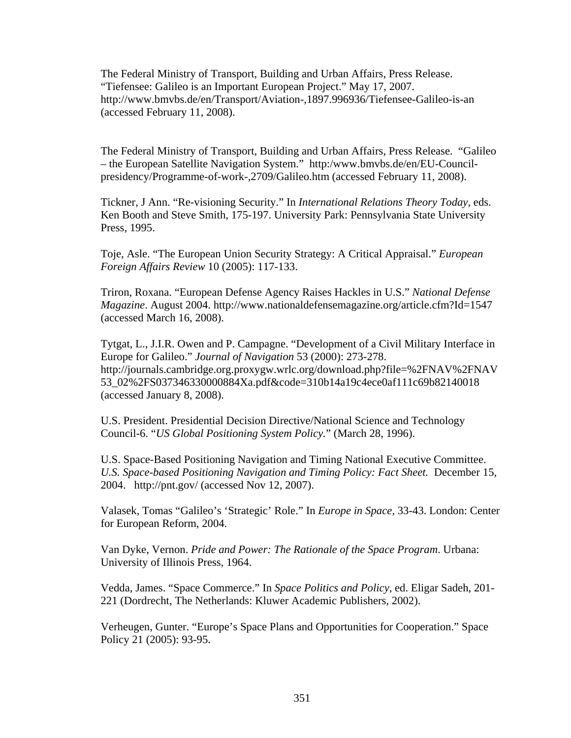The Federal Ministry of Transport, Building and Urban Affairs, Press Release. "Tiefensee: Galileo is an Important European Project." May 17, 2007. http://www.bmvbs.de/en/Transport/Aviation-,1897.996936/Tiefensee-Galileo-is-an (accessed February 11, 2008).

The Federal Ministry of Transport, Building and Urban Affairs, Press Release. "Galileo – the European Satellite Navigation System." http:/www.bmvbs.de/en/EU-Councilpresidency/Programme-of-work-,2709/Galileo.htm (accessed February 11, 2008).

Tickner, J Ann. "Re-visioning Security." In *International Relations Theory Today,* eds. Ken Booth and Steve Smith, 175-197. University Park: Pennsylvania State University Press, 1995.

Toje, Asle. "The European Union Security Strategy: A Critical Appraisal." *European Foreign Affairs Review* 10 (2005): 117-133.

Triron, Roxana. "European Defense Agency Raises Hackles in U.S." *National Defense Magazine*. August 2004. http://www.nationaldefensemagazine.org/article.cfm?Id=1547 (accessed March 16, 2008).

Tytgat, L., J.I.R. Owen and P. Campagne. "Development of a Civil Military Interface in Europe for Galileo." *Journal of Navigation* 53 (2000): 273-278. http://journals.cambridge.org.proxygw.wrlc.org/download.php?file=%2FNAV%2FNAV 53\_02%2FS037346330000884Xa.pdf&code=310b14a19c4ece0af111c69b82140018 (accessed January 8, 2008).

U.S. President. Presidential Decision Directive/National Science and Technology Council-6. "*US Global Positioning System Policy.*" (March 28, 1996).

U.S. Space-Based Positioning Navigation and Timing National Executive Committee. *U.S. Space-based Positioning Navigation and Timing Policy: Fact Sheet.* December 15, 2004. http://pnt.gov/ (accessed Nov 12, 2007).

Valasek, Tomas "Galileo's 'Strategic' Role." In *Europe in Space,* 33-43. London: Center for European Reform, 2004.

Van Dyke, Vernon. *Pride and Power: The Rationale of the Space Program*. Urbana: University of Illinois Press, 1964.

Vedda, James. "Space Commerce." In *Space Politics and Policy*, ed. Eligar Sadeh, 201- 221 (Dordrecht, The Netherlands: Kluwer Academic Publishers, 2002).

Verheugen, Gunter. "Europe's Space Plans and Opportunities for Cooperation." Space Policy 21 (2005): 93-95.